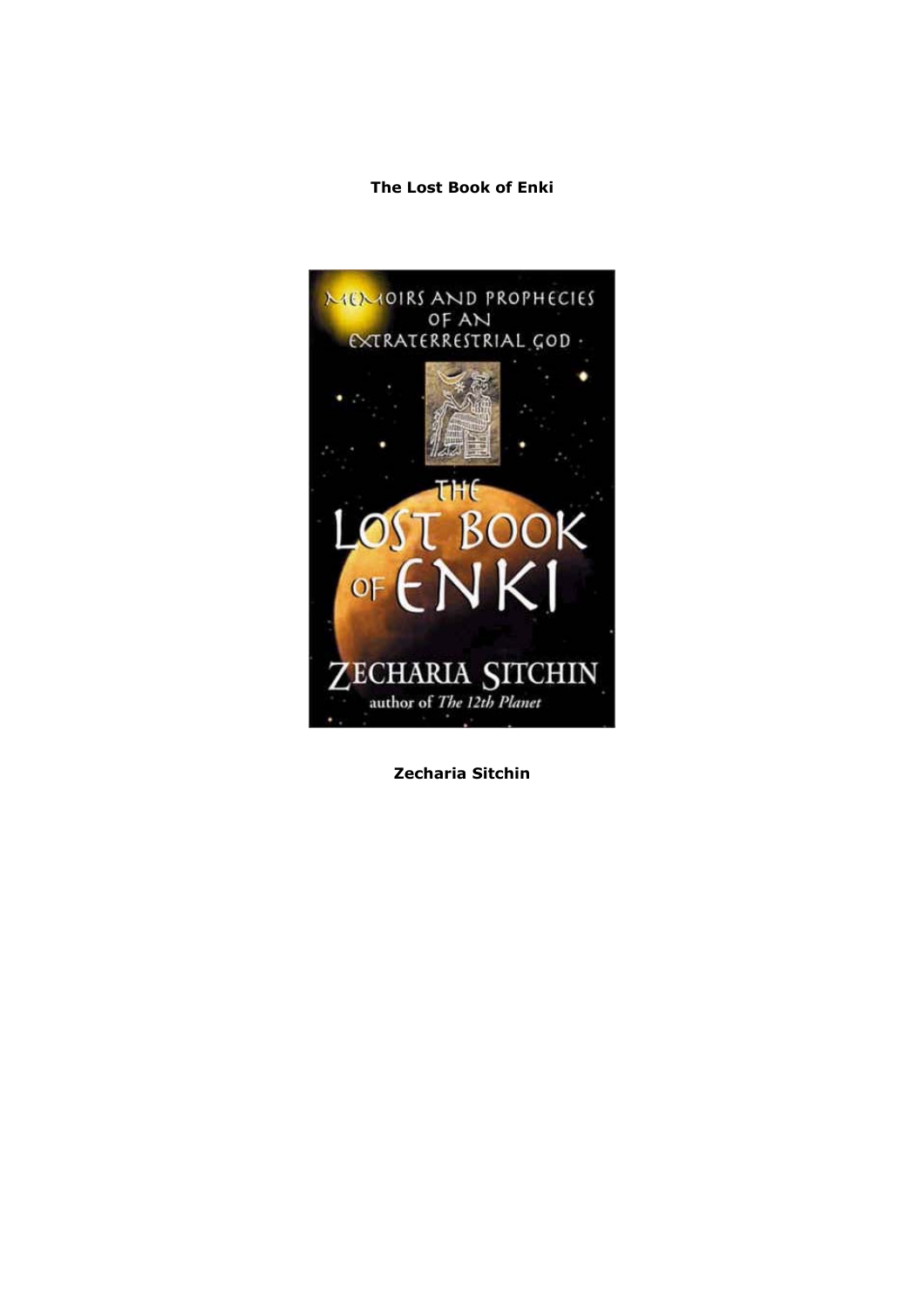# **The Lost Book of Enki**



**Zecharia Sitchin**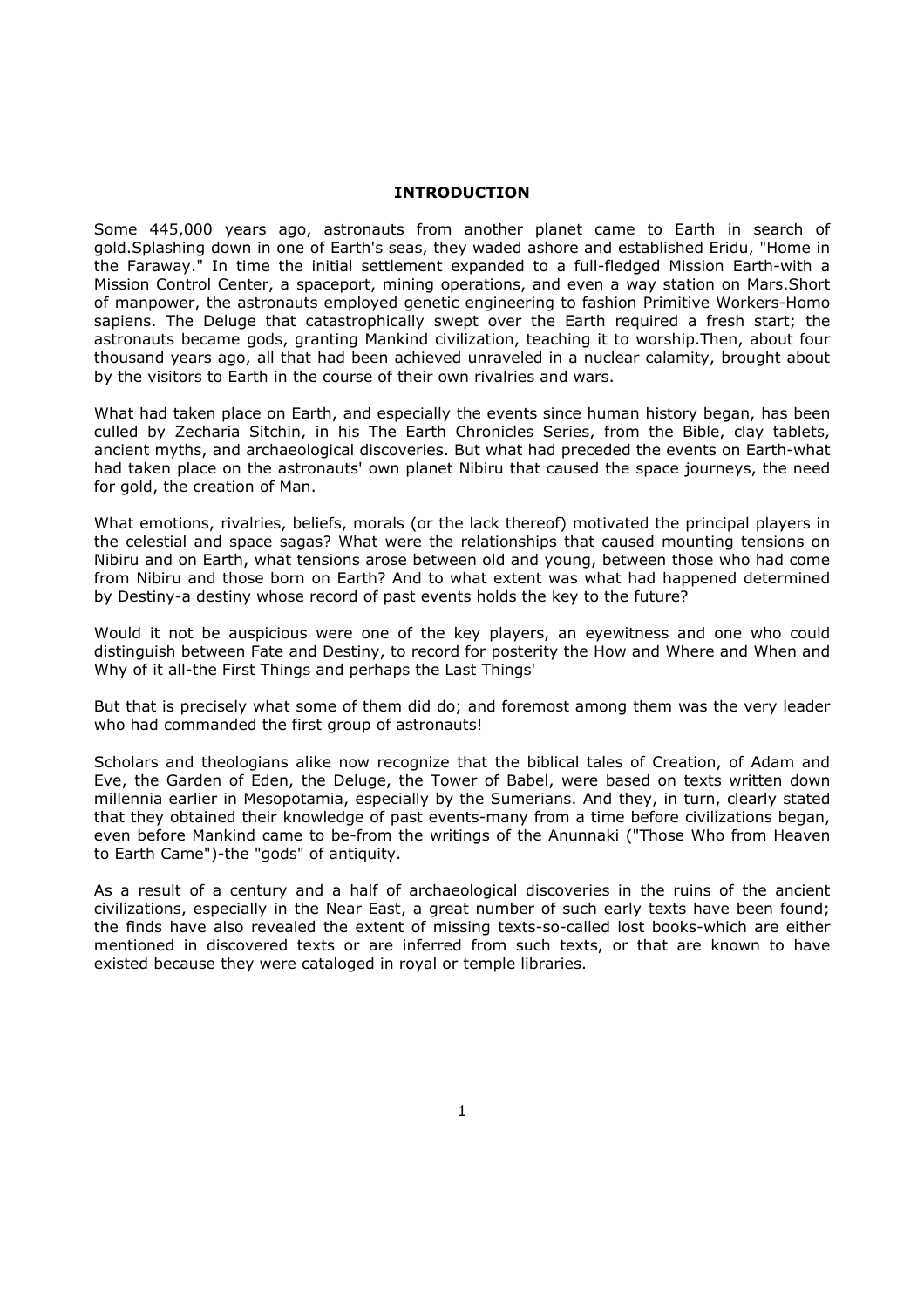#### **INTRODUCTION**

Some 445,000 years ago, astronauts from another planet came to Earth in search of gold.Splashing down in one of Earth's seas, they waded ashore and established Eridu, "Home in the Faraway." In time the initial settlement expanded to a full-fledged Mission Earth-with a Mission Control Center, a spaceport, mining operations, and even a way station on Mars.Short of manpower, the astronauts employed genetic engineering to fashion Primitive Workers-Homo sapiens. The Deluge that catastrophically swept over the Earth required a fresh start; the astronauts became gods, granting Mankind civilization, teaching it to worship.Then, about four thousand years ago, all that had been achieved unraveled in a nuclear calamity, brought about by the visitors to Earth in the course of their own rivalries and wars.

What had taken place on Earth, and especially the events since human history began, has been culled by Zecharia Sitchin, in his The Earth Chronicles Series, from the Bible, clay tablets, ancient myths, and archaeological discoveries. But what had preceded the events on Earth-what had taken place on the astronauts' own planet Nibiru that caused the space journeys, the need for gold, the creation of Man.

What emotions, rivalries, beliefs, morals (or the lack thereof) motivated the principal players in the celestial and space sagas? What were the relationships that caused mounting tensions on Nibiru and on Earth, what tensions arose between old and young, between those who had come from Nibiru and those born on Earth? And to what extent was what had happened determined by Destiny-a destiny whose record of past events holds the key to the future?

Would it not be auspicious were one of the key players, an eyewitness and one who could distinguish between Fate and Destiny, to record for posterity the How and Where and When and Why of it all-the First Things and perhaps the Last Things'

But that is precisely what some of them did do; and foremost among them was the very leader who had commanded the first group of astronauts!

Scholars and theologians alike now recognize that the biblical tales of Creation, of Adam and Eve, the Garden of Eden, the Deluge, the Tower of Babel, were based on texts written down millennia earlier in Mesopotamia, especially by the Sumerians. And they, in turn, clearly stated that they obtained their knowledge of past events-many from a time before civilizations began, even before Mankind came to be-from the writings of the Anunnaki ("Those Who from Heaven to Earth Came")-the "gods" of antiquity.

As a result of a century and a half of archaeological discoveries in the ruins of the ancient civilizations, especially in the Near East, a great number of such early texts have been found; the finds have also revealed the extent of missing texts-so-called lost books-which are either mentioned in discovered texts or are inferred from such texts, or that are known to have existed because they were cataloged in royal or temple libraries.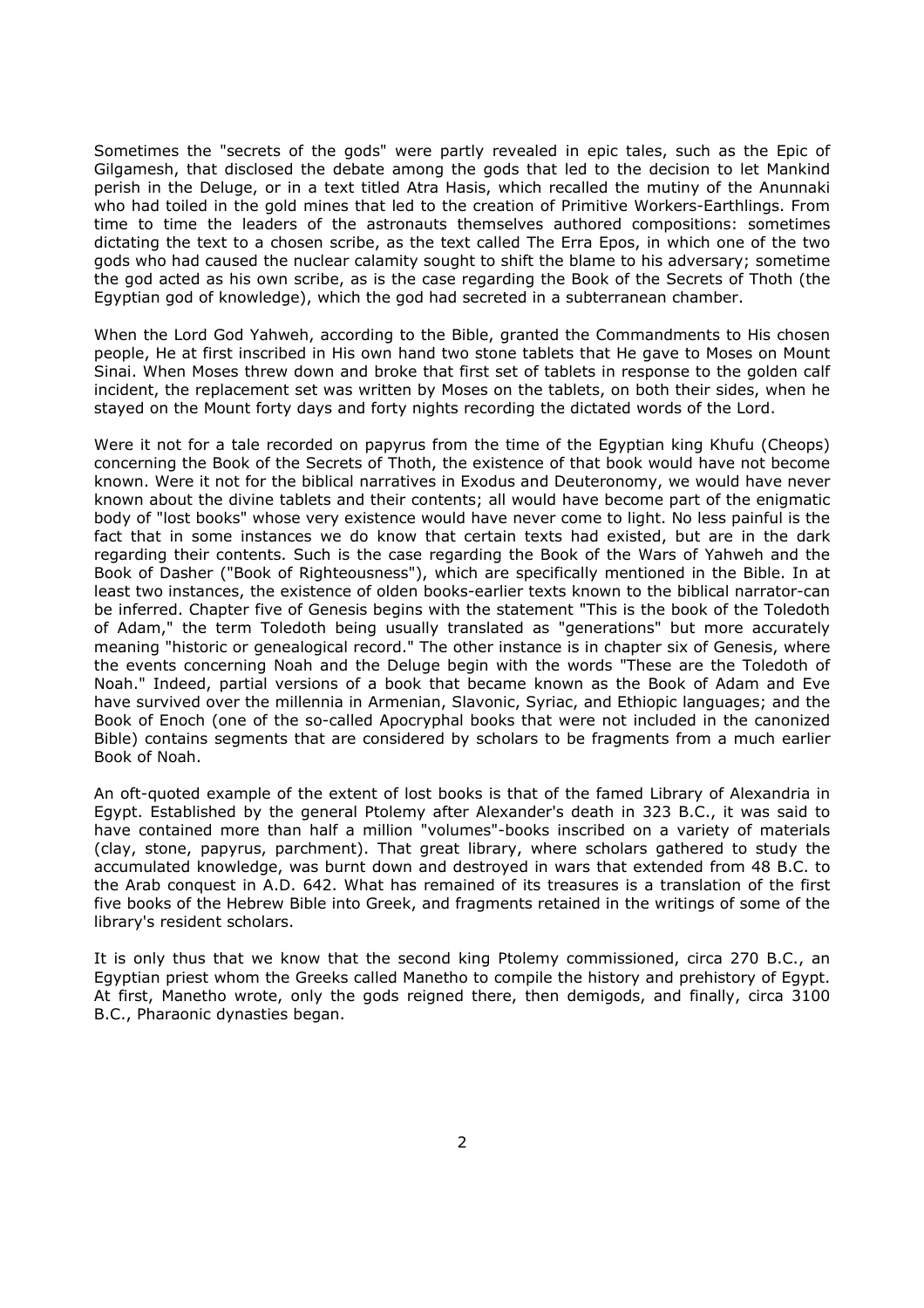Sometimes the "secrets of the gods" were partly revealed in epic tales, such as the Epic of Gilgamesh, that disclosed the debate among the gods that led to the decision to let Mankind perish in the Deluge, or in a text titled Atra Hasis, which recalled the mutiny of the Anunnaki who had toiled in the gold mines that led to the creation of Primitive Workers-Earthlings. From time to time the leaders of the astronauts themselves authored compositions: sometimes dictating the text to a chosen scribe, as the text called The Erra Epos, in which one of the two gods who had caused the nuclear calamity sought to shift the blame to his adversary; sometime the god acted as his own scribe, as is the case regarding the Book of the Secrets of Thoth (the Egyptian god of knowledge), which the god had secreted in a subterranean chamber.

When the Lord God Yahweh, according to the Bible, granted the Commandments to His chosen people, He at first inscribed in His own hand two stone tablets that He gave to Moses on Mount Sinai. When Moses threw down and broke that first set of tablets in response to the golden calf incident, the replacement set was written by Moses on the tablets, on both their sides, when he stayed on the Mount forty days and forty nights recording the dictated words of the Lord.

Were it not for a tale recorded on papyrus from the time of the Egyptian king Khufu (Cheops) concerning the Book of the Secrets of Thoth, the existence of that book would have not become known. Were it not for the biblical narratives in Exodus and Deuteronomy, we would have never known about the divine tablets and their contents; all would have become part of the enigmatic body of "lost books" whose very existence would have never come to light. No less painful is the fact that in some instances we do know that certain texts had existed, but are in the dark regarding their contents. Such is the case regarding the Book of the Wars of Yahweh and the Book of Dasher ("Book of Righteousness"), which are specifically mentioned in the Bible. In at least two instances, the existence of olden books-earlier texts known to the biblical narrator-can be inferred. Chapter five of Genesis begins with the statement "This is the book of the Toledoth of Adam," the term Toledoth being usually translated as "generations" but more accurately meaning "historic or genealogical record." The other instance is in chapter six of Genesis, where the events concerning Noah and the Deluge begin with the words "These are the Toledoth of Noah." Indeed, partial versions of a book that became known as the Book of Adam and Eve have survived over the millennia in Armenian, Slavonic, Syriac, and Ethiopic languages; and the Book of Enoch (one of the so-called Apocryphal books that were not included in the canonized Bible) contains segments that are considered by scholars to be fragments from a much earlier Book of Noah.

An oft-quoted example of the extent of lost books is that of the famed Library of Alexandria in Egypt. Established by the general Ptolemy after Alexander's death in 323 B.C., it was said to have contained more than half a million "volumes"-books inscribed on a variety of materials (clay, stone, papyrus, parchment). That great library, where scholars gathered to study the accumulated knowledge, was burnt down and destroyed in wars that extended from 48 B.C. to the Arab conquest in A.D. 642. What has remained of its treasures is a translation of the first five books of the Hebrew Bible into Greek, and fragments retained in the writings of some of the library's resident scholars.

It is only thus that we know that the second king Ptolemy commissioned, circa 270 B.C., an Egyptian priest whom the Greeks called Manetho to compile the history and prehistory of Egypt. At first, Manetho wrote, only the gods reigned there, then demigods, and finally, circa 3100 B.C., Pharaonic dynasties began.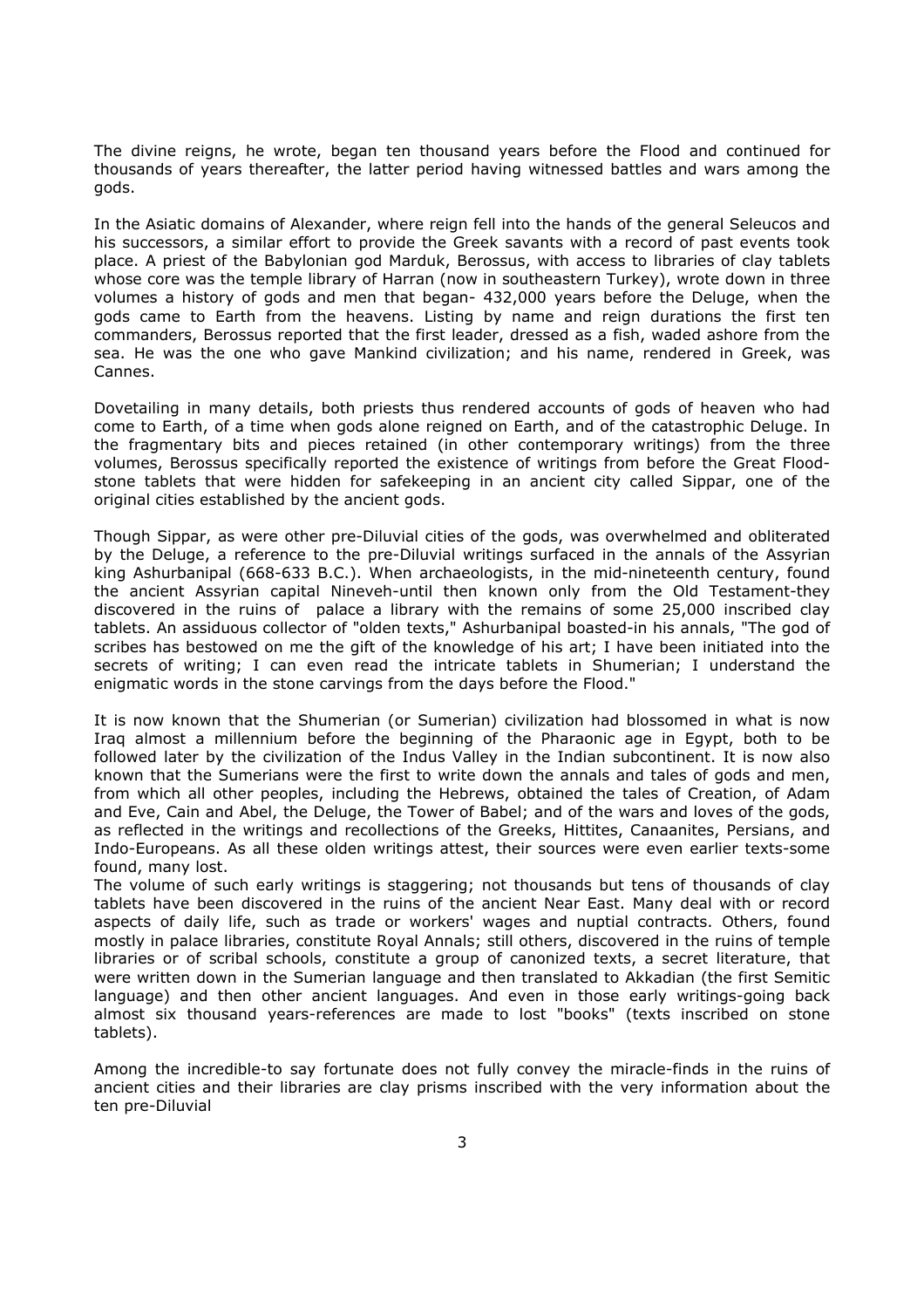The divine reigns, he wrote, began ten thousand years before the Flood and continued for thousands of years thereafter, the latter period having witnessed battles and wars among the gods.

In the Asiatic domains of Alexander, where reign fell into the hands of the general Seleucos and his successors, a similar effort to provide the Greek savants with a record of past events took place. A priest of the Babylonian god Marduk, Berossus, with access to libraries of clay tablets whose core was the temple library of Harran (now in southeastern Turkey), wrote down in three volumes a history of gods and men that began- 432,000 years before the Deluge, when the gods came to Earth from the heavens. Listing by name and reign durations the first ten commanders, Berossus reported that the first leader, dressed as a fish, waded ashore from the sea. He was the one who gave Mankind civilization; and his name, rendered in Greek, was Cannes.

Dovetailing in many details, both priests thus rendered accounts of gods of heaven who had come to Earth, of a time when gods alone reigned on Earth, and of the catastrophic Deluge. In the fragmentary bits and pieces retained (in other contemporary writings) from the three volumes, Berossus specifically reported the existence of writings from before the Great Floodstone tablets that were hidden for safekeeping in an ancient city called Sippar, one of the original cities established by the ancient gods.

Though Sippar, as were other pre-Diluvial cities of the gods, was overwhelmed and obliterated by the Deluge, a reference to the pre-Diluvial writings surfaced in the annals of the Assyrian king Ashurbanipal (668-633 B.C.). When archaeologists, in the mid-nineteenth century, found the ancient Assyrian capital Nineveh-until then known only from the Old Testament-they discovered in the ruins of palace a library with the remains of some 25,000 inscribed clay tablets. An assiduous collector of "olden texts," Ashurbanipal boasted-in his annals, "The god of scribes has bestowed on me the gift of the knowledge of his art; I have been initiated into the secrets of writing; I can even read the intricate tablets in Shumerian; I understand the enigmatic words in the stone carvings from the days before the Flood."

It is now known that the Shumerian (or Sumerian) civilization had blossomed in what is now Iraq almost a millennium before the beginning of the Pharaonic age in Egypt, both to be followed later by the civilization of the Indus Valley in the Indian subcontinent. It is now also known that the Sumerians were the first to write down the annals and tales of gods and men, from which all other peoples, including the Hebrews, obtained the tales of Creation, of Adam and Eve, Cain and Abel, the Deluge, the Tower of Babel; and of the wars and loves of the gods, as reflected in the writings and recollections of the Greeks, Hittites, Canaanites, Persians, and Indo-Europeans. As all these olden writings attest, their sources were even earlier texts-some found, many lost.

The volume of such early writings is staggering; not thousands but tens of thousands of clay tablets have been discovered in the ruins of the ancient Near East. Many deal with or record aspects of daily life, such as trade or workers' wages and nuptial contracts. Others, found mostly in palace libraries, constitute Royal Annals; still others, discovered in the ruins of temple libraries or of scribal schools, constitute a group of canonized texts, a secret literature, that were written down in the Sumerian language and then translated to Akkadian (the first Semitic language) and then other ancient languages. And even in those early writings-going back almost six thousand years-references are made to lost "books" (texts inscribed on stone tablets).

Among the incredible-to say fortunate does not fully convey the miracle-finds in the ruins of ancient cities and their libraries are clay prisms inscribed with the very information about the ten pre-Diluvial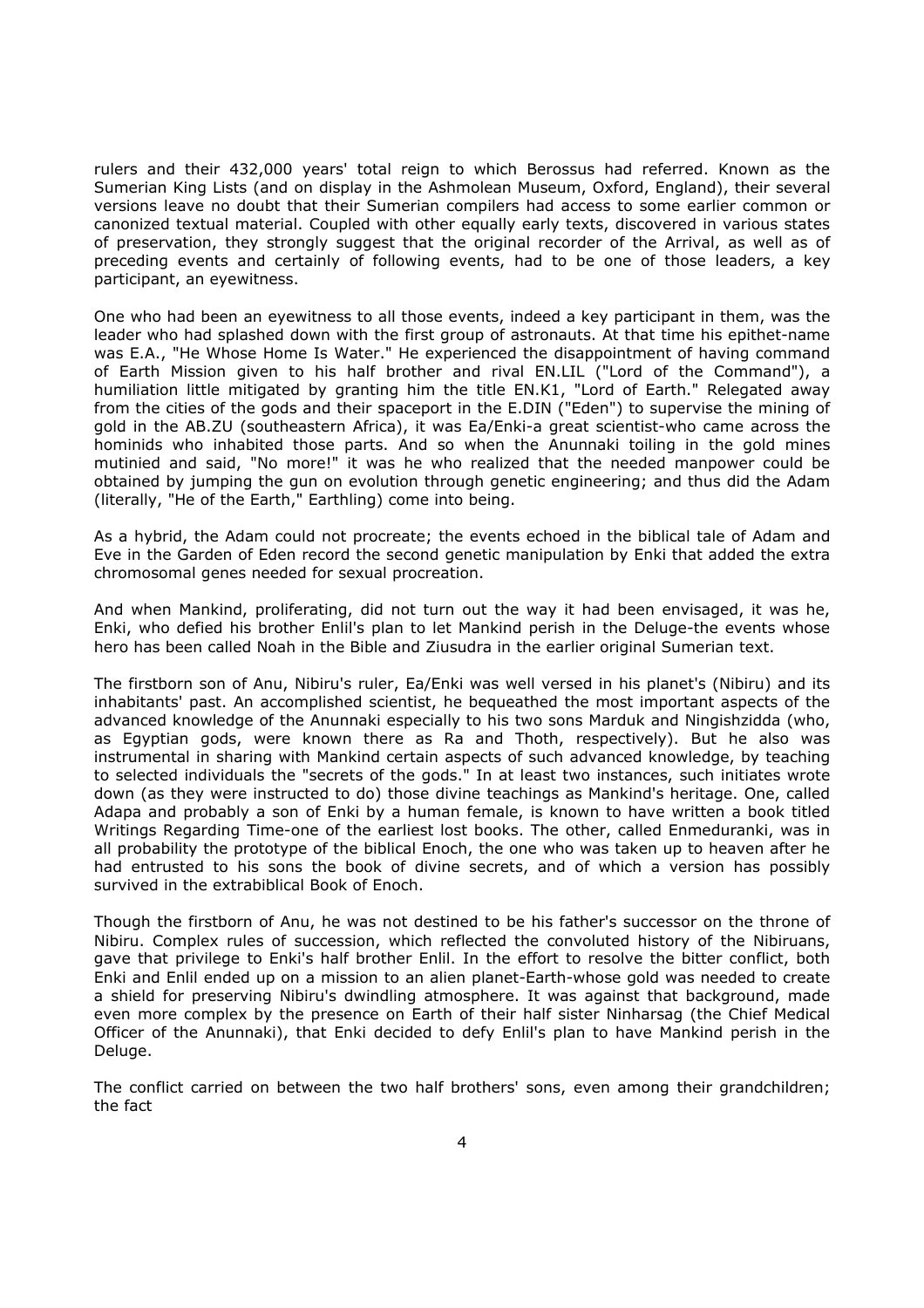rulers and their 432,000 years' total reign to which Berossus had referred. Known as the Sumerian King Lists (and on display in the Ashmolean Museum, Oxford, England), their several versions leave no doubt that their Sumerian compilers had access to some earlier common or canonized textual material. Coupled with other equally early texts, discovered in various states of preservation, they strongly suggest that the original recorder of the Arrival, as well as of preceding events and certainly of following events, had to be one of those leaders, a key participant, an eyewitness.

One who had been an eyewitness to all those events, indeed a key participant in them, was the leader who had splashed down with the first group of astronauts. At that time his epithet-name was E.A., "He Whose Home Is Water." He experienced the disappointment of having command of Earth Mission given to his half brother and rival EN.LIL ("Lord of the Command"), a humiliation little mitigated by granting him the title EN.K1, "Lord of Earth." Relegated away from the cities of the gods and their spaceport in the E.DIN ("Eden") to supervise the mining of gold in the AB.ZU (southeastern Africa), it was Ea/Enki-a great scientist-who came across the hominids who inhabited those parts. And so when the Anunnaki toiling in the gold mines mutinied and said, "No more!" it was he who realized that the needed manpower could be obtained by jumping the gun on evolution through genetic engineering; and thus did the Adam (literally, "He of the Earth," Earthling) come into being.

As a hybrid, the Adam could not procreate; the events echoed in the biblical tale of Adam and Eve in the Garden of Eden record the second genetic manipulation by Enki that added the extra chromosomal genes needed for sexual procreation.

And when Mankind, proliferating, did not turn out the way it had been envisaged, it was he, Enki, who defied his brother Enlil's plan to let Mankind perish in the Deluge-the events whose hero has been called Noah in the Bible and Ziusudra in the earlier original Sumerian text.

The firstborn son of Anu, Nibiru's ruler, Ea/Enki was well versed in his planet's (Nibiru) and its inhabitants' past. An accomplished scientist, he bequeathed the most important aspects of the advanced knowledge of the Anunnaki especially to his two sons Marduk and Ningishzidda (who, as Egyptian gods, were known there as Ra and Thoth, respectively). But he also was instrumental in sharing with Mankind certain aspects of such advanced knowledge, by teaching to selected individuals the "secrets of the gods." In at least two instances, such initiates wrote down (as they were instructed to do) those divine teachings as Mankind's heritage. One, called Adapa and probably a son of Enki by a human female, is known to have written a book titled Writings Regarding Time-one of the earliest lost books. The other, called Enmeduranki, was in all probability the prototype of the biblical Enoch, the one who was taken up to heaven after he had entrusted to his sons the book of divine secrets, and of which a version has possibly survived in the extrabiblical Book of Enoch.

Though the firstborn of Anu, he was not destined to be his father's successor on the throne of Nibiru. Complex rules of succession, which reflected the convoluted history of the Nibiruans, gave that privilege to Enki's half brother Enlil. In the effort to resolve the bitter conflict, both Enki and Enlil ended up on a mission to an alien planet-Earth-whose gold was needed to create a shield for preserving Nibiru's dwindling atmosphere. It was against that background, made even more complex by the presence on Earth of their half sister Ninharsag (the Chief Medical Officer of the Anunnaki), that Enki decided to defy Enlil's plan to have Mankind perish in the Deluge.

The conflict carried on between the two half brothers' sons, even among their grandchildren; the fact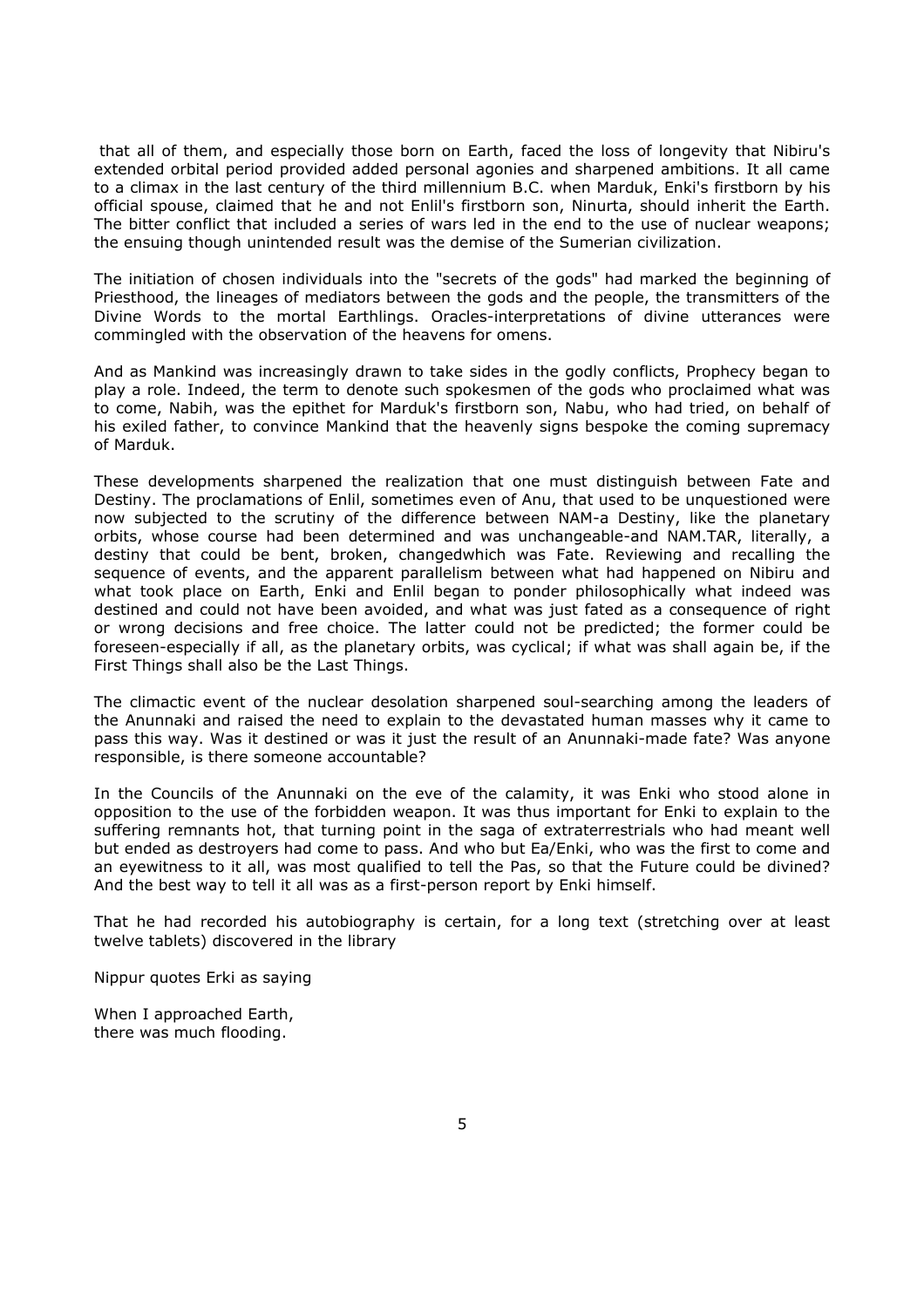that all of them, and especially those born on Earth, faced the loss of longevity that Nibiru's extended orbital period provided added personal agonies and sharpened ambitions. It all came to a climax in the last century of the third millennium B.C. when Marduk, Enki's firstborn by his official spouse, claimed that he and not Enlil's firstborn son, Ninurta, should inherit the Earth. The bitter conflict that included a series of wars led in the end to the use of nuclear weapons; the ensuing though unintended result was the demise of the Sumerian civilization.

The initiation of chosen individuals into the "secrets of the gods" had marked the beginning of Priesthood, the lineages of mediators between the gods and the people, the transmitters of the Divine Words to the mortal Earthlings. Oracles-interpretations of divine utterances were commingled with the observation of the heavens for omens.

And as Mankind was increasingly drawn to take sides in the godly conflicts, Prophecy began to play a role. Indeed, the term to denote such spokesmen of the gods who proclaimed what was to come, Nabih, was the epithet for Marduk's firstborn son, Nabu, who had tried, on behalf of his exiled father, to convince Mankind that the heavenly signs bespoke the coming supremacy of Marduk.

These developments sharpened the realization that one must distinguish between Fate and Destiny. The proclamations of Enlil, sometimes even of Anu, that used to be unquestioned were now subjected to the scrutiny of the difference between NAM-a Destiny, like the planetary orbits, whose course had been determined and was unchangeable-and NAM.TAR, literally, a destiny that could be bent, broken, changedwhich was Fate. Reviewing and recalling the sequence of events, and the apparent parallelism between what had happened on Nibiru and what took place on Earth, Enki and Enlil began to ponder philosophically what indeed was destined and could not have been avoided, and what was just fated as a consequence of right or wrong decisions and free choice. The latter could not be predicted; the former could be foreseen-especially if all, as the planetary orbits, was cyclical; if what was shall again be, if the First Things shall also be the Last Things.

The climactic event of the nuclear desolation sharpened soul-searching among the leaders of the Anunnaki and raised the need to explain to the devastated human masses why it came to pass this way. Was it destined or was it just the result of an Anunnaki-made fate? Was anyone responsible, is there someone accountable?

In the Councils of the Anunnaki on the eve of the calamity, it was Enki who stood alone in opposition to the use of the forbidden weapon. It was thus important for Enki to explain to the suffering remnants hot, that turning point in the saga of extraterrestrials who had meant well but ended as destroyers had come to pass. And who but Ea/Enki, who was the first to come and an eyewitness to it all, was most qualified to tell the Pas, so that the Future could be divined? And the best way to tell it all was as a first-person report by Enki himself.

That he had recorded his autobiography is certain, for a long text (stretching over at least twelve tablets) discovered in the library

Nippur quotes Erki as saying

When I approached Earth, there was much flooding.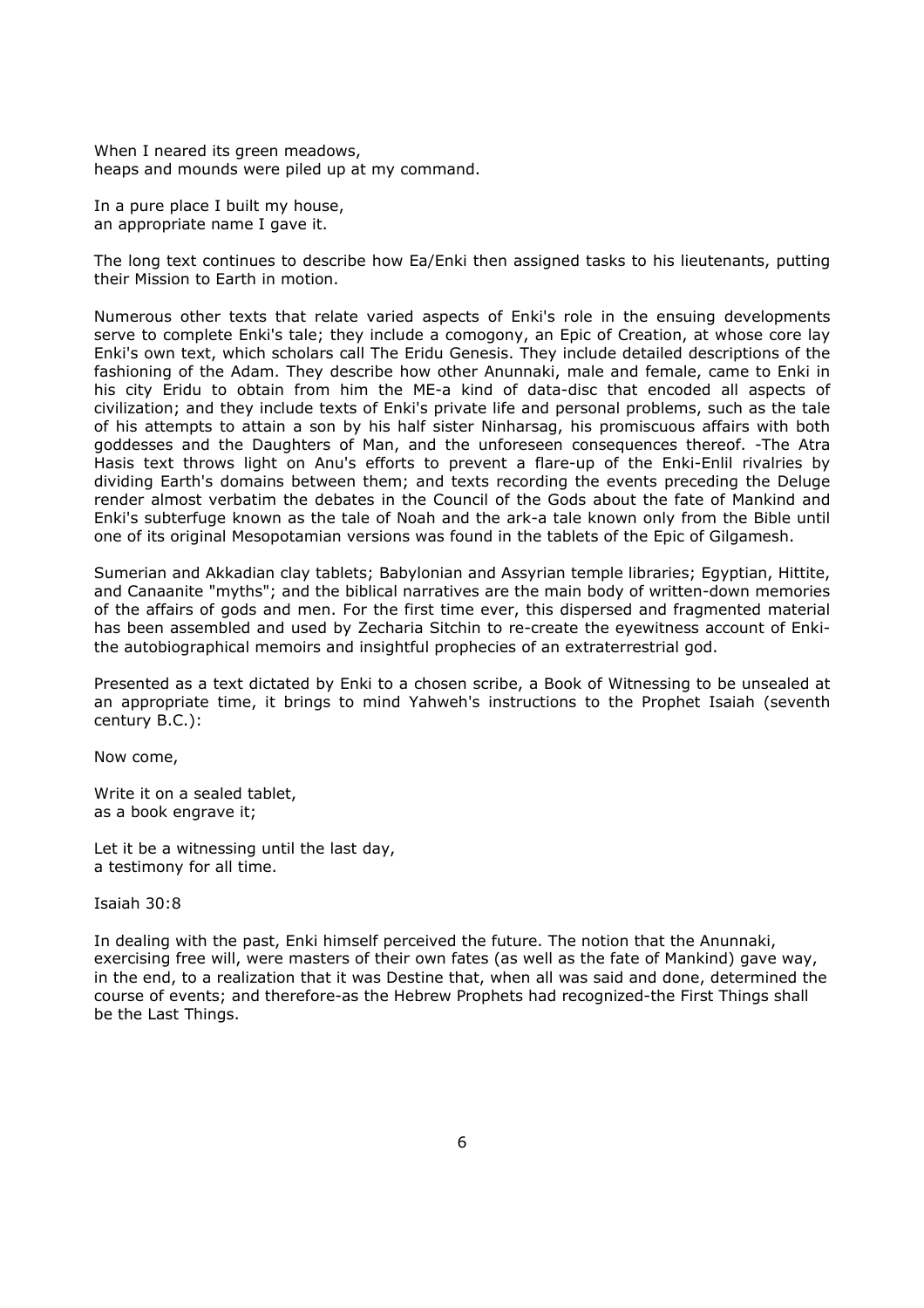When I neared its green meadows, heaps and mounds were piled up at my command.

In a pure place I built my house, an appropriate name I gave it.

The long text continues to describe how Ea/Enki then assigned tasks to his lieutenants, putting their Mission to Earth in motion.

Numerous other texts that relate varied aspects of Enki's role in the ensuing developments serve to complete Enki's tale; they include a comogony, an Epic of Creation, at whose core lay Enki's own text, which scholars call The Eridu Genesis. They include detailed descriptions of the fashioning of the Adam. They describe how other Anunnaki, male and female, came to Enki in his city Eridu to obtain from him the ME-a kind of data-disc that encoded all aspects of civilization; and they include texts of Enki's private life and personal problems, such as the tale of his attempts to attain a son by his half sister Ninharsag, his promiscuous affairs with both goddesses and the Daughters of Man, and the unforeseen consequences thereof. -The Atra Hasis text throws light on Anu's efforts to prevent a flare-up of the Enki-Enlil rivalries by dividing Earth's domains between them; and texts recording the events preceding the Deluge render almost verbatim the debates in the Council of the Gods about the fate of Mankind and Enki's subterfuge known as the tale of Noah and the ark-a tale known only from the Bible until one of its original Mesopotamian versions was found in the tablets of the Epic of Gilgamesh.

Sumerian and Akkadian clay tablets; Babylonian and Assyrian temple libraries; Egyptian, Hittite, and Canaanite "myths"; and the biblical narratives are the main body of written-down memories of the affairs of gods and men. For the first time ever, this dispersed and fragmented material has been assembled and used by Zecharia Sitchin to re-create the eyewitness account of Enkithe autobiographical memoirs and insightful prophecies of an extraterrestrial god.

Presented as a text dictated by Enki to a chosen scribe, a Book of Witnessing to be unsealed at an appropriate time, it brings to mind Yahweh's instructions to the Prophet Isaiah (seventh century B.C.):

Now come,

Write it on a sealed tablet, as a book engrave it;

Let it be a witnessing until the last day, a testimony for all time.

Isaiah 30:8

In dealing with the past, Enki himself perceived the future. The notion that the Anunnaki, exercising free will, were masters of their own fates (as well as the fate of Mankind) gave way, in the end, to a realization that it was Destine that, when all was said and done, determined the course of events; and therefore-as the Hebrew Prophets had recognized-the First Things shall be the Last Things.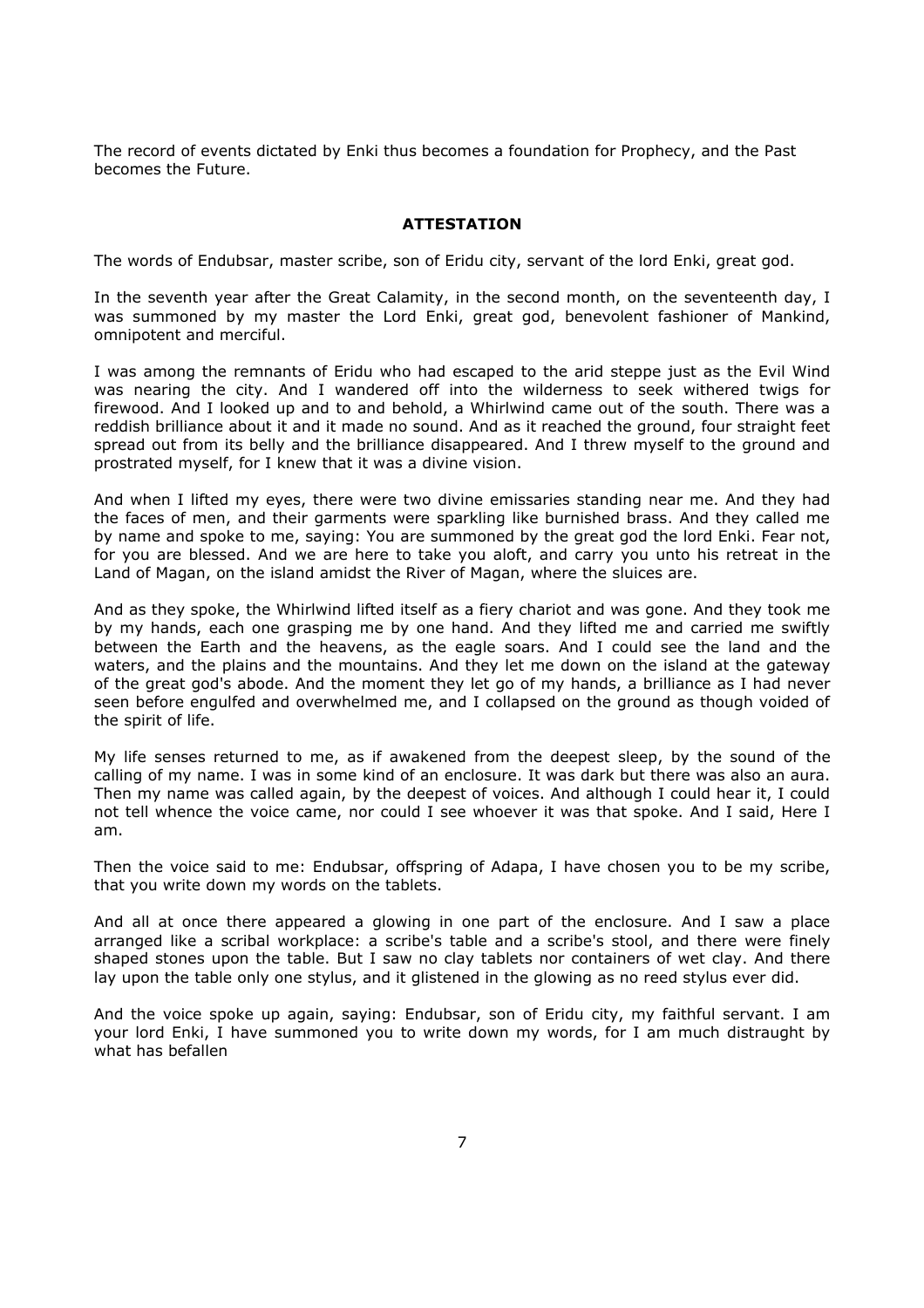The record of events dictated by Enki thus becomes a foundation for Prophecy, and the Past becomes the Future.

### **ATTESTATION**

The words of Endubsar, master scribe, son of Eridu city, servant of the lord Enki, great god.

In the seventh year after the Great Calamity, in the second month, on the seventeenth day, I was summoned by my master the Lord Enki, great god, benevolent fashioner of Mankind, omnipotent and merciful.

I was among the remnants of Eridu who had escaped to the arid steppe just as the Evil Wind was nearing the city. And I wandered off into the wilderness to seek withered twigs for firewood. And I looked up and to and behold, a Whirlwind came out of the south. There was a reddish brilliance about it and it made no sound. And as it reached the ground, four straight feet spread out from its belly and the brilliance disappeared. And I threw myself to the ground and prostrated myself, for I knew that it was a divine vision.

And when I lifted my eyes, there were two divine emissaries standing near me. And they had the faces of men, and their garments were sparkling like burnished brass. And they called me by name and spoke to me, saying: You are summoned by the great god the lord Enki. Fear not, for you are blessed. And we are here to take you aloft, and carry you unto his retreat in the Land of Magan, on the island amidst the River of Magan, where the sluices are.

And as they spoke, the Whirlwind lifted itself as a fiery chariot and was gone. And they took me by my hands, each one grasping me by one hand. And they lifted me and carried me swiftly between the Earth and the heavens, as the eagle soars. And I could see the land and the waters, and the plains and the mountains. And they let me down on the island at the gateway of the great god's abode. And the moment they let go of my hands, a brilliance as I had never seen before engulfed and overwhelmed me, and I collapsed on the ground as though voided of the spirit of life.

My life senses returned to me, as if awakened from the deepest sleep, by the sound of the calling of my name. I was in some kind of an enclosure. It was dark but there was also an aura. Then my name was called again, by the deepest of voices. And although I could hear it, I could not tell whence the voice came, nor could I see whoever it was that spoke. And I said, Here I am.

Then the voice said to me: Endubsar, offspring of Adapa, I have chosen you to be my scribe, that you write down my words on the tablets.

And all at once there appeared a glowing in one part of the enclosure. And I saw a place arranged like a scribal workplace: a scribe's table and a scribe's stool, and there were finely shaped stones upon the table. But I saw no clay tablets nor containers of wet clay. And there lay upon the table only one stylus, and it glistened in the glowing as no reed stylus ever did.

And the voice spoke up again, saying: Endubsar, son of Eridu city, my faithful servant. I am your lord Enki, I have summoned you to write down my words, for I am much distraught by what has befallen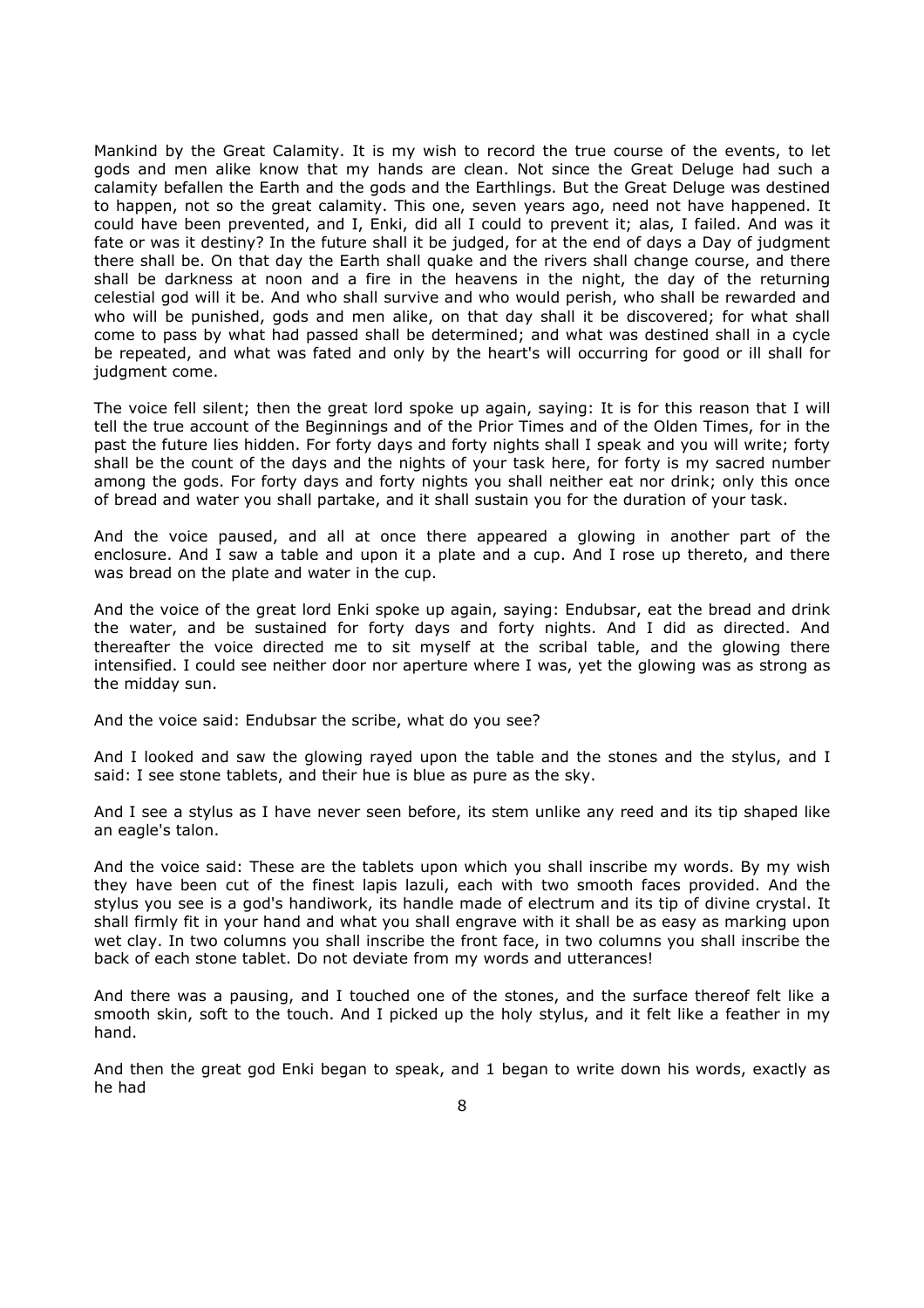Mankind by the Great Calamity. It is my wish to record the true course of the events, to let gods and men alike know that my hands are clean. Not since the Great Deluge had such a calamity befallen the Earth and the gods and the Earthlings. But the Great Deluge was destined to happen, not so the great calamity. This one, seven years ago, need not have happened. It could have been prevented, and I, Enki, did all I could to prevent it; alas, I failed. And was it fate or was it destiny? In the future shall it be judged, for at the end of days a Day of judgment there shall be. On that day the Earth shall quake and the rivers shall change course, and there shall be darkness at noon and a fire in the heavens in the night, the day of the returning celestial god will it be. And who shall survive and who would perish, who shall be rewarded and who will be punished, gods and men alike, on that day shall it be discovered; for what shall come to pass by what had passed shall be determined; and what was destined shall in a cycle be repeated, and what was fated and only by the heart's will occurring for good or ill shall for judgment come.

The voice fell silent; then the great lord spoke up again, saying: It is for this reason that I will tell the true account of the Beginnings and of the Prior Times and of the Olden Times, for in the past the future lies hidden. For forty days and forty nights shall I speak and you will write; forty shall be the count of the days and the nights of your task here, for forty is my sacred number among the gods. For forty days and forty nights you shall neither eat nor drink; only this once of bread and water you shall partake, and it shall sustain you for the duration of your task.

And the voice paused, and all at once there appeared a glowing in another part of the enclosure. And I saw a table and upon it a plate and a cup. And I rose up thereto, and there was bread on the plate and water in the cup.

And the voice of the great lord Enki spoke up again, saying: Endubsar, eat the bread and drink the water, and be sustained for forty days and forty nights. And I did as directed. And thereafter the voice directed me to sit myself at the scribal table, and the glowing there intensified. I could see neither door nor aperture where I was, yet the glowing was as strong as the midday sun.

And the voice said: Endubsar the scribe, what do you see?

And I looked and saw the glowing rayed upon the table and the stones and the stylus, and I said: I see stone tablets, and their hue is blue as pure as the sky.

And I see a stylus as I have never seen before, its stem unlike any reed and its tip shaped like an eagle's talon.

And the voice said: These are the tablets upon which you shall inscribe my words. By my wish they have been cut of the finest lapis lazuli, each with two smooth faces provided. And the stylus you see is a god's handiwork, its handle made of electrum and its tip of divine crystal. It shall firmly fit in your hand and what you shall engrave with it shall be as easy as marking upon wet clay. In two columns you shall inscribe the front face, in two columns you shall inscribe the back of each stone tablet. Do not deviate from my words and utterances!

And there was a pausing, and I touched one of the stones, and the surface thereof felt like a smooth skin, soft to the touch. And I picked up the holy stylus, and it felt like a feather in my hand.

And then the great god Enki began to speak, and 1 began to write down his words, exactly as he had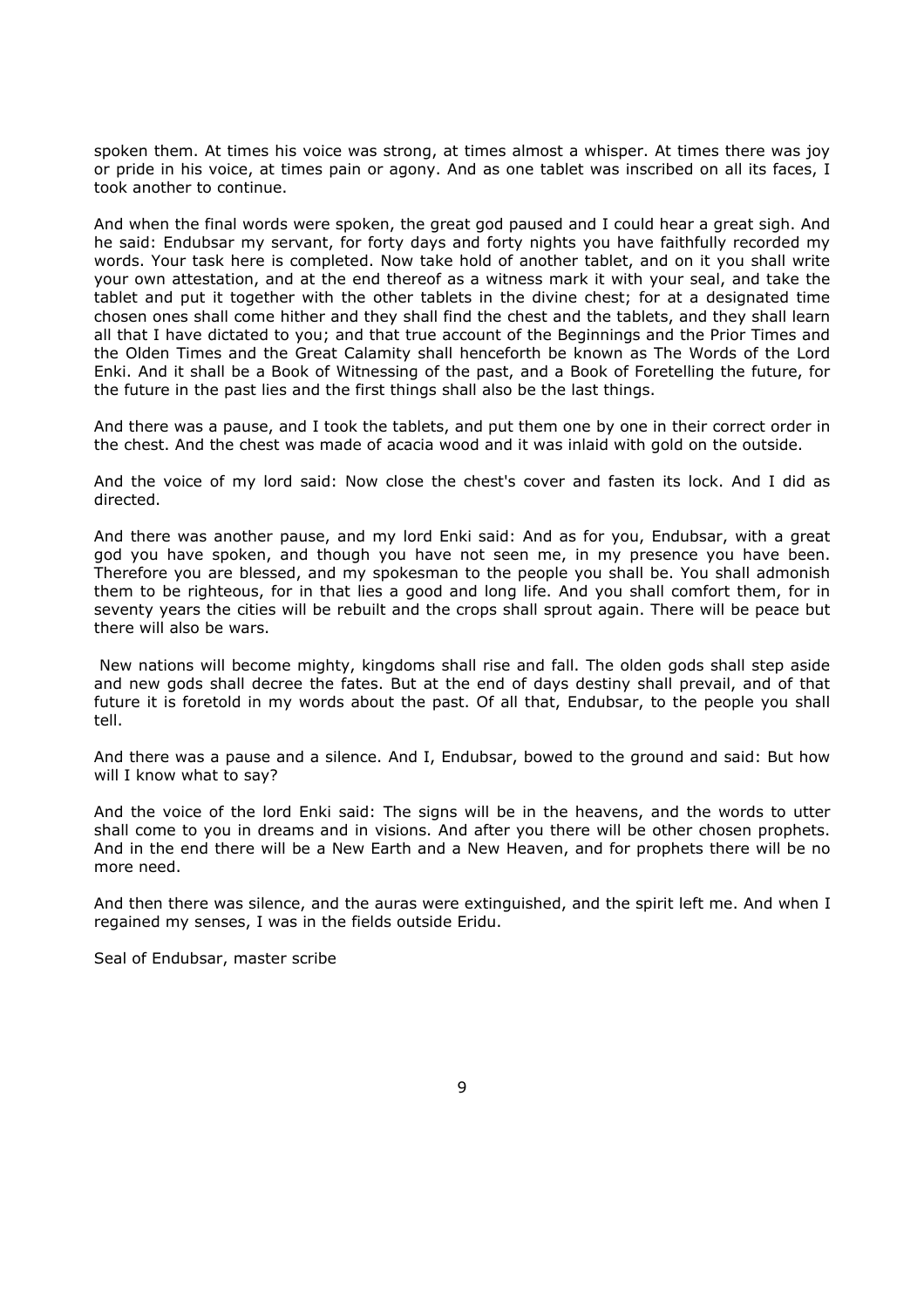spoken them. At times his voice was strong, at times almost a whisper. At times there was joy or pride in his voice, at times pain or agony. And as one tablet was inscribed on all its faces, I took another to continue.

And when the final words were spoken, the great god paused and I could hear a great sigh. And he said: Endubsar my servant, for forty days and forty nights you have faithfully recorded my words. Your task here is completed. Now take hold of another tablet, and on it you shall write your own attestation, and at the end thereof as a witness mark it with your seal, and take the tablet and put it together with the other tablets in the divine chest; for at a designated time chosen ones shall come hither and they shall find the chest and the tablets, and they shall learn all that I have dictated to you; and that true account of the Beginnings and the Prior Times and the Olden Times and the Great Calamity shall henceforth be known as The Words of the Lord Enki. And it shall be a Book of Witnessing of the past, and a Book of Foretelling the future, for the future in the past lies and the first things shall also be the last things.

And there was a pause, and I took the tablets, and put them one by one in their correct order in the chest. And the chest was made of acacia wood and it was inlaid with gold on the outside.

And the voice of my lord said: Now close the chest's cover and fasten its lock. And I did as directed.

And there was another pause, and my lord Enki said: And as for you, Endubsar, with a great god you have spoken, and though you have not seen me, in my presence you have been. Therefore you are blessed, and my spokesman to the people you shall be. You shall admonish them to be righteous, for in that lies a good and long life. And you shall comfort them, for in seventy years the cities will be rebuilt and the crops shall sprout again. There will be peace but there will also be wars.

 New nations will become mighty, kingdoms shall rise and fall. The olden gods shall step aside and new gods shall decree the fates. But at the end of days destiny shall prevail, and of that future it is foretold in my words about the past. Of all that, Endubsar, to the people you shall tell.

And there was a pause and a silence. And I, Endubsar, bowed to the ground and said: But how will I know what to say?

And the voice of the lord Enki said: The signs will be in the heavens, and the words to utter shall come to you in dreams and in visions. And after you there will be other chosen prophets. And in the end there will be a New Earth and a New Heaven, and for prophets there will be no more need.

And then there was silence, and the auras were extinguished, and the spirit left me. And when I regained my senses, I was in the fields outside Eridu.

Seal of Endubsar, master scribe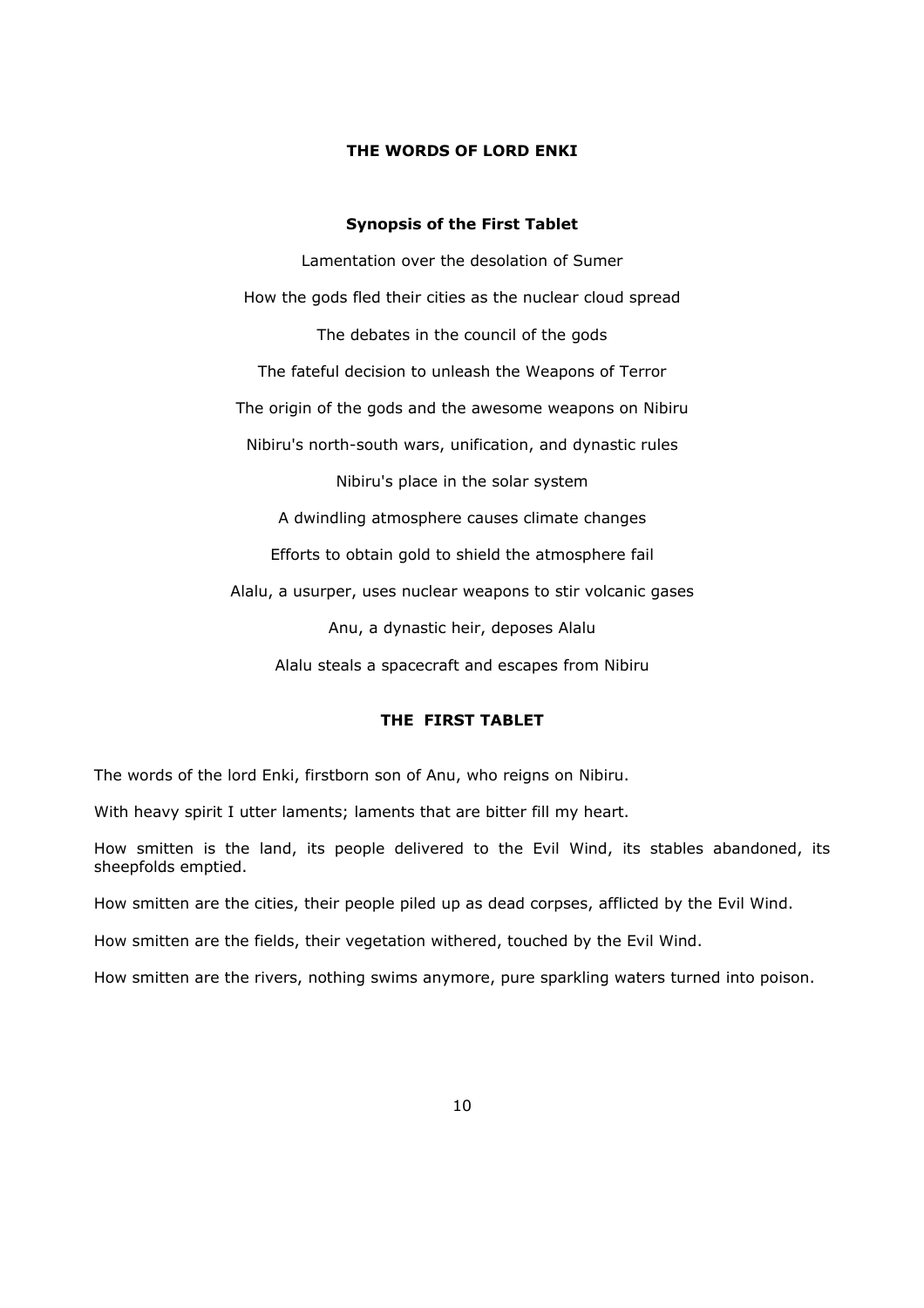# **THE WORDS OF LORD ENKI**

## **Synopsis of the First Tablet**

Lamentation over the desolation of Sumer How the gods fled their cities as the nuclear cloud spread The debates in the council of the gods The fateful decision to unleash the Weapons of Terror The origin of the gods and the awesome weapons on Nibiru Nibiru's north-south wars, unification, and dynastic rules Nibiru's place in the solar system A dwindling atmosphere causes climate changes Efforts to obtain gold to shield the atmosphere fail Alalu, a usurper, uses nuclear weapons to stir volcanic gases Anu, a dynastic heir, deposes Alalu Alalu steals a spacecraft and escapes from Nibiru

#### **THE FIRST TABLET**

The words of the lord Enki, firstborn son of Anu, who reigns on Nibiru.

With heavy spirit I utter laments; laments that are bitter fill my heart.

How smitten is the land, its people delivered to the Evil Wind, its stables abandoned, its sheepfolds emptied.

How smitten are the cities, their people piled up as dead corpses, afflicted by the Evil Wind.

How smitten are the fields, their vegetation withered, touched by the Evil Wind.

How smitten are the rivers, nothing swims anymore, pure sparkling waters turned into poison.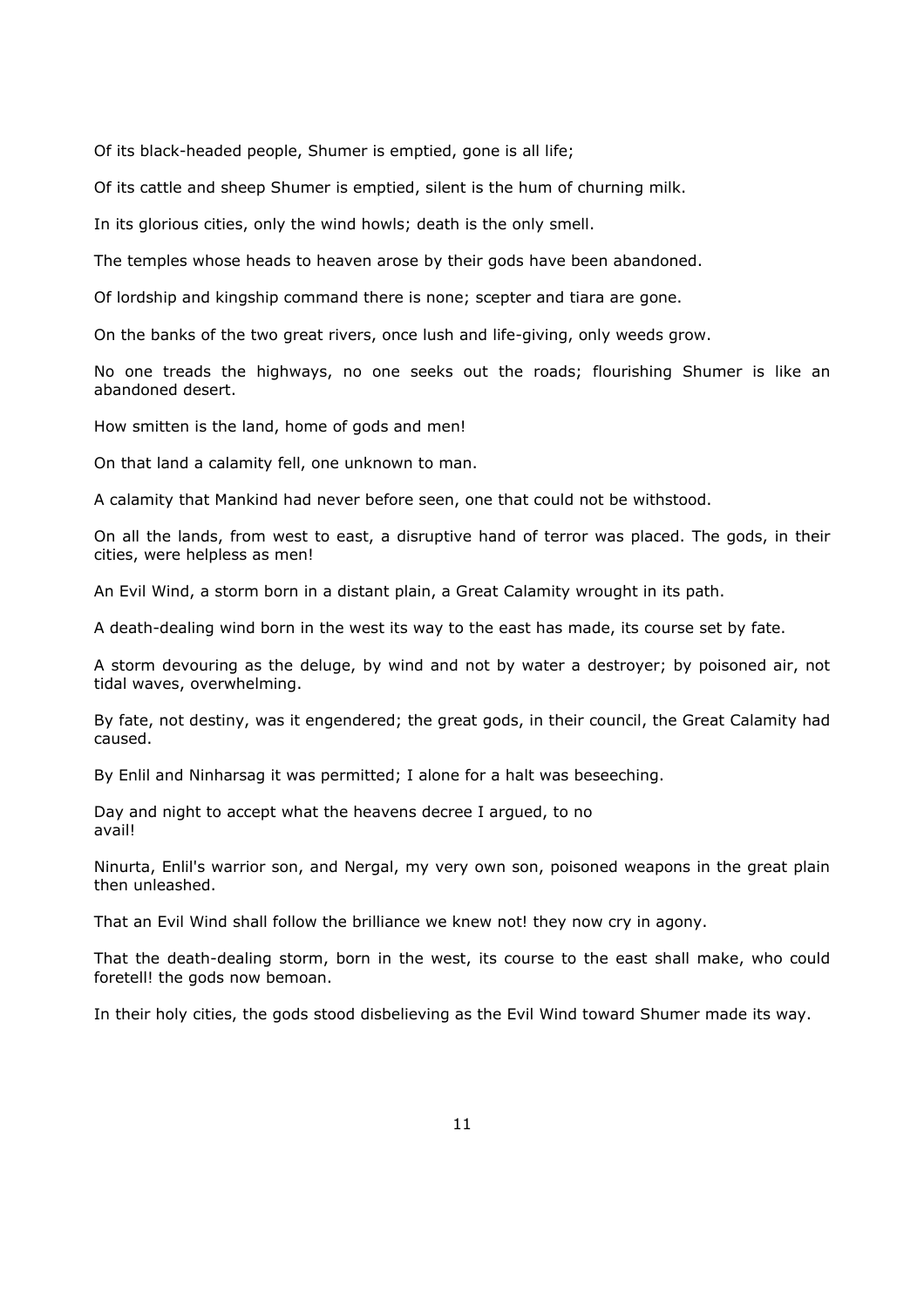Of its black-headed people, Shumer is emptied, gone is all life;

Of its cattle and sheep Shumer is emptied, silent is the hum of churning milk.

In its glorious cities, only the wind howls; death is the only smell.

The temples whose heads to heaven arose by their gods have been abandoned.

Of lordship and kingship command there is none; scepter and tiara are gone.

On the banks of the two great rivers, once lush and life-giving, only weeds grow.

No one treads the highways, no one seeks out the roads; flourishing Shumer is like an abandoned desert.

How smitten is the land, home of gods and men!

On that land a calamity fell, one unknown to man.

A calamity that Mankind had never before seen, one that could not be withstood.

On all the lands, from west to east, a disruptive hand of terror was placed. The gods, in their cities, were helpless as men!

An Evil Wind, a storm born in a distant plain, a Great Calamity wrought in its path.

A death-dealing wind born in the west its way to the east has made, its course set by fate.

A storm devouring as the deluge, by wind and not by water a destroyer; by poisoned air, not tidal waves, overwhelming.

By fate, not destiny, was it engendered; the great gods, in their council, the Great Calamity had caused.

By Enlil and Ninharsag it was permitted; I alone for a halt was beseeching.

Day and night to accept what the heavens decree I argued, to no avail!

Ninurta, Enlil's warrior son, and Nergal, my very own son, poisoned weapons in the great plain then unleashed.

That an Evil Wind shall follow the brilliance we knew not! they now cry in agony.

That the death-dealing storm, born in the west, its course to the east shall make, who could foretell! the gods now bemoan.

In their holy cities, the gods stood disbelieving as the Evil Wind toward Shumer made its way.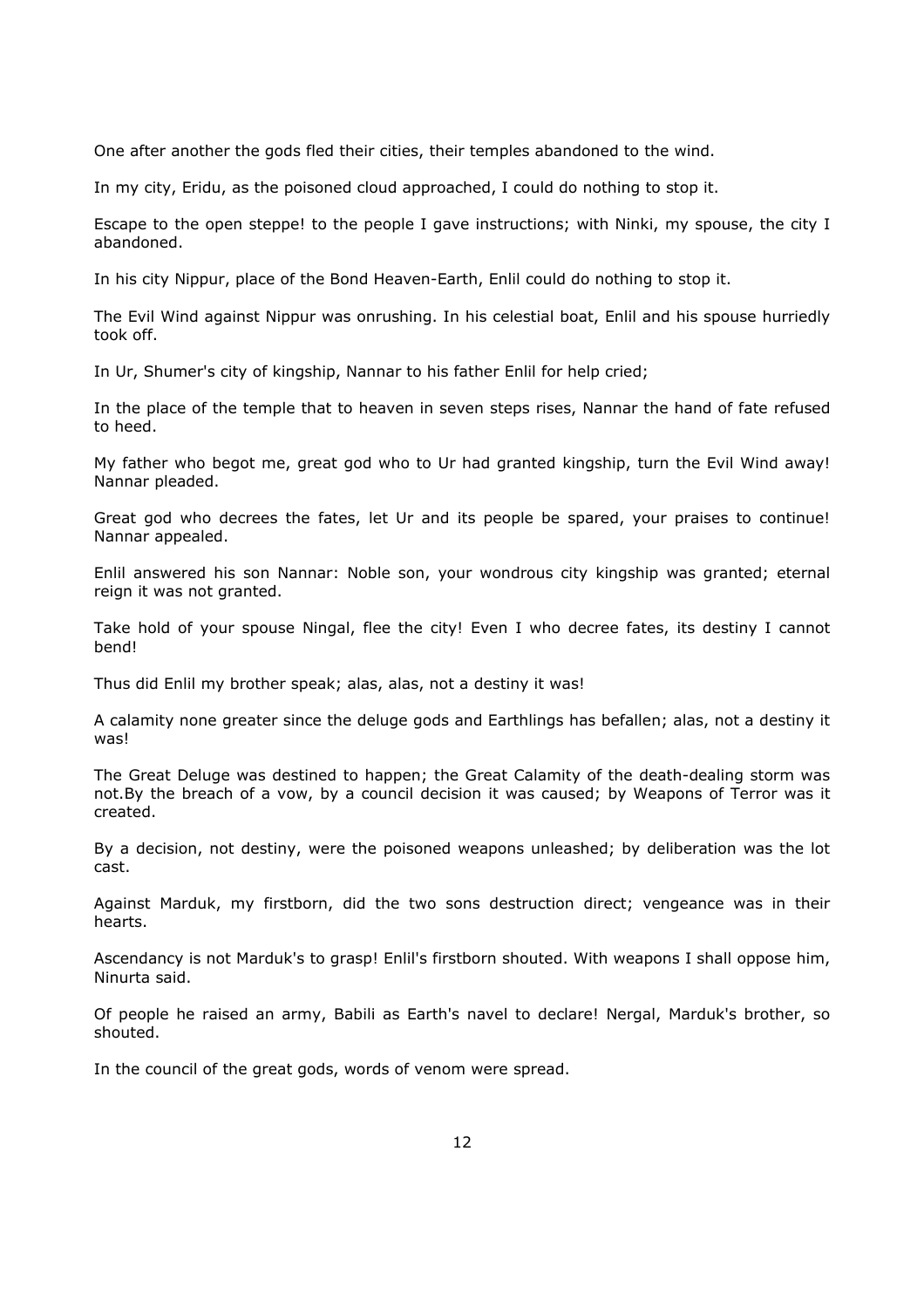One after another the gods fled their cities, their temples abandoned to the wind.

In my city, Eridu, as the poisoned cloud approached, I could do nothing to stop it.

Escape to the open steppe! to the people I gave instructions; with Ninki, my spouse, the city I abandoned.

In his city Nippur, place of the Bond Heaven-Earth, Enlil could do nothing to stop it.

The Evil Wind against Nippur was onrushing. In his celestial boat, Enlil and his spouse hurriedly took off.

In Ur, Shumer's city of kingship, Nannar to his father Enlil for help cried;

In the place of the temple that to heaven in seven steps rises, Nannar the hand of fate refused to heed.

My father who begot me, great god who to Ur had granted kingship, turn the Evil Wind away! Nannar pleaded.

Great god who decrees the fates, let Ur and its people be spared, your praises to continue! Nannar appealed.

Enlil answered his son Nannar: Noble son, your wondrous city kingship was granted; eternal reign it was not granted.

Take hold of your spouse Ningal, flee the city! Even I who decree fates, its destiny I cannot bend!

Thus did Enlil my brother speak; alas, alas, not a destiny it was!

A calamity none greater since the deluge gods and Earthlings has befallen; alas, not a destiny it was!

The Great Deluge was destined to happen; the Great Calamity of the death-dealing storm was not.By the breach of a vow, by a council decision it was caused; by Weapons of Terror was it created.

By a decision, not destiny, were the poisoned weapons unleashed; by deliberation was the lot cast.

Against Marduk, my firstborn, did the two sons destruction direct; vengeance was in their hearts.

Ascendancy is not Marduk's to grasp! Enlil's firstborn shouted. With weapons I shall oppose him, Ninurta said.

Of people he raised an army, Babili as Earth's navel to declare! Nergal, Marduk's brother, so shouted.

In the council of the great gods, words of venom were spread.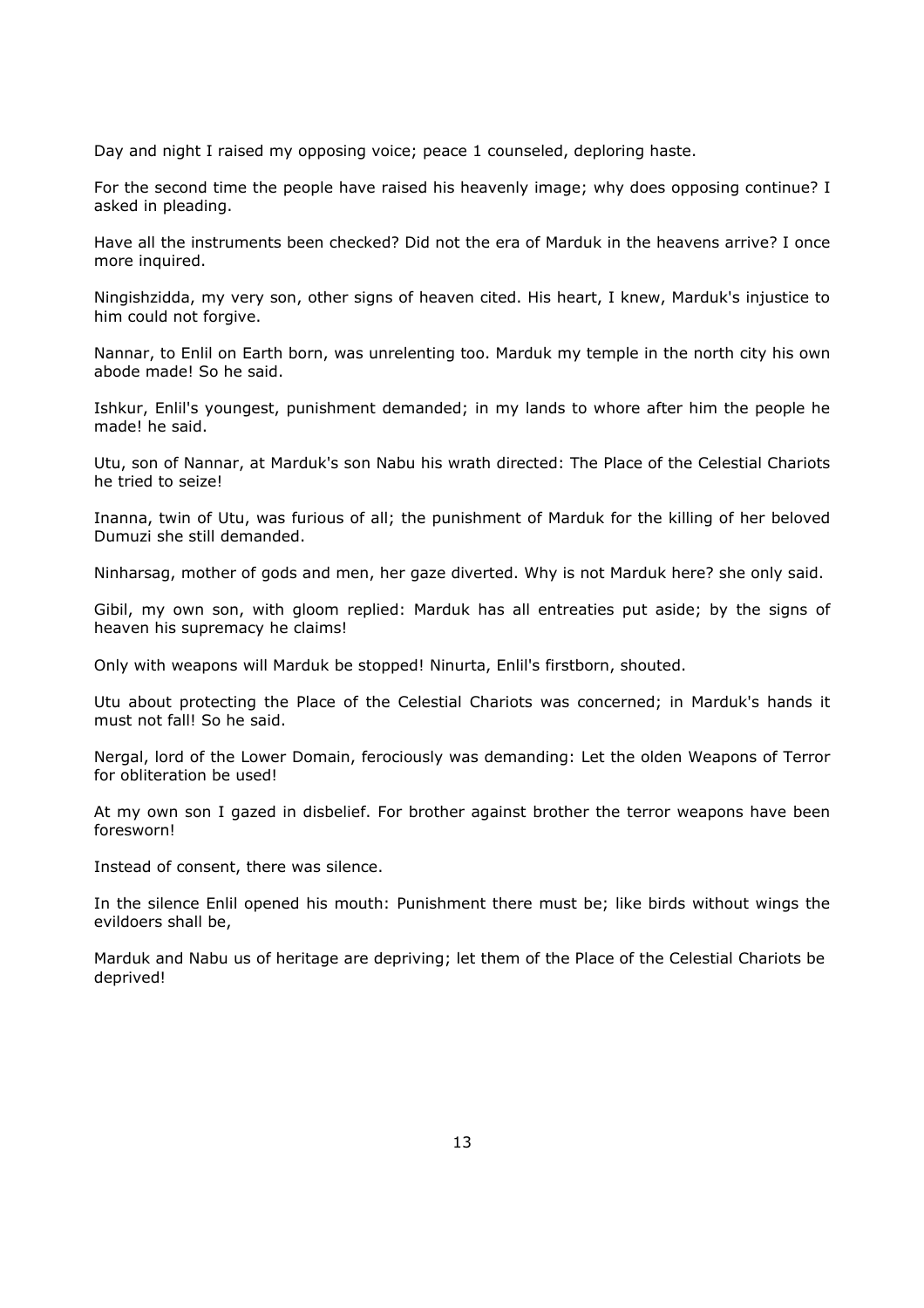Day and night I raised my opposing voice; peace 1 counseled, deploring haste.

For the second time the people have raised his heavenly image; why does opposing continue? I asked in pleading.

Have all the instruments been checked? Did not the era of Marduk in the heavens arrive? I once more inquired.

Ningishzidda, my very son, other signs of heaven cited. His heart, I knew, Marduk's injustice to him could not forgive.

Nannar, to Enlil on Earth born, was unrelenting too. Marduk my temple in the north city his own abode made! So he said.

Ishkur, Enlil's youngest, punishment demanded; in my lands to whore after him the people he made! he said.

Utu, son of Nannar, at Marduk's son Nabu his wrath directed: The Place of the Celestial Chariots he tried to seize!

Inanna, twin of Utu, was furious of all; the punishment of Marduk for the killing of her beloved Dumuzi she still demanded.

Ninharsag, mother of gods and men, her gaze diverted. Why is not Marduk here? she only said.

Gibil, my own son, with gloom replied: Marduk has all entreaties put aside; by the signs of heaven his supremacy he claims!

Only with weapons will Marduk be stopped! Ninurta, Enlil's firstborn, shouted.

Utu about protecting the Place of the Celestial Chariots was concerned; in Marduk's hands it must not fall! So he said.

Nergal, lord of the Lower Domain, ferociously was demanding: Let the olden Weapons of Terror for obliteration be used!

At my own son I gazed in disbelief. For brother against brother the terror weapons have been foresworn!

Instead of consent, there was silence.

In the silence Enlil opened his mouth: Punishment there must be; like birds without wings the evildoers shall be,

Marduk and Nabu us of heritage are depriving; let them of the Place of the Celestial Chariots be deprived!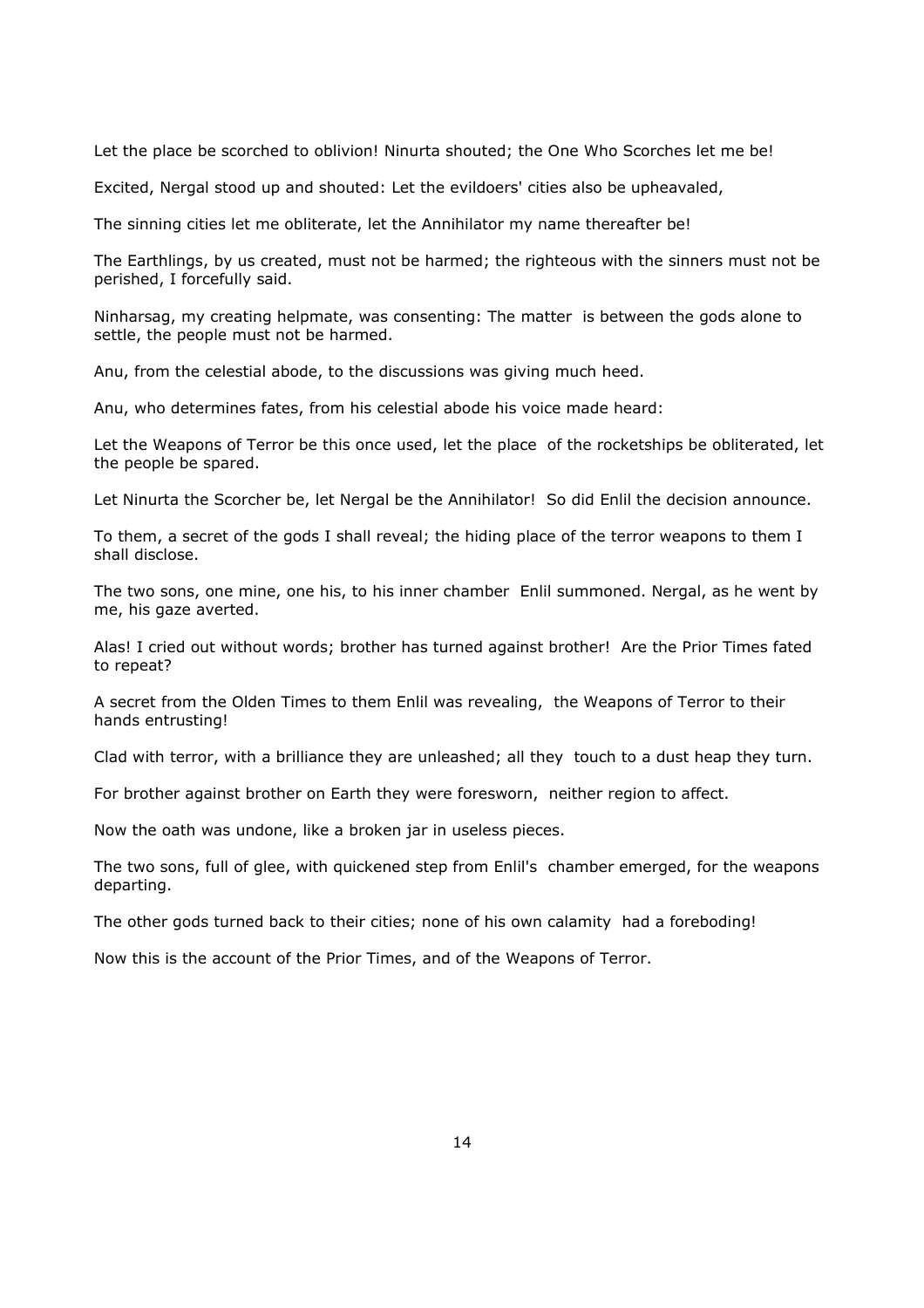Let the place be scorched to oblivion! Ninurta shouted; the One Who Scorches let me be!

Excited, Nergal stood up and shouted: Let the evildoers' cities also be upheavaled,

The sinning cities let me obliterate, let the Annihilator my name thereafter be!

The Earthlings, by us created, must not be harmed; the righteous with the sinners must not be perished, I forcefully said.

Ninharsag, my creating helpmate, was consenting: The matter is between the gods alone to settle, the people must not be harmed.

Anu, from the celestial abode, to the discussions was giving much heed.

Anu, who determines fates, from his celestial abode his voice made heard:

Let the Weapons of Terror be this once used, let the place of the rocketships be obliterated, let the people be spared.

Let Ninurta the Scorcher be, let Nergal be the Annihilator! So did Enlil the decision announce.

To them, a secret of the gods I shall reveal; the hiding place of the terror weapons to them I shall disclose.

The two sons, one mine, one his, to his inner chamber Enlil summoned. Nergal, as he went by me, his gaze averted.

Alas! I cried out without words; brother has turned against brother! Are the Prior Times fated to repeat?

A secret from the Olden Times to them Enlil was revealing, the Weapons of Terror to their hands entrusting!

Clad with terror, with a brilliance they are unleashed; all they touch to a dust heap they turn.

For brother against brother on Earth they were foresworn, neither region to affect.

Now the oath was undone, like a broken jar in useless pieces.

The two sons, full of glee, with quickened step from Enlil's chamber emerged, for the weapons departing.

The other gods turned back to their cities; none of his own calamity had a foreboding!

Now this is the account of the Prior Times, and of the Weapons of Terror.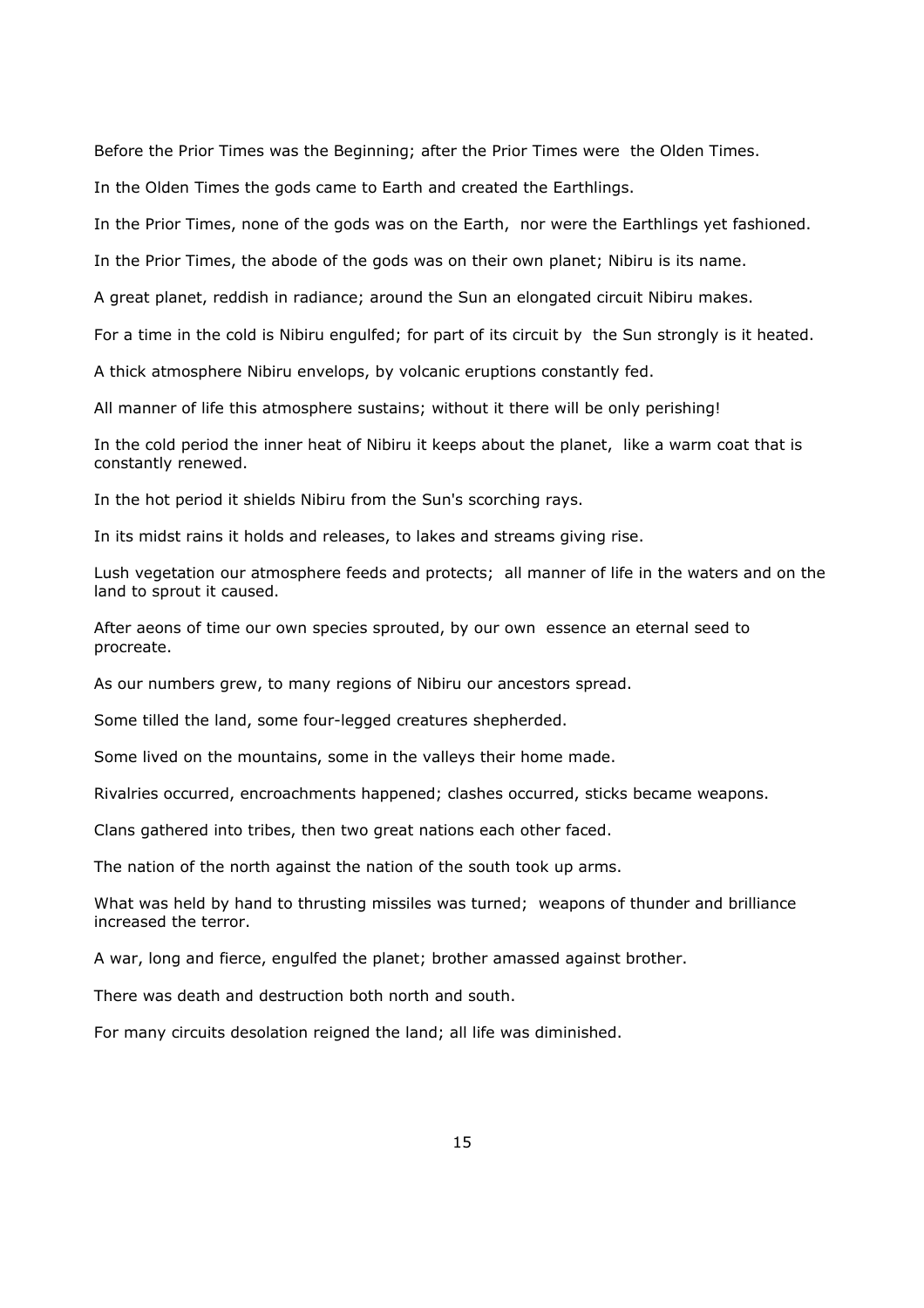Before the Prior Times was the Beginning; after the Prior Times were the Olden Times.

In the Olden Times the gods came to Earth and created the Earthlings.

In the Prior Times, none of the gods was on the Earth, nor were the Earthlings yet fashioned.

In the Prior Times, the abode of the gods was on their own planet; Nibiru is its name.

A great planet, reddish in radiance; around the Sun an elongated circuit Nibiru makes.

For a time in the cold is Nibiru engulfed; for part of its circuit by the Sun strongly is it heated.

A thick atmosphere Nibiru envelops, by volcanic eruptions constantly fed.

All manner of life this atmosphere sustains; without it there will be only perishing!

In the cold period the inner heat of Nibiru it keeps about the planet, like a warm coat that is constantly renewed.

In the hot period it shields Nibiru from the Sun's scorching rays.

In its midst rains it holds and releases, to lakes and streams giving rise.

Lush vegetation our atmosphere feeds and protects; all manner of life in the waters and on the land to sprout it caused.

After aeons of time our own species sprouted, by our own essence an eternal seed to procreate.

As our numbers grew, to many regions of Nibiru our ancestors spread.

Some tilled the land, some four-legged creatures shepherded.

Some lived on the mountains, some in the valleys their home made.

Rivalries occurred, encroachments happened; clashes occurred, sticks became weapons.

Clans gathered into tribes, then two great nations each other faced.

The nation of the north against the nation of the south took up arms.

What was held by hand to thrusting missiles was turned; weapons of thunder and brilliance increased the terror.

A war, long and fierce, engulfed the planet; brother amassed against brother.

There was death and destruction both north and south.

For many circuits desolation reigned the land; all life was diminished.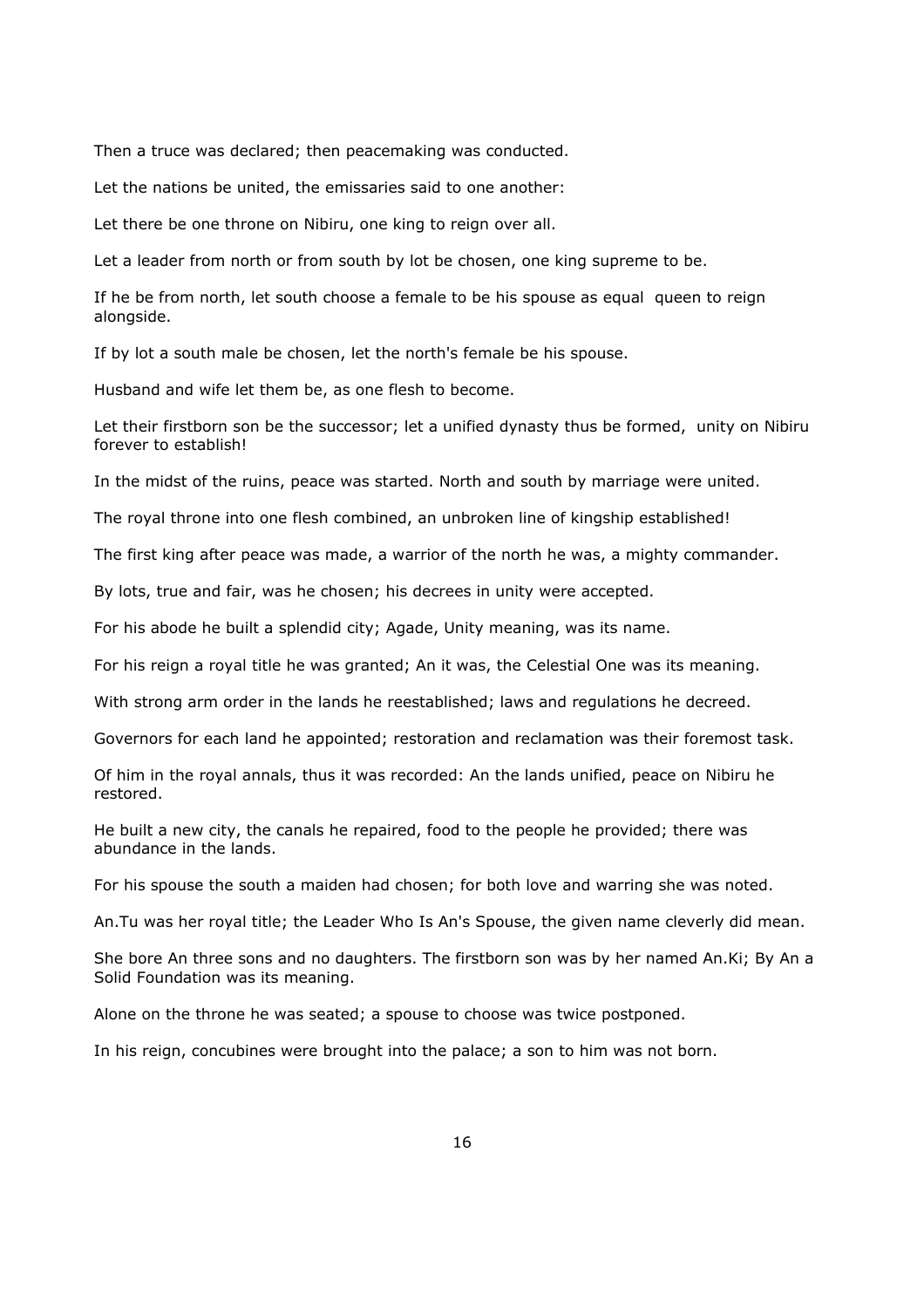Then a truce was declared; then peacemaking was conducted.

Let the nations be united, the emissaries said to one another:

Let there be one throne on Nibiru, one king to reign over all.

Let a leader from north or from south by lot be chosen, one king supreme to be.

If he be from north, let south choose a female to be his spouse as equal queen to reign alongside.

If by lot a south male be chosen, let the north's female be his spouse.

Husband and wife let them be, as one flesh to become.

Let their firstborn son be the successor; let a unified dynasty thus be formed, unity on Nibiru forever to establish!

In the midst of the ruins, peace was started. North and south by marriage were united.

The royal throne into one flesh combined, an unbroken line of kingship established!

The first king after peace was made, a warrior of the north he was, a mighty commander.

By lots, true and fair, was he chosen; his decrees in unity were accepted.

For his abode he built a splendid city; Agade, Unity meaning, was its name.

For his reign a royal title he was granted; An it was, the Celestial One was its meaning.

With strong arm order in the lands he reestablished; laws and regulations he decreed.

Governors for each land he appointed; restoration and reclamation was their foremost task.

Of him in the royal annals, thus it was recorded: An the lands unified, peace on Nibiru he restored.

He built a new city, the canals he repaired, food to the people he provided; there was abundance in the lands.

For his spouse the south a maiden had chosen; for both love and warring she was noted.

An.Tu was her royal title; the Leader Who Is An's Spouse, the given name cleverly did mean.

She bore An three sons and no daughters. The firstborn son was by her named An.Ki; By An a Solid Foundation was its meaning.

Alone on the throne he was seated; a spouse to choose was twice postponed.

In his reign, concubines were brought into the palace; a son to him was not born.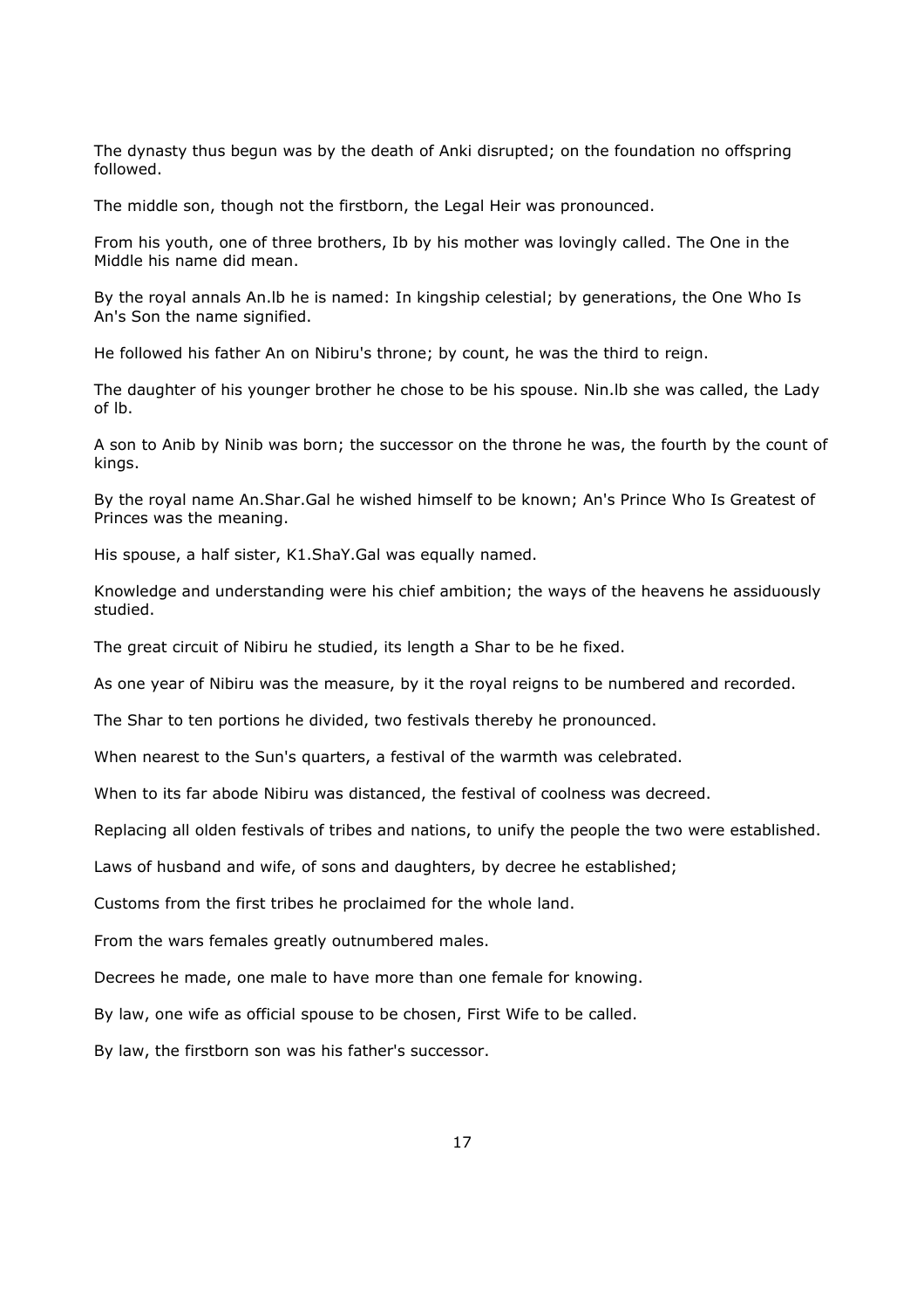The dynasty thus begun was by the death of Anki disrupted; on the foundation no offspring followed.

The middle son, though not the firstborn, the Legal Heir was pronounced.

From his youth, one of three brothers, Ib by his mother was lovingly called. The One in the Middle his name did mean.

By the royal annals An.lb he is named: In kingship celestial; by generations, the One Who Is An's Son the name signified.

He followed his father An on Nibiru's throne; by count, he was the third to reign.

The daughter of his younger brother he chose to be his spouse. Nin.lb she was called, the Lady of lb.

A son to Anib by Ninib was born; the successor on the throne he was, the fourth by the count of kings.

By the royal name An.Shar.Gal he wished himself to be known; An's Prince Who Is Greatest of Princes was the meaning.

His spouse, a half sister, K1.ShaY.Gal was equally named.

Knowledge and understanding were his chief ambition; the ways of the heavens he assiduously studied.

The great circuit of Nibiru he studied, its length a Shar to be he fixed.

As one year of Nibiru was the measure, by it the royal reigns to be numbered and recorded.

The Shar to ten portions he divided, two festivals thereby he pronounced.

When nearest to the Sun's quarters, a festival of the warmth was celebrated.

When to its far abode Nibiru was distanced, the festival of coolness was decreed.

Replacing all olden festivals of tribes and nations, to unify the people the two were established.

Laws of husband and wife, of sons and daughters, by decree he established;

Customs from the first tribes he proclaimed for the whole land.

From the wars females greatly outnumbered males.

Decrees he made, one male to have more than one female for knowing.

By law, one wife as official spouse to be chosen, First Wife to be called.

By law, the firstborn son was his father's successor.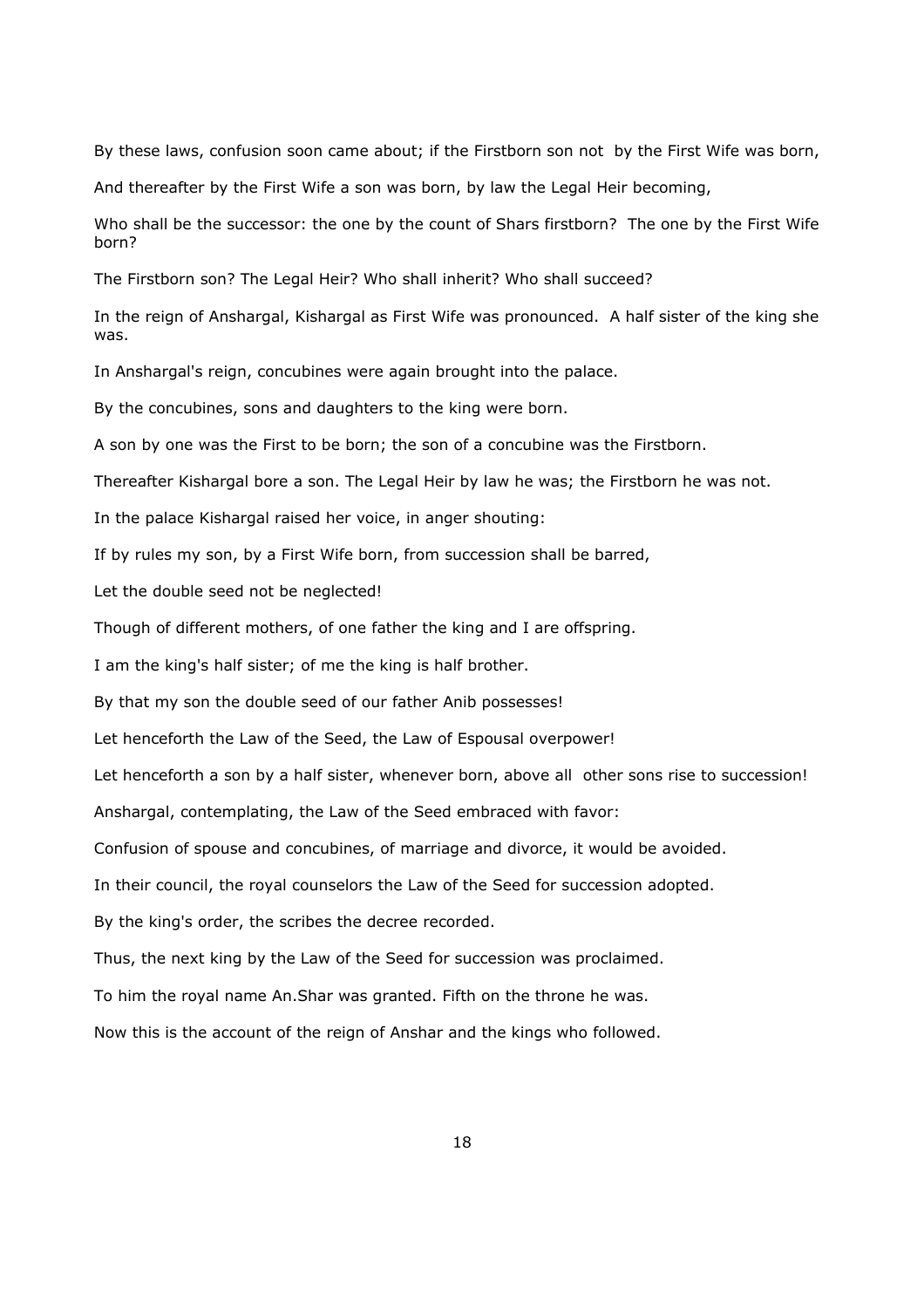By these laws, confusion soon came about; if the Firstborn son not by the First Wife was born,

And thereafter by the First Wife a son was born, by law the Legal Heir becoming,

Who shall be the successor: the one by the count of Shars firstborn? The one by the First Wife born?

The Firstborn son? The Legal Heir? Who shall inherit? Who shall succeed?

In the reign of Anshargal, Kishargal as First Wife was pronounced. A half sister of the king she was.

In Anshargal's reign, concubines were again brought into the palace.

By the concubines, sons and daughters to the king were born.

A son by one was the First to be born; the son of a concubine was the Firstborn.

Thereafter Kishargal bore a son. The Legal Heir by law he was; the Firstborn he was not.

In the palace Kishargal raised her voice, in anger shouting:

If by rules my son, by a First Wife born, from succession shall be barred,

Let the double seed not be neglected!

Though of different mothers, of one father the king and I are offspring.

I am the king's half sister; of me the king is half brother.

By that my son the double seed of our father Anib possesses!

Let henceforth the Law of the Seed, the Law of Espousal overpower!

Let henceforth a son by a half sister, whenever born, above all other sons rise to succession!

Anshargal, contemplating, the Law of the Seed embraced with favor:

Confusion of spouse and concubines, of marriage and divorce, it would be avoided.

In their council, the royal counselors the Law of the Seed for succession adopted.

By the king's order, the scribes the decree recorded.

Thus, the next king by the Law of the Seed for succession was proclaimed.

To him the royal name An.Shar was granted. Fifth on the throne he was.

Now this is the account of the reign of Anshar and the kings who followed.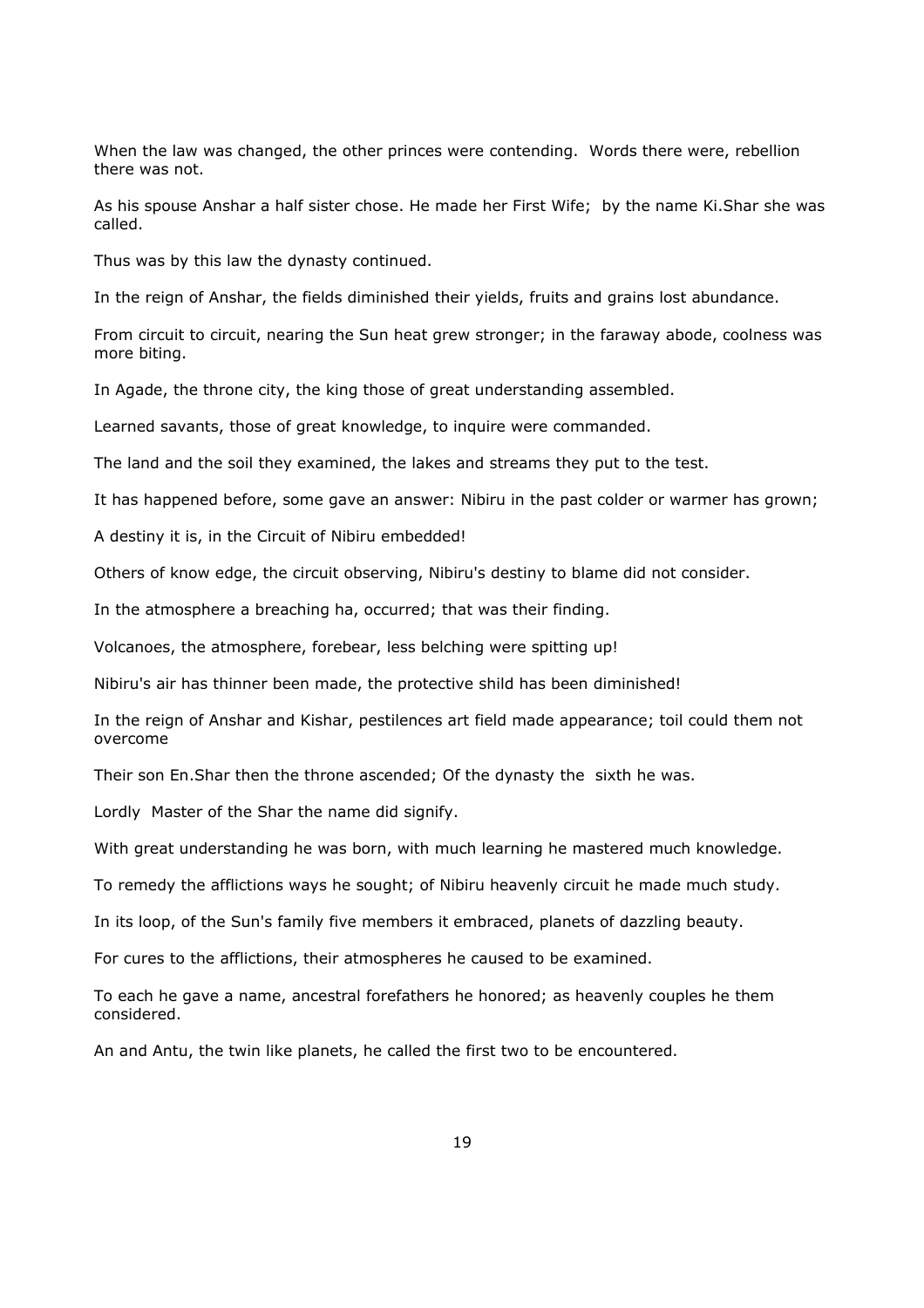When the law was changed, the other princes were contending. Words there were, rebellion there was not.

As his spouse Anshar a half sister chose. He made her First Wife; by the name Ki.Shar she was called.

Thus was by this law the dynasty continued.

In the reign of Anshar, the fields diminished their yields, fruits and grains lost abundance.

From circuit to circuit, nearing the Sun heat grew stronger; in the faraway abode, coolness was more biting.

In Agade, the throne city, the king those of great understanding assembled.

Learned savants, those of great knowledge, to inquire were commanded.

The land and the soil they examined, the lakes and streams they put to the test.

It has happened before, some gave an answer: Nibiru in the past colder or warmer has grown;

A destiny it is, in the Circuit of Nibiru embedded!

Others of know edge, the circuit observing, Nibiru's destiny to blame did not consider.

In the atmosphere a breaching ha, occurred; that was their finding.

Volcanoes, the atmosphere, forebear, less belching were spitting up!

Nibiru's air has thinner been made, the protective shild has been diminished!

In the reign of Anshar and Kishar, pestilences art field made appearance; toil could them not overcome

Their son En.Shar then the throne ascended; Of the dynasty the sixth he was.

Lordly Master of the Shar the name did signify.

With great understanding he was born, with much learning he mastered much knowledge.

To remedy the afflictions ways he sought; of Nibiru heavenly circuit he made much study.

In its loop, of the Sun's family five members it embraced, planets of dazzling beauty.

For cures to the afflictions, their atmospheres he caused to be examined.

To each he gave a name, ancestral forefathers he honored; as heavenly couples he them considered.

An and Antu, the twin like planets, he called the first two to be encountered.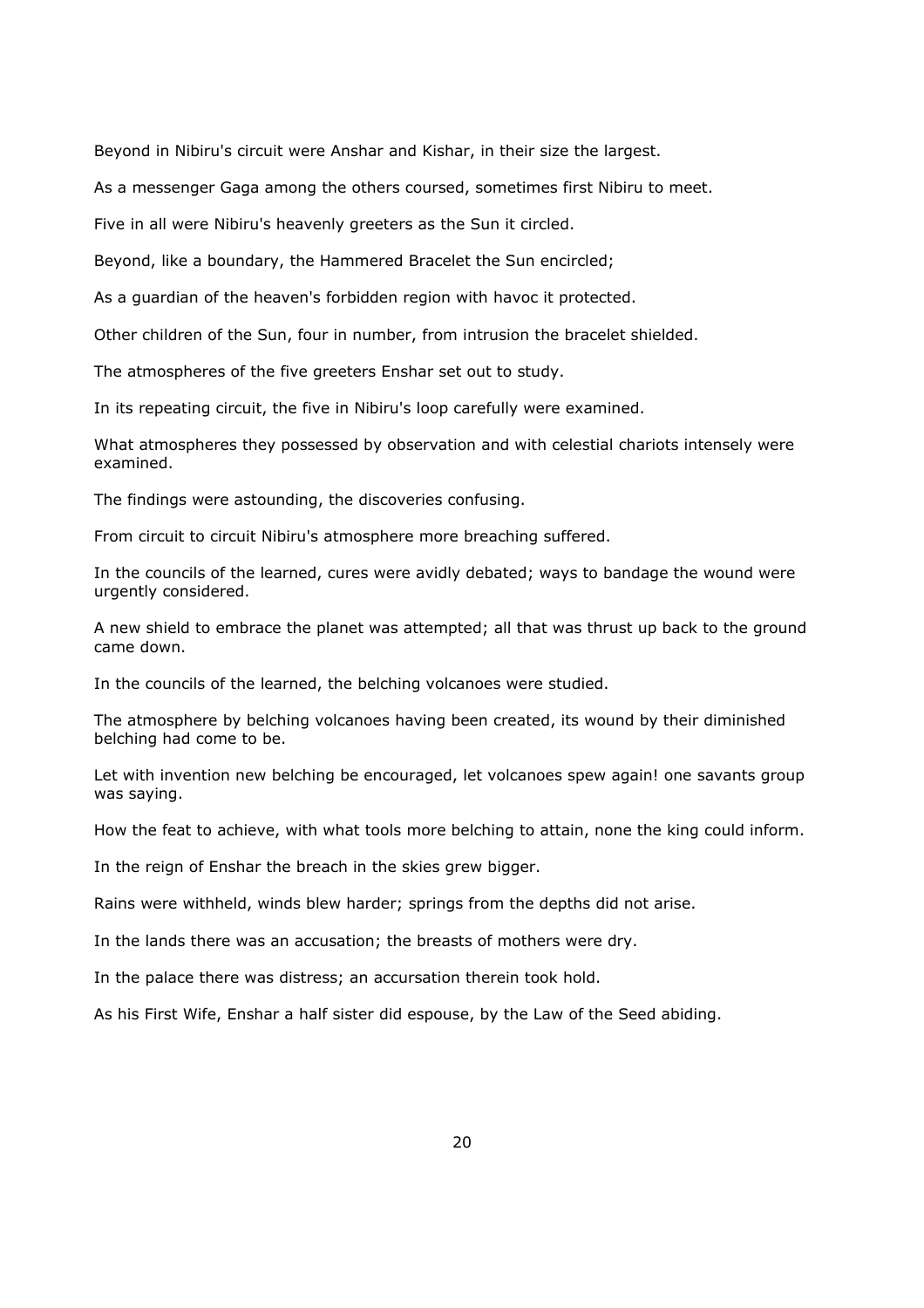Beyond in Nibiru's circuit were Anshar and Kishar, in their size the largest.

As a messenger Gaga among the others coursed, sometimes first Nibiru to meet.

Five in all were Nibiru's heavenly greeters as the Sun it circled.

Beyond, like a boundary, the Hammered Bracelet the Sun encircled;

As a guardian of the heaven's forbidden region with havoc it protected.

Other children of the Sun, four in number, from intrusion the bracelet shielded.

The atmospheres of the five greeters Enshar set out to study.

In its repeating circuit, the five in Nibiru's loop carefully were examined.

What atmospheres they possessed by observation and with celestial chariots intensely were examined.

The findings were astounding, the discoveries confusing.

From circuit to circuit Nibiru's atmosphere more breaching suffered.

In the councils of the learned, cures were avidly debated; ways to bandage the wound were urgently considered.

A new shield to embrace the planet was attempted; all that was thrust up back to the ground came down.

In the councils of the learned, the belching volcanoes were studied.

The atmosphere by belching volcanoes having been created, its wound by their diminished belching had come to be.

Let with invention new belching be encouraged, let volcanoes spew again! one savants group was saying.

How the feat to achieve, with what tools more belching to attain, none the king could inform.

In the reign of Enshar the breach in the skies grew bigger.

Rains were withheld, winds blew harder; springs from the depths did not arise.

In the lands there was an accusation; the breasts of mothers were dry.

In the palace there was distress; an accursation therein took hold.

As his First Wife, Enshar a half sister did espouse, by the Law of the Seed abiding.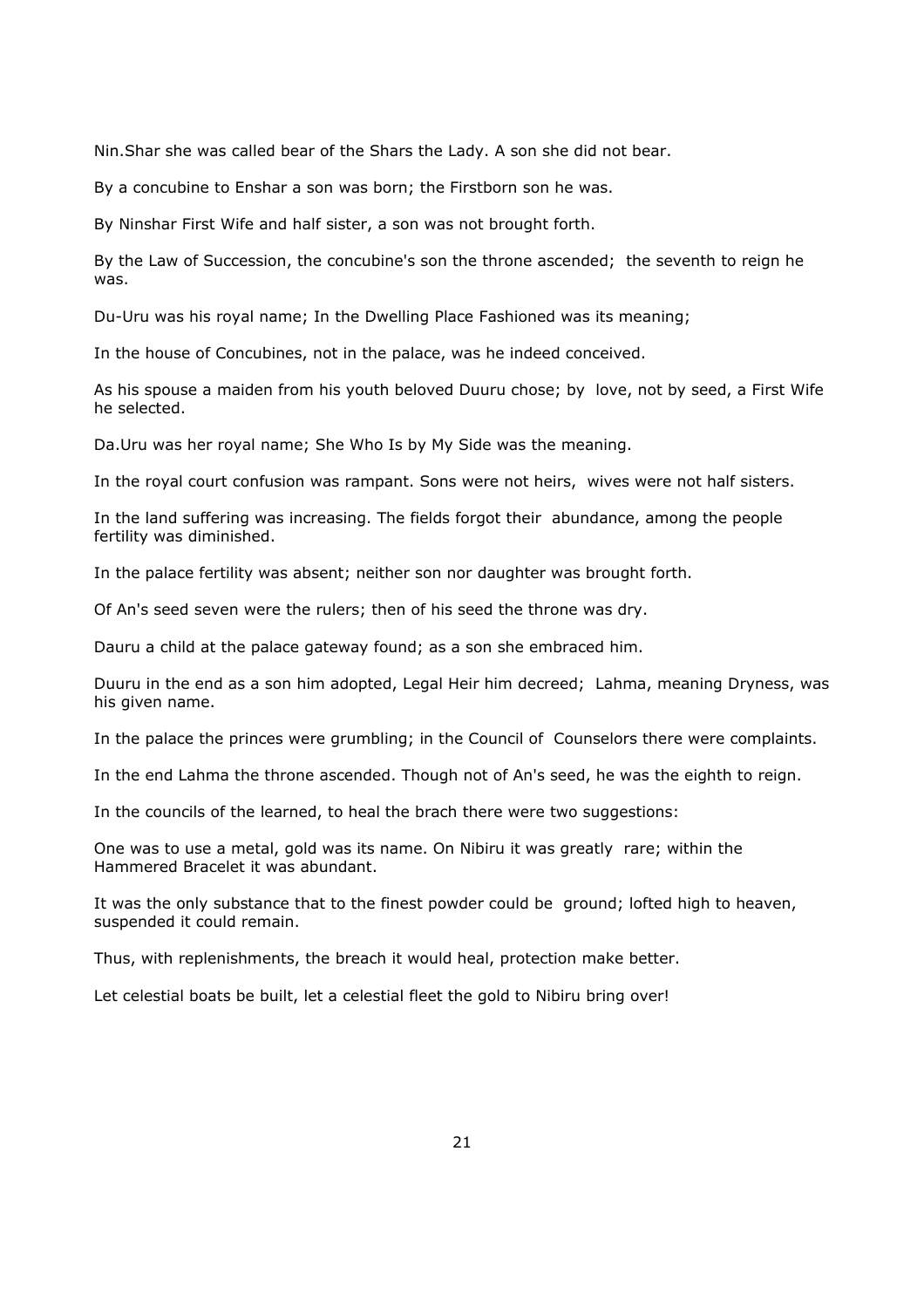Nin.Shar she was called bear of the Shars the Lady. A son she did not bear.

By a concubine to Enshar a son was born; the Firstborn son he was.

By Ninshar First Wife and half sister, a son was not brought forth.

By the Law of Succession, the concubine's son the throne ascended; the seventh to reign he was.

Du-Uru was his royal name; In the Dwelling Place Fashioned was its meaning;

In the house of Concubines, not in the palace, was he indeed conceived.

As his spouse a maiden from his youth beloved Duuru chose; by love, not by seed, a First Wife he selected.

Da.Uru was her royal name; She Who Is by My Side was the meaning.

In the royal court confusion was rampant. Sons were not heirs, wives were not half sisters.

In the land suffering was increasing. The fields forgot their abundance, among the people fertility was diminished.

In the palace fertility was absent; neither son nor daughter was brought forth.

Of An's seed seven were the rulers; then of his seed the throne was dry.

Dauru a child at the palace gateway found; as a son she embraced him.

Duuru in the end as a son him adopted, Legal Heir him decreed; Lahma, meaning Dryness, was his given name.

In the palace the princes were grumbling; in the Council of Counselors there were complaints.

In the end Lahma the throne ascended. Though not of An's seed, he was the eighth to reign.

In the councils of the learned, to heal the brach there were two suggestions:

One was to use a metal, gold was its name. On Nibiru it was greatly rare; within the Hammered Bracelet it was abundant.

It was the only substance that to the finest powder could be ground; lofted high to heaven, suspended it could remain.

Thus, with replenishments, the breach it would heal, protection make better.

Let celestial boats be built, let a celestial fleet the gold to Nibiru bring over!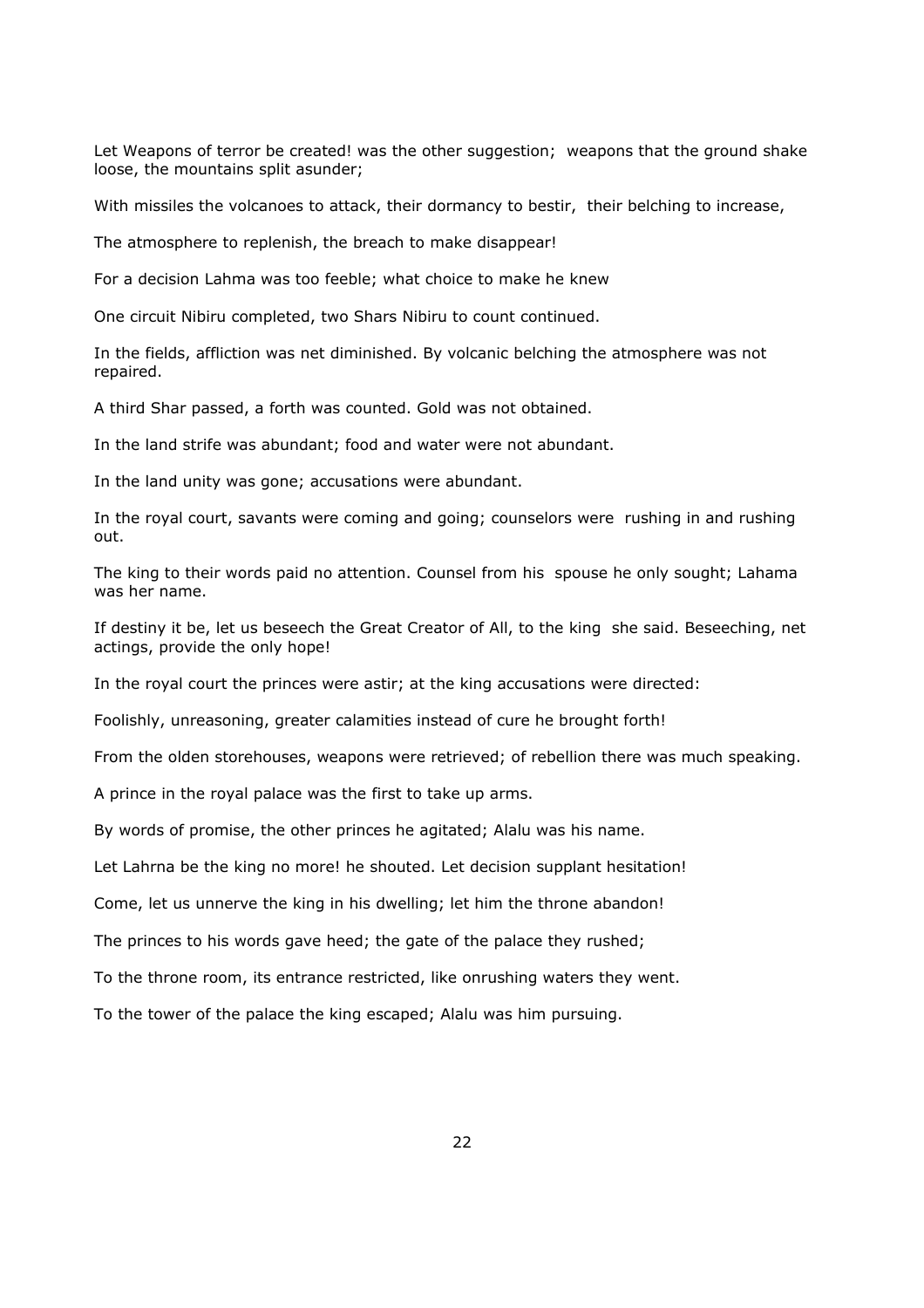Let Weapons of terror be created! was the other suggestion; weapons that the ground shake loose, the mountains split asunder;

With missiles the volcanoes to attack, their dormancy to bestir, their belching to increase,

The atmosphere to replenish, the breach to make disappear!

For a decision Lahma was too feeble; what choice to make he knew

One circuit Nibiru completed, two Shars Nibiru to count continued.

In the fields, affliction was net diminished. By volcanic belching the atmosphere was not repaired.

A third Shar passed, a forth was counted. Gold was not obtained.

In the land strife was abundant; food and water were not abundant.

In the land unity was gone; accusations were abundant.

In the royal court, savants were coming and going; counselors were rushing in and rushing out.

The king to their words paid no attention. Counsel from his spouse he only sought; Lahama was her name.

If destiny it be, let us beseech the Great Creator of All, to the king she said. Beseeching, net actings, provide the only hope!

In the royal court the princes were astir; at the king accusations were directed:

Foolishly, unreasoning, greater calamities instead of cure he brought forth!

From the olden storehouses, weapons were retrieved; of rebellion there was much speaking.

A prince in the royal palace was the first to take up arms.

By words of promise, the other princes he agitated; Alalu was his name.

Let Lahrna be the king no more! he shouted. Let decision supplant hesitation!

Come, let us unnerve the king in his dwelling; let him the throne abandon!

The princes to his words gave heed; the gate of the palace they rushed;

To the throne room, its entrance restricted, like onrushing waters they went.

To the tower of the palace the king escaped; Alalu was him pursuing.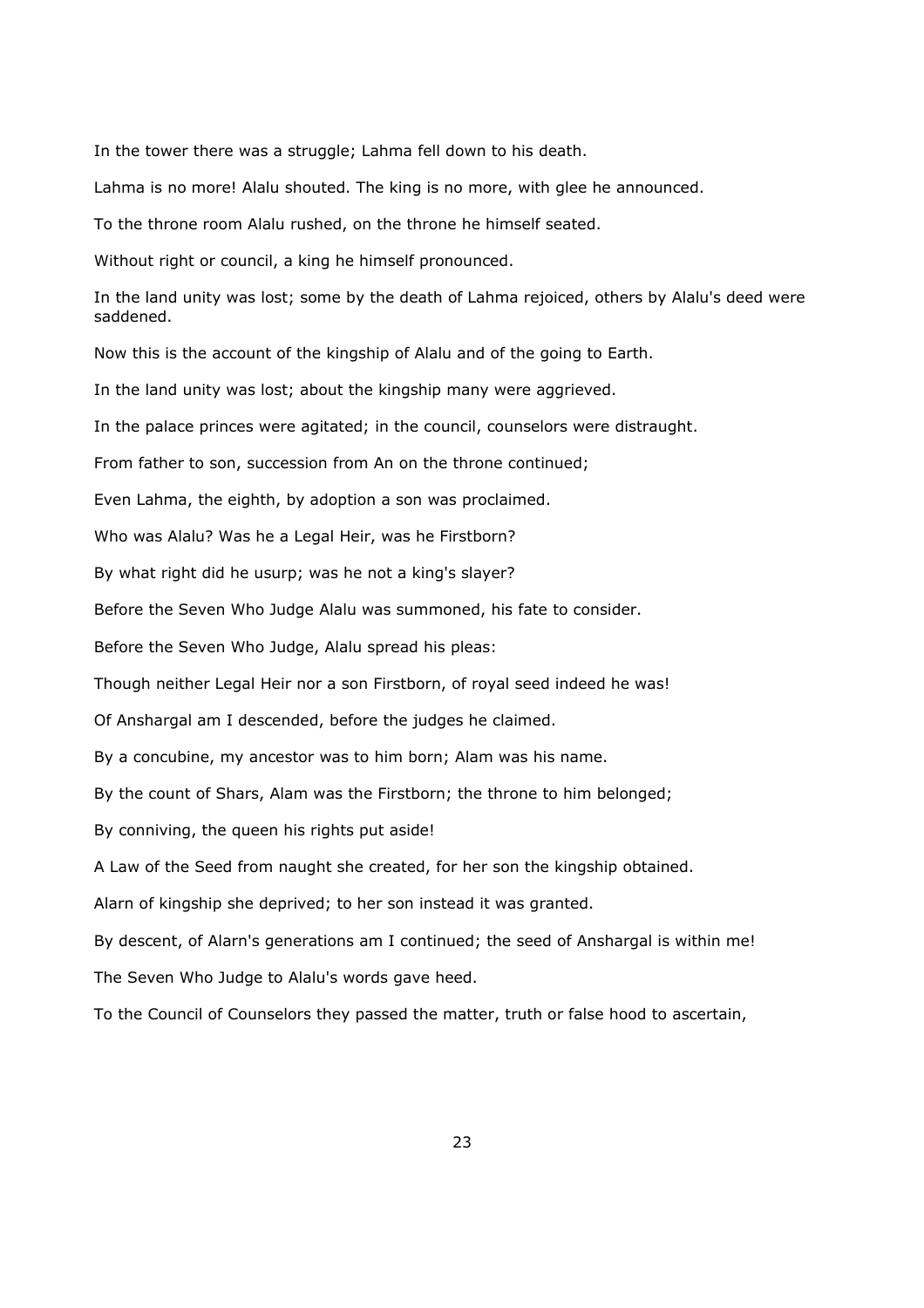In the tower there was a struggle; Lahma fell down to his death.

Lahma is no more! Alalu shouted. The king is no more, with glee he announced.

To the throne room Alalu rushed, on the throne he himself seated.

Without right or council, a king he himself pronounced.

In the land unity was lost; some by the death of Lahma rejoiced, others by Alalu's deed were saddened.

Now this is the account of the kingship of Alalu and of the going to Earth.

In the land unity was lost; about the kingship many were aggrieved.

In the palace princes were agitated; in the council, counselors were distraught.

From father to son, succession from An on the throne continued;

Even Lahma, the eighth, by adoption a son was proclaimed.

Who was Alalu? Was he a Legal Heir, was he Firstborn?

By what right did he usurp; was he not a king's slayer?

Before the Seven Who Judge Alalu was summoned, his fate to consider.

Before the Seven Who Judge, Alalu spread his pleas:

Though neither Legal Heir nor a son Firstborn, of royal seed indeed he was!

Of Anshargal am I descended, before the judges he claimed.

By a concubine, my ancestor was to him born; Alam was his name.

By the count of Shars, Alam was the Firstborn; the throne to him belonged;

By conniving, the queen his rights put aside!

A Law of the Seed from naught she created, for her son the kingship obtained.

Alarn of kingship she deprived; to her son instead it was granted.

By descent, of Alarn's generations am I continued; the seed of Anshargal is within me!

The Seven Who Judge to Alalu's words gave heed.

To the Council of Counselors they passed the matter, truth or false hood to ascertain,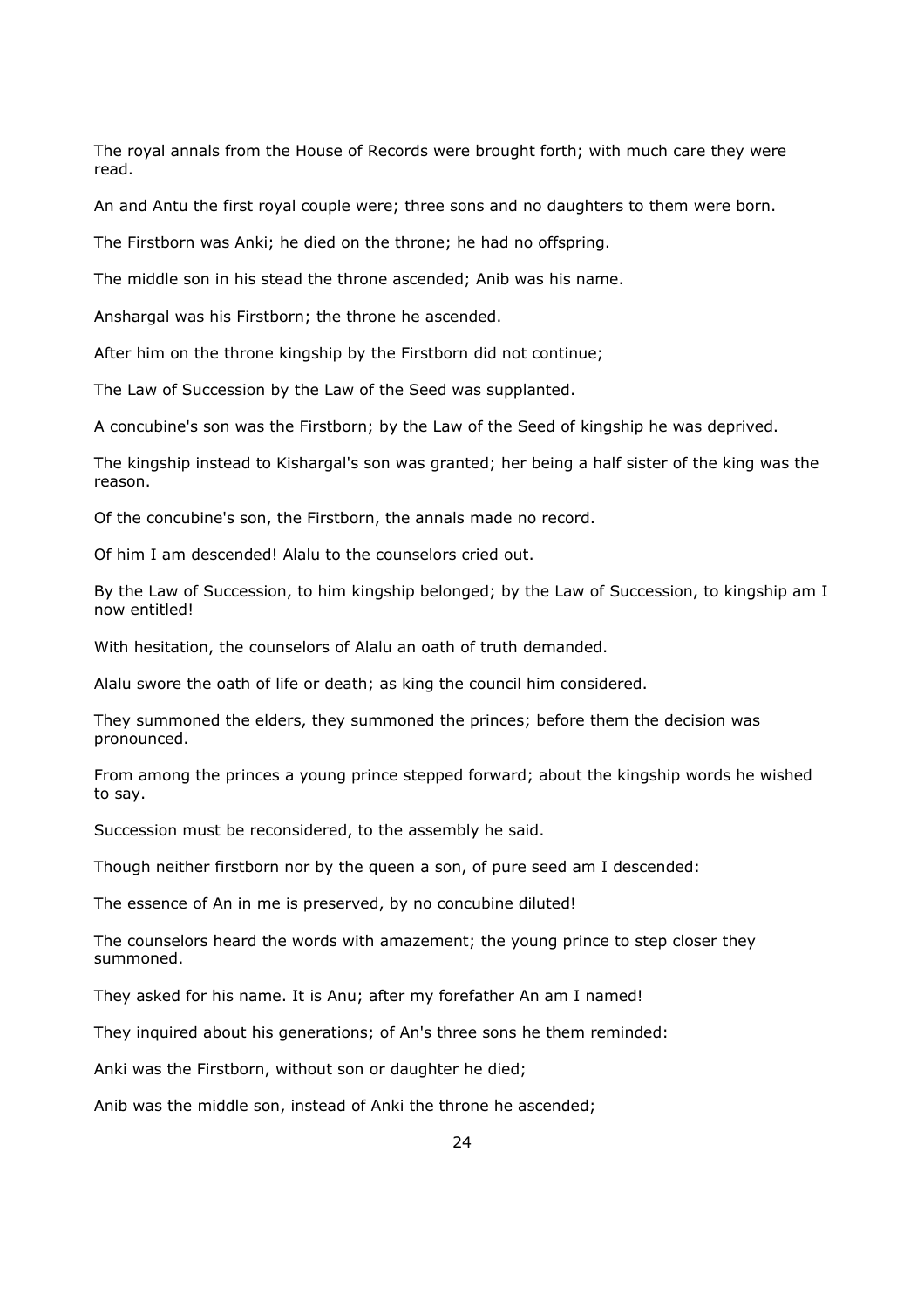The royal annals from the House of Records were brought forth; with much care they were read.

An and Antu the first royal couple were; three sons and no daughters to them were born.

The Firstborn was Anki; he died on the throne; he had no offspring.

The middle son in his stead the throne ascended; Anib was his name.

Anshargal was his Firstborn; the throne he ascended.

After him on the throne kingship by the Firstborn did not continue;

The Law of Succession by the Law of the Seed was supplanted.

A concubine's son was the Firstborn; by the Law of the Seed of kingship he was deprived.

The kingship instead to Kishargal's son was granted; her being a half sister of the king was the reason.

Of the concubine's son, the Firstborn, the annals made no record.

Of him I am descended! Alalu to the counselors cried out.

By the Law of Succession, to him kingship belonged; by the Law of Succession, to kingship am I now entitled!

With hesitation, the counselors of Alalu an oath of truth demanded.

Alalu swore the oath of life or death; as king the council him considered.

They summoned the elders, they summoned the princes; before them the decision was pronounced.

From among the princes a young prince stepped forward; about the kingship words he wished to say.

Succession must be reconsidered, to the assembly he said.

Though neither firstborn nor by the queen a son, of pure seed am I descended:

The essence of An in me is preserved, by no concubine diluted!

The counselors heard the words with amazement; the young prince to step closer they summoned.

They asked for his name. It is Anu; after my forefather An am I named!

They inquired about his generations; of An's three sons he them reminded:

Anki was the Firstborn, without son or daughter he died;

Anib was the middle son, instead of Anki the throne he ascended;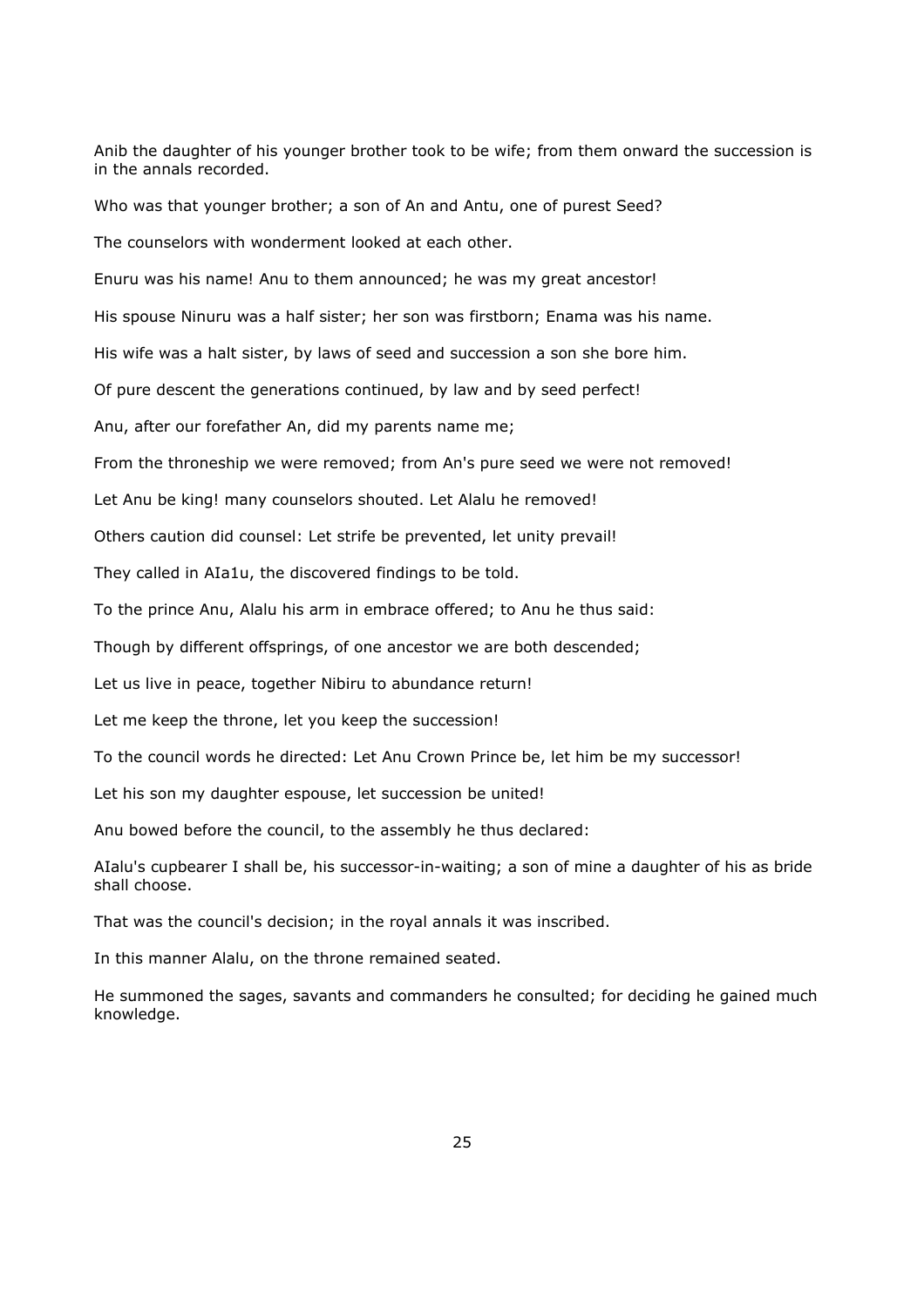Anib the daughter of his younger brother took to be wife; from them onward the succession is in the annals recorded.

Who was that younger brother; a son of An and Antu, one of purest Seed?

The counselors with wonderment looked at each other.

Enuru was his name! Anu to them announced; he was my great ancestor!

His spouse Ninuru was a half sister; her son was firstborn; Enama was his name.

His wife was a halt sister, by laws of seed and succession a son she bore him.

Of pure descent the generations continued, by law and by seed perfect!

Anu, after our forefather An, did my parents name me;

From the throneship we were removed; from An's pure seed we were not removed!

Let Anu be king! many counselors shouted. Let Alalu he removed!

Others caution did counsel: Let strife be prevented, let unity prevail!

They called in AIa1u, the discovered findings to be told.

To the prince Anu, Alalu his arm in embrace offered; to Anu he thus said:

Though by different offsprings, of one ancestor we are both descended;

Let us live in peace, together Nibiru to abundance return!

Let me keep the throne, let you keep the succession!

To the council words he directed: Let Anu Crown Prince be, let him be my successor!

Let his son my daughter espouse, let succession be united!

Anu bowed before the council, to the assembly he thus declared:

AIalu's cupbearer I shall be, his successor-in-waiting; a son of mine a daughter of his as bride shall choose.

That was the council's decision; in the royal annals it was inscribed.

In this manner Alalu, on the throne remained seated.

He summoned the sages, savants and commanders he consulted; for deciding he gained much knowledge.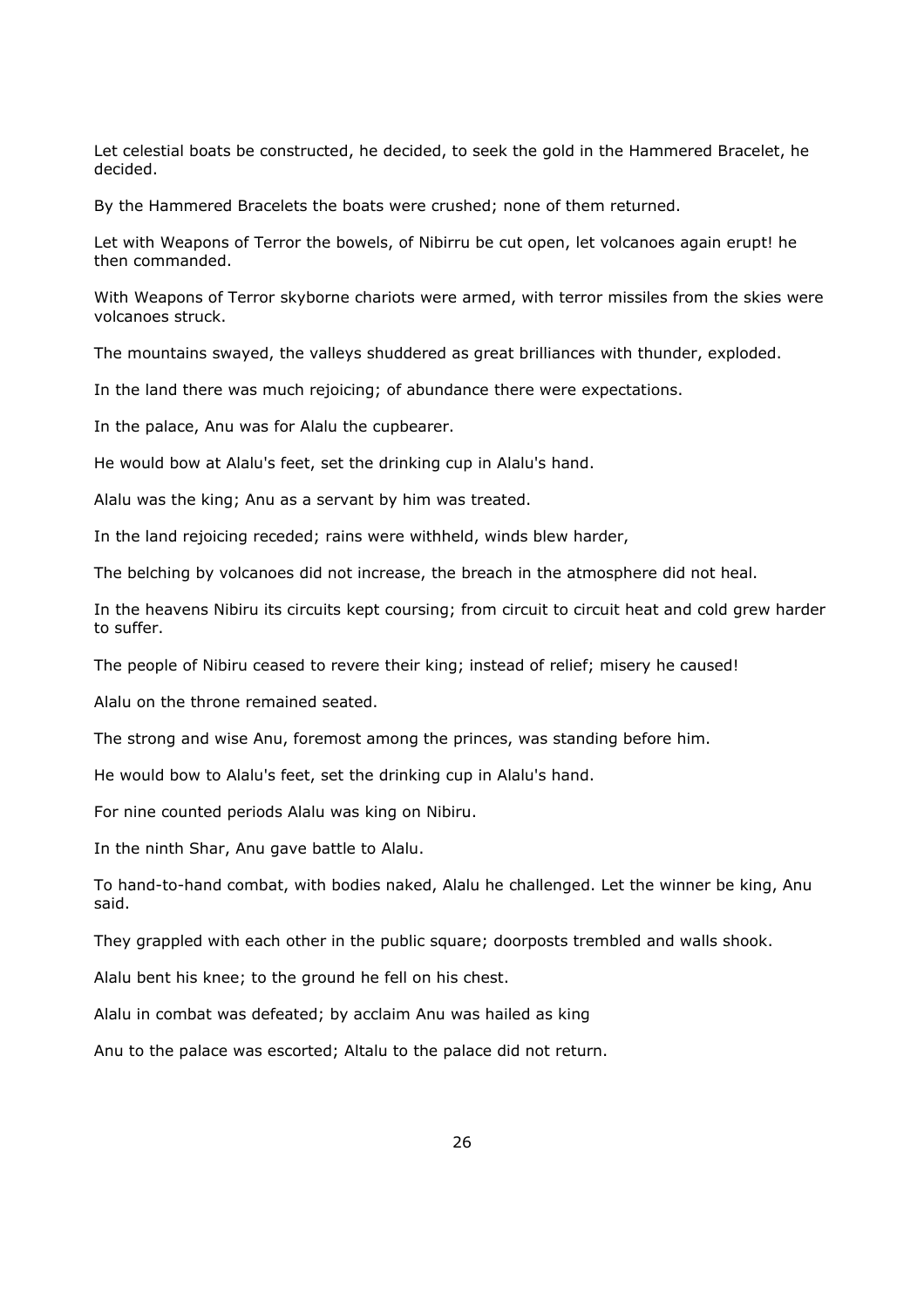Let celestial boats be constructed, he decided, to seek the gold in the Hammered Bracelet, he decided.

By the Hammered Bracelets the boats were crushed; none of them returned.

Let with Weapons of Terror the bowels, of Nibirru be cut open, let volcanoes again erupt! he then commanded.

With Weapons of Terror skyborne chariots were armed, with terror missiles from the skies were volcanoes struck.

The mountains swayed, the valleys shuddered as great brilliances with thunder, exploded.

In the land there was much rejoicing; of abundance there were expectations.

In the palace, Anu was for Alalu the cupbearer.

He would bow at Alalu's feet, set the drinking cup in Alalu's hand.

Alalu was the king; Anu as a servant by him was treated.

In the land rejoicing receded; rains were withheld, winds blew harder,

The belching by volcanoes did not increase, the breach in the atmosphere did not heal.

In the heavens Nibiru its circuits kept coursing; from circuit to circuit heat and cold grew harder to suffer.

The people of Nibiru ceased to revere their king; instead of relief; misery he caused!

Alalu on the throne remained seated.

The strong and wise Anu, foremost among the princes, was standing before him.

He would bow to Alalu's feet, set the drinking cup in Alalu's hand.

For nine counted periods Alalu was king on Nibiru.

In the ninth Shar, Anu gave battle to Alalu.

To hand-to-hand combat, with bodies naked, Alalu he challenged. Let the winner be king, Anu said.

They grappled with each other in the public square; doorposts trembled and walls shook.

Alalu bent his knee; to the ground he fell on his chest.

Alalu in combat was defeated; by acclaim Anu was hailed as king

Anu to the palace was escorted; Altalu to the palace did not return.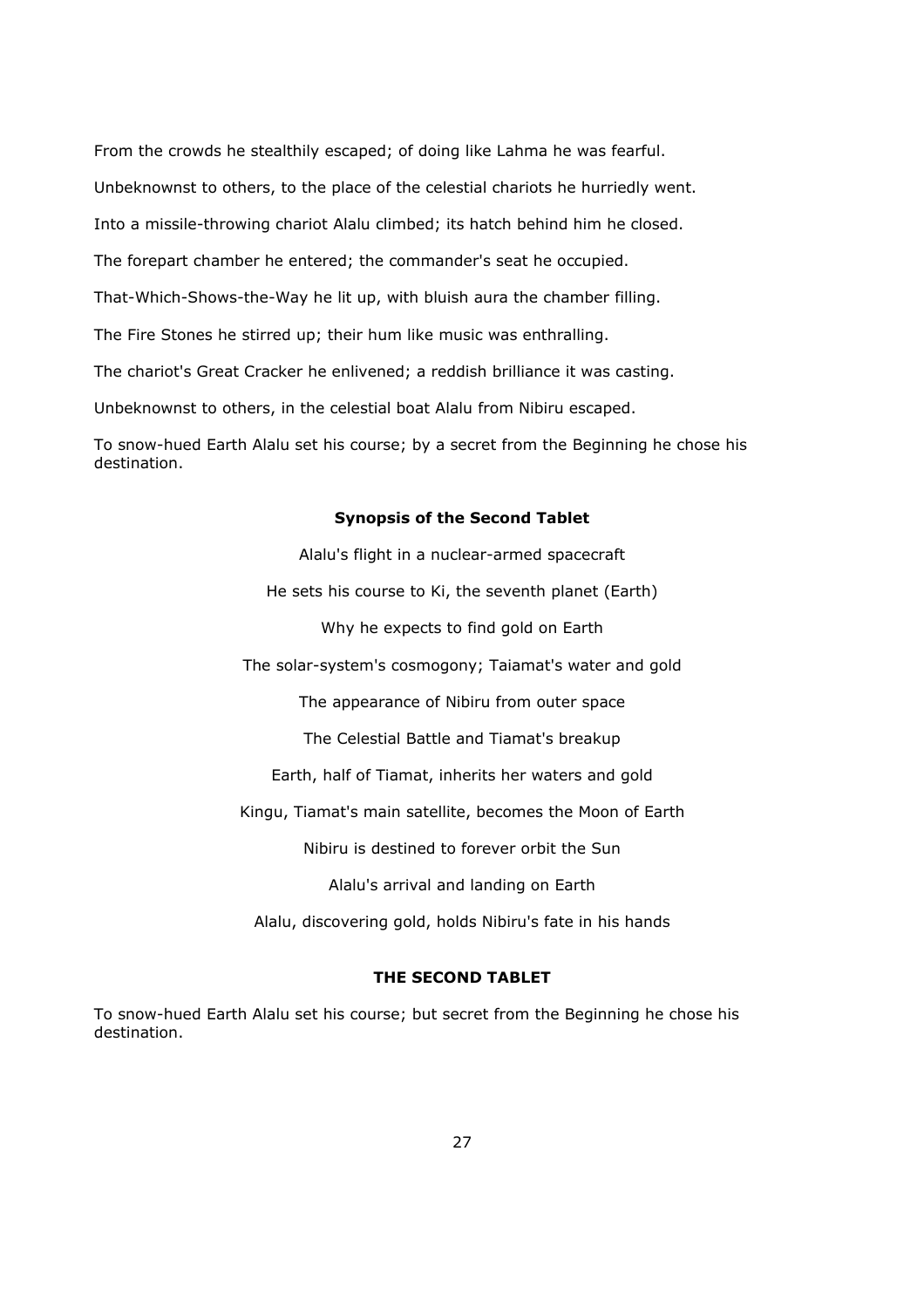From the crowds he stealthily escaped; of doing like Lahma he was fearful. Unbeknownst to others, to the place of the celestial chariots he hurriedly went. Into a missile-throwing chariot Alalu climbed; its hatch behind him he closed. The forepart chamber he entered; the commander's seat he occupied. That-Which-Shows-the-Way he lit up, with bluish aura the chamber filling. The Fire Stones he stirred up; their hum like music was enthralling. The chariot's Great Cracker he enlivened; a reddish brilliance it was casting. Unbeknownst to others, in the celestial boat Alalu from Nibiru escaped.

To snow-hued Earth Alalu set his course; by a secret from the Beginning he chose his destination.

### **Synopsis of the Second Tablet**

Alalu's flight in a nuclear-armed spacecraft He sets his course to Ki, the seventh planet (Earth) Why he expects to find gold on Earth The solar-system's cosmogony; Taiamat's water and gold The appearance of Nibiru from outer space The Celestial Battle and Tiamat's breakup Earth, half of Tiamat, inherits her waters and gold Kingu, Tiamat's main satellite, becomes the Moon of Earth Nibiru is destined to forever orbit the Sun Alalu's arrival and landing on Earth Alalu, discovering gold, holds Nibiru's fate in his hands

## **THE SECOND TABLET**

To snow-hued Earth Alalu set his course; but secret from the Beginning he chose his destination.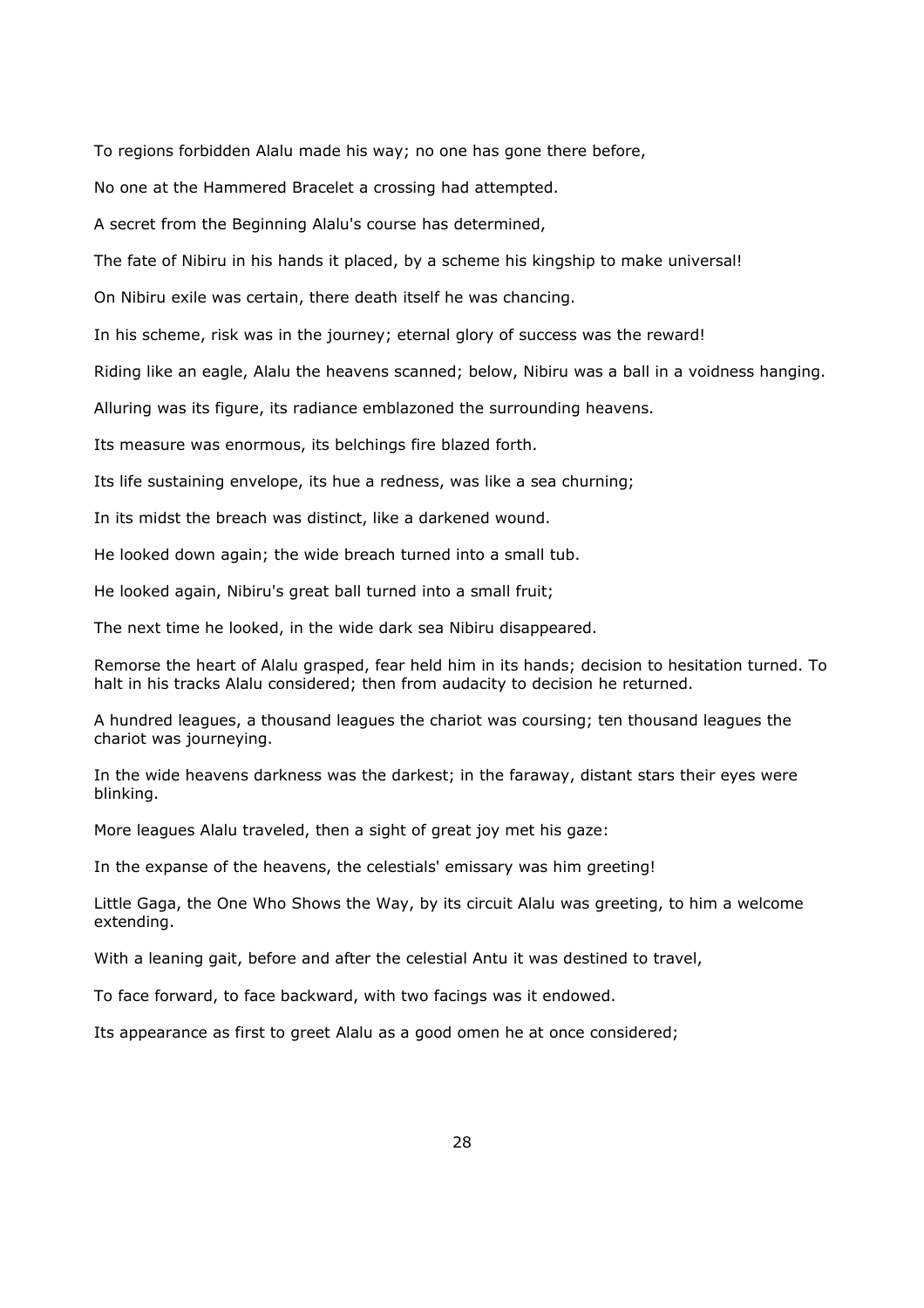To regions forbidden Alalu made his way; no one has gone there before,

No one at the Hammered Bracelet a crossing had attempted.

A secret from the Beginning Alalu's course has determined,

The fate of Nibiru in his hands it placed, by a scheme his kingship to make universal!

On Nibiru exile was certain, there death itself he was chancing.

In his scheme, risk was in the journey; eternal glory of success was the reward!

Riding like an eagle, Alalu the heavens scanned; below, Nibiru was a ball in a voidness hanging.

Alluring was its figure, its radiance emblazoned the surrounding heavens.

Its measure was enormous, its belchings fire blazed forth.

Its life sustaining envelope, its hue a redness, was like a sea churning;

In its midst the breach was distinct, like a darkened wound.

He looked down again; the wide breach turned into a small tub.

He looked again, Nibiru's great ball turned into a small fruit;

The next time he looked, in the wide dark sea Nibiru disappeared.

Remorse the heart of Alalu grasped, fear held him in its hands; decision to hesitation turned. To halt in his tracks Alalu considered; then from audacity to decision he returned.

A hundred leagues, a thousand leagues the chariot was coursing; ten thousand leagues the chariot was journeying.

In the wide heavens darkness was the darkest; in the faraway, distant stars their eyes were blinking.

More leagues Alalu traveled, then a sight of great joy met his gaze:

In the expanse of the heavens, the celestials' emissary was him greeting!

Little Gaga, the One Who Shows the Way, by its circuit Alalu was greeting, to him a welcome extending.

With a leaning gait, before and after the celestial Antu it was destined to travel,

To face forward, to face backward, with two facings was it endowed.

Its appearance as first to greet Alalu as a good omen he at once considered;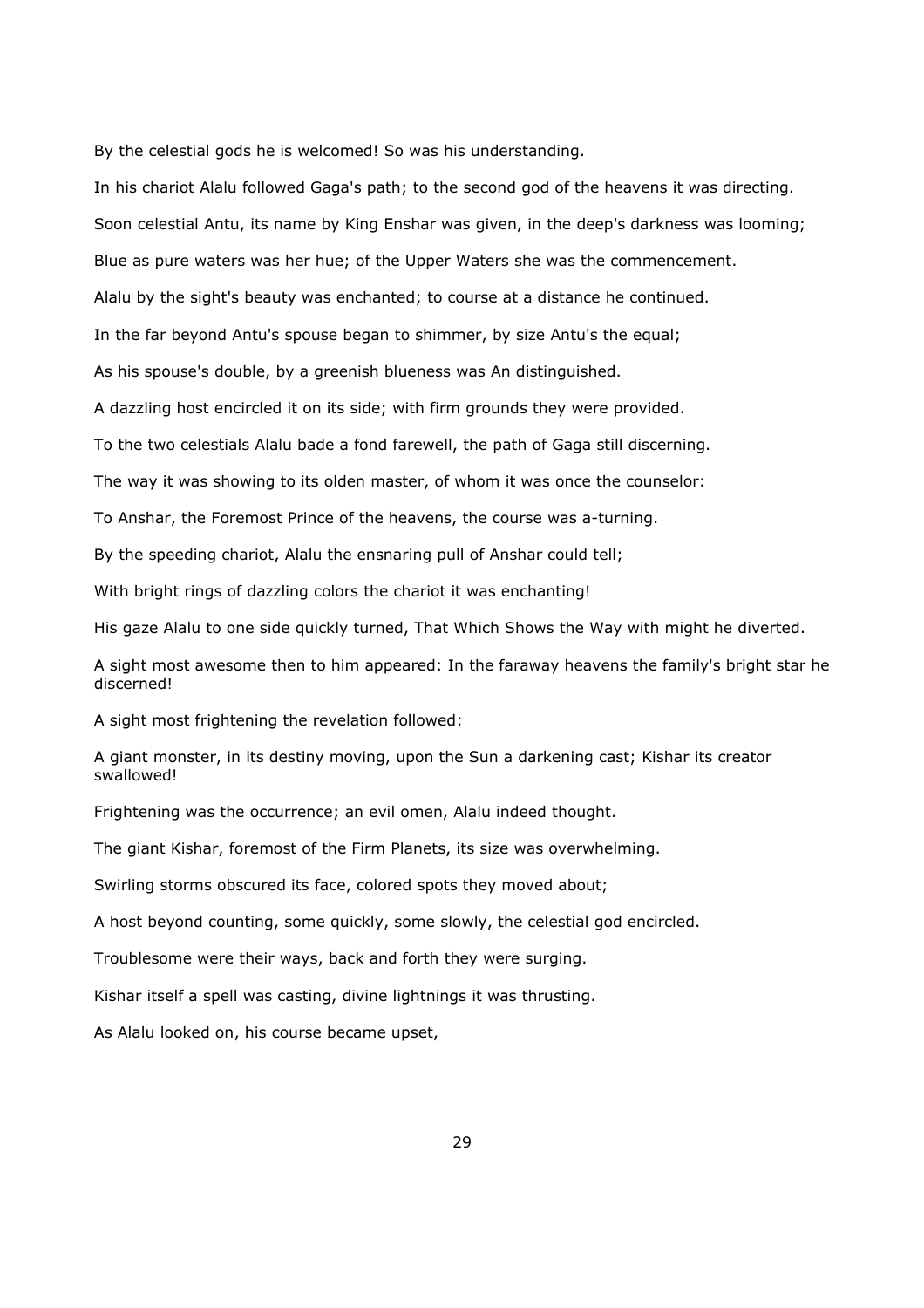By the celestial gods he is welcomed! So was his understanding.

In his chariot Alalu followed Gaga's path; to the second god of the heavens it was directing.

Soon celestial Antu, its name by King Enshar was given, in the deep's darkness was looming;

Blue as pure waters was her hue; of the Upper Waters she was the commencement.

Alalu by the sight's beauty was enchanted; to course at a distance he continued.

In the far beyond Antu's spouse began to shimmer, by size Antu's the equal;

As his spouse's double, by a greenish blueness was An distinguished.

A dazzling host encircled it on its side; with firm grounds they were provided.

To the two celestials Alalu bade a fond farewell, the path of Gaga still discerning.

The way it was showing to its olden master, of whom it was once the counselor:

To Anshar, the Foremost Prince of the heavens, the course was a-turning.

By the speeding chariot, Alalu the ensnaring pull of Anshar could tell;

With bright rings of dazzling colors the chariot it was enchanting!

His gaze Alalu to one side quickly turned, That Which Shows the Way with might he diverted.

A sight most awesome then to him appeared: In the faraway heavens the family's bright star he discerned!

A sight most frightening the revelation followed:

A giant monster, in its destiny moving, upon the Sun a darkening cast; Kishar its creator swallowed!

Frightening was the occurrence; an evil omen, Alalu indeed thought.

The giant Kishar, foremost of the Firm Planets, its size was overwhelming.

Swirling storms obscured its face, colored spots they moved about;

A host beyond counting, some quickly, some slowly, the celestial god encircled.

Troublesome were their ways, back and forth they were surging.

Kishar itself a spell was casting, divine lightnings it was thrusting.

As Alalu looked on, his course became upset,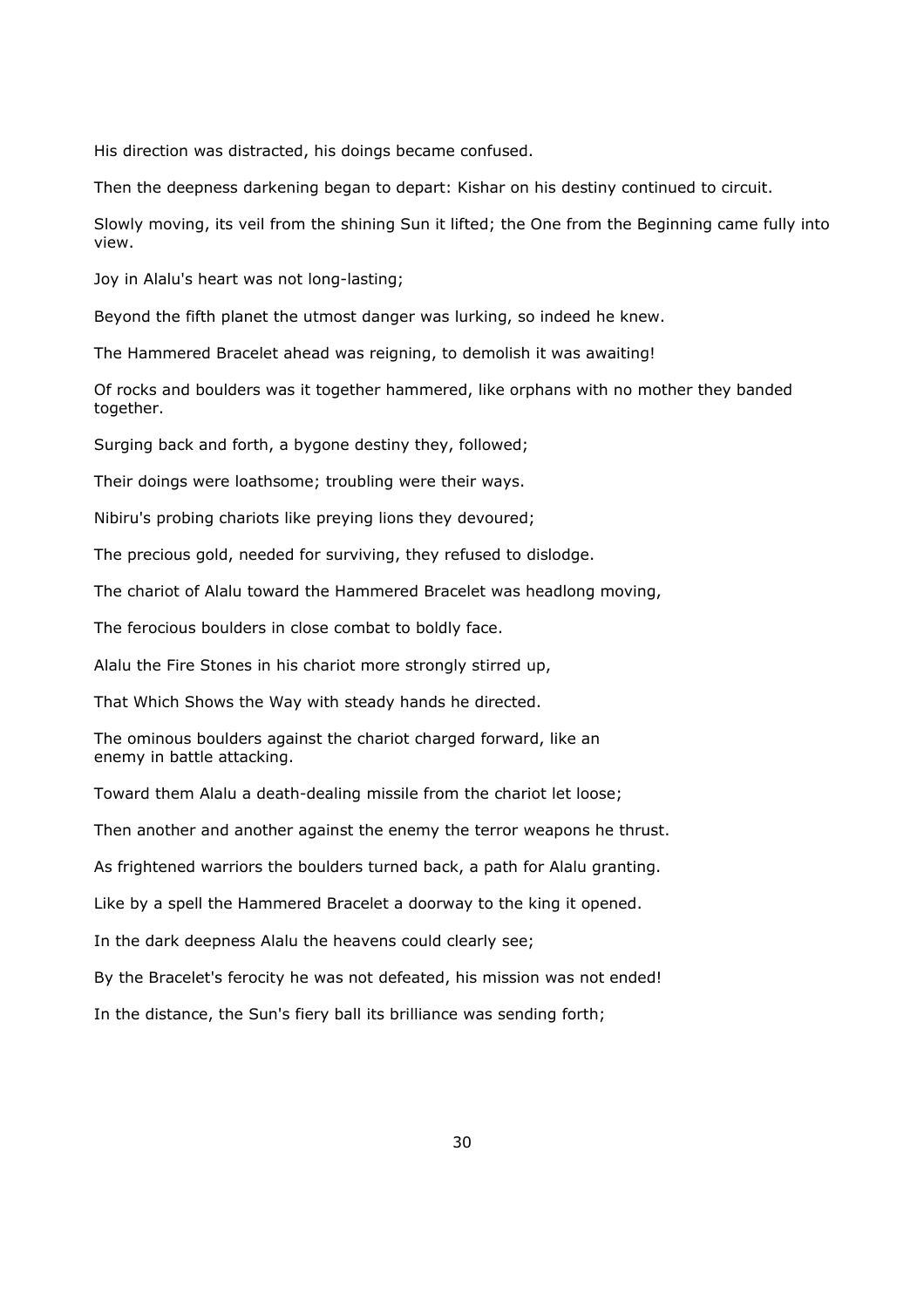His direction was distracted, his doings became confused.

Then the deepness darkening began to depart: Kishar on his destiny continued to circuit.

Slowly moving, its veil from the shining Sun it lifted; the One from the Beginning came fully into view.

Joy in Alalu's heart was not long-lasting;

Beyond the fifth planet the utmost danger was lurking, so indeed he knew.

The Hammered Bracelet ahead was reigning, to demolish it was awaiting!

Of rocks and boulders was it together hammered, like orphans with no mother they banded together.

Surging back and forth, a bygone destiny they, followed;

Their doings were loathsome; troubling were their ways.

Nibiru's probing chariots like preying lions they devoured;

The precious gold, needed for surviving, they refused to dislodge.

The chariot of Alalu toward the Hammered Bracelet was headlong moving,

The ferocious boulders in close combat to boldly face.

Alalu the Fire Stones in his chariot more strongly stirred up,

That Which Shows the Way with steady hands he directed.

The ominous boulders against the chariot charged forward, like an enemy in battle attacking.

Toward them Alalu a death-dealing missile from the chariot let loose;

Then another and another against the enemy the terror weapons he thrust.

As frightened warriors the boulders turned back, a path for Alalu granting.

Like by a spell the Hammered Bracelet a doorway to the king it opened.

In the dark deepness Alalu the heavens could clearly see;

By the Bracelet's ferocity he was not defeated, his mission was not ended!

In the distance, the Sun's fiery ball its brilliance was sending forth;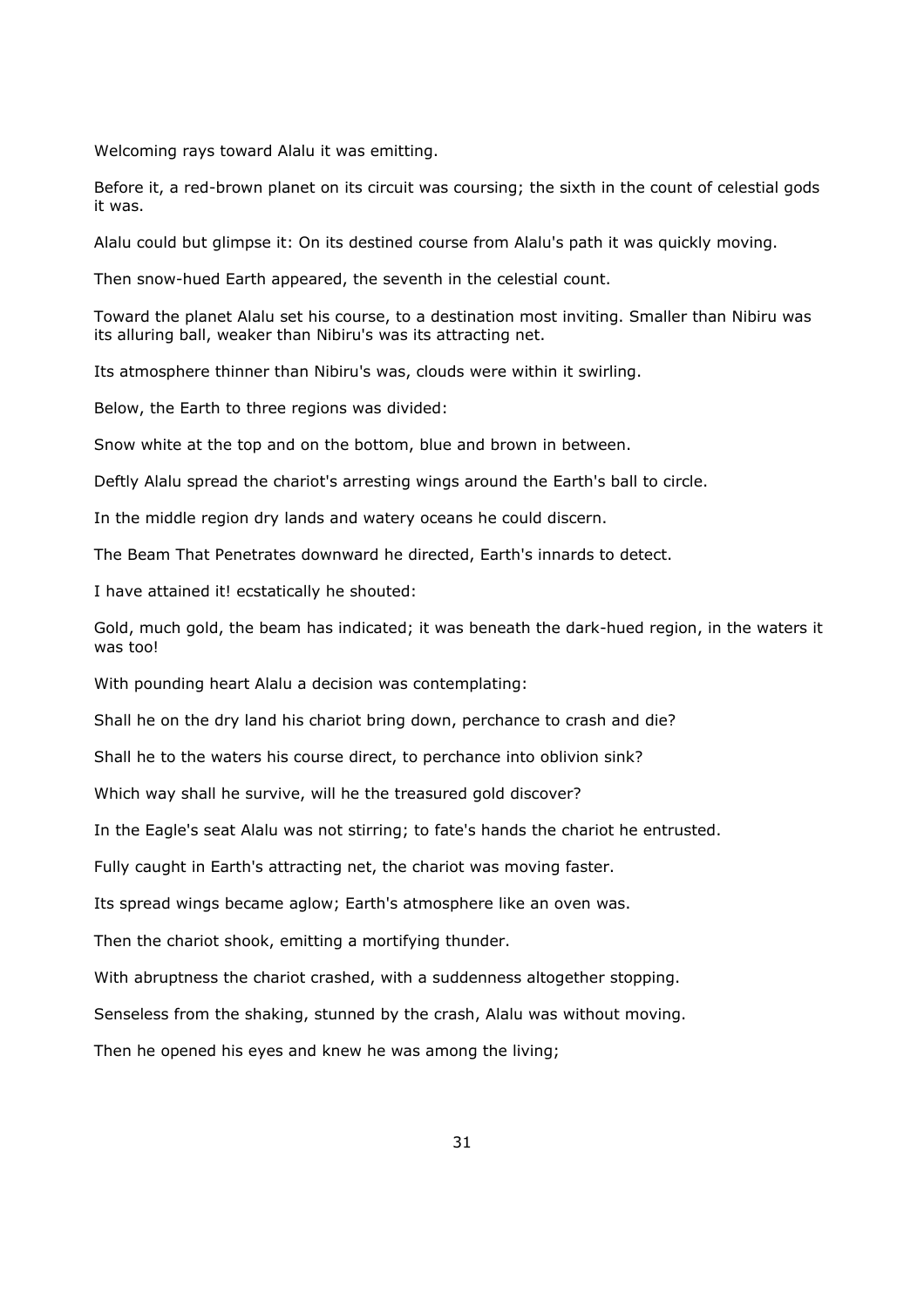Welcoming rays toward Alalu it was emitting.

Before it, a red-brown planet on its circuit was coursing; the sixth in the count of celestial gods it was.

Alalu could but glimpse it: On its destined course from Alalu's path it was quickly moving.

Then snow-hued Earth appeared, the seventh in the celestial count.

Toward the planet Alalu set his course, to a destination most inviting. Smaller than Nibiru was its alluring ball, weaker than Nibiru's was its attracting net.

Its atmosphere thinner than Nibiru's was, clouds were within it swirling.

Below, the Earth to three regions was divided:

Snow white at the top and on the bottom, blue and brown in between.

Deftly Alalu spread the chariot's arresting wings around the Earth's ball to circle.

In the middle region dry lands and watery oceans he could discern.

The Beam That Penetrates downward he directed, Earth's innards to detect.

I have attained it! ecstatically he shouted:

Gold, much gold, the beam has indicated; it was beneath the dark-hued region, in the waters it was too!

With pounding heart Alalu a decision was contemplating:

Shall he on the dry land his chariot bring down, perchance to crash and die?

Shall he to the waters his course direct, to perchance into oblivion sink?

Which way shall he survive, will he the treasured gold discover?

In the Eagle's seat Alalu was not stirring; to fate's hands the chariot he entrusted.

Fully caught in Earth's attracting net, the chariot was moving faster.

Its spread wings became aglow; Earth's atmosphere like an oven was.

Then the chariot shook, emitting a mortifying thunder.

With abruptness the chariot crashed, with a suddenness altogether stopping.

Senseless from the shaking, stunned by the crash, Alalu was without moving.

Then he opened his eyes and knew he was among the living;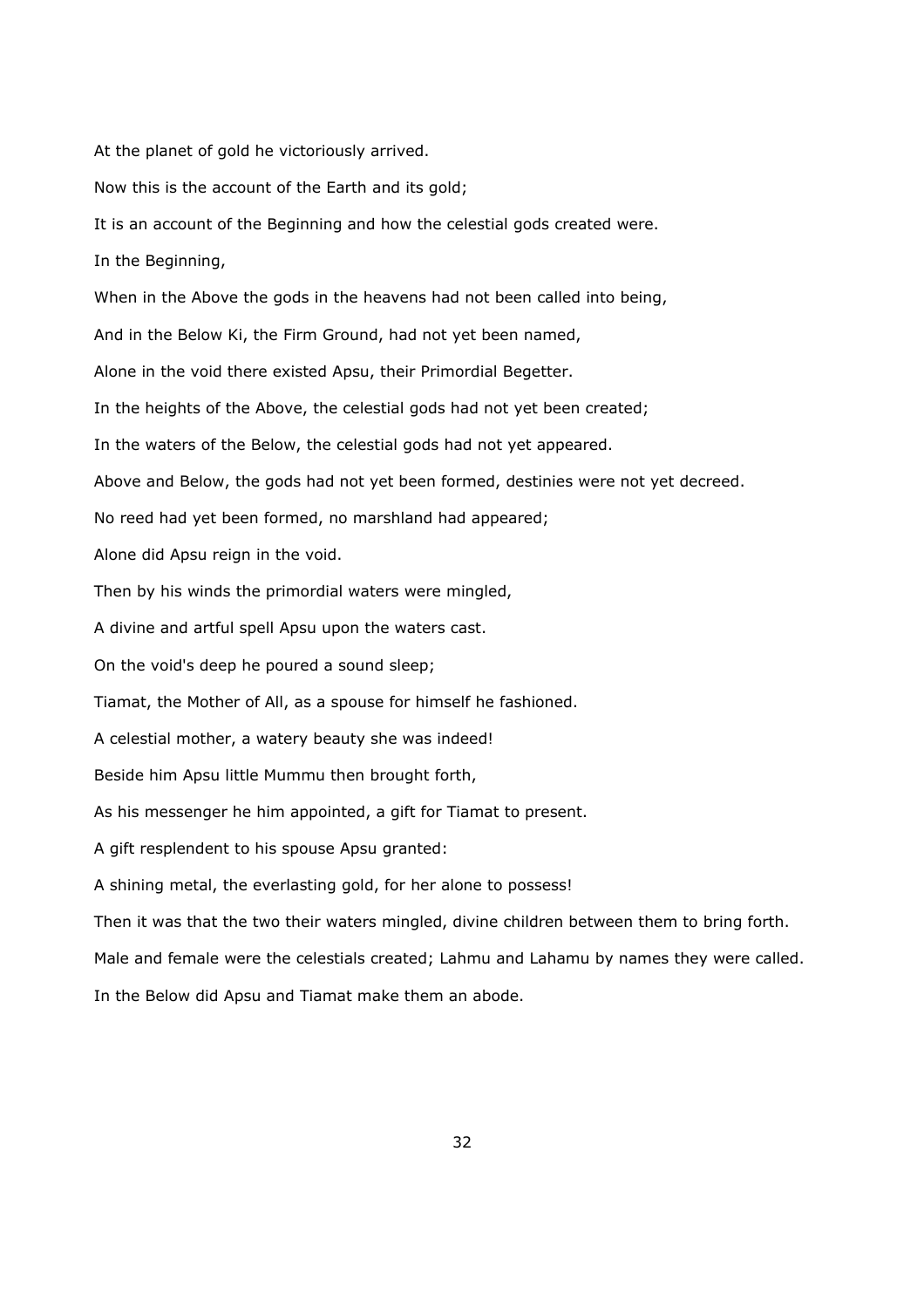At the planet of gold he victoriously arrived.

Now this is the account of the Earth and its gold;

It is an account of the Beginning and how the celestial gods created were.

In the Beginning,

When in the Above the gods in the heavens had not been called into being,

And in the Below Ki, the Firm Ground, had not yet been named,

Alone in the void there existed Apsu, their Primordial Begetter.

In the heights of the Above, the celestial gods had not yet been created;

In the waters of the Below, the celestial gods had not yet appeared.

Above and Below, the gods had not yet been formed, destinies were not yet decreed.

No reed had yet been formed, no marshland had appeared;

Alone did Apsu reign in the void.

Then by his winds the primordial waters were mingled,

A divine and artful spell Apsu upon the waters cast.

On the void's deep he poured a sound sleep;

Tiamat, the Mother of All, as a spouse for himself he fashioned.

A celestial mother, a watery beauty she was indeed!

Beside him Apsu little Mummu then brought forth,

As his messenger he him appointed, a gift for Tiamat to present.

A gift resplendent to his spouse Apsu granted:

A shining metal, the everlasting gold, for her alone to possess!

Then it was that the two their waters mingled, divine children between them to bring forth.

Male and female were the celestials created; Lahmu and Lahamu by names they were called.

In the Below did Apsu and Tiamat make them an abode.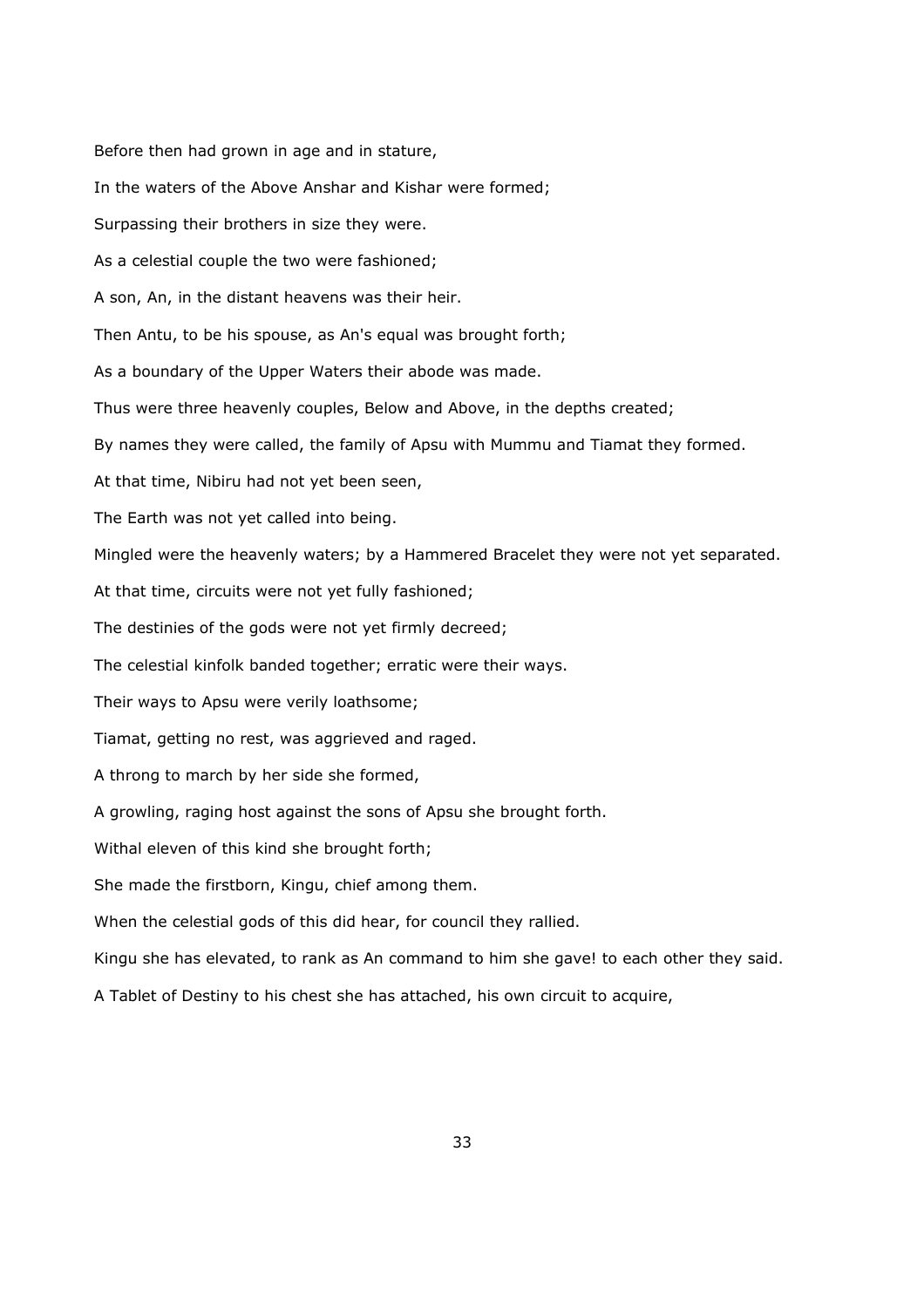Before then had grown in age and in stature, In the waters of the Above Anshar and Kishar were formed; Surpassing their brothers in size they were. As a celestial couple the two were fashioned; A son, An, in the distant heavens was their heir. Then Antu, to be his spouse, as An's equal was brought forth; As a boundary of the Upper Waters their abode was made. Thus were three heavenly couples, Below and Above, in the depths created; By names they were called, the family of Apsu with Mummu and Tiamat they formed. At that time, Nibiru had not yet been seen, The Earth was not yet called into being. Mingled were the heavenly waters; by a Hammered Bracelet they were not yet separated. At that time, circuits were not yet fully fashioned; The destinies of the gods were not yet firmly decreed; The celestial kinfolk banded together; erratic were their ways. Their ways to Apsu were verily loathsome; Tiamat, getting no rest, was aggrieved and raged. A throng to march by her side she formed, A growling, raging host against the sons of Apsu she brought forth. Withal eleven of this kind she brought forth; She made the firstborn, Kingu, chief among them. When the celestial gods of this did hear, for council they rallied. Kingu she has elevated, to rank as An command to him she gave! to each other they said. A Tablet of Destiny to his chest she has attached, his own circuit to acquire,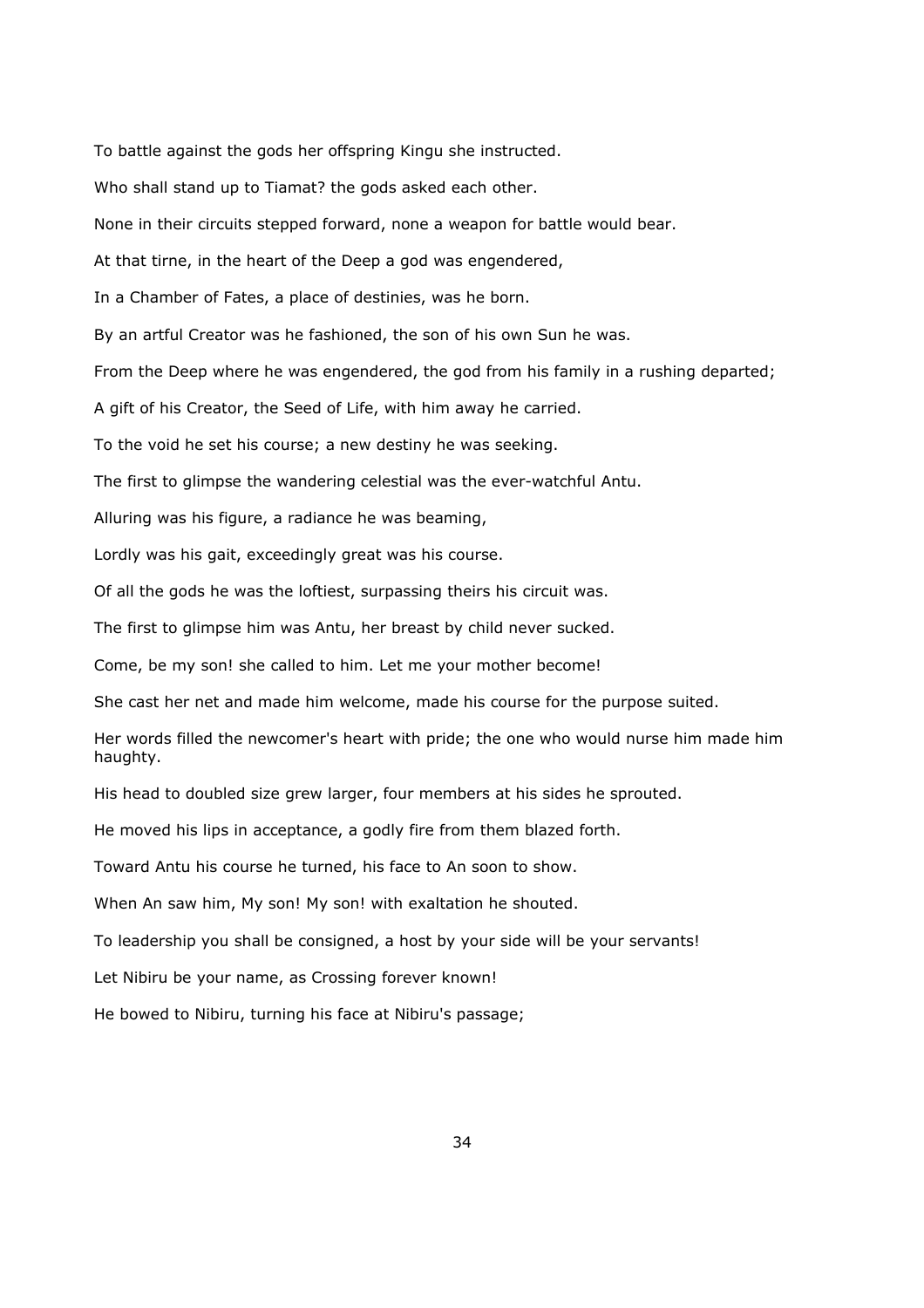To battle against the gods her offspring Kingu she instructed. Who shall stand up to Tiamat? the gods asked each other. None in their circuits stepped forward, none a weapon for battle would bear. At that tirne, in the heart of the Deep a god was engendered, In a Chamber of Fates, a place of destinies, was he born. By an artful Creator was he fashioned, the son of his own Sun he was. From the Deep where he was engendered, the god from his family in a rushing departed; A gift of his Creator, the Seed of Life, with him away he carried. To the void he set his course; a new destiny he was seeking. The first to glimpse the wandering celestial was the ever-watchful Antu. Alluring was his figure, a radiance he was beaming, Lordly was his gait, exceedingly great was his course. Of all the gods he was the loftiest, surpassing theirs his circuit was. The first to glimpse him was Antu, her breast by child never sucked. Come, be my son! she called to him. Let me your mother become! She cast her net and made him welcome, made his course for the purpose suited. Her words filled the newcomer's heart with pride; the one who would nurse him made him haughty. His head to doubled size grew larger, four members at his sides he sprouted. He moved his lips in acceptance, a godly fire from them blazed forth. Toward Antu his course he turned, his face to An soon to show. When An saw him, My son! My son! with exaltation he shouted. To leadership you shall be consigned, a host by your side will be your servants! Let Nibiru be your name, as Crossing forever known! He bowed to Nibiru, turning his face at Nibiru's passage;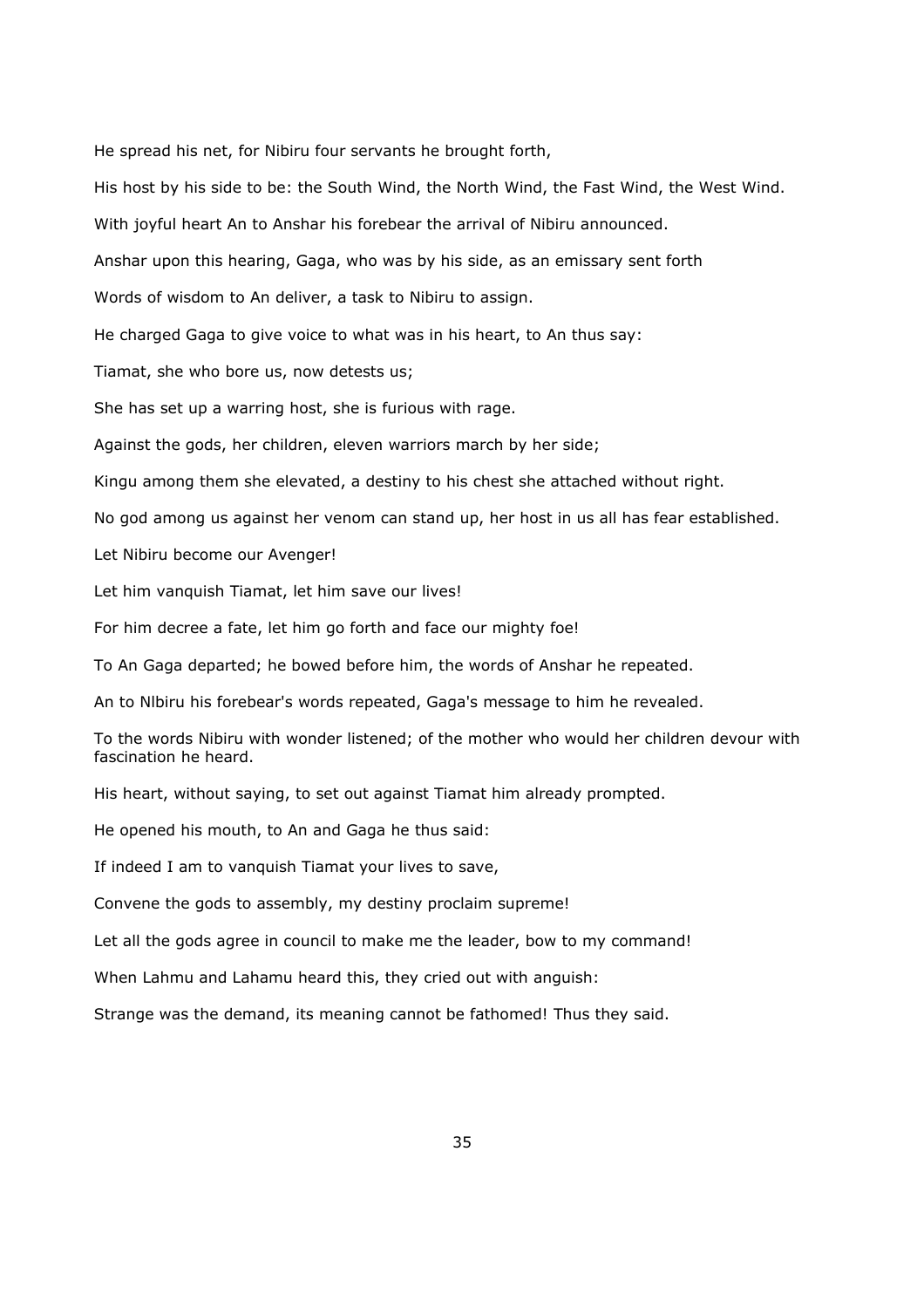He spread his net, for Nibiru four servants he brought forth,

His host by his side to be: the South Wind, the North Wind, the Fast Wind, the West Wind.

With joyful heart An to Anshar his forebear the arrival of Nibiru announced.

Anshar upon this hearing, Gaga, who was by his side, as an emissary sent forth

Words of wisdom to An deliver, a task to Nibiru to assign.

He charged Gaga to give voice to what was in his heart, to An thus say:

Tiamat, she who bore us, now detests us;

She has set up a warring host, she is furious with rage.

Against the gods, her children, eleven warriors march by her side;

Kingu among them she elevated, a destiny to his chest she attached without right.

No god among us against her venom can stand up, her host in us all has fear established.

Let Nibiru become our Avenger!

Let him vanquish Tiamat, let him save our lives!

For him decree a fate, let him go forth and face our mighty foe!

To An Gaga departed; he bowed before him, the words of Anshar he repeated.

An to Nlbiru his forebear's words repeated, Gaga's message to him he revealed.

To the words Nibiru with wonder listened; of the mother who would her children devour with fascination he heard.

His heart, without saying, to set out against Tiamat him already prompted.

He opened his mouth, to An and Gaga he thus said:

If indeed I am to vanquish Tiamat your lives to save,

Convene the gods to assembly, my destiny proclaim supreme!

Let all the gods agree in council to make me the leader, bow to my command!

When Lahmu and Lahamu heard this, they cried out with anguish:

Strange was the demand, its meaning cannot be fathomed! Thus they said.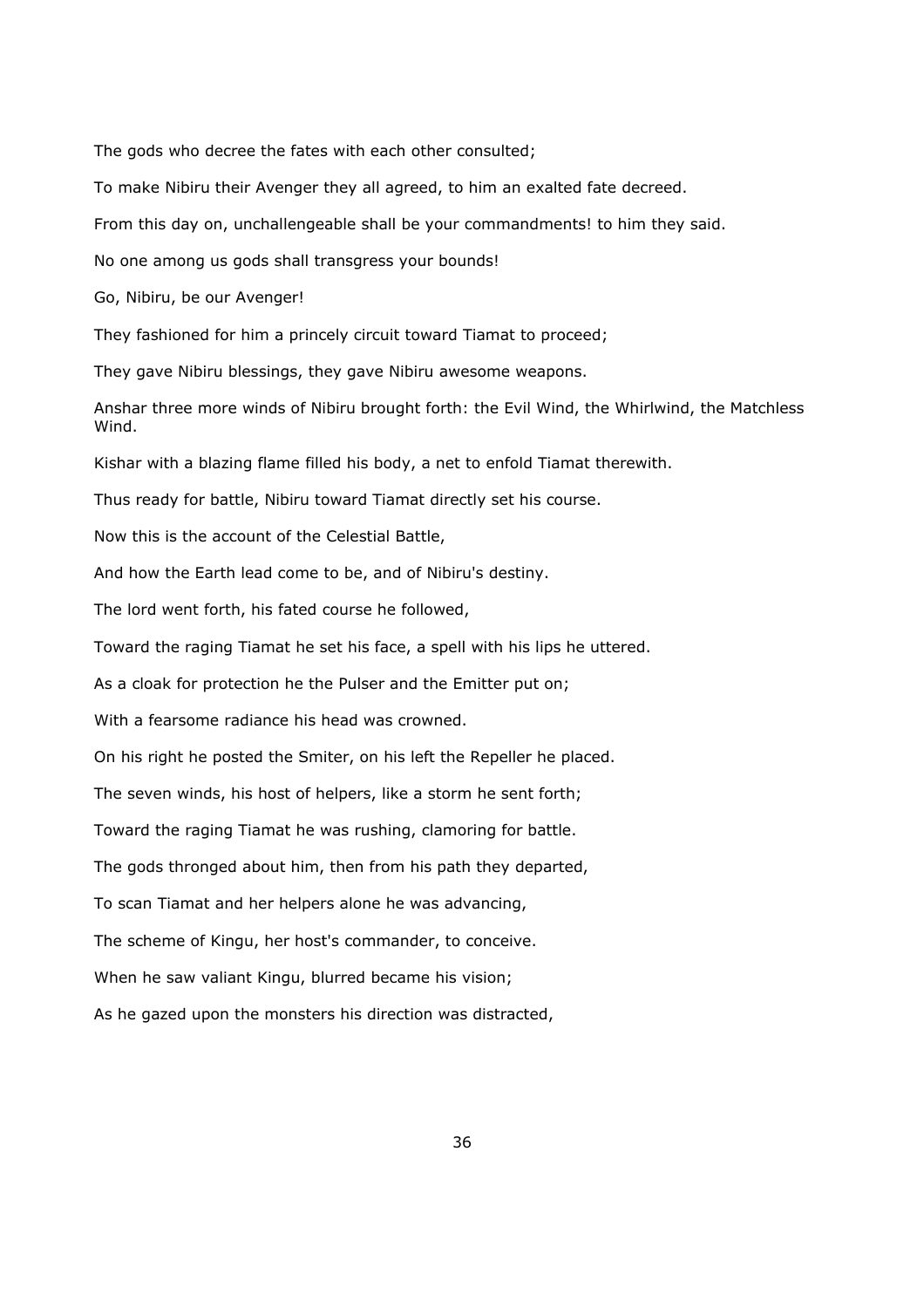The gods who decree the fates with each other consulted;

To make Nibiru their Avenger they all agreed, to him an exalted fate decreed.

From this day on, unchallengeable shall be your commandments! to him they said.

No one among us gods shall transgress your bounds!

Go, Nibiru, be our Avenger!

They fashioned for him a princely circuit toward Tiamat to proceed;

They gave Nibiru blessings, they gave Nibiru awesome weapons.

Anshar three more winds of Nibiru brought forth: the Evil Wind, the Whirlwind, the Matchless Wind.

Kishar with a blazing flame filled his body, a net to enfold Tiamat therewith.

Thus ready for battle, Nibiru toward Tiamat directly set his course.

Now this is the account of the Celestial Battle,

And how the Earth lead come to be, and of Nibiru's destiny.

The lord went forth, his fated course he followed,

Toward the raging Tiamat he set his face, a spell with his lips he uttered.

As a cloak for protection he the Pulser and the Emitter put on;

With a fearsome radiance his head was crowned.

On his right he posted the Smiter, on his left the Repeller he placed.

The seven winds, his host of helpers, like a storm he sent forth;

Toward the raging Tiamat he was rushing, clamoring for battle.

The gods thronged about him, then from his path they departed,

To scan Tiamat and her helpers alone he was advancing,

The scheme of Kingu, her host's commander, to conceive.

When he saw valiant Kingu, blurred became his vision;

As he gazed upon the monsters his direction was distracted,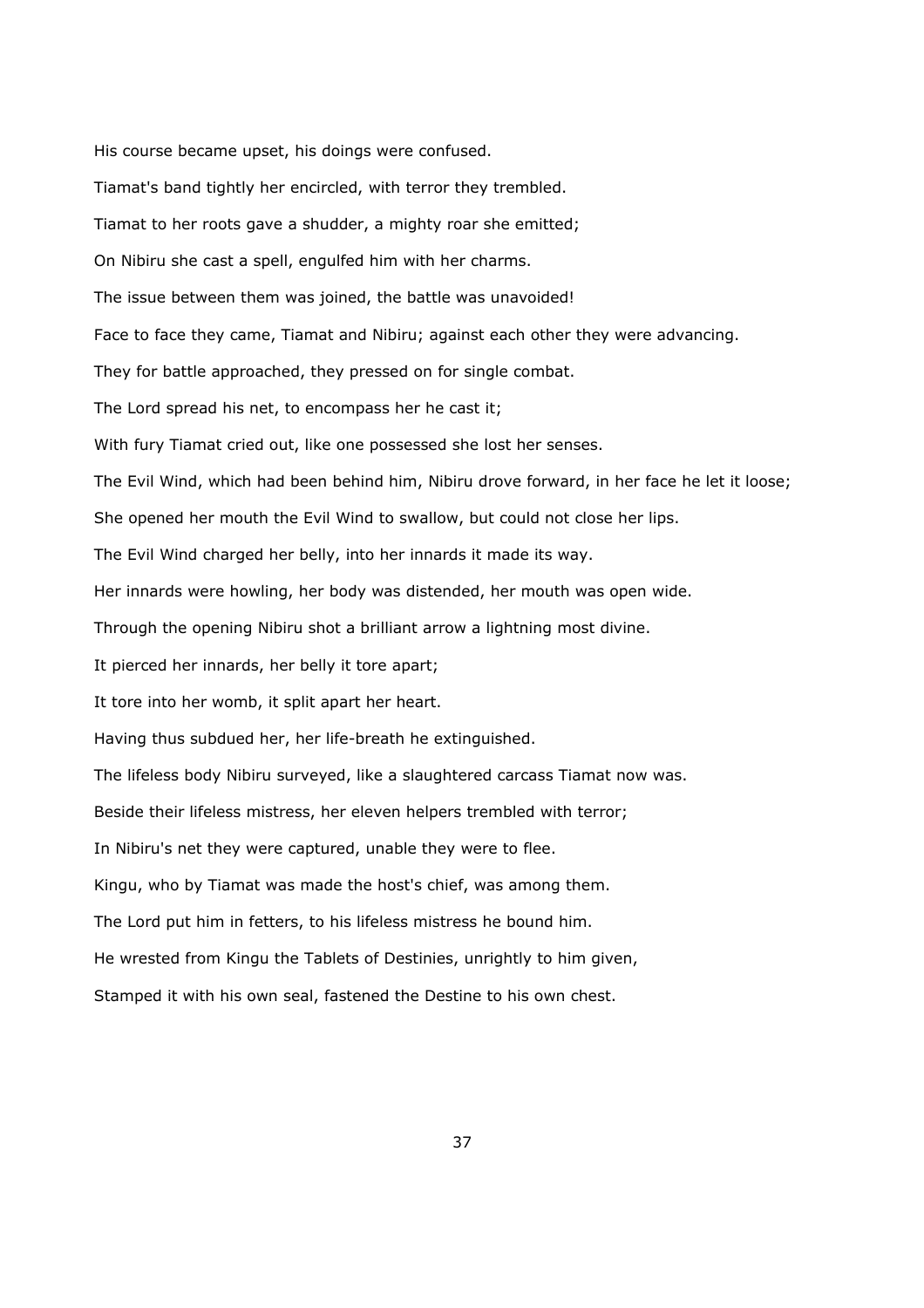His course became upset, his doings were confused.

Tiamat's band tightly her encircled, with terror they trembled. Tiamat to her roots gave a shudder, a mighty roar she emitted; On Nibiru she cast a spell, engulfed him with her charms. The issue between them was joined, the battle was unavoided! Face to face they came, Tiamat and Nibiru; against each other they were advancing. They for battle approached, they pressed on for single combat. The Lord spread his net, to encompass her he cast it; With fury Tiamat cried out, like one possessed she lost her senses. The Evil Wind, which had been behind him, Nibiru drove forward, in her face he let it loose; She opened her mouth the Evil Wind to swallow, but could not close her lips. The Evil Wind charged her belly, into her innards it made its way. Her innards were howling, her body was distended, her mouth was open wide. Through the opening Nibiru shot a brilliant arrow a lightning most divine. It pierced her innards, her belly it tore apart; It tore into her womb, it split apart her heart. Having thus subdued her, her life-breath he extinguished. The lifeless body Nibiru surveyed, like a slaughtered carcass Tiamat now was. Beside their lifeless mistress, her eleven helpers trembled with terror; In Nibiru's net they were captured, unable they were to flee. Kingu, who by Tiamat was made the host's chief, was among them. The Lord put him in fetters, to his lifeless mistress he bound him. He wrested from Kingu the Tablets of Destinies, unrightly to him given, Stamped it with his own seal, fastened the Destine to his own chest.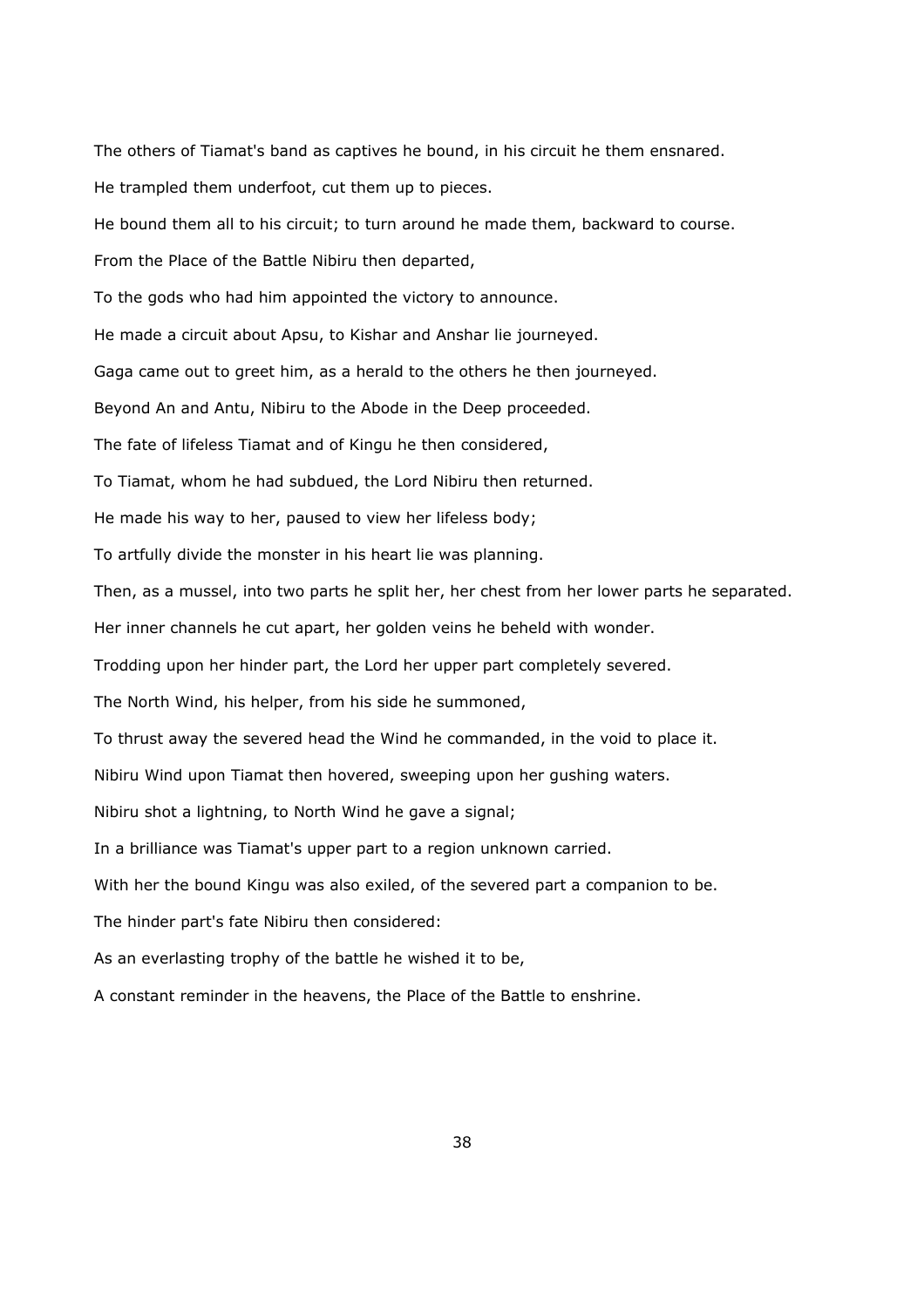The others of Tiamat's band as captives he bound, in his circuit he them ensnared.

He trampled them underfoot, cut them up to pieces.

He bound them all to his circuit; to turn around he made them, backward to course.

From the Place of the Battle Nibiru then departed,

To the gods who had him appointed the victory to announce.

He made a circuit about Apsu, to Kishar and Anshar lie journeyed.

Gaga came out to greet him, as a herald to the others he then journeyed.

Beyond An and Antu, Nibiru to the Abode in the Deep proceeded.

The fate of lifeless Tiamat and of Kingu he then considered,

To Tiamat, whom he had subdued, the Lord Nibiru then returned.

He made his way to her, paused to view her lifeless body;

To artfully divide the monster in his heart lie was planning.

Then, as a mussel, into two parts he split her, her chest from her lower parts he separated.

Her inner channels he cut apart, her golden veins he beheld with wonder.

Trodding upon her hinder part, the Lord her upper part completely severed.

The North Wind, his helper, from his side he summoned,

To thrust away the severed head the Wind he commanded, in the void to place it.

Nibiru Wind upon Tiamat then hovered, sweeping upon her gushing waters.

Nibiru shot a lightning, to North Wind he gave a signal;

In a brilliance was Tiamat's upper part to a region unknown carried.

With her the bound Kingu was also exiled, of the severed part a companion to be.

The hinder part's fate Nibiru then considered:

As an everlasting trophy of the battle he wished it to be,

A constant reminder in the heavens, the Place of the Battle to enshrine.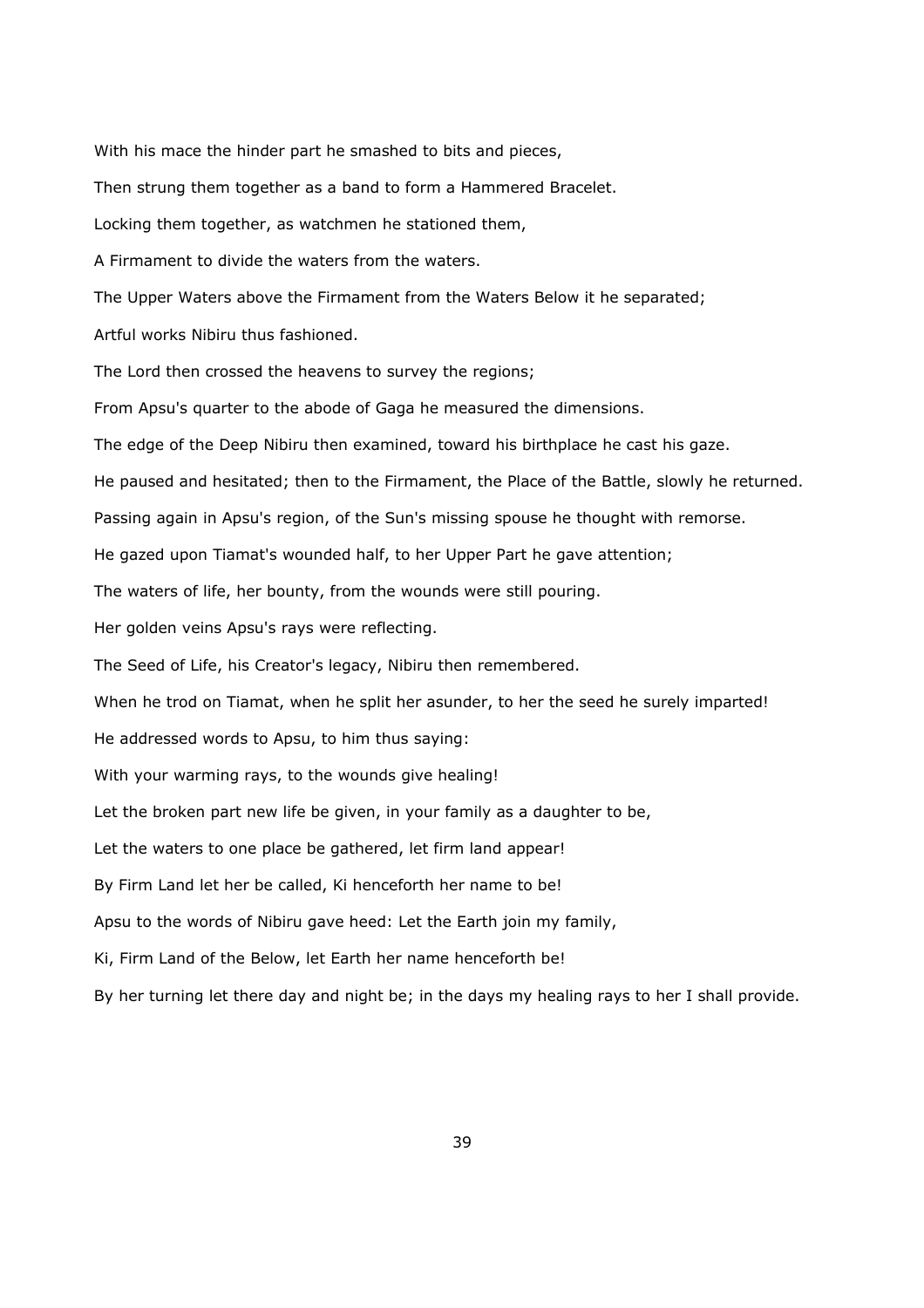With his mace the hinder part he smashed to bits and pieces,

Then strung them together as a band to form a Hammered Bracelet.

Locking them together, as watchmen he stationed them,

A Firmament to divide the waters from the waters.

The Upper Waters above the Firmament from the Waters Below it he separated;

Artful works Nibiru thus fashioned.

The Lord then crossed the heavens to survey the regions;

From Apsu's quarter to the abode of Gaga he measured the dimensions.

The edge of the Deep Nibiru then examined, toward his birthplace he cast his gaze.

He paused and hesitated; then to the Firmament, the Place of the Battle, slowly he returned.

Passing again in Apsu's region, of the Sun's missing spouse he thought with remorse.

He gazed upon Tiamat's wounded half, to her Upper Part he gave attention;

The waters of life, her bounty, from the wounds were still pouring.

Her golden veins Apsu's rays were reflecting.

The Seed of Life, his Creator's legacy, Nibiru then remembered.

When he trod on Tiamat, when he split her asunder, to her the seed he surely imparted!

He addressed words to Apsu, to him thus saying:

With your warming rays, to the wounds give healing!

Let the broken part new life be given, in your family as a daughter to be,

Let the waters to one place be gathered, let firm land appear!

By Firm Land let her be called, Ki henceforth her name to be!

Apsu to the words of Nibiru gave heed: Let the Earth join my family,

Ki, Firm Land of the Below, let Earth her name henceforth be!

By her turning let there day and night be; in the days my healing rays to her I shall provide.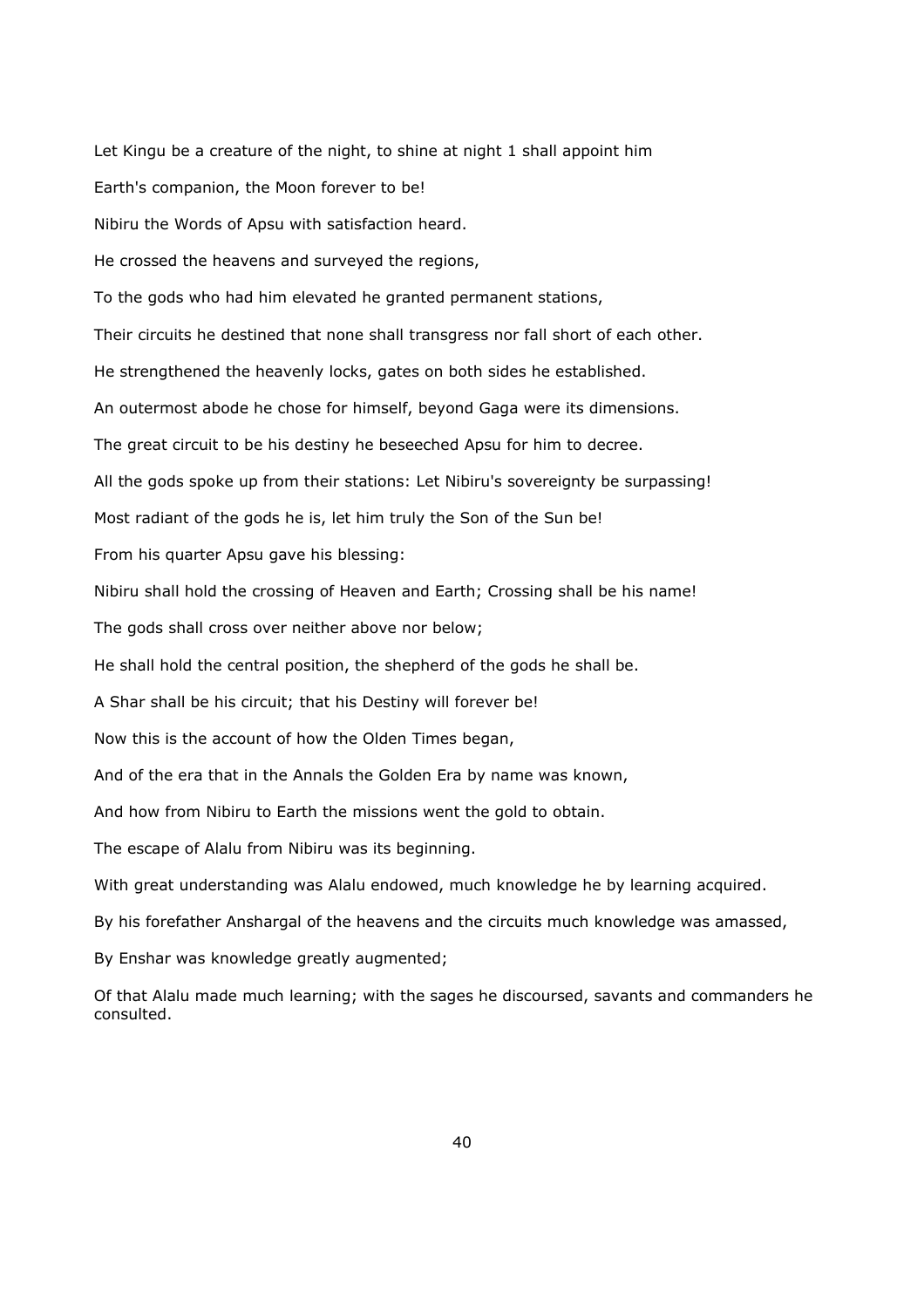Let Kingu be a creature of the night, to shine at night 1 shall appoint him Earth's companion, the Moon forever to be! Nibiru the Words of Apsu with satisfaction heard. He crossed the heavens and surveyed the regions, To the gods who had him elevated he granted permanent stations, Their circuits he destined that none shall transgress nor fall short of each other. He strengthened the heavenly locks, gates on both sides he established. An outermost abode he chose for himself, beyond Gaga were its dimensions. The great circuit to be his destiny he beseeched Apsu for him to decree. All the gods spoke up from their stations: Let Nibiru's sovereignty be surpassing! Most radiant of the gods he is, let him truly the Son of the Sun be! From his quarter Apsu gave his blessing: Nibiru shall hold the crossing of Heaven and Earth; Crossing shall be his name! The gods shall cross over neither above nor below; He shall hold the central position, the shepherd of the gods he shall be. A Shar shall be his circuit; that his Destiny will forever be! Now this is the account of how the Olden Times began, And of the era that in the Annals the Golden Era by name was known, And how from Nibiru to Earth the missions went the gold to obtain. The escape of Alalu from Nibiru was its beginning. With great understanding was Alalu endowed, much knowledge he by learning acquired. By his forefather Anshargal of the heavens and the circuits much knowledge was amassed, By Enshar was knowledge greatly augmented; Of that Alalu made much learning; with the sages he discoursed, savants and commanders he

consulted.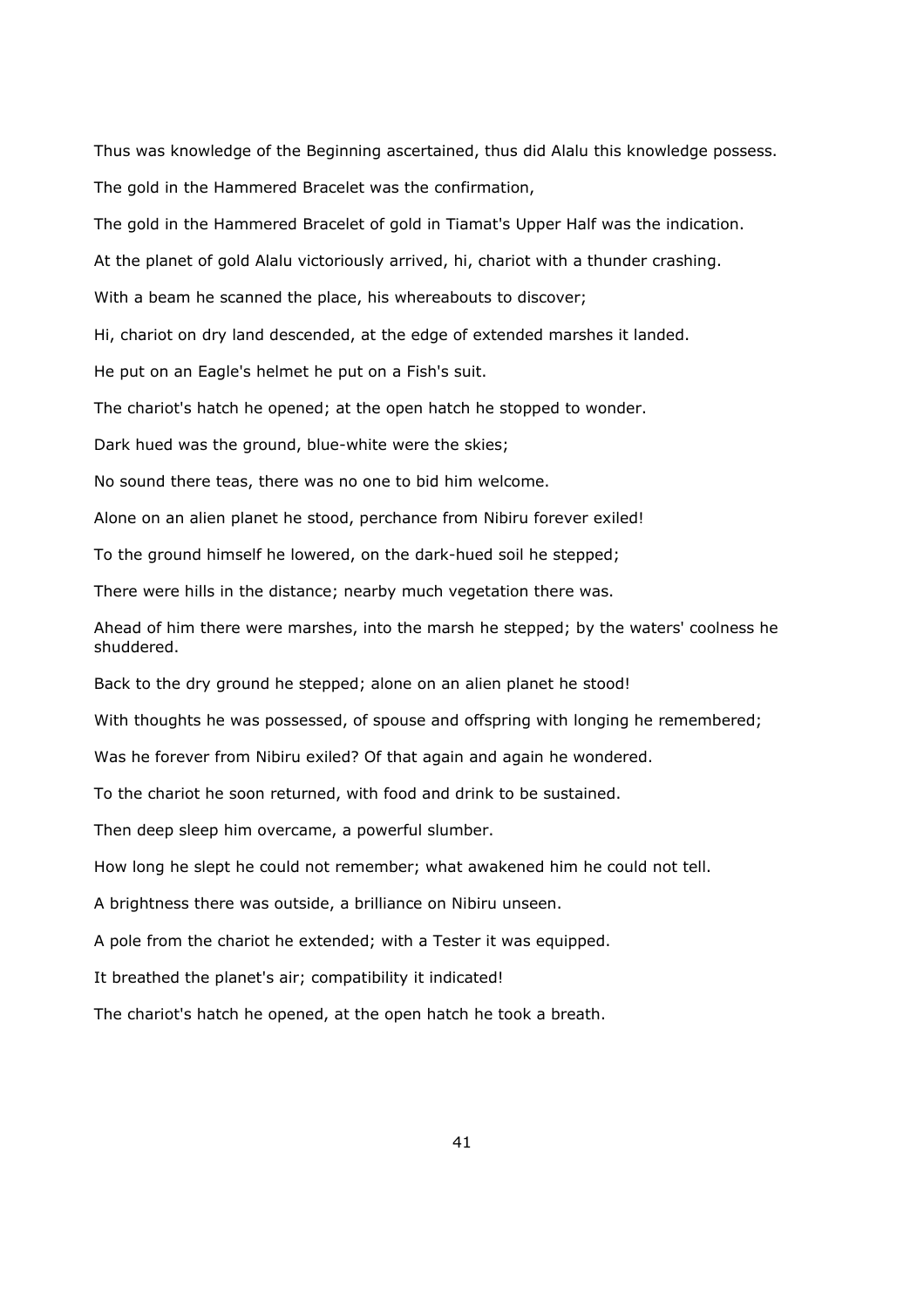Thus was knowledge of the Beginning ascertained, thus did Alalu this knowledge possess.

The gold in the Hammered Bracelet was the confirmation,

The gold in the Hammered Bracelet of gold in Tiamat's Upper Half was the indication.

At the planet of gold Alalu victoriously arrived, hi, chariot with a thunder crashing.

With a beam he scanned the place, his whereabouts to discover;

Hi, chariot on dry land descended, at the edge of extended marshes it landed.

He put on an Eagle's helmet he put on a Fish's suit.

The chariot's hatch he opened; at the open hatch he stopped to wonder.

Dark hued was the ground, blue-white were the skies;

No sound there teas, there was no one to bid him welcome.

Alone on an alien planet he stood, perchance from Nibiru forever exiled!

To the ground himself he lowered, on the dark-hued soil he stepped;

There were hills in the distance; nearby much vegetation there was.

Ahead of him there were marshes, into the marsh he stepped; by the waters' coolness he shuddered.

Back to the dry ground he stepped; alone on an alien planet he stood!

With thoughts he was possessed, of spouse and offspring with longing he remembered;

Was he forever from Nibiru exiled? Of that again and again he wondered.

To the chariot he soon returned, with food and drink to be sustained.

Then deep sleep him overcame, a powerful slumber.

How long he slept he could not remember; what awakened him he could not tell.

A brightness there was outside, a brilliance on Nibiru unseen.

A pole from the chariot he extended; with a Tester it was equipped.

It breathed the planet's air; compatibility it indicated!

The chariot's hatch he opened, at the open hatch he took a breath.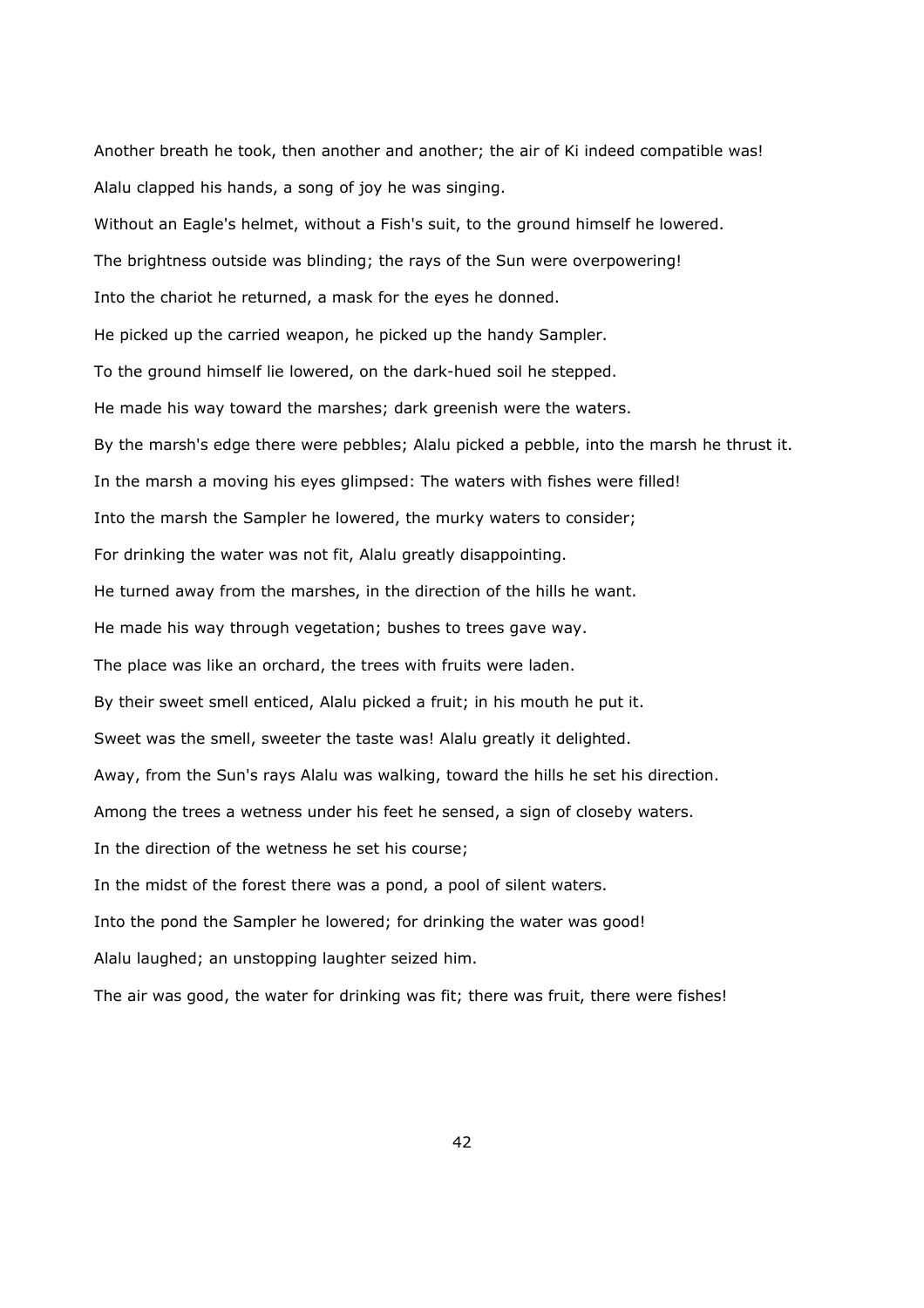Another breath he took, then another and another; the air of Ki indeed compatible was! Alalu clapped his hands, a song of joy he was singing. Without an Eagle's helmet, without a Fish's suit, to the ground himself he lowered. The brightness outside was blinding; the rays of the Sun were overpowering! Into the chariot he returned, a mask for the eyes he donned. He picked up the carried weapon, he picked up the handy Sampler. To the ground himself lie lowered, on the dark-hued soil he stepped. He made his way toward the marshes; dark greenish were the waters. By the marsh's edge there were pebbles; Alalu picked a pebble, into the marsh he thrust it. In the marsh a moving his eyes glimpsed: The waters with fishes were filled! Into the marsh the Sampler he lowered, the murky waters to consider; For drinking the water was not fit, Alalu greatly disappointing. He turned away from the marshes, in the direction of the hills he want. He made his way through vegetation; bushes to trees gave way. The place was like an orchard, the trees with fruits were laden. By their sweet smell enticed, Alalu picked a fruit; in his mouth he put it. Sweet was the smell, sweeter the taste was! Alalu greatly it delighted. Away, from the Sun's rays Alalu was walking, toward the hills he set his direction. Among the trees a wetness under his feet he sensed, a sign of closeby waters. In the direction of the wetness he set his course; In the midst of the forest there was a pond, a pool of silent waters. Into the pond the Sampler he lowered; for drinking the water was good! Alalu laughed; an unstopping laughter seized him. The air was good, the water for drinking was fit; there was fruit, there were fishes!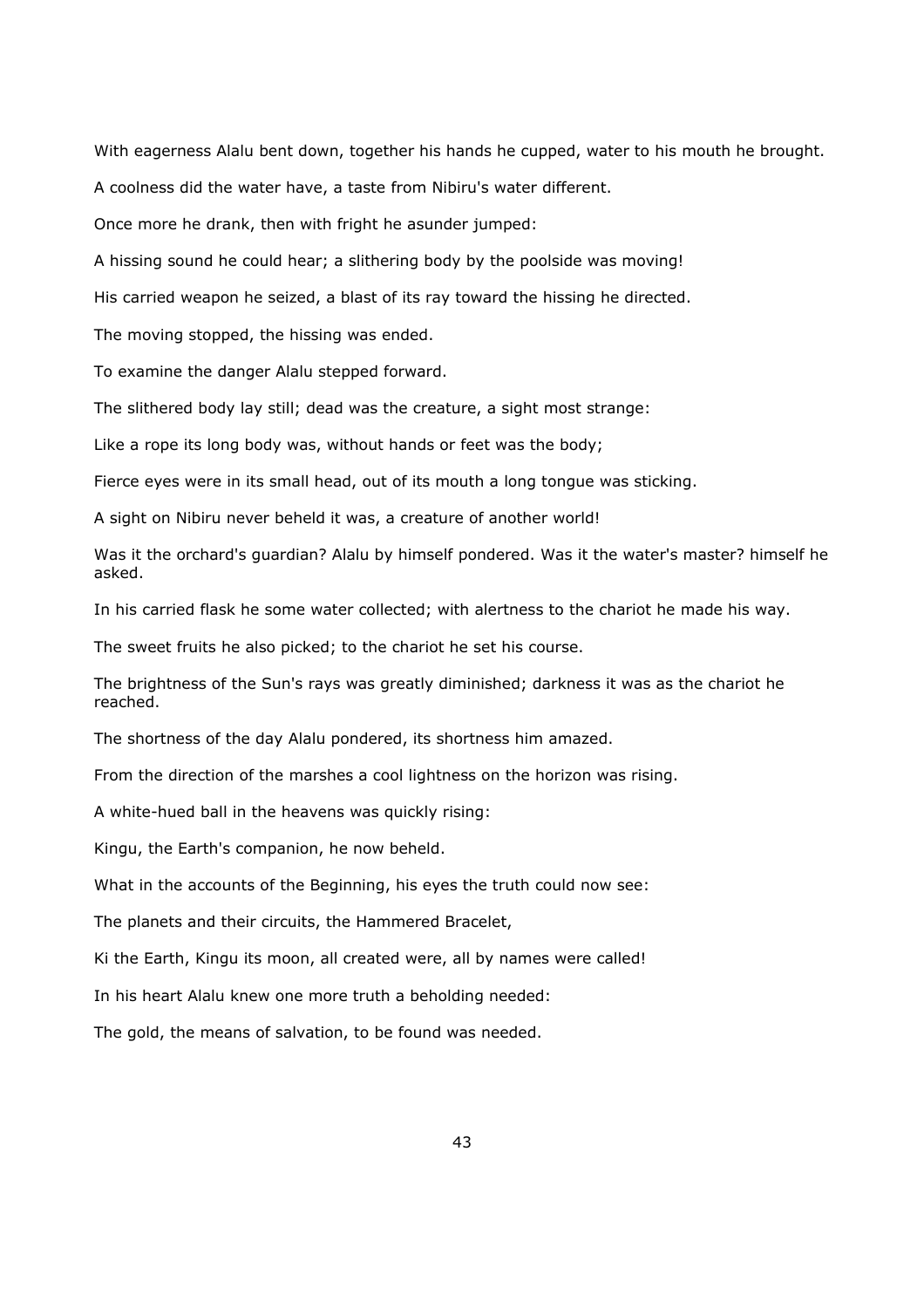With eagerness Alalu bent down, together his hands he cupped, water to his mouth he brought.

A coolness did the water have, a taste from Nibiru's water different.

Once more he drank, then with fright he asunder jumped:

A hissing sound he could hear; a slithering body by the poolside was moving!

His carried weapon he seized, a blast of its ray toward the hissing he directed.

The moving stopped, the hissing was ended.

To examine the danger Alalu stepped forward.

The slithered body lay still; dead was the creature, a sight most strange:

Like a rope its long body was, without hands or feet was the body;

Fierce eyes were in its small head, out of its mouth a long tongue was sticking.

A sight on Nibiru never beheld it was, a creature of another world!

Was it the orchard's guardian? Alalu by himself pondered. Was it the water's master? himself he asked.

In his carried flask he some water collected; with alertness to the chariot he made his way.

The sweet fruits he also picked; to the chariot he set his course.

The brightness of the Sun's rays was greatly diminished; darkness it was as the chariot he reached.

The shortness of the day Alalu pondered, its shortness him amazed.

From the direction of the marshes a cool lightness on the horizon was rising.

A white-hued ball in the heavens was quickly rising:

Kingu, the Earth's companion, he now beheld.

What in the accounts of the Beginning, his eyes the truth could now see:

The planets and their circuits, the Hammered Bracelet,

Ki the Earth, Kingu its moon, all created were, all by names were called!

In his heart Alalu knew one more truth a beholding needed:

The gold, the means of salvation, to be found was needed.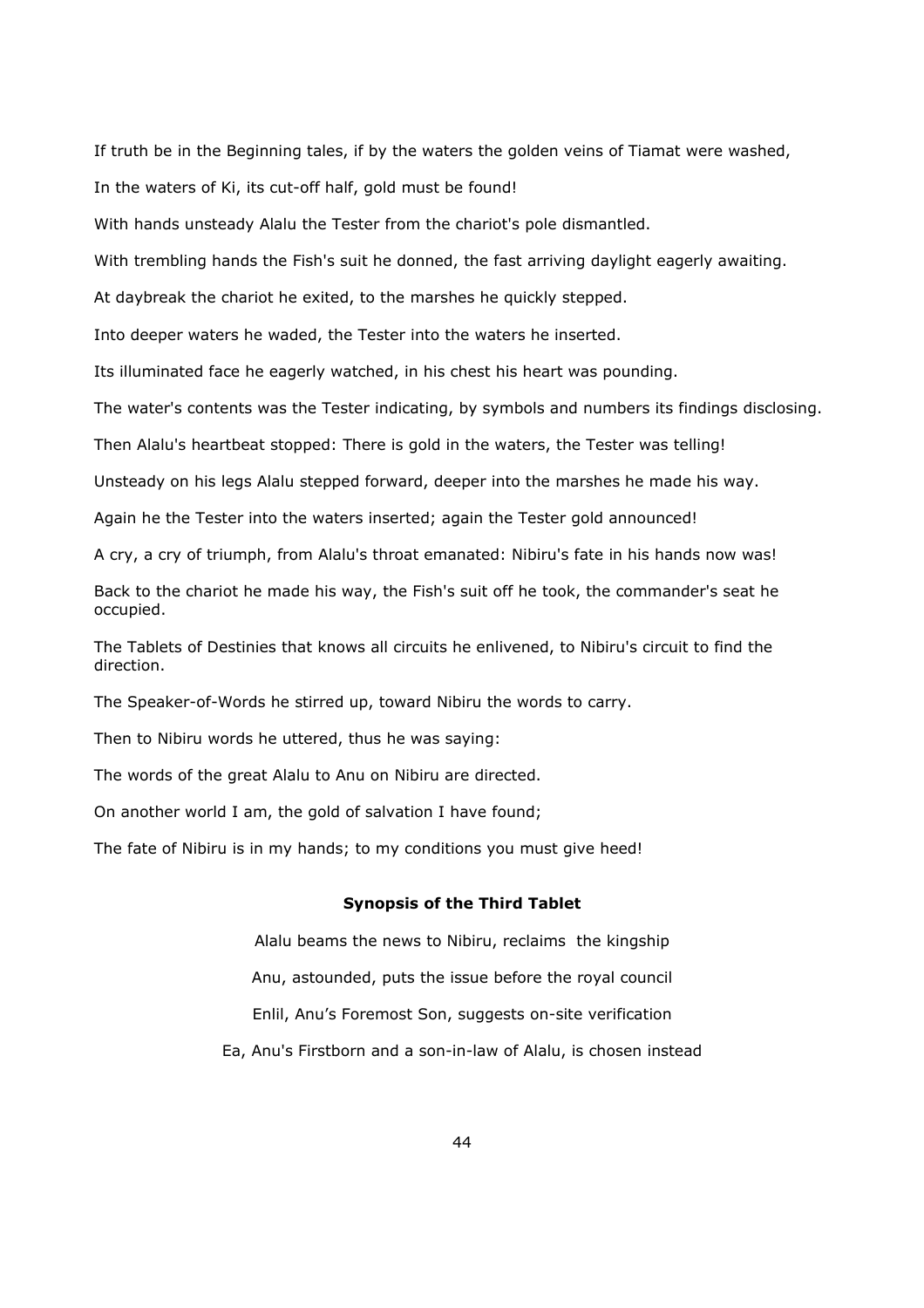If truth be in the Beginning tales, if by the waters the golden veins of Tiamat were washed,

In the waters of Ki, its cut-off half, gold must be found!

With hands unsteady Alalu the Tester from the chariot's pole dismantled.

With trembling hands the Fish's suit he donned, the fast arriving daylight eagerly awaiting.

At daybreak the chariot he exited, to the marshes he quickly stepped.

Into deeper waters he waded, the Tester into the waters he inserted.

Its illuminated face he eagerly watched, in his chest his heart was pounding.

The water's contents was the Tester indicating, by symbols and numbers its findings disclosing.

Then Alalu's heartbeat stopped: There is gold in the waters, the Tester was telling!

Unsteady on his legs Alalu stepped forward, deeper into the marshes he made his way.

Again he the Tester into the waters inserted; again the Tester gold announced!

A cry, a cry of triumph, from Alalu's throat emanated: Nibiru's fate in his hands now was!

Back to the chariot he made his way, the Fish's suit off he took, the commander's seat he occupied.

The Tablets of Destinies that knows all circuits he enlivened, to Nibiru's circuit to find the direction.

The Speaker-of-Words he stirred up, toward Nibiru the words to carry.

Then to Nibiru words he uttered, thus he was saying:

The words of the great Alalu to Anu on Nibiru are directed.

On another world I am, the gold of salvation I have found;

The fate of Nibiru is in my hands; to my conditions you must give heed!

## **Synopsis of the Third Tablet**

Alalu beams the news to Nibiru, reclaims the kingship Anu, astounded, puts the issue before the royal council Enlil, Anu's Foremost Son, suggests on-site verification Ea, Anu's Firstborn and a son-in-law of Alalu, is chosen instead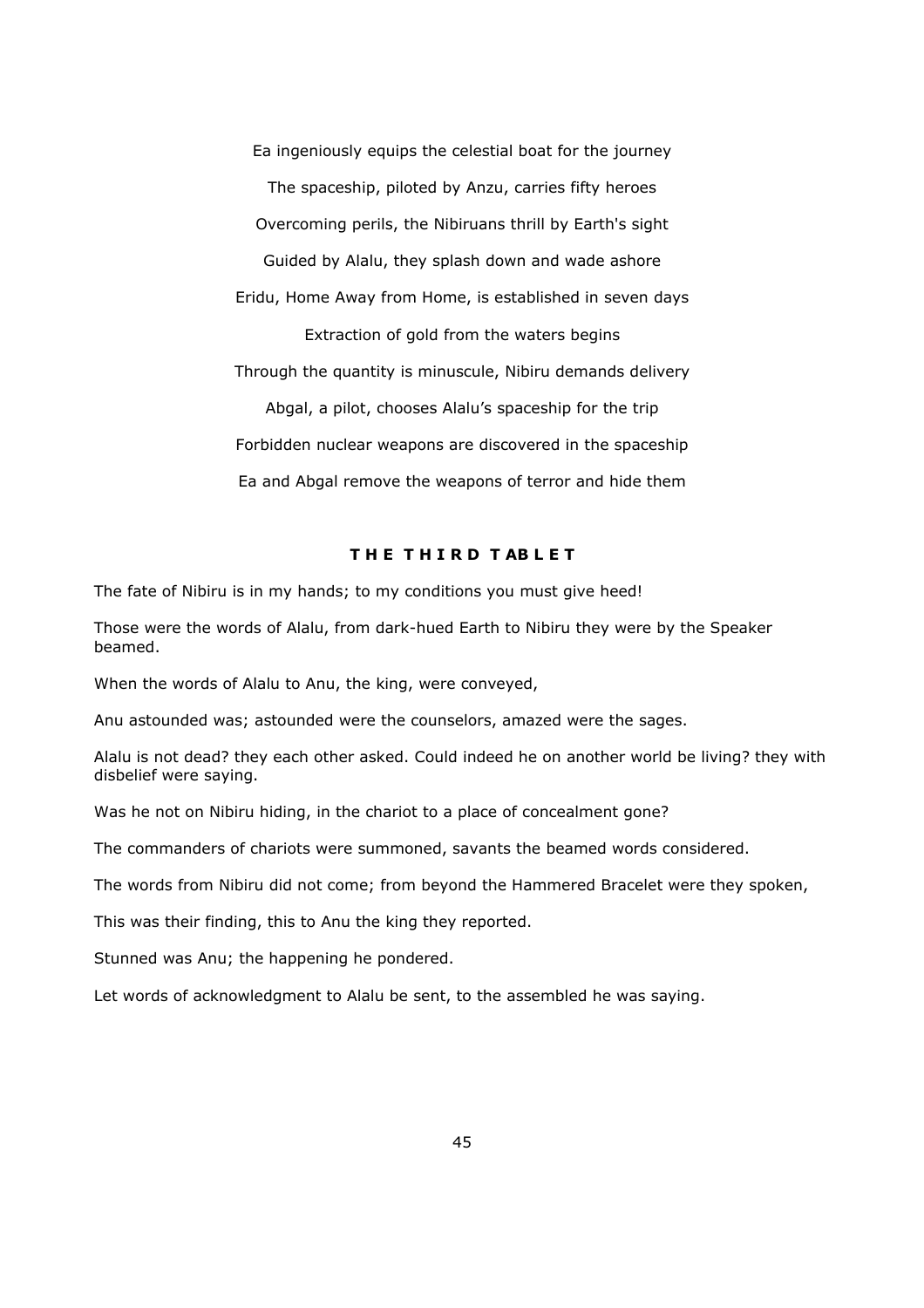Ea ingeniously equips the celestial boat for the journey The spaceship, piloted by Anzu, carries fifty heroes Overcoming perils, the Nibiruans thrill by Earth's sight Guided by Alalu, they splash down and wade ashore Eridu, Home Away from Home, is established in seven days Extraction of gold from the waters begins Through the quantity is minuscule, Nibiru demands delivery Abgal, a pilot, chooses Alalu's spaceship for the trip Forbidden nuclear weapons are discovered in the spaceship Ea and Abgal remove the weapons of terror and hide them

## **T H E T H I R D T AB L E T**

The fate of Nibiru is in my hands; to my conditions you must give heed!

Those were the words of Alalu, from dark-hued Earth to Nibiru they were by the Speaker beamed.

When the words of Alalu to Anu, the king, were conveyed,

Anu astounded was; astounded were the counselors, amazed were the sages.

Alalu is not dead? they each other asked. Could indeed he on another world be living? they with disbelief were saying.

Was he not on Nibiru hiding, in the chariot to a place of concealment gone?

The commanders of chariots were summoned, savants the beamed words considered.

The words from Nibiru did not come; from beyond the Hammered Bracelet were they spoken,

This was their finding, this to Anu the king they reported.

Stunned was Anu; the happening he pondered.

Let words of acknowledgment to Alalu be sent, to the assembled he was saying.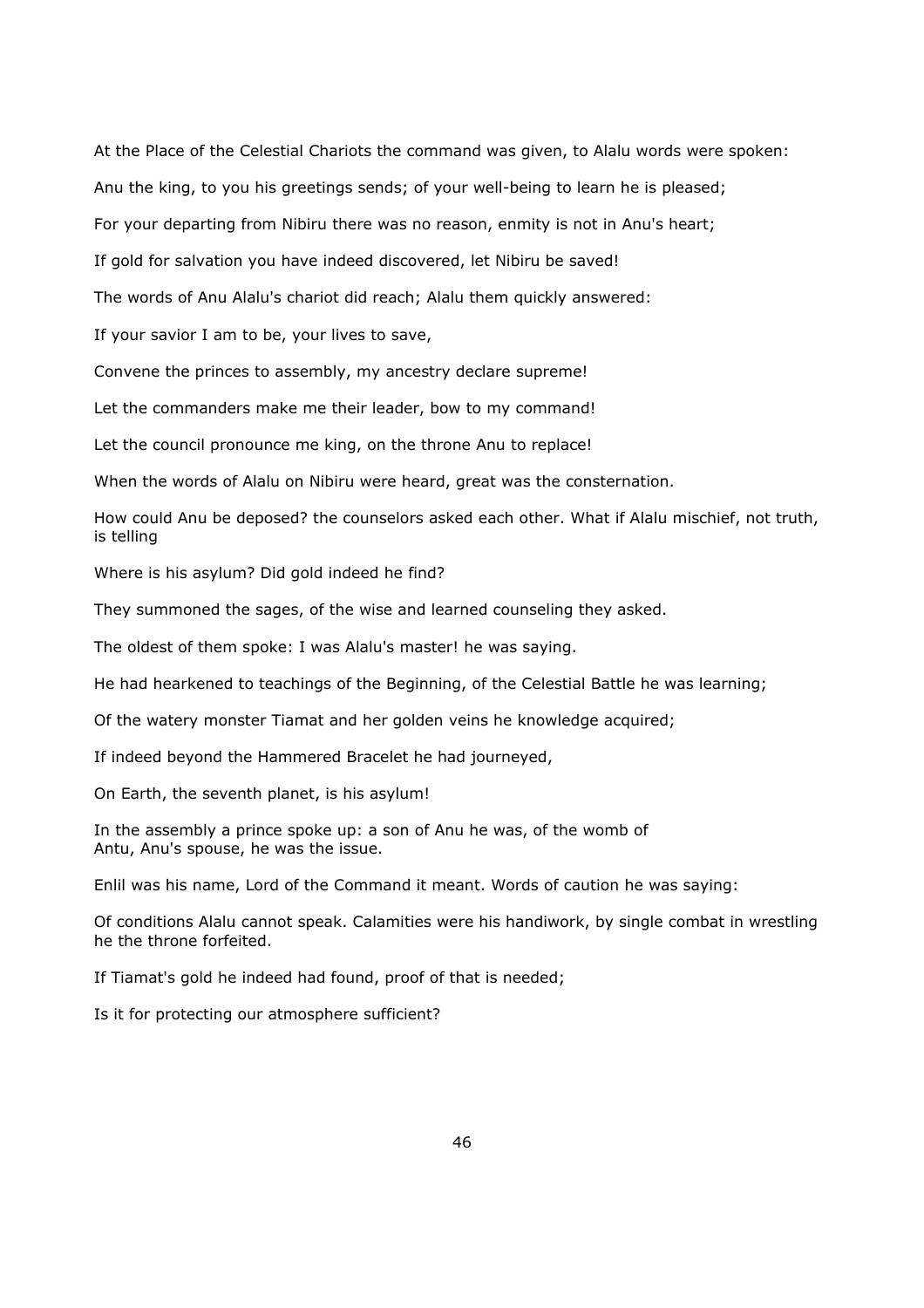At the Place of the Celestial Chariots the command was given, to Alalu words were spoken:

Anu the king, to you his greetings sends; of your well-being to learn he is pleased;

For your departing from Nibiru there was no reason, enmity is not in Anu's heart;

If gold for salvation you have indeed discovered, let Nibiru be saved!

The words of Anu Alalu's chariot did reach; Alalu them quickly answered:

If your savior I am to be, your lives to save,

Convene the princes to assembly, my ancestry declare supreme!

Let the commanders make me their leader, bow to my command!

Let the council pronounce me king, on the throne Anu to replace!

When the words of Alalu on Nibiru were heard, great was the consternation.

How could Anu be deposed? the counselors asked each other. What if Alalu mischief, not truth, is telling

Where is his asylum? Did gold indeed he find?

They summoned the sages, of the wise and learned counseling they asked.

The oldest of them spoke: I was Alalu's master! he was saying.

He had hearkened to teachings of the Beginning, of the Celestial Battle he was learning;

Of the watery monster Tiamat and her golden veins he knowledge acquired;

If indeed beyond the Hammered Bracelet he had journeyed,

On Earth, the seventh planet, is his asylum!

In the assembly a prince spoke up: a son of Anu he was, of the womb of Antu, Anu's spouse, he was the issue.

Enlil was his name, Lord of the Command it meant. Words of caution he was saying:

Of conditions Alalu cannot speak. Calamities were his handiwork, by single combat in wrestling he the throne forfeited.

If Tiamat's gold he indeed had found, proof of that is needed;

Is it for protecting our atmosphere sufficient?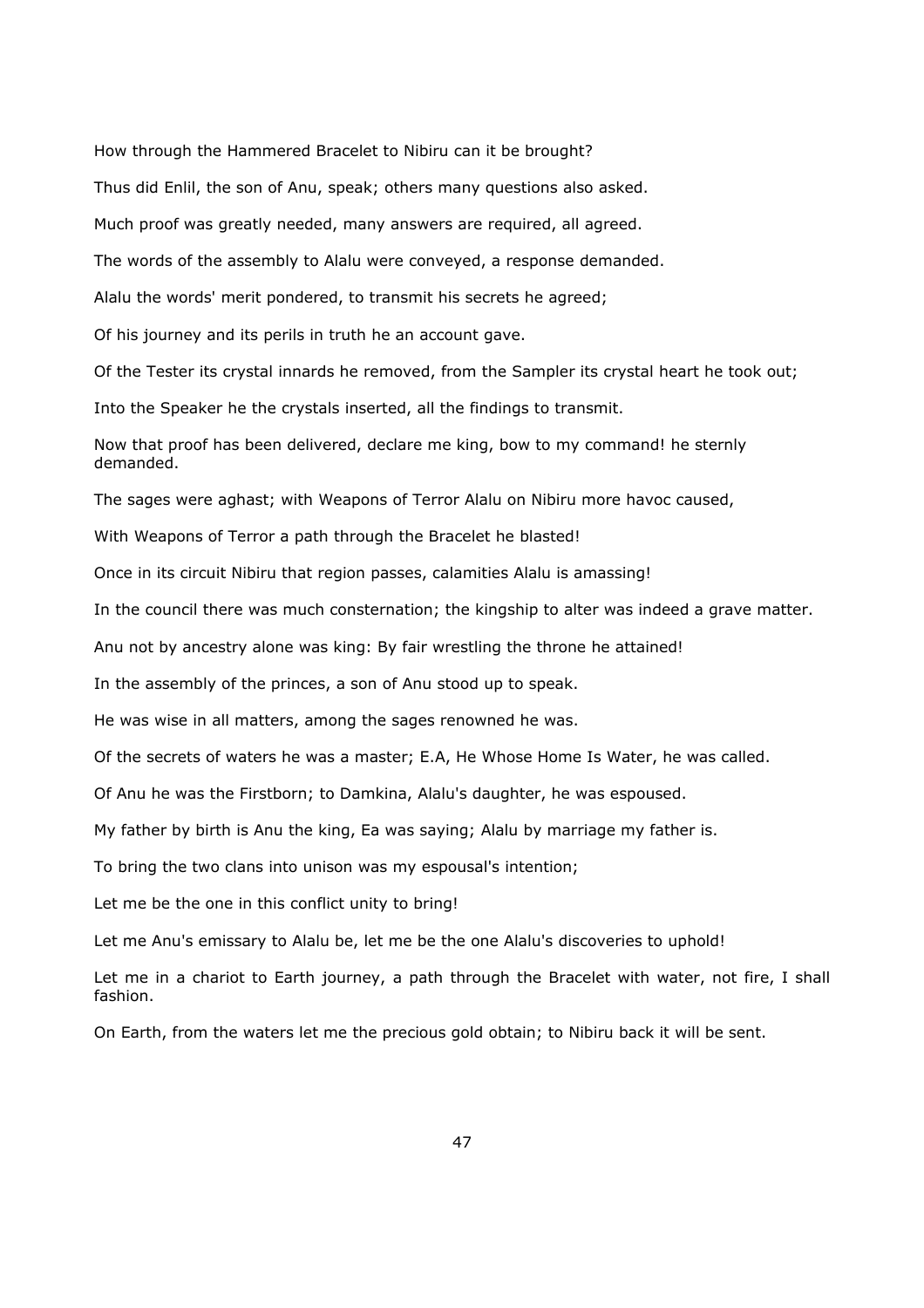How through the Hammered Bracelet to Nibiru can it be brought? Thus did Enlil, the son of Anu, speak; others many questions also asked. Much proof was greatly needed, many answers are required, all agreed. The words of the assembly to Alalu were conveyed, a response demanded. Alalu the words' merit pondered, to transmit his secrets he agreed; Of his journey and its perils in truth he an account gave.

Of the Tester its crystal innards he removed, from the Sampler its crystal heart he took out; Into the Speaker he the crystals inserted, all the findings to transmit.

Now that proof has been delivered, declare me king, bow to my command! he sternly demanded.

The sages were aghast; with Weapons of Terror Alalu on Nibiru more havoc caused,

With Weapons of Terror a path through the Bracelet he blasted!

Once in its circuit Nibiru that region passes, calamities Alalu is amassing!

In the council there was much consternation; the kingship to alter was indeed a grave matter.

Anu not by ancestry alone was king: By fair wrestling the throne he attained!

In the assembly of the princes, a son of Anu stood up to speak.

He was wise in all matters, among the sages renowned he was.

Of the secrets of waters he was a master; E.A, He Whose Home Is Water, he was called.

Of Anu he was the Firstborn; to Damkina, Alalu's daughter, he was espoused.

My father by birth is Anu the king, Ea was saying; Alalu by marriage my father is.

To bring the two clans into unison was my espousal's intention;

Let me be the one in this conflict unity to bring!

Let me Anu's emissary to Alalu be, let me be the one Alalu's discoveries to uphold!

Let me in a chariot to Earth journey, a path through the Bracelet with water, not fire, I shall fashion.

On Earth, from the waters let me the precious gold obtain; to Nibiru back it will be sent.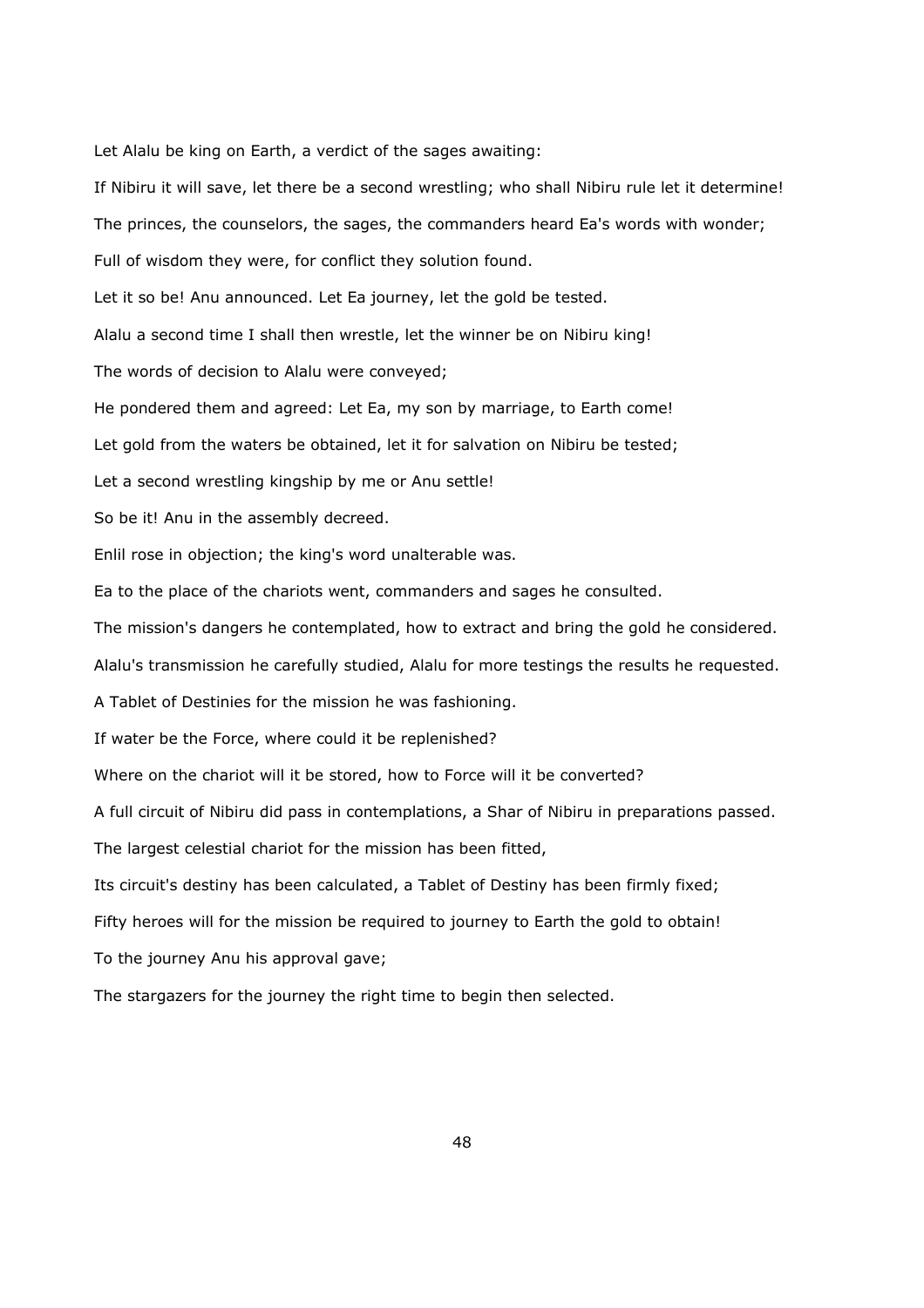Let Alalu be king on Earth, a verdict of the sages awaiting:

If Nibiru it will save, let there be a second wrestling; who shall Nibiru rule let it determine! The princes, the counselors, the sages, the commanders heard Ea's words with wonder; Full of wisdom they were, for conflict they solution found. Let it so be! Anu announced. Let Ea journey, let the gold be tested. Alalu a second time I shall then wrestle, let the winner be on Nibiru king! The words of decision to Alalu were conveyed; He pondered them and agreed: Let Ea, my son by marriage, to Earth come! Let gold from the waters be obtained, let it for salvation on Nibiru be tested; Let a second wrestling kingship by me or Anu settle! So be it! Anu in the assembly decreed. Enlil rose in objection; the king's word unalterable was. Ea to the place of the chariots went, commanders and sages he consulted. The mission's dangers he contemplated, how to extract and bring the gold he considered. Alalu's transmission he carefully studied, Alalu for more testings the results he requested. A Tablet of Destinies for the mission he was fashioning. If water be the Force, where could it be replenished? Where on the chariot will it be stored, how to Force will it be converted? A full circuit of Nibiru did pass in contemplations, a Shar of Nibiru in preparations passed. The largest celestial chariot for the mission has been fitted, Its circuit's destiny has been calculated, a Tablet of Destiny has been firmly fixed; Fifty heroes will for the mission be required to journey to Earth the gold to obtain! To the journey Anu his approval gave; The stargazers for the journey the right time to begin then selected.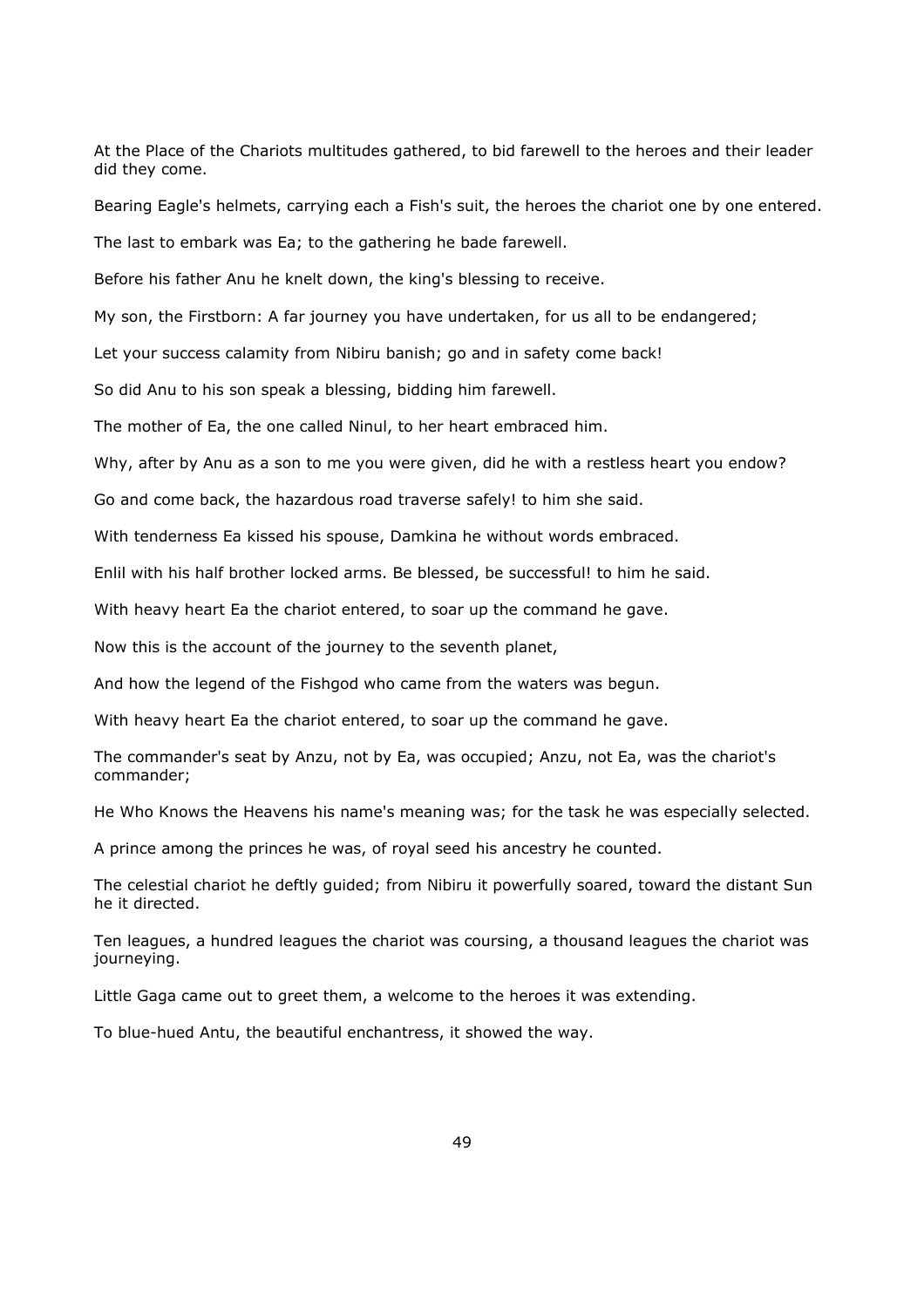At the Place of the Chariots multitudes gathered, to bid farewell to the heroes and their leader did they come.

Bearing Eagle's helmets, carrying each a Fish's suit, the heroes the chariot one by one entered.

The last to embark was Ea; to the gathering he bade farewell.

Before his father Anu he knelt down, the king's blessing to receive.

My son, the Firstborn: A far journey you have undertaken, for us all to be endangered;

Let your success calamity from Nibiru banish; go and in safety come back!

So did Anu to his son speak a blessing, bidding him farewell.

The mother of Ea, the one called Ninul, to her heart embraced him.

Why, after by Anu as a son to me you were given, did he with a restless heart you endow?

Go and come back, the hazardous road traverse safely! to him she said.

With tenderness Ea kissed his spouse, Damkina he without words embraced.

Enlil with his half brother locked arms. Be blessed, be successful! to him he said.

With heavy heart Ea the chariot entered, to soar up the command he gave.

Now this is the account of the journey to the seventh planet,

And how the legend of the Fishgod who came from the waters was begun.

With heavy heart Ea the chariot entered, to soar up the command he gave.

The commander's seat by Anzu, not by Ea, was occupied; Anzu, not Ea, was the chariot's commander;

He Who Knows the Heavens his name's meaning was; for the task he was especially selected.

A prince among the princes he was, of royal seed his ancestry he counted.

The celestial chariot he deftly guided; from Nibiru it powerfully soared, toward the distant Sun he it directed.

Ten leagues, a hundred leagues the chariot was coursing, a thousand leagues the chariot was journeying.

Little Gaga came out to greet them, a welcome to the heroes it was extending.

To blue-hued Antu, the beautiful enchantress, it showed the way.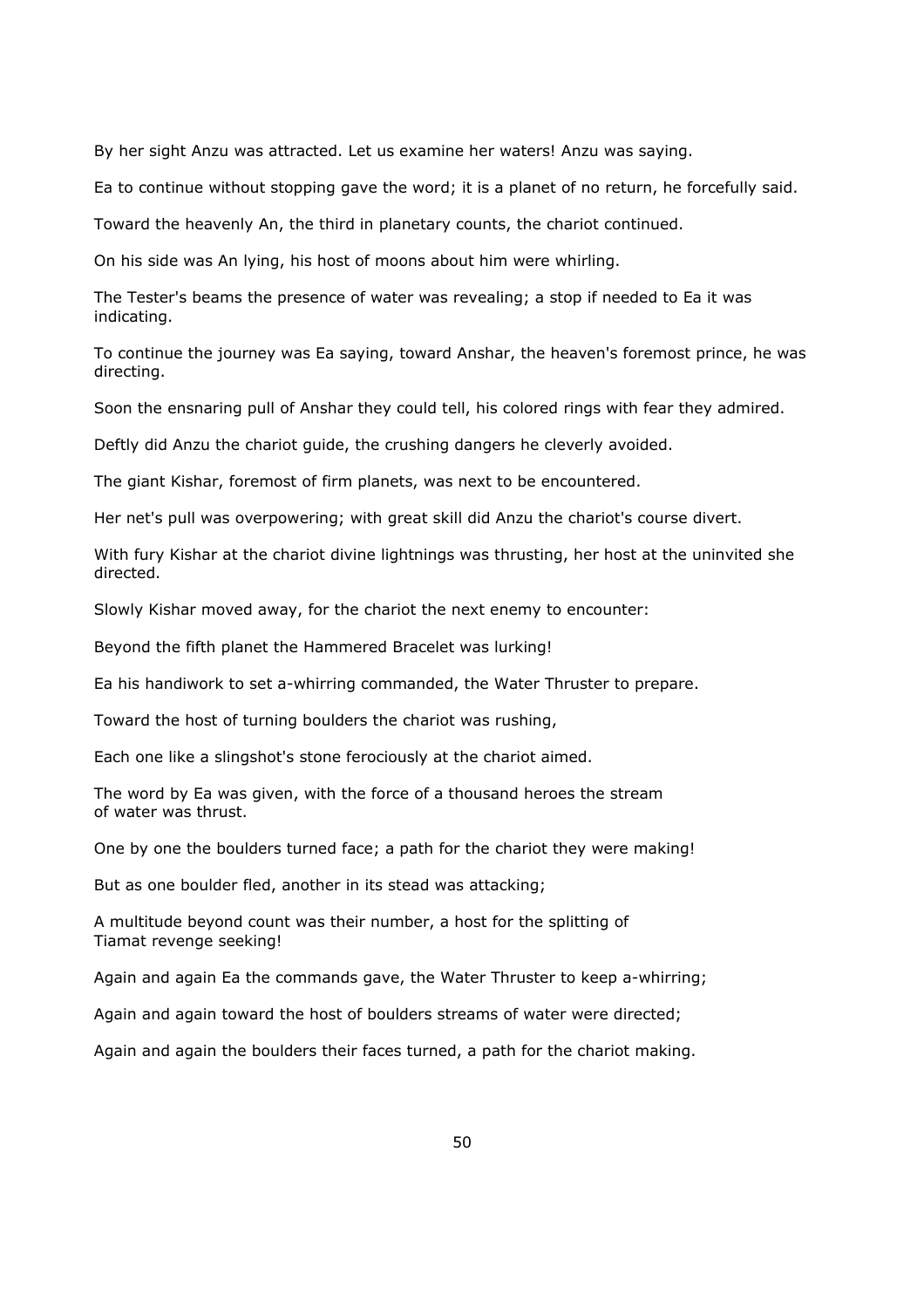By her sight Anzu was attracted. Let us examine her waters! Anzu was saying.

Ea to continue without stopping gave the word; it is a planet of no return, he forcefully said.

Toward the heavenly An, the third in planetary counts, the chariot continued.

On his side was An lying, his host of moons about him were whirling.

The Tester's beams the presence of water was revealing; a stop if needed to Ea it was indicating.

To continue the journey was Ea saying, toward Anshar, the heaven's foremost prince, he was directing.

Soon the ensnaring pull of Anshar they could tell, his colored rings with fear they admired.

Deftly did Anzu the chariot guide, the crushing dangers he cleverly avoided.

The giant Kishar, foremost of firm planets, was next to be encountered.

Her net's pull was overpowering; with great skill did Anzu the chariot's course divert.

With fury Kishar at the chariot divine lightnings was thrusting, her host at the uninvited she directed.

Slowly Kishar moved away, for the chariot the next enemy to encounter:

Beyond the fifth planet the Hammered Bracelet was lurking!

Ea his handiwork to set a-whirring commanded, the Water Thruster to prepare.

Toward the host of turning boulders the chariot was rushing,

Each one like a slingshot's stone ferociously at the chariot aimed.

The word by Ea was given, with the force of a thousand heroes the stream of water was thrust.

One by one the boulders turned face; a path for the chariot they were making!

But as one boulder fled, another in its stead was attacking;

A multitude beyond count was their number, a host for the splitting of Tiamat revenge seeking!

Again and again Ea the commands gave, the Water Thruster to keep a-whirring;

Again and again toward the host of boulders streams of water were directed;

Again and again the boulders their faces turned, a path for the chariot making.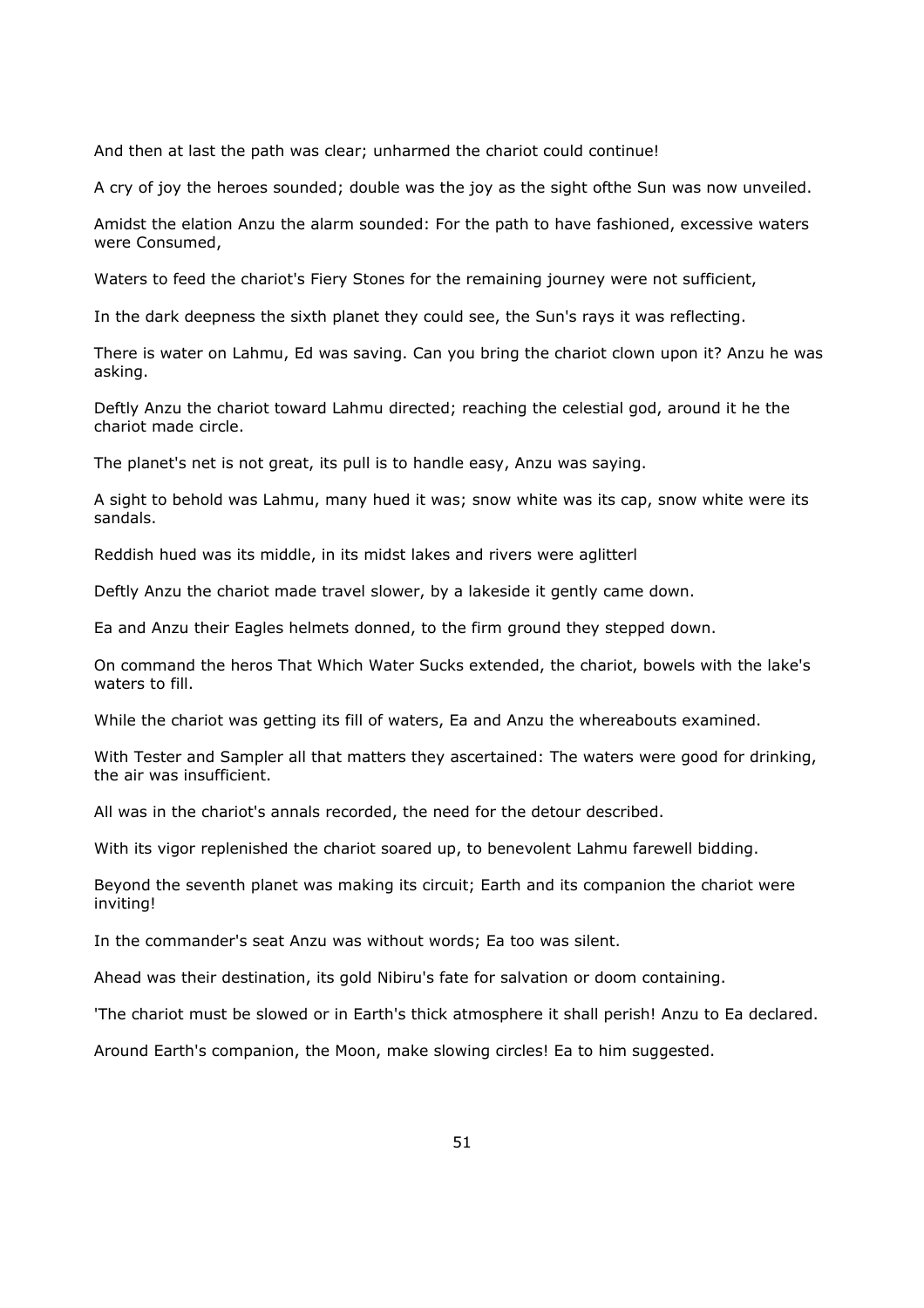And then at last the path was clear; unharmed the chariot could continue!

A cry of joy the heroes sounded; double was the joy as the sight ofthe Sun was now unveiled.

Amidst the elation Anzu the alarm sounded: For the path to have fashioned, excessive waters were Consumed,

Waters to feed the chariot's Fiery Stones for the remaining journey were not sufficient,

In the dark deepness the sixth planet they could see, the Sun's rays it was reflecting.

There is water on Lahmu, Ed was saving. Can you bring the chariot clown upon it? Anzu he was asking.

Deftly Anzu the chariot toward Lahmu directed; reaching the celestial god, around it he the chariot made circle.

The planet's net is not great, its pull is to handle easy, Anzu was saying.

A sight to behold was Lahmu, many hued it was; snow white was its cap, snow white were its sandals.

Reddish hued was its middle, in its midst lakes and rivers were aglitterl

Deftly Anzu the chariot made travel slower, by a lakeside it gently came down.

Ea and Anzu their Eagles helmets donned, to the firm ground they stepped down.

On command the heros That Which Water Sucks extended, the chariot, bowels with the lake's waters to fill.

While the chariot was getting its fill of waters, Ea and Anzu the whereabouts examined.

With Tester and Sampler all that matters they ascertained: The waters were good for drinking, the air was insufficient.

All was in the chariot's annals recorded, the need for the detour described.

With its vigor replenished the chariot soared up, to benevolent Lahmu farewell bidding.

Beyond the seventh planet was making its circuit; Earth and its companion the chariot were inviting!

In the commander's seat Anzu was without words; Ea too was silent.

Ahead was their destination, its gold Nibiru's fate for salvation or doom containing.

'The chariot must be slowed or in Earth's thick atmosphere it shall perish! Anzu to Ea declared.

Around Earth's companion, the Moon, make slowing circles! Ea to him suggested.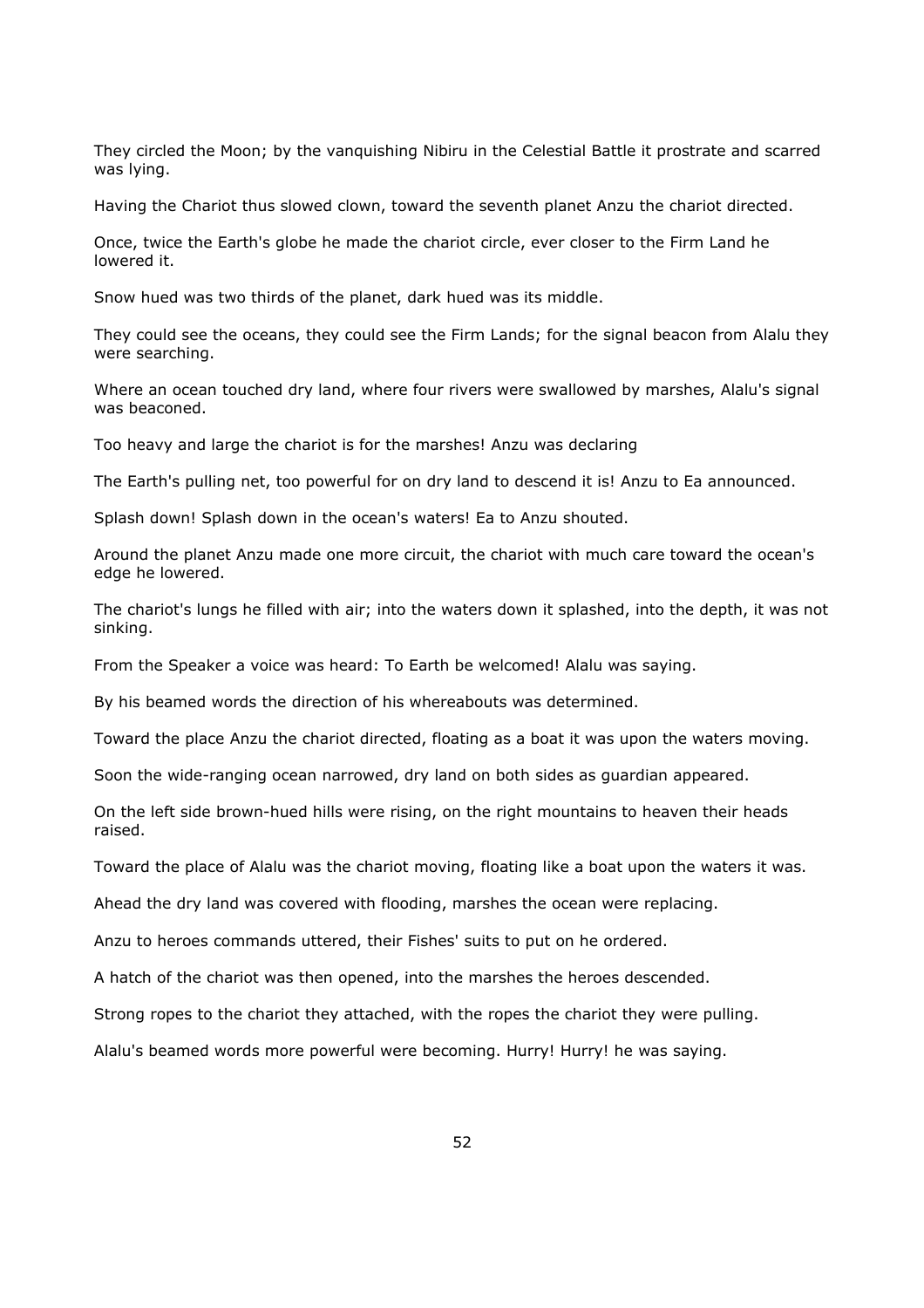They circled the Moon; by the vanquishing Nibiru in the Celestial Battle it prostrate and scarred was lying.

Having the Chariot thus slowed clown, toward the seventh planet Anzu the chariot directed.

Once, twice the Earth's globe he made the chariot circle, ever closer to the Firm Land he lowered it.

Snow hued was two thirds of the planet, dark hued was its middle.

They could see the oceans, they could see the Firm Lands; for the signal beacon from Alalu they were searching.

Where an ocean touched dry land, where four rivers were swallowed by marshes, Alalu's signal was beaconed.

Too heavy and large the chariot is for the marshes! Anzu was declaring

The Earth's pulling net, too powerful for on dry land to descend it is! Anzu to Ea announced.

Splash down! Splash down in the ocean's waters! Ea to Anzu shouted.

Around the planet Anzu made one more circuit, the chariot with much care toward the ocean's edge he lowered.

The chariot's lungs he filled with air; into the waters down it splashed, into the depth, it was not sinking.

From the Speaker a voice was heard: To Earth be welcomed! Alalu was saying.

By his beamed words the direction of his whereabouts was determined.

Toward the place Anzu the chariot directed, floating as a boat it was upon the waters moving.

Soon the wide-ranging ocean narrowed, dry land on both sides as guardian appeared.

On the left side brown-hued hills were rising, on the right mountains to heaven their heads raised.

Toward the place of Alalu was the chariot moving, floating like a boat upon the waters it was.

Ahead the dry land was covered with flooding, marshes the ocean were replacing.

Anzu to heroes commands uttered, their Fishes' suits to put on he ordered.

A hatch of the chariot was then opened, into the marshes the heroes descended.

Strong ropes to the chariot they attached, with the ropes the chariot they were pulling.

Alalu's beamed words more powerful were becoming. Hurry! Hurry! he was saying.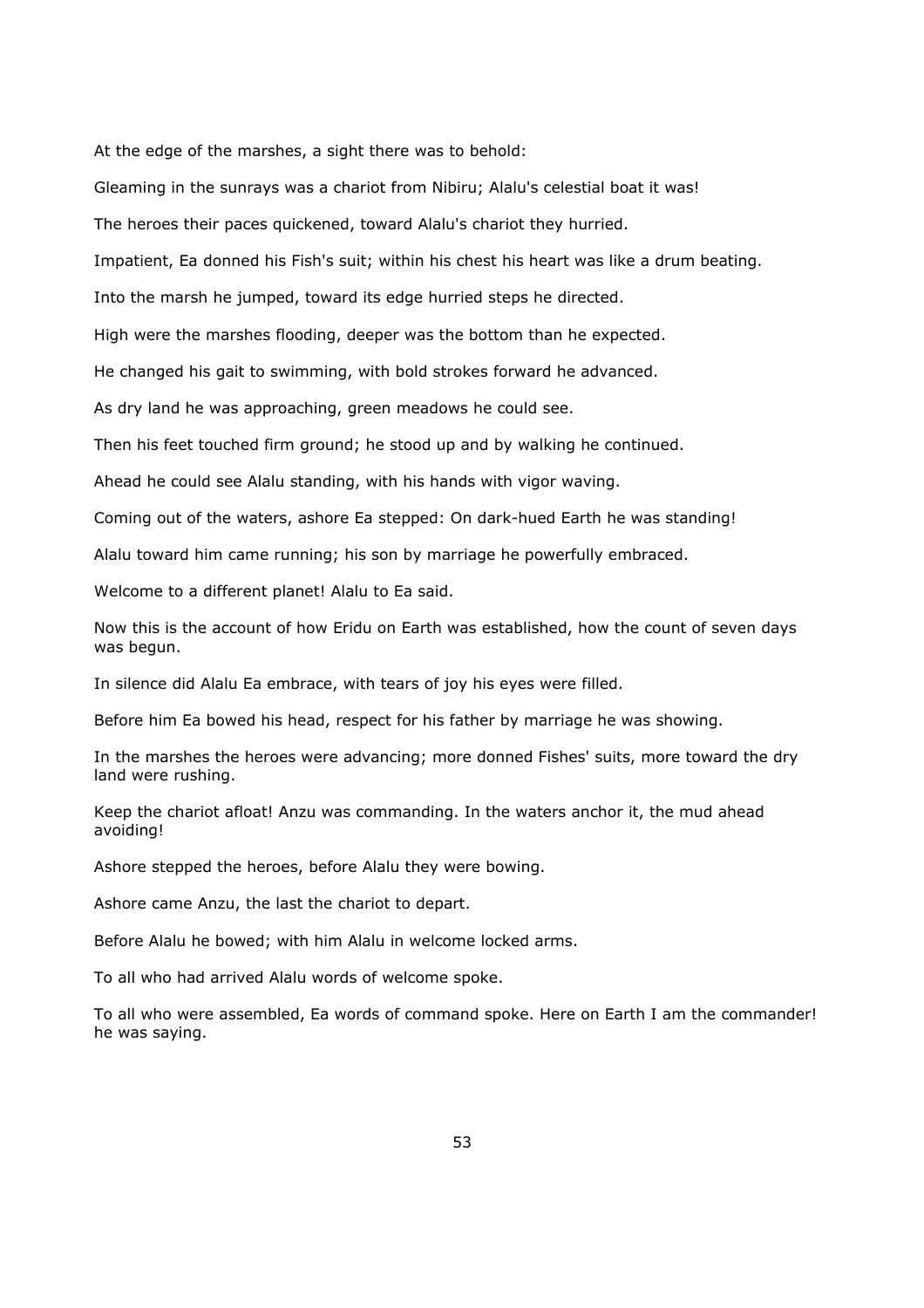At the edge of the marshes, a sight there was to behold:

Gleaming in the sunrays was a chariot from Nibiru; Alalu's celestial boat it was!

The heroes their paces quickened, toward Alalu's chariot they hurried.

Impatient, Ea donned his Fish's suit; within his chest his heart was like a drum beating.

Into the marsh he jumped, toward its edge hurried steps he directed.

High were the marshes flooding, deeper was the bottom than he expected.

He changed his gait to swimming, with bold strokes forward he advanced.

As dry land he was approaching, green meadows he could see.

Then his feet touched firm ground; he stood up and by walking he continued.

Ahead he could see Alalu standing, with his hands with vigor waving.

Coming out of the waters, ashore Ea stepped: On dark-hued Earth he was standing!

Alalu toward him came running; his son by marriage he powerfully embraced.

Welcome to a different planet! Alalu to Ea said.

Now this is the account of how Eridu on Earth was established, how the count of seven days was begun.

In silence did Alalu Ea embrace, with tears of joy his eyes were filled.

Before him Ea bowed his head, respect for his father by marriage he was showing.

In the marshes the heroes were advancing; more donned Fishes' suits, more toward the dry land were rushing.

Keep the chariot afloat! Anzu was commanding. In the waters anchor it, the mud ahead avoiding!

Ashore stepped the heroes, before Alalu they were bowing.

Ashore came Anzu, the last the chariot to depart.

Before Alalu he bowed; with him Alalu in welcome locked arms.

To all who had arrived Alalu words of welcome spoke.

To all who were assembled, Ea words of command spoke. Here on Earth I am the commander! he was saying.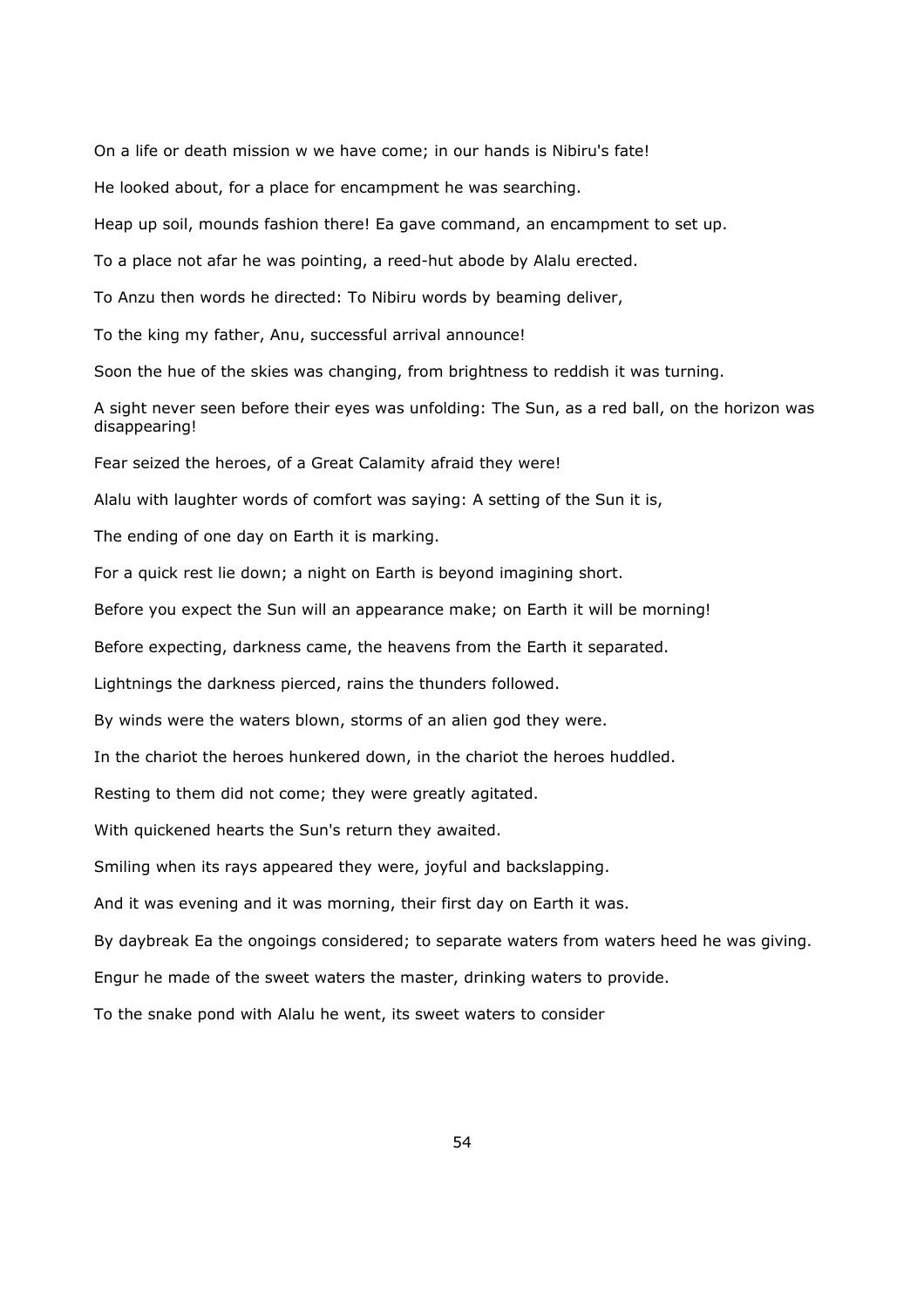On a life or death mission w we have come; in our hands is Nibiru's fate! He looked about, for a place for encampment he was searching. Heap up soil, mounds fashion there! Ea gave command, an encampment to set up. To a place not afar he was pointing, a reed-hut abode by Alalu erected. To Anzu then words he directed: To Nibiru words by beaming deliver, To the king my father, Anu, successful arrival announce! Soon the hue of the skies was changing, from brightness to reddish it was turning. A sight never seen before their eyes was unfolding: The Sun, as a red ball, on the horizon was disappearing! Fear seized the heroes, of a Great Calamity afraid they were! Alalu with laughter words of comfort was saying: A setting of the Sun it is, The ending of one day on Earth it is marking. For a quick rest lie down; a night on Earth is beyond imagining short. Before you expect the Sun will an appearance make; on Earth it will be morning! Before expecting, darkness came, the heavens from the Earth it separated. Lightnings the darkness pierced, rains the thunders followed. By winds were the waters blown, storms of an alien god they were. In the chariot the heroes hunkered down, in the chariot the heroes huddled. Resting to them did not come; they were greatly agitated. With quickened hearts the Sun's return they awaited. Smiling when its rays appeared they were, joyful and backslapping. And it was evening and it was morning, their first day on Earth it was. By daybreak Ea the ongoings considered; to separate waters from waters heed he was giving. Engur he made of the sweet waters the master, drinking waters to provide. To the snake pond with Alalu he went, its sweet waters to consider 54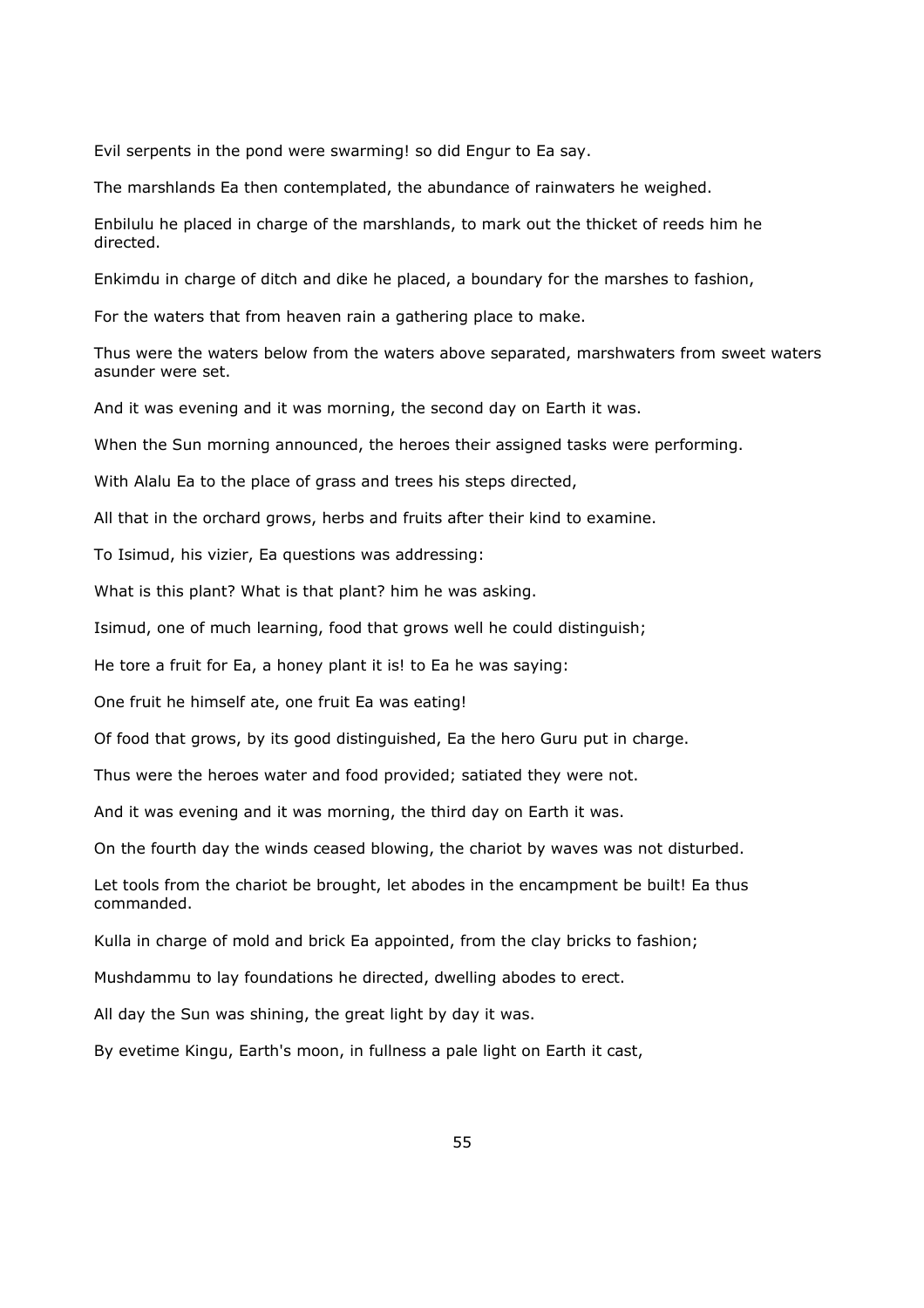Evil serpents in the pond were swarming! so did Engur to Ea say.

The marshlands Ea then contemplated, the abundance of rainwaters he weighed.

Enbilulu he placed in charge of the marshlands, to mark out the thicket of reeds him he directed.

Enkimdu in charge of ditch and dike he placed, a boundary for the marshes to fashion,

For the waters that from heaven rain a gathering place to make.

Thus were the waters below from the waters above separated, marshwaters from sweet waters asunder were set.

And it was evening and it was morning, the second day on Earth it was.

When the Sun morning announced, the heroes their assigned tasks were performing.

With Alalu Ea to the place of grass and trees his steps directed,

All that in the orchard grows, herbs and fruits after their kind to examine.

To Isimud, his vizier, Ea questions was addressing:

What is this plant? What is that plant? him he was asking.

Isimud, one of much learning, food that grows well he could distinguish;

He tore a fruit for Ea, a honey plant it is! to Ea he was saying:

One fruit he himself ate, one fruit Ea was eating!

Of food that grows, by its good distinguished, Ea the hero Guru put in charge.

Thus were the heroes water and food provided; satiated they were not.

And it was evening and it was morning, the third day on Earth it was.

On the fourth day the winds ceased blowing, the chariot by waves was not disturbed.

Let tools from the chariot be brought, let abodes in the encampment be built! Ea thus commanded.

Kulla in charge of mold and brick Ea appointed, from the clay bricks to fashion;

Mushdammu to lay foundations he directed, dwelling abodes to erect.

All day the Sun was shining, the great light by day it was.

By evetime Kingu, Earth's moon, in fullness a pale light on Earth it cast,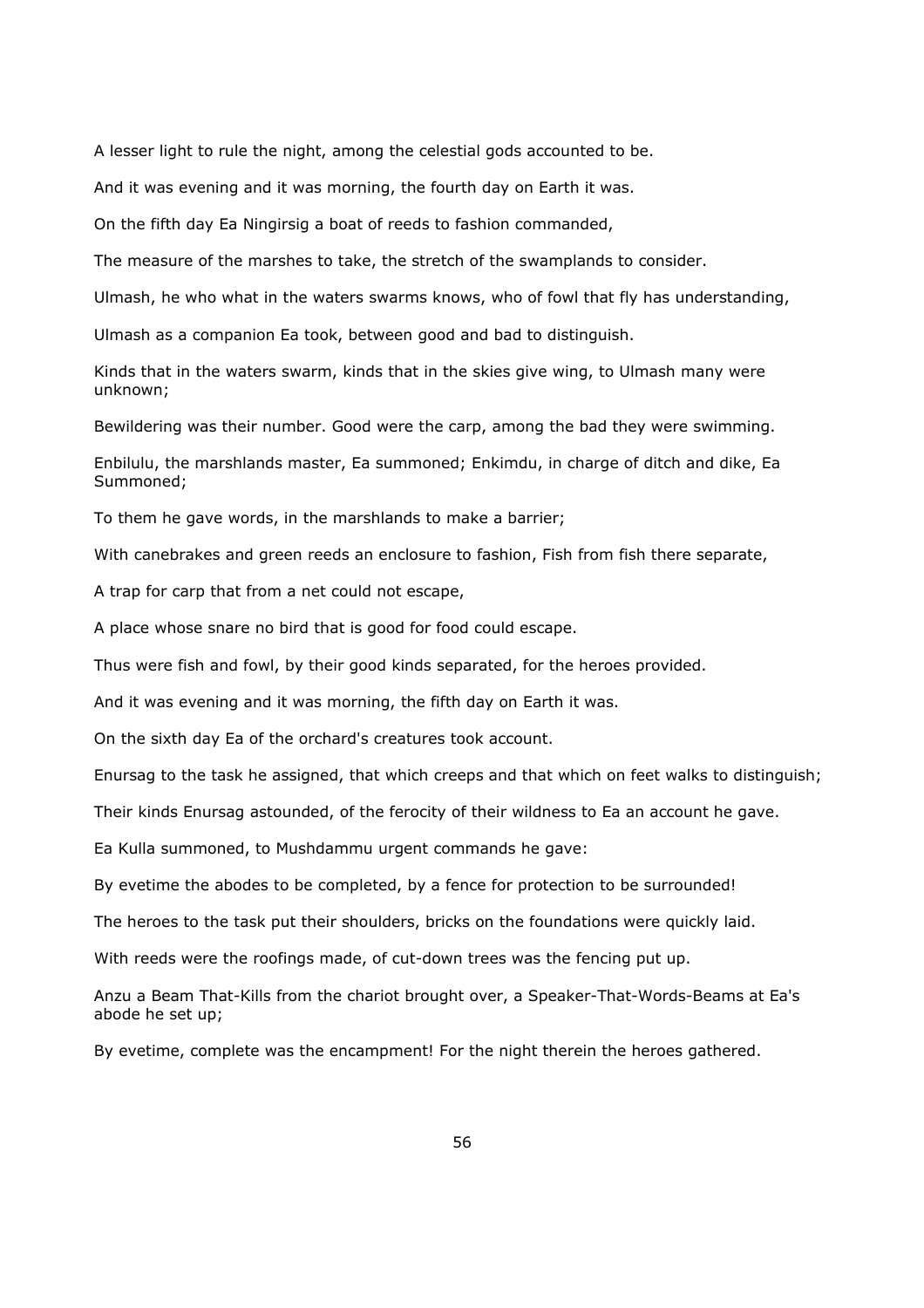A lesser light to rule the night, among the celestial gods accounted to be.

And it was evening and it was morning, the fourth day on Earth it was.

On the fifth day Ea Ningirsig a boat of reeds to fashion commanded,

The measure of the marshes to take, the stretch of the swamplands to consider.

Ulmash, he who what in the waters swarms knows, who of fowl that fly has understanding,

Ulmash as a companion Ea took, between good and bad to distinguish.

Kinds that in the waters swarm, kinds that in the skies give wing, to Ulmash many were unknown;

Bewildering was their number. Good were the carp, among the bad they were swimming.

Enbilulu, the marshlands master, Ea summoned; Enkimdu, in charge of ditch and dike, Ea Summoned;

To them he gave words, in the marshlands to make a barrier;

With canebrakes and green reeds an enclosure to fashion, Fish from fish there separate,

A trap for carp that from a net could not escape,

A place whose snare no bird that is good for food could escape.

Thus were fish and fowl, by their good kinds separated, for the heroes provided.

And it was evening and it was morning, the fifth day on Earth it was.

On the sixth day Ea of the orchard's creatures took account.

Enursag to the task he assigned, that which creeps and that which on feet walks to distinguish;

Their kinds Enursag astounded, of the ferocity of their wildness to Ea an account he gave.

Ea Kulla summoned, to Mushdammu urgent commands he gave:

By evetime the abodes to be completed, by a fence for protection to be surrounded!

The heroes to the task put their shoulders, bricks on the foundations were quickly laid.

With reeds were the roofings made, of cut-down trees was the fencing put up.

Anzu a Beam That-Kills from the chariot brought over, a Speaker-That-Words-Beams at Ea's abode he set up;

By evetime, complete was the encampment! For the night therein the heroes gathered.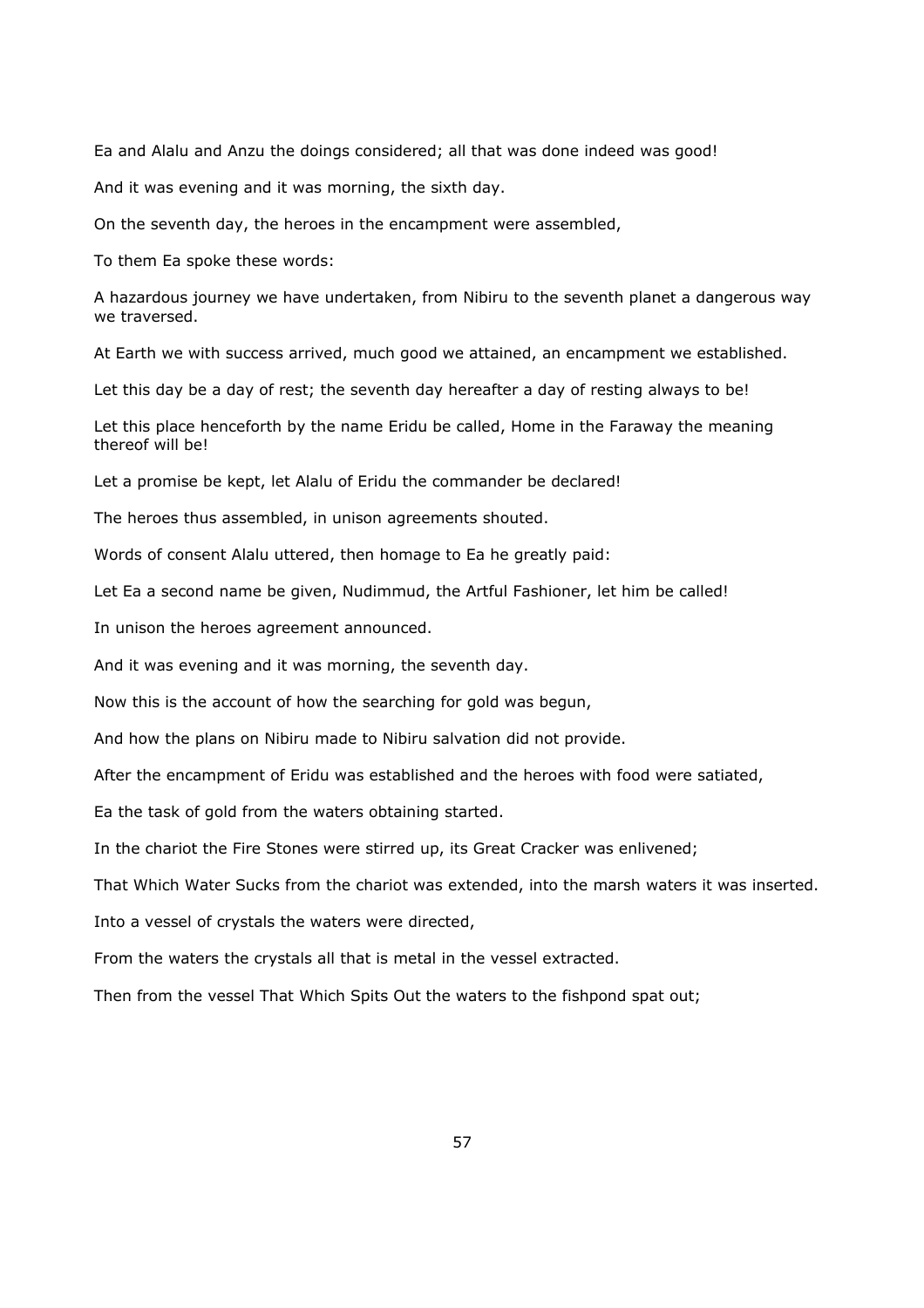Ea and Alalu and Anzu the doings considered; all that was done indeed was good!

And it was evening and it was morning, the sixth day.

On the seventh day, the heroes in the encampment were assembled,

To them Ea spoke these words:

A hazardous journey we have undertaken, from Nibiru to the seventh planet a dangerous way we traversed.

At Earth we with success arrived, much good we attained, an encampment we established.

Let this day be a day of rest; the seventh day hereafter a day of resting always to be!

Let this place henceforth by the name Eridu be called, Home in the Faraway the meaning thereof will be!

Let a promise be kept, let Alalu of Eridu the commander be declared!

The heroes thus assembled, in unison agreements shouted.

Words of consent Alalu uttered, then homage to Ea he greatly paid:

Let Ea a second name be given, Nudimmud, the Artful Fashioner, let him be called!

In unison the heroes agreement announced.

And it was evening and it was morning, the seventh day.

Now this is the account of how the searching for gold was begun,

And how the plans on Nibiru made to Nibiru salvation did not provide.

After the encampment of Eridu was established and the heroes with food were satiated,

Ea the task of gold from the waters obtaining started.

In the chariot the Fire Stones were stirred up, its Great Cracker was enlivened;

That Which Water Sucks from the chariot was extended, into the marsh waters it was inserted.

Into a vessel of crystals the waters were directed,

From the waters the crystals all that is metal in the vessel extracted.

Then from the vessel That Which Spits Out the waters to the fishpond spat out;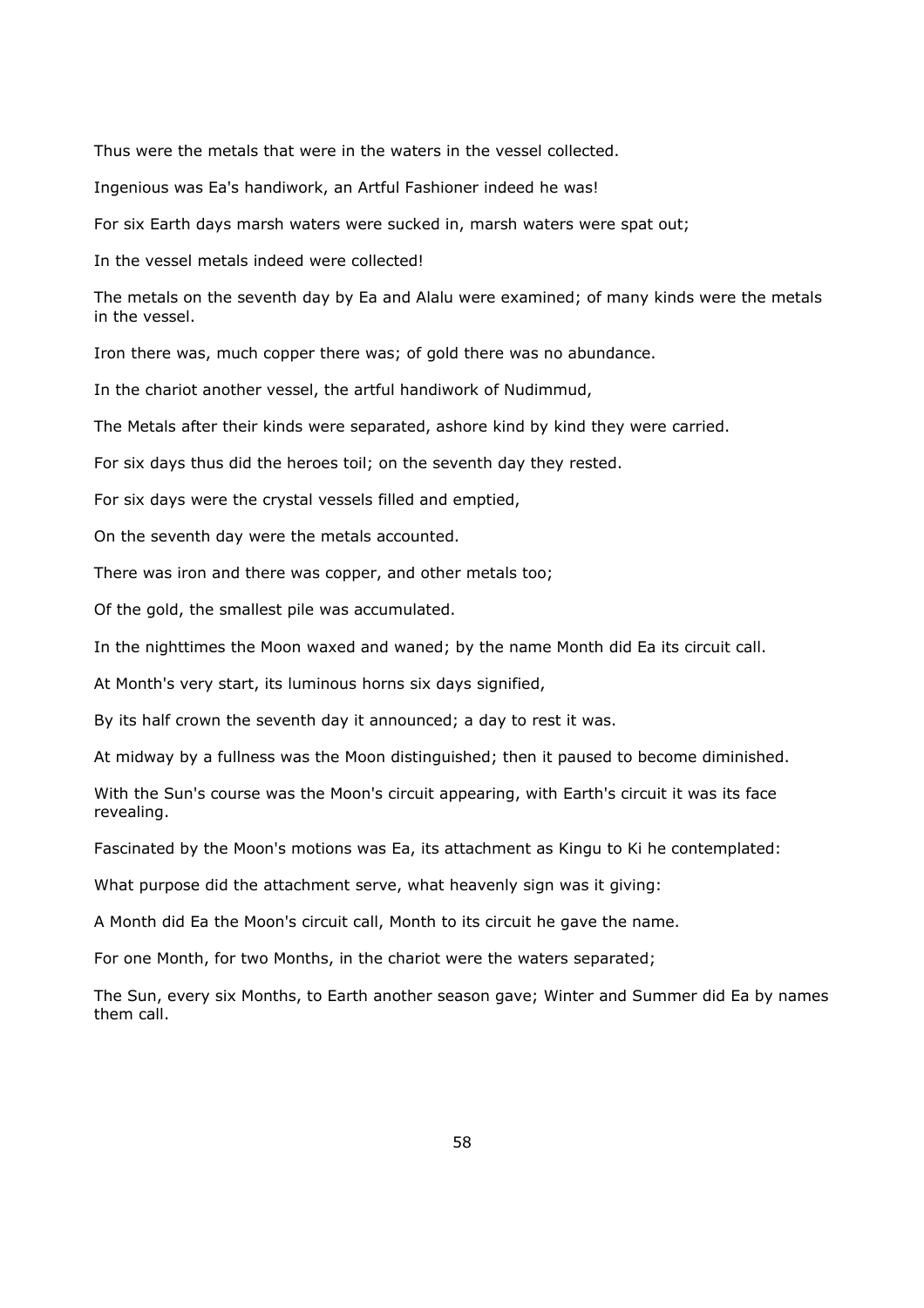Thus were the metals that were in the waters in the vessel collected.

Ingenious was Ea's handiwork, an Artful Fashioner indeed he was!

For six Earth days marsh waters were sucked in, marsh waters were spat out;

In the vessel metals indeed were collected!

The metals on the seventh day by Ea and Alalu were examined; of many kinds were the metals in the vessel.

Iron there was, much copper there was; of gold there was no abundance.

In the chariot another vessel, the artful handiwork of Nudimmud,

The Metals after their kinds were separated, ashore kind by kind they were carried.

For six days thus did the heroes toil; on the seventh day they rested.

For six days were the crystal vessels filled and emptied,

On the seventh day were the metals accounted.

There was iron and there was copper, and other metals too;

Of the gold, the smallest pile was accumulated.

In the nighttimes the Moon waxed and waned; by the name Month did Ea its circuit call.

At Month's very start, its luminous horns six days signified,

By its half crown the seventh day it announced; a day to rest it was.

At midway by a fullness was the Moon distinguished; then it paused to become diminished.

With the Sun's course was the Moon's circuit appearing, with Earth's circuit it was its face revealing.

Fascinated by the Moon's motions was Ea, its attachment as Kingu to Ki he contemplated:

What purpose did the attachment serve, what heavenly sign was it giving:

A Month did Ea the Moon's circuit call, Month to its circuit he gave the name.

For one Month, for two Months, in the chariot were the waters separated;

The Sun, every six Months, to Earth another season gave; Winter and Summer did Ea by names them call.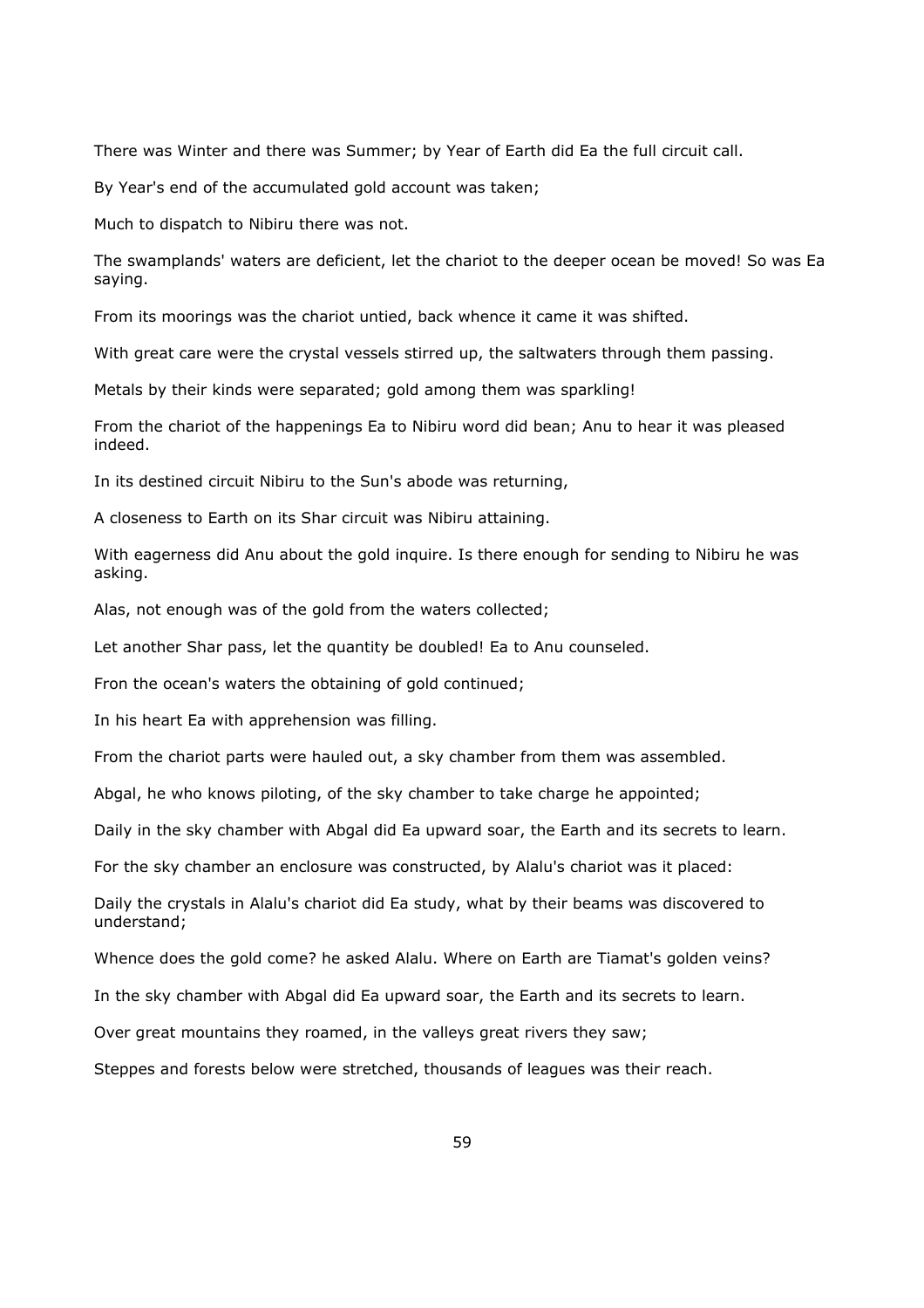There was Winter and there was Summer; by Year of Earth did Ea the full circuit call.

By Year's end of the accumulated gold account was taken;

Much to dispatch to Nibiru there was not.

The swamplands' waters are deficient, let the chariot to the deeper ocean be moved! So was Ea saying.

From its moorings was the chariot untied, back whence it came it was shifted.

With great care were the crystal vessels stirred up, the saltwaters through them passing.

Metals by their kinds were separated; gold among them was sparkling!

From the chariot of the happenings Ea to Nibiru word did bean; Anu to hear it was pleased indeed.

In its destined circuit Nibiru to the Sun's abode was returning,

A closeness to Earth on its Shar circuit was Nibiru attaining.

With eagerness did Anu about the gold inquire. Is there enough for sending to Nibiru he was asking.

Alas, not enough was of the gold from the waters collected;

Let another Shar pass, let the quantity be doubled! Ea to Anu counseled.

Fron the ocean's waters the obtaining of gold continued;

In his heart Ea with apprehension was filling.

From the chariot parts were hauled out, a sky chamber from them was assembled.

Abgal, he who knows piloting, of the sky chamber to take charge he appointed;

Daily in the sky chamber with Abgal did Ea upward soar, the Earth and its secrets to learn.

For the sky chamber an enclosure was constructed, by Alalu's chariot was it placed:

Daily the crystals in Alalu's chariot did Ea study, what by their beams was discovered to understand;

Whence does the gold come? he asked Alalu. Where on Earth are Tiamat's golden veins?

In the sky chamber with Abgal did Ea upward soar, the Earth and its secrets to learn.

Over great mountains they roamed, in the valleys great rivers they saw;

Steppes and forests below were stretched, thousands of leagues was their reach.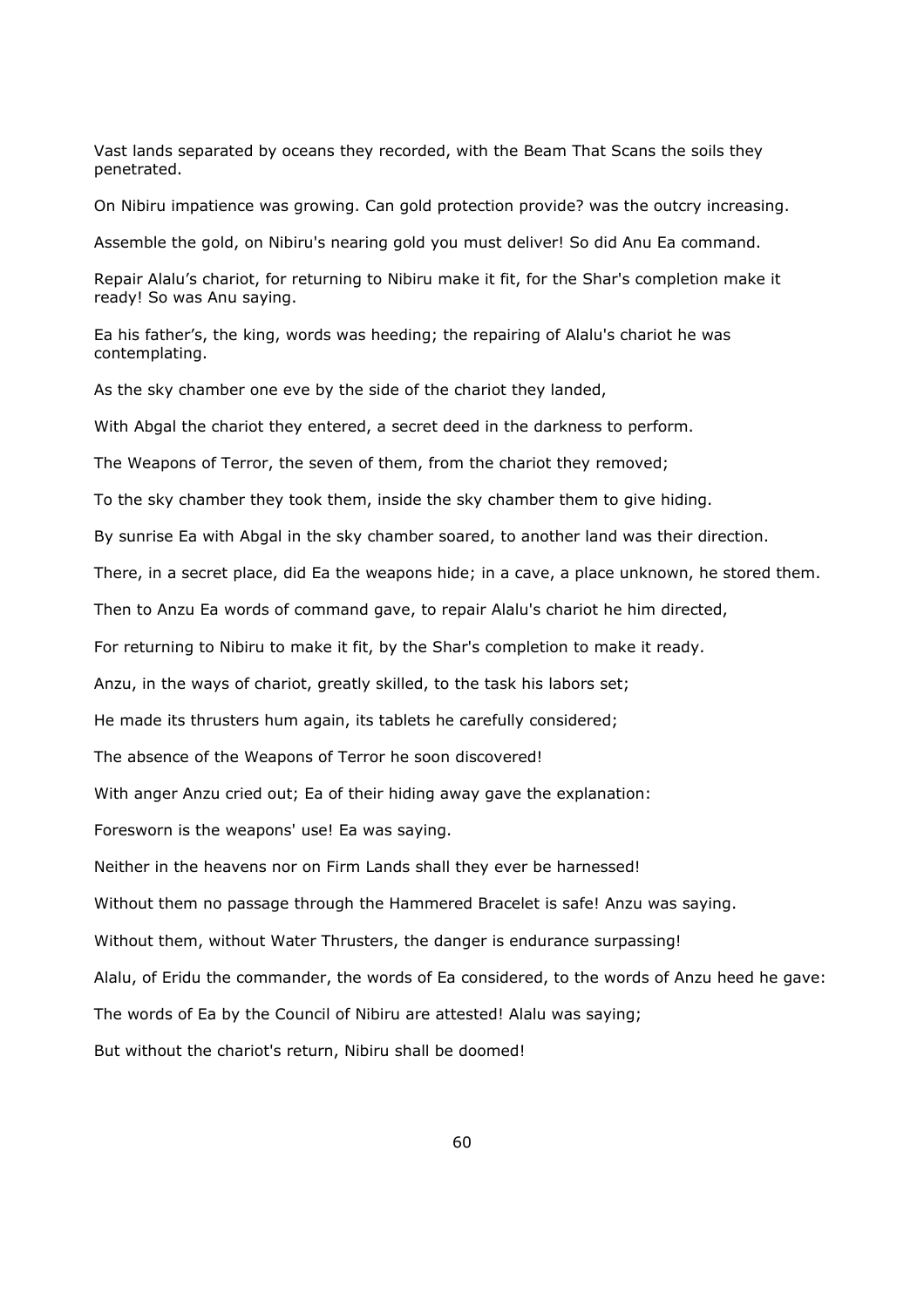Vast lands separated by oceans they recorded, with the Beam That Scans the soils they penetrated.

On Nibiru impatience was growing. Can gold protection provide? was the outcry increasing.

Assemble the gold, on Nibiru's nearing gold you must deliver! So did Anu Ea command.

Repair Alalu's chariot, for returning to Nibiru make it fit, for the Shar's completion make it ready! So was Anu saying.

Ea his father's, the king, words was heeding; the repairing of Alalu's chariot he was contemplating.

As the sky chamber one eve by the side of the chariot they landed,

With Abgal the chariot they entered, a secret deed in the darkness to perform.

The Weapons of Terror, the seven of them, from the chariot they removed;

To the sky chamber they took them, inside the sky chamber them to give hiding.

By sunrise Ea with Abgal in the sky chamber soared, to another land was their direction.

There, in a secret place, did Ea the weapons hide; in a cave, a place unknown, he stored them.

Then to Anzu Ea words of command gave, to repair Alalu's chariot he him directed,

For returning to Nibiru to make it fit, by the Shar's completion to make it ready.

Anzu, in the ways of chariot, greatly skilled, to the task his labors set;

He made its thrusters hum again, its tablets he carefully considered;

The absence of the Weapons of Terror he soon discovered!

With anger Anzu cried out; Ea of their hiding away gave the explanation:

Foresworn is the weapons' use! Ea was saying.

Neither in the heavens nor on Firm Lands shall they ever be harnessed!

Without them no passage through the Hammered Bracelet is safe! Anzu was saying.

Without them, without Water Thrusters, the danger is endurance surpassing!

Alalu, of Eridu the commander, the words of Ea considered, to the words of Anzu heed he gave:

The words of Ea by the Council of Nibiru are attested! Alalu was saying;

But without the chariot's return, Nibiru shall be doomed!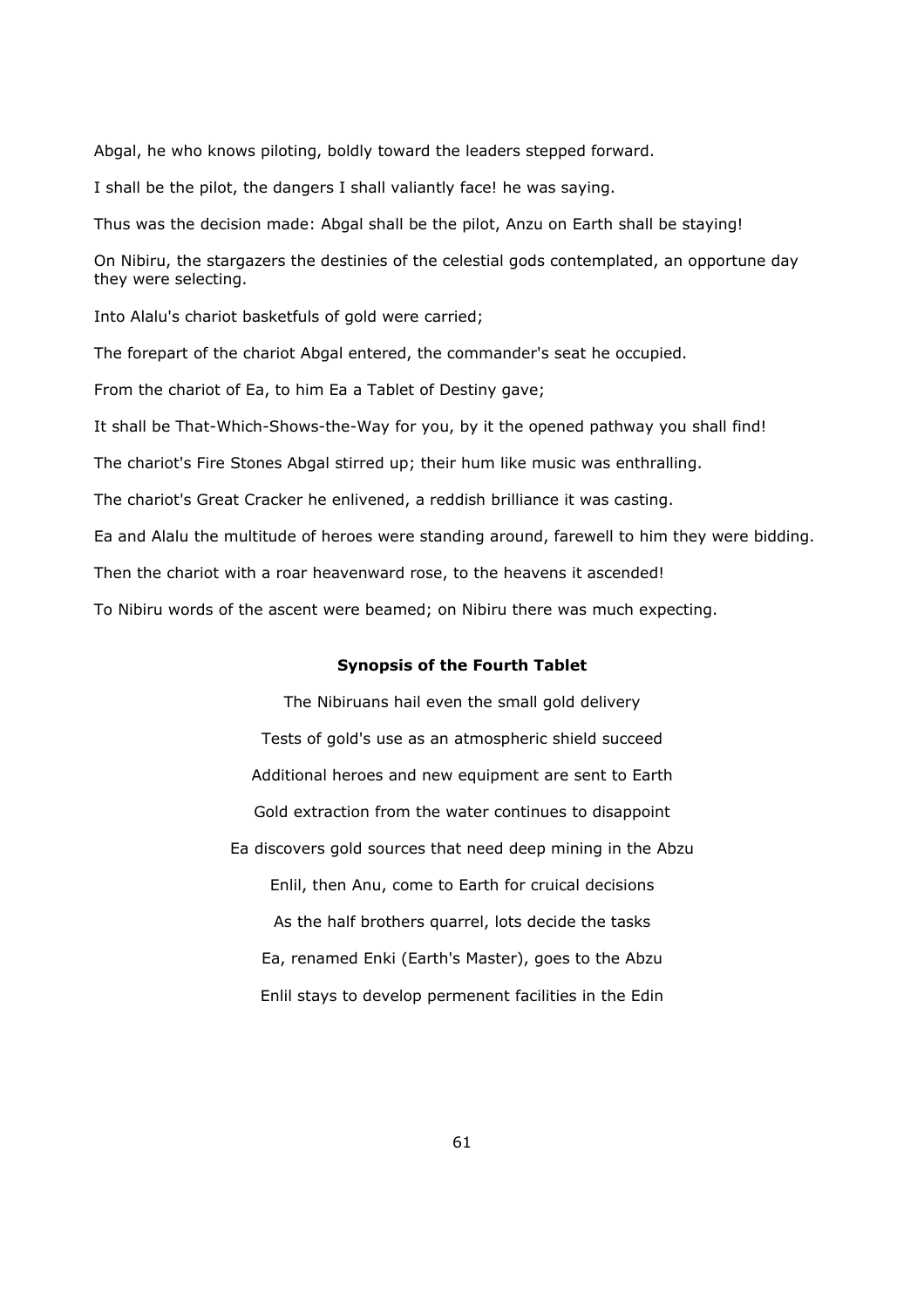Abgal, he who knows piloting, boldly toward the leaders stepped forward.

I shall be the pilot, the dangers I shall valiantly face! he was saying.

Thus was the decision made: Abgal shall be the pilot, Anzu on Earth shall be staying!

On Nibiru, the stargazers the destinies of the celestial gods contemplated, an opportune day they were selecting.

Into Alalu's chariot basketfuls of gold were carried;

The forepart of the chariot Abgal entered, the commander's seat he occupied.

From the chariot of Ea, to him Ea a Tablet of Destiny gave;

It shall be That-Which-Shows-the-Way for you, by it the opened pathway you shall find!

The chariot's Fire Stones Abgal stirred up; their hum like music was enthralling.

The chariot's Great Cracker he enlivened, a reddish brilliance it was casting.

Ea and Alalu the multitude of heroes were standing around, farewell to him they were bidding.

Then the chariot with a roar heavenward rose, to the heavens it ascended!

To Nibiru words of the ascent were beamed; on Nibiru there was much expecting.

## **Synopsis of the Fourth Tablet**

The Nibiruans hail even the small gold delivery Tests of gold's use as an atmospheric shield succeed Additional heroes and new equipment are sent to Earth Gold extraction from the water continues to disappoint Ea discovers gold sources that need deep mining in the Abzu Enlil, then Anu, come to Earth for cruical decisions As the half brothers quarrel, lots decide the tasks Ea, renamed Enki (Earth's Master), goes to the Abzu Enlil stays to develop permenent facilities in the Edin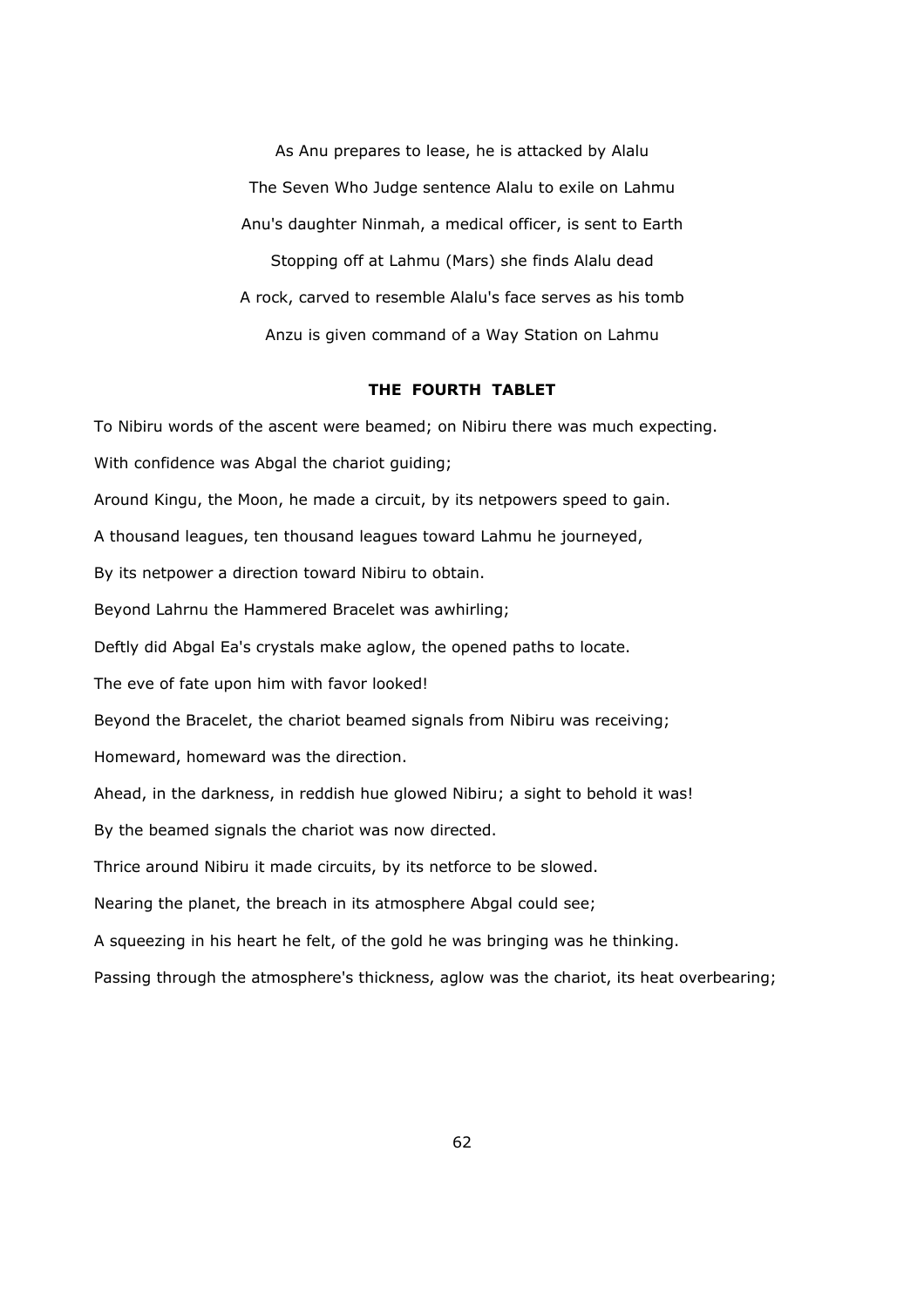As Anu prepares to lease, he is attacked by Alalu The Seven Who Judge sentence Alalu to exile on Lahmu Anu's daughter Ninmah, a medical officer, is sent to Earth Stopping off at Lahmu (Mars) she finds Alalu dead A rock, carved to resemble Alalu's face serves as his tomb Anzu is given command of a Way Station on Lahmu

## **THE FOURTH TABLET**

To Nibiru words of the ascent were beamed; on Nibiru there was much expecting. With confidence was Abgal the chariot guiding; Around Kingu, the Moon, he made a circuit, by its netpowers speed to gain. A thousand leagues, ten thousand leagues toward Lahmu he journeyed, By its netpower a direction toward Nibiru to obtain. Beyond Lahrnu the Hammered Bracelet was awhirling; Deftly did Abgal Ea's crystals make aglow, the opened paths to locate. The eve of fate upon him with favor looked! Beyond the Bracelet, the chariot beamed signals from Nibiru was receiving; Homeward, homeward was the direction. Ahead, in the darkness, in reddish hue glowed Nibiru; a sight to behold it was! By the beamed signals the chariot was now directed. Thrice around Nibiru it made circuits, by its netforce to be slowed. Nearing the planet, the breach in its atmosphere Abgal could see; A squeezing in his heart he felt, of the gold he was bringing was he thinking. Passing through the atmosphere's thickness, aglow was the chariot, its heat overbearing;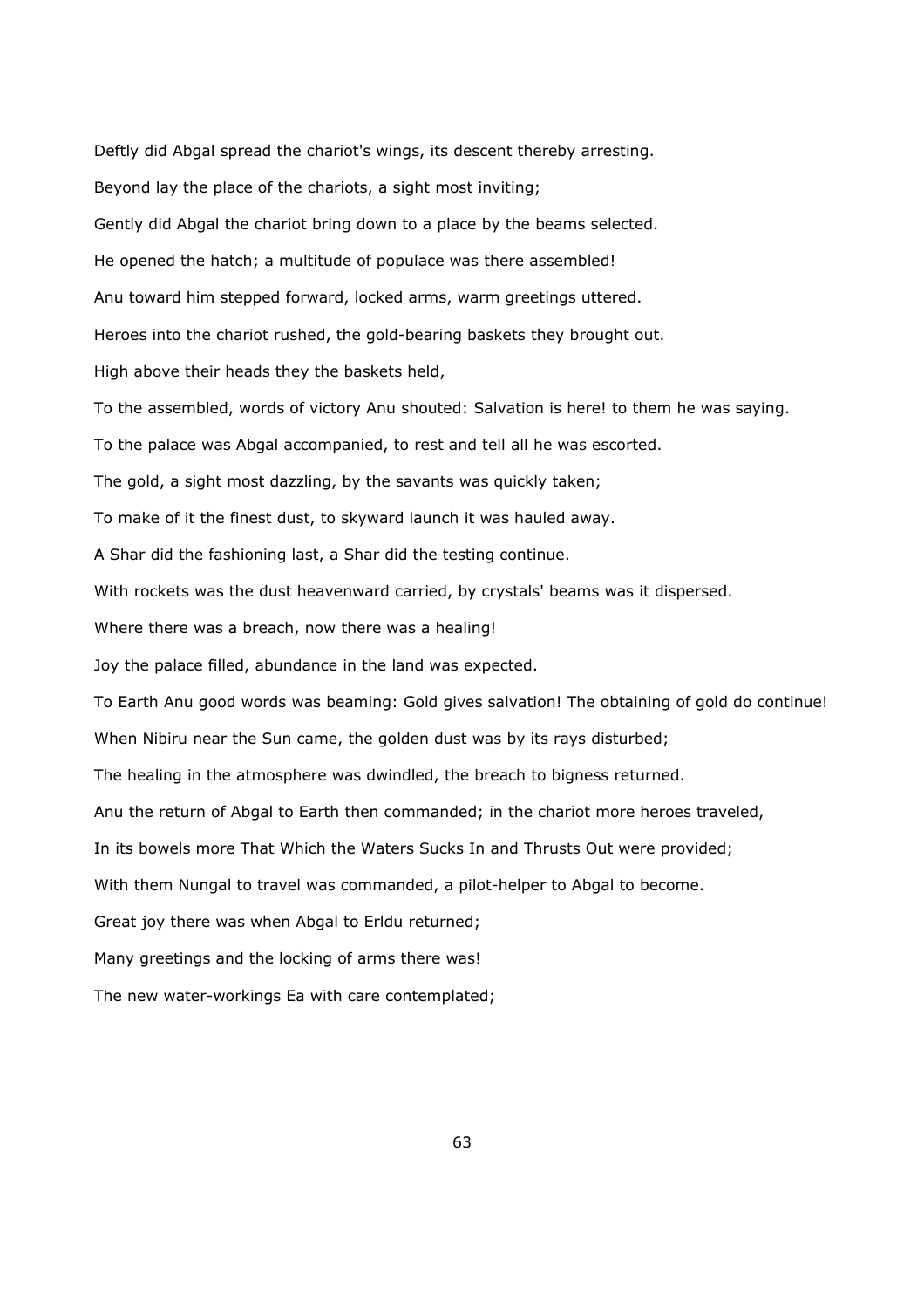Deftly did Abgal spread the chariot's wings, its descent thereby arresting. Beyond lay the place of the chariots, a sight most inviting; Gently did Abgal the chariot bring down to a place by the beams selected. He opened the hatch; a multitude of populace was there assembled! Anu toward him stepped forward, locked arms, warm greetings uttered. Heroes into the chariot rushed, the gold-bearing baskets they brought out. High above their heads they the baskets held, To the assembled, words of victory Anu shouted: Salvation is here! to them he was saying. To the palace was Abgal accompanied, to rest and tell all he was escorted. The gold, a sight most dazzling, by the savants was quickly taken; To make of it the finest dust, to skyward launch it was hauled away. A Shar did the fashioning last, a Shar did the testing continue. With rockets was the dust heavenward carried, by crystals' beams was it dispersed. Where there was a breach, now there was a healing! Joy the palace filled, abundance in the land was expected. To Earth Anu good words was beaming: Gold gives salvation! The obtaining of gold do continue! When Nibiru near the Sun came, the golden dust was by its rays disturbed; The healing in the atmosphere was dwindled, the breach to bigness returned. Anu the return of Abgal to Earth then commanded; in the chariot more heroes traveled, In its bowels more That Which the Waters Sucks In and Thrusts Out were provided; With them Nungal to travel was commanded, a pilot-helper to Abgal to become. Great joy there was when Abgal to Erldu returned; Many greetings and the locking of arms there was! The new water-workings Ea with care contemplated;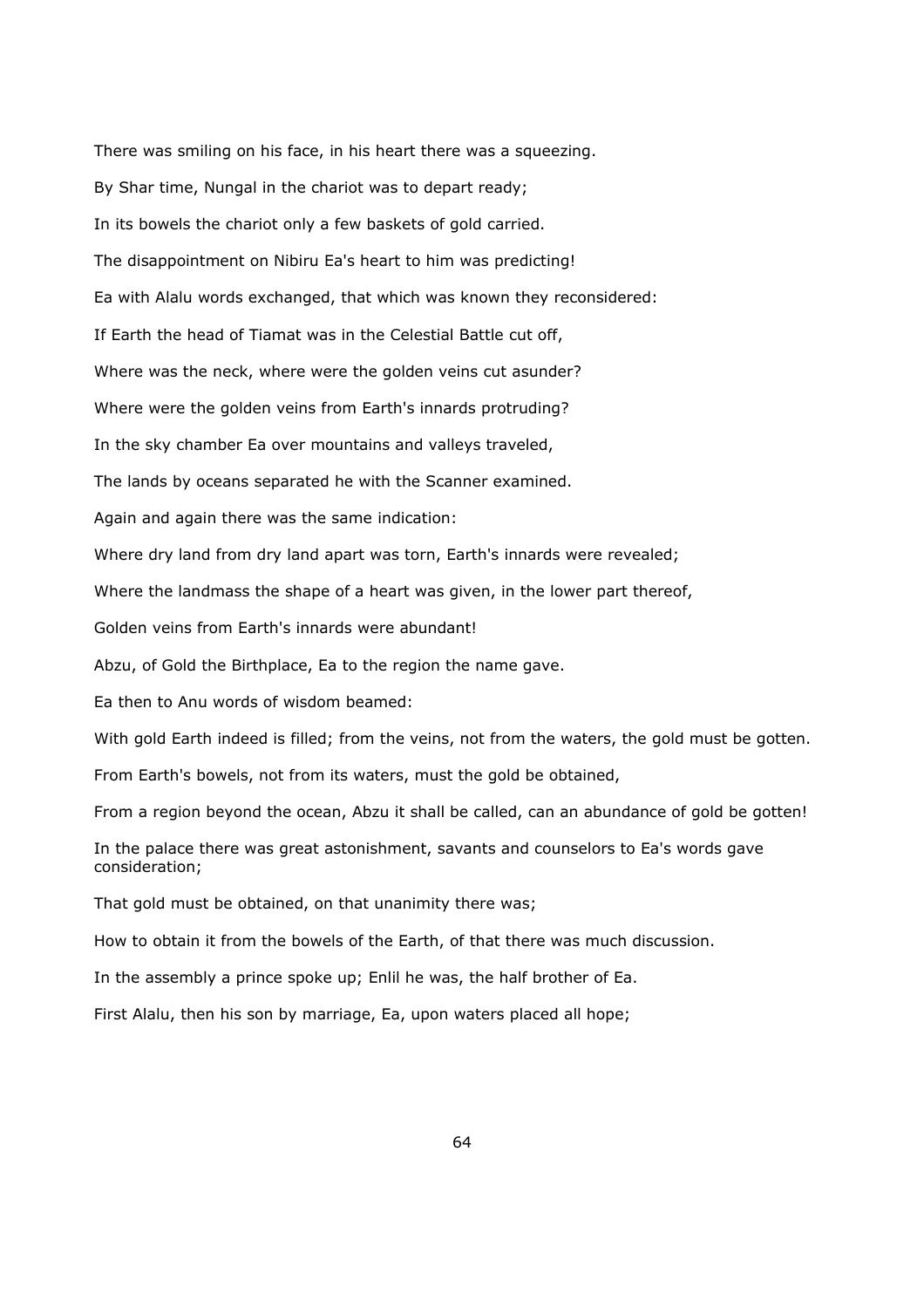There was smiling on his face, in his heart there was a squeezing. By Shar time, Nungal in the chariot was to depart ready; In its bowels the chariot only a few baskets of gold carried. The disappointment on Nibiru Ea's heart to him was predicting! Ea with Alalu words exchanged, that which was known they reconsidered: If Earth the head of Tiamat was in the Celestial Battle cut off, Where was the neck, where were the golden veins cut asunder? Where were the golden veins from Earth's innards protruding? In the sky chamber Ea over mountains and valleys traveled, The lands by oceans separated he with the Scanner examined. Again and again there was the same indication: Where dry land from dry land apart was torn, Earth's innards were revealed; Where the landmass the shape of a heart was given, in the lower part thereof, Golden veins from Earth's innards were abundant! Abzu, of Gold the Birthplace, Ea to the region the name gave. Ea then to Anu words of wisdom beamed: With gold Earth indeed is filled; from the veins, not from the waters, the gold must be gotten. From Earth's bowels, not from its waters, must the gold be obtained, From a region beyond the ocean, Abzu it shall be called, can an abundance of gold be gotten! In the palace there was great astonishment, savants and counselors to Ea's words gave consideration; That gold must be obtained, on that unanimity there was; How to obtain it from the bowels of the Earth, of that there was much discussion. In the assembly a prince spoke up; Enlil he was, the half brother of Ea.

First Alalu, then his son by marriage, Ea, upon waters placed all hope;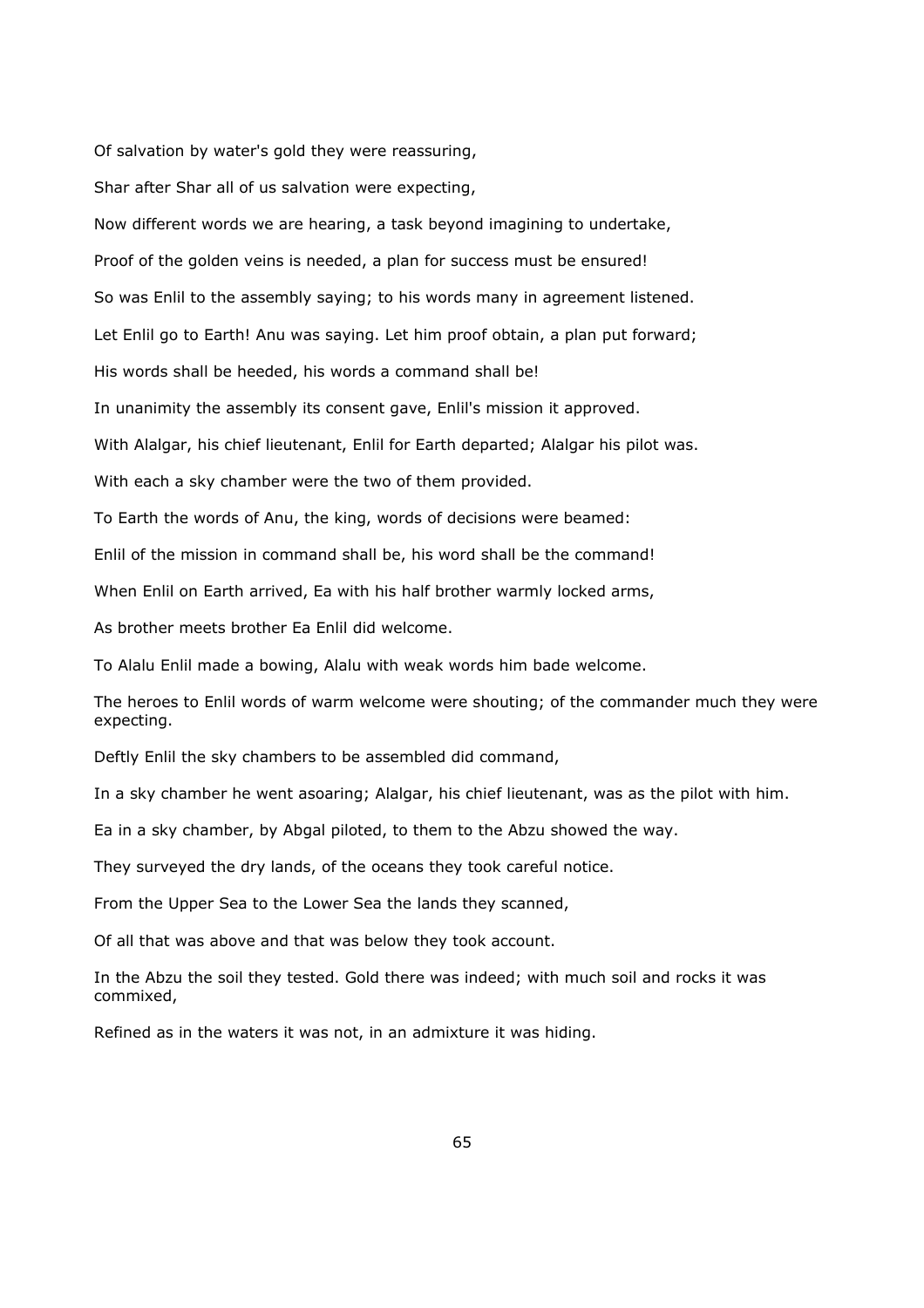Of salvation by water's gold they were reassuring,

Shar after Shar all of us salvation were expecting,

Now different words we are hearing, a task beyond imagining to undertake,

Proof of the golden veins is needed, a plan for success must be ensured!

So was Enlil to the assembly saying; to his words many in agreement listened.

Let Enlil go to Earth! Anu was saying. Let him proof obtain, a plan put forward;

His words shall be heeded, his words a command shall be!

In unanimity the assembly its consent gave, Enlil's mission it approved.

With Alalgar, his chief lieutenant, Enlil for Earth departed; Alalgar his pilot was.

With each a sky chamber were the two of them provided.

To Earth the words of Anu, the king, words of decisions were beamed:

Enlil of the mission in command shall be, his word shall be the command!

When Enlil on Earth arrived, Ea with his half brother warmly locked arms,

As brother meets brother Ea Enlil did welcome.

To Alalu Enlil made a bowing, Alalu with weak words him bade welcome.

The heroes to Enlil words of warm welcome were shouting; of the commander much they were expecting.

Deftly Enlil the sky chambers to be assembled did command,

In a sky chamber he went asoaring; Alalgar, his chief lieutenant, was as the pilot with him.

Ea in a sky chamber, by Abgal piloted, to them to the Abzu showed the way.

They surveyed the dry lands, of the oceans they took careful notice.

From the Upper Sea to the Lower Sea the lands they scanned,

Of all that was above and that was below they took account.

In the Abzu the soil they tested. Gold there was indeed; with much soil and rocks it was commixed,

Refined as in the waters it was not, in an admixture it was hiding.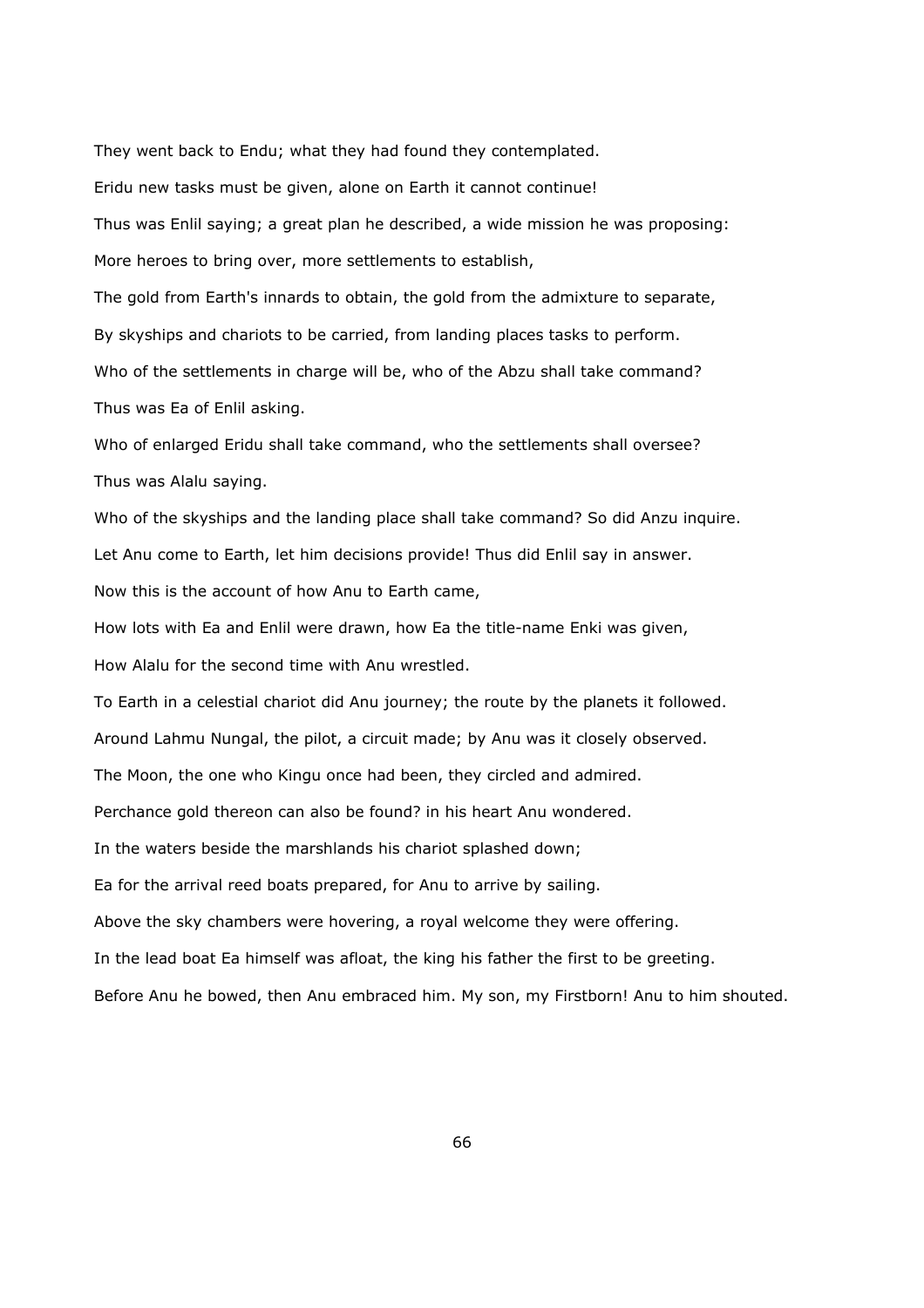They went back to Endu; what they had found they contemplated.

Eridu new tasks must be given, alone on Earth it cannot continue!

Thus was Enlil saying; a great plan he described, a wide mission he was proposing:

More heroes to bring over, more settlements to establish,

The gold from Earth's innards to obtain, the gold from the admixture to separate, By skyships and chariots to be carried, from landing places tasks to perform. Who of the settlements in charge will be, who of the Abzu shall take command?

Thus was Ea of Enlil asking.

Who of enlarged Eridu shall take command, who the settlements shall oversee? Thus was Alalu saying.

Who of the skyships and the landing place shall take command? So did Anzu inquire.

Let Anu come to Earth, let him decisions provide! Thus did Enlil say in answer.

Now this is the account of how Anu to Earth came,

How lots with Ea and Enlil were drawn, how Ea the title-name Enki was given,

How Alalu for the second time with Anu wrestled.

To Earth in a celestial chariot did Anu journey; the route by the planets it followed.

Around Lahmu Nungal, the pilot, a circuit made; by Anu was it closely observed.

The Moon, the one who Kingu once had been, they circled and admired.

Perchance gold thereon can also be found? in his heart Anu wondered.

In the waters beside the marshlands his chariot splashed down;

Ea for the arrival reed boats prepared, for Anu to arrive by sailing.

Above the sky chambers were hovering, a royal welcome they were offering.

In the lead boat Ea himself was afloat, the king his father the first to be greeting.

Before Anu he bowed, then Anu embraced him. My son, my Firstborn! Anu to him shouted.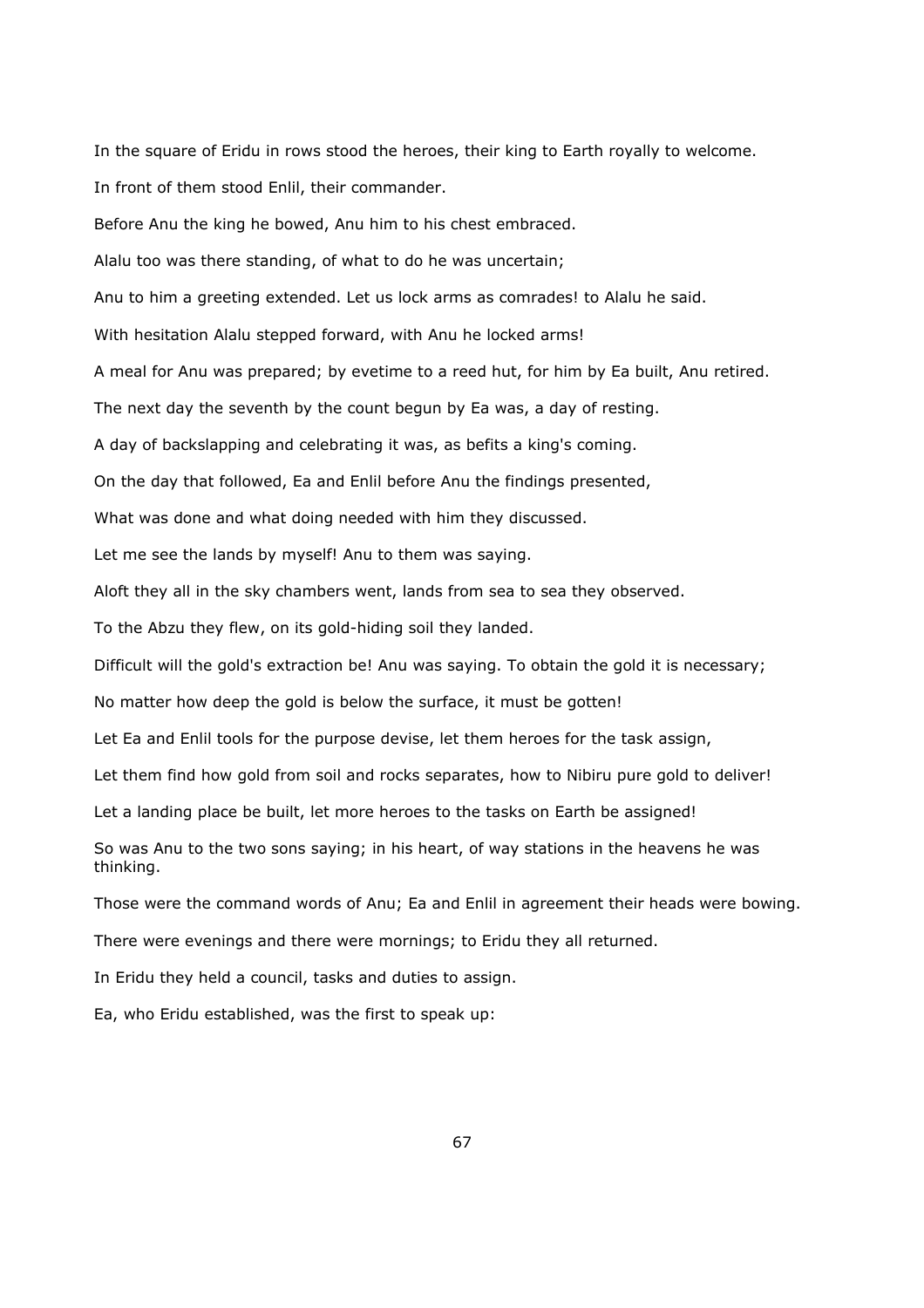In the square of Eridu in rows stood the heroes, their king to Earth royally to welcome.

In front of them stood Enlil, their commander.

Before Anu the king he bowed, Anu him to his chest embraced.

Alalu too was there standing, of what to do he was uncertain;

Anu to him a greeting extended. Let us lock arms as comrades! to Alalu he said.

With hesitation Alalu stepped forward, with Anu he locked arms!

A meal for Anu was prepared; by evetime to a reed hut, for him by Ea built, Anu retired.

The next day the seventh by the count begun by Ea was, a day of resting.

A day of backslapping and celebrating it was, as befits a king's coming.

On the day that followed, Ea and Enlil before Anu the findings presented,

What was done and what doing needed with him they discussed.

Let me see the lands by myself! Anu to them was saying.

Aloft they all in the sky chambers went, lands from sea to sea they observed.

To the Abzu they flew, on its gold-hiding soil they landed.

Difficult will the gold's extraction be! Anu was saying. To obtain the gold it is necessary;

No matter how deep the gold is below the surface, it must be gotten!

Let Ea and Enlil tools for the purpose devise, let them heroes for the task assign,

Let them find how gold from soil and rocks separates, how to Nibiru pure gold to deliver!

Let a landing place be built, let more heroes to the tasks on Earth be assigned!

So was Anu to the two sons saying; in his heart, of way stations in the heavens he was thinking.

Those were the command words of Anu; Ea and Enlil in agreement their heads were bowing.

There were evenings and there were mornings; to Eridu they all returned.

In Eridu they held a council, tasks and duties to assign.

Ea, who Eridu established, was the first to speak up: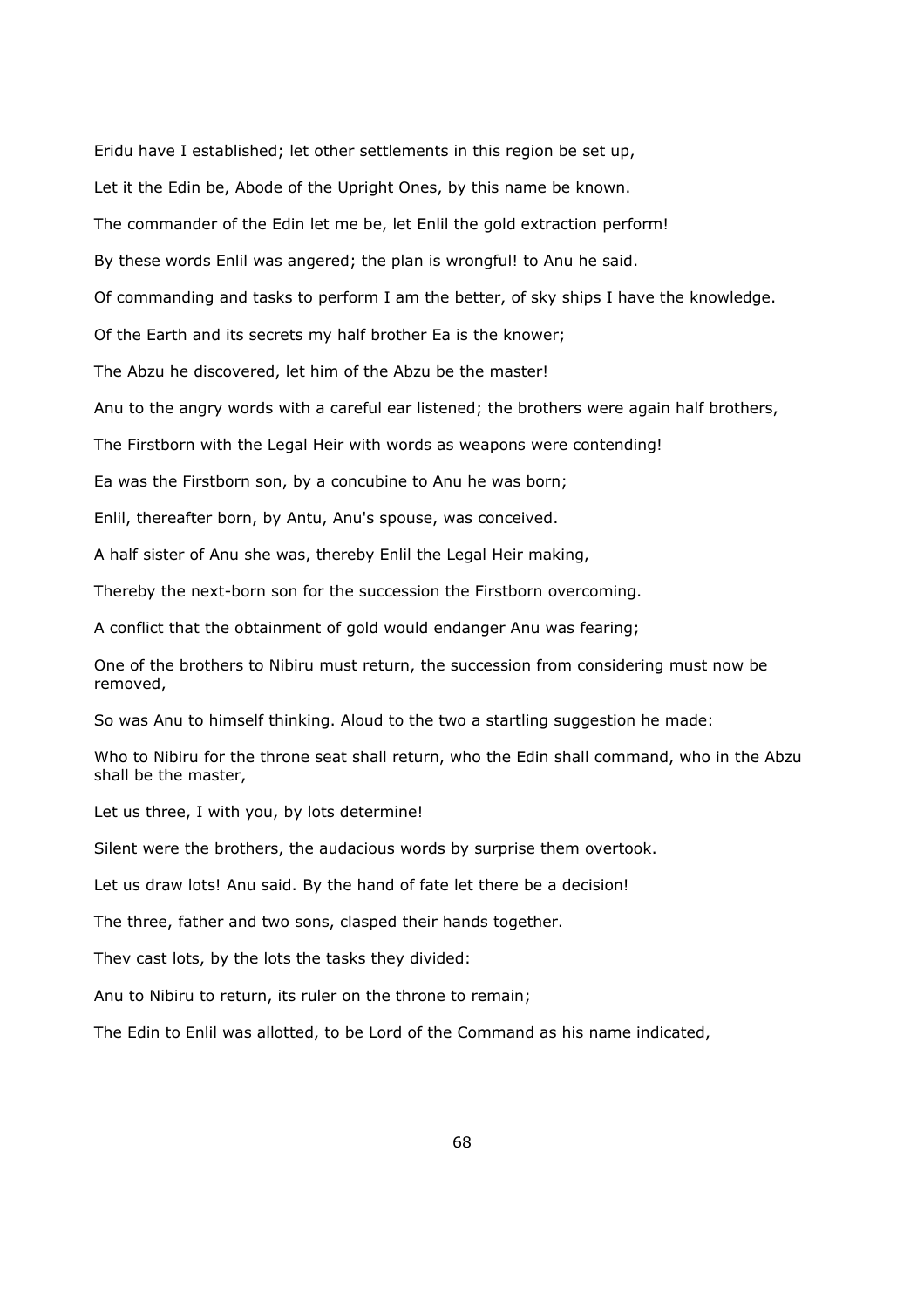Eridu have I established; let other settlements in this region be set up,

Let it the Edin be, Abode of the Upright Ones, by this name be known.

The commander of the Edin let me be, let Enlil the gold extraction perform!

By these words Enlil was angered; the plan is wrongful! to Anu he said.

Of commanding and tasks to perform I am the better, of sky ships I have the knowledge.

Of the Earth and its secrets my half brother Ea is the knower;

The Abzu he discovered, let him of the Abzu be the master!

Anu to the angry words with a careful ear listened; the brothers were again half brothers,

The Firstborn with the Legal Heir with words as weapons were contending!

Ea was the Firstborn son, by a concubine to Anu he was born;

Enlil, thereafter born, by Antu, Anu's spouse, was conceived.

A half sister of Anu she was, thereby Enlil the Legal Heir making,

Thereby the next-born son for the succession the Firstborn overcoming.

A conflict that the obtainment of gold would endanger Anu was fearing;

One of the brothers to Nibiru must return, the succession from considering must now be removed,

So was Anu to himself thinking. Aloud to the two a startling suggestion he made:

Who to Nibiru for the throne seat shall return, who the Edin shall command, who in the Abzu shall be the master,

Let us three, I with you, by lots determine!

Silent were the brothers, the audacious words by surprise them overtook.

Let us draw lots! Anu said. By the hand of fate let there be a decision!

The three, father and two sons, clasped their hands together.

Thev cast lots, by the lots the tasks they divided:

Anu to Nibiru to return, its ruler on the throne to remain;

The Edin to Enlil was allotted, to be Lord of the Command as his name indicated,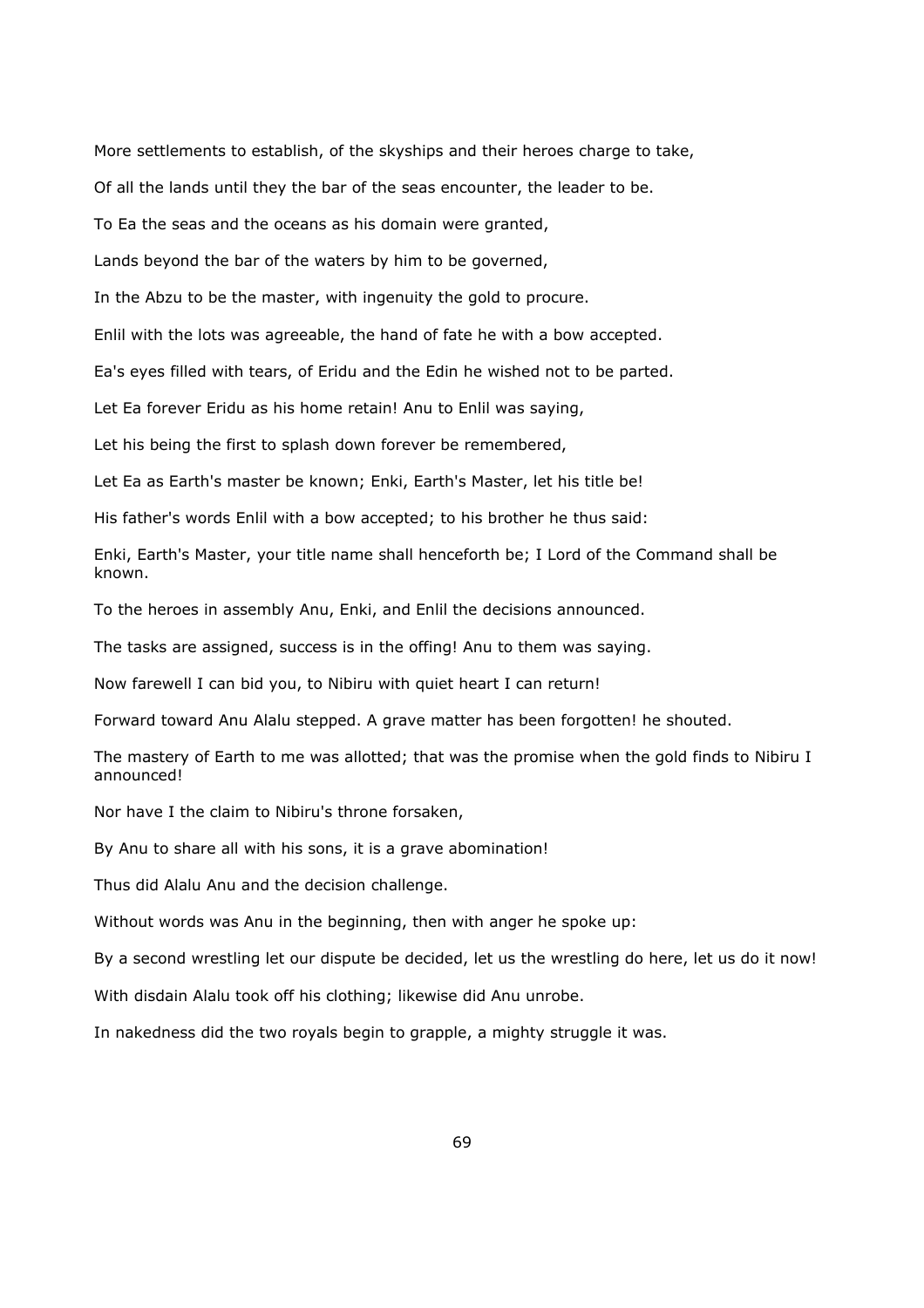More settlements to establish, of the skyships and their heroes charge to take,

Of all the lands until they the bar of the seas encounter, the leader to be.

To Ea the seas and the oceans as his domain were granted,

Lands beyond the bar of the waters by him to be governed,

In the Abzu to be the master, with ingenuity the gold to procure.

Enlil with the lots was agreeable, the hand of fate he with a bow accepted.

Ea's eyes filled with tears, of Eridu and the Edin he wished not to be parted.

Let Ea forever Eridu as his home retain! Anu to Enlil was saying,

Let his being the first to splash down forever be remembered,

Let Ea as Earth's master be known; Enki, Earth's Master, let his title be!

His father's words Enlil with a bow accepted; to his brother he thus said:

Enki, Earth's Master, your title name shall henceforth be; I Lord of the Command shall be known.

To the heroes in assembly Anu, Enki, and Enlil the decisions announced.

The tasks are assigned, success is in the offing! Anu to them was saying.

Now farewell I can bid you, to Nibiru with quiet heart I can return!

Forward toward Anu Alalu stepped. A grave matter has been forgotten! he shouted.

The mastery of Earth to me was allotted; that was the promise when the gold finds to Nibiru I announced!

Nor have I the claim to Nibiru's throne forsaken,

By Anu to share all with his sons, it is a grave abomination!

Thus did Alalu Anu and the decision challenge.

Without words was Anu in the beginning, then with anger he spoke up:

By a second wrestling let our dispute be decided, let us the wrestling do here, let us do it now!

With disdain Alalu took off his clothing; likewise did Anu unrobe.

In nakedness did the two royals begin to grapple, a mighty struggle it was.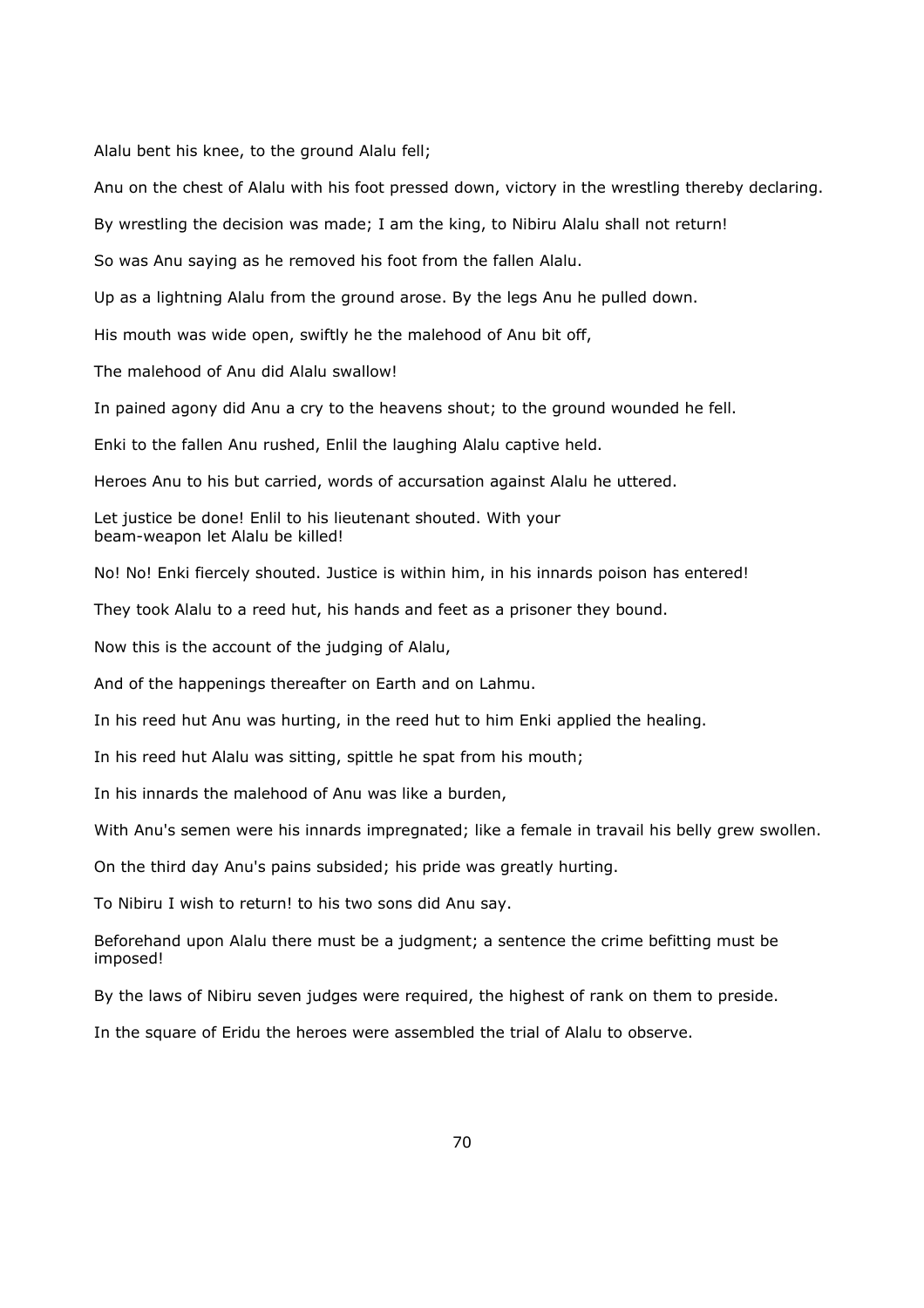Alalu bent his knee, to the ground Alalu fell;

Anu on the chest of Alalu with his foot pressed down, victory in the wrestling thereby declaring.

By wrestling the decision was made; I am the king, to Nibiru Alalu shall not return!

So was Anu saying as he removed his foot from the fallen Alalu.

Up as a lightning Alalu from the ground arose. By the legs Anu he pulled down.

His mouth was wide open, swiftly he the malehood of Anu bit off,

The malehood of Anu did Alalu swallow!

In pained agony did Anu a cry to the heavens shout; to the ground wounded he fell.

Enki to the fallen Anu rushed, Enlil the laughing Alalu captive held.

Heroes Anu to his but carried, words of accursation against Alalu he uttered.

Let justice be done! Enlil to his lieutenant shouted. With your beam-weapon let Alalu be killed!

No! No! Enki fiercely shouted. Justice is within him, in his innards poison has entered!

They took Alalu to a reed hut, his hands and feet as a prisoner they bound.

Now this is the account of the judging of Alalu,

And of the happenings thereafter on Earth and on Lahmu.

In his reed hut Anu was hurting, in the reed hut to him Enki applied the healing.

In his reed hut Alalu was sitting, spittle he spat from his mouth;

In his innards the malehood of Anu was like a burden,

With Anu's semen were his innards impregnated; like a female in travail his belly grew swollen.

On the third day Anu's pains subsided; his pride was greatly hurting.

To Nibiru I wish to return! to his two sons did Anu say.

Beforehand upon Alalu there must be a judgment; a sentence the crime befitting must be imposed!

By the laws of Nibiru seven judges were required, the highest of rank on them to preside.

In the square of Eridu the heroes were assembled the trial of Alalu to observe.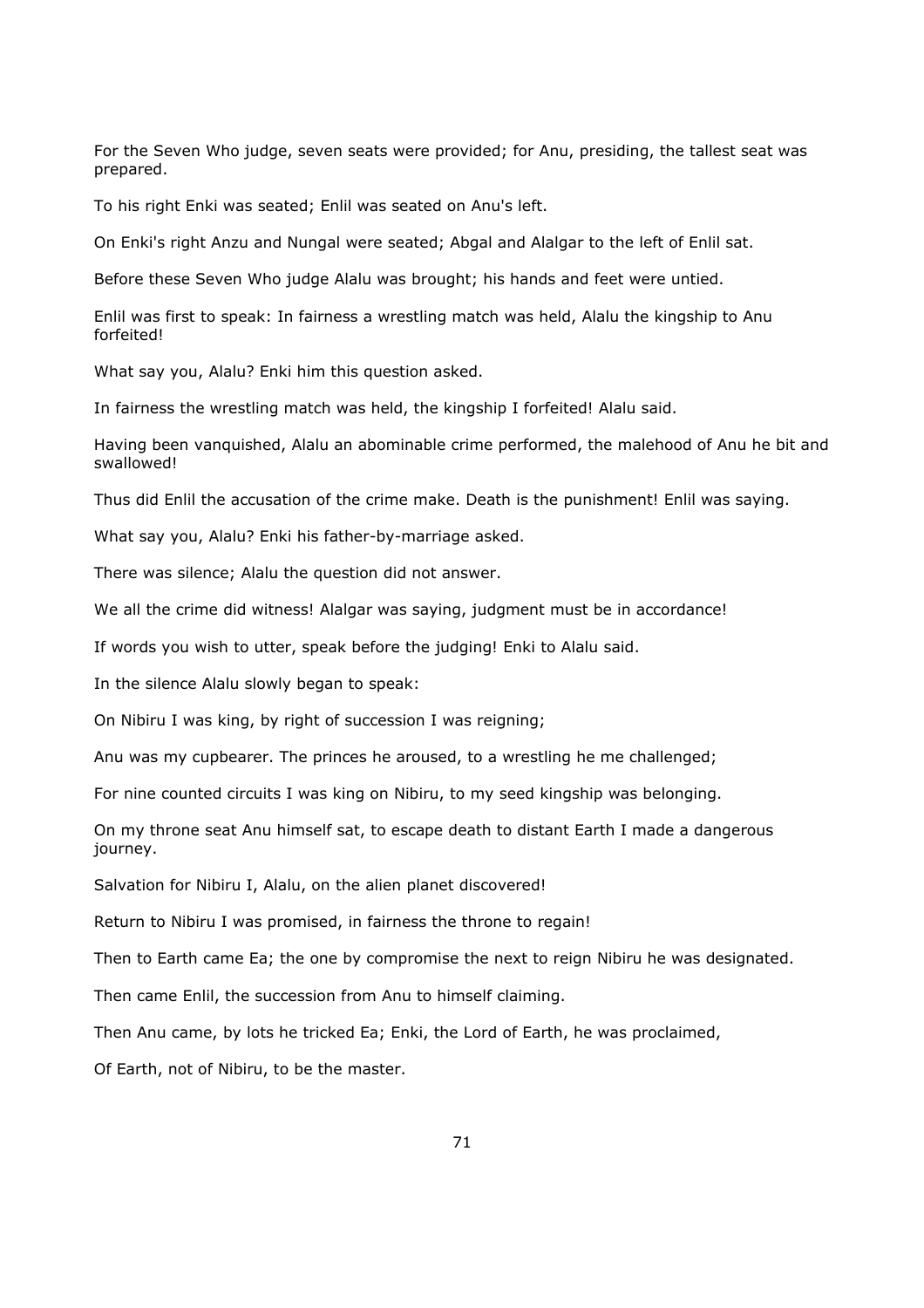For the Seven Who judge, seven seats were provided; for Anu, presiding, the tallest seat was prepared.

To his right Enki was seated; Enlil was seated on Anu's left.

On Enki's right Anzu and Nungal were seated; Abgal and Alalgar to the left of Enlil sat.

Before these Seven Who judge Alalu was brought; his hands and feet were untied.

Enlil was first to speak: In fairness a wrestling match was held, Alalu the kingship to Anu forfeited!

What say you, Alalu? Enki him this question asked.

In fairness the wrestling match was held, the kingship I forfeited! Alalu said.

Having been vanquished, Alalu an abominable crime performed, the malehood of Anu he bit and swallowed!

Thus did Enlil the accusation of the crime make. Death is the punishment! Enlil was saying.

What say you, Alalu? Enki his father-by-marriage asked.

There was silence; Alalu the question did not answer.

We all the crime did witness! Alalgar was saying, judgment must be in accordance!

If words you wish to utter, speak before the judging! Enki to Alalu said.

In the silence Alalu slowly began to speak:

On Nibiru I was king, by right of succession I was reigning;

Anu was my cupbearer. The princes he aroused, to a wrestling he me challenged;

For nine counted circuits I was king on Nibiru, to my seed kingship was belonging.

On my throne seat Anu himself sat, to escape death to distant Earth I made a dangerous journey.

Salvation for Nibiru I, Alalu, on the alien planet discovered!

Return to Nibiru I was promised, in fairness the throne to regain!

Then to Earth came Ea; the one by compromise the next to reign Nibiru he was designated.

Then came Enlil, the succession from Anu to himself claiming.

Then Anu came, by lots he tricked Ea; Enki, the Lord of Earth, he was proclaimed,

Of Earth, not of Nibiru, to be the master.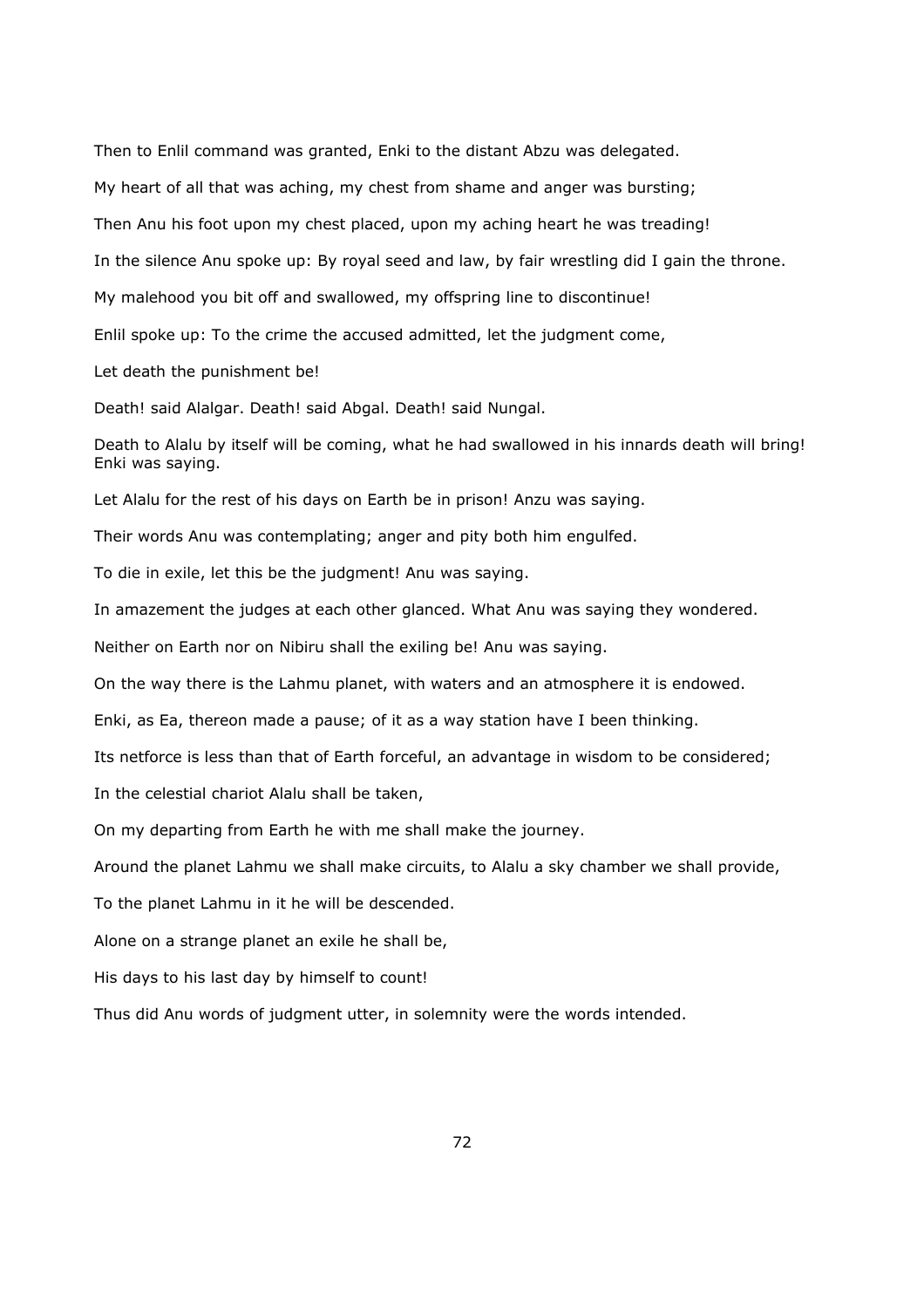Then to Enlil command was granted, Enki to the distant Abzu was delegated.

My heart of all that was aching, my chest from shame and anger was bursting;

Then Anu his foot upon my chest placed, upon my aching heart he was treading!

In the silence Anu spoke up: By royal seed and law, by fair wrestling did I gain the throne.

My malehood you bit off and swallowed, my offspring line to discontinue!

Enlil spoke up: To the crime the accused admitted, let the judgment come,

Let death the punishment be!

Death! said Alalgar. Death! said Abgal. Death! said Nungal.

Death to Alalu by itself will be coming, what he had swallowed in his innards death will bring! Enki was saying.

Let Alalu for the rest of his days on Earth be in prison! Anzu was saying.

Their words Anu was contemplating; anger and pity both him engulfed.

To die in exile, let this be the judgment! Anu was saying.

In amazement the judges at each other glanced. What Anu was saying they wondered.

Neither on Earth nor on Nibiru shall the exiling be! Anu was saying.

On the way there is the Lahmu planet, with waters and an atmosphere it is endowed.

Enki, as Ea, thereon made a pause; of it as a way station have I been thinking.

Its netforce is less than that of Earth forceful, an advantage in wisdom to be considered;

In the celestial chariot Alalu shall be taken,

On my departing from Earth he with me shall make the journey.

Around the planet Lahmu we shall make circuits, to Alalu a sky chamber we shall provide,

To the planet Lahmu in it he will be descended.

Alone on a strange planet an exile he shall be,

His days to his last day by himself to count!

Thus did Anu words of judgment utter, in solemnity were the words intended.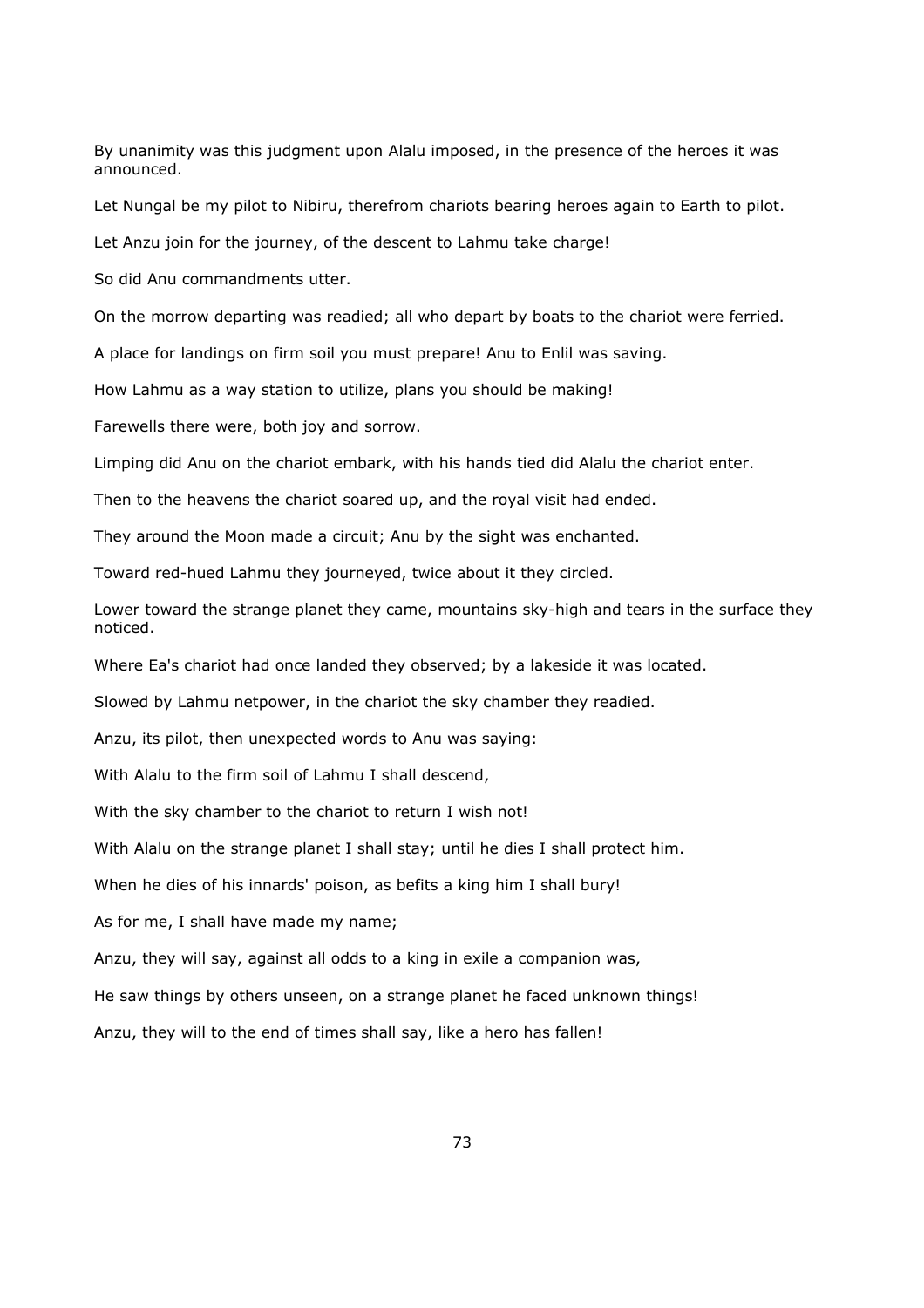By unanimity was this judgment upon Alalu imposed, in the presence of the heroes it was announced.

Let Nungal be my pilot to Nibiru, therefrom chariots bearing heroes again to Earth to pilot.

Let Anzu join for the journey, of the descent to Lahmu take charge!

So did Anu commandments utter.

On the morrow departing was readied; all who depart by boats to the chariot were ferried.

A place for landings on firm soil you must prepare! Anu to Enlil was saving.

How Lahmu as a way station to utilize, plans you should be making!

Farewells there were, both joy and sorrow.

Limping did Anu on the chariot embark, with his hands tied did Alalu the chariot enter.

Then to the heavens the chariot soared up, and the royal visit had ended.

They around the Moon made a circuit; Anu by the sight was enchanted.

Toward red-hued Lahmu they journeyed, twice about it they circled.

Lower toward the strange planet they came, mountains sky-high and tears in the surface they noticed.

Where Ea's chariot had once landed they observed; by a lakeside it was located.

Slowed by Lahmu netpower, in the chariot the sky chamber they readied.

Anzu, its pilot, then unexpected words to Anu was saying:

With Alalu to the firm soil of Lahmu I shall descend,

With the sky chamber to the chariot to return I wish not!

With Alalu on the strange planet I shall stay; until he dies I shall protect him.

When he dies of his innards' poison, as befits a king him I shall bury!

As for me, I shall have made my name;

Anzu, they will say, against all odds to a king in exile a companion was,

He saw things by others unseen, on a strange planet he faced unknown things!

Anzu, they will to the end of times shall say, like a hero has fallen!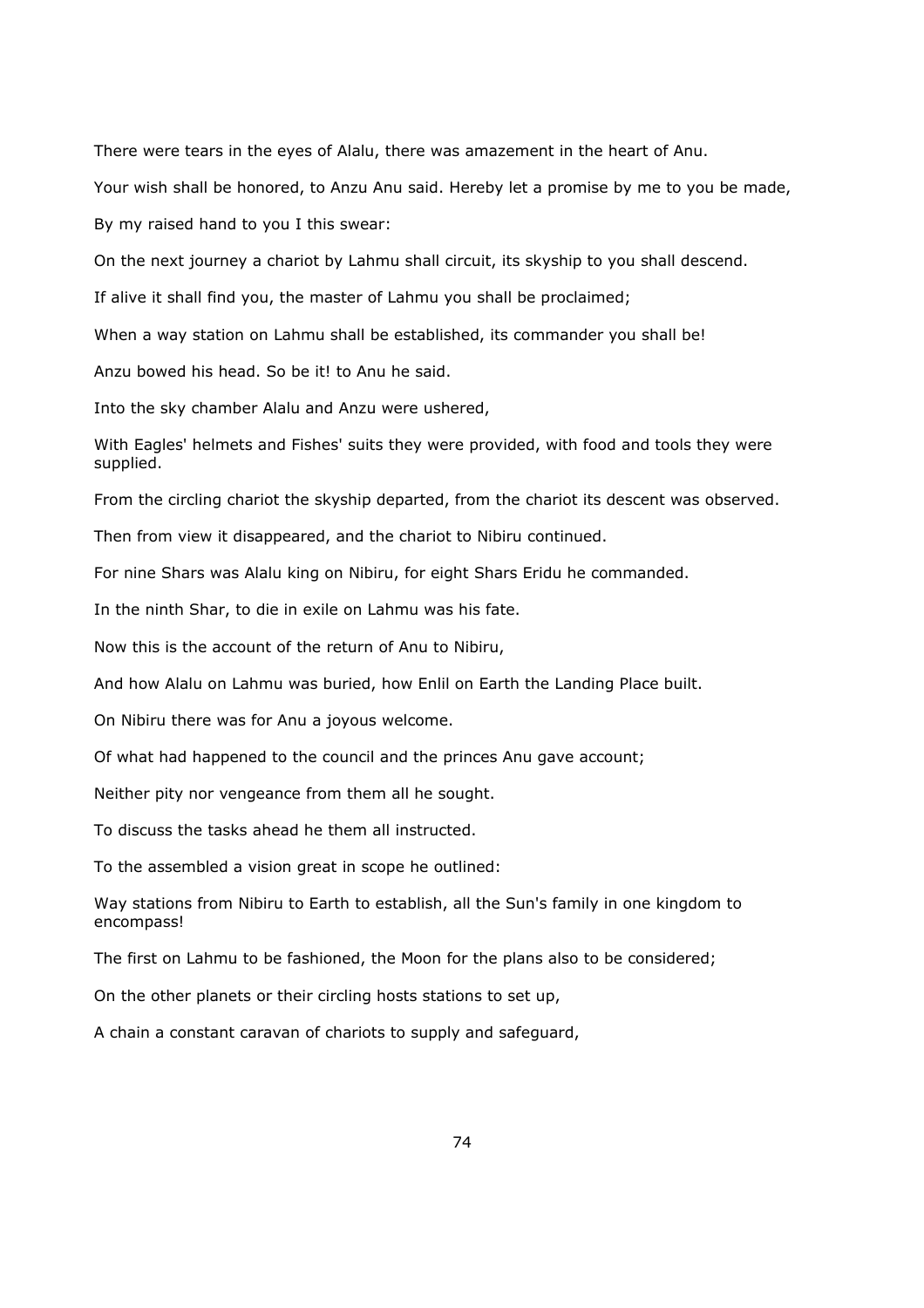There were tears in the eyes of Alalu, there was amazement in the heart of Anu.

Your wish shall be honored, to Anzu Anu said. Hereby let a promise by me to you be made,

By my raised hand to you I this swear:

On the next journey a chariot by Lahmu shall circuit, its skyship to you shall descend.

If alive it shall find you, the master of Lahmu you shall be proclaimed;

When a way station on Lahmu shall be established, its commander you shall be!

Anzu bowed his head. So be it! to Anu he said.

Into the sky chamber Alalu and Anzu were ushered,

With Eagles' helmets and Fishes' suits they were provided, with food and tools they were supplied.

From the circling chariot the skyship departed, from the chariot its descent was observed.

Then from view it disappeared, and the chariot to Nibiru continued.

For nine Shars was Alalu king on Nibiru, for eight Shars Eridu he commanded.

In the ninth Shar, to die in exile on Lahmu was his fate.

Now this is the account of the return of Anu to Nibiru,

And how Alalu on Lahmu was buried, how Enlil on Earth the Landing Place built.

On Nibiru there was for Anu a joyous welcome.

Of what had happened to the council and the princes Anu gave account;

Neither pity nor vengeance from them all he sought.

To discuss the tasks ahead he them all instructed.

To the assembled a vision great in scope he outlined:

Way stations from Nibiru to Earth to establish, all the Sun's family in one kingdom to encompass!

The first on Lahmu to be fashioned, the Moon for the plans also to be considered;

On the other planets or their circling hosts stations to set up,

A chain a constant caravan of chariots to supply and safeguard,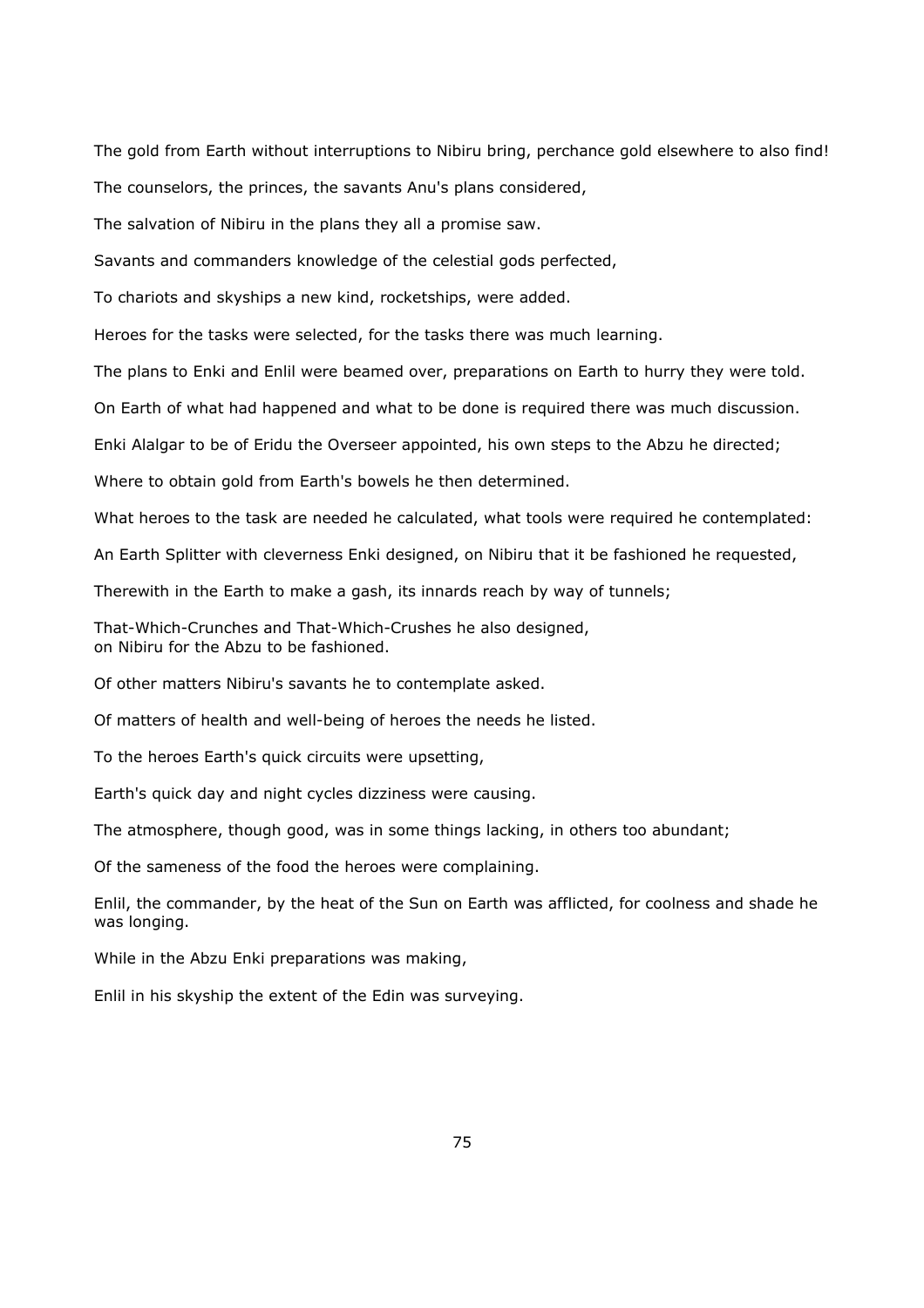The gold from Earth without interruptions to Nibiru bring, perchance gold elsewhere to also find! The counselors, the princes, the savants Anu's plans considered,

The salvation of Nibiru in the plans they all a promise saw.

Savants and commanders knowledge of the celestial gods perfected,

To chariots and skyships a new kind, rocketships, were added.

Heroes for the tasks were selected, for the tasks there was much learning.

The plans to Enki and Enlil were beamed over, preparations on Earth to hurry they were told.

On Earth of what had happened and what to be done is required there was much discussion.

Enki Alalgar to be of Eridu the Overseer appointed, his own steps to the Abzu he directed;

Where to obtain gold from Earth's bowels he then determined.

What heroes to the task are needed he calculated, what tools were required he contemplated:

An Earth Splitter with cleverness Enki designed, on Nibiru that it be fashioned he requested,

Therewith in the Earth to make a gash, its innards reach by way of tunnels;

That-Which-Crunches and That-Which-Crushes he also designed, on Nibiru for the Abzu to be fashioned.

Of other matters Nibiru's savants he to contemplate asked.

Of matters of health and well-being of heroes the needs he listed.

To the heroes Earth's quick circuits were upsetting,

Earth's quick day and night cycles dizziness were causing.

The atmosphere, though good, was in some things lacking, in others too abundant;

Of the sameness of the food the heroes were complaining.

Enlil, the commander, by the heat of the Sun on Earth was afflicted, for coolness and shade he was longing.

While in the Abzu Enki preparations was making,

Enlil in his skyship the extent of the Edin was surveying.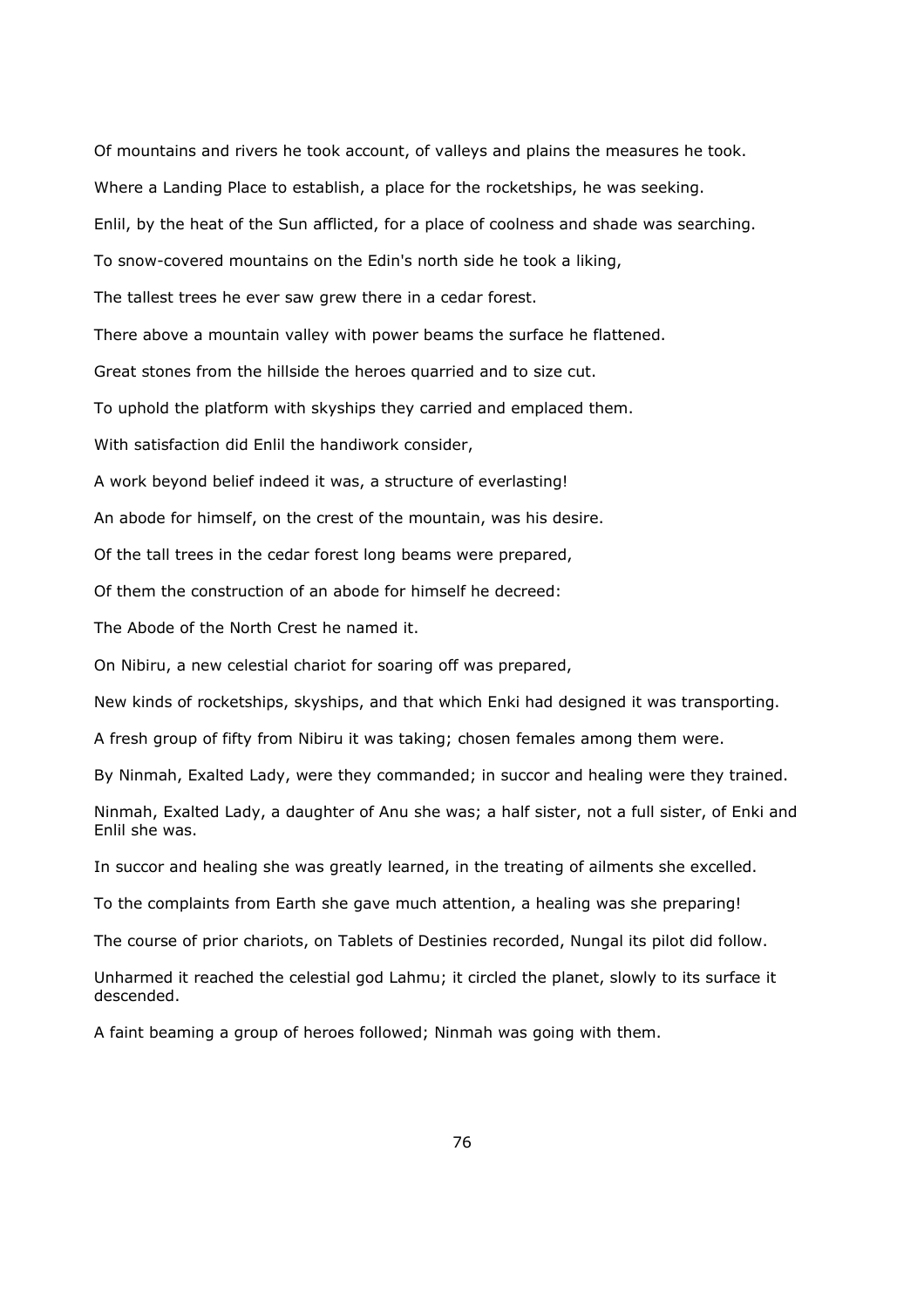Where a Landing Place to establish, a place for the rocketships, he was seeking. Enlil, by the heat of the Sun afflicted, for a place of coolness and shade was searching. To snow-covered mountains on the Edin's north side he took a liking, The tallest trees he ever saw grew there in a cedar forest. There above a mountain valley with power beams the surface he flattened. Great stones from the hillside the heroes quarried and to size cut. To uphold the platform with skyships they carried and emplaced them. With satisfaction did Enlil the handiwork consider,

Of mountains and rivers he took account, of valleys and plains the measures he took.

A work beyond belief indeed it was, a structure of everlasting!

An abode for himself, on the crest of the mountain, was his desire.

Of the tall trees in the cedar forest long beams were prepared,

Of them the construction of an abode for himself he decreed:

The Abode of the North Crest he named it.

On Nibiru, a new celestial chariot for soaring off was prepared,

New kinds of rocketships, skyships, and that which Enki had designed it was transporting.

A fresh group of fifty from Nibiru it was taking; chosen females among them were.

By Ninmah, Exalted Lady, were they commanded; in succor and healing were they trained.

Ninmah, Exalted Lady, a daughter of Anu she was; a half sister, not a full sister, of Enki and Enlil she was.

In succor and healing she was greatly learned, in the treating of ailments she excelled.

To the complaints from Earth she gave much attention, a healing was she preparing!

The course of prior chariots, on Tablets of Destinies recorded, Nungal its pilot did follow.

Unharmed it reached the celestial god Lahmu; it circled the planet, slowly to its surface it descended.

A faint beaming a group of heroes followed; Ninmah was going with them.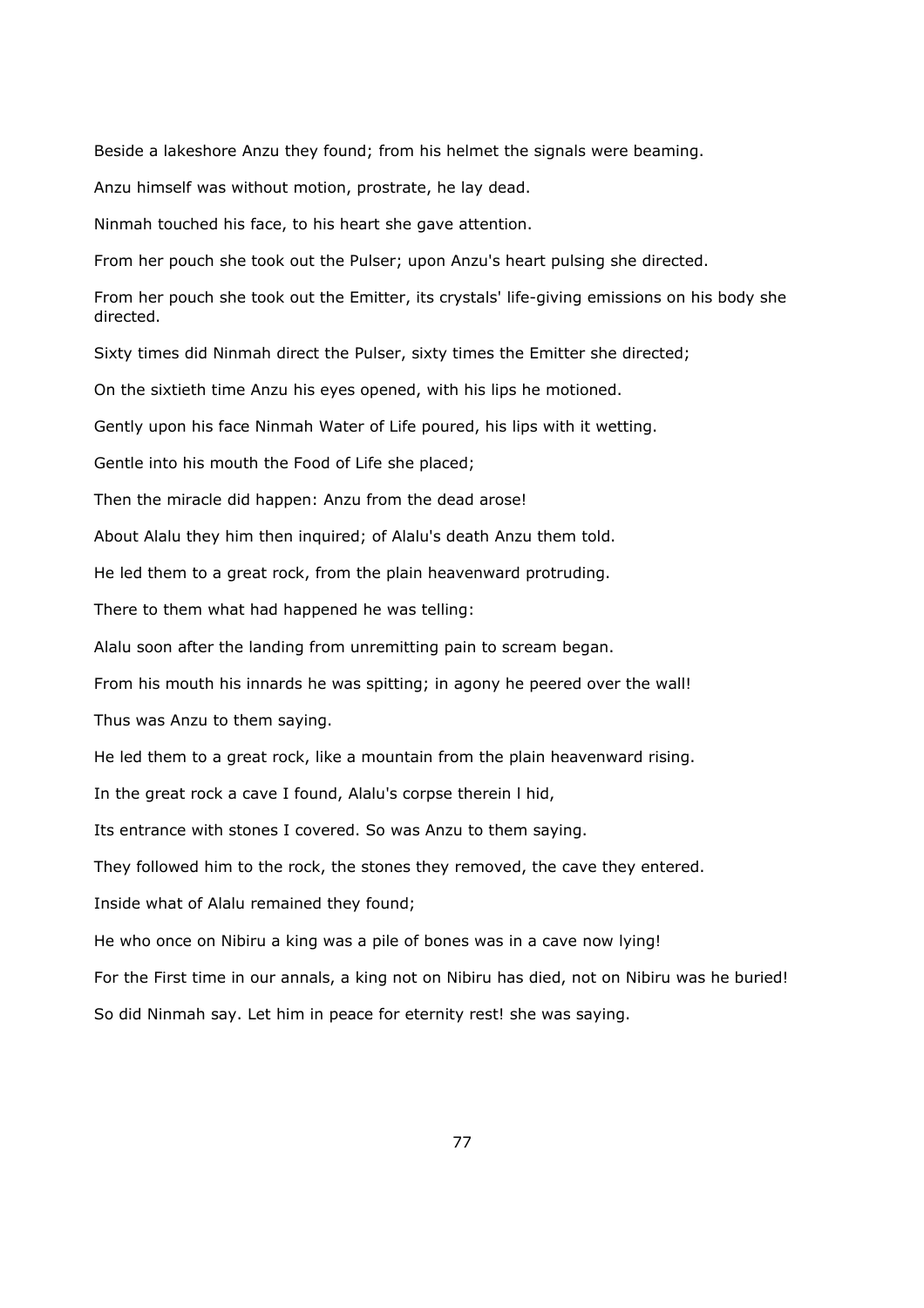Beside a lakeshore Anzu they found; from his helmet the signals were beaming.

Anzu himself was without motion, prostrate, he lay dead.

Ninmah touched his face, to his heart she gave attention.

From her pouch she took out the Pulser; upon Anzu's heart pulsing she directed.

From her pouch she took out the Emitter, its crystals' life-giving emissions on his body she directed.

Sixty times did Ninmah direct the Pulser, sixty times the Emitter she directed;

On the sixtieth time Anzu his eyes opened, with his lips he motioned.

Gently upon his face Ninmah Water of Life poured, his lips with it wetting.

Gentle into his mouth the Food of Life she placed;

Then the miracle did happen: Anzu from the dead arose!

About Alalu they him then inquired; of Alalu's death Anzu them told.

He led them to a great rock, from the plain heavenward protruding.

There to them what had happened he was telling:

Alalu soon after the landing from unremitting pain to scream began.

From his mouth his innards he was spitting; in agony he peered over the wall!

Thus was Anzu to them saying.

He led them to a great rock, like a mountain from the plain heavenward rising.

In the great rock a cave I found, Alalu's corpse therein l hid,

Its entrance with stones I covered. So was Anzu to them saying.

They followed him to the rock, the stones they removed, the cave they entered.

Inside what of Alalu remained they found;

He who once on Nibiru a king was a pile of bones was in a cave now lying!

For the First time in our annals, a king not on Nibiru has died, not on Nibiru was he buried!

So did Ninmah say. Let him in peace for eternity rest! she was saying.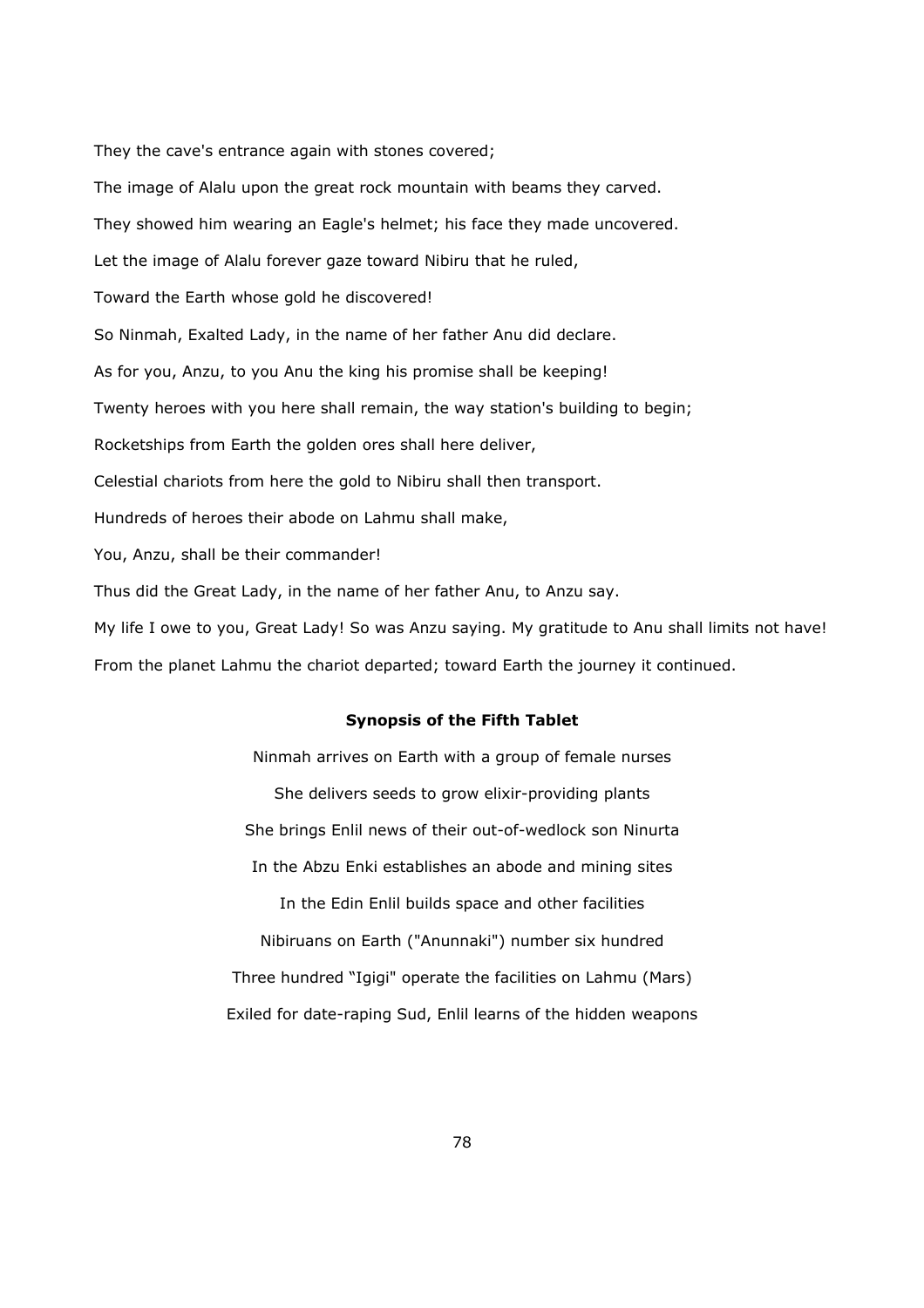They the cave's entrance again with stones covered; The image of Alalu upon the great rock mountain with beams they carved. They showed him wearing an Eagle's helmet; his face they made uncovered. Let the image of Alalu forever gaze toward Nibiru that he ruled, Toward the Earth whose gold he discovered! So Ninmah, Exalted Lady, in the name of her father Anu did declare. As for you, Anzu, to you Anu the king his promise shall be keeping! Twenty heroes with you here shall remain, the way station's building to begin; Rocketships from Earth the golden ores shall here deliver, Celestial chariots from here the gold to Nibiru shall then transport. Hundreds of heroes their abode on Lahmu shall make, You, Anzu, shall be their commander! Thus did the Great Lady, in the name of her father Anu, to Anzu say. My life I owe to you, Great Lady! So was Anzu saying. My gratitude to Anu shall limits not have! From the planet Lahmu the chariot departed; toward Earth the journey it continued.

## **Synopsis of the Fifth Tablet**

Ninmah arrives on Earth with a group of female nurses She delivers seeds to grow elixir-providing plants She brings Enlil news of their out-of-wedlock son Ninurta In the Abzu Enki establishes an abode and mining sites In the Edin Enlil builds space and other facilities Nibiruans on Earth ("Anunnaki") number six hundred Three hundred "Igigi" operate the facilities on Lahmu (Mars) Exiled for date-raping Sud, Enlil learns of the hidden weapons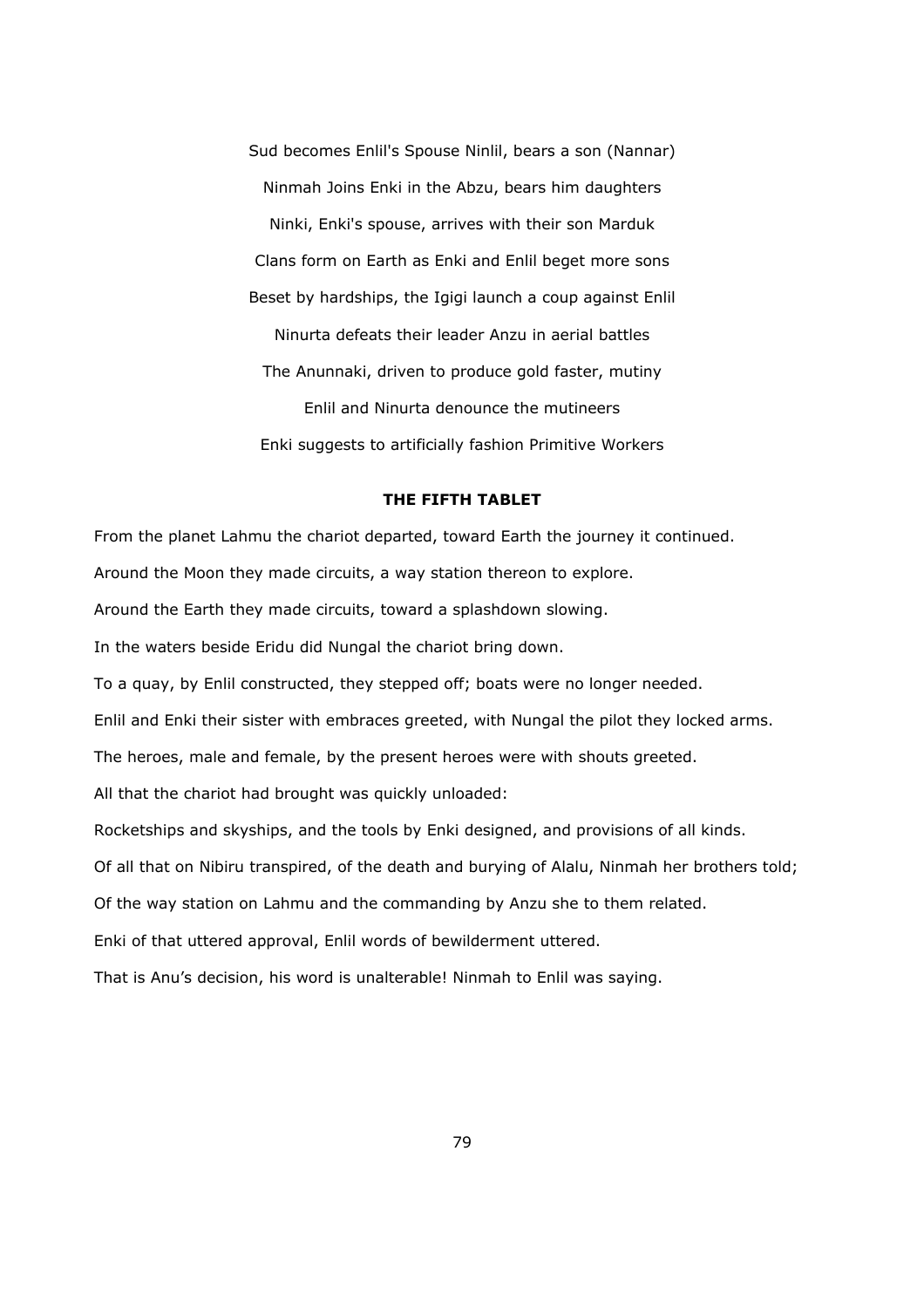Sud becomes Enlil's Spouse Ninlil, bears a son (Nannar) Ninmah Joins Enki in the Abzu, bears him daughters Ninki, Enki's spouse, arrives with their son Marduk Clans form on Earth as Enki and Enlil beget more sons Beset by hardships, the Igigi launch a coup against Enlil Ninurta defeats their leader Anzu in aerial battles The Anunnaki, driven to produce gold faster, mutiny Enlil and Ninurta denounce the mutineers Enki suggests to artificially fashion Primitive Workers

## **THE FIFTH TABLET**

From the planet Lahmu the chariot departed, toward Earth the journey it continued. Around the Moon they made circuits, a way station thereon to explore. Around the Earth they made circuits, toward a splashdown slowing. In the waters beside Eridu did Nungal the chariot bring down. To a quay, by Enlil constructed, they stepped off; boats were no longer needed. Enlil and Enki their sister with embraces greeted, with Nungal the pilot they locked arms. The heroes, male and female, by the present heroes were with shouts greeted. All that the chariot had brought was quickly unloaded: Rocketships and skyships, and the tools by Enki designed, and provisions of all kinds. Of all that on Nibiru transpired, of the death and burying of Alalu, Ninmah her brothers told; Of the way station on Lahmu and the commanding by Anzu she to them related. Enki of that uttered approval, Enlil words of bewilderment uttered. That is Anu's decision, his word is unalterable! Ninmah to Enlil was saying.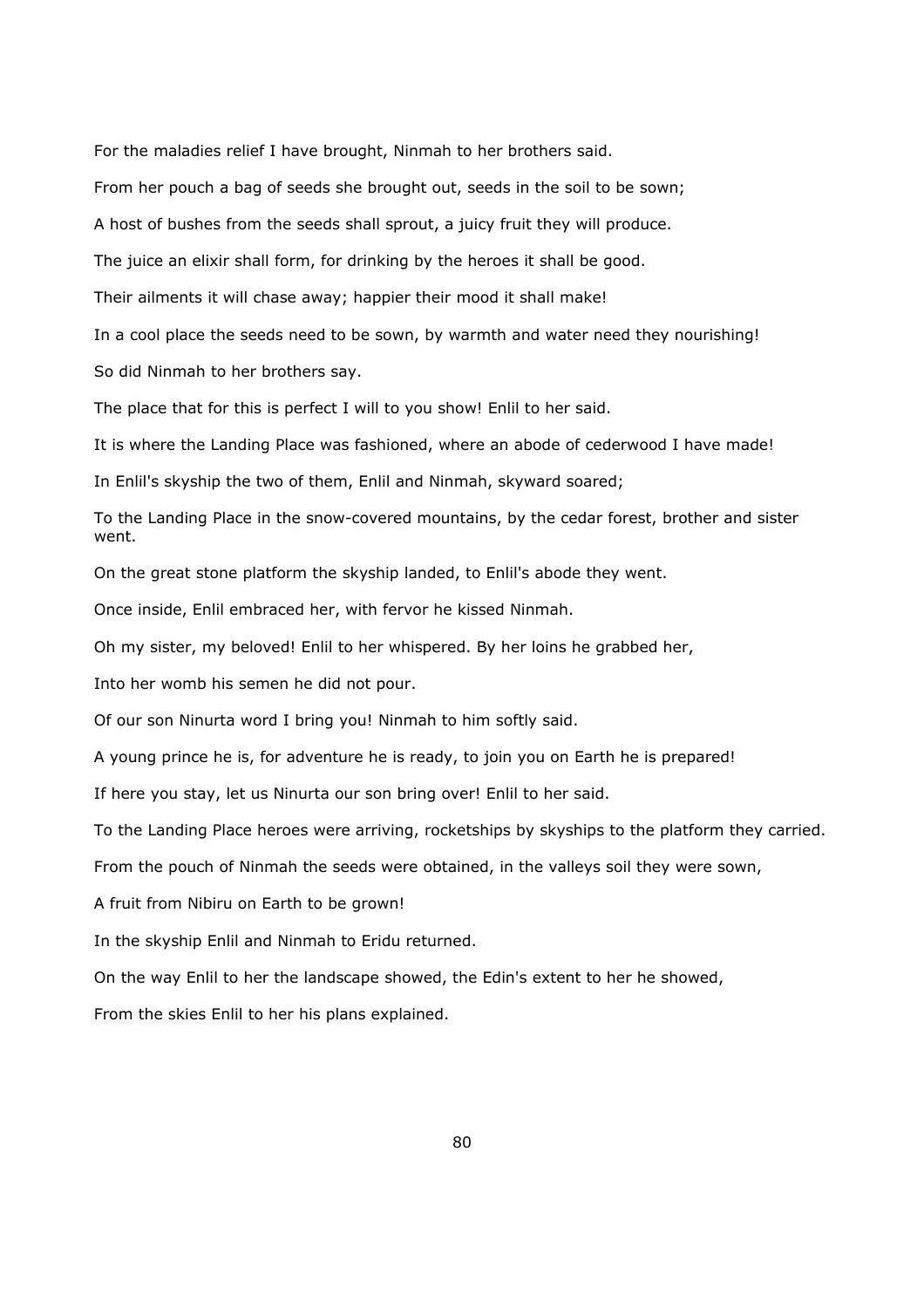For the maladies relief I have brought, Ninmah to her brothers said.

From her pouch a bag of seeds she brought out, seeds in the soil to be sown;

A host of bushes from the seeds shall sprout, a juicy fruit they will produce.

The juice an elixir shall form, for drinking by the heroes it shall be good.

Their ailments it will chase away; happier their mood it shall make!

In a cool place the seeds need to be sown, by warmth and water need they nourishing!

So did Ninmah to her brothers say.

The place that for this is perfect I will to you show! Enlil to her said.

It is where the Landing Place was fashioned, where an abode of cederwood I have made!

In Enlil's skyship the two of them, Enlil and Ninmah, skyward soared;

To the Landing Place in the snow-covered mountains, by the cedar forest, brother and sister went.

On the great stone platform the skyship landed, to Enlil's abode they went.

Once inside, Enlil embraced her, with fervor he kissed Ninmah.

Oh my sister, my beloved! Enlil to her whispered. By her loins he grabbed her,

Into her womb his semen he did not pour.

Of our son Ninurta word I bring you! Ninmah to him softly said.

A young prince he is, for adventure he is ready, to join you on Earth he is prepared!

If here you stay, let us Ninurta our son bring over! Enlil to her said.

To the Landing Place heroes were arriving, rocketships by skyships to the platform they carried.

From the pouch of Ninmah the seeds were obtained, in the valleys soil they were sown,

A fruit from Nibiru on Earth to be grown!

In the skyship Enlil and Ninmah to Eridu returned.

On the way Enlil to her the landscape showed, the Edin's extent to her he showed,

From the skies Enlil to her his plans explained.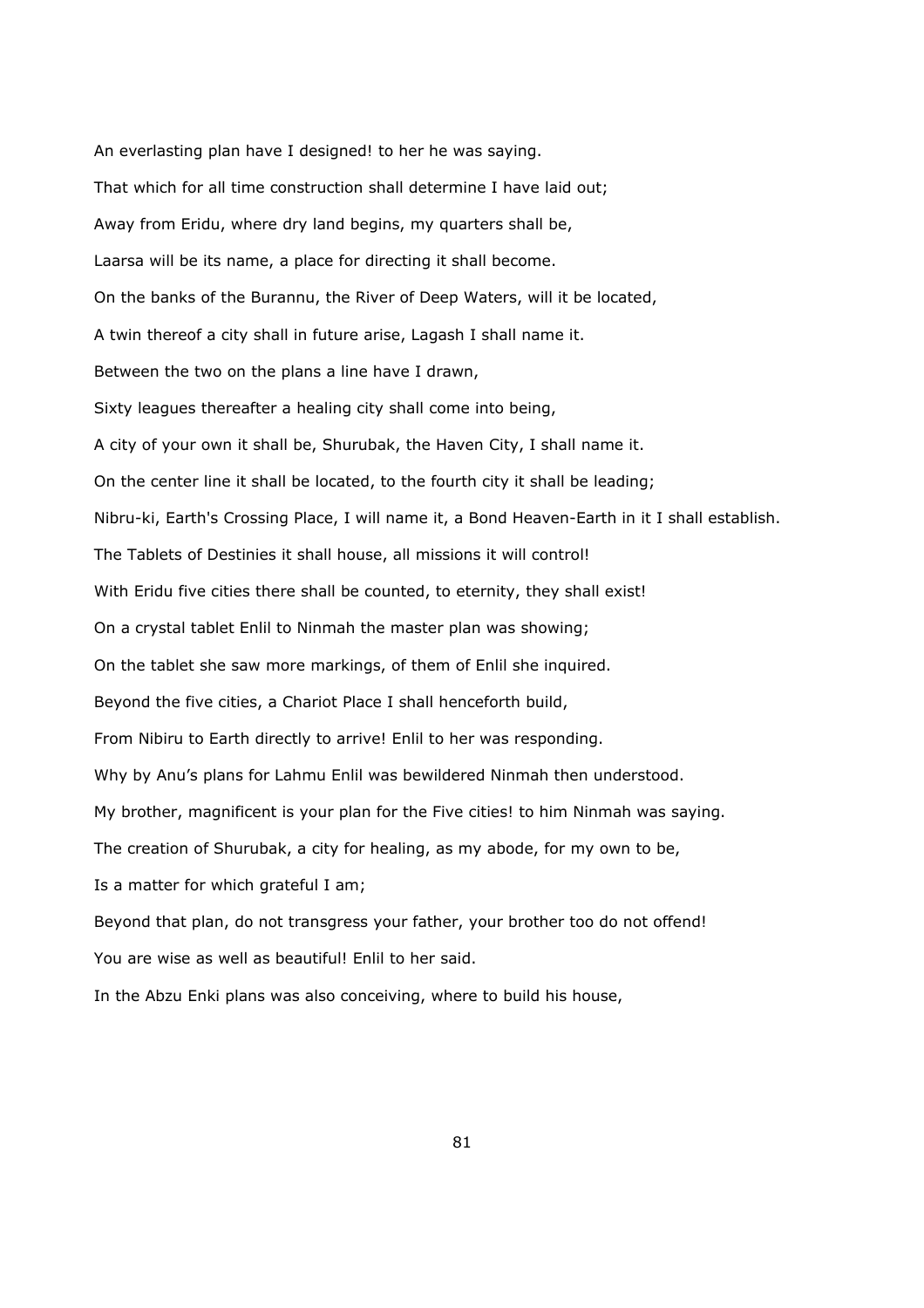An everlasting plan have I designed! to her he was saying. That which for all time construction shall determine I have laid out; Away from Eridu, where dry land begins, my quarters shall be, Laarsa will be its name, a place for directing it shall become. On the banks of the Burannu, the River of Deep Waters, will it be located, A twin thereof a city shall in future arise, Lagash I shall name it. Between the two on the plans a line have I drawn, Sixty leagues thereafter a healing city shall come into being, A city of your own it shall be, Shurubak, the Haven City, I shall name it. On the center line it shall be located, to the fourth city it shall be leading; Nibru-ki, Earth's Crossing Place, I will name it, a Bond Heaven-Earth in it I shall establish. The Tablets of Destinies it shall house, all missions it will control! With Eridu five cities there shall be counted, to eternity, they shall exist! On a crystal tablet Enlil to Ninmah the master plan was showing; On the tablet she saw more markings, of them of Enlil she inquired. Beyond the five cities, a Chariot Place I shall henceforth build, From Nibiru to Earth directly to arrive! Enlil to her was responding. Why by Anu's plans for Lahmu Enlil was bewildered Ninmah then understood. My brother, magnificent is your plan for the Five cities! to him Ninmah was saying. The creation of Shurubak, a city for healing, as my abode, for my own to be, Is a matter for which grateful I am; Beyond that plan, do not transgress your father, your brother too do not offend! You are wise as well as beautiful! Enlil to her said.

In the Abzu Enki plans was also conceiving, where to build his house,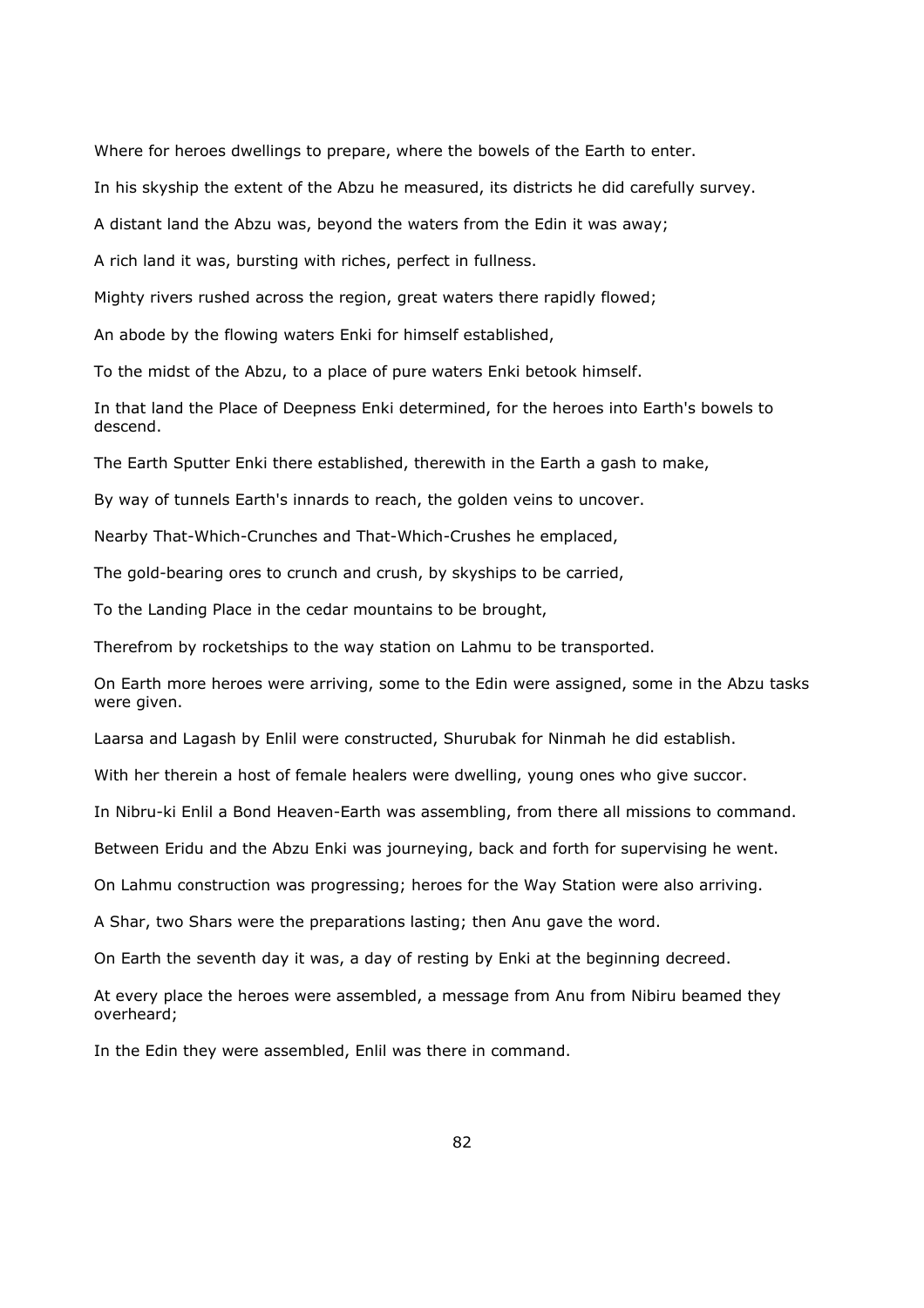Where for heroes dwellings to prepare, where the bowels of the Earth to enter.

In his skyship the extent of the Abzu he measured, its districts he did carefully survey.

A distant land the Abzu was, beyond the waters from the Edin it was away;

A rich land it was, bursting with riches, perfect in fullness.

Mighty rivers rushed across the region, great waters there rapidly flowed;

An abode by the flowing waters Enki for himself established,

To the midst of the Abzu, to a place of pure waters Enki betook himself.

In that land the Place of Deepness Enki determined, for the heroes into Earth's bowels to descend.

The Earth Sputter Enki there established, therewith in the Earth a gash to make,

By way of tunnels Earth's innards to reach, the golden veins to uncover.

Nearby That-Which-Crunches and That-Which-Crushes he emplaced,

The gold-bearing ores to crunch and crush, by skyships to be carried,

To the Landing Place in the cedar mountains to be brought,

Therefrom by rocketships to the way station on Lahmu to be transported.

On Earth more heroes were arriving, some to the Edin were assigned, some in the Abzu tasks were given.

Laarsa and Lagash by Enlil were constructed, Shurubak for Ninmah he did establish.

With her therein a host of female healers were dwelling, young ones who give succor.

In Nibru-ki Enlil a Bond Heaven-Earth was assembling, from there all missions to command.

Between Eridu and the Abzu Enki was journeying, back and forth for supervising he went.

On Lahmu construction was progressing; heroes for the Way Station were also arriving.

A Shar, two Shars were the preparations lasting; then Anu gave the word.

On Earth the seventh day it was, a day of resting by Enki at the beginning decreed.

At every place the heroes were assembled, a message from Anu from Nibiru beamed they overheard;

In the Edin they were assembled, Enlil was there in command.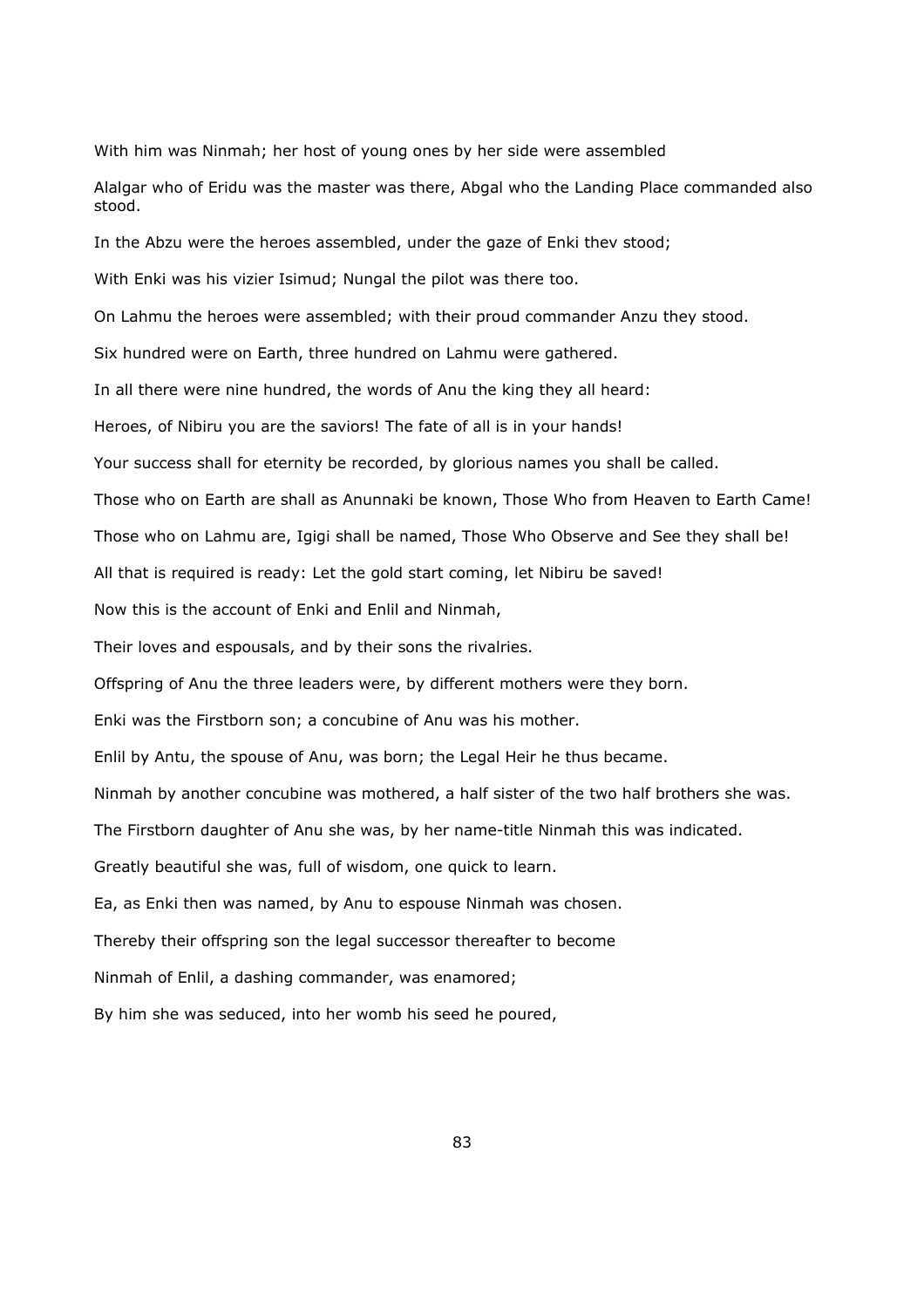With him was Ninmah; her host of young ones by her side were assembled

Alalgar who of Eridu was the master was there, Abgal who the Landing Place commanded also stood.

In the Abzu were the heroes assembled, under the gaze of Enki thev stood;

With Enki was his vizier Isimud; Nungal the pilot was there too.

On Lahmu the heroes were assembled; with their proud commander Anzu they stood.

Six hundred were on Earth, three hundred on Lahmu were gathered.

In all there were nine hundred, the words of Anu the king they all heard:

Heroes, of Nibiru you are the saviors! The fate of all is in your hands!

Your success shall for eternity be recorded, by glorious names you shall be called.

Those who on Earth are shall as Anunnaki be known, Those Who from Heaven to Earth Came!

Those who on Lahmu are, Igigi shall be named, Those Who Observe and See they shall be!

All that is required is ready: Let the gold start coming, let Nibiru be saved!

Now this is the account of Enki and Enlil and Ninmah,

Their loves and espousals, and by their sons the rivalries.

Offspring of Anu the three leaders were, by different mothers were they born.

Enki was the Firstborn son; a concubine of Anu was his mother.

Enlil by Antu, the spouse of Anu, was born; the Legal Heir he thus became.

Ninmah by another concubine was mothered, a half sister of the two half brothers she was.

The Firstborn daughter of Anu she was, by her name-title Ninmah this was indicated.

Greatly beautiful she was, full of wisdom, one quick to learn.

Ea, as Enki then was named, by Anu to espouse Ninmah was chosen.

Thereby their offspring son the legal successor thereafter to become

Ninmah of Enlil, a dashing commander, was enamored;

By him she was seduced, into her womb his seed he poured,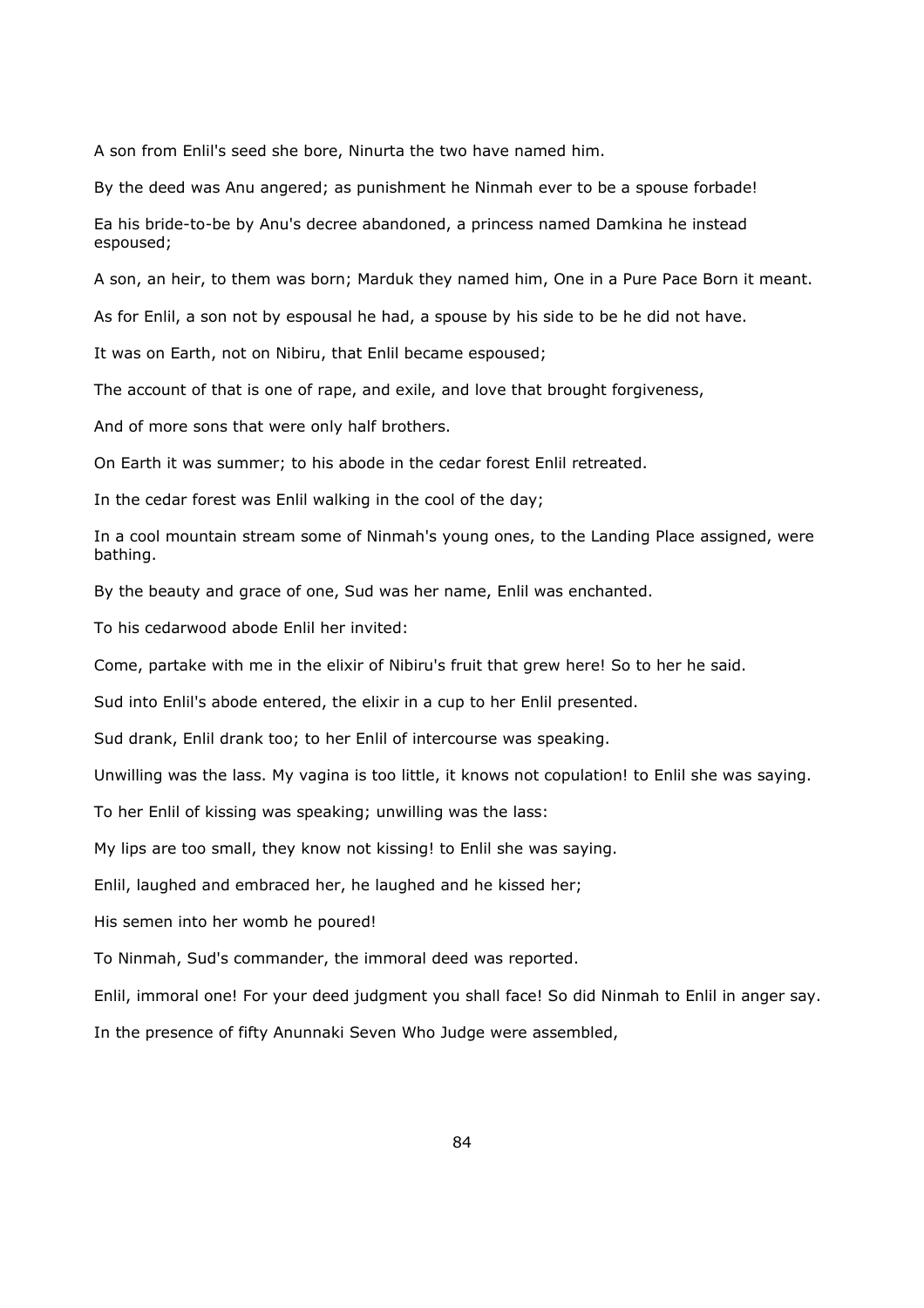A son from Enlil's seed she bore, Ninurta the two have named him.

By the deed was Anu angered; as punishment he Ninmah ever to be a spouse forbade!

Ea his bride-to-be by Anu's decree abandoned, a princess named Damkina he instead espoused;

A son, an heir, to them was born; Marduk they named him, One in a Pure Pace Born it meant.

As for Enlil, a son not by espousal he had, a spouse by his side to be he did not have.

It was on Earth, not on Nibiru, that Enlil became espoused;

The account of that is one of rape, and exile, and love that brought forgiveness,

And of more sons that were only half brothers.

On Earth it was summer; to his abode in the cedar forest Enlil retreated.

In the cedar forest was Enlil walking in the cool of the day;

In a cool mountain stream some of Ninmah's young ones, to the Landing Place assigned, were bathing.

By the beauty and grace of one, Sud was her name, Enlil was enchanted.

To his cedarwood abode Enlil her invited:

Come, partake with me in the elixir of Nibiru's fruit that grew here! So to her he said.

Sud into Enlil's abode entered, the elixir in a cup to her Enlil presented.

Sud drank, Enlil drank too; to her Enlil of intercourse was speaking.

Unwilling was the lass. My vagina is too little, it knows not copulation! to Enlil she was saying.

To her Enlil of kissing was speaking; unwilling was the lass:

My lips are too small, they know not kissing! to Enlil she was saying.

Enlil, laughed and embraced her, he laughed and he kissed her;

His semen into her womb he poured!

To Ninmah, Sud's commander, the immoral deed was reported.

Enlil, immoral one! For your deed judgment you shall face! So did Ninmah to Enlil in anger say.

In the presence of fifty Anunnaki Seven Who Judge were assembled,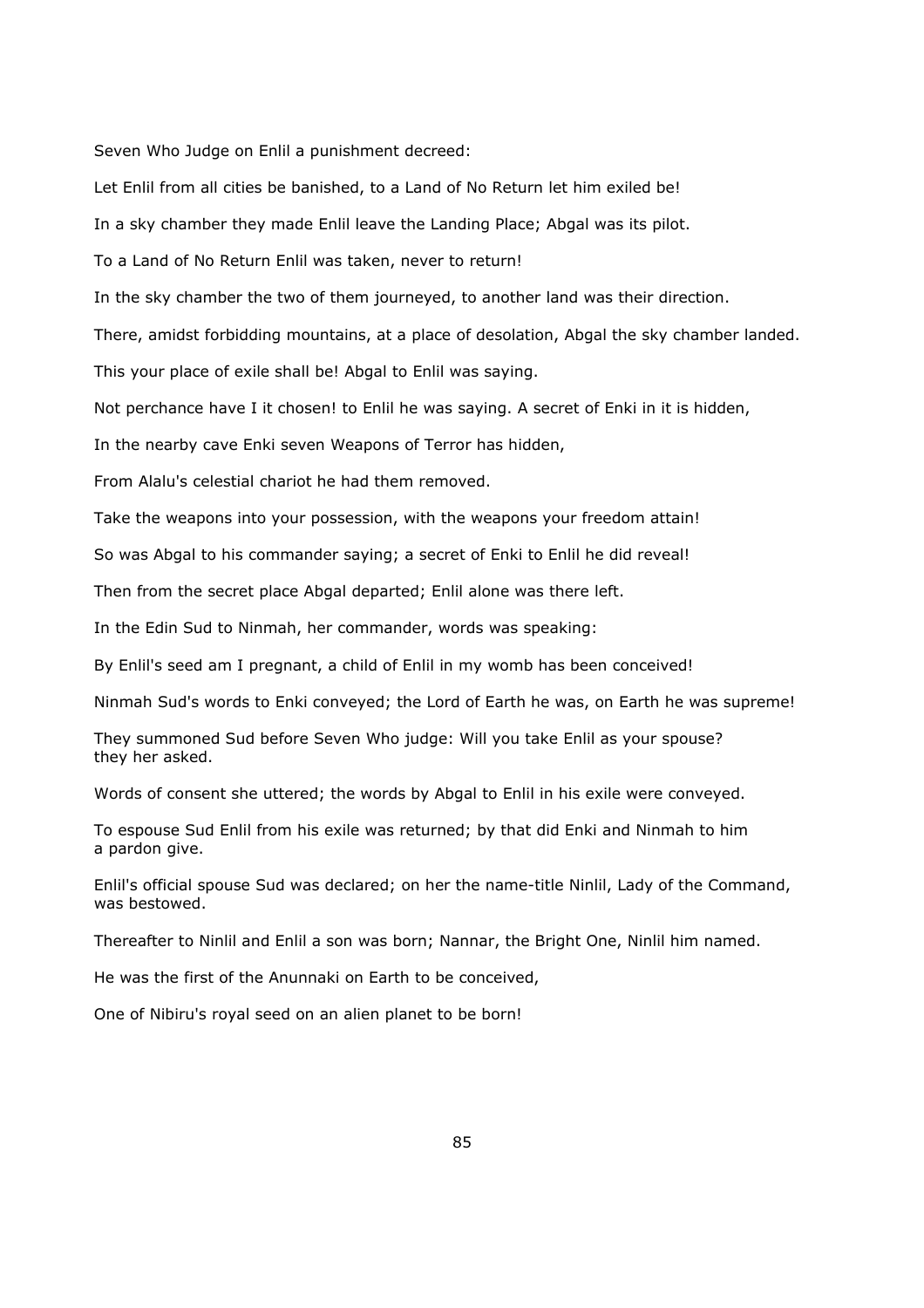Seven Who Judge on Enlil a punishment decreed:

Let Enlil from all cities be banished, to a Land of No Return let him exiled be!

In a sky chamber they made Enlil leave the Landing Place; Abgal was its pilot.

To a Land of No Return Enlil was taken, never to return!

In the sky chamber the two of them journeyed, to another land was their direction.

There, amidst forbidding mountains, at a place of desolation, Abgal the sky chamber landed.

This your place of exile shall be! Abgal to Enlil was saying.

Not perchance have I it chosen! to Enlil he was saying. A secret of Enki in it is hidden,

In the nearby cave Enki seven Weapons of Terror has hidden,

From Alalu's celestial chariot he had them removed.

Take the weapons into your possession, with the weapons your freedom attain!

So was Abgal to his commander saying; a secret of Enki to Enlil he did reveal!

Then from the secret place Abgal departed; Enlil alone was there left.

In the Edin Sud to Ninmah, her commander, words was speaking:

By Enlil's seed am I pregnant, a child of Enlil in my womb has been conceived!

Ninmah Sud's words to Enki conveyed; the Lord of Earth he was, on Earth he was supreme!

They summoned Sud before Seven Who judge: Will you take Enlil as your spouse? they her asked.

Words of consent she uttered; the words by Abgal to Enlil in his exile were conveyed.

To espouse Sud Enlil from his exile was returned; by that did Enki and Ninmah to him a pardon give.

Enlil's official spouse Sud was declared; on her the name-title Ninlil, Lady of the Command, was bestowed.

Thereafter to Ninlil and Enlil a son was born; Nannar, the Bright One, Ninlil him named.

He was the first of the Anunnaki on Earth to be conceived,

One of Nibiru's royal seed on an alien planet to be born!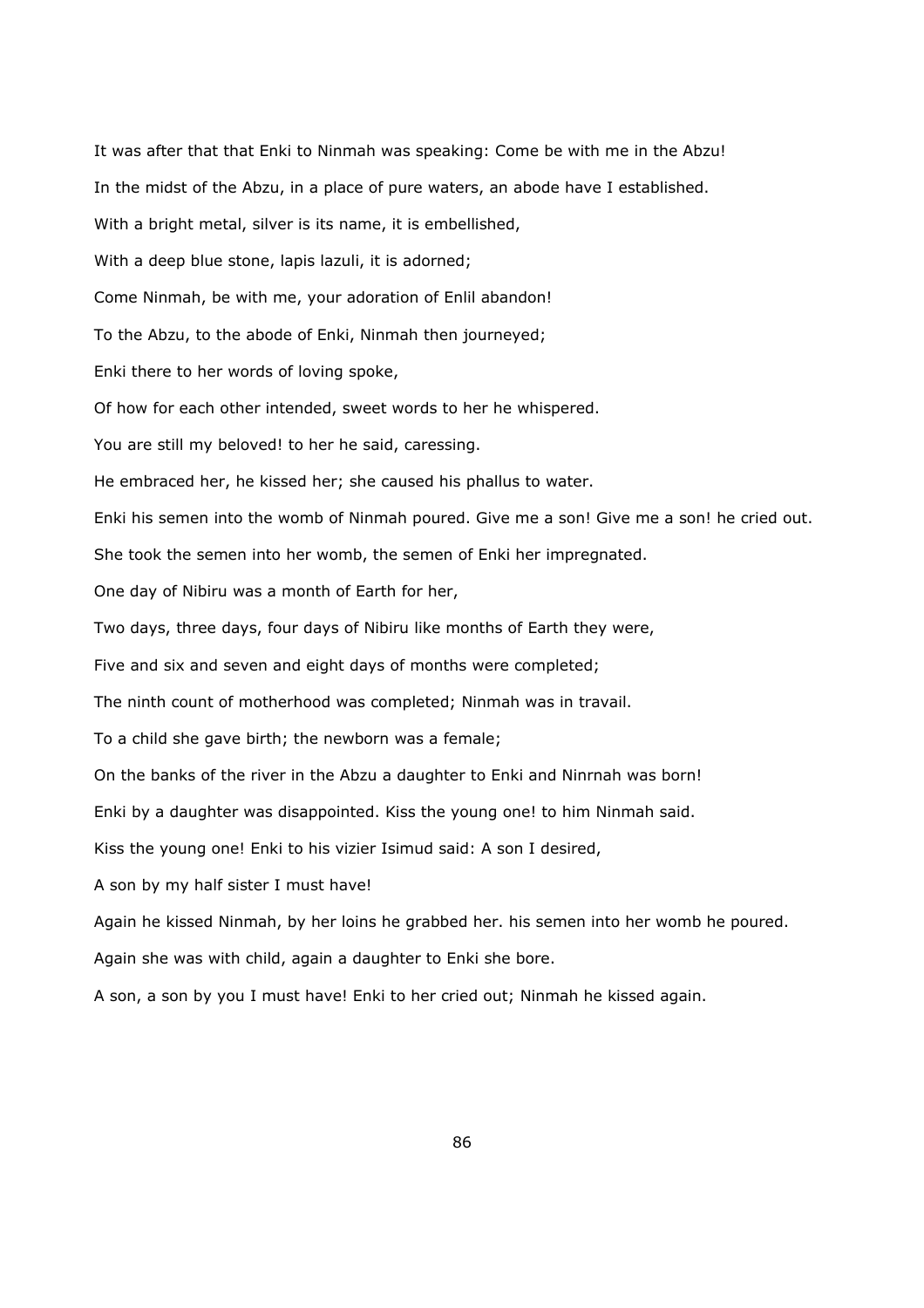It was after that that Enki to Ninmah was speaking: Come be with me in the Abzu! In the midst of the Abzu, in a place of pure waters, an abode have I established. With a bright metal, silver is its name, it is embellished, With a deep blue stone, lapis lazuli, it is adorned; Come Ninmah, be with me, your adoration of Enlil abandon! To the Abzu, to the abode of Enki, Ninmah then journeyed; Enki there to her words of loving spoke, Of how for each other intended, sweet words to her he whispered. You are still my beloved! to her he said, caressing. He embraced her, he kissed her; she caused his phallus to water. Enki his semen into the womb of Ninmah poured. Give me a son! Give me a son! he cried out. She took the semen into her womb, the semen of Enki her impregnated. One day of Nibiru was a month of Earth for her, Two days, three days, four days of Nibiru like months of Earth they were, Five and six and seven and eight days of months were completed; The ninth count of motherhood was completed; Ninmah was in travail. To a child she gave birth; the newborn was a female; On the banks of the river in the Abzu a daughter to Enki and Ninrnah was born! Enki by a daughter was disappointed. Kiss the young one! to him Ninmah said. Kiss the young one! Enki to his vizier Isimud said: A son I desired, A son by my half sister I must have! Again he kissed Ninmah, by her loins he grabbed her. his semen into her womb he poured. Again she was with child, again a daughter to Enki she bore. A son, a son by you I must have! Enki to her cried out; Ninmah he kissed again.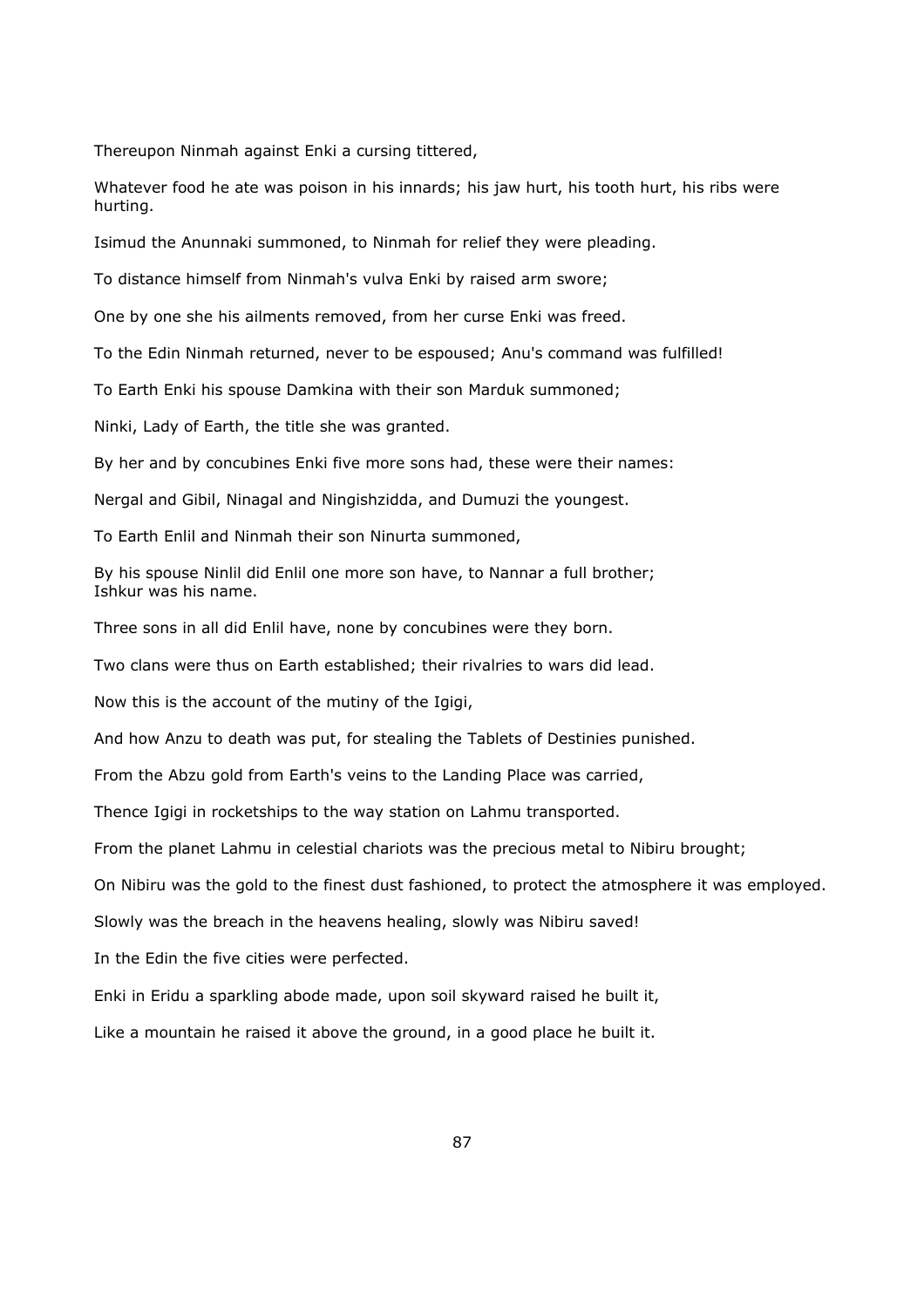Thereupon Ninmah against Enki a cursing tittered,

Whatever food he ate was poison in his innards; his jaw hurt, his tooth hurt, his ribs were hurting.

Isimud the Anunnaki summoned, to Ninmah for relief they were pleading.

To distance himself from Ninmah's vulva Enki by raised arm swore;

One by one she his ailments removed, from her curse Enki was freed.

To the Edin Ninmah returned, never to be espoused; Anu's command was fulfilled!

To Earth Enki his spouse Damkina with their son Marduk summoned;

Ninki, Lady of Earth, the title she was granted.

By her and by concubines Enki five more sons had, these were their names:

Nergal and Gibil, Ninagal and Ningishzidda, and Dumuzi the youngest.

To Earth Enlil and Ninmah their son Ninurta summoned,

By his spouse Ninlil did Enlil one more son have, to Nannar a full brother; Ishkur was his name.

Three sons in all did Enlil have, none by concubines were they born.

Two clans were thus on Earth established; their rivalries to wars did lead.

Now this is the account of the mutiny of the Igigi,

And how Anzu to death was put, for stealing the Tablets of Destinies punished.

From the Abzu gold from Earth's veins to the Landing Place was carried,

Thence Igigi in rocketships to the way station on Lahmu transported.

From the planet Lahmu in celestial chariots was the precious metal to Nibiru brought;

On Nibiru was the gold to the finest dust fashioned, to protect the atmosphere it was employed.

Slowly was the breach in the heavens healing, slowly was Nibiru saved!

In the Edin the five cities were perfected.

Enki in Eridu a sparkling abode made, upon soil skyward raised he built it,

Like a mountain he raised it above the ground, in a good place he built it.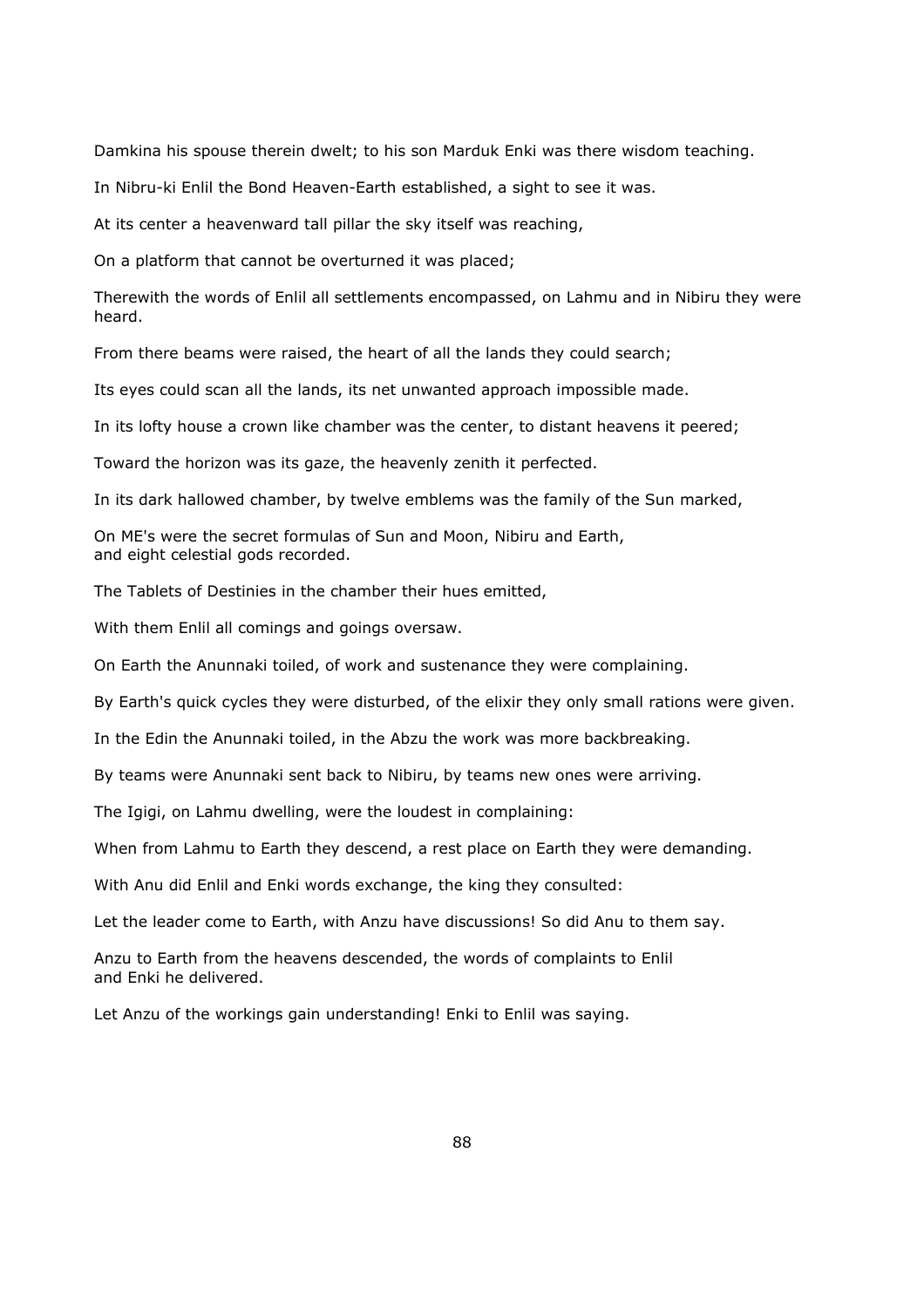Damkina his spouse therein dwelt; to his son Marduk Enki was there wisdom teaching.

In Nibru-ki Enlil the Bond Heaven-Earth established, a sight to see it was.

At its center a heavenward tall pillar the sky itself was reaching,

On a platform that cannot be overturned it was placed;

Therewith the words of Enlil all settlements encompassed, on Lahmu and in Nibiru they were heard.

From there beams were raised, the heart of all the lands they could search;

Its eyes could scan all the lands, its net unwanted approach impossible made.

In its lofty house a crown like chamber was the center, to distant heavens it peered;

Toward the horizon was its gaze, the heavenly zenith it perfected.

In its dark hallowed chamber, by twelve emblems was the family of the Sun marked,

On ME's were the secret formulas of Sun and Moon, Nibiru and Earth, and eight celestial gods recorded.

The Tablets of Destinies in the chamber their hues emitted,

With them Enlil all comings and goings oversaw.

On Earth the Anunnaki toiled, of work and sustenance they were complaining.

By Earth's quick cycles they were disturbed, of the elixir they only small rations were given.

In the Edin the Anunnaki toiled, in the Abzu the work was more backbreaking.

By teams were Anunnaki sent back to Nibiru, by teams new ones were arriving.

The Igigi, on Lahmu dwelling, were the loudest in complaining:

When from Lahmu to Earth they descend, a rest place on Earth they were demanding.

With Anu did Enlil and Enki words exchange, the king they consulted:

Let the leader come to Earth, with Anzu have discussions! So did Anu to them say.

Anzu to Earth from the heavens descended, the words of complaints to Enlil and Enki he delivered.

Let Anzu of the workings gain understanding! Enki to Enlil was saying.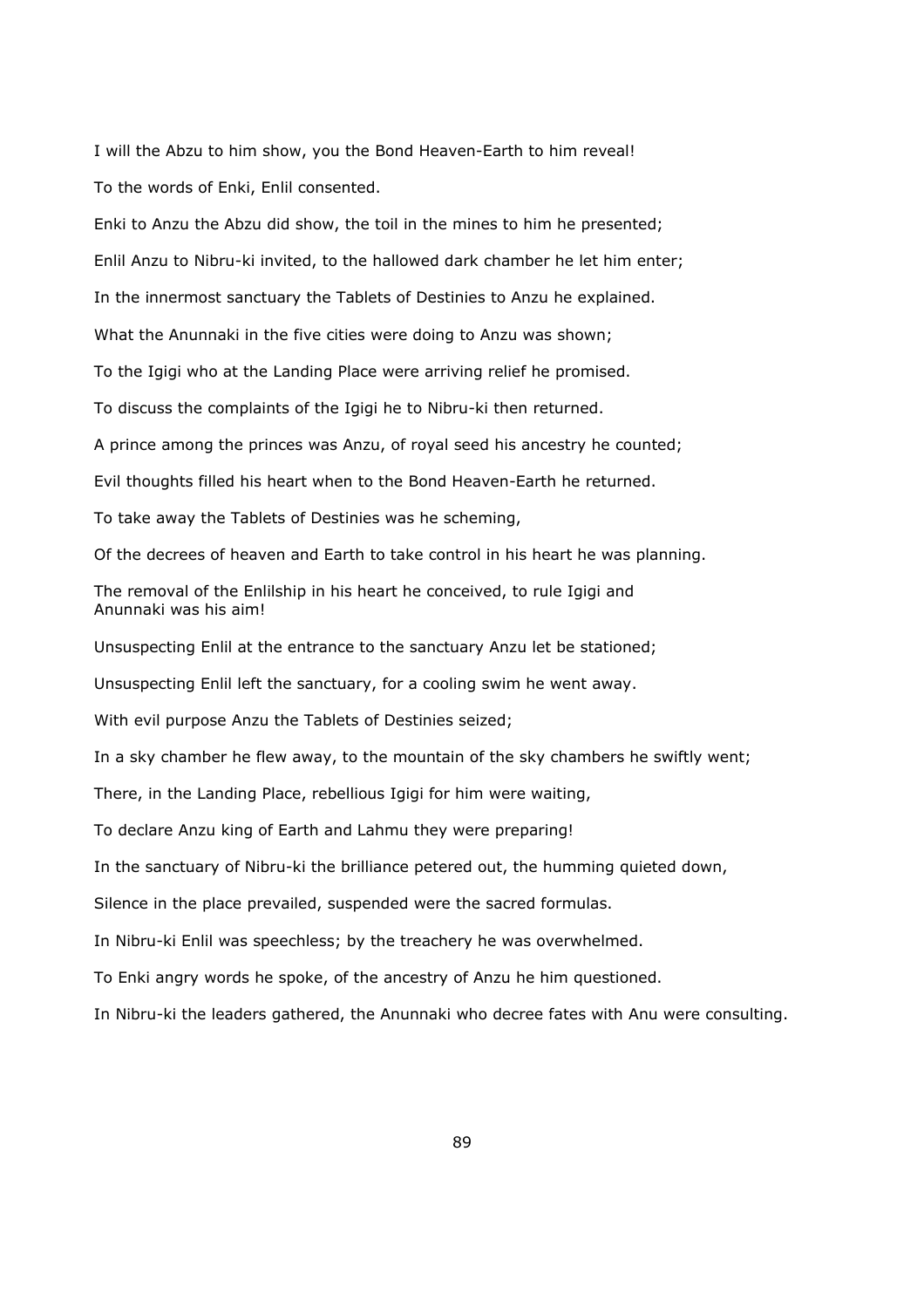I will the Abzu to him show, you the Bond Heaven-Earth to him reveal! To the words of Enki, Enlil consented.

Enki to Anzu the Abzu did show, the toil in the mines to him he presented;

Enlil Anzu to Nibru-ki invited, to the hallowed dark chamber he let him enter;

In the innermost sanctuary the Tablets of Destinies to Anzu he explained.

What the Anunnaki in the five cities were doing to Anzu was shown;

To the Igigi who at the Landing Place were arriving relief he promised.

To discuss the complaints of the Igigi he to Nibru-ki then returned.

A prince among the princes was Anzu, of royal seed his ancestry he counted;

Evil thoughts filled his heart when to the Bond Heaven-Earth he returned.

To take away the Tablets of Destinies was he scheming,

Of the decrees of heaven and Earth to take control in his heart he was planning.

The removal of the Enlilship in his heart he conceived, to rule Igigi and Anunnaki was his aim!

Unsuspecting Enlil at the entrance to the sanctuary Anzu let be stationed;

Unsuspecting Enlil left the sanctuary, for a cooling swim he went away.

With evil purpose Anzu the Tablets of Destinies seized;

In a sky chamber he flew away, to the mountain of the sky chambers he swiftly went;

There, in the Landing Place, rebellious Igigi for him were waiting,

To declare Anzu king of Earth and Lahmu they were preparing!

In the sanctuary of Nibru-ki the brilliance petered out, the humming quieted down,

Silence in the place prevailed, suspended were the sacred formulas.

In Nibru-ki Enlil was speechless; by the treachery he was overwhelmed.

To Enki angry words he spoke, of the ancestry of Anzu he him questioned.

In Nibru-ki the leaders gathered, the Anunnaki who decree fates with Anu were consulting.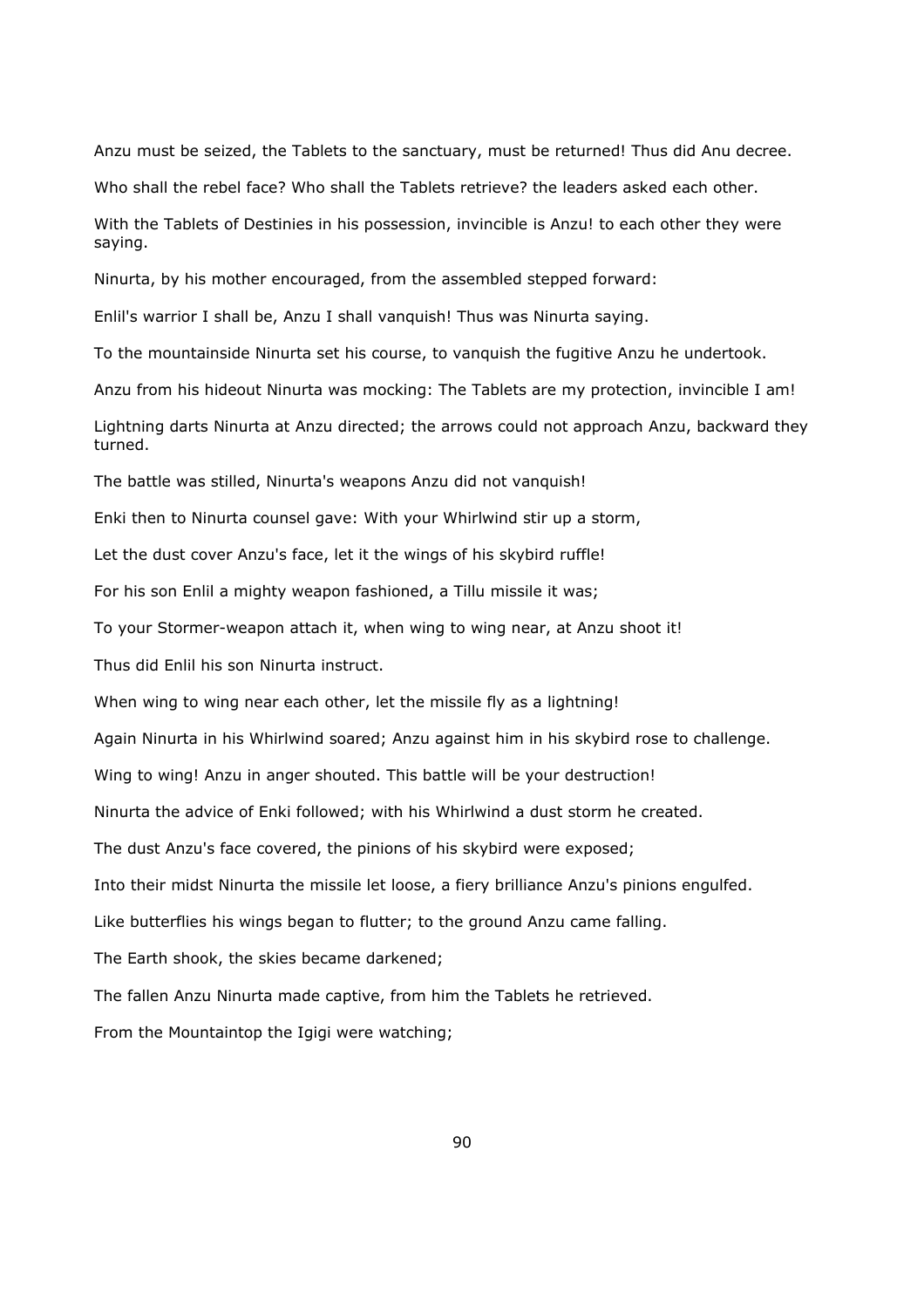Anzu must be seized, the Tablets to the sanctuary, must be returned! Thus did Anu decree. Who shall the rebel face? Who shall the Tablets retrieve? the leaders asked each other.

With the Tablets of Destinies in his possession, invincible is Anzu! to each other they were saying.

Ninurta, by his mother encouraged, from the assembled stepped forward:

Enlil's warrior I shall be, Anzu I shall vanquish! Thus was Ninurta saying.

To the mountainside Ninurta set his course, to vanquish the fugitive Anzu he undertook.

Anzu from his hideout Ninurta was mocking: The Tablets are my protection, invincible I am!

Lightning darts Ninurta at Anzu directed; the arrows could not approach Anzu, backward they turned.

The battle was stilled, Ninurta's weapons Anzu did not vanquish!

Enki then to Ninurta counsel gave: With your Whirlwind stir up a storm,

Let the dust cover Anzu's face, let it the wings of his skybird ruffle!

For his son Enlil a mighty weapon fashioned, a Tillu missile it was;

To your Stormer-weapon attach it, when wing to wing near, at Anzu shoot it!

Thus did Enlil his son Ninurta instruct.

When wing to wing near each other, let the missile fly as a lightning!

Again Ninurta in his Whirlwind soared; Anzu against him in his skybird rose to challenge.

Wing to wing! Anzu in anger shouted. This battle will be your destruction!

Ninurta the advice of Enki followed; with his Whirlwind a dust storm he created.

The dust Anzu's face covered, the pinions of his skybird were exposed;

Into their midst Ninurta the missile let loose, a fiery brilliance Anzu's pinions engulfed.

Like butterflies his wings began to flutter; to the ground Anzu came falling.

The Earth shook, the skies became darkened;

The fallen Anzu Ninurta made captive, from him the Tablets he retrieved.

From the Mountaintop the Igigi were watching;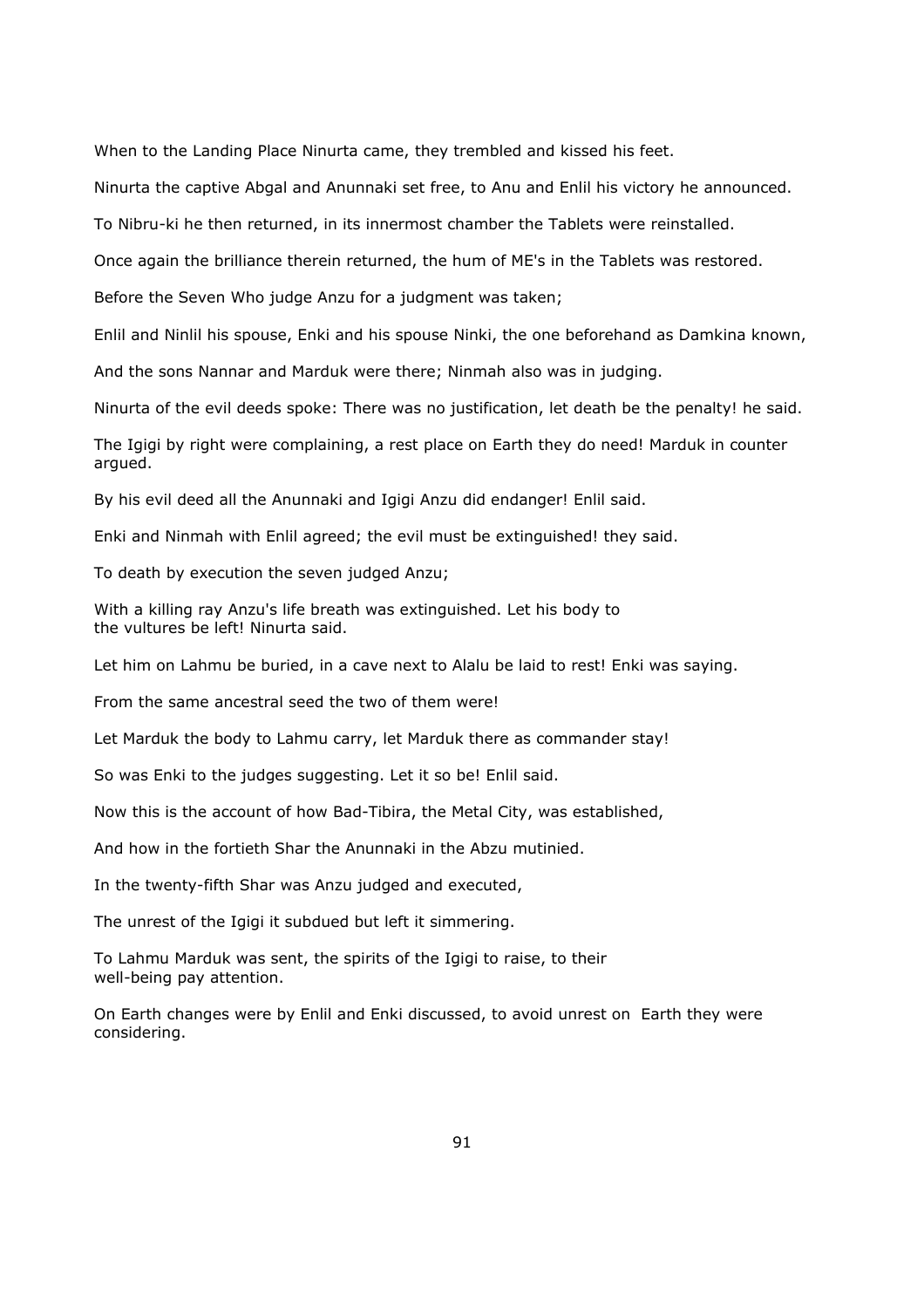When to the Landing Place Ninurta came, they trembled and kissed his feet.

Ninurta the captive Abgal and Anunnaki set free, to Anu and Enlil his victory he announced.

To Nibru-ki he then returned, in its innermost chamber the Tablets were reinstalled.

Once again the brilliance therein returned, the hum of ME's in the Tablets was restored.

Before the Seven Who judge Anzu for a judgment was taken;

Enlil and Ninlil his spouse, Enki and his spouse Ninki, the one beforehand as Damkina known,

And the sons Nannar and Marduk were there; Ninmah also was in judging.

Ninurta of the evil deeds spoke: There was no justification, let death be the penalty! he said.

The Igigi by right were complaining, a rest place on Earth they do need! Marduk in counter argued.

By his evil deed all the Anunnaki and Igigi Anzu did endanger! Enlil said.

Enki and Ninmah with Enlil agreed; the evil must be extinguished! they said.

To death by execution the seven judged Anzu;

With a killing ray Anzu's life breath was extinguished. Let his body to the vultures be left! Ninurta said.

Let him on Lahmu be buried, in a cave next to Alalu be laid to rest! Enki was saying.

From the same ancestral seed the two of them were!

Let Marduk the body to Lahmu carry, let Marduk there as commander stay!

So was Enki to the judges suggesting. Let it so be! Enlil said.

Now this is the account of how Bad-Tibira, the Metal City, was established,

And how in the fortieth Shar the Anunnaki in the Abzu mutinied.

In the twenty-fifth Shar was Anzu judged and executed,

The unrest of the Igigi it subdued but left it simmering.

To Lahmu Marduk was sent, the spirits of the Igigi to raise, to their well-being pay attention.

On Earth changes were by Enlil and Enki discussed, to avoid unrest on Earth they were considering.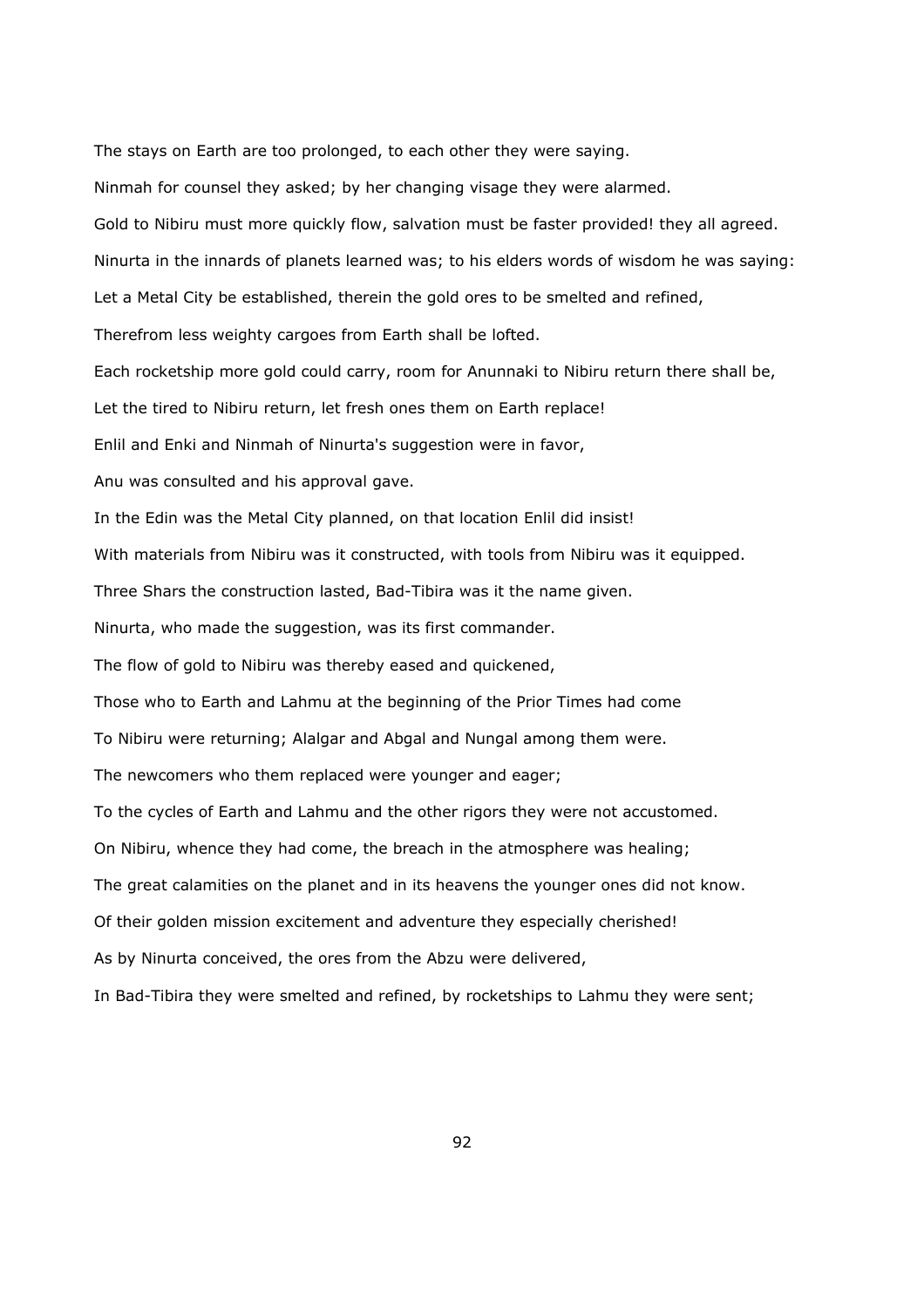The stays on Earth are too prolonged, to each other they were saying.

Ninmah for counsel they asked; by her changing visage they were alarmed.

Gold to Nibiru must more quickly flow, salvation must be faster provided! they all agreed.

Ninurta in the innards of planets learned was; to his elders words of wisdom he was saying:

Let a Metal City be established, therein the gold ores to be smelted and refined,

Therefrom less weighty cargoes from Earth shall be lofted.

Each rocketship more gold could carry, room for Anunnaki to Nibiru return there shall be,

Let the tired to Nibiru return, let fresh ones them on Earth replace!

Enlil and Enki and Ninmah of Ninurta's suggestion were in favor,

Anu was consulted and his approval gave.

In the Edin was the Metal City planned, on that location Enlil did insist!

With materials from Nibiru was it constructed, with tools from Nibiru was it equipped.

Three Shars the construction lasted, Bad-Tibira was it the name given.

Ninurta, who made the suggestion, was its first commander.

The flow of gold to Nibiru was thereby eased and quickened,

Those who to Earth and Lahmu at the beginning of the Prior Times had come

To Nibiru were returning; Alalgar and Abgal and Nungal among them were.

The newcomers who them replaced were younger and eager;

To the cycles of Earth and Lahmu and the other rigors they were not accustomed.

On Nibiru, whence they had come, the breach in the atmosphere was healing;

The great calamities on the planet and in its heavens the younger ones did not know.

Of their golden mission excitement and adventure they especially cherished!

As by Ninurta conceived, the ores from the Abzu were delivered,

In Bad-Tibira they were smelted and refined, by rocketships to Lahmu they were sent;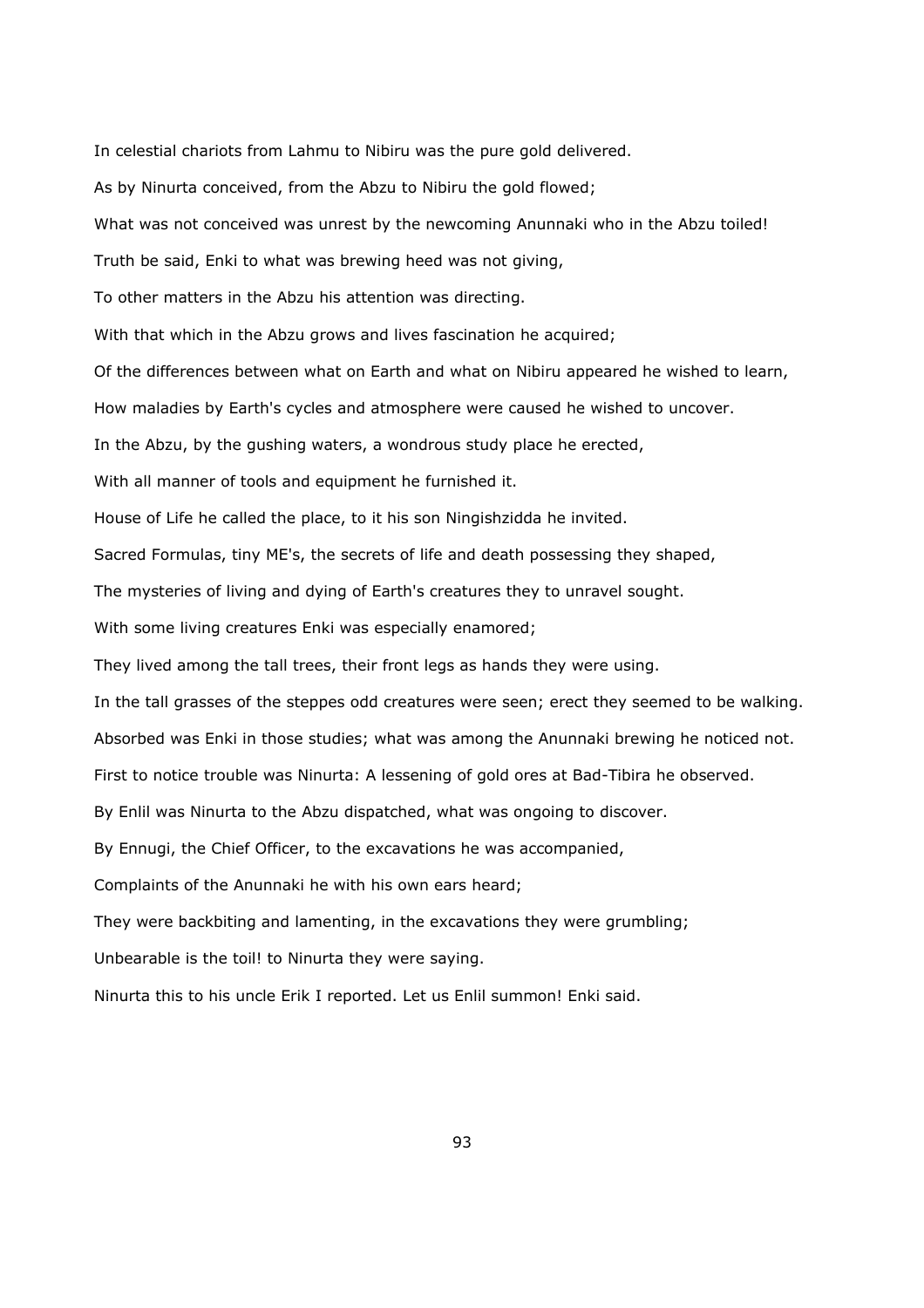In celestial chariots from Lahmu to Nibiru was the pure gold delivered.

As by Ninurta conceived, from the Abzu to Nibiru the gold flowed;

What was not conceived was unrest by the newcoming Anunnaki who in the Abzu toiled!

Truth be said, Enki to what was brewing heed was not giving,

To other matters in the Abzu his attention was directing.

With that which in the Abzu grows and lives fascination he acquired;

Of the differences between what on Earth and what on Nibiru appeared he wished to learn,

How maladies by Earth's cycles and atmosphere were caused he wished to uncover.

In the Abzu, by the gushing waters, a wondrous study place he erected,

With all manner of tools and equipment he furnished it.

House of Life he called the place, to it his son Ningishzidda he invited.

Sacred Formulas, tiny ME's, the secrets of life and death possessing they shaped,

The mysteries of living and dying of Earth's creatures they to unravel sought.

With some living creatures Enki was especially enamored;

They lived among the tall trees, their front legs as hands they were using.

In the tall grasses of the steppes odd creatures were seen; erect they seemed to be walking.

Absorbed was Enki in those studies; what was among the Anunnaki brewing he noticed not.

First to notice trouble was Ninurta: A lessening of gold ores at Bad-Tibira he observed.

By Enlil was Ninurta to the Abzu dispatched, what was ongoing to discover.

By Ennugi, the Chief Officer, to the excavations he was accompanied,

Complaints of the Anunnaki he with his own ears heard;

They were backbiting and lamenting, in the excavations they were grumbling;

Unbearable is the toil! to Ninurta they were saying.

Ninurta this to his uncle Erik I reported. Let us Enlil summon! Enki said.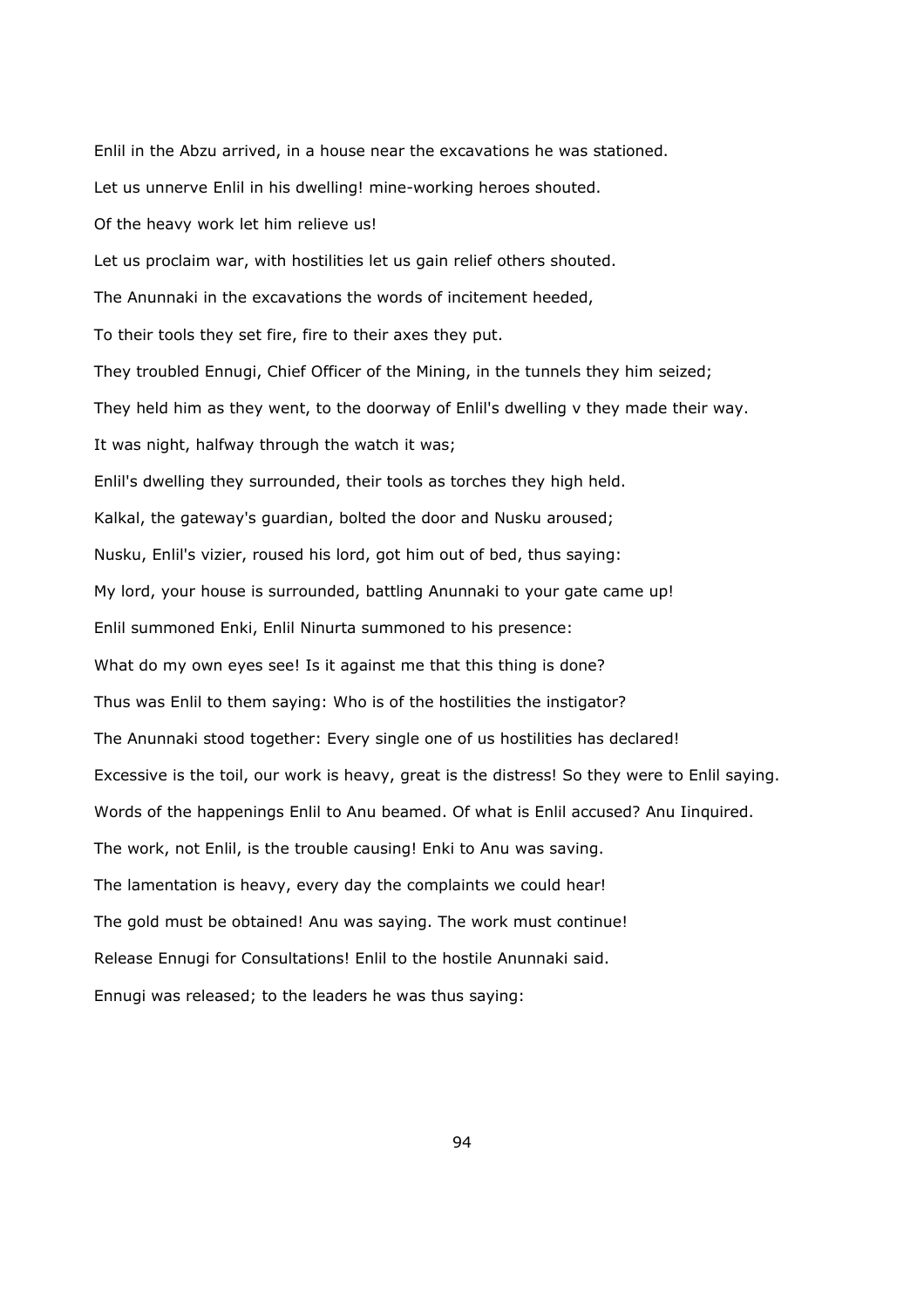Enlil in the Abzu arrived, in a house near the excavations he was stationed. Let us unnerve Enlil in his dwelling! mine-working heroes shouted. Of the heavy work let him relieve us! Let us proclaim war, with hostilities let us gain relief others shouted. The Anunnaki in the excavations the words of incitement heeded, To their tools they set fire, fire to their axes they put. They troubled Ennugi, Chief Officer of the Mining, in the tunnels they him seized; They held him as they went, to the doorway of Enlil's dwelling v they made their way. It was night, halfway through the watch it was; Enlil's dwelling they surrounded, their tools as torches they high held. Kalkal, the gateway's guardian, bolted the door and Nusku aroused; Nusku, Enlil's vizier, roused his lord, got him out of bed, thus saying: My lord, your house is surrounded, battling Anunnaki to your gate came up! Enlil summoned Enki, Enlil Ninurta summoned to his presence: What do my own eyes see! Is it against me that this thing is done? Thus was Enlil to them saying: Who is of the hostilities the instigator? The Anunnaki stood together: Every single one of us hostilities has declared! Excessive is the toil, our work is heavy, great is the distress! So they were to Enlil saying. Words of the happenings Enlil to Anu beamed. Of what is Enlil accused? Anu Iinquired. The work, not Enlil, is the trouble causing! Enki to Anu was saving. The lamentation is heavy, every day the complaints we could hear! The gold must be obtained! Anu was saying. The work must continue! Release Ennugi for Consultations! Enlil to the hostile Anunnaki said. Ennugi was released; to the leaders he was thus saying:

94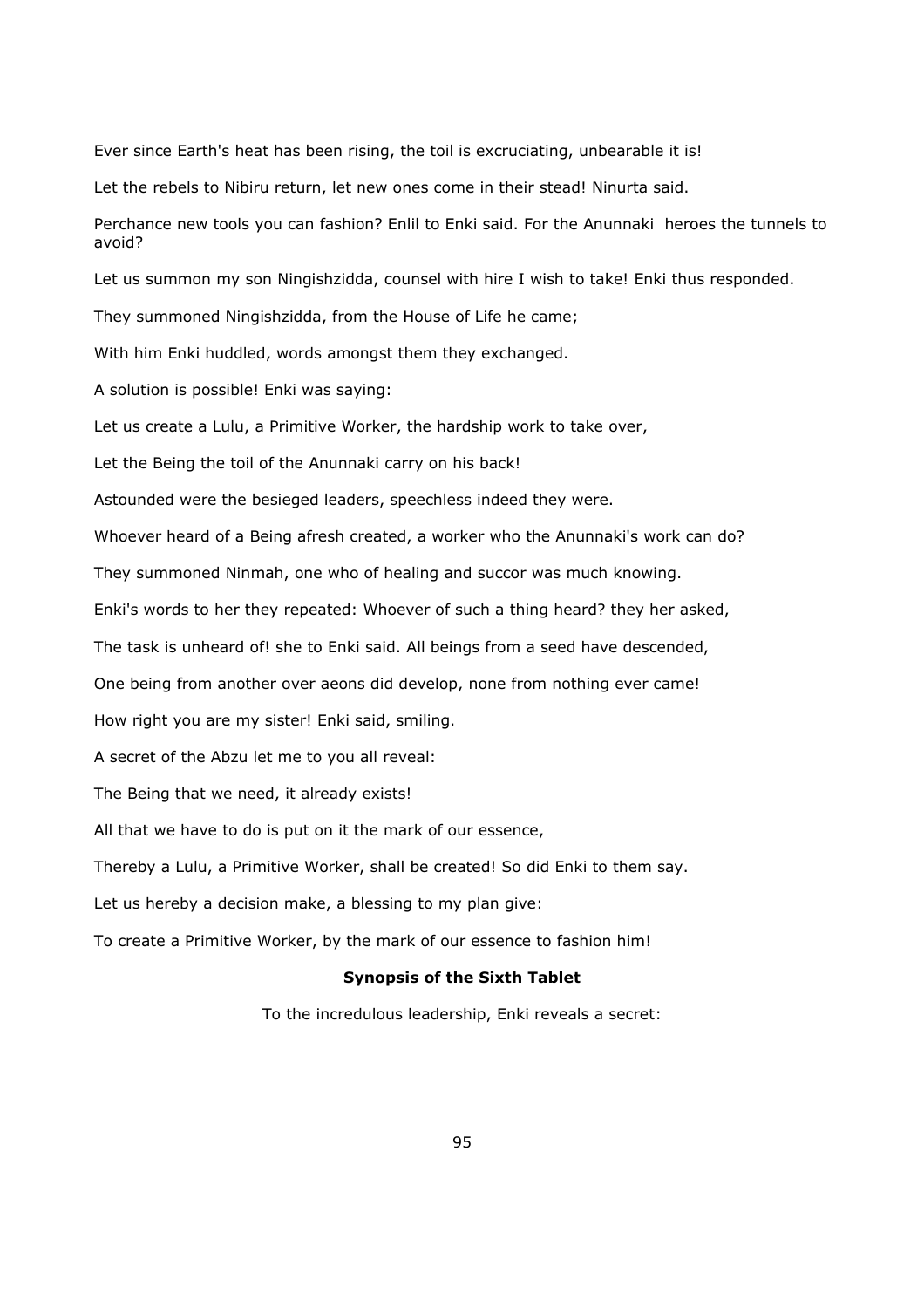Ever since Earth's heat has been rising, the toil is excruciating, unbearable it is!

Let the rebels to Nibiru return, let new ones come in their stead! Ninurta said.

Perchance new tools you can fashion? Enlil to Enki said. For the Anunnaki heroes the tunnels to avoid?

Let us summon my son Ningishzidda, counsel with hire I wish to take! Enki thus responded.

They summoned Ningishzidda, from the House of Life he came;

With him Enki huddled, words amongst them they exchanged.

A solution is possible! Enki was saying:

Let us create a Lulu, a Primitive Worker, the hardship work to take over,

Let the Being the toil of the Anunnaki carry on his back!

Astounded were the besieged leaders, speechless indeed they were.

Whoever heard of a Being afresh created, a worker who the Anunnaki's work can do?

They summoned Ninmah, one who of healing and succor was much knowing.

Enki's words to her they repeated: Whoever of such a thing heard? they her asked,

The task is unheard of! she to Enki said. All beings from a seed have descended,

One being from another over aeons did develop, none from nothing ever came!

How right you are my sister! Enki said, smiling.

A secret of the Abzu let me to you all reveal:

The Being that we need, it already exists!

All that we have to do is put on it the mark of our essence,

Thereby a Lulu, a Primitive Worker, shall be created! So did Enki to them say.

Let us hereby a decision make, a blessing to my plan give:

To create a Primitive Worker, by the mark of our essence to fashion him!

## **Synopsis of the Sixth Tablet**

To the incredulous leadership, Enki reveals a secret: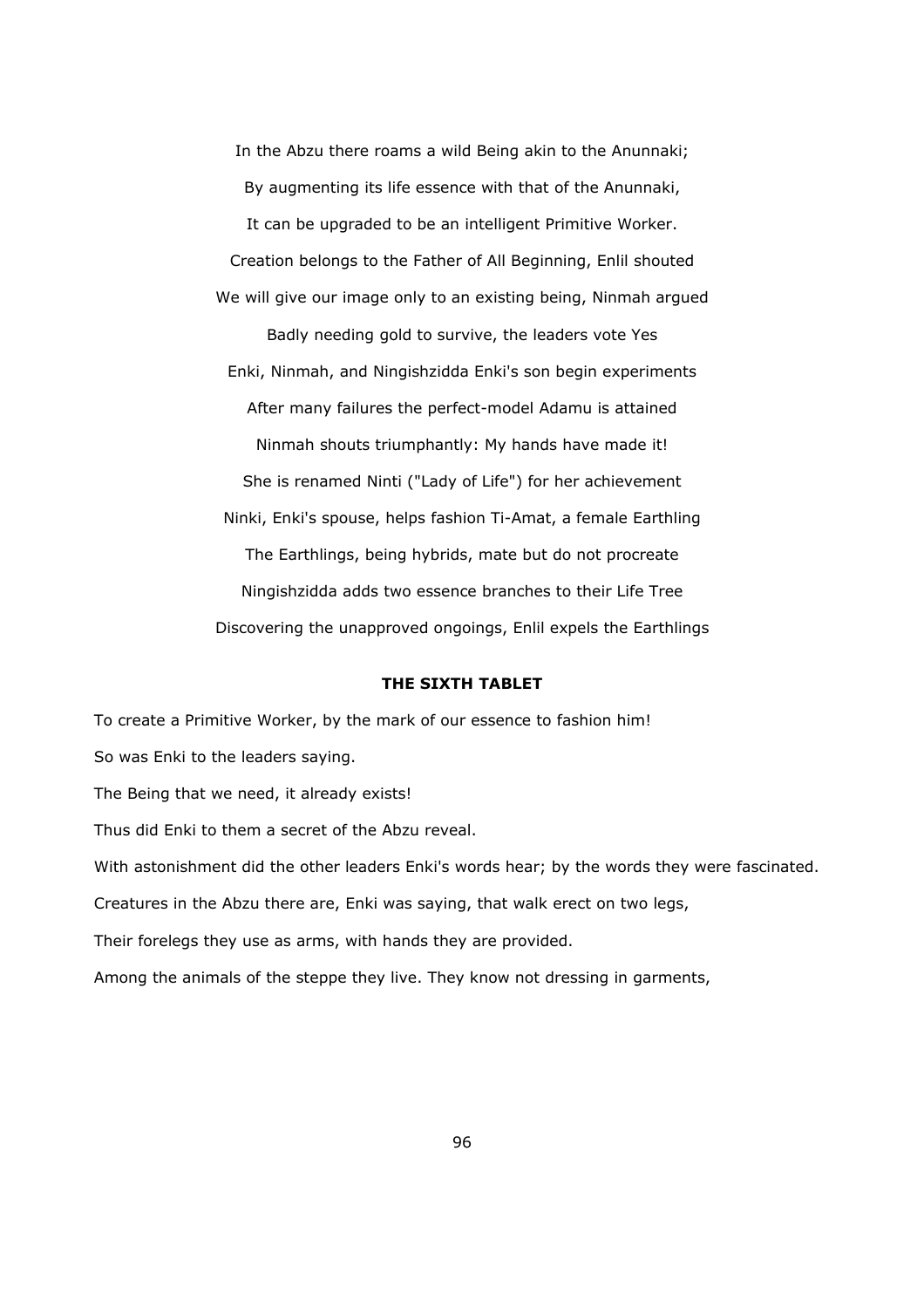In the Abzu there roams a wild Being akin to the Anunnaki; By augmenting its life essence with that of the Anunnaki, It can be upgraded to be an intelligent Primitive Worker. Creation belongs to the Father of All Beginning, Enlil shouted We will give our image only to an existing being, Ninmah argued Badly needing gold to survive, the leaders vote Yes Enki, Ninmah, and Ningishzidda Enki's son begin experiments After many failures the perfect-model Adamu is attained Ninmah shouts triumphantly: My hands have made it! She is renamed Ninti ("Lady of Life") for her achievement Ninki, Enki's spouse, helps fashion Ti-Amat, a female Earthling The Earthlings, being hybrids, mate but do not procreate Ningishzidda adds two essence branches to their Life Tree Discovering the unapproved ongoings, Enlil expels the Earthlings

## **THE SIXTH TABLET**

To create a Primitive Worker, by the mark of our essence to fashion him! So was Enki to the leaders saying. The Being that we need, it already exists! Thus did Enki to them a secret of the Abzu reveal. With astonishment did the other leaders Enki's words hear; by the words they were fascinated. Creatures in the Abzu there are, Enki was saying, that walk erect on two legs, Their forelegs they use as arms, with hands they are provided. Among the animals of the steppe they live. They know not dressing in garments,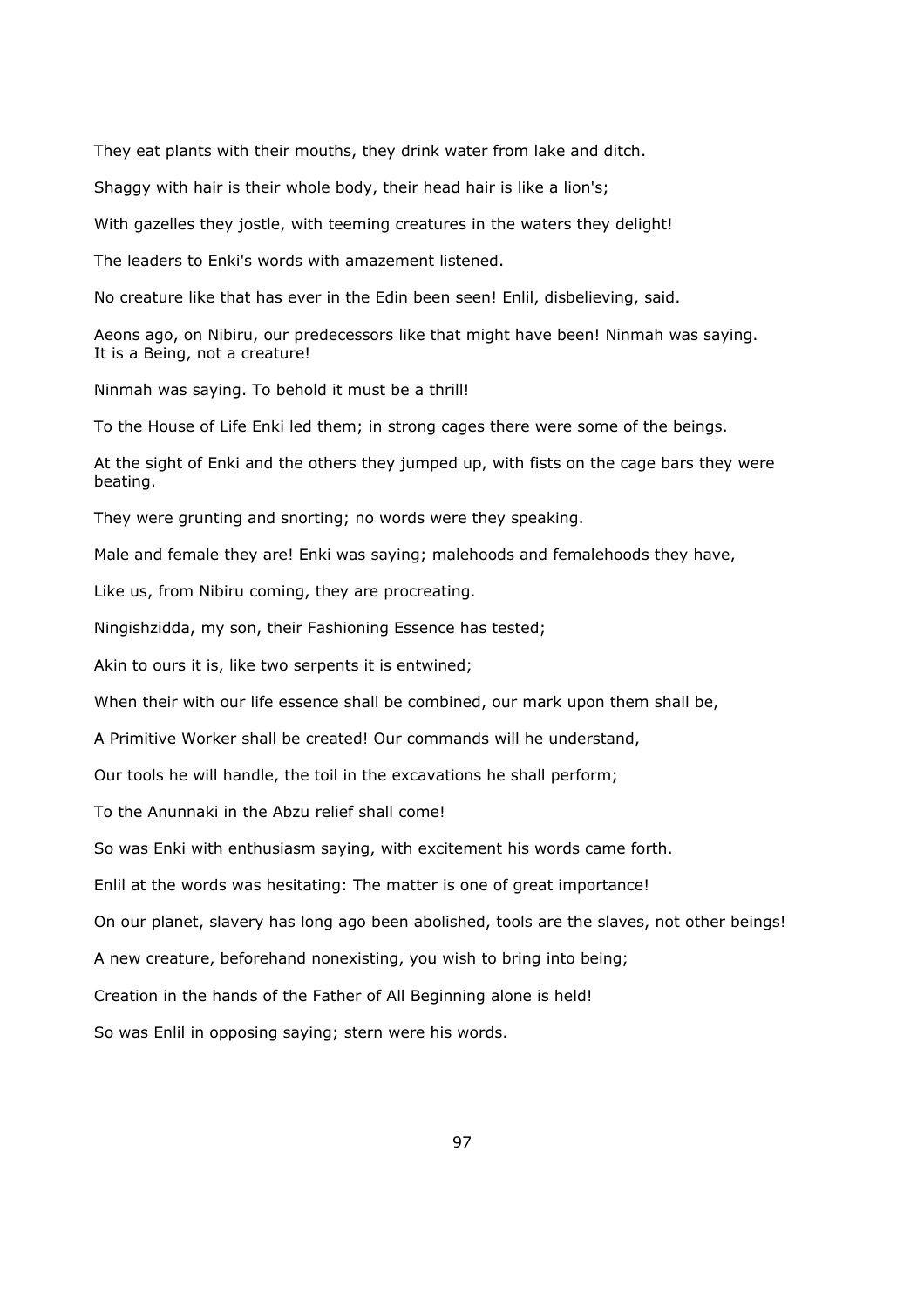They eat plants with their mouths, they drink water from lake and ditch.

Shaggy with hair is their whole body, their head hair is like a lion's;

With gazelles they jostle, with teeming creatures in the waters they delight!

The leaders to Enki's words with amazement listened.

No creature like that has ever in the Edin been seen! Enlil, disbelieving, said.

Aeons ago, on Nibiru, our predecessors like that might have been! Ninmah was saying. It is a Being, not a creature!

Ninmah was saying. To behold it must be a thrill!

To the House of Life Enki led them; in strong cages there were some of the beings.

At the sight of Enki and the others they jumped up, with fists on the cage bars they were beating.

They were grunting and snorting; no words were they speaking.

Male and female they are! Enki was saying; malehoods and femalehoods they have,

Like us, from Nibiru coming, they are procreating.

Ningishzidda, my son, their Fashioning Essence has tested;

Akin to ours it is, like two serpents it is entwined;

When their with our life essence shall be combined, our mark upon them shall be,

A Primitive Worker shall be created! Our commands will he understand,

Our tools he will handle, the toil in the excavations he shall perform;

To the Anunnaki in the Abzu relief shall come!

So was Enki with enthusiasm saying, with excitement his words came forth.

Enlil at the words was hesitating: The matter is one of great importance!

On our planet, slavery has long ago been abolished, tools are the slaves, not other beings!

A new creature, beforehand nonexisting, you wish to bring into being;

Creation in the hands of the Father of All Beginning alone is held!

So was Enlil in opposing saying; stern were his words.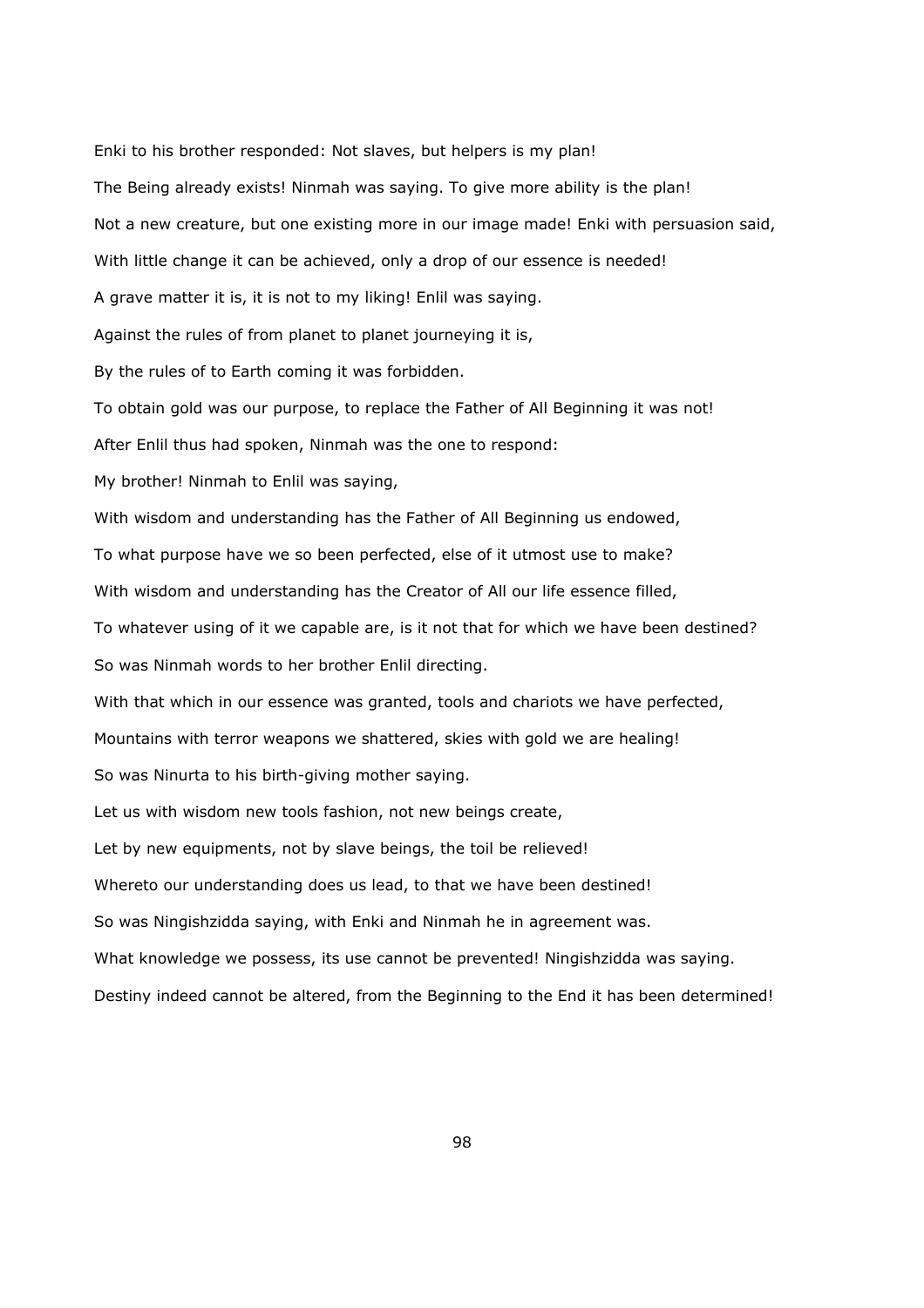Enki to his brother responded: Not slaves, but helpers is my plan! The Being already exists! Ninmah was saying. To give more ability is the plan! Not a new creature, but one existing more in our image made! Enki with persuasion said, With little change it can be achieved, only a drop of our essence is needed! A grave matter it is, it is not to my liking! Enlil was saying. Against the rules of from planet to planet journeying it is, By the rules of to Earth coming it was forbidden. To obtain gold was our purpose, to replace the Father of All Beginning it was not! After Enlil thus had spoken, Ninmah was the one to respond: My brother! Ninmah to Enlil was saying, With wisdom and understanding has the Father of All Beginning us endowed, To what purpose have we so been perfected, else of it utmost use to make? With wisdom and understanding has the Creator of All our life essence filled, To whatever using of it we capable are, is it not that for which we have been destined? So was Ninmah words to her brother Enlil directing. With that which in our essence was granted, tools and chariots we have perfected, Mountains with terror weapons we shattered, skies with gold we are healing! So was Ninurta to his birth-giving mother saying. Let us with wisdom new tools fashion, not new beings create, Let by new equipments, not by slave beings, the toil be relieved! Whereto our understanding does us lead, to that we have been destined! So was Ningishzidda saying, with Enki and Ninmah he in agreement was. What knowledge we possess, its use cannot be prevented! Ningishzidda was saying. Destiny indeed cannot be altered, from the Beginning to the End it has been determined!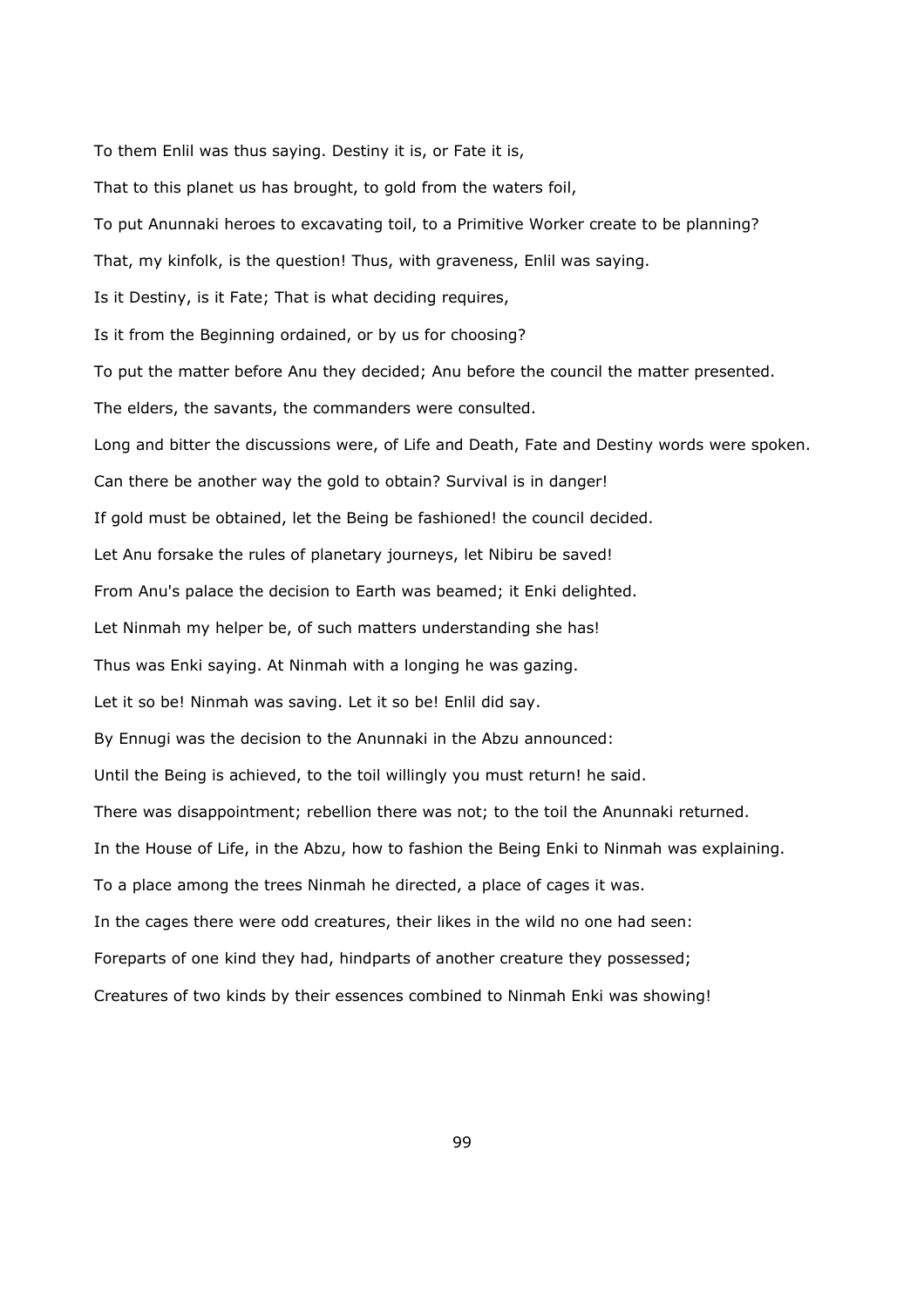To them Enlil was thus saying. Destiny it is, or Fate it is,

That to this planet us has brought, to gold from the waters foil,

To put Anunnaki heroes to excavating toil, to a Primitive Worker create to be planning?

That, my kinfolk, is the question! Thus, with graveness, Enlil was saying.

Is it Destiny, is it Fate; That is what deciding requires,

Is it from the Beginning ordained, or by us for choosing?

To put the matter before Anu they decided; Anu before the council the matter presented.

The elders, the savants, the commanders were consulted.

Long and bitter the discussions were, of Life and Death, Fate and Destiny words were spoken.

Can there be another way the gold to obtain? Survival is in danger!

If gold must be obtained, let the Being be fashioned! the council decided.

Let Anu forsake the rules of planetary journeys, let Nibiru be saved!

From Anu's palace the decision to Earth was beamed; it Enki delighted.

Let Ninmah my helper be, of such matters understanding she has!

Thus was Enki saying. At Ninmah with a longing he was gazing.

Let it so be! Ninmah was saving. Let it so be! Enlil did say.

By Ennugi was the decision to the Anunnaki in the Abzu announced:

Until the Being is achieved, to the toil willingly you must return! he said.

There was disappointment; rebellion there was not; to the toil the Anunnaki returned.

In the House of Life, in the Abzu, how to fashion the Being Enki to Ninmah was explaining.

To a place among the trees Ninmah he directed, a place of cages it was.

In the cages there were odd creatures, their likes in the wild no one had seen:

Foreparts of one kind they had, hindparts of another creature they possessed;

Creatures of two kinds by their essences combined to Ninmah Enki was showing!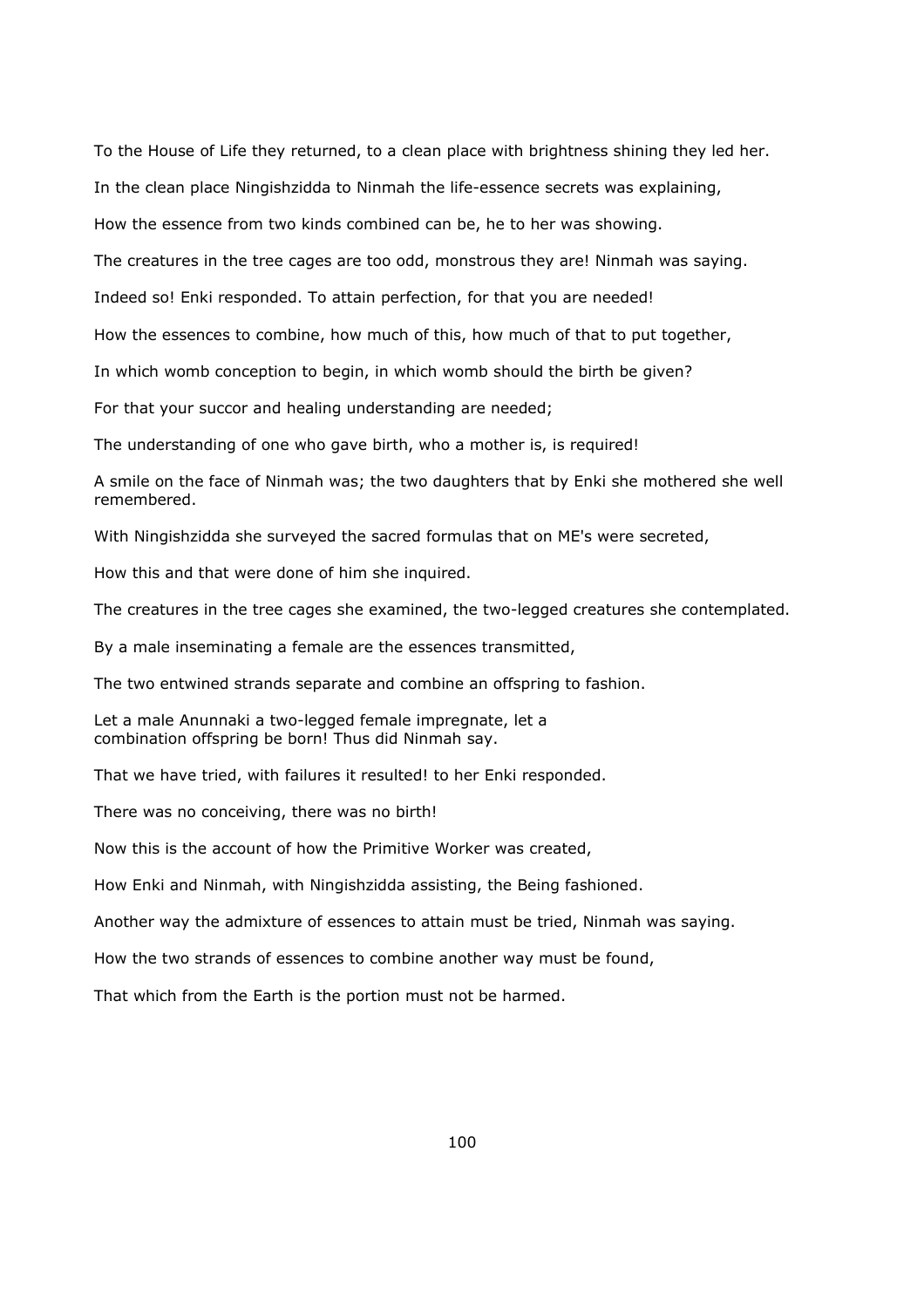To the House of Life they returned, to a clean place with brightness shining they led her.

In the clean place Ningishzidda to Ninmah the life-essence secrets was explaining,

How the essence from two kinds combined can be, he to her was showing.

The creatures in the tree cages are too odd, monstrous they are! Ninmah was saying.

Indeed so! Enki responded. To attain perfection, for that you are needed!

How the essences to combine, how much of this, how much of that to put together,

In which womb conception to begin, in which womb should the birth be given?

For that your succor and healing understanding are needed;

The understanding of one who gave birth, who a mother is, is required!

A smile on the face of Ninmah was; the two daughters that by Enki she mothered she well remembered.

With Ningishzidda she surveyed the sacred formulas that on ME's were secreted,

How this and that were done of him she inquired.

The creatures in the tree cages she examined, the two-legged creatures she contemplated.

By a male inseminating a female are the essences transmitted,

The two entwined strands separate and combine an offspring to fashion.

Let a male Anunnaki a two-legged female impregnate, let a combination offspring be born! Thus did Ninmah say.

That we have tried, with failures it resulted! to her Enki responded.

There was no conceiving, there was no birth!

Now this is the account of how the Primitive Worker was created,

How Enki and Ninmah, with Ningishzidda assisting, the Being fashioned.

Another way the admixture of essences to attain must be tried, Ninmah was saying.

How the two strands of essences to combine another way must be found,

That which from the Earth is the portion must not be harmed.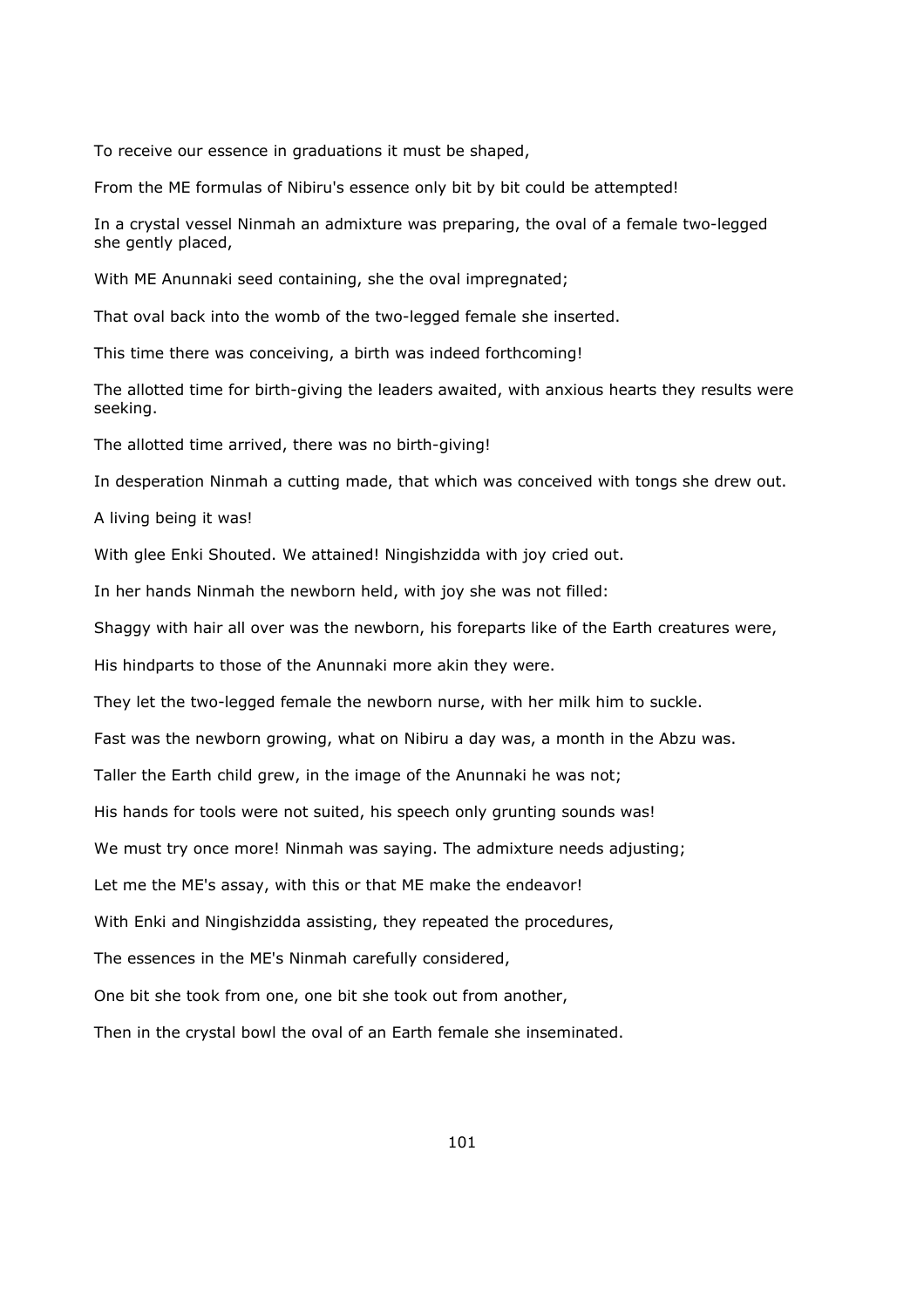To receive our essence in graduations it must be shaped,

From the ME formulas of Nibiru's essence only bit by bit could be attempted!

In a crystal vessel Ninmah an admixture was preparing, the oval of a female two-legged she gently placed,

With ME Anunnaki seed containing, she the oval impregnated;

That oval back into the womb of the two-legged female she inserted.

This time there was conceiving, a birth was indeed forthcoming!

The allotted time for birth-giving the leaders awaited, with anxious hearts they results were seeking.

The allotted time arrived, there was no birth-giving!

In desperation Ninmah a cutting made, that which was conceived with tongs she drew out.

A living being it was!

With glee Enki Shouted. We attained! Ningishzidda with joy cried out.

In her hands Ninmah the newborn held, with joy she was not filled:

Shaggy with hair all over was the newborn, his foreparts like of the Earth creatures were,

His hindparts to those of the Anunnaki more akin they were.

They let the two-legged female the newborn nurse, with her milk him to suckle.

Fast was the newborn growing, what on Nibiru a day was, a month in the Abzu was.

Taller the Earth child grew, in the image of the Anunnaki he was not;

His hands for tools were not suited, his speech only grunting sounds was!

We must try once more! Ninmah was saying. The admixture needs adjusting;

Let me the ME's assay, with this or that ME make the endeavor!

With Enki and Ningishzidda assisting, they repeated the procedures,

The essences in the ME's Ninmah carefully considered,

One bit she took from one, one bit she took out from another,

Then in the crystal bowl the oval of an Earth female she inseminated.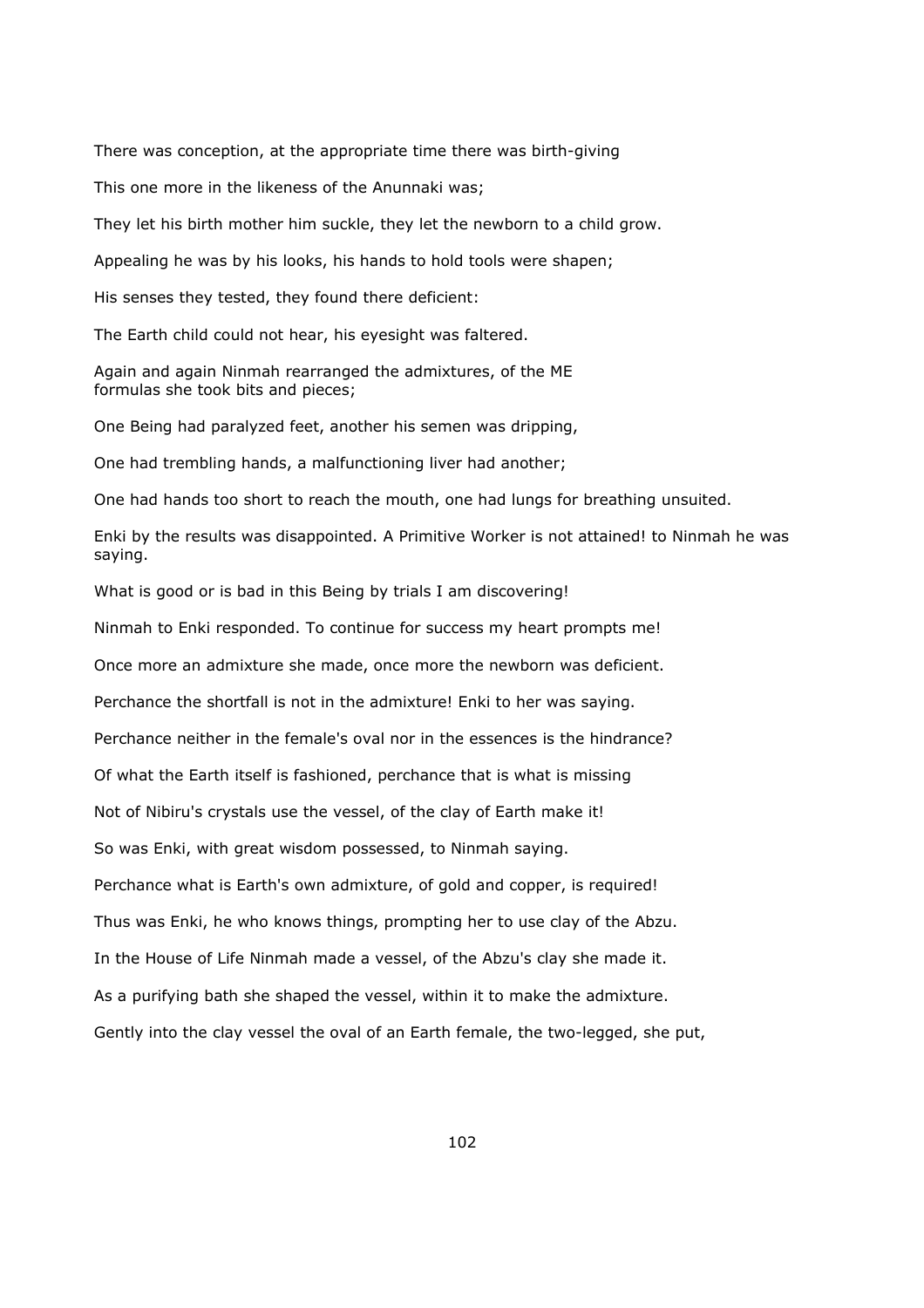There was conception, at the appropriate time there was birth-giving

This one more in the likeness of the Anunnaki was;

They let his birth mother him suckle, they let the newborn to a child grow.

Appealing he was by his looks, his hands to hold tools were shapen;

His senses they tested, they found there deficient:

The Earth child could not hear, his eyesight was faltered.

Again and again Ninmah rearranged the admixtures, of the ME formulas she took bits and pieces;

One Being had paralyzed feet, another his semen was dripping,

One had trembling hands, a malfunctioning liver had another;

One had hands too short to reach the mouth, one had lungs for breathing unsuited.

Enki by the results was disappointed. A Primitive Worker is not attained! to Ninmah he was saying.

What is good or is bad in this Being by trials I am discovering!

Ninmah to Enki responded. To continue for success my heart prompts me!

Once more an admixture she made, once more the newborn was deficient.

Perchance the shortfall is not in the admixture! Enki to her was saying.

Perchance neither in the female's oval nor in the essences is the hindrance?

Of what the Earth itself is fashioned, perchance that is what is missing

Not of Nibiru's crystals use the vessel, of the clay of Earth make it!

So was Enki, with great wisdom possessed, to Ninmah saying.

Perchance what is Earth's own admixture, of gold and copper, is required!

Thus was Enki, he who knows things, prompting her to use clay of the Abzu.

In the House of Life Ninmah made a vessel, of the Abzu's clay she made it.

As a purifying bath she shaped the vessel, within it to make the admixture.

Gently into the clay vessel the oval of an Earth female, the two-legged, she put,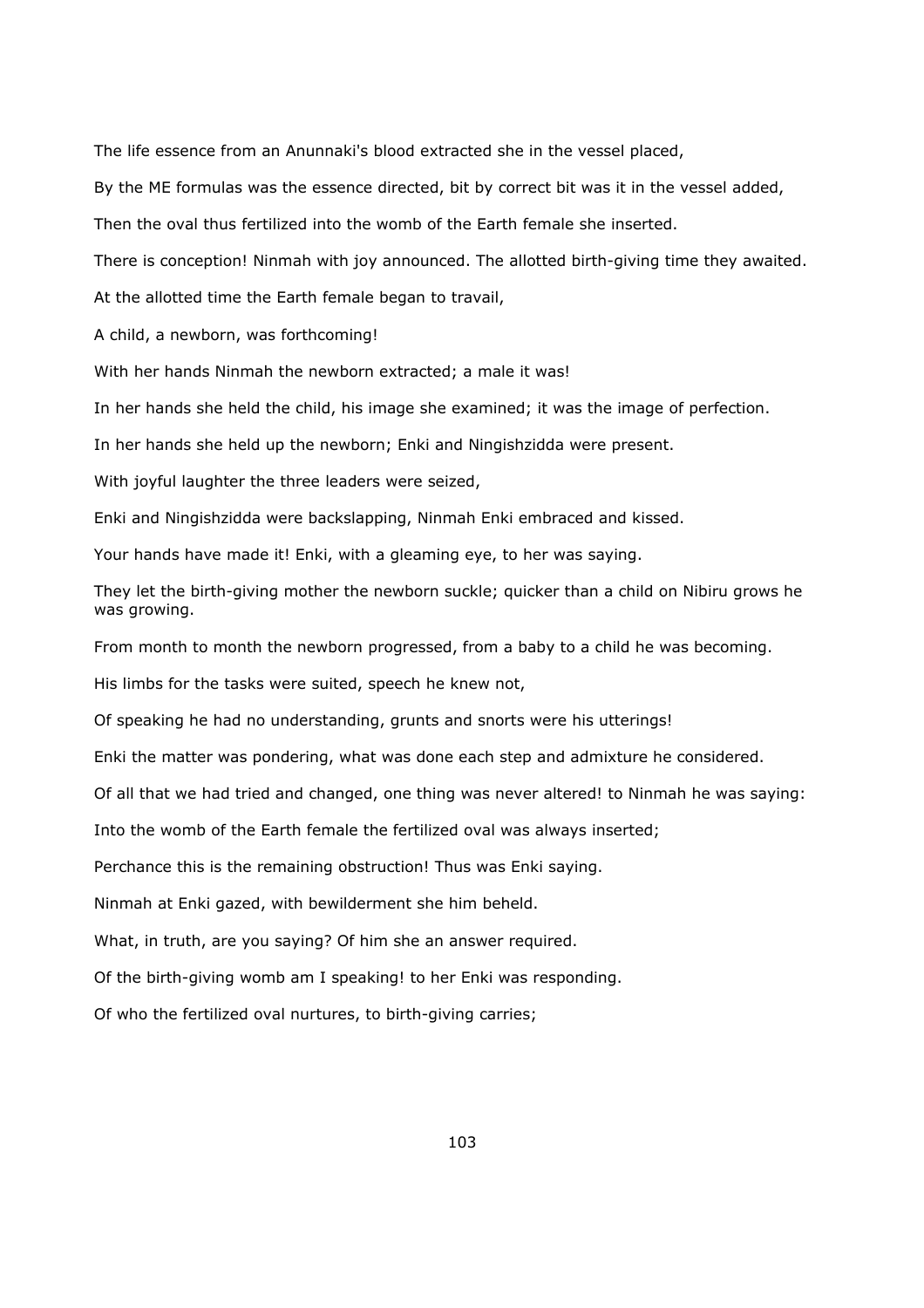The life essence from an Anunnaki's blood extracted she in the vessel placed,

By the ME formulas was the essence directed, bit by correct bit was it in the vessel added,

Then the oval thus fertilized into the womb of the Earth female she inserted.

There is conception! Ninmah with joy announced. The allotted birth-giving time they awaited.

At the allotted time the Earth female began to travail,

A child, a newborn, was forthcoming!

With her hands Ninmah the newborn extracted; a male it was!

In her hands she held the child, his image she examined; it was the image of perfection.

In her hands she held up the newborn; Enki and Ningishzidda were present.

With joyful laughter the three leaders were seized,

Enki and Ningishzidda were backslapping, Ninmah Enki embraced and kissed.

Your hands have made it! Enki, with a gleaming eye, to her was saying.

They let the birth-giving mother the newborn suckle; quicker than a child on Nibiru grows he was growing.

From month to month the newborn progressed, from a baby to a child he was becoming.

His limbs for the tasks were suited, speech he knew not,

Of speaking he had no understanding, grunts and snorts were his utterings!

Enki the matter was pondering, what was done each step and admixture he considered.

Of all that we had tried and changed, one thing was never altered! to Ninmah he was saying:

Into the womb of the Earth female the fertilized oval was always inserted;

Perchance this is the remaining obstruction! Thus was Enki saying.

Ninmah at Enki gazed, with bewilderment she him beheld.

What, in truth, are you saying? Of him she an answer required.

Of the birth-giving womb am I speaking! to her Enki was responding.

Of who the fertilized oval nurtures, to birth-giving carries;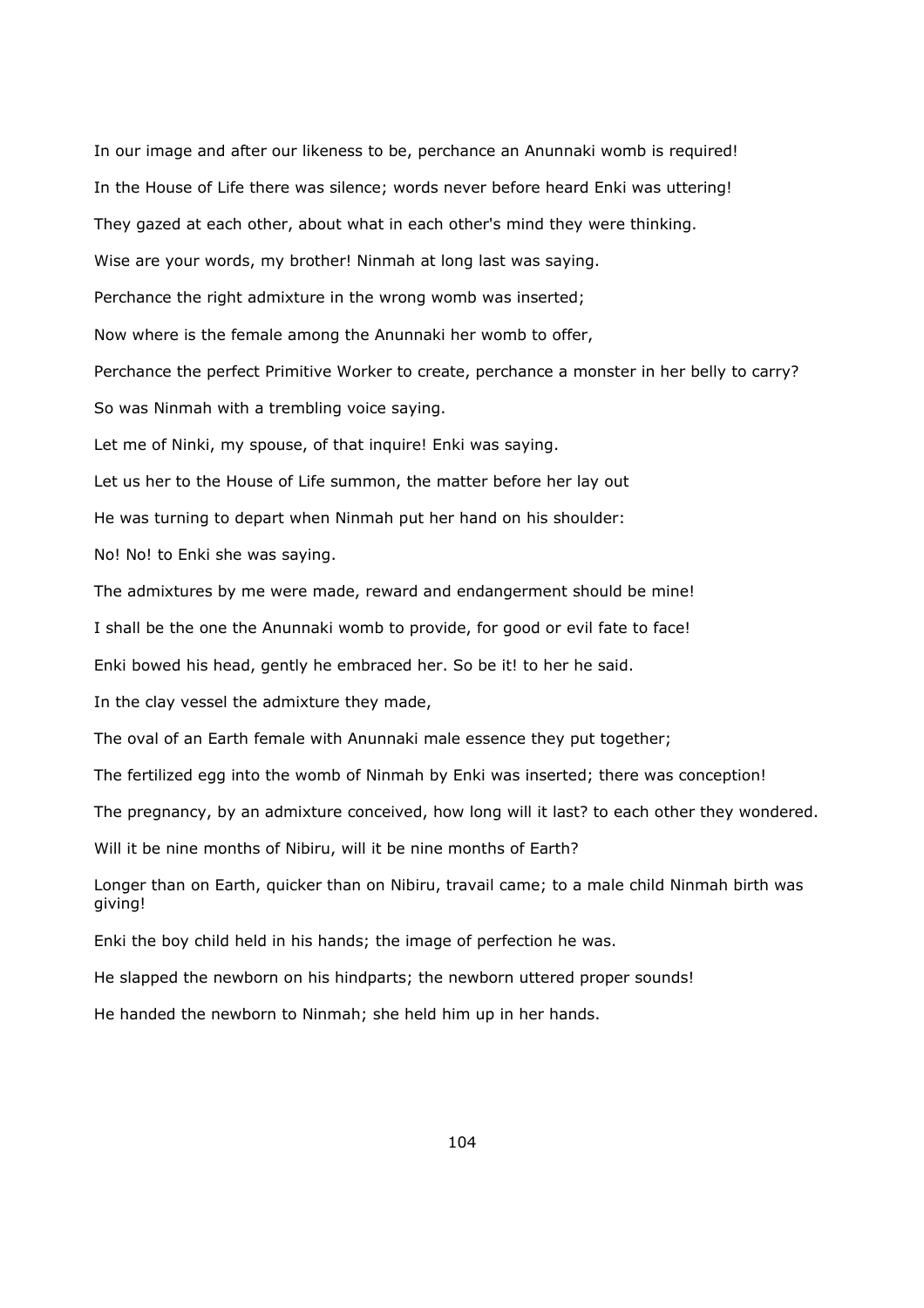In our image and after our likeness to be, perchance an Anunnaki womb is required! In the House of Life there was silence; words never before heard Enki was uttering! They gazed at each other, about what in each other's mind they were thinking. Wise are your words, my brother! Ninmah at long last was saying. Perchance the right admixture in the wrong womb was inserted; Now where is the female among the Anunnaki her womb to offer, Perchance the perfect Primitive Worker to create, perchance a monster in her belly to carry? So was Ninmah with a trembling voice saying. Let me of Ninki, my spouse, of that inquire! Enki was saying. Let us her to the House of Life summon, the matter before her lay out He was turning to depart when Ninmah put her hand on his shoulder: No! No! to Enki she was saying. The admixtures by me were made, reward and endangerment should be mine! I shall be the one the Anunnaki womb to provide, for good or evil fate to face! Enki bowed his head, gently he embraced her. So be it! to her he said. In the clay vessel the admixture they made, The oval of an Earth female with Anunnaki male essence they put together; The fertilized egg into the womb of Ninmah by Enki was inserted; there was conception!

The pregnancy, by an admixture conceived, how long will it last? to each other they wondered.

Will it be nine months of Nibiru, will it be nine months of Earth?

Longer than on Earth, quicker than on Nibiru, travail came; to a male child Ninmah birth was giving!

Enki the boy child held in his hands; the image of perfection he was.

He slapped the newborn on his hindparts; the newborn uttered proper sounds!

He handed the newborn to Ninmah; she held him up in her hands.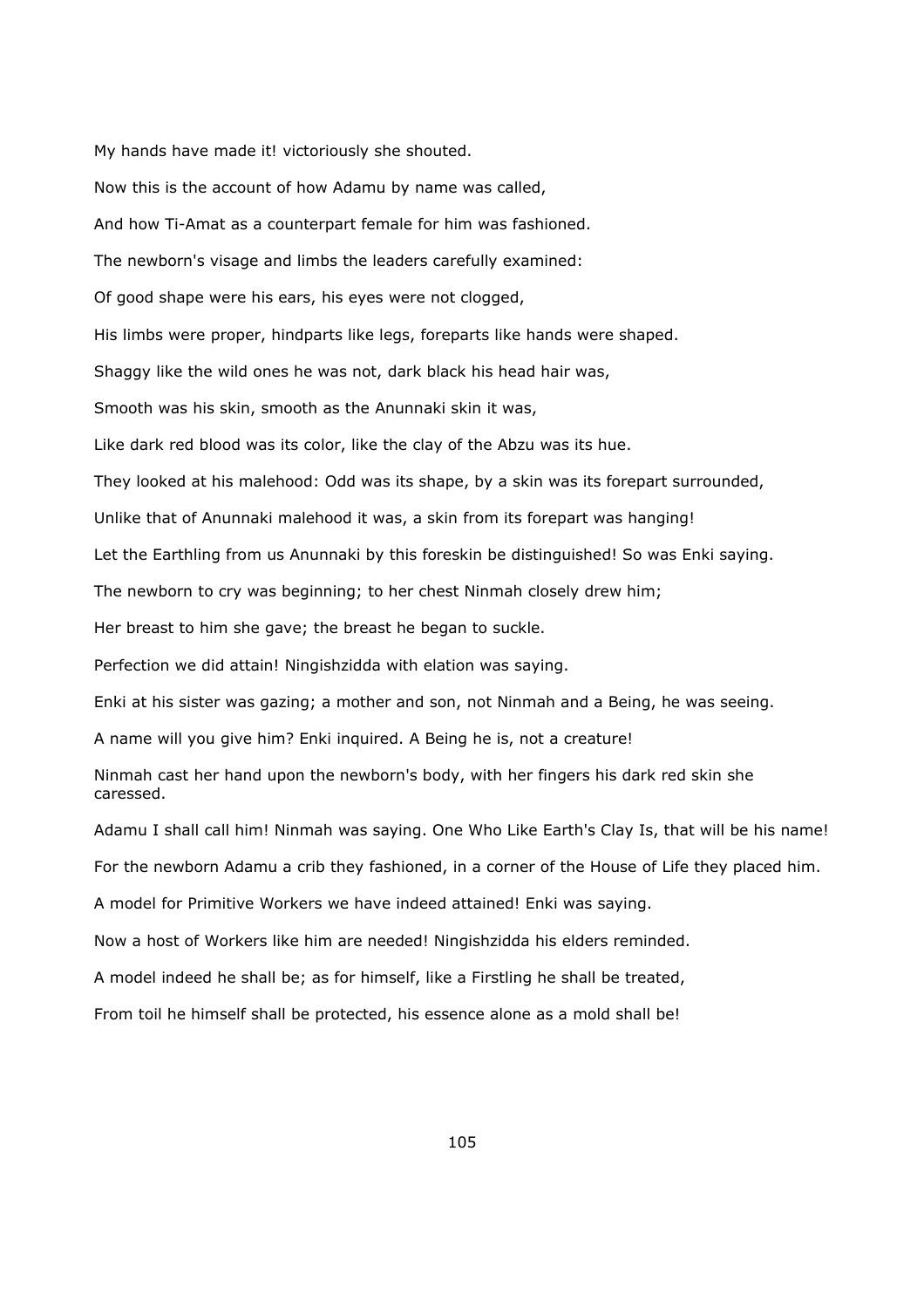My hands have made it! victoriously she shouted.

Now this is the account of how Adamu by name was called,

And how Ti-Amat as a counterpart female for him was fashioned.

The newborn's visage and limbs the leaders carefully examined:

Of good shape were his ears, his eyes were not clogged,

His limbs were proper, hindparts like legs, foreparts like hands were shaped.

Shaggy like the wild ones he was not, dark black his head hair was,

Smooth was his skin, smooth as the Anunnaki skin it was,

Like dark red blood was its color, like the clay of the Abzu was its hue.

They looked at his malehood: Odd was its shape, by a skin was its forepart surrounded,

Unlike that of Anunnaki malehood it was, a skin from its forepart was hanging!

Let the Earthling from us Anunnaki by this foreskin be distinguished! So was Enki saying.

The newborn to cry was beginning; to her chest Ninmah closely drew him;

Her breast to him she gave; the breast he began to suckle.

Perfection we did attain! Ningishzidda with elation was saying.

Enki at his sister was gazing; a mother and son, not Ninmah and a Being, he was seeing.

A name will you give him? Enki inquired. A Being he is, not a creature!

Ninmah cast her hand upon the newborn's body, with her fingers his dark red skin she caressed.

Adamu I shall call him! Ninmah was saying. One Who Like Earth's Clay Is, that will be his name!

For the newborn Adamu a crib they fashioned, in a corner of the House of Life they placed him.

A model for Primitive Workers we have indeed attained! Enki was saying.

Now a host of Workers like him are needed! Ningishzidda his elders reminded.

A model indeed he shall be; as for himself, like a Firstling he shall be treated,

From toil he himself shall be protected, his essence alone as a mold shall be!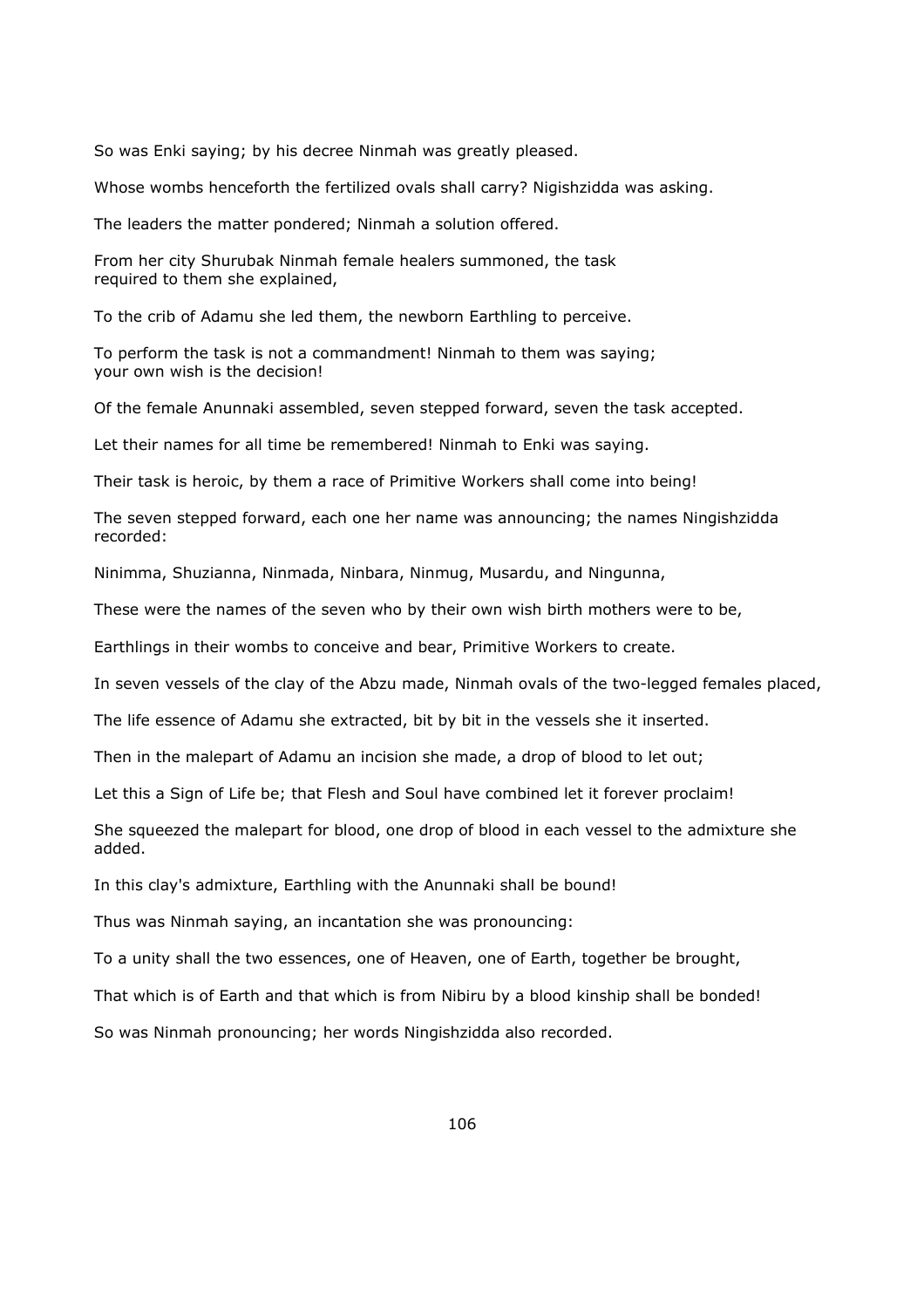So was Enki saying; by his decree Ninmah was greatly pleased.

Whose wombs henceforth the fertilized ovals shall carry? Nigishzidda was asking.

The leaders the matter pondered; Ninmah a solution offered.

From her city Shurubak Ninmah female healers summoned, the task required to them she explained,

To the crib of Adamu she led them, the newborn Earthling to perceive.

To perform the task is not a commandment! Ninmah to them was saying; your own wish is the decision!

Of the female Anunnaki assembled, seven stepped forward, seven the task accepted.

Let their names for all time be remembered! Ninmah to Enki was saying.

Their task is heroic, by them a race of Primitive Workers shall come into being!

The seven stepped forward, each one her name was announcing; the names Ningishzidda recorded:

Ninimma, Shuzianna, Ninmada, Ninbara, Ninmug, Musardu, and Ningunna,

These were the names of the seven who by their own wish birth mothers were to be,

Earthlings in their wombs to conceive and bear, Primitive Workers to create.

In seven vessels of the clay of the Abzu made, Ninmah ovals of the two-legged females placed,

The life essence of Adamu she extracted, bit by bit in the vessels she it inserted.

Then in the malepart of Adamu an incision she made, a drop of blood to let out;

Let this a Sign of Life be; that Flesh and Soul have combined let it forever proclaim!

She squeezed the malepart for blood, one drop of blood in each vessel to the admixture she added.

In this clay's admixture, Earthling with the Anunnaki shall be bound!

Thus was Ninmah saying, an incantation she was pronouncing:

To a unity shall the two essences, one of Heaven, one of Earth, together be brought,

That which is of Earth and that which is from Nibiru by a blood kinship shall be bonded!

So was Ninmah pronouncing; her words Ningishzidda also recorded.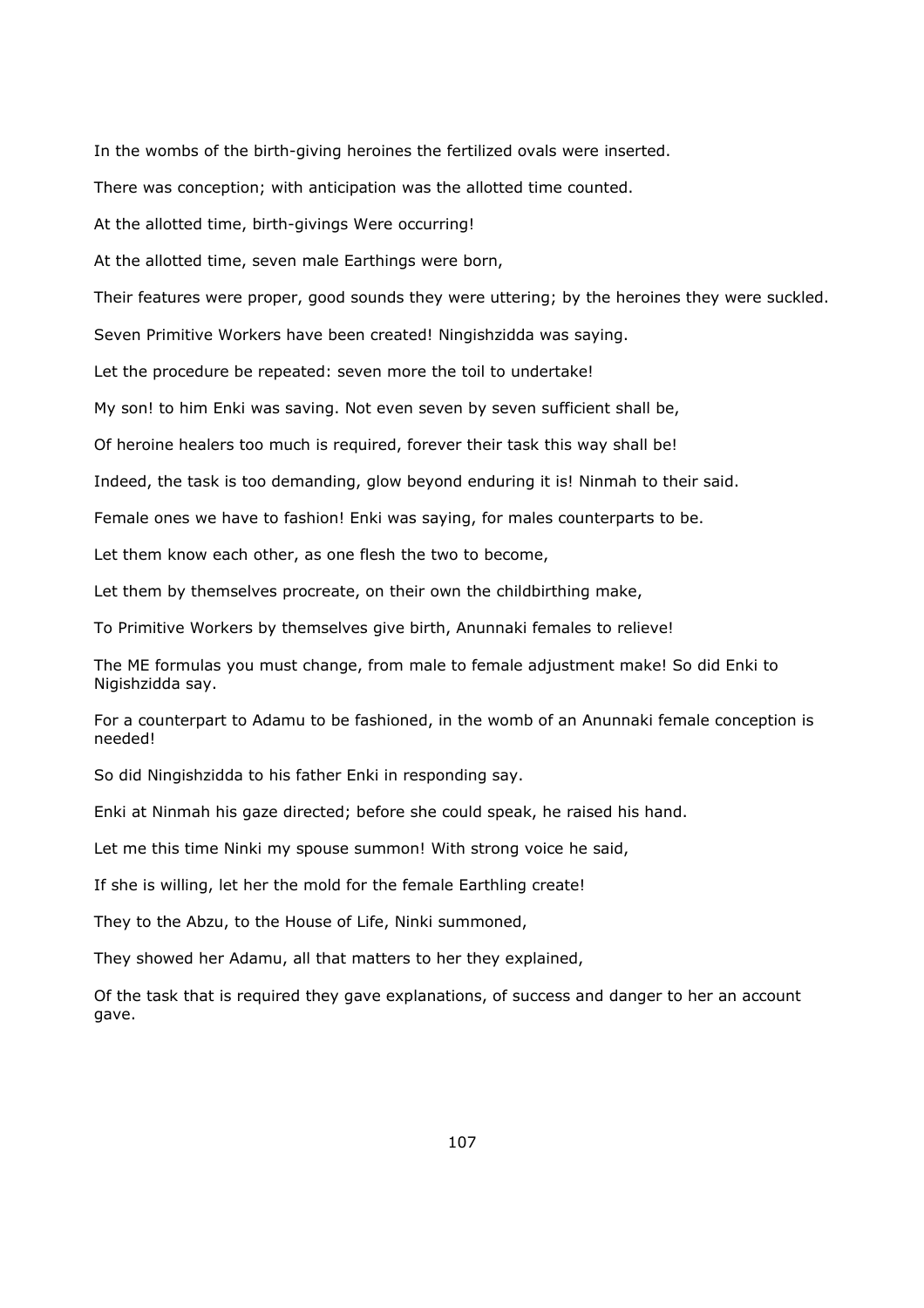In the wombs of the birth-giving heroines the fertilized ovals were inserted.

There was conception; with anticipation was the allotted time counted.

At the allotted time, birth-givings Were occurring!

At the allotted time, seven male Earthings were born,

Their features were proper, good sounds they were uttering; by the heroines they were suckled.

Seven Primitive Workers have been created! Ningishzidda was saying.

Let the procedure be repeated: seven more the toil to undertake!

My son! to him Enki was saving. Not even seven by seven sufficient shall be,

Of heroine healers too much is required, forever their task this way shall be!

Indeed, the task is too demanding, glow beyond enduring it is! Ninmah to their said.

Female ones we have to fashion! Enki was saying, for males counterparts to be.

Let them know each other, as one flesh the two to become,

Let them by themselves procreate, on their own the childbirthing make,

To Primitive Workers by themselves give birth, Anunnaki females to relieve!

The ME formulas you must change, from male to female adjustment make! So did Enki to Nigishzidda say.

For a counterpart to Adamu to be fashioned, in the womb of an Anunnaki female conception is needed!

So did Ningishzidda to his father Enki in responding say.

Enki at Ninmah his gaze directed; before she could speak, he raised his hand.

Let me this time Ninki my spouse summon! With strong voice he said,

If she is willing, let her the mold for the female Earthling create!

They to the Abzu, to the House of Life, Ninki summoned,

They showed her Adamu, all that matters to her they explained,

Of the task that is required they gave explanations, of success and danger to her an account gave.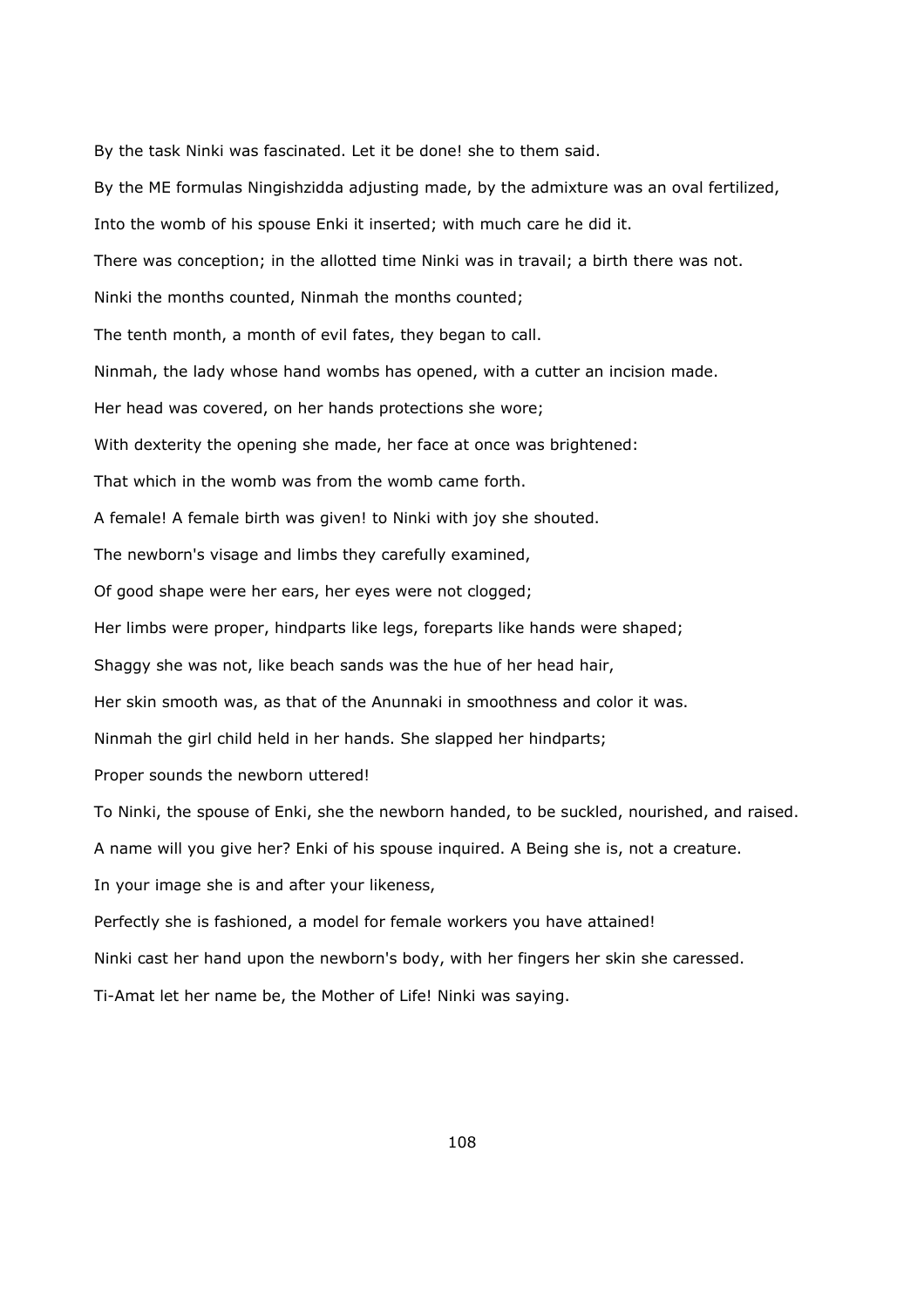By the task Ninki was fascinated. Let it be done! she to them said. By the ME formulas Ningishzidda adjusting made, by the admixture was an oval fertilized, Into the womb of his spouse Enki it inserted; with much care he did it. There was conception; in the allotted time Ninki was in travail; a birth there was not. Ninki the months counted, Ninmah the months counted; The tenth month, a month of evil fates, they began to call. Ninmah, the lady whose hand wombs has opened, with a cutter an incision made. Her head was covered, on her hands protections she wore; With dexterity the opening she made, her face at once was brightened: That which in the womb was from the womb came forth. A female! A female birth was given! to Ninki with joy she shouted. The newborn's visage and limbs they carefully examined, Of good shape were her ears, her eyes were not clogged; Her limbs were proper, hindparts like legs, foreparts like hands were shaped; Shaggy she was not, like beach sands was the hue of her head hair, Her skin smooth was, as that of the Anunnaki in smoothness and color it was. Ninmah the girl child held in her hands. She slapped her hindparts; Proper sounds the newborn uttered! To Ninki, the spouse of Enki, she the newborn handed, to be suckled, nourished, and raised. A name will you give her? Enki of his spouse inquired. A Being she is, not a creature. In your image she is and after your likeness, Perfectly she is fashioned, a model for female workers you have attained! Ninki cast her hand upon the newborn's body, with her fingers her skin she caressed.

Ti-Amat let her name be, the Mother of Life! Ninki was saying.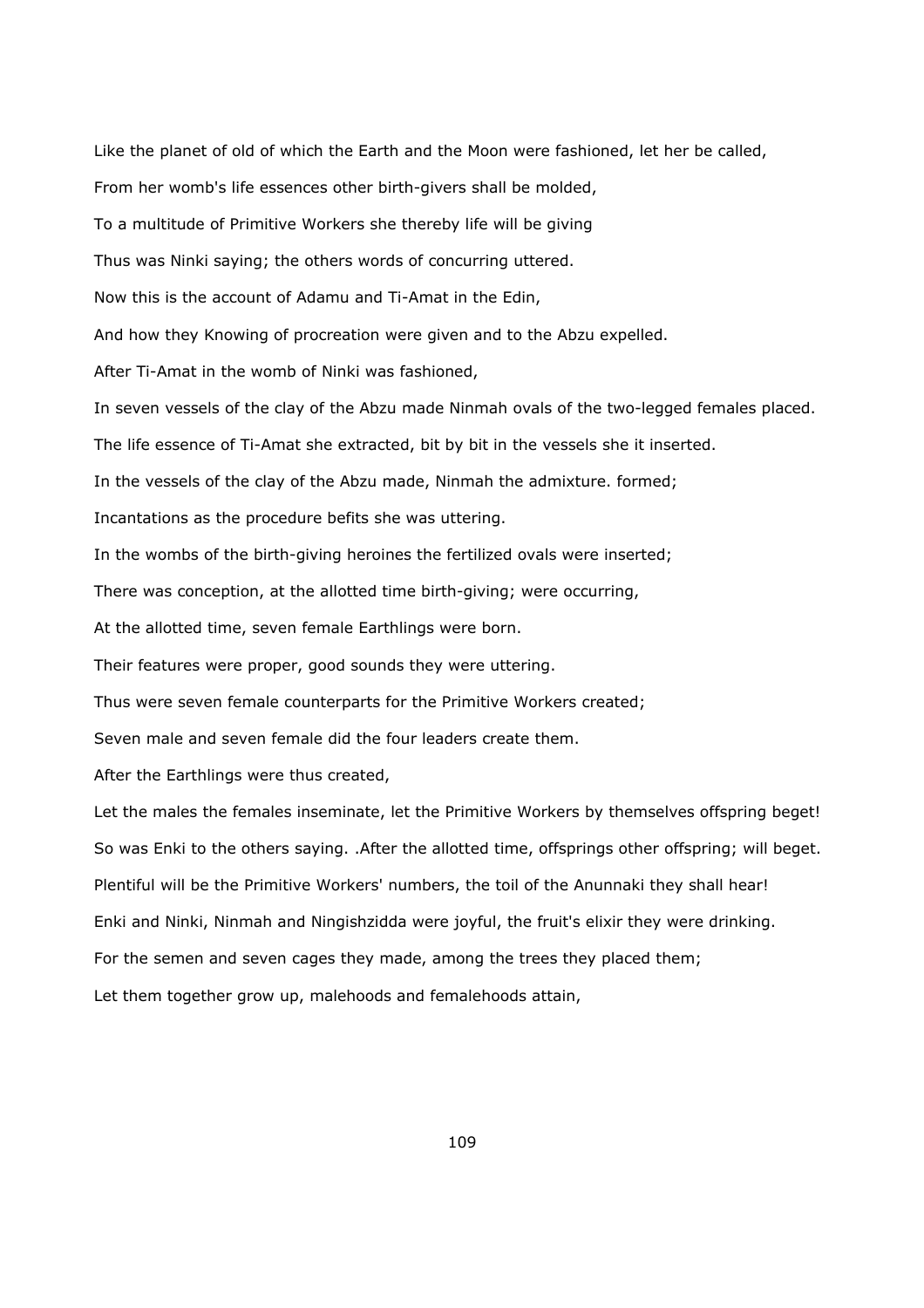Like the planet of old of which the Earth and the Moon were fashioned, let her be called, From her womb's life essences other birth-givers shall be molded, To a multitude of Primitive Workers she thereby life will be giving Thus was Ninki saying; the others words of concurring uttered. Now this is the account of Adamu and Ti-Amat in the Edin, And how they Knowing of procreation were given and to the Abzu expelled. After Ti-Amat in the womb of Ninki was fashioned, In seven vessels of the clay of the Abzu made Ninmah ovals of the two-legged females placed. The life essence of Ti-Amat she extracted, bit by bit in the vessels she it inserted. In the vessels of the clay of the Abzu made, Ninmah the admixture. formed; Incantations as the procedure befits she was uttering. In the wombs of the birth-giving heroines the fertilized ovals were inserted; There was conception, at the allotted time birth-giving; were occurring, At the allotted time, seven female Earthlings were born. Their features were proper, good sounds they were uttering. Thus were seven female counterparts for the Primitive Workers created; Seven male and seven female did the four leaders create them. After the Earthlings were thus created, Let the males the females inseminate, let the Primitive Workers by themselves offspring beget! So was Enki to the others saying. .After the allotted time, offsprings other offspring; will beget. Plentiful will be the Primitive Workers' numbers, the toil of the Anunnaki they shall hear! Enki and Ninki, Ninmah and Ningishzidda were joyful, the fruit's elixir they were drinking. For the semen and seven cages they made, among the trees they placed them; Let them together grow up, malehoods and femalehoods attain,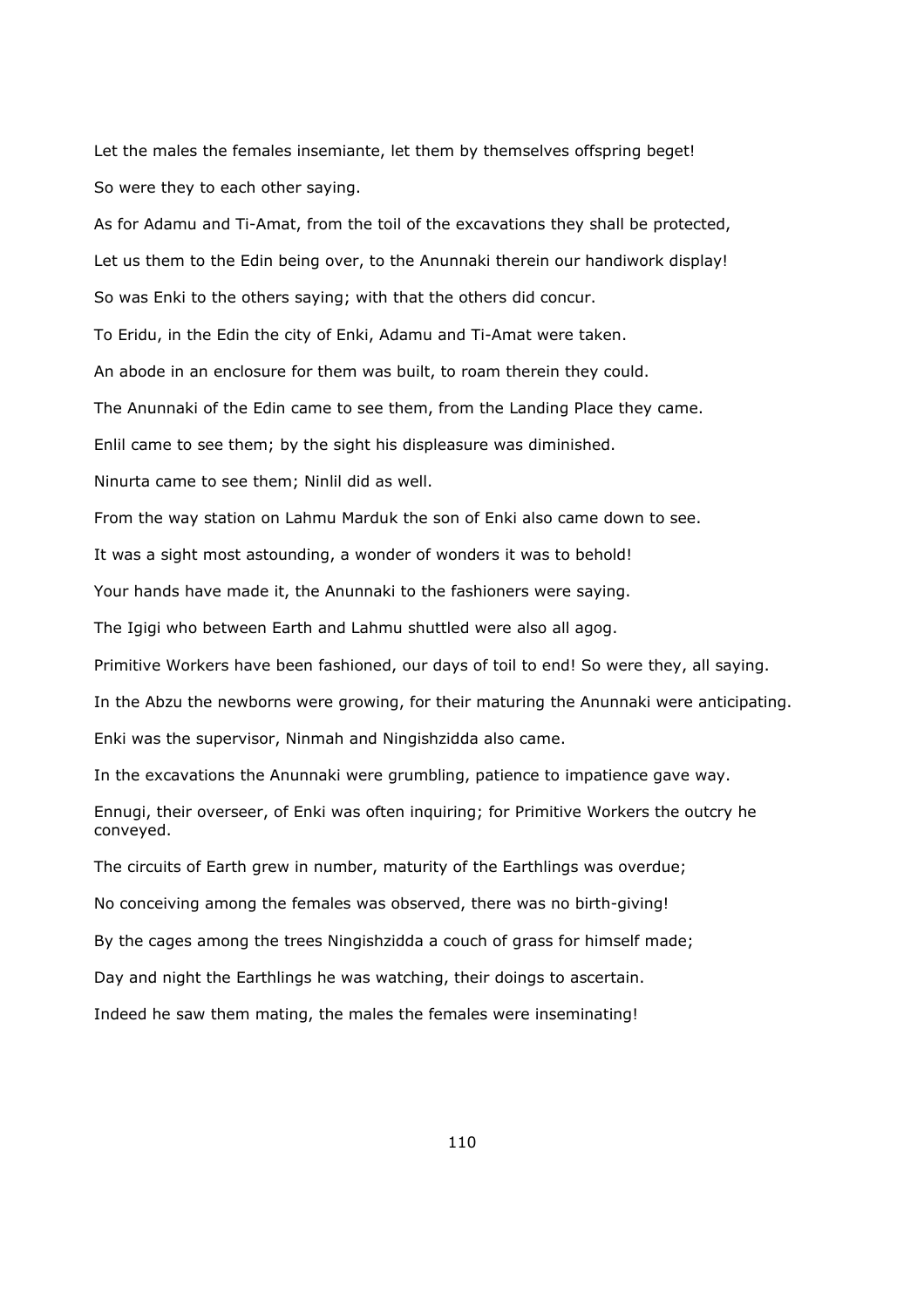Let the males the females insemiante, let them by themselves offspring beget! So were they to each other saying.

As for Adamu and Ti-Amat, from the toil of the excavations they shall be protected, Let us them to the Edin being over, to the Anunnaki therein our handiwork display! So was Enki to the others saying; with that the others did concur.

To Eridu, in the Edin the city of Enki, Adamu and Ti-Amat were taken.

An abode in an enclosure for them was built, to roam therein they could.

The Anunnaki of the Edin came to see them, from the Landing Place they came.

Enlil came to see them; by the sight his displeasure was diminished.

Ninurta came to see them; Ninlil did as well.

From the way station on Lahmu Marduk the son of Enki also came down to see.

It was a sight most astounding, a wonder of wonders it was to behold!

Your hands have made it, the Anunnaki to the fashioners were saying.

The Igigi who between Earth and Lahmu shuttled were also all agog.

Primitive Workers have been fashioned, our days of toil to end! So were they, all saying.

In the Abzu the newborns were growing, for their maturing the Anunnaki were anticipating.

Enki was the supervisor, Ninmah and Ningishzidda also came.

In the excavations the Anunnaki were grumbling, patience to impatience gave way.

Ennugi, their overseer, of Enki was often inquiring; for Primitive Workers the outcry he conveyed.

The circuits of Earth grew in number, maturity of the Earthlings was overdue;

No conceiving among the females was observed, there was no birth-giving!

By the cages among the trees Ningishzidda a couch of grass for himself made;

Day and night the Earthlings he was watching, their doings to ascertain.

Indeed he saw them mating, the males the females were inseminating!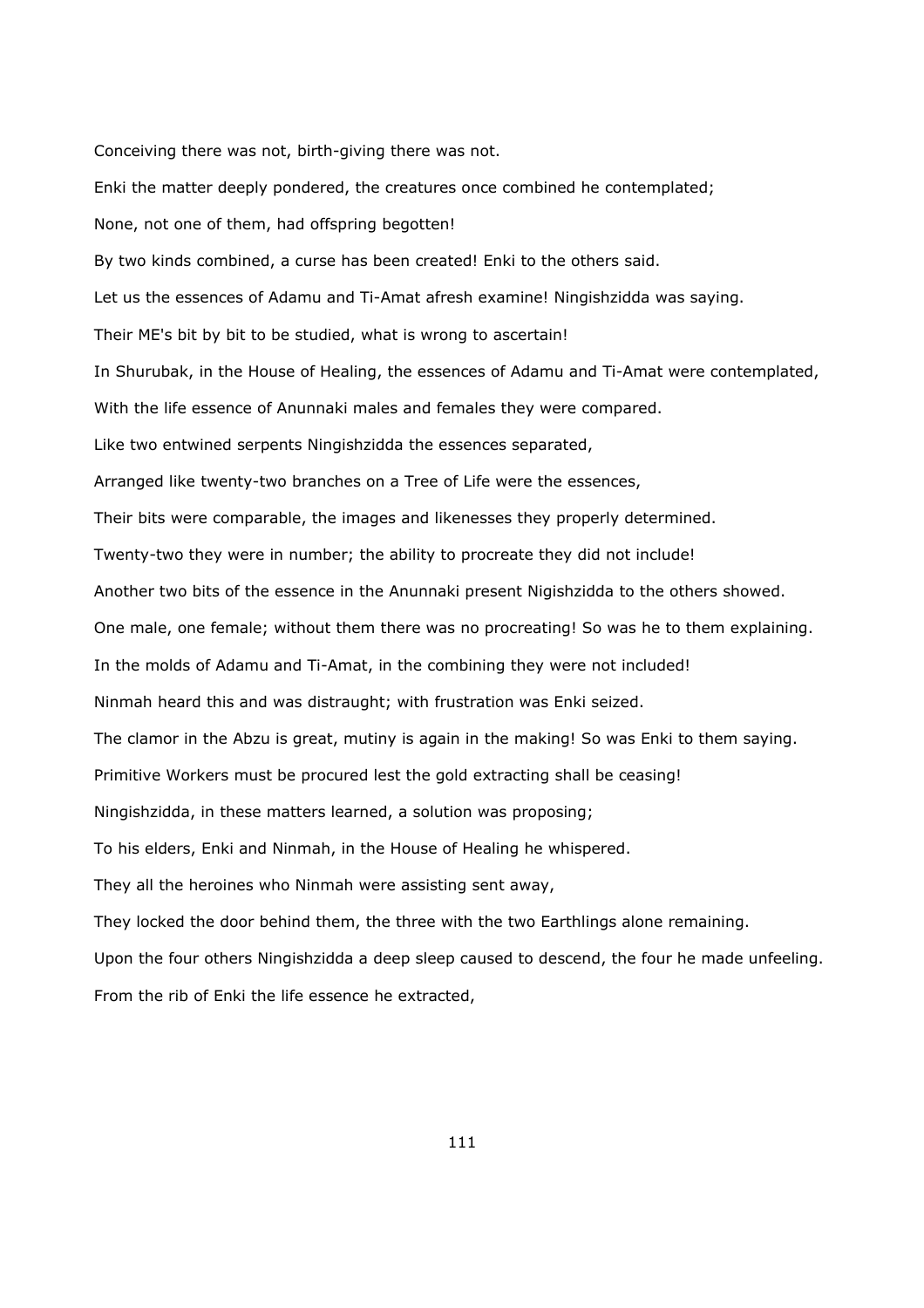Conceiving there was not, birth-giving there was not.

Enki the matter deeply pondered, the creatures once combined he contemplated;

None, not one of them, had offspring begotten!

By two kinds combined, a curse has been created! Enki to the others said.

Let us the essences of Adamu and Ti-Amat afresh examine! Ningishzidda was saying.

Their ME's bit by bit to be studied, what is wrong to ascertain!

In Shurubak, in the House of Healing, the essences of Adamu and Ti-Amat were contemplated,

With the life essence of Anunnaki males and females they were compared.

Like two entwined serpents Ningishzidda the essences separated,

Arranged like twenty-two branches on a Tree of Life were the essences,

Their bits were comparable, the images and likenesses they properly determined.

Twenty-two they were in number; the ability to procreate they did not include!

Another two bits of the essence in the Anunnaki present Nigishzidda to the others showed.

One male, one female; without them there was no procreating! So was he to them explaining.

In the molds of Adamu and Ti-Amat, in the combining they were not included!

Ninmah heard this and was distraught; with frustration was Enki seized.

The clamor in the Abzu is great, mutiny is again in the making! So was Enki to them saying.

Primitive Workers must be procured lest the gold extracting shall be ceasing!

Ningishzidda, in these matters learned, a solution was proposing;

To his elders, Enki and Ninmah, in the House of Healing he whispered.

They all the heroines who Ninmah were assisting sent away,

They locked the door behind them, the three with the two Earthlings alone remaining.

Upon the four others Ningishzidda a deep sleep caused to descend, the four he made unfeeling. From the rib of Enki the life essence he extracted,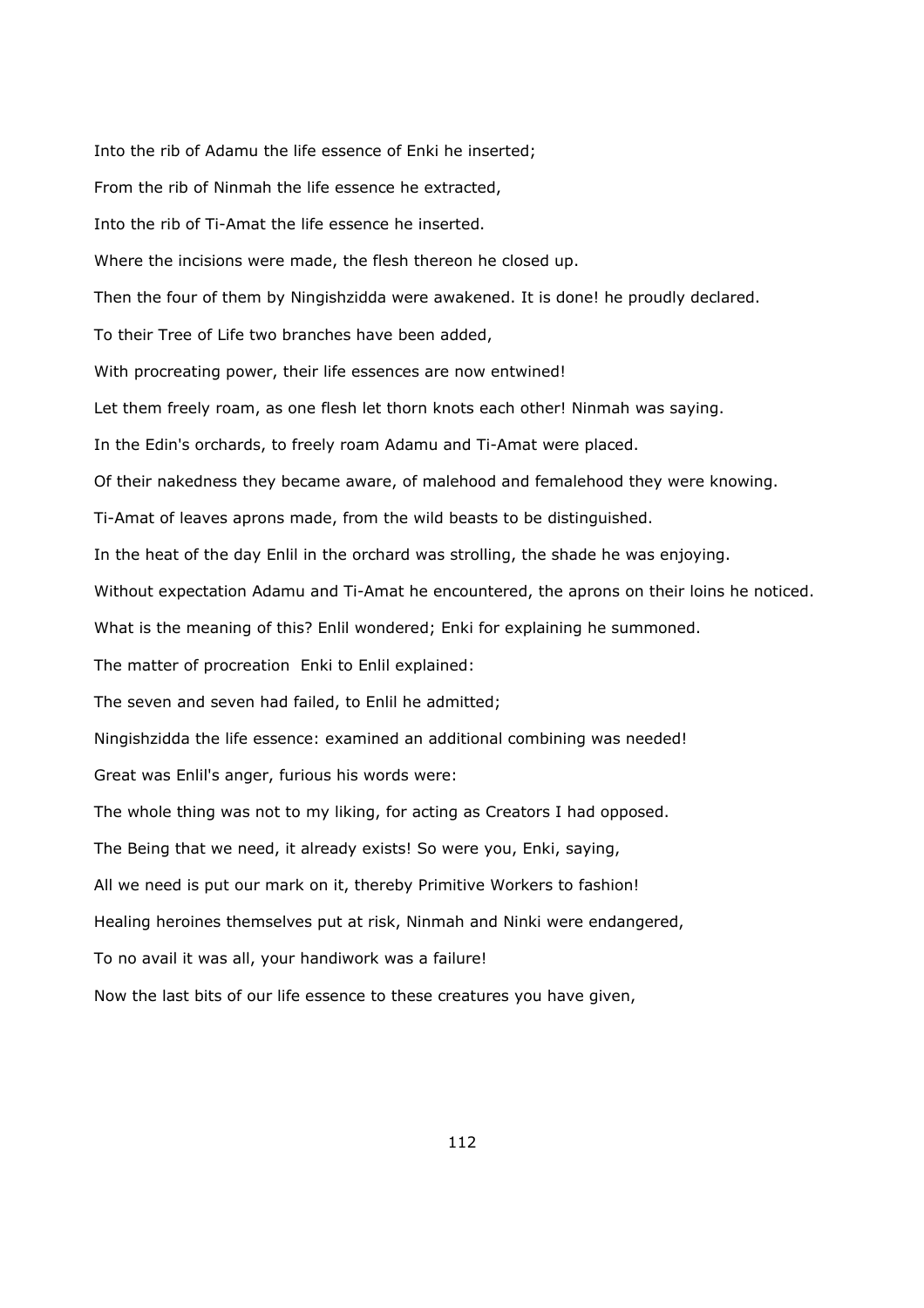Into the rib of Adamu the life essence of Enki he inserted;

From the rib of Ninmah the life essence he extracted,

Into the rib of Ti-Amat the life essence he inserted.

Where the incisions were made, the flesh thereon he closed up.

Then the four of them by Ningishzidda were awakened. It is done! he proudly declared.

To their Tree of Life two branches have been added,

With procreating power, their life essences are now entwined!

Let them freely roam, as one flesh let thorn knots each other! Ninmah was saying.

In the Edin's orchards, to freely roam Adamu and Ti-Amat were placed.

Of their nakedness they became aware, of malehood and femalehood they were knowing.

Ti-Amat of leaves aprons made, from the wild beasts to be distinguished.

In the heat of the day Enlil in the orchard was strolling, the shade he was enjoying.

Without expectation Adamu and Ti-Amat he encountered, the aprons on their loins he noticed.

What is the meaning of this? Enlil wondered; Enki for explaining he summoned.

The matter of procreation Enki to Enlil explained:

The seven and seven had failed, to Enlil he admitted;

Ningishzidda the life essence: examined an additional combining was needed!

Great was Enlil's anger, furious his words were:

The whole thing was not to my liking, for acting as Creators I had opposed.

The Being that we need, it already exists! So were you, Enki, saying,

All we need is put our mark on it, thereby Primitive Workers to fashion!

Healing heroines themselves put at risk, Ninmah and Ninki were endangered,

To no avail it was all, your handiwork was a failure!

Now the last bits of our life essence to these creatures you have given,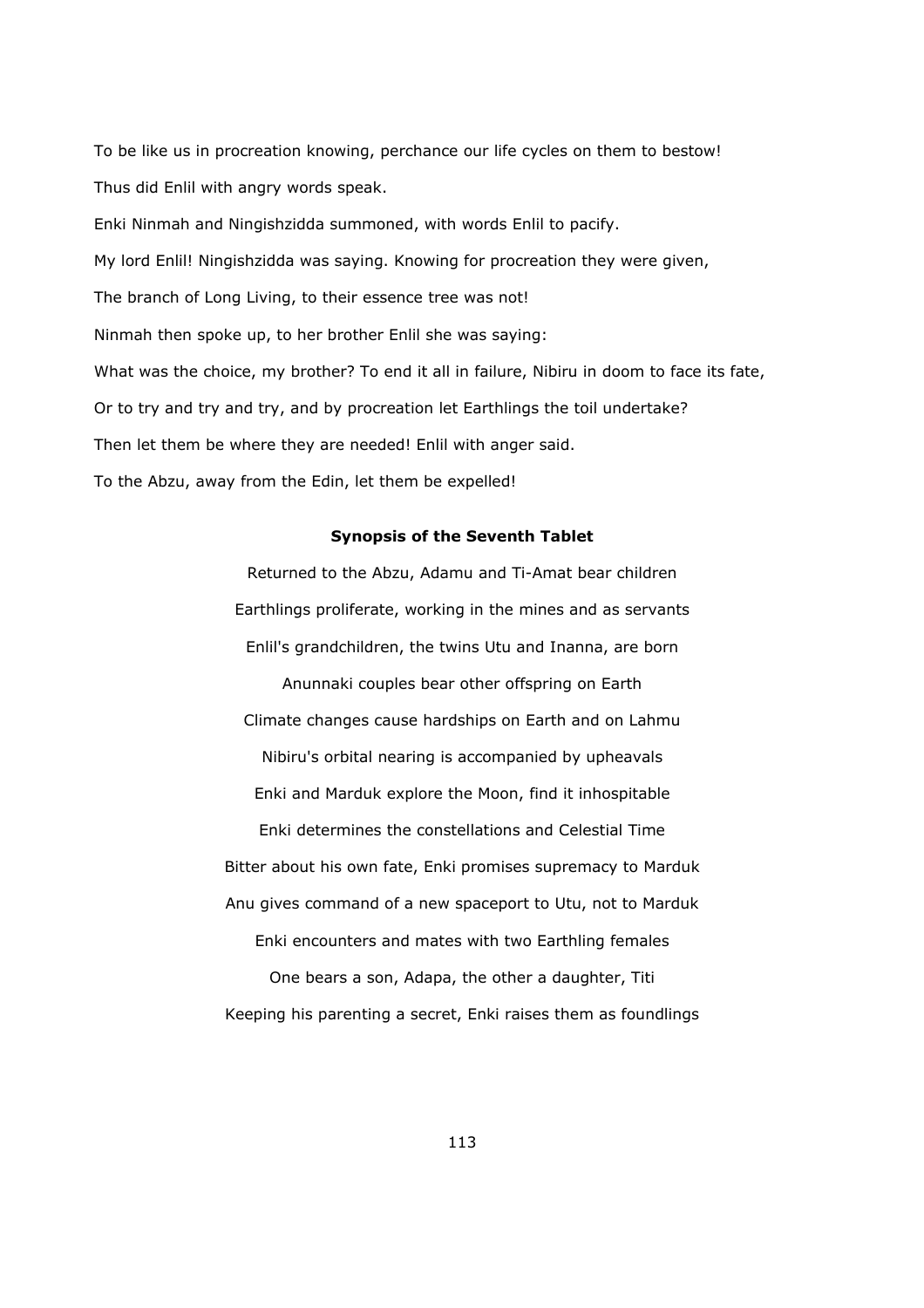To be like us in procreation knowing, perchance our life cycles on them to bestow! Thus did Enlil with angry words speak. Enki Ninmah and Ningishzidda summoned, with words Enlil to pacify. My lord Enlil! Ningishzidda was saying. Knowing for procreation they were given, The branch of Long Living, to their essence tree was not! Ninmah then spoke up, to her brother Enlil she was saying: What was the choice, my brother? To end it all in failure, Nibiru in doom to face its fate, Or to try and try and try, and by procreation let Earthlings the toil undertake? Then let them be where they are needed! Enlil with anger said. To the Abzu, away from the Edin, let them be expelled!

## **Synopsis of the Seventh Tablet**

Returned to the Abzu, Adamu and Ti-Amat bear children Earthlings proliferate, working in the mines and as servants Enlil's grandchildren, the twins Utu and Inanna, are born Anunnaki couples bear other offspring on Earth Climate changes cause hardships on Earth and on Lahmu Nibiru's orbital nearing is accompanied by upheavals Enki and Marduk explore the Moon, find it inhospitable Enki determines the constellations and Celestial Time Bitter about his own fate, Enki promises supremacy to Marduk Anu gives command of a new spaceport to Utu, not to Marduk Enki encounters and mates with two Earthling females One bears a son, Adapa, the other a daughter, Titi

Keeping his parenting a secret, Enki raises them as foundlings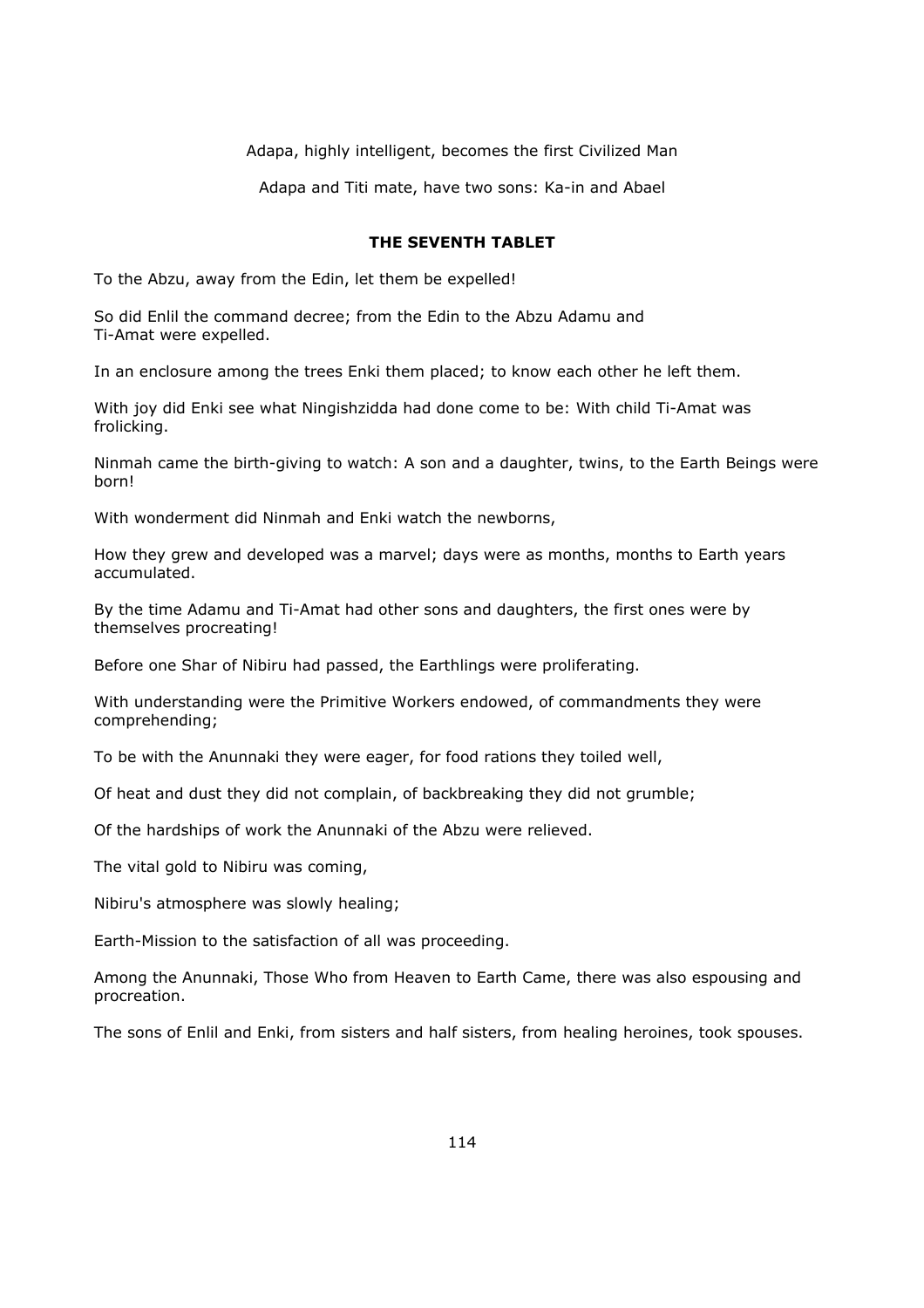Adapa, highly intelligent, becomes the first Civilized Man

Adapa and Titi mate, have two sons: Ka-in and Abael

## **THE SEVENTH TABLET**

To the Abzu, away from the Edin, let them be expelled!

So did Enlil the command decree; from the Edin to the Abzu Adamu and Ti-Amat were expelled.

In an enclosure among the trees Enki them placed; to know each other he left them.

With joy did Enki see what Ningishzidda had done come to be: With child Ti-Amat was frolicking.

Ninmah came the birth-giving to watch: A son and a daughter, twins, to the Earth Beings were born!

With wonderment did Ninmah and Enki watch the newborns,

How they grew and developed was a marvel; days were as months, months to Earth years accumulated.

By the time Adamu and Ti-Amat had other sons and daughters, the first ones were by themselves procreating!

Before one Shar of Nibiru had passed, the Earthlings were proliferating.

With understanding were the Primitive Workers endowed, of commandments they were comprehending;

To be with the Anunnaki they were eager, for food rations they toiled well,

Of heat and dust they did not complain, of backbreaking they did not grumble;

Of the hardships of work the Anunnaki of the Abzu were relieved.

The vital gold to Nibiru was coming,

Nibiru's atmosphere was slowly healing;

Earth-Mission to the satisfaction of all was proceeding.

Among the Anunnaki, Those Who from Heaven to Earth Came, there was also espousing and procreation.

The sons of Enlil and Enki, from sisters and half sisters, from healing heroines, took spouses.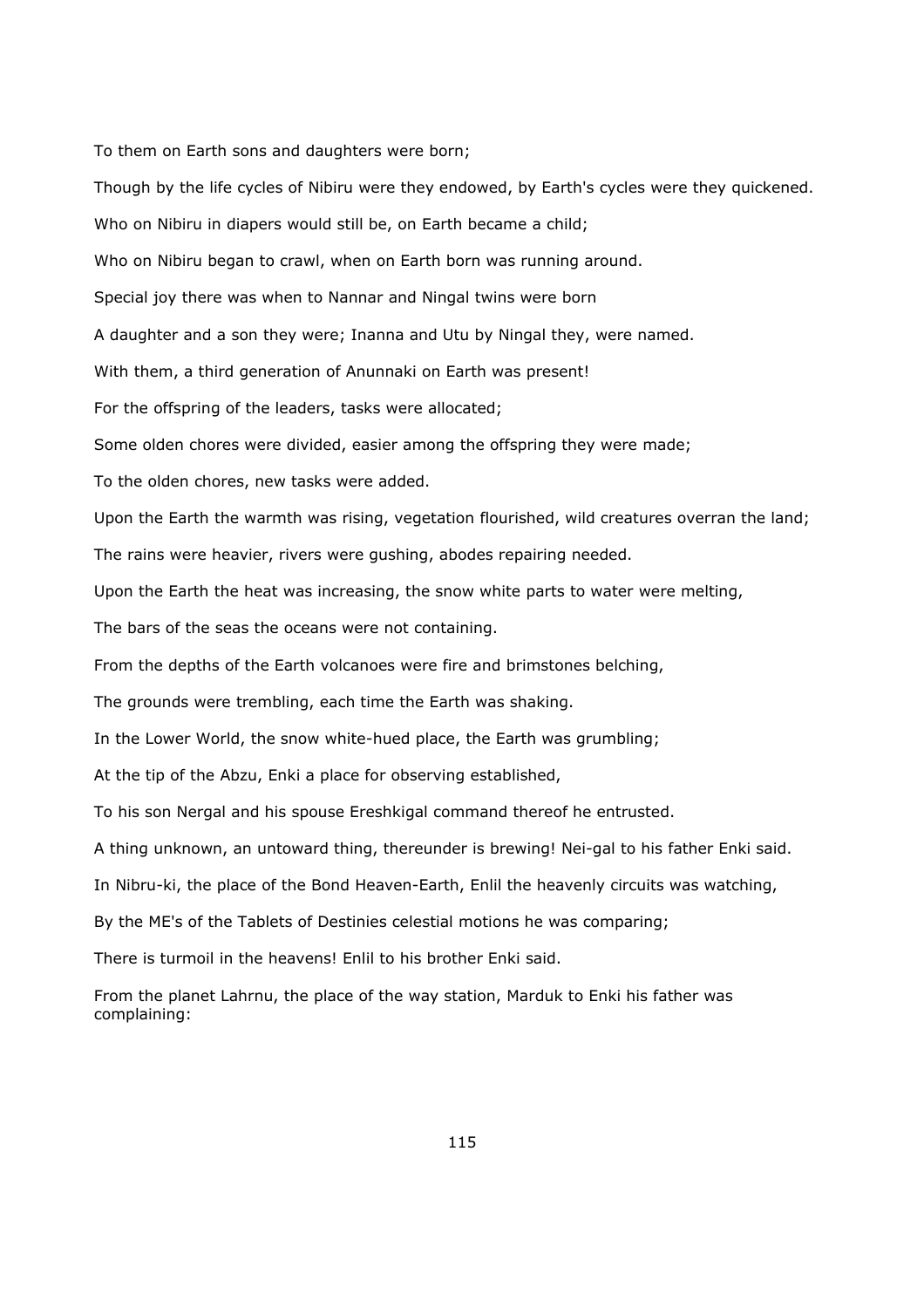To them on Earth sons and daughters were born;

Though by the life cycles of Nibiru were they endowed, by Earth's cycles were they quickened.

Who on Nibiru in diapers would still be, on Earth became a child;

Who on Nibiru began to crawl, when on Earth born was running around.

Special joy there was when to Nannar and Ningal twins were born

A daughter and a son they were; Inanna and Utu by Ningal they, were named.

With them, a third generation of Anunnaki on Earth was present!

For the offspring of the leaders, tasks were allocated;

Some olden chores were divided, easier among the offspring they were made;

To the olden chores, new tasks were added.

Upon the Earth the warmth was rising, vegetation flourished, wild creatures overran the land;

The rains were heavier, rivers were gushing, abodes repairing needed.

Upon the Earth the heat was increasing, the snow white parts to water were melting,

The bars of the seas the oceans were not containing.

From the depths of the Earth volcanoes were fire and brimstones belching,

The grounds were trembling, each time the Earth was shaking.

In the Lower World, the snow white-hued place, the Earth was grumbling;

At the tip of the Abzu, Enki a place for observing established,

To his son Nergal and his spouse Ereshkigal command thereof he entrusted.

A thing unknown, an untoward thing, thereunder is brewing! Nei-gal to his father Enki said.

In Nibru-ki, the place of the Bond Heaven-Earth, Enlil the heavenly circuits was watching,

By the ME's of the Tablets of Destinies celestial motions he was comparing;

There is turmoil in the heavens! Enlil to his brother Enki said.

From the planet Lahrnu, the place of the way station, Marduk to Enki his father was complaining: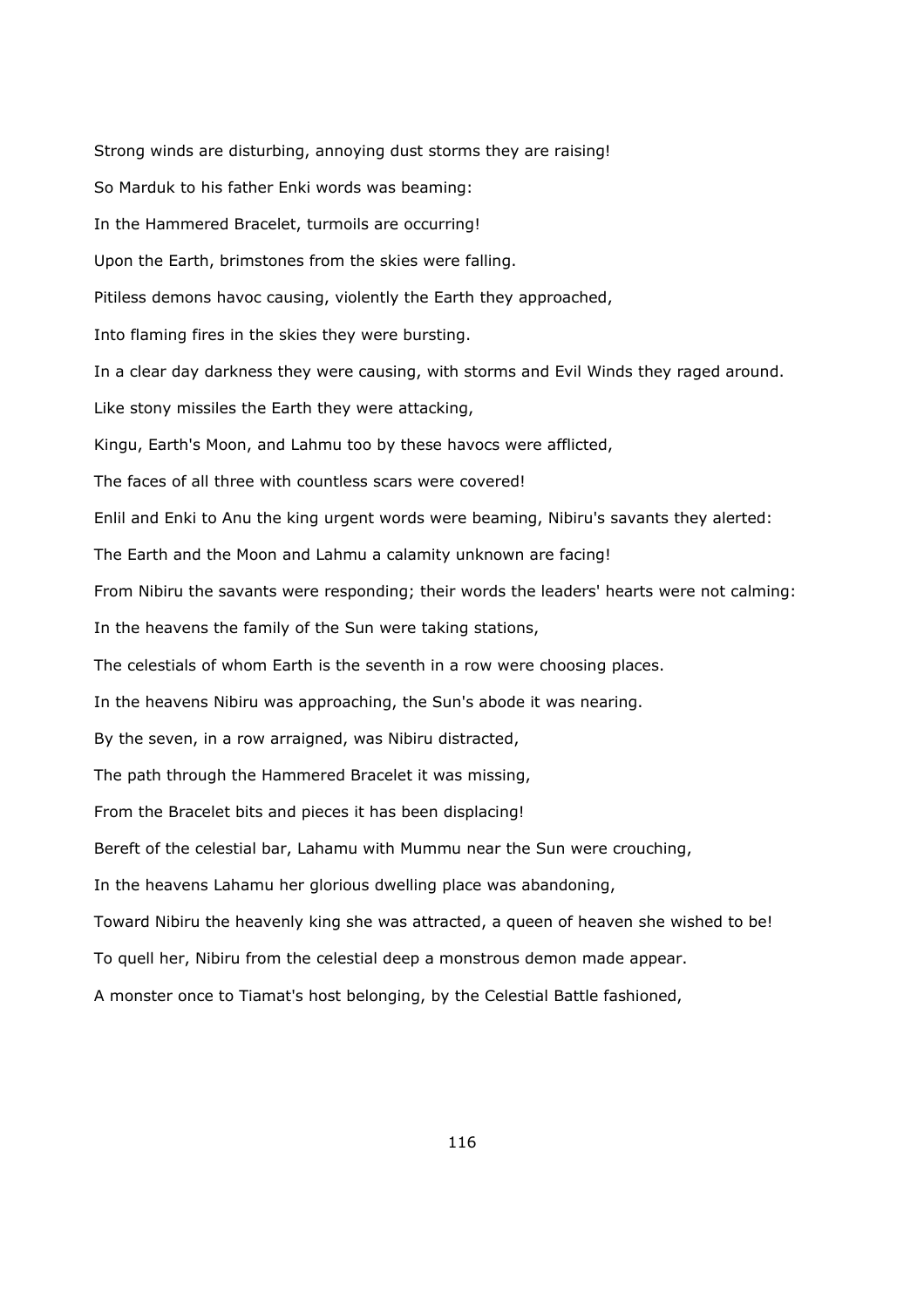Strong winds are disturbing, annoying dust storms they are raising! So Marduk to his father Enki words was beaming: In the Hammered Bracelet, turmoils are occurring! Upon the Earth, brimstones from the skies were falling. Pitiless demons havoc causing, violently the Earth they approached, Into flaming fires in the skies they were bursting. In a clear day darkness they were causing, with storms and Evil Winds they raged around. Like stony missiles the Earth they were attacking, Kingu, Earth's Moon, and Lahmu too by these havocs were afflicted, The faces of all three with countless scars were covered! Enlil and Enki to Anu the king urgent words were beaming, Nibiru's savants they alerted: The Earth and the Moon and Lahmu a calamity unknown are facing! From Nibiru the savants were responding; their words the leaders' hearts were not calming: In the heavens the family of the Sun were taking stations, The celestials of whom Earth is the seventh in a row were choosing places. In the heavens Nibiru was approaching, the Sun's abode it was nearing. By the seven, in a row arraigned, was Nibiru distracted, The path through the Hammered Bracelet it was missing, From the Bracelet bits and pieces it has been displacing! Bereft of the celestial bar, Lahamu with Mummu near the Sun were crouching, In the heavens Lahamu her glorious dwelling place was abandoning, Toward Nibiru the heavenly king she was attracted, a queen of heaven she wished to be! To quell her, Nibiru from the celestial deep a monstrous demon made appear. A monster once to Tiamat's host belonging, by the Celestial Battle fashioned,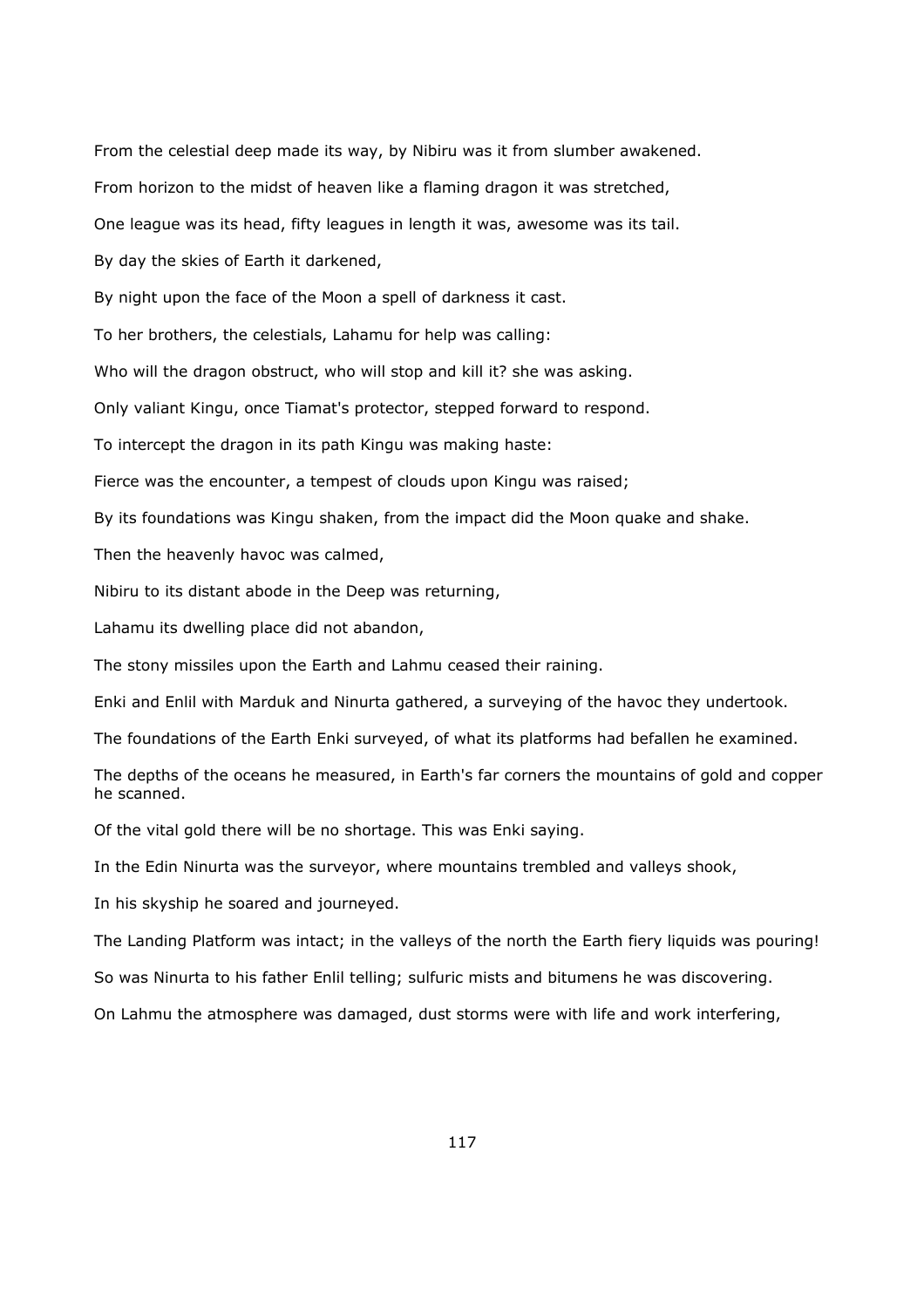From horizon to the midst of heaven like a flaming dragon it was stretched, One league was its head, fifty leagues in length it was, awesome was its tail. By day the skies of Earth it darkened, By night upon the face of the Moon a spell of darkness it cast. To her brothers, the celestials, Lahamu for help was calling: Who will the dragon obstruct, who will stop and kill it? she was asking.

From the celestial deep made its way, by Nibiru was it from slumber awakened.

Only valiant Kingu, once Tiamat's protector, stepped forward to respond.

To intercept the dragon in its path Kingu was making haste:

Fierce was the encounter, a tempest of clouds upon Kingu was raised;

By its foundations was Kingu shaken, from the impact did the Moon quake and shake.

Then the heavenly havoc was calmed,

Nibiru to its distant abode in the Deep was returning,

Lahamu its dwelling place did not abandon,

The stony missiles upon the Earth and Lahmu ceased their raining.

Enki and Enlil with Marduk and Ninurta gathered, a surveying of the havoc they undertook.

The foundations of the Earth Enki surveyed, of what its platforms had befallen he examined.

The depths of the oceans he measured, in Earth's far corners the mountains of gold and copper he scanned.

Of the vital gold there will be no shortage. This was Enki saying.

In the Edin Ninurta was the surveyor, where mountains trembled and valleys shook,

In his skyship he soared and journeyed.

The Landing Platform was intact; in the valleys of the north the Earth fiery liquids was pouring!

So was Ninurta to his father Enlil telling; sulfuric mists and bitumens he was discovering.

On Lahmu the atmosphere was damaged, dust storms were with life and work interfering,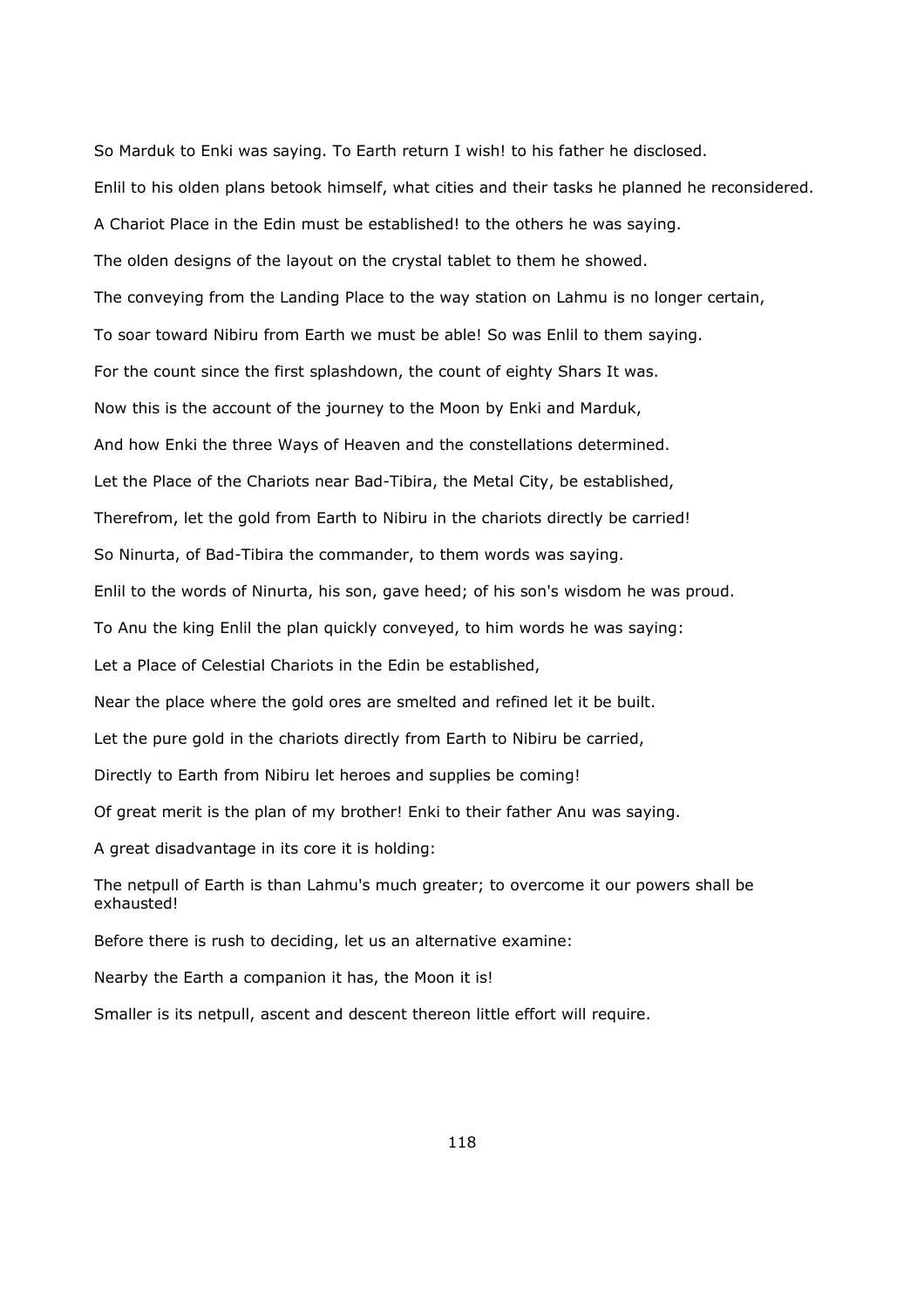So Marduk to Enki was saying. To Earth return I wish! to his father he disclosed. Enlil to his olden plans betook himself, what cities and their tasks he planned he reconsidered. A Chariot Place in the Edin must be established! to the others he was saying. The olden designs of the layout on the crystal tablet to them he showed. The conveying from the Landing Place to the way station on Lahmu is no longer certain, To soar toward Nibiru from Earth we must be able! So was Enlil to them saying. For the count since the first splashdown, the count of eighty Shars It was. Now this is the account of the journey to the Moon by Enki and Marduk, And how Enki the three Ways of Heaven and the constellations determined. Let the Place of the Chariots near Bad-Tibira, the Metal City, be established, Therefrom, let the gold from Earth to Nibiru in the chariots directly be carried! So Ninurta, of Bad-Tibira the commander, to them words was saying. Enlil to the words of Ninurta, his son, gave heed; of his son's wisdom he was proud. To Anu the king Enlil the plan quickly conveyed, to him words he was saying: Let a Place of Celestial Chariots in the Edin be established, Near the place where the gold ores are smelted and refined let it be built. Let the pure gold in the chariots directly from Earth to Nibiru be carried, Directly to Earth from Nibiru let heroes and supplies be coming! Of great merit is the plan of my brother! Enki to their father Anu was saying. A great disadvantage in its core it is holding: The netpull of Earth is than Lahmu's much greater; to overcome it our powers shall be exhausted! Before there is rush to deciding, let us an alternative examine: Nearby the Earth a companion it has, the Moon it is!

Smaller is its netpull, ascent and descent thereon little effort will require.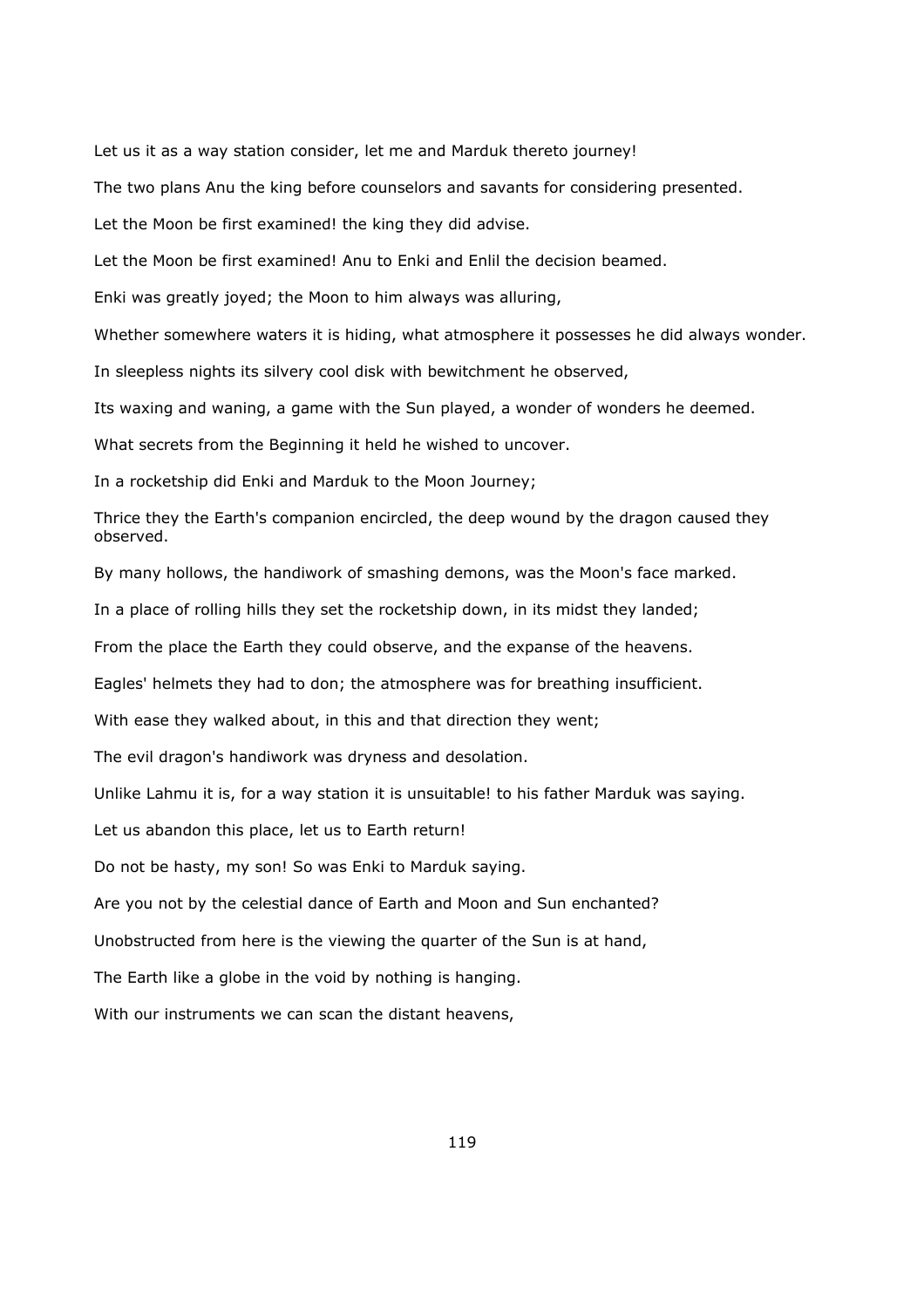Let us it as a way station consider, let me and Marduk thereto journey!

The two plans Anu the king before counselors and savants for considering presented.

Let the Moon be first examined! the king they did advise.

Let the Moon be first examined! Anu to Enki and Enlil the decision beamed.

Enki was greatly joyed; the Moon to him always was alluring,

Whether somewhere waters it is hiding, what atmosphere it possesses he did always wonder.

In sleepless nights its silvery cool disk with bewitchment he observed,

Its waxing and waning, a game with the Sun played, a wonder of wonders he deemed.

What secrets from the Beginning it held he wished to uncover.

In a rocketship did Enki and Marduk to the Moon Journey;

Thrice they the Earth's companion encircled, the deep wound by the dragon caused they observed.

By many hollows, the handiwork of smashing demons, was the Moon's face marked.

In a place of rolling hills they set the rocketship down, in its midst they landed;

From the place the Earth they could observe, and the expanse of the heavens.

Eagles' helmets they had to don; the atmosphere was for breathing insufficient.

With ease they walked about, in this and that direction they went;

The evil dragon's handiwork was dryness and desolation.

Unlike Lahmu it is, for a way station it is unsuitable! to his father Marduk was saying.

Let us abandon this place, let us to Earth return!

Do not be hasty, my son! So was Enki to Marduk saying.

Are you not by the celestial dance of Earth and Moon and Sun enchanted?

Unobstructed from here is the viewing the quarter of the Sun is at hand,

The Earth like a globe in the void by nothing is hanging.

With our instruments we can scan the distant heavens,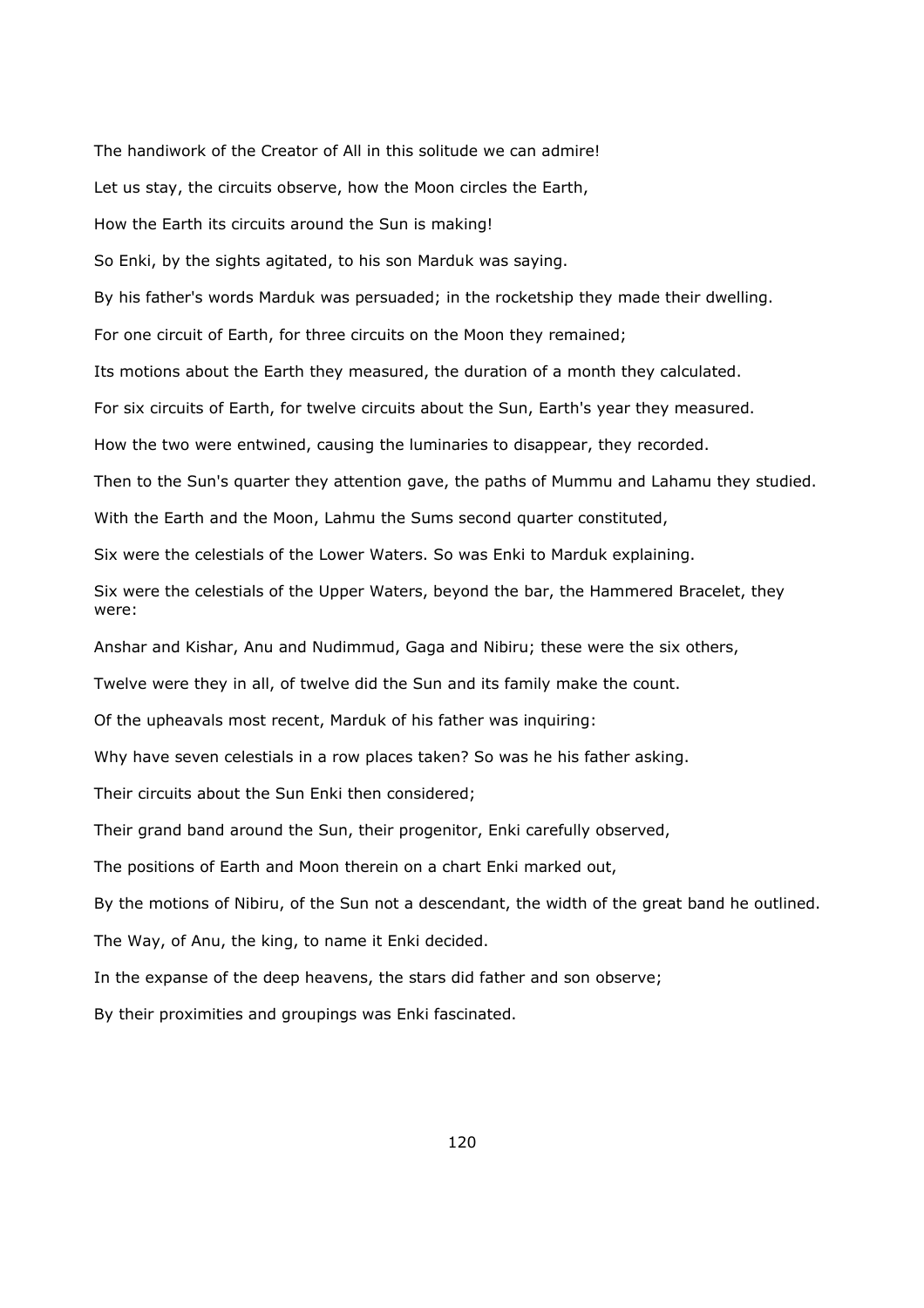The handiwork of the Creator of All in this solitude we can admire!

Let us stay, the circuits observe, how the Moon circles the Earth,

How the Earth its circuits around the Sun is making!

So Enki, by the sights agitated, to his son Marduk was saying.

By his father's words Marduk was persuaded; in the rocketship they made their dwelling.

For one circuit of Earth, for three circuits on the Moon they remained;

Its motions about the Earth they measured, the duration of a month they calculated.

For six circuits of Earth, for twelve circuits about the Sun, Earth's year they measured.

How the two were entwined, causing the luminaries to disappear, they recorded.

Then to the Sun's quarter they attention gave, the paths of Mummu and Lahamu they studied.

With the Earth and the Moon, Lahmu the Sums second quarter constituted,

Six were the celestials of the Lower Waters. So was Enki to Marduk explaining.

Six were the celestials of the Upper Waters, beyond the bar, the Hammered Bracelet, they were:

Anshar and Kishar, Anu and Nudimmud, Gaga and Nibiru; these were the six others,

Twelve were they in all, of twelve did the Sun and its family make the count.

Of the upheavals most recent, Marduk of his father was inquiring:

Why have seven celestials in a row places taken? So was he his father asking.

Their circuits about the Sun Enki then considered;

Their grand band around the Sun, their progenitor, Enki carefully observed,

The positions of Earth and Moon therein on a chart Enki marked out,

By the motions of Nibiru, of the Sun not a descendant, the width of the great band he outlined.

The Way, of Anu, the king, to name it Enki decided.

In the expanse of the deep heavens, the stars did father and son observe;

By their proximities and groupings was Enki fascinated.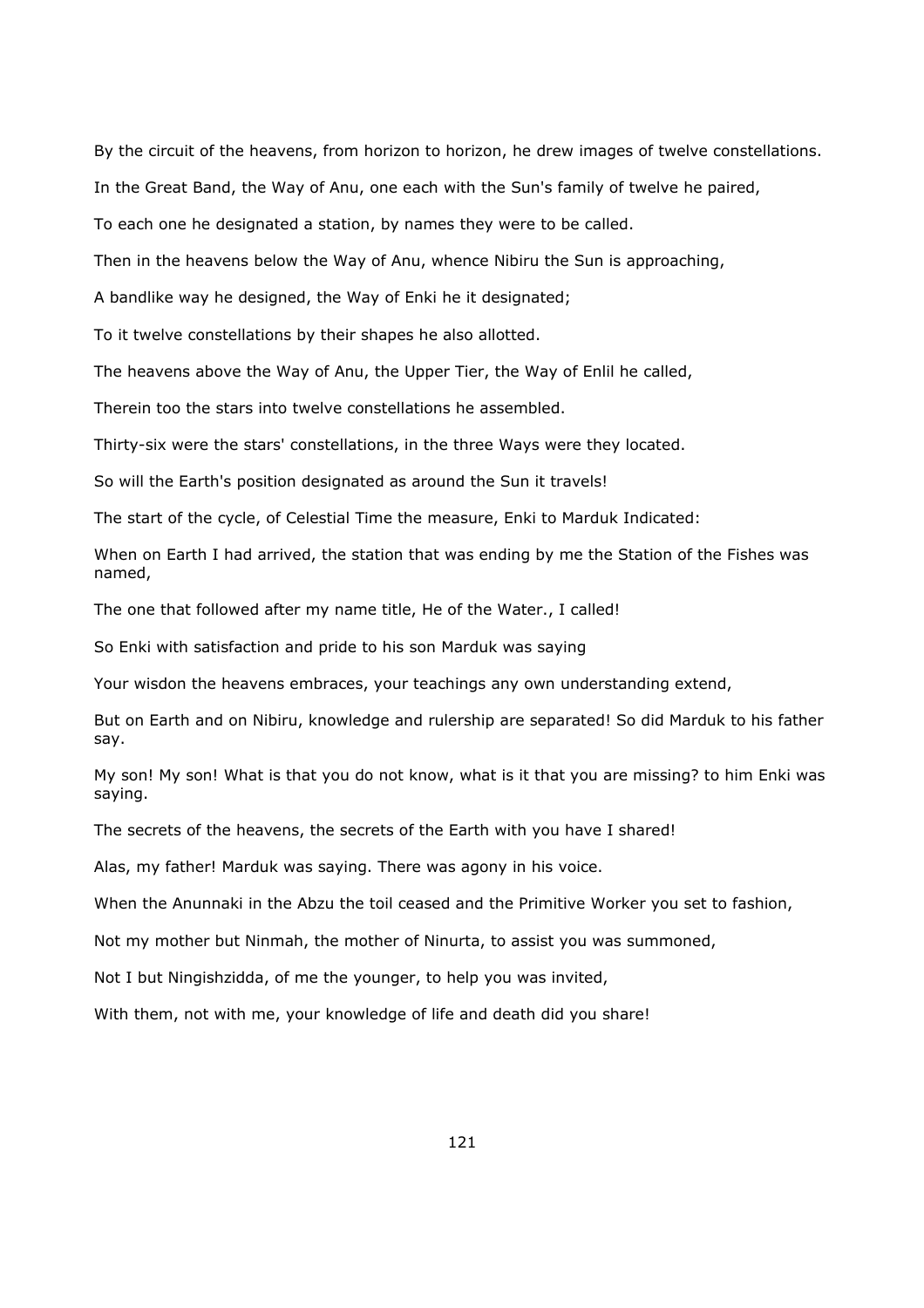By the circuit of the heavens, from horizon to horizon, he drew images of twelve constellations.

In the Great Band, the Way of Anu, one each with the Sun's family of twelve he paired,

To each one he designated a station, by names they were to be called.

Then in the heavens below the Way of Anu, whence Nibiru the Sun is approaching,

A bandlike way he designed, the Way of Enki he it designated;

To it twelve constellations by their shapes he also allotted.

The heavens above the Way of Anu, the Upper Tier, the Way of Enlil he called,

Therein too the stars into twelve constellations he assembled.

Thirty-six were the stars' constellations, in the three Ways were they located.

So will the Earth's position designated as around the Sun it travels!

The start of the cycle, of Celestial Time the measure, Enki to Marduk Indicated:

When on Earth I had arrived, the station that was ending by me the Station of the Fishes was named,

The one that followed after my name title, He of the Water., I called!

So Enki with satisfaction and pride to his son Marduk was saying

Your wisdon the heavens embraces, your teachings any own understanding extend,

But on Earth and on Nibiru, knowledge and rulership are separated! So did Marduk to his father say.

My son! My son! What is that you do not know, what is it that you are missing? to him Enki was saying.

The secrets of the heavens, the secrets of the Earth with you have I shared!

Alas, my father! Marduk was saying. There was agony in his voice.

When the Anunnaki in the Abzu the toil ceased and the Primitive Worker you set to fashion,

Not my mother but Ninmah, the mother of Ninurta, to assist you was summoned,

Not I but Ningishzidda, of me the younger, to help you was invited,

With them, not with me, your knowledge of life and death did you share!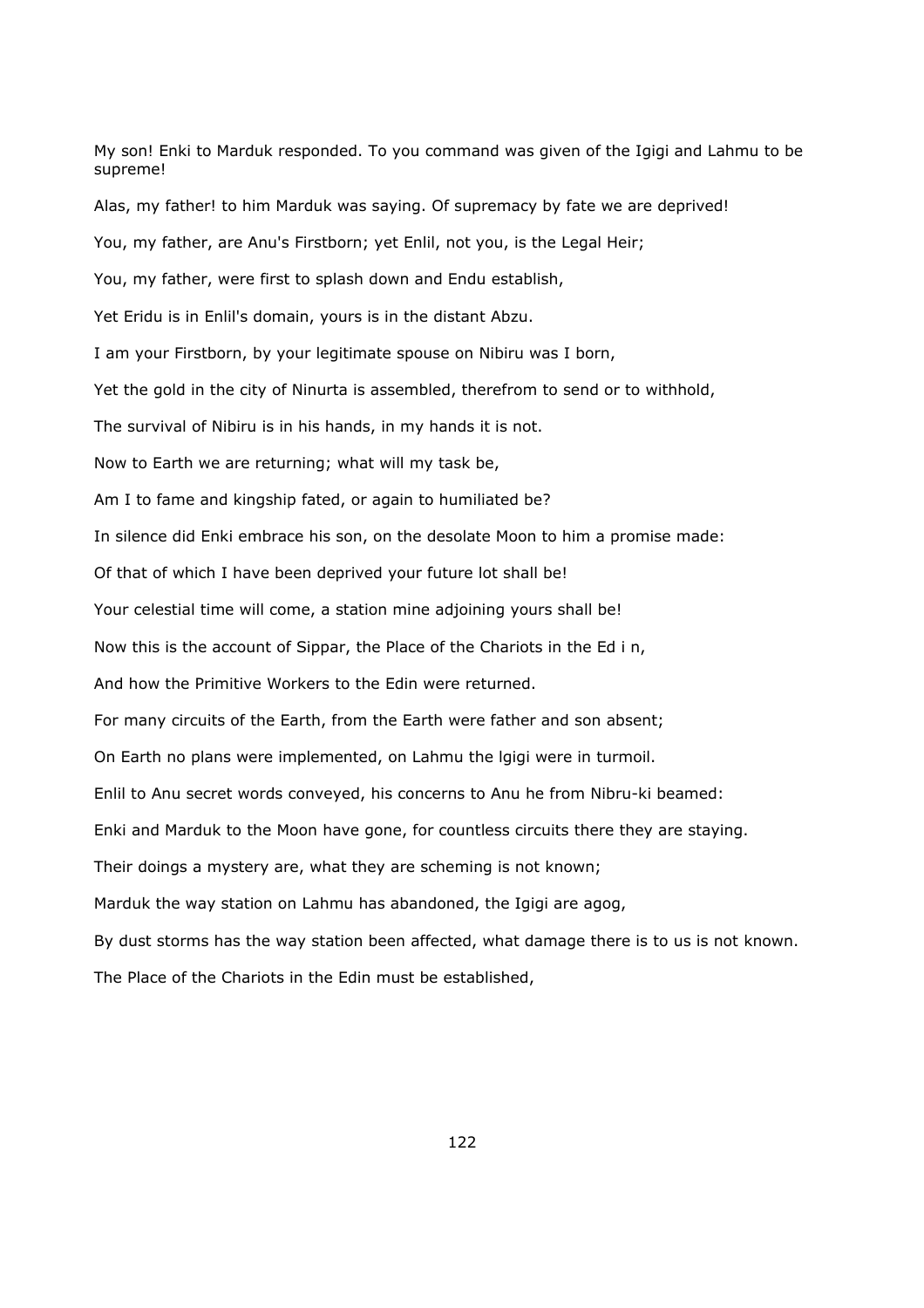My son! Enki to Marduk responded. To you command was given of the Igigi and Lahmu to be supreme!

Alas, my father! to him Marduk was saying. Of supremacy by fate we are deprived! You, my father, are Anu's Firstborn; yet Enlil, not you, is the Legal Heir; You, my father, were first to splash down and Endu establish, Yet Eridu is in Enlil's domain, yours is in the distant Abzu. I am your Firstborn, by your legitimate spouse on Nibiru was I born, Yet the gold in the city of Ninurta is assembled, therefrom to send or to withhold, The survival of Nibiru is in his hands, in my hands it is not. Now to Earth we are returning; what will my task be, Am I to fame and kingship fated, or again to humiliated be? In silence did Enki embrace his son, on the desolate Moon to him a promise made: Of that of which I have been deprived your future lot shall be! Your celestial time will come, a station mine adjoining yours shall be! Now this is the account of Sippar, the Place of the Chariots in the Ed i n, And how the Primitive Workers to the Edin were returned. For many circuits of the Earth, from the Earth were father and son absent; On Earth no plans were implemented, on Lahmu the lgigi were in turmoil. Enlil to Anu secret words conveyed, his concerns to Anu he from Nibru-ki beamed: Enki and Marduk to the Moon have gone, for countless circuits there they are staying. Their doings a mystery are, what they are scheming is not known; Marduk the way station on Lahmu has abandoned, the Igigi are agog, By dust storms has the way station been affected, what damage there is to us is not known. The Place of the Chariots in the Edin must be established,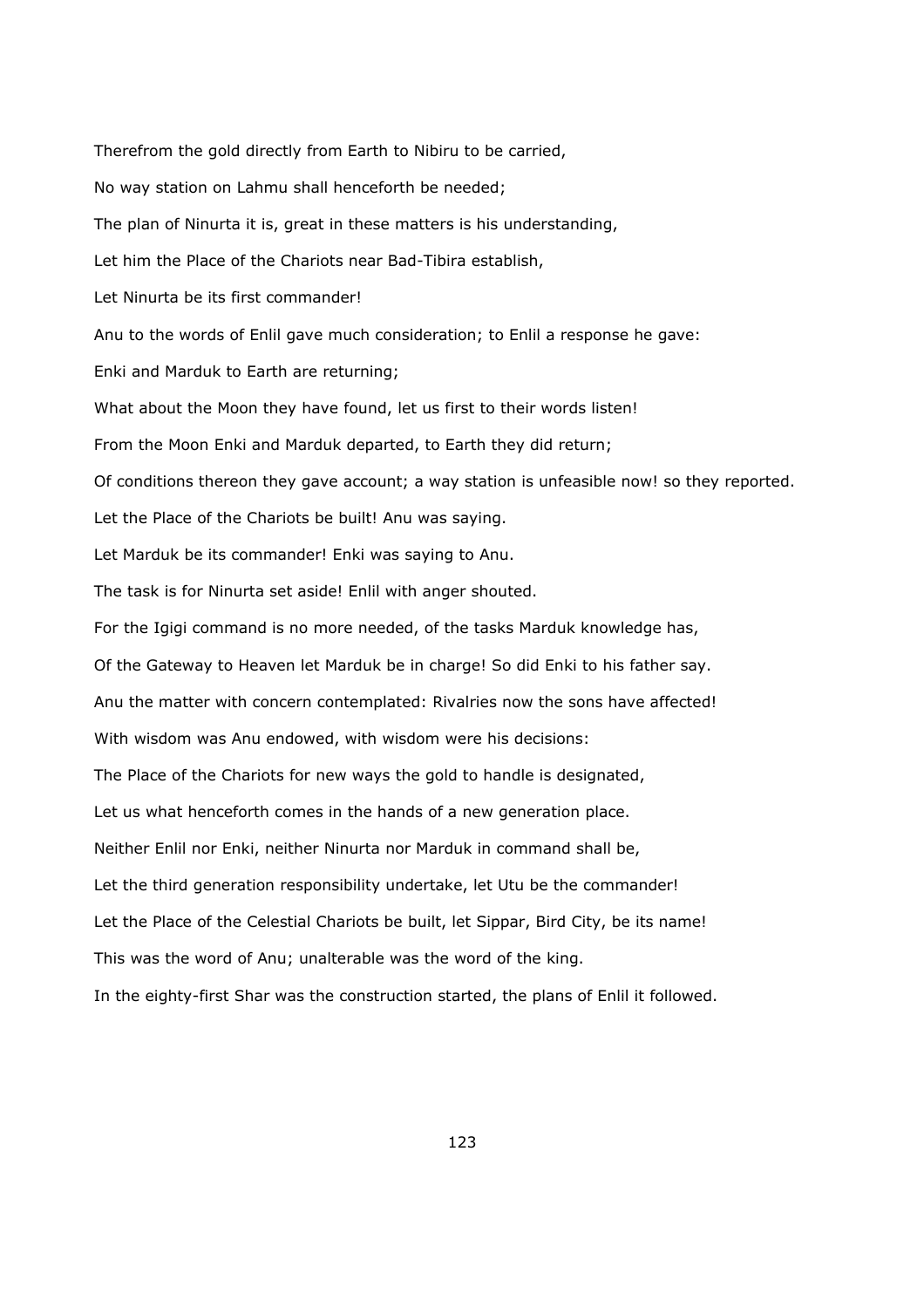Therefrom the gold directly from Earth to Nibiru to be carried, No way station on Lahmu shall henceforth be needed; The plan of Ninurta it is, great in these matters is his understanding, Let him the Place of the Chariots near Bad-Tibira establish, Let Ninurta be its first commander! Anu to the words of Enlil gave much consideration; to Enlil a response he gave: Enki and Marduk to Earth are returning; What about the Moon they have found, let us first to their words listen! From the Moon Enki and Marduk departed, to Earth they did return; Of conditions thereon they gave account; a way station is unfeasible now! so they reported. Let the Place of the Chariots be built! Anu was saying. Let Marduk be its commander! Enki was saying to Anu. The task is for Ninurta set aside! Enlil with anger shouted. For the Igigi command is no more needed, of the tasks Marduk knowledge has, Of the Gateway to Heaven let Marduk be in charge! So did Enki to his father say. Anu the matter with concern contemplated: Rivalries now the sons have affected! With wisdom was Anu endowed, with wisdom were his decisions: The Place of the Chariots for new ways the gold to handle is designated, Let us what henceforth comes in the hands of a new generation place. Neither Enlil nor Enki, neither Ninurta nor Marduk in command shall be, Let the third generation responsibility undertake, let Utu be the commander! Let the Place of the Celestial Chariots be built, let Sippar, Bird City, be its name! This was the word of Anu; unalterable was the word of the king. In the eighty-first Shar was the construction started, the plans of Enlil it followed.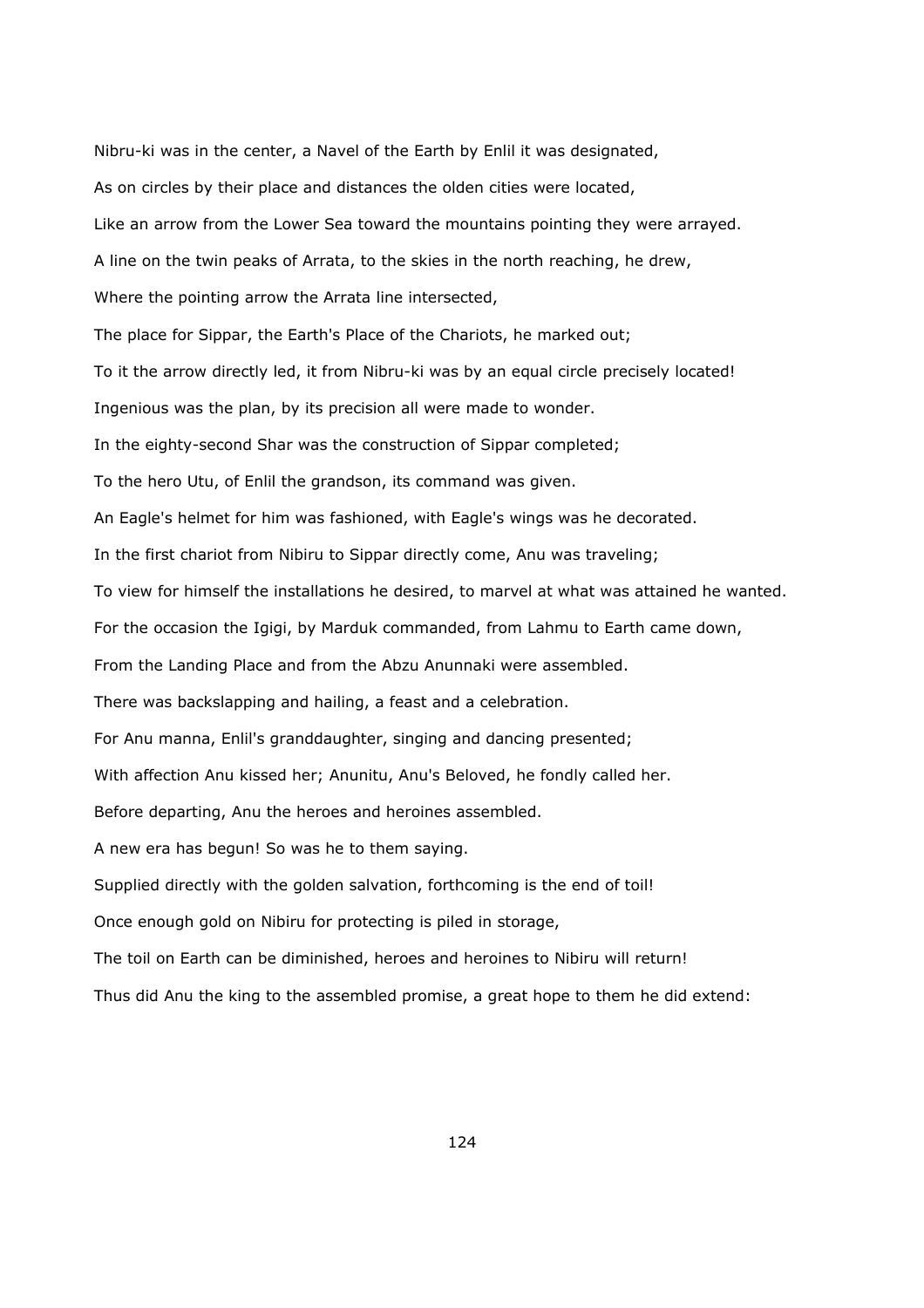Nibru-ki was in the center, a Navel of the Earth by Enlil it was designated, As on circles by their place and distances the olden cities were located, Like an arrow from the Lower Sea toward the mountains pointing they were arrayed. A line on the twin peaks of Arrata, to the skies in the north reaching, he drew, Where the pointing arrow the Arrata line intersected, The place for Sippar, the Earth's Place of the Chariots, he marked out; To it the arrow directly led, it from Nibru-ki was by an equal circle precisely located! Ingenious was the plan, by its precision all were made to wonder. In the eighty-second Shar was the construction of Sippar completed; To the hero Utu, of Enlil the grandson, its command was given. An Eagle's helmet for him was fashioned, with Eagle's wings was he decorated. In the first chariot from Nibiru to Sippar directly come, Anu was traveling; To view for himself the installations he desired, to marvel at what was attained he wanted. For the occasion the Igigi, by Marduk commanded, from Lahmu to Earth came down, From the Landing Place and from the Abzu Anunnaki were assembled. There was backslapping and hailing, a feast and a celebration. For Anu manna, Enlil's granddaughter, singing and dancing presented; With affection Anu kissed her; Anunitu, Anu's Beloved, he fondly called her. Before departing, Anu the heroes and heroines assembled. A new era has begun! So was he to them saying. Supplied directly with the golden salvation, forthcoming is the end of toil! Once enough gold on Nibiru for protecting is piled in storage, The toil on Earth can be diminished, heroes and heroines to Nibiru will return! Thus did Anu the king to the assembled promise, a great hope to them he did extend: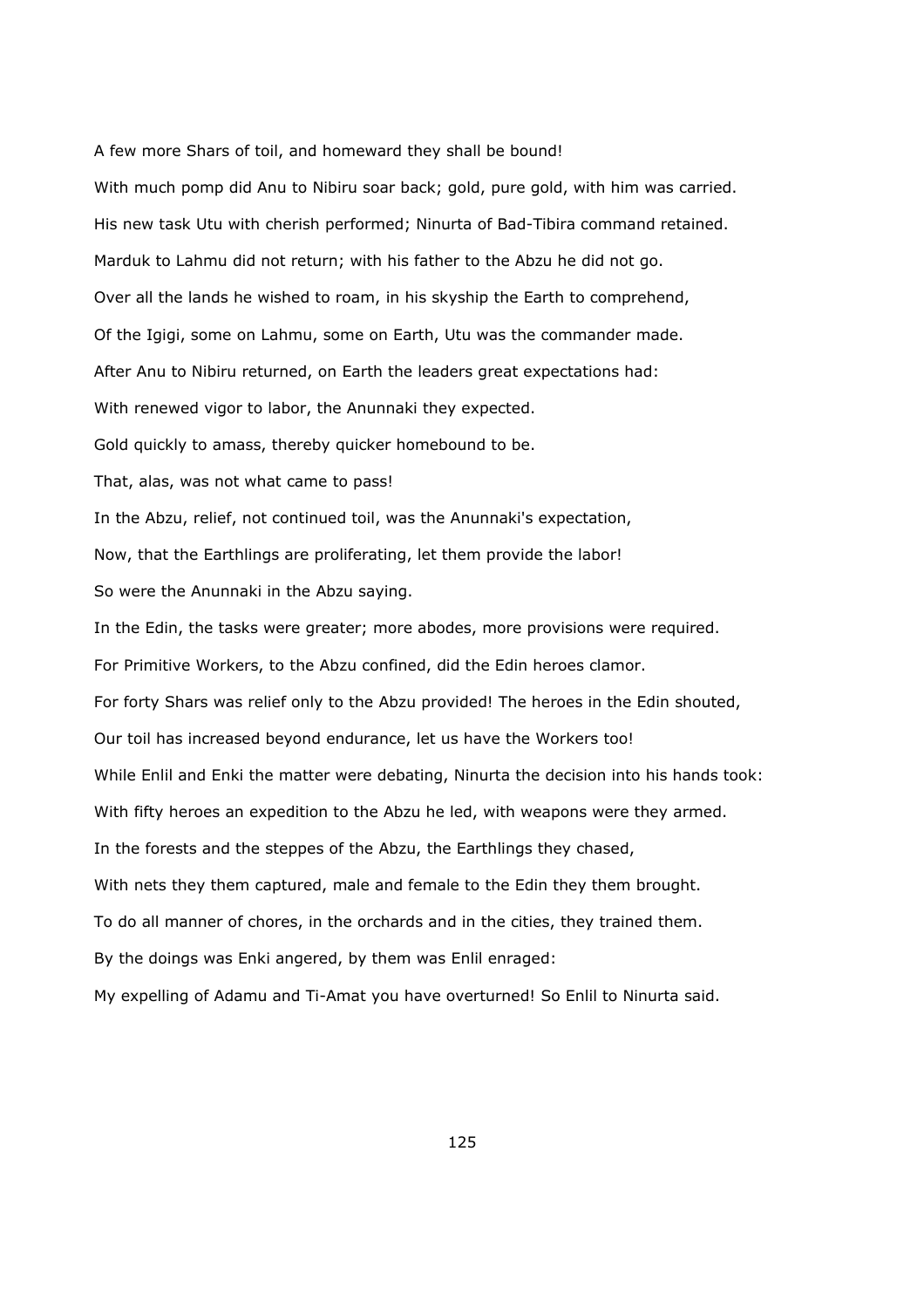A few more Shars of toil, and homeward they shall be bound! With much pomp did Anu to Nibiru soar back; gold, pure gold, with him was carried. His new task Utu with cherish performed; Ninurta of Bad-Tibira command retained. Marduk to Lahmu did not return; with his father to the Abzu he did not go. Over all the lands he wished to roam, in his skyship the Earth to comprehend, Of the Igigi, some on Lahmu, some on Earth, Utu was the commander made. After Anu to Nibiru returned, on Earth the leaders great expectations had: With renewed vigor to labor, the Anunnaki they expected. Gold quickly to amass, thereby quicker homebound to be. That, alas, was not what came to pass! In the Abzu, relief, not continued toil, was the Anunnaki's expectation, Now, that the Earthlings are proliferating, let them provide the labor! So were the Anunnaki in the Abzu saying. In the Edin, the tasks were greater; more abodes, more provisions were required. For Primitive Workers, to the Abzu confined, did the Edin heroes clamor. For forty Shars was relief only to the Abzu provided! The heroes in the Edin shouted, Our toil has increased beyond endurance, let us have the Workers too! While Enlil and Enki the matter were debating, Ninurta the decision into his hands took: With fifty heroes an expedition to the Abzu he led, with weapons were they armed. In the forests and the steppes of the Abzu, the Earthlings they chased, With nets they them captured, male and female to the Edin they them brought. To do all manner of chores, in the orchards and in the cities, they trained them. By the doings was Enki angered, by them was Enlil enraged: My expelling of Adamu and Ti-Amat you have overturned! So Enlil to Ninurta said.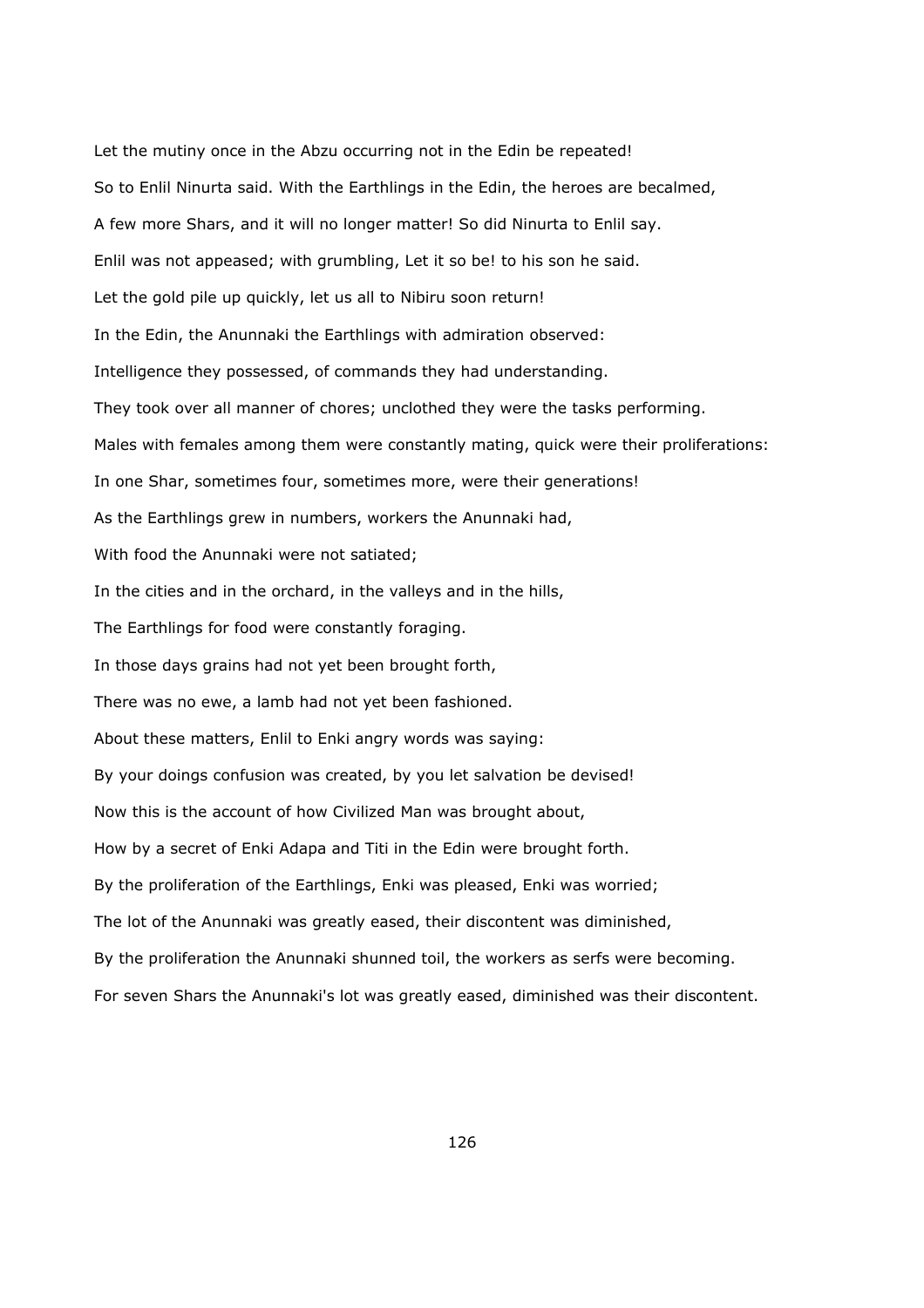Let the mutiny once in the Abzu occurring not in the Edin be repeated! So to Enlil Ninurta said. With the Earthlings in the Edin, the heroes are becalmed, A few more Shars, and it will no longer matter! So did Ninurta to Enlil say. Enlil was not appeased; with grumbling, Let it so be! to his son he said. Let the gold pile up quickly, let us all to Nibiru soon return! In the Edin, the Anunnaki the Earthlings with admiration observed: Intelligence they possessed, of commands they had understanding. They took over all manner of chores; unclothed they were the tasks performing. Males with females among them were constantly mating, quick were their proliferations: In one Shar, sometimes four, sometimes more, were their generations! As the Earthlings grew in numbers, workers the Anunnaki had, With food the Anunnaki were not satiated; In the cities and in the orchard, in the valleys and in the hills, The Earthlings for food were constantly foraging. In those days grains had not yet been brought forth, There was no ewe, a lamb had not yet been fashioned. About these matters, Enlil to Enki angry words was saying: By your doings confusion was created, by you let salvation be devised! Now this is the account of how Civilized Man was brought about, How by a secret of Enki Adapa and Titi in the Edin were brought forth. By the proliferation of the Earthlings, Enki was pleased, Enki was worried; The lot of the Anunnaki was greatly eased, their discontent was diminished, By the proliferation the Anunnaki shunned toil, the workers as serfs were becoming. For seven Shars the Anunnaki's lot was greatly eased, diminished was their discontent.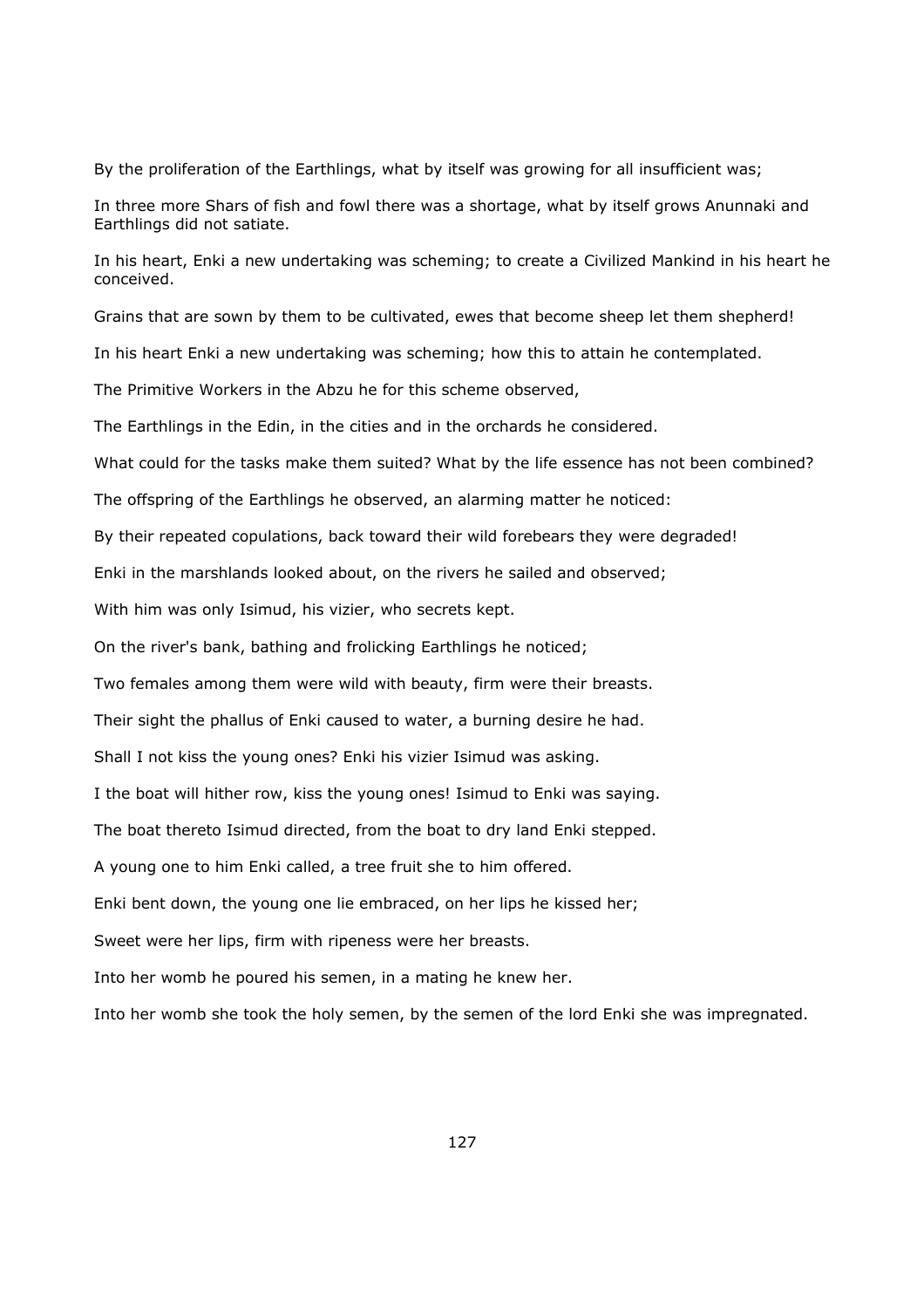By the proliferation of the Earthlings, what by itself was growing for all insufficient was;

In three more Shars of fish and fowl there was a shortage, what by itself grows Anunnaki and Earthlings did not satiate.

In his heart, Enki a new undertaking was scheming; to create a Civilized Mankind in his heart he conceived.

Grains that are sown by them to be cultivated, ewes that become sheep let them shepherd!

In his heart Enki a new undertaking was scheming; how this to attain he contemplated.

The Primitive Workers in the Abzu he for this scheme observed,

The Earthlings in the Edin, in the cities and in the orchards he considered.

What could for the tasks make them suited? What by the life essence has not been combined?

The offspring of the Earthlings he observed, an alarming matter he noticed:

By their repeated copulations, back toward their wild forebears they were degraded!

Enki in the marshlands looked about, on the rivers he sailed and observed;

With him was only Isimud, his vizier, who secrets kept.

On the river's bank, bathing and frolicking Earthlings he noticed;

Two females among them were wild with beauty, firm were their breasts.

Their sight the phallus of Enki caused to water, a burning desire he had.

Shall I not kiss the young ones? Enki his vizier Isimud was asking.

I the boat will hither row, kiss the young ones! Isimud to Enki was saying.

The boat thereto Isimud directed, from the boat to dry land Enki stepped.

A young one to him Enki called, a tree fruit she to him offered.

Enki bent down, the young one lie embraced, on her lips he kissed her;

Sweet were her lips, firm with ripeness were her breasts.

Into her womb he poured his semen, in a mating he knew her.

Into her womb she took the holy semen, by the semen of the lord Enki she was impregnated.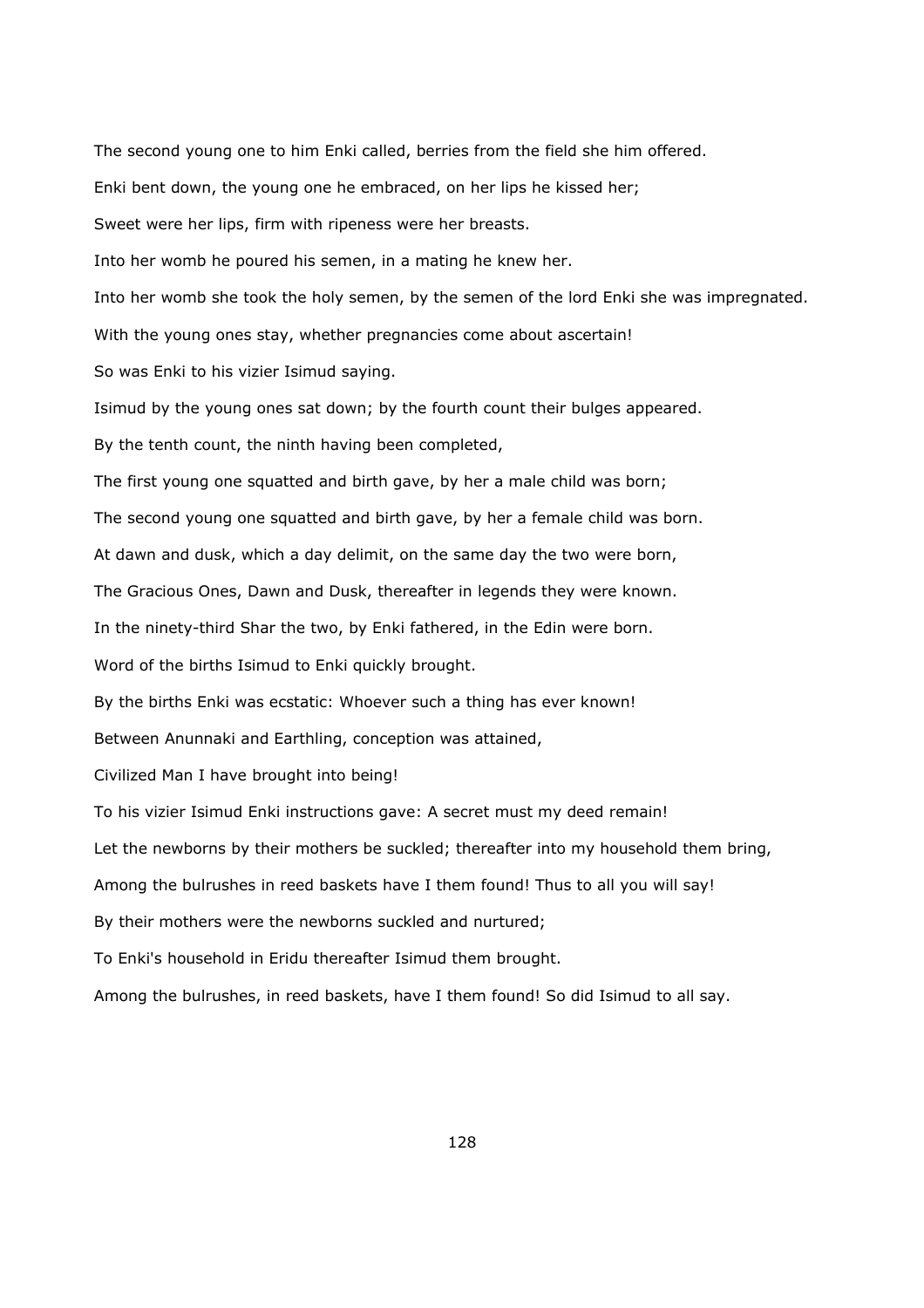The second young one to him Enki called, berries from the field she him offered. Enki bent down, the young one he embraced, on her lips he kissed her; Sweet were her lips, firm with ripeness were her breasts. Into her womb he poured his semen, in a mating he knew her. Into her womb she took the holy semen, by the semen of the lord Enki she was impregnated. With the young ones stay, whether pregnancies come about ascertain! So was Enki to his vizier Isimud saying. Isimud by the young ones sat down; by the fourth count their bulges appeared. By the tenth count, the ninth having been completed, The first young one squatted and birth gave, by her a male child was born; The second young one squatted and birth gave, by her a female child was born. At dawn and dusk, which a day delimit, on the same day the two were born, The Gracious Ones, Dawn and Dusk, thereafter in legends they were known. In the ninety-third Shar the two, by Enki fathered, in the Edin were born. Word of the births Isimud to Enki quickly brought. By the births Enki was ecstatic: Whoever such a thing has ever known! Between Anunnaki and Earthling, conception was attained, Civilized Man I have brought into being! To his vizier Isimud Enki instructions gave: A secret must my deed remain! Let the newborns by their mothers be suckled; thereafter into my household them bring, Among the bulrushes in reed baskets have I them found! Thus to all you will say! By their mothers were the newborns suckled and nurtured; To Enki's household in Eridu thereafter Isimud them brought. Among the bulrushes, in reed baskets, have I them found! So did Isimud to all say.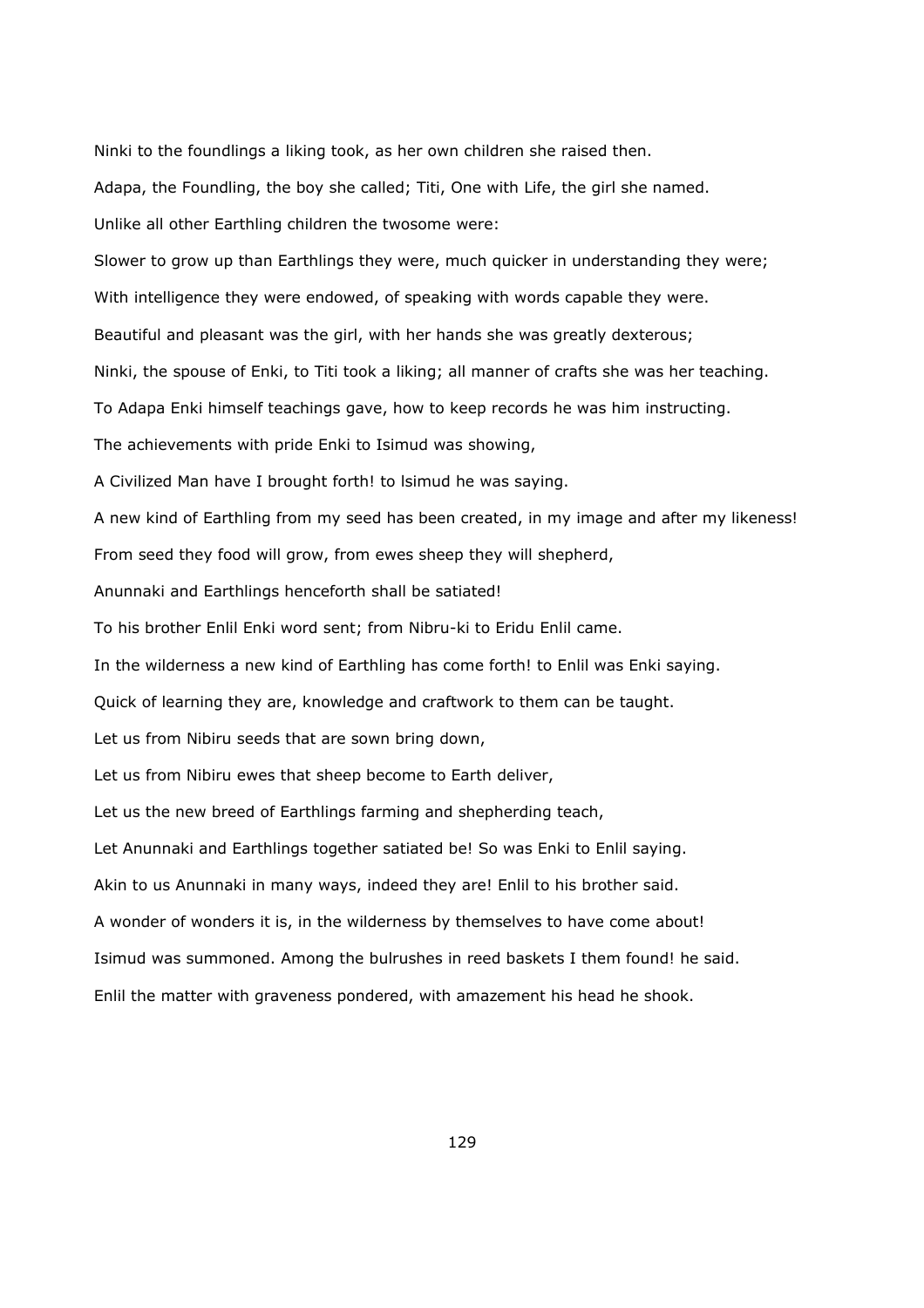Ninki to the foundlings a liking took, as her own children she raised then.

Adapa, the Foundling, the boy she called; Titi, One with Life, the girl she named.

Unlike all other Earthling children the twosome were:

Slower to grow up than Earthlings they were, much quicker in understanding they were;

With intelligence they were endowed, of speaking with words capable they were.

Beautiful and pleasant was the girl, with her hands she was greatly dexterous;

Ninki, the spouse of Enki, to Titi took a liking; all manner of crafts she was her teaching.

To Adapa Enki himself teachings gave, how to keep records he was him instructing.

The achievements with pride Enki to Isimud was showing,

A Civilized Man have I brought forth! to lsimud he was saying.

A new kind of Earthling from my seed has been created, in my image and after my likeness!

From seed they food will grow, from ewes sheep they will shepherd,

Anunnaki and Earthlings henceforth shall be satiated!

To his brother Enlil Enki word sent; from Nibru-ki to Eridu Enlil came.

In the wilderness a new kind of Earthling has come forth! to Enlil was Enki saying.

Quick of learning they are, knowledge and craftwork to them can be taught.

Let us from Nibiru seeds that are sown bring down,

Let us from Nibiru ewes that sheep become to Earth deliver,

Let us the new breed of Earthlings farming and shepherding teach,

Let Anunnaki and Earthlings together satiated be! So was Enki to Enlil saying.

Akin to us Anunnaki in many ways, indeed they are! Enlil to his brother said.

A wonder of wonders it is, in the wilderness by themselves to have come about!

Isimud was summoned. Among the bulrushes in reed baskets I them found! he said.

Enlil the matter with graveness pondered, with amazement his head he shook.

129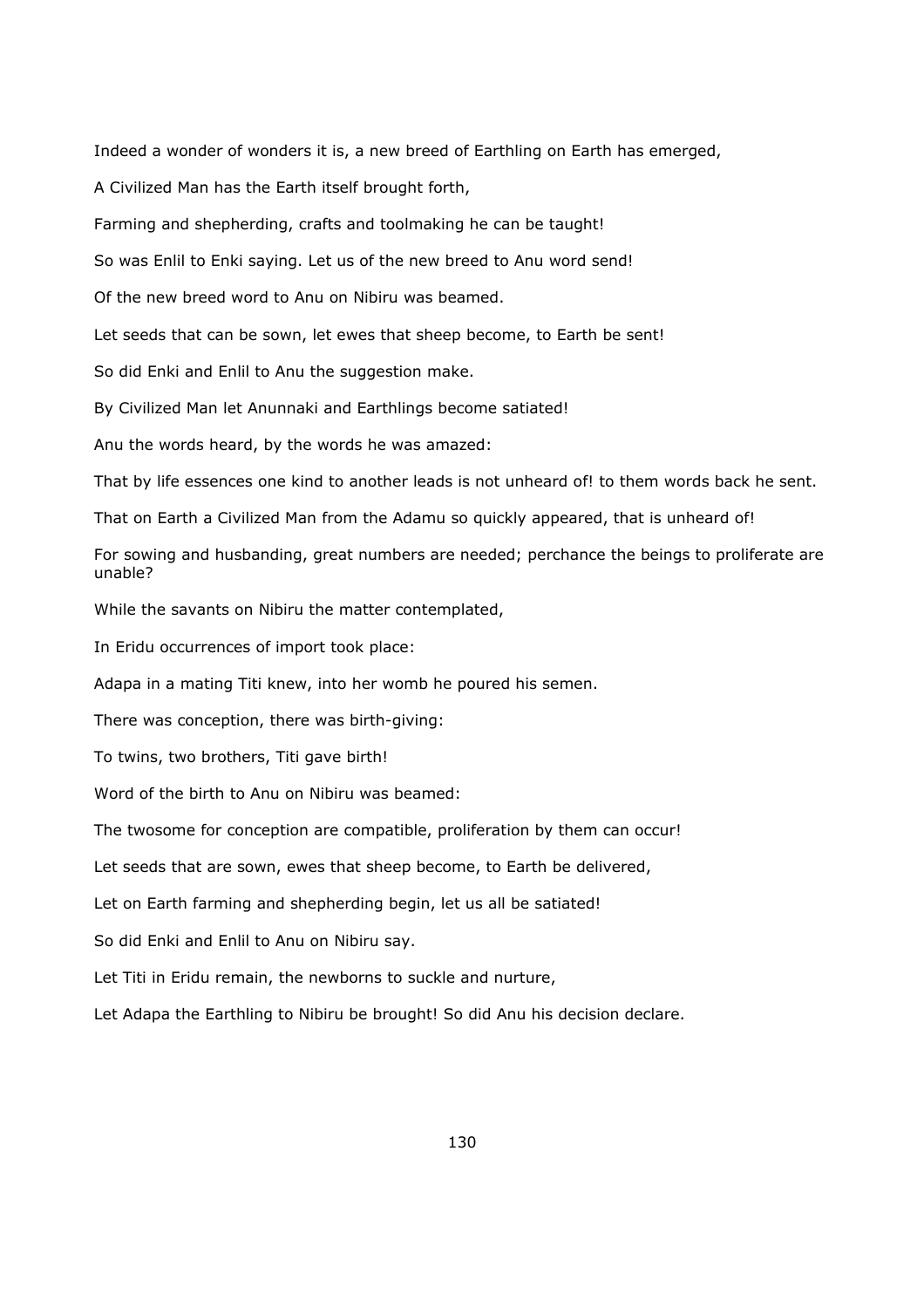Indeed a wonder of wonders it is, a new breed of Earthling on Earth has emerged,

A Civilized Man has the Earth itself brought forth,

Farming and shepherding, crafts and toolmaking he can be taught!

So was Enlil to Enki saying. Let us of the new breed to Anu word send!

Of the new breed word to Anu on Nibiru was beamed.

Let seeds that can be sown, let ewes that sheep become, to Earth be sent!

So did Enki and Enlil to Anu the suggestion make.

By Civilized Man let Anunnaki and Earthlings become satiated!

Anu the words heard, by the words he was amazed:

That by life essences one kind to another leads is not unheard of! to them words back he sent.

That on Earth a Civilized Man from the Adamu so quickly appeared, that is unheard of!

For sowing and husbanding, great numbers are needed; perchance the beings to proliferate are unable?

While the savants on Nibiru the matter contemplated,

In Eridu occurrences of import took place:

Adapa in a mating Titi knew, into her womb he poured his semen.

There was conception, there was birth-giving:

To twins, two brothers, Titi gave birth!

Word of the birth to Anu on Nibiru was beamed:

The twosome for conception are compatible, proliferation by them can occur!

Let seeds that are sown, ewes that sheep become, to Earth be delivered,

Let on Earth farming and shepherding begin, let us all be satiated!

So did Enki and Enlil to Anu on Nibiru say.

Let Titi in Eridu remain, the newborns to suckle and nurture,

Let Adapa the Earthling to Nibiru be brought! So did Anu his decision declare.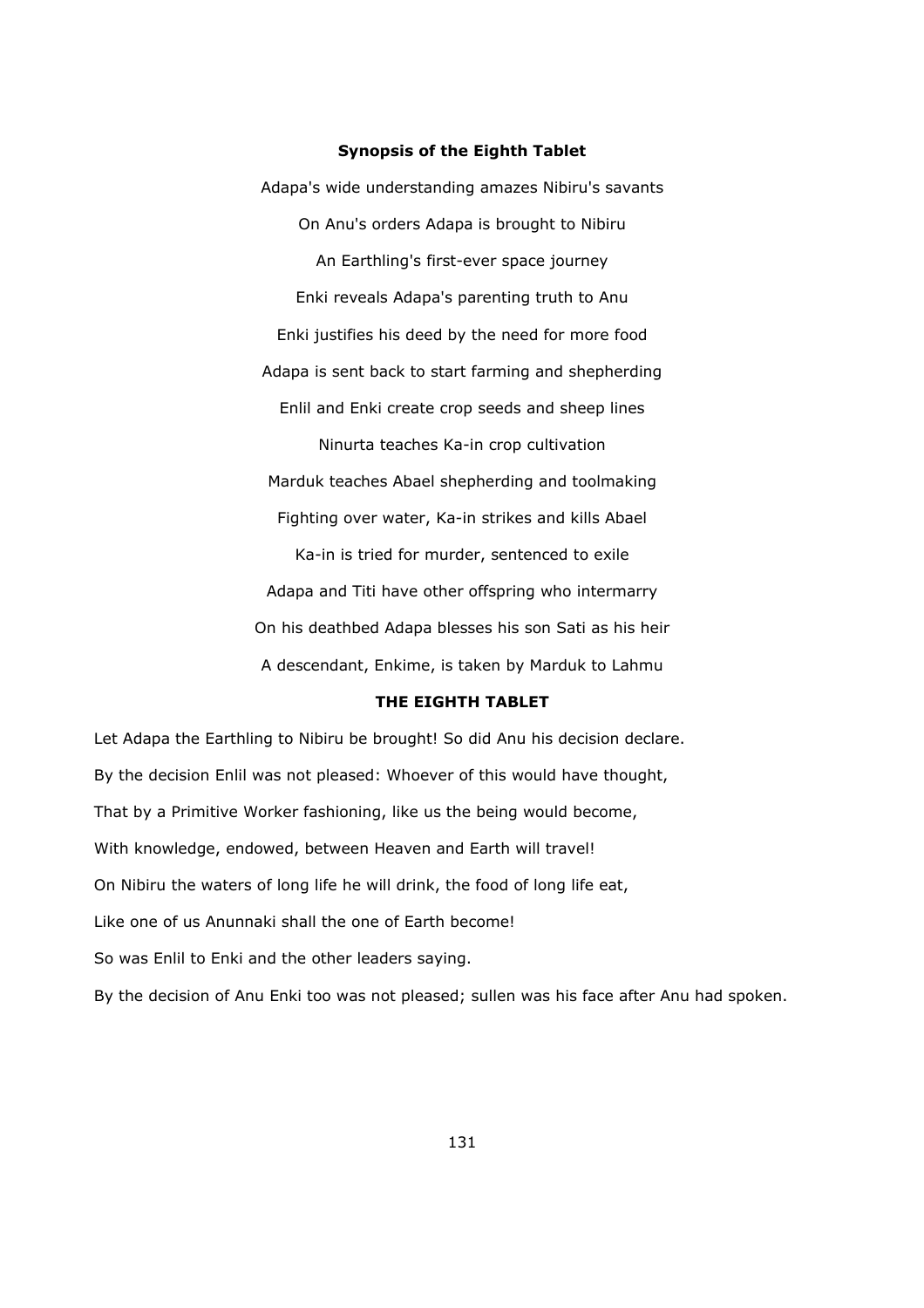## **Synopsis of the Eighth Tablet**

Adapa's wide understanding amazes Nibiru's savants On Anu's orders Adapa is brought to Nibiru An Earthling's first-ever space journey Enki reveals Adapa's parenting truth to Anu Enki justifies his deed by the need for more food Adapa is sent back to start farming and shepherding Enlil and Enki create crop seeds and sheep lines Ninurta teaches Ka-in crop cultivation Marduk teaches Abael shepherding and toolmaking Fighting over water, Ka-in strikes and kills Abael Ka-in is tried for murder, sentenced to exile Adapa and Titi have other offspring who intermarry On his deathbed Adapa blesses his son Sati as his heir A descendant, Enkime, is taken by Marduk to Lahmu

## **THE EIGHTH TABLET**

Let Adapa the Earthling to Nibiru be brought! So did Anu his decision declare. By the decision Enlil was not pleased: Whoever of this would have thought, That by a Primitive Worker fashioning, like us the being would become, With knowledge, endowed, between Heaven and Earth will travel! On Nibiru the waters of long life he will drink, the food of long life eat, Like one of us Anunnaki shall the one of Earth become! So was Enlil to Enki and the other leaders saying. By the decision of Anu Enki too was not pleased; sullen was his face after Anu had spoken.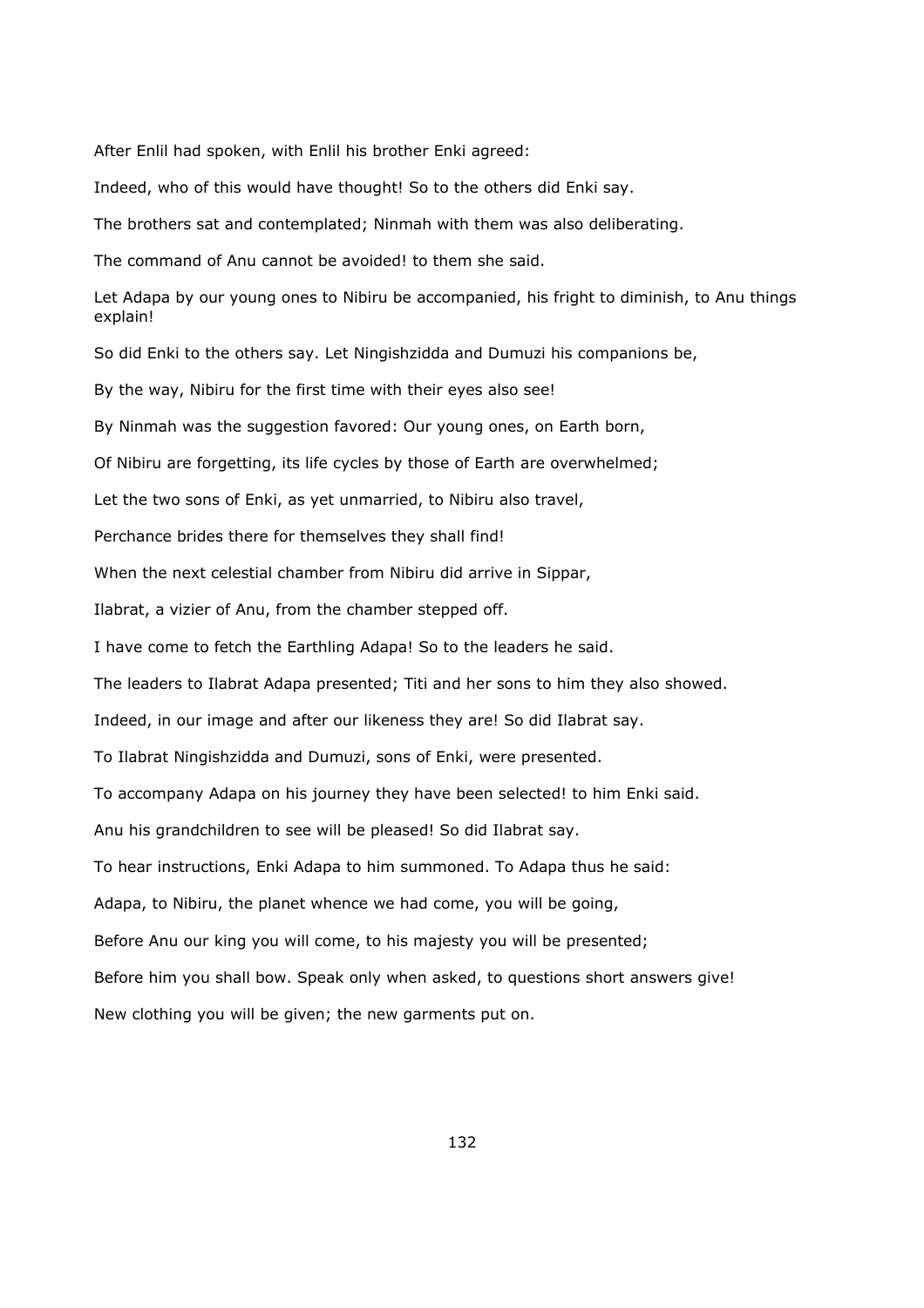After Enlil had spoken, with Enlil his brother Enki agreed:

Indeed, who of this would have thought! So to the others did Enki say.

The brothers sat and contemplated; Ninmah with them was also deliberating.

The command of Anu cannot be avoided! to them she said.

Let Adapa by our young ones to Nibiru be accompanied, his fright to diminish, to Anu things explain!

So did Enki to the others say. Let Ningishzidda and Dumuzi his companions be,

By the way, Nibiru for the first time with their eyes also see!

By Ninmah was the suggestion favored: Our young ones, on Earth born,

Of Nibiru are forgetting, its life cycles by those of Earth are overwhelmed;

Let the two sons of Enki, as yet unmarried, to Nibiru also travel,

Perchance brides there for themselves they shall find!

When the next celestial chamber from Nibiru did arrive in Sippar,

Ilabrat, a vizier of Anu, from the chamber stepped off.

I have come to fetch the Earthling Adapa! So to the leaders he said.

The leaders to Ilabrat Adapa presented; Titi and her sons to him they also showed.

Indeed, in our image and after our likeness they are! So did Ilabrat say.

To Ilabrat Ningishzidda and Dumuzi, sons of Enki, were presented.

To accompany Adapa on his journey they have been selected! to him Enki said.

Anu his grandchildren to see will be pleased! So did Ilabrat say.

To hear instructions, Enki Adapa to him summoned. To Adapa thus he said:

Adapa, to Nibiru, the planet whence we had come, you will be going,

Before Anu our king you will come, to his majesty you will be presented;

Before him you shall bow. Speak only when asked, to questions short answers give!

New clothing you will be given; the new garments put on.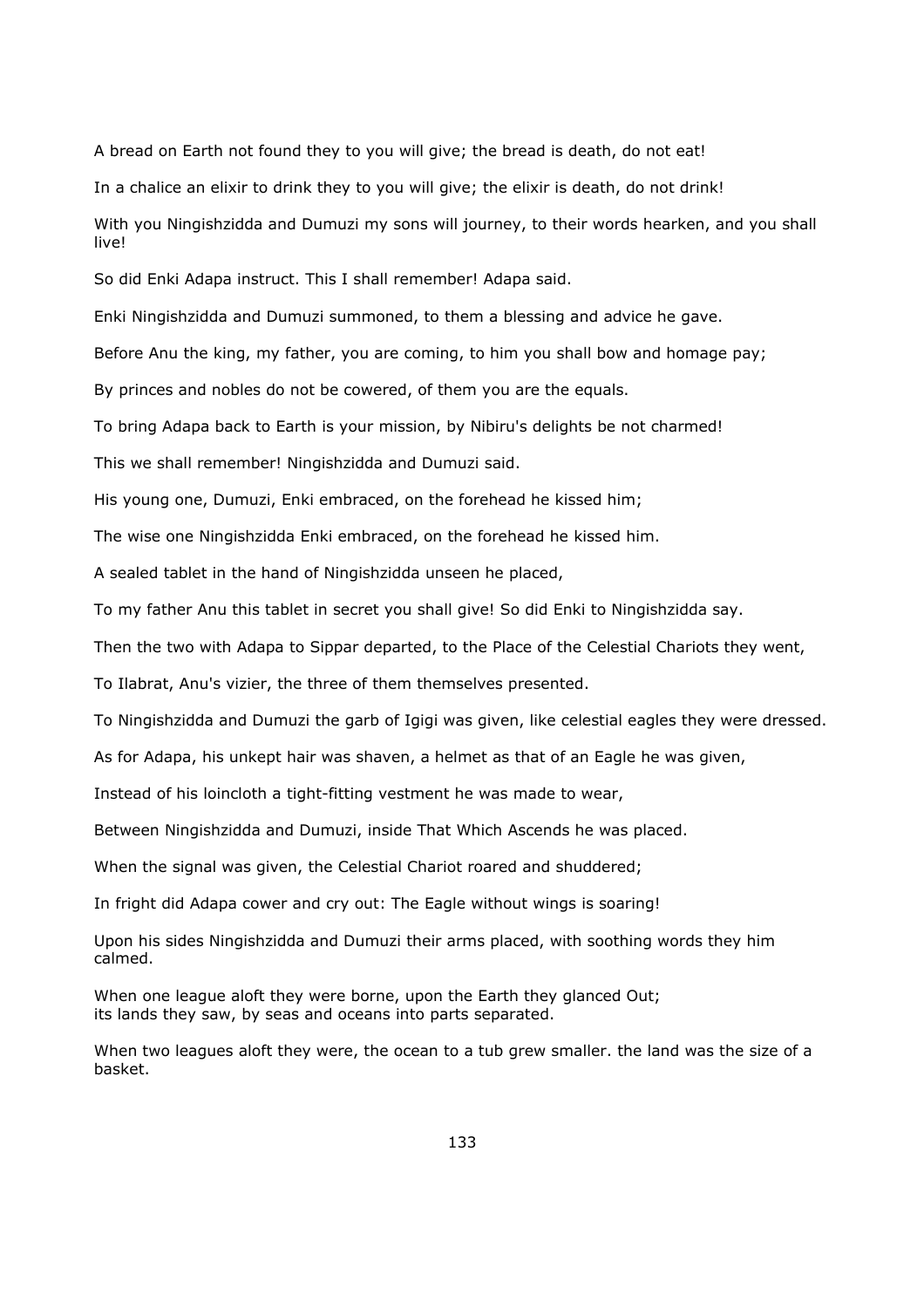A bread on Earth not found they to you will give; the bread is death, do not eat!

In a chalice an elixir to drink they to you will give; the elixir is death, do not drink!

With you Ningishzidda and Dumuzi my sons will journey, to their words hearken, and you shall live!

So did Enki Adapa instruct. This I shall remember! Adapa said.

Enki Ningishzidda and Dumuzi summoned, to them a blessing and advice he gave.

Before Anu the king, my father, you are coming, to him you shall bow and homage pay;

By princes and nobles do not be cowered, of them you are the equals.

To bring Adapa back to Earth is your mission, by Nibiru's delights be not charmed!

This we shall remember! Ningishzidda and Dumuzi said.

His young one, Dumuzi, Enki embraced, on the forehead he kissed him;

The wise one Ningishzidda Enki embraced, on the forehead he kissed him.

A sealed tablet in the hand of Ningishzidda unseen he placed,

To my father Anu this tablet in secret you shall give! So did Enki to Ningishzidda say.

Then the two with Adapa to Sippar departed, to the Place of the Celestial Chariots they went,

To Ilabrat, Anu's vizier, the three of them themselves presented.

To Ningishzidda and Dumuzi the garb of Igigi was given, like celestial eagles they were dressed.

As for Adapa, his unkept hair was shaven, a helmet as that of an Eagle he was given,

Instead of his loincloth a tight-fitting vestment he was made to wear,

Between Ningishzidda and Dumuzi, inside That Which Ascends he was placed.

When the signal was given, the Celestial Chariot roared and shuddered;

In fright did Adapa cower and cry out: The Eagle without wings is soaring!

Upon his sides Ningishzidda and Dumuzi their arms placed, with soothing words they him calmed.

When one league aloft they were borne, upon the Earth they glanced Out; its lands they saw, by seas and oceans into parts separated.

When two leagues aloft they were, the ocean to a tub grew smaller. the land was the size of a basket.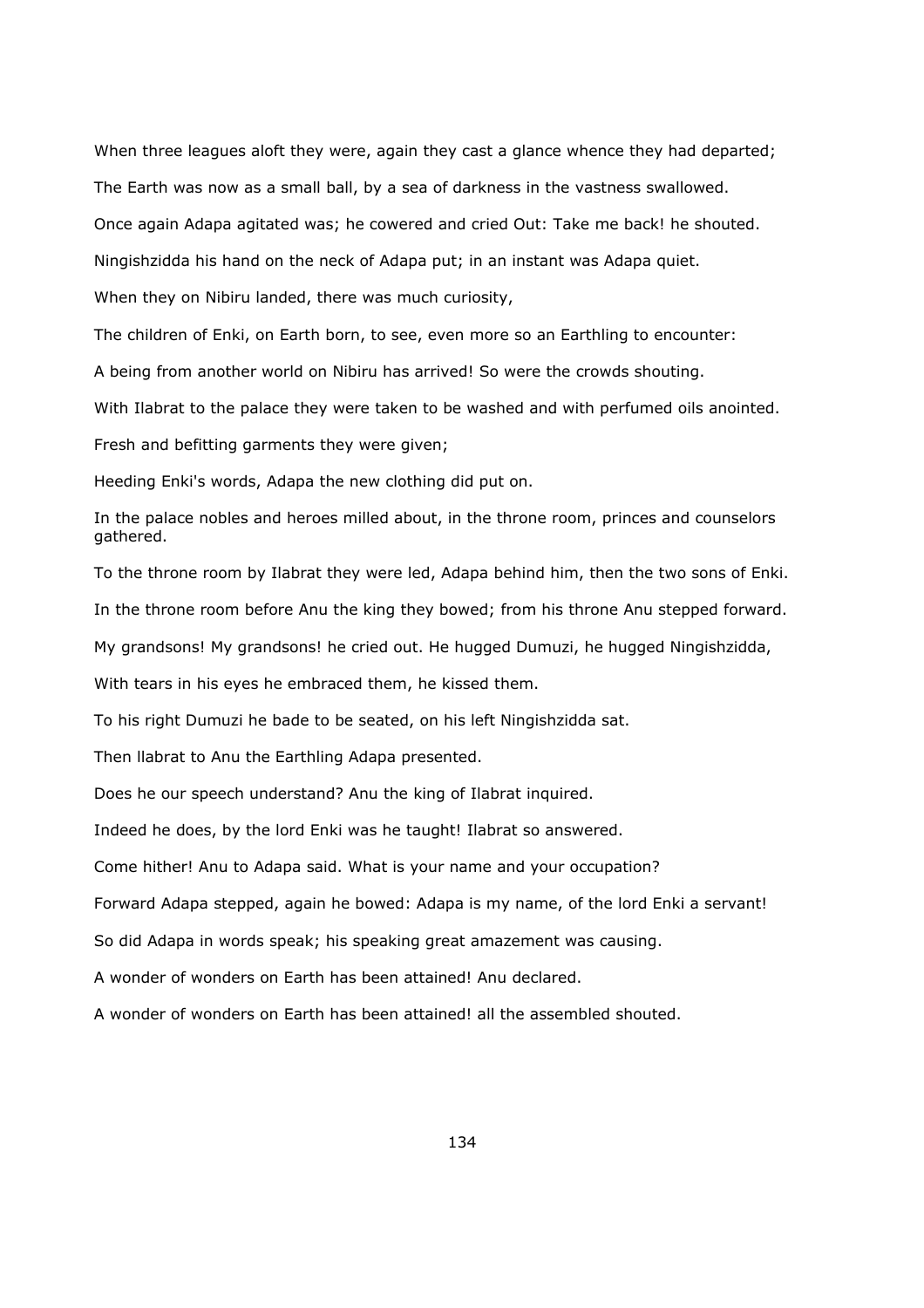When three leagues aloft they were, again they cast a glance whence they had departed; The Earth was now as a small ball, by a sea of darkness in the vastness swallowed. Once again Adapa agitated was; he cowered and cried Out: Take me back! he shouted. Ningishzidda his hand on the neck of Adapa put; in an instant was Adapa quiet. When they on Nibiru landed, there was much curiosity,

The children of Enki, on Earth born, to see, even more so an Earthling to encounter:

A being from another world on Nibiru has arrived! So were the crowds shouting.

With Ilabrat to the palace they were taken to be washed and with perfumed oils anointed.

Fresh and befitting garments they were given;

Heeding Enki's words, Adapa the new clothing did put on.

In the palace nobles and heroes milled about, in the throne room, princes and counselors gathered.

To the throne room by Ilabrat they were led, Adapa behind him, then the two sons of Enki.

In the throne room before Anu the king they bowed; from his throne Anu stepped forward.

My grandsons! My grandsons! he cried out. He hugged Dumuzi, he hugged Ningishzidda,

With tears in his eyes he embraced them, he kissed them.

To his right Dumuzi he bade to be seated, on his left Ningishzidda sat.

Then llabrat to Anu the Earthling Adapa presented.

Does he our speech understand? Anu the king of Ilabrat inquired.

Indeed he does, by the lord Enki was he taught! Ilabrat so answered.

Come hither! Anu to Adapa said. What is your name and your occupation?

Forward Adapa stepped, again he bowed: Adapa is my name, of the lord Enki a servant!

So did Adapa in words speak; his speaking great amazement was causing.

A wonder of wonders on Earth has been attained! Anu declared.

A wonder of wonders on Earth has been attained! all the assembled shouted.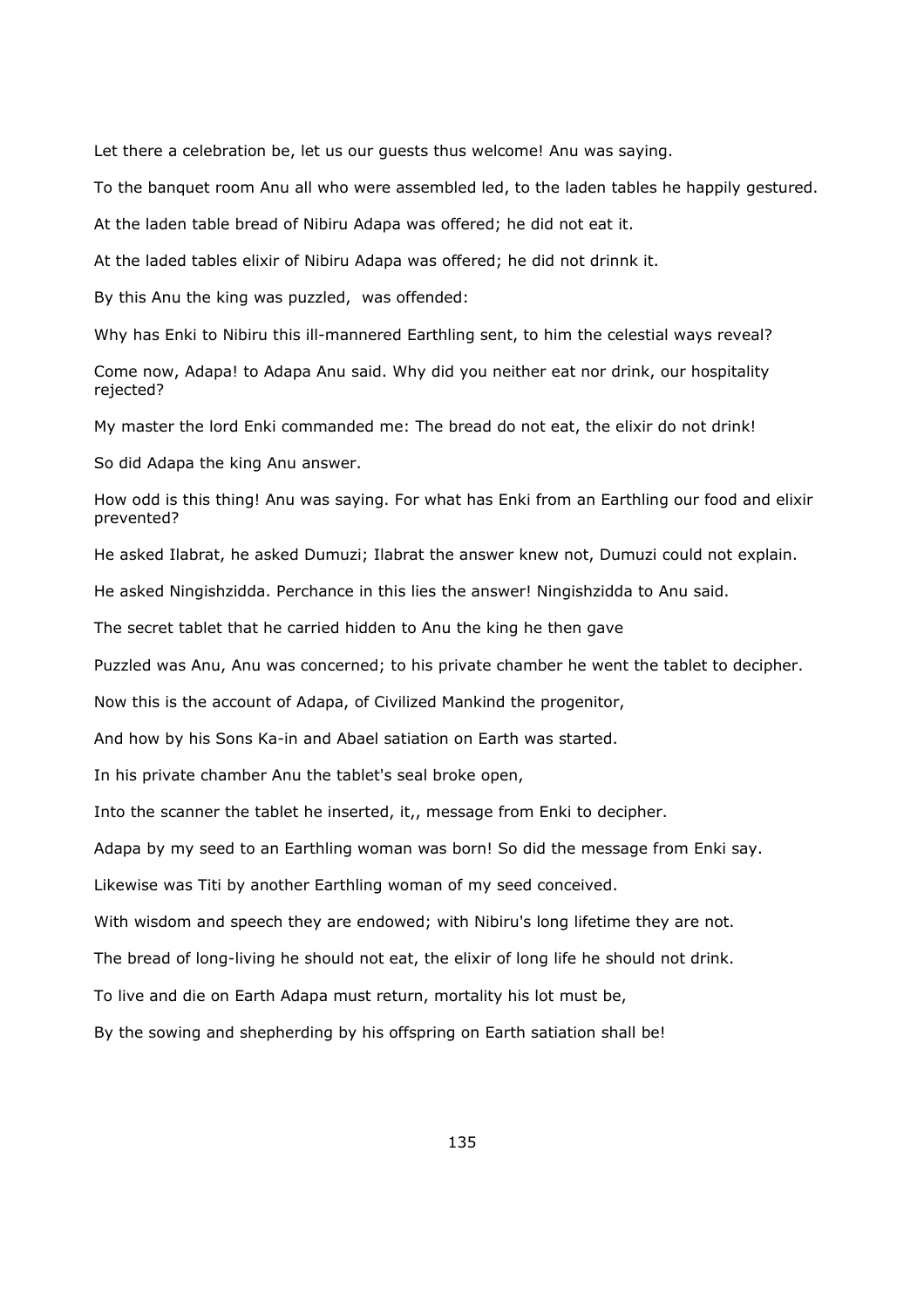Let there a celebration be, let us our guests thus welcome! Anu was saying.

To the banquet room Anu all who were assembled led, to the laden tables he happily gestured.

At the laden table bread of Nibiru Adapa was offered; he did not eat it.

At the laded tables elixir of Nibiru Adapa was offered; he did not drinnk it.

By this Anu the king was puzzled, was offended:

Why has Enki to Nibiru this ill-mannered Earthling sent, to him the celestial ways reveal?

Come now, Adapa! to Adapa Anu said. Why did you neither eat nor drink, our hospitality rejected?

My master the lord Enki commanded me: The bread do not eat, the elixir do not drink!

So did Adapa the king Anu answer.

How odd is this thing! Anu was saying. For what has Enki from an Earthling our food and elixir prevented?

He asked Ilabrat, he asked Dumuzi; Ilabrat the answer knew not, Dumuzi could not explain.

He asked Ningishzidda. Perchance in this lies the answer! Ningishzidda to Anu said.

The secret tablet that he carried hidden to Anu the king he then gave

Puzzled was Anu, Anu was concerned; to his private chamber he went the tablet to decipher.

Now this is the account of Adapa, of Civilized Mankind the progenitor,

And how by his Sons Ka-in and Abael satiation on Earth was started.

In his private chamber Anu the tablet's seal broke open,

Into the scanner the tablet he inserted, it,, message from Enki to decipher.

Adapa by my seed to an Earthling woman was born! So did the message from Enki say.

Likewise was Titi by another Earthling woman of my seed conceived.

With wisdom and speech they are endowed; with Nibiru's long lifetime they are not.

The bread of long-living he should not eat, the elixir of long life he should not drink.

To live and die on Earth Adapa must return, mortality his lot must be,

By the sowing and shepherding by his offspring on Earth satiation shall be!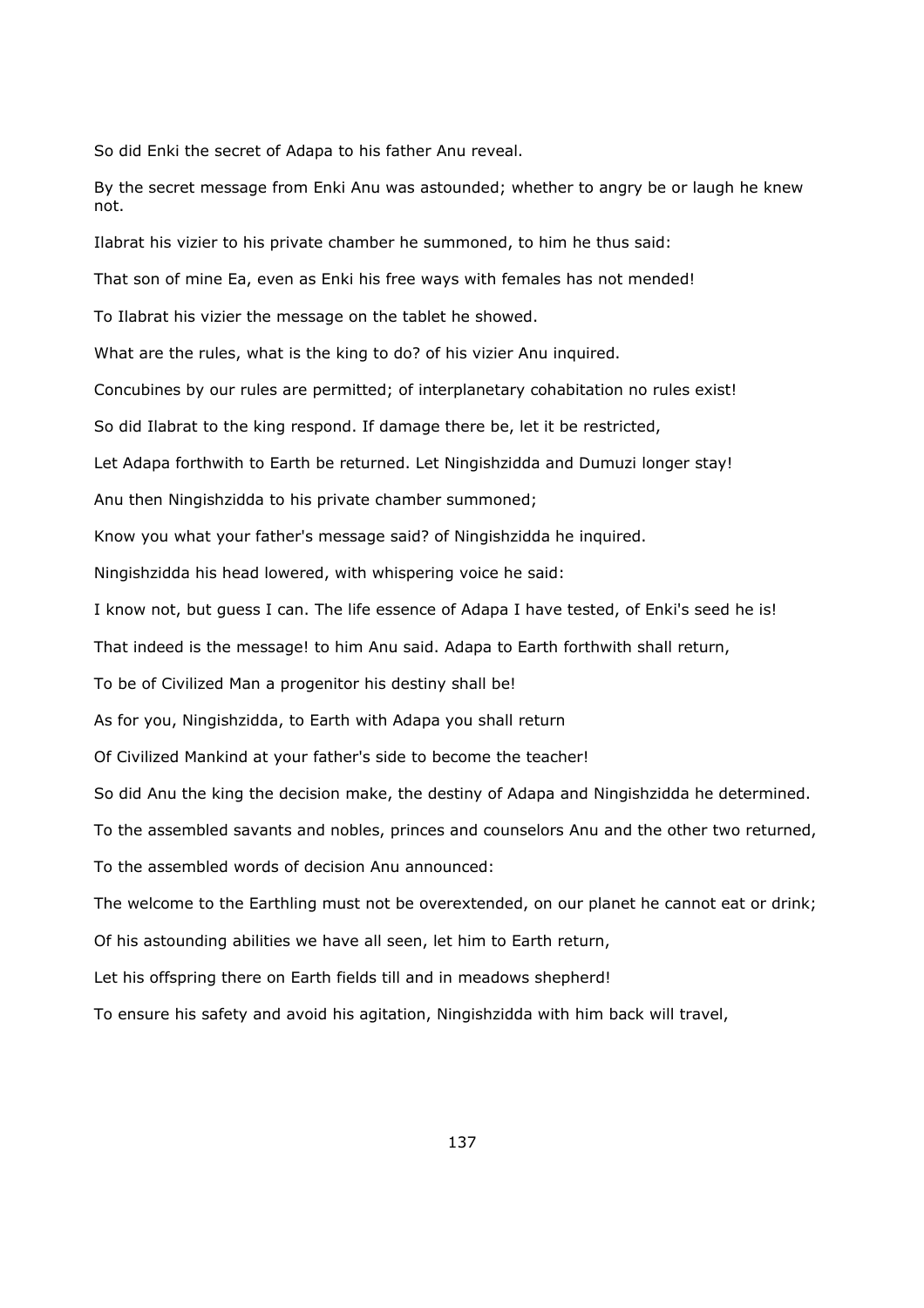So did Enki the secret of Adapa to his father Anu reveal.

By the secret message from Enki Anu was astounded; whether to angry be or laugh he knew not.

Ilabrat his vizier to his private chamber he summoned, to him he thus said:

That son of mine Ea, even as Enki his free ways with females has not mended!

To Ilabrat his vizier the message on the tablet he showed.

What are the rules, what is the king to do? of his vizier Anu inquired.

Concubines by our rules are permitted; of interplanetary cohabitation no rules exist!

So did Ilabrat to the king respond. If damage there be, let it be restricted,

Let Adapa forthwith to Earth be returned. Let Ningishzidda and Dumuzi longer stay!

Anu then Ningishzidda to his private chamber summoned;

Know you what your father's message said? of Ningishzidda he inquired.

Ningishzidda his head lowered, with whispering voice he said:

I know not, but guess I can. The life essence of Adapa I have tested, of Enki's seed he is!

That indeed is the message! to him Anu said. Adapa to Earth forthwith shall return,

To be of Civilized Man a progenitor his destiny shall be!

As for you, Ningishzidda, to Earth with Adapa you shall return

Of Civilized Mankind at your father's side to become the teacher!

So did Anu the king the decision make, the destiny of Adapa and Ningishzidda he determined.

To the assembled savants and nobles, princes and counselors Anu and the other two returned,

To the assembled words of decision Anu announced:

The welcome to the Earthling must not be overextended, on our planet he cannot eat or drink; Of his astounding abilities we have all seen, let him to Earth return,

Let his offspring there on Earth fields till and in meadows shepherd!

To ensure his safety and avoid his agitation, Ningishzidda with him back will travel,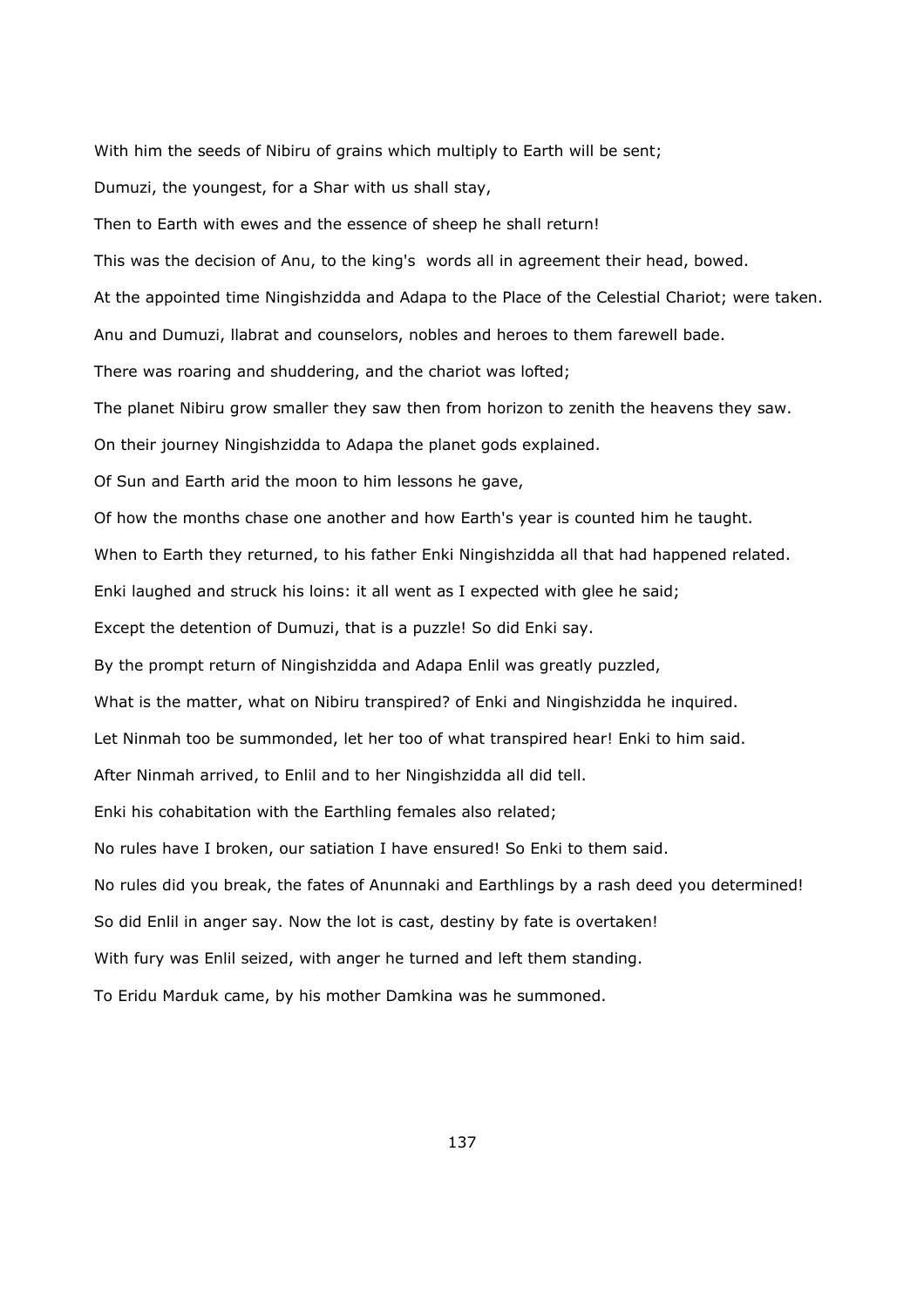With him the seeds of Nibiru of grains which multiply to Earth will be sent;

Dumuzi, the youngest, for a Shar with us shall stay,

Then to Earth with ewes and the essence of sheep he shall return!

This was the decision of Anu, to the king's words all in agreement their head, bowed.

At the appointed time Ningishzidda and Adapa to the Place of the Celestial Chariot; were taken.

Anu and Dumuzi, llabrat and counselors, nobles and heroes to them farewell bade.

There was roaring and shuddering, and the chariot was lofted;

The planet Nibiru grow smaller they saw then from horizon to zenith the heavens they saw.

On their journey Ningishzidda to Adapa the planet gods explained.

Of Sun and Earth arid the moon to him lessons he gave,

Of how the months chase one another and how Earth's year is counted him he taught.

When to Earth they returned, to his father Enki Ningishzidda all that had happened related.

Enki laughed and struck his loins: it all went as I expected with glee he said;

Except the detention of Dumuzi, that is a puzzle! So did Enki say.

By the prompt return of Ningishzidda and Adapa Enlil was greatly puzzled,

What is the matter, what on Nibiru transpired? of Enki and Ningishzidda he inquired.

Let Ninmah too be summonded, let her too of what transpired hear! Enki to him said.

After Ninmah arrived, to Enlil and to her Ningishzidda all did tell.

Enki his cohabitation with the Earthling females also related;

No rules have I broken, our satiation I have ensured! So Enki to them said.

No rules did you break, the fates of Anunnaki and Earthlings by a rash deed you determined!

So did Enlil in anger say. Now the lot is cast, destiny by fate is overtaken!

With fury was Enlil seized, with anger he turned and left them standing.

To Eridu Marduk came, by his mother Damkina was he summoned.

137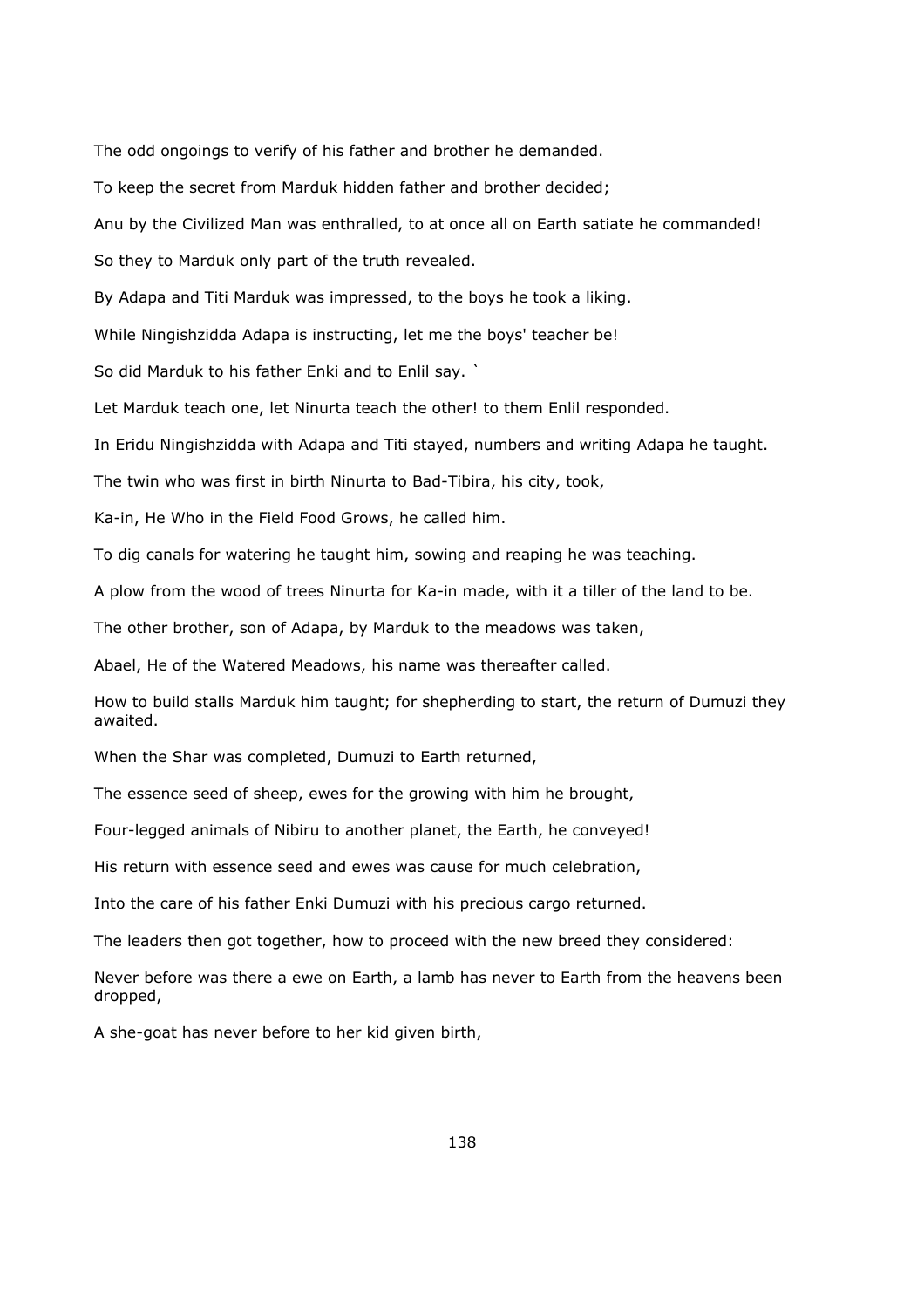The odd ongoings to verify of his father and brother he demanded.

To keep the secret from Marduk hidden father and brother decided;

Anu by the Civilized Man was enthralled, to at once all on Earth satiate he commanded!

So they to Marduk only part of the truth revealed.

By Adapa and Titi Marduk was impressed, to the boys he took a liking.

While Ningishzidda Adapa is instructing, let me the boys' teacher be!

So did Marduk to his father Enki and to Enlil say. `

Let Marduk teach one, let Ninurta teach the other! to them Enlil responded.

In Eridu Ningishzidda with Adapa and Titi stayed, numbers and writing Adapa he taught.

The twin who was first in birth Ninurta to Bad-Tibira, his city, took,

Ka-in, He Who in the Field Food Grows, he called him.

To dig canals for watering he taught him, sowing and reaping he was teaching.

A plow from the wood of trees Ninurta for Ka-in made, with it a tiller of the land to be.

The other brother, son of Adapa, by Marduk to the meadows was taken,

Abael, He of the Watered Meadows, his name was thereafter called.

How to build stalls Marduk him taught; for shepherding to start, the return of Dumuzi they awaited.

When the Shar was completed, Dumuzi to Earth returned,

The essence seed of sheep, ewes for the growing with him he brought,

Four-legged animals of Nibiru to another planet, the Earth, he conveyed!

His return with essence seed and ewes was cause for much celebration,

Into the care of his father Enki Dumuzi with his precious cargo returned.

The leaders then got together, how to proceed with the new breed they considered:

Never before was there a ewe on Earth, a lamb has never to Earth from the heavens been dropped,

A she-goat has never before to her kid given birth,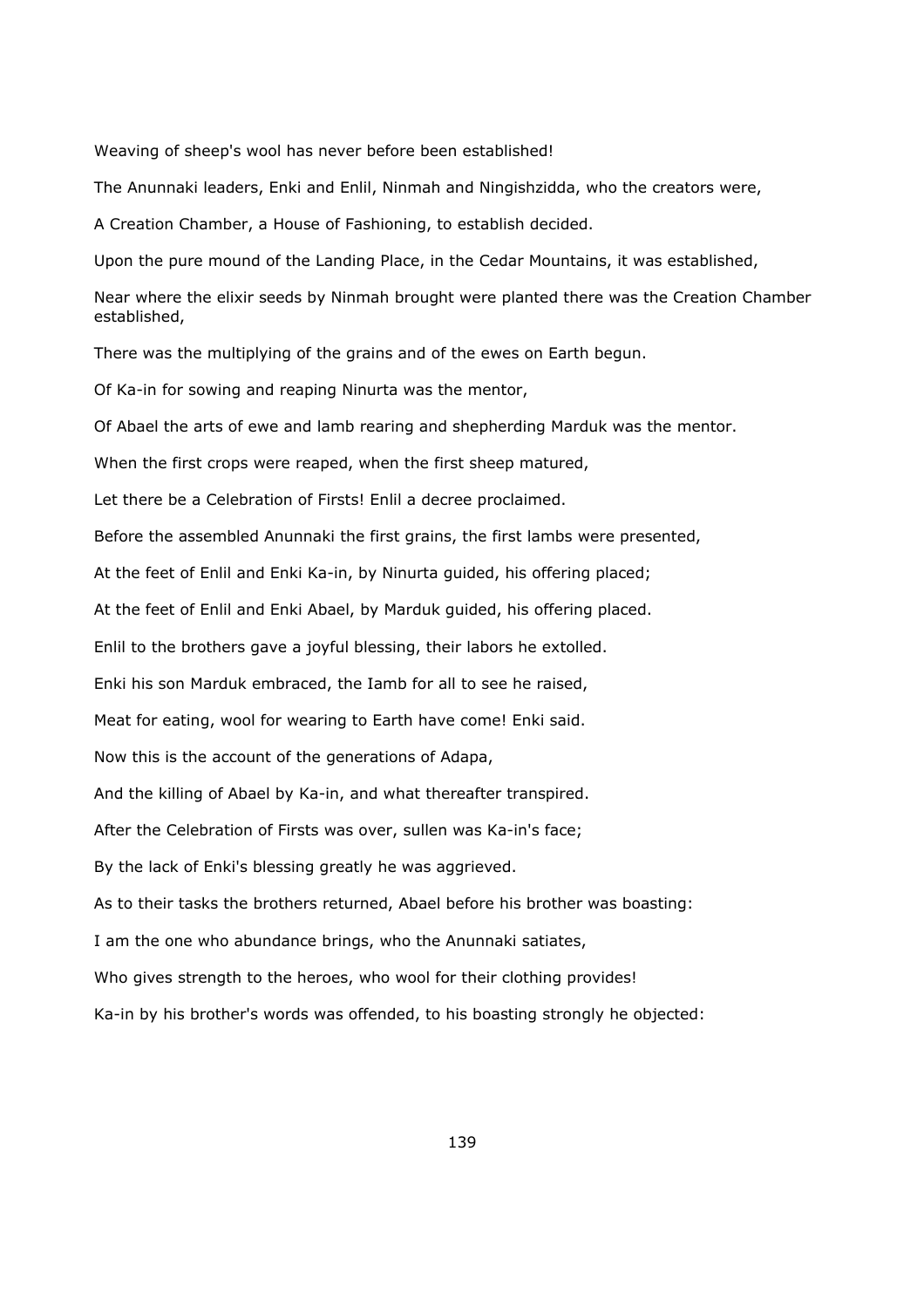Weaving of sheep's wool has never before been established!

The Anunnaki leaders, Enki and Enlil, Ninmah and Ningishzidda, who the creators were,

A Creation Chamber, a House of Fashioning, to establish decided.

Upon the pure mound of the Landing Place, in the Cedar Mountains, it was established,

Near where the elixir seeds by Ninmah brought were planted there was the Creation Chamber established,

There was the multiplying of the grains and of the ewes on Earth begun.

Of Ka-in for sowing and reaping Ninurta was the mentor,

Of Abael the arts of ewe and lamb rearing and shepherding Marduk was the mentor.

When the first crops were reaped, when the first sheep matured,

Let there be a Celebration of Firsts! Enlil a decree proclaimed.

Before the assembled Anunnaki the first grains, the first lambs were presented,

At the feet of Enlil and Enki Ka-in, by Ninurta guided, his offering placed;

At the feet of Enlil and Enki Abael, by Marduk guided, his offering placed.

Enlil to the brothers gave a joyful blessing, their labors he extolled.

Enki his son Marduk embraced, the Iamb for all to see he raised,

Meat for eating, wool for wearing to Earth have come! Enki said.

Now this is the account of the generations of Adapa,

And the killing of Abael by Ka-in, and what thereafter transpired.

After the Celebration of Firsts was over, sullen was Ka-in's face;

By the lack of Enki's blessing greatly he was aggrieved.

As to their tasks the brothers returned, Abael before his brother was boasting:

I am the one who abundance brings, who the Anunnaki satiates,

Who gives strength to the heroes, who wool for their clothing provides!

Ka-in by his brother's words was offended, to his boasting strongly he objected: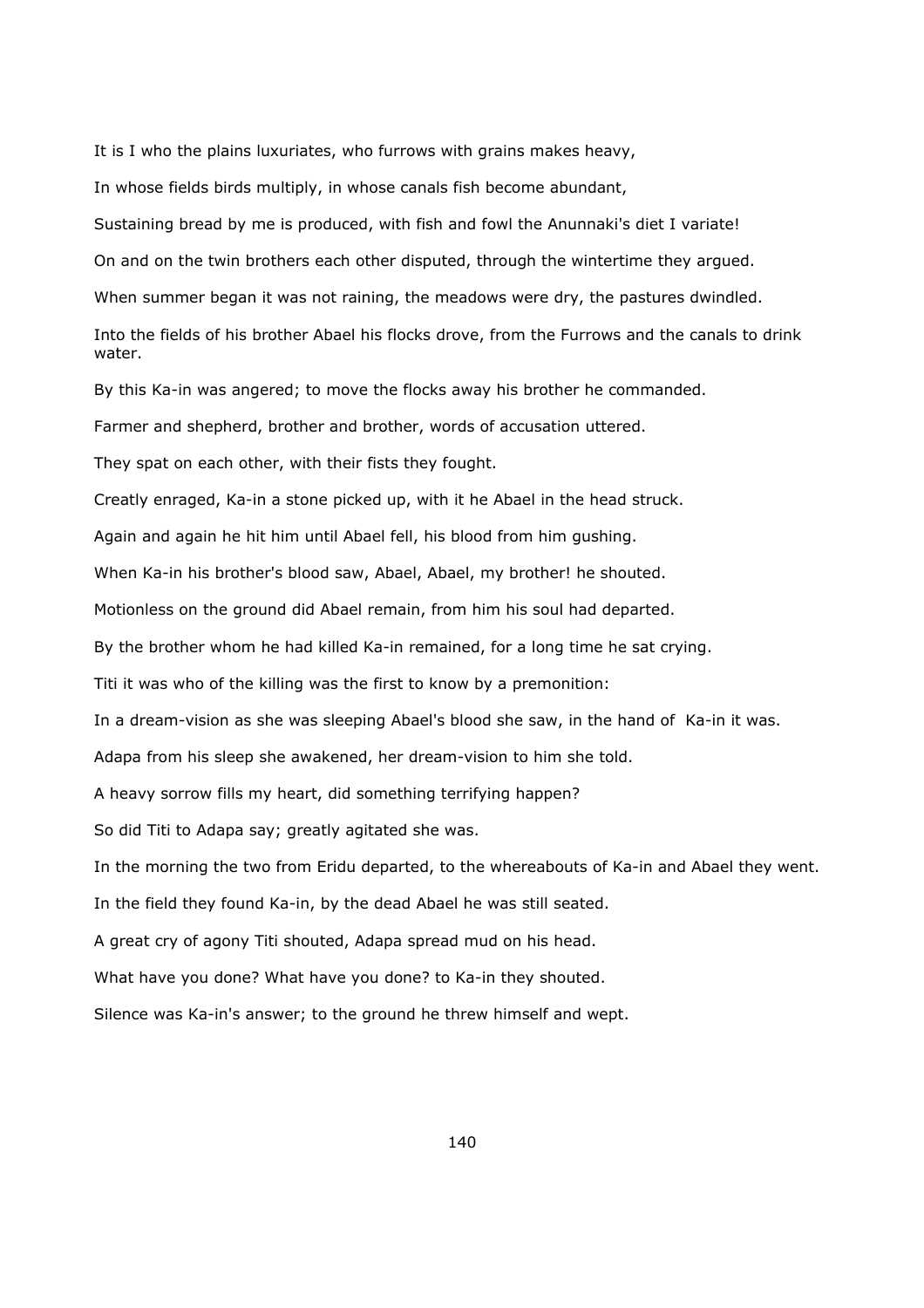It is I who the plains luxuriates, who furrows with grains makes heavy,

In whose fields birds multiply, in whose canals fish become abundant,

Sustaining bread by me is produced, with fish and fowl the Anunnaki's diet I variate!

On and on the twin brothers each other disputed, through the wintertime they argued.

When summer began it was not raining, the meadows were dry, the pastures dwindled.

Into the fields of his brother Abael his flocks drove, from the Furrows and the canals to drink water.

By this Ka-in was angered; to move the flocks away his brother he commanded.

Farmer and shepherd, brother and brother, words of accusation uttered.

They spat on each other, with their fists they fought.

Creatly enraged, Ka-in a stone picked up, with it he Abael in the head struck.

Again and again he hit him until Abael fell, his blood from him gushing.

When Ka-in his brother's blood saw, Abael, Abael, my brother! he shouted.

Motionless on the ground did Abael remain, from him his soul had departed.

By the brother whom he had killed Ka-in remained, for a long time he sat crying.

Titi it was who of the killing was the first to know by a premonition:

In a dream-vision as she was sleeping Abael's blood she saw, in the hand of Ka-in it was.

Adapa from his sleep she awakened, her dream-vision to him she told.

A heavy sorrow fills my heart, did something terrifying happen?

So did Titi to Adapa say; greatly agitated she was.

In the morning the two from Eridu departed, to the whereabouts of Ka-in and Abael they went.

In the field they found Ka-in, by the dead Abael he was still seated.

A great cry of agony Titi shouted, Adapa spread mud on his head.

What have you done? What have you done? to Ka-in they shouted.

Silence was Ka-in's answer; to the ground he threw himself and wept.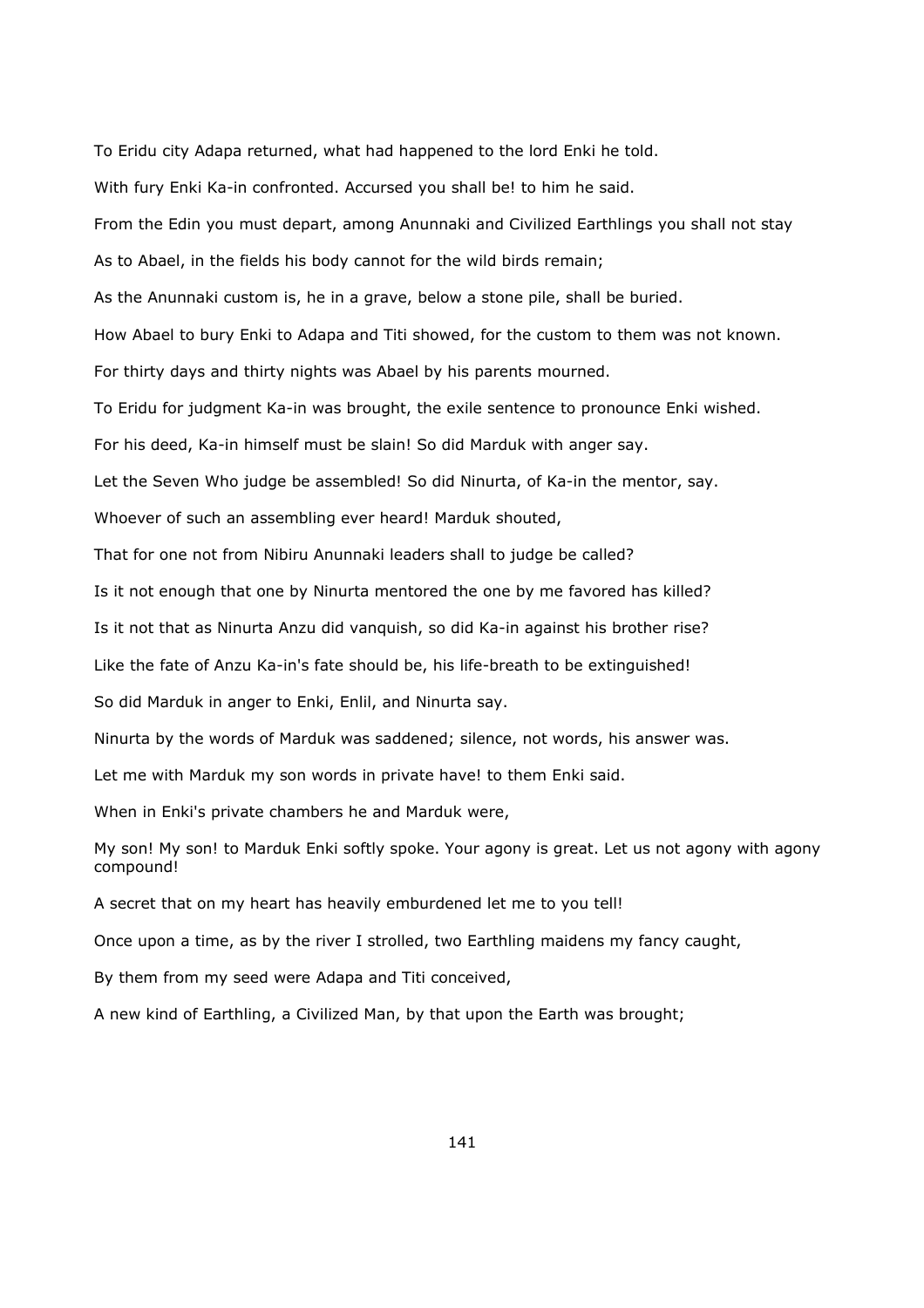To Eridu city Adapa returned, what had happened to the lord Enki he told.

With fury Enki Ka-in confronted. Accursed you shall be! to him he said.

From the Edin you must depart, among Anunnaki and Civilized Earthlings you shall not stay

As to Abael, in the fields his body cannot for the wild birds remain;

As the Anunnaki custom is, he in a grave, below a stone pile, shall be buried.

How Abael to bury Enki to Adapa and Titi showed, for the custom to them was not known.

For thirty days and thirty nights was Abael by his parents mourned.

To Eridu for judgment Ka-in was brought, the exile sentence to pronounce Enki wished.

For his deed, Ka-in himself must be slain! So did Marduk with anger say.

Let the Seven Who judge be assembled! So did Ninurta, of Ka-in the mentor, say.

Whoever of such an assembling ever heard! Marduk shouted,

That for one not from Nibiru Anunnaki leaders shall to judge be called?

Is it not enough that one by Ninurta mentored the one by me favored has killed?

Is it not that as Ninurta Anzu did vanquish, so did Ka-in against his brother rise?

Like the fate of Anzu Ka-in's fate should be, his life-breath to be extinguished!

So did Marduk in anger to Enki, Enlil, and Ninurta say.

Ninurta by the words of Marduk was saddened; silence, not words, his answer was.

Let me with Marduk my son words in private have! to them Enki said.

When in Enki's private chambers he and Marduk were,

My son! My son! to Marduk Enki softly spoke. Your agony is great. Let us not agony with agony compound!

A secret that on my heart has heavily emburdened let me to you tell!

Once upon a time, as by the river I strolled, two Earthling maidens my fancy caught,

By them from my seed were Adapa and Titi conceived,

A new kind of Earthling, a Civilized Man, by that upon the Earth was brought;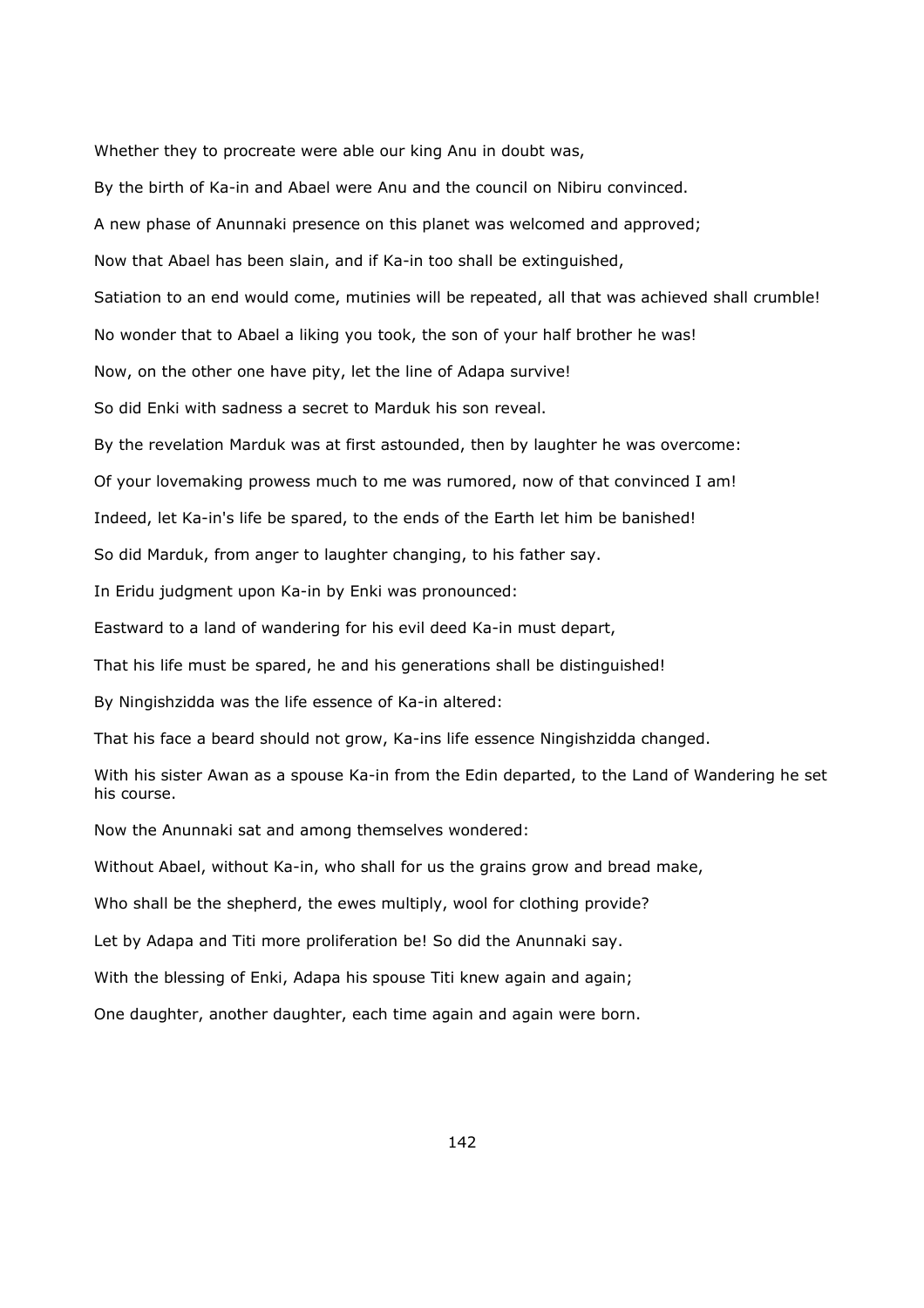Whether they to procreate were able our king Anu in doubt was,

By the birth of Ka-in and Abael were Anu and the council on Nibiru convinced.

A new phase of Anunnaki presence on this planet was welcomed and approved;

Now that Abael has been slain, and if Ka-in too shall be extinguished,

Satiation to an end would come, mutinies will be repeated, all that was achieved shall crumble!

No wonder that to Abael a liking you took, the son of your half brother he was!

Now, on the other one have pity, let the line of Adapa survive!

So did Enki with sadness a secret to Marduk his son reveal.

By the revelation Marduk was at first astounded, then by laughter he was overcome:

Of your lovemaking prowess much to me was rumored, now of that convinced I am!

Indeed, let Ka-in's life be spared, to the ends of the Earth let him be banished!

So did Marduk, from anger to laughter changing, to his father say.

In Eridu judgment upon Ka-in by Enki was pronounced:

Eastward to a land of wandering for his evil deed Ka-in must depart,

That his life must be spared, he and his generations shall be distinguished!

By Ningishzidda was the life essence of Ka-in altered:

That his face a beard should not grow, Ka-ins life essence Ningishzidda changed.

With his sister Awan as a spouse Ka-in from the Edin departed, to the Land of Wandering he set his course.

Now the Anunnaki sat and among themselves wondered:

Without Abael, without Ka-in, who shall for us the grains grow and bread make,

Who shall be the shepherd, the ewes multiply, wool for clothing provide?

Let by Adapa and Titi more proliferation be! So did the Anunnaki say.

With the blessing of Enki, Adapa his spouse Titi knew again and again;

One daughter, another daughter, each time again and again were born.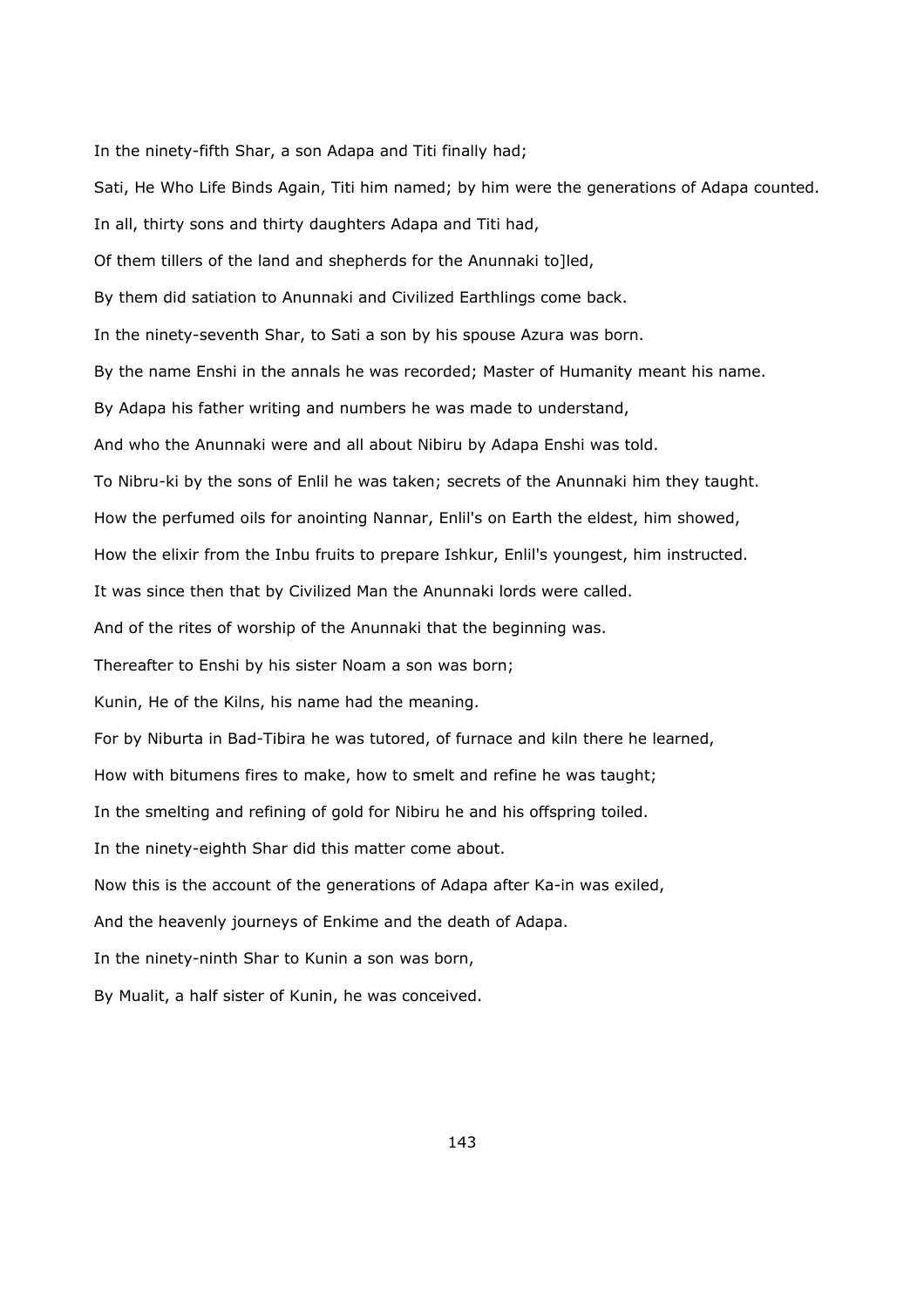In the ninety-fifth Shar, a son Adapa and Titi finally had;

Sati, He Who Life Binds Again, Titi him named; by him were the generations of Adapa counted.

In all, thirty sons and thirty daughters Adapa and Titi had,

Of them tillers of the land and shepherds for the Anunnaki to]led,

By them did satiation to Anunnaki and Civilized Earthlings come back.

In the ninety-seventh Shar, to Sati a son by his spouse Azura was born.

By the name Enshi in the annals he was recorded; Master of Humanity meant his name.

By Adapa his father writing and numbers he was made to understand,

And who the Anunnaki were and all about Nibiru by Adapa Enshi was told.

To Nibru-ki by the sons of Enlil he was taken; secrets of the Anunnaki him they taught.

How the perfumed oils for anointing Nannar, Enlil's on Earth the eldest, him showed,

How the elixir from the Inbu fruits to prepare Ishkur, Enlil's youngest, him instructed.

It was since then that by Civilized Man the Anunnaki lords were called.

And of the rites of worship of the Anunnaki that the beginning was.

Thereafter to Enshi by his sister Noam a son was born;

Kunin, He of the Kilns, his name had the meaning.

For by Niburta in Bad-Tibira he was tutored, of furnace and kiln there he learned,

How with bitumens fires to make, how to smelt and refine he was taught;

In the smelting and refining of gold for Nibiru he and his offspring toiled.

In the ninety-eighth Shar did this matter come about.

Now this is the account of the generations of Adapa after Ka-in was exiled,

And the heavenly journeys of Enkime and the death of Adapa.

In the ninety-ninth Shar to Kunin a son was born,

By Mualit, a half sister of Kunin, he was conceived.

143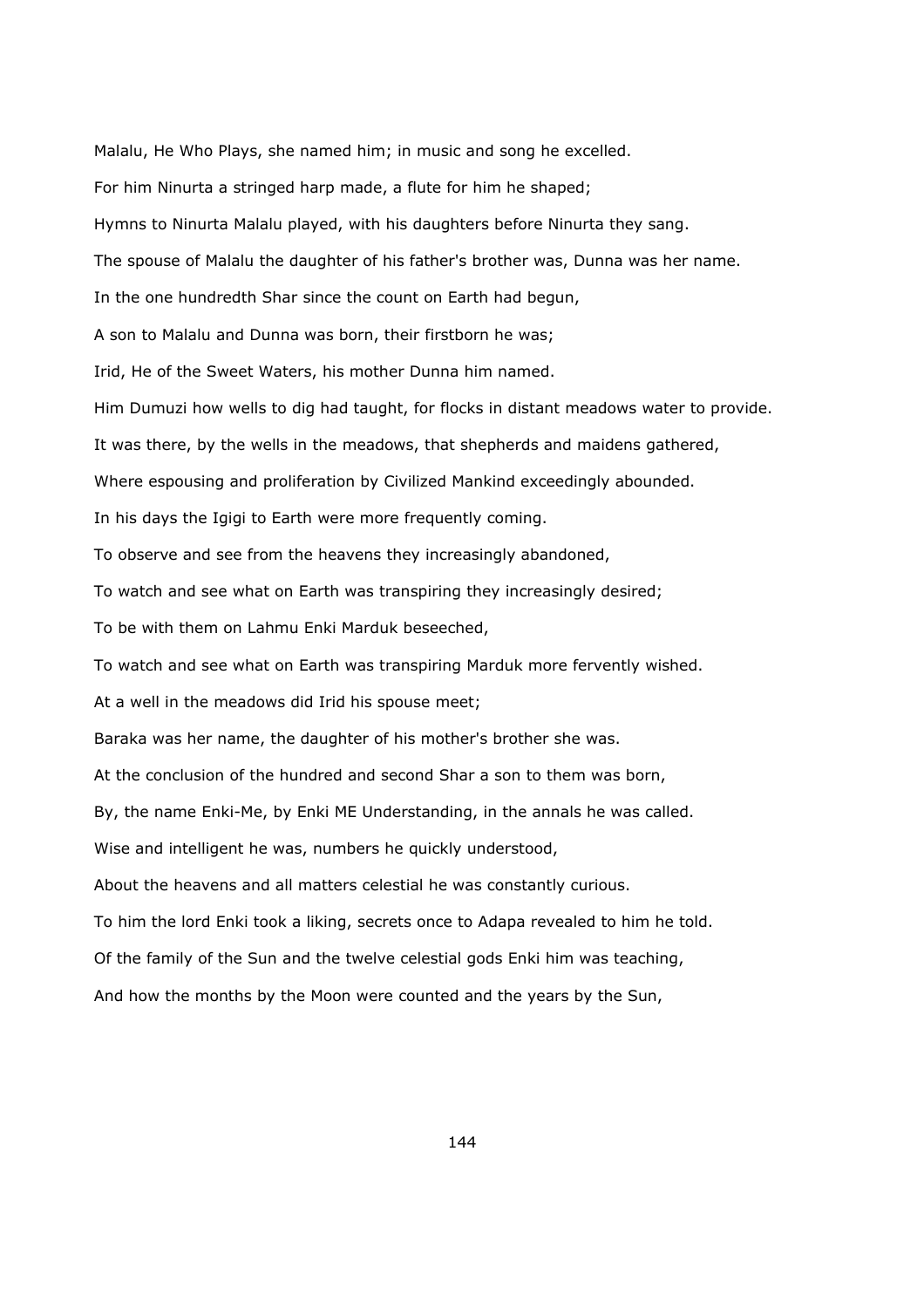Malalu, He Who Plays, she named him; in music and song he excelled. For him Ninurta a stringed harp made, a flute for him he shaped; Hymns to Ninurta Malalu played, with his daughters before Ninurta they sang. The spouse of Malalu the daughter of his father's brother was, Dunna was her name. In the one hundredth Shar since the count on Earth had begun, A son to Malalu and Dunna was born, their firstborn he was; Irid, He of the Sweet Waters, his mother Dunna him named. Him Dumuzi how wells to dig had taught, for flocks in distant meadows water to provide. It was there, by the wells in the meadows, that shepherds and maidens gathered, Where espousing and proliferation by Civilized Mankind exceedingly abounded. In his days the Igigi to Earth were more frequently coming. To observe and see from the heavens they increasingly abandoned, To watch and see what on Earth was transpiring they increasingly desired; To be with them on Lahmu Enki Marduk beseeched, To watch and see what on Earth was transpiring Marduk more fervently wished. At a well in the meadows did Irid his spouse meet; Baraka was her name, the daughter of his mother's brother she was. At the conclusion of the hundred and second Shar a son to them was born, By, the name Enki-Me, by Enki ME Understanding, in the annals he was called. Wise and intelligent he was, numbers he quickly understood, About the heavens and all matters celestial he was constantly curious. To him the lord Enki took a liking, secrets once to Adapa revealed to him he told. Of the family of the Sun and the twelve celestial gods Enki him was teaching, And how the months by the Moon were counted and the years by the Sun,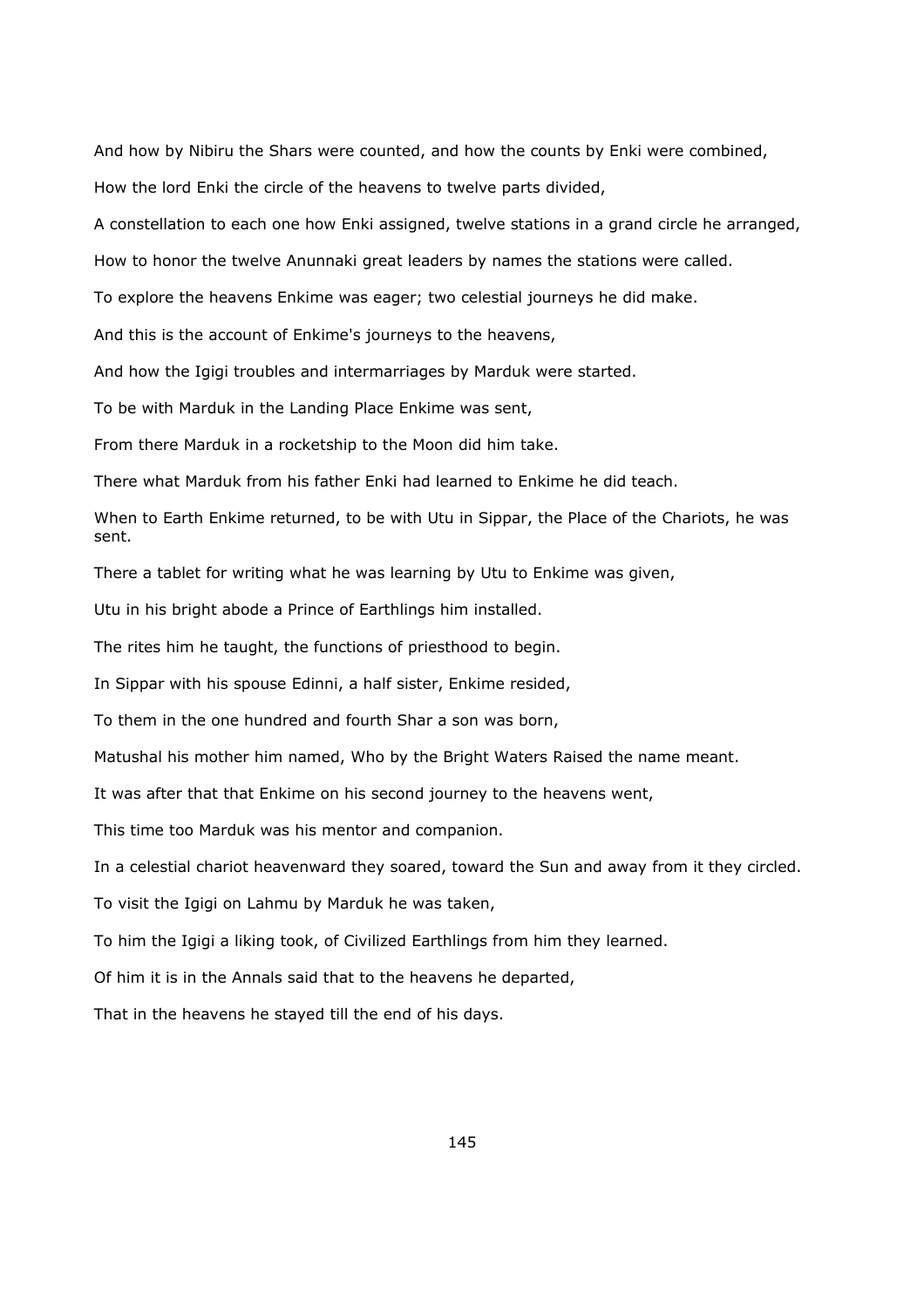And how by Nibiru the Shars were counted, and how the counts by Enki were combined,

How the lord Enki the circle of the heavens to twelve parts divided,

A constellation to each one how Enki assigned, twelve stations in a grand circle he arranged,

How to honor the twelve Anunnaki great leaders by names the stations were called.

To explore the heavens Enkime was eager; two celestial journeys he did make.

And this is the account of Enkime's journeys to the heavens,

And how the Igigi troubles and intermarriages by Marduk were started.

To be with Marduk in the Landing Place Enkime was sent,

From there Marduk in a rocketship to the Moon did him take.

There what Marduk from his father Enki had learned to Enkime he did teach.

When to Earth Enkime returned, to be with Utu in Sippar, the Place of the Chariots, he was sent.

There a tablet for writing what he was learning by Utu to Enkime was given,

Utu in his bright abode a Prince of Earthlings him installed.

The rites him he taught, the functions of priesthood to begin.

In Sippar with his spouse Edinni, a half sister, Enkime resided,

To them in the one hundred and fourth Shar a son was born,

Matushal his mother him named, Who by the Bright Waters Raised the name meant.

It was after that that Enkime on his second journey to the heavens went,

This time too Marduk was his mentor and companion.

In a celestial chariot heavenward they soared, toward the Sun and away from it they circled.

To visit the Igigi on Lahmu by Marduk he was taken,

To him the Igigi a liking took, of Civilized Earthlings from him they learned.

Of him it is in the Annals said that to the heavens he departed,

That in the heavens he stayed till the end of his days.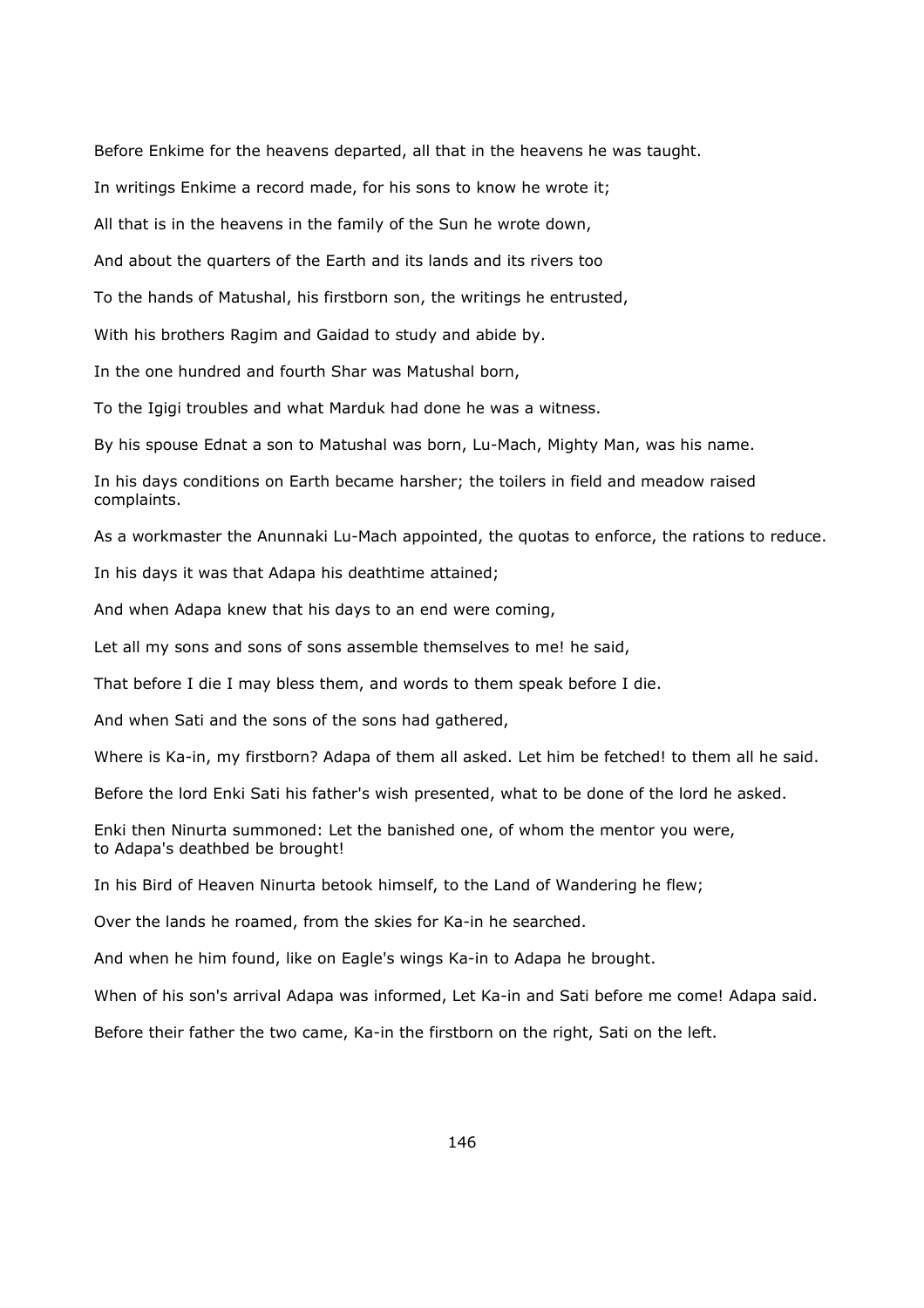Before Enkime for the heavens departed, all that in the heavens he was taught. In writings Enkime a record made, for his sons to know he wrote it; All that is in the heavens in the family of the Sun he wrote down, And about the quarters of the Earth and its lands and its rivers too To the hands of Matushal, his firstborn son, the writings he entrusted, With his brothers Ragim and Gaidad to study and abide by. In the one hundred and fourth Shar was Matushal born, To the Igigi troubles and what Marduk had done he was a witness. By his spouse Ednat a son to Matushal was born, Lu-Mach, Mighty Man, was his name.

In his days conditions on Earth became harsher; the toilers in field and meadow raised complaints.

As a workmaster the Anunnaki Lu-Mach appointed, the quotas to enforce, the rations to reduce.

In his days it was that Adapa his deathtime attained;

And when Adapa knew that his days to an end were coming,

Let all my sons and sons of sons assemble themselves to me! he said,

That before I die I may bless them, and words to them speak before I die.

And when Sati and the sons of the sons had gathered,

Where is Ka-in, my firstborn? Adapa of them all asked. Let him be fetched! to them all he said.

Before the lord Enki Sati his father's wish presented, what to be done of the lord he asked.

Enki then Ninurta summoned: Let the banished one, of whom the mentor you were, to Adapa's deathbed be brought!

In his Bird of Heaven Ninurta betook himself, to the Land of Wandering he flew;

Over the lands he roamed, from the skies for Ka-in he searched.

And when he him found, like on Eagle's wings Ka-in to Adapa he brought.

When of his son's arrival Adapa was informed, Let Ka-in and Sati before me come! Adapa said.

Before their father the two came, Ka-in the firstborn on the right, Sati on the left.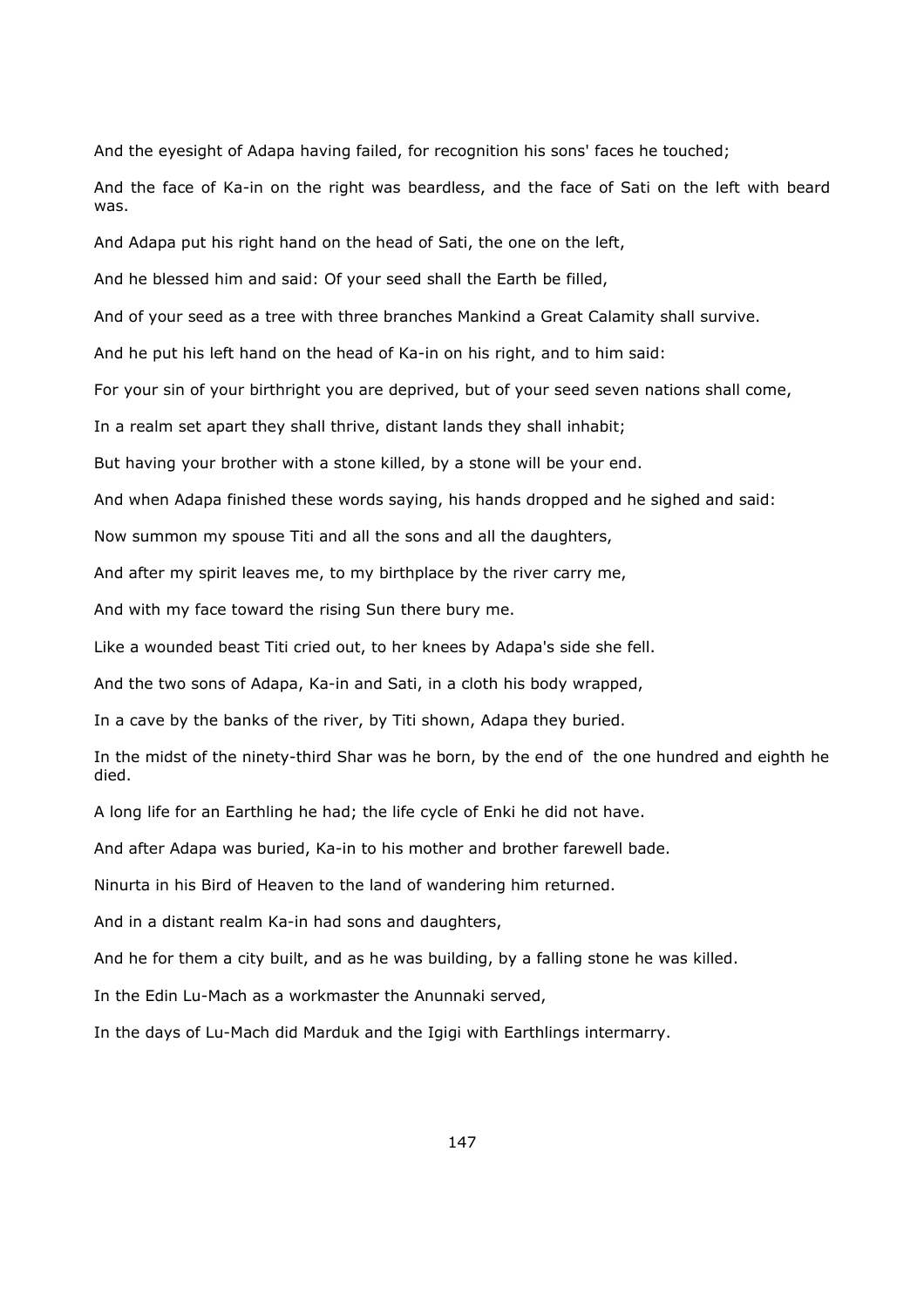And the eyesight of Adapa having failed, for recognition his sons' faces he touched;

And the face of Ka-in on the right was beardless, and the face of Sati on the left with beard was.

And Adapa put his right hand on the head of Sati, the one on the left,

And he blessed him and said: Of your seed shall the Earth be filled,

And of your seed as a tree with three branches Mankind a Great Calamity shall survive.

And he put his left hand on the head of Ka-in on his right, and to him said:

For your sin of your birthright you are deprived, but of your seed seven nations shall come,

In a realm set apart they shall thrive, distant lands they shall inhabit;

But having your brother with a stone killed, by a stone will be your end.

And when Adapa finished these words saying, his hands dropped and he sighed and said:

Now summon my spouse Titi and all the sons and all the daughters,

And after my spirit leaves me, to my birthplace by the river carry me,

And with my face toward the rising Sun there bury me.

Like a wounded beast Titi cried out, to her knees by Adapa's side she fell.

And the two sons of Adapa, Ka-in and Sati, in a cloth his body wrapped,

In a cave by the banks of the river, by Titi shown, Adapa they buried.

In the midst of the ninety-third Shar was he born, by the end of the one hundred and eighth he died.

A long life for an Earthling he had; the life cycle of Enki he did not have.

And after Adapa was buried, Ka-in to his mother and brother farewell bade.

Ninurta in his Bird of Heaven to the land of wandering him returned.

And in a distant realm Ka-in had sons and daughters,

And he for them a city built, and as he was building, by a falling stone he was killed.

In the Edin Lu-Mach as a workmaster the Anunnaki served,

In the days of Lu-Mach did Marduk and the Igigi with Earthlings intermarry.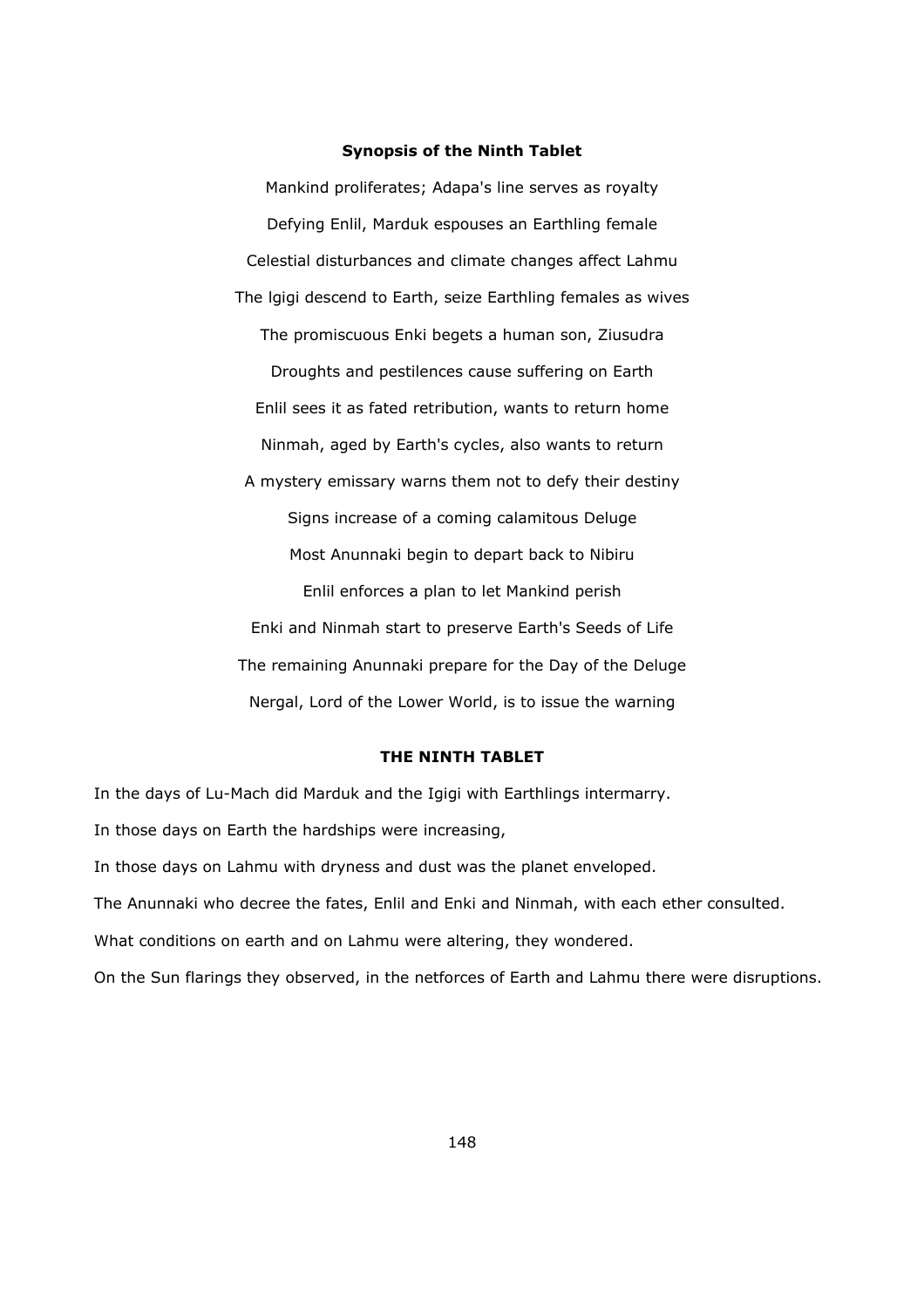## **Synopsis of the Ninth Tablet**

Mankind proliferates; Adapa's line serves as royalty Defying Enlil, Marduk espouses an Earthling female Celestial disturbances and climate changes affect Lahmu The lgigi descend to Earth, seize Earthling females as wives The promiscuous Enki begets a human son, Ziusudra Droughts and pestilences cause suffering on Earth Enlil sees it as fated retribution, wants to return home Ninmah, aged by Earth's cycles, also wants to return A mystery emissary warns them not to defy their destiny Signs increase of a coming calamitous Deluge Most Anunnaki begin to depart back to Nibiru Enlil enforces a plan to let Mankind perish Enki and Ninmah start to preserve Earth's Seeds of Life The remaining Anunnaki prepare for the Day of the Deluge Nergal, Lord of the Lower World, is to issue the warning

## **THE NINTH TABLET**

In the days of Lu-Mach did Marduk and the Igigi with Earthlings intermarry.

In those days on Earth the hardships were increasing,

In those days on Lahmu with dryness and dust was the planet enveloped.

The Anunnaki who decree the fates, Enlil and Enki and Ninmah, with each ether consulted.

What conditions on earth and on Lahmu were altering, they wondered.

On the Sun flarings they observed, in the netforces of Earth and Lahmu there were disruptions.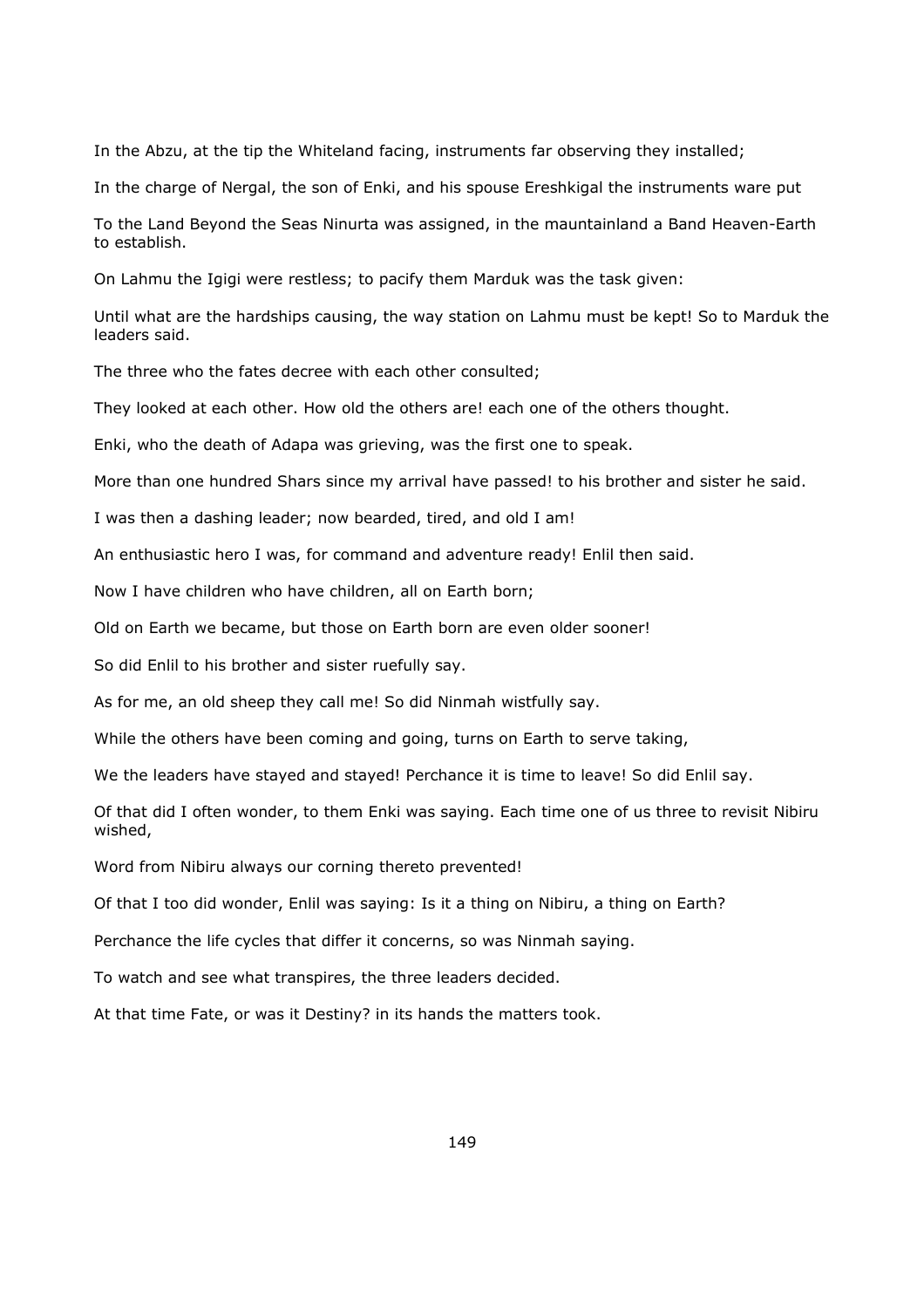In the Abzu, at the tip the Whiteland facing, instruments far observing they installed;

In the charge of Nergal, the son of Enki, and his spouse Ereshkigal the instruments ware put

To the Land Beyond the Seas Ninurta was assigned, in the mauntainland a Band Heaven-Earth to establish.

On Lahmu the Igigi were restless; to pacify them Marduk was the task given:

Until what are the hardships causing, the way station on Lahmu must be kept! So to Marduk the leaders said.

The three who the fates decree with each other consulted;

They looked at each other. How old the others are! each one of the others thought.

Enki, who the death of Adapa was grieving, was the first one to speak.

More than one hundred Shars since my arrival have passed! to his brother and sister he said.

I was then a dashing leader; now bearded, tired, and old I am!

An enthusiastic hero I was, for command and adventure ready! Enlil then said.

Now I have children who have children, all on Earth born;

Old on Earth we became, but those on Earth born are even older sooner!

So did Enlil to his brother and sister ruefully say.

As for me, an old sheep they call me! So did Ninmah wistfully say.

While the others have been coming and going, turns on Earth to serve taking,

We the leaders have stayed and stayed! Perchance it is time to leave! So did Enlil say.

Of that did I often wonder, to them Enki was saying. Each time one of us three to revisit Nibiru wished,

Word from Nibiru always our corning thereto prevented!

Of that I too did wonder, Enlil was saying: Is it a thing on Nibiru, a thing on Earth?

Perchance the life cycles that differ it concerns, so was Ninmah saying.

To watch and see what transpires, the three leaders decided.

At that time Fate, or was it Destiny? in its hands the matters took.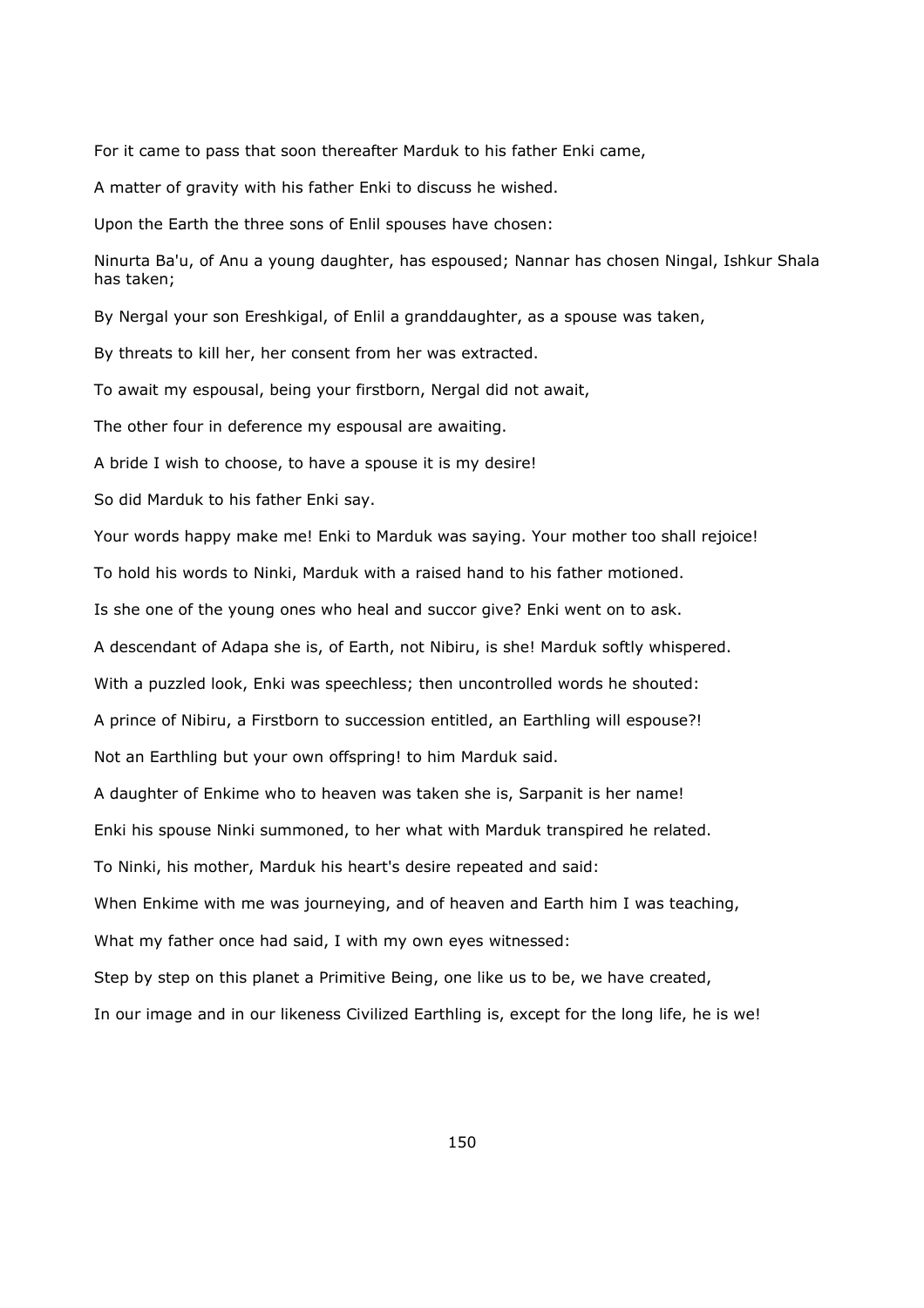For it came to pass that soon thereafter Marduk to his father Enki came,

A matter of gravity with his father Enki to discuss he wished.

Upon the Earth the three sons of Enlil spouses have chosen:

Ninurta Ba'u, of Anu a young daughter, has espoused; Nannar has chosen Ningal, Ishkur Shala has taken;

By Nergal your son Ereshkigal, of Enlil a granddaughter, as a spouse was taken,

By threats to kill her, her consent from her was extracted.

To await my espousal, being your firstborn, Nergal did not await,

The other four in deference my espousal are awaiting.

A bride I wish to choose, to have a spouse it is my desire!

So did Marduk to his father Enki say.

Your words happy make me! Enki to Marduk was saying. Your mother too shall rejoice!

To hold his words to Ninki, Marduk with a raised hand to his father motioned.

Is she one of the young ones who heal and succor give? Enki went on to ask.

A descendant of Adapa she is, of Earth, not Nibiru, is she! Marduk softly whispered.

With a puzzled look, Enki was speechless; then uncontrolled words he shouted:

A prince of Nibiru, a Firstborn to succession entitled, an Earthling will espouse?!

Not an Earthling but your own offspring! to him Marduk said.

A daughter of Enkime who to heaven was taken she is, Sarpanit is her name!

Enki his spouse Ninki summoned, to her what with Marduk transpired he related.

To Ninki, his mother, Marduk his heart's desire repeated and said:

When Enkime with me was journeying, and of heaven and Earth him I was teaching,

What my father once had said, I with my own eyes witnessed:

Step by step on this planet a Primitive Being, one like us to be, we have created,

In our image and in our likeness Civilized Earthling is, except for the long life, he is we!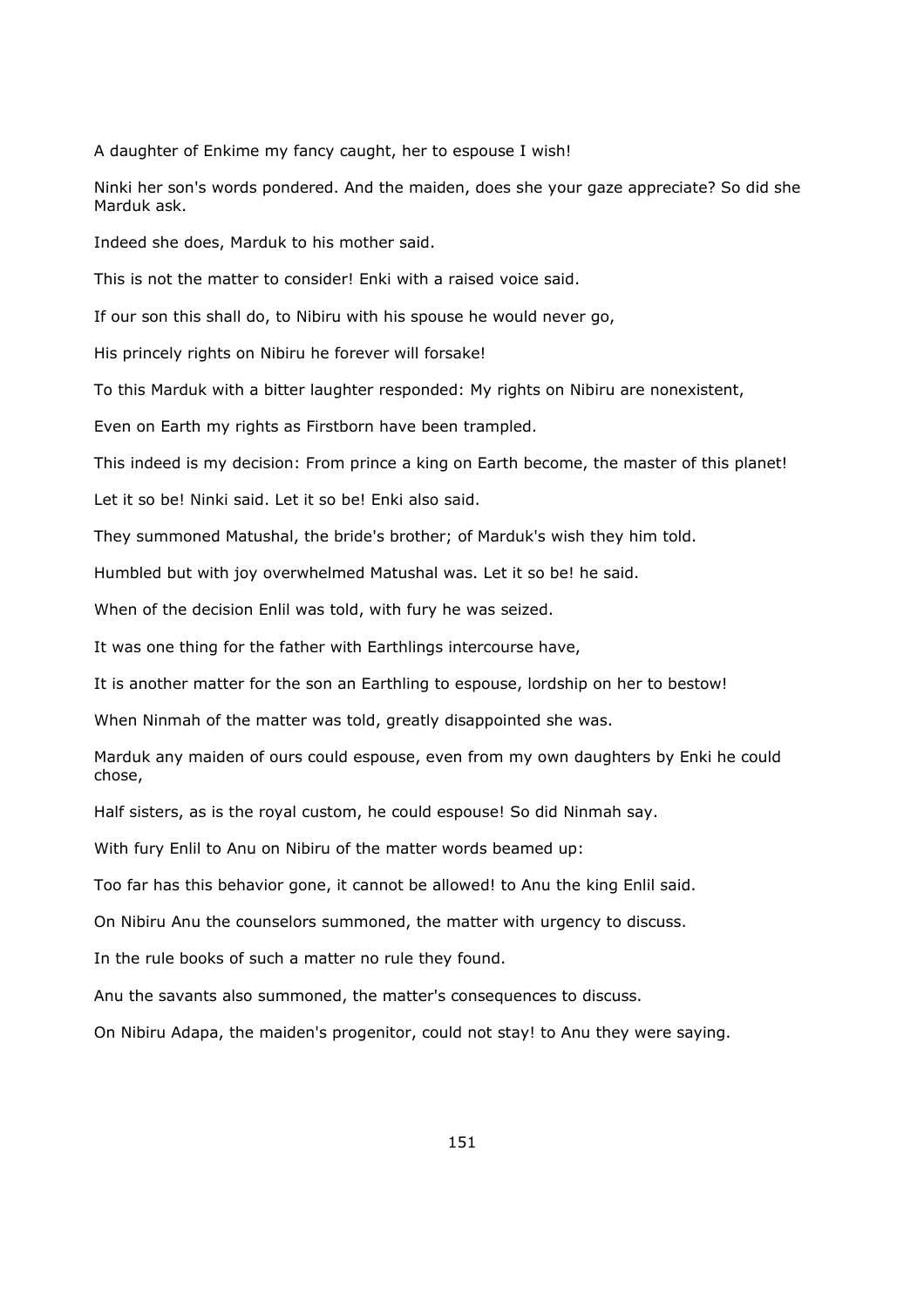A daughter of Enkime my fancy caught, her to espouse I wish!

Ninki her son's words pondered. And the maiden, does she your gaze appreciate? So did she Marduk ask.

Indeed she does, Marduk to his mother said.

This is not the matter to consider! Enki with a raised voice said.

If our son this shall do, to Nibiru with his spouse he would never go,

His princely rights on Nibiru he forever will forsake!

To this Marduk with a bitter laughter responded: My rights on Nibiru are nonexistent,

Even on Earth my rights as Firstborn have been trampled.

This indeed is my decision: From prince a king on Earth become, the master of this planet!

Let it so be! Ninki said. Let it so be! Enki also said.

They summoned Matushal, the bride's brother; of Marduk's wish they him told.

Humbled but with joy overwhelmed Matushal was. Let it so be! he said.

When of the decision Enlil was told, with fury he was seized.

It was one thing for the father with Earthlings intercourse have,

It is another matter for the son an Earthling to espouse, lordship on her to bestow!

When Ninmah of the matter was told, greatly disappointed she was.

Marduk any maiden of ours could espouse, even from my own daughters by Enki he could chose,

Half sisters, as is the royal custom, he could espouse! So did Ninmah say.

With fury Enlil to Anu on Nibiru of the matter words beamed up:

Too far has this behavior gone, it cannot be allowed! to Anu the king Enlil said.

On Nibiru Anu the counselors summoned, the matter with urgency to discuss.

In the rule books of such a matter no rule they found.

Anu the savants also summoned, the matter's consequences to discuss.

On Nibiru Adapa, the maiden's progenitor, could not stay! to Anu they were saying.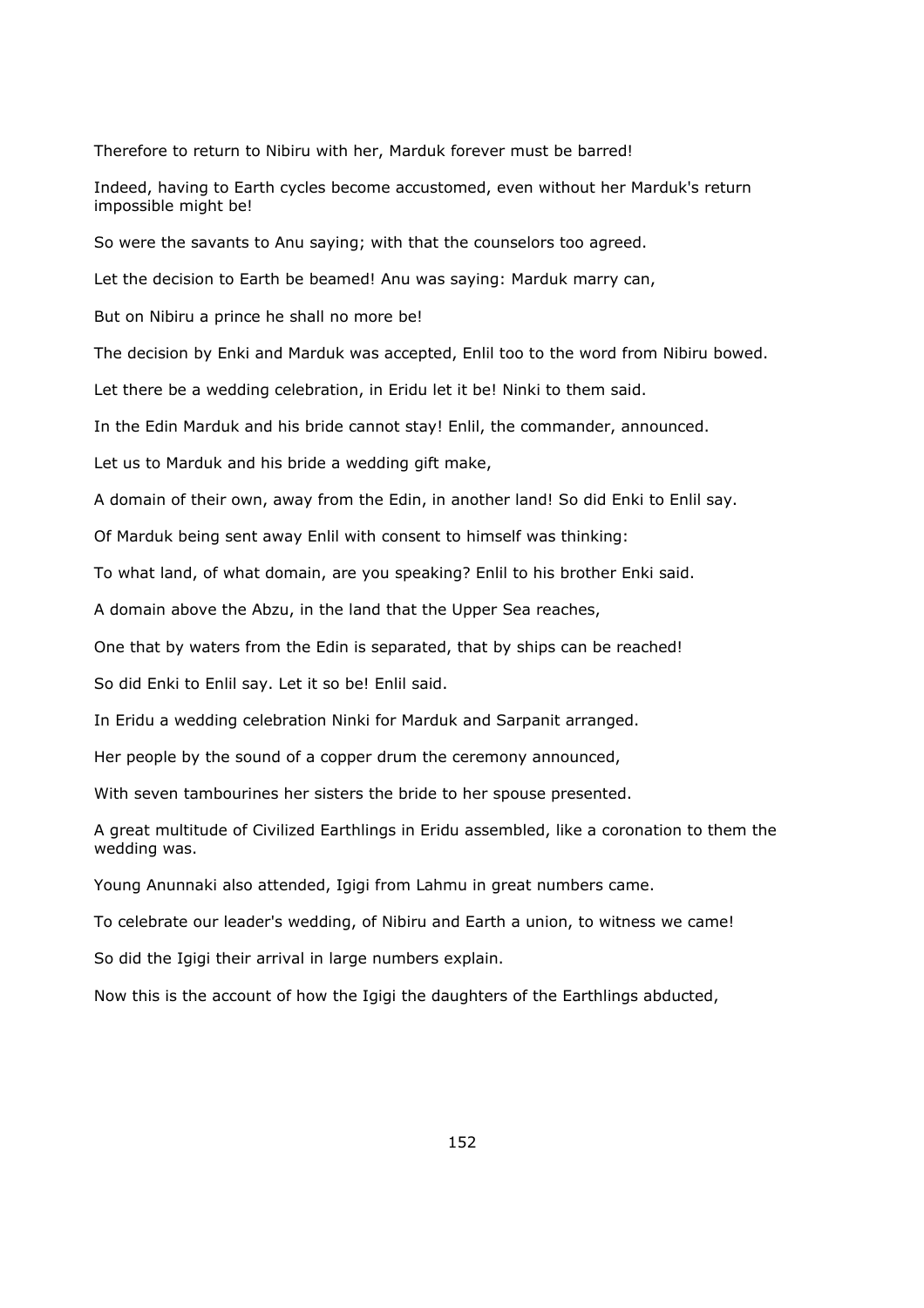Therefore to return to Nibiru with her, Marduk forever must be barred!

Indeed, having to Earth cycles become accustomed, even without her Marduk's return impossible might be!

So were the savants to Anu saying; with that the counselors too agreed.

Let the decision to Earth be beamed! Anu was saying: Marduk marry can,

But on Nibiru a prince he shall no more be!

The decision by Enki and Marduk was accepted, Enlil too to the word from Nibiru bowed.

Let there be a wedding celebration, in Eridu let it be! Ninki to them said.

In the Edin Marduk and his bride cannot stay! Enlil, the commander, announced.

Let us to Marduk and his bride a wedding gift make,

A domain of their own, away from the Edin, in another land! So did Enki to Enlil say.

Of Marduk being sent away Enlil with consent to himself was thinking:

To what land, of what domain, are you speaking? Enlil to his brother Enki said.

A domain above the Abzu, in the land that the Upper Sea reaches,

One that by waters from the Edin is separated, that by ships can be reached!

So did Enki to Enlil say. Let it so be! Enlil said.

In Eridu a wedding celebration Ninki for Marduk and Sarpanit arranged.

Her people by the sound of a copper drum the ceremony announced,

With seven tambourines her sisters the bride to her spouse presented.

A great multitude of Civilized Earthlings in Eridu assembled, like a coronation to them the wedding was.

Young Anunnaki also attended, Igigi from Lahmu in great numbers came.

To celebrate our leader's wedding, of Nibiru and Earth a union, to witness we came!

So did the Igigi their arrival in large numbers explain.

Now this is the account of how the Igigi the daughters of the Earthlings abducted,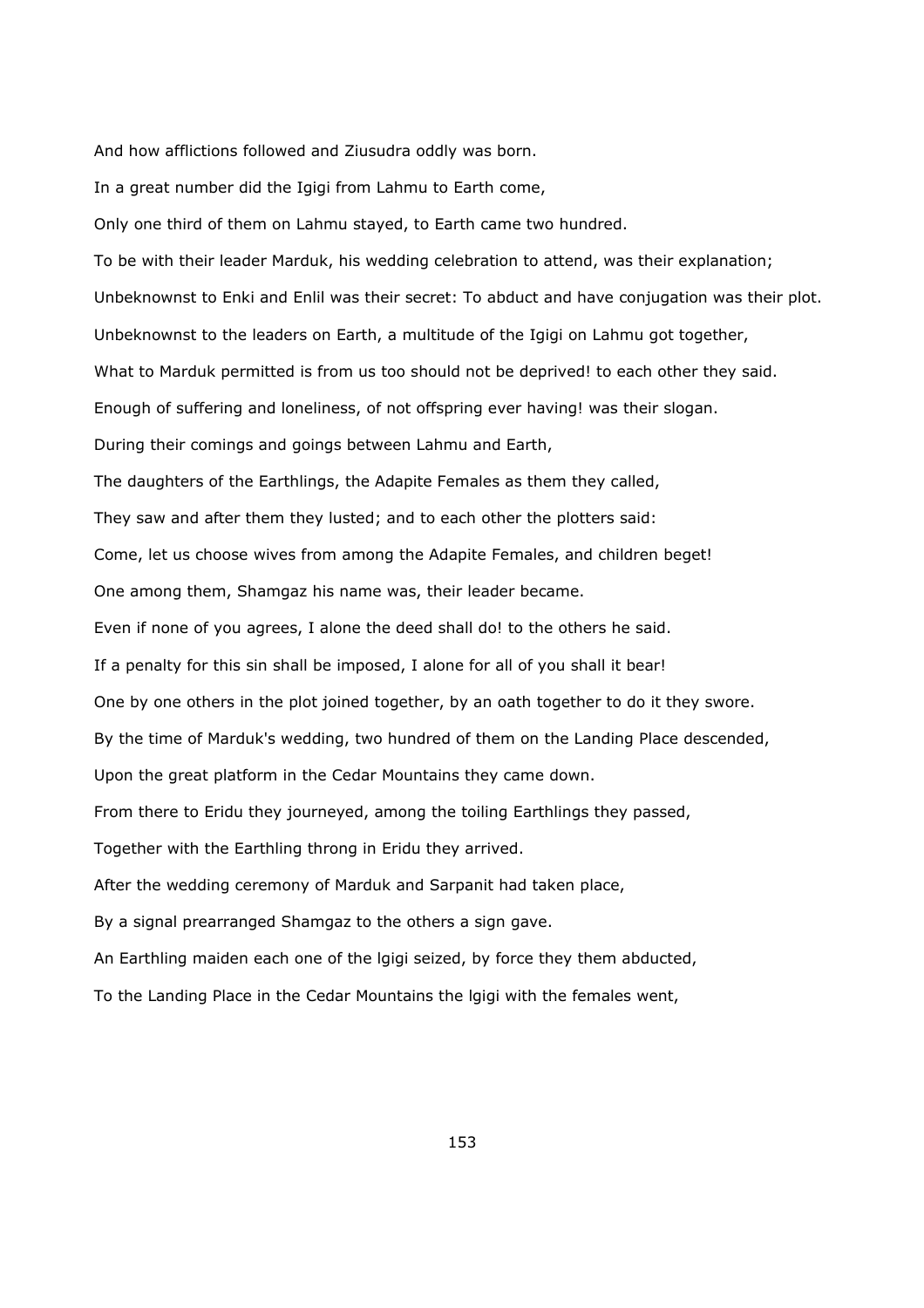And how afflictions followed and Ziusudra oddly was born.

In a great number did the Igigi from Lahmu to Earth come,

Only one third of them on Lahmu stayed, to Earth came two hundred.

To be with their leader Marduk, his wedding celebration to attend, was their explanation; Unbeknownst to Enki and Enlil was their secret: To abduct and have conjugation was their plot. Unbeknownst to the leaders on Earth, a multitude of the Igigi on Lahmu got together, What to Marduk permitted is from us too should not be deprived! to each other they said. Enough of suffering and loneliness, of not offspring ever having! was their slogan.

During their comings and goings between Lahmu and Earth,

The daughters of the Earthlings, the Adapite Females as them they called,

They saw and after them they lusted; and to each other the plotters said:

Come, let us choose wives from among the Adapite Females, and children beget!

One among them, Shamgaz his name was, their leader became.

Even if none of you agrees, I alone the deed shall do! to the others he said.

If a penalty for this sin shall be imposed, I alone for all of you shall it bear!

One by one others in the plot joined together, by an oath together to do it they swore.

By the time of Marduk's wedding, two hundred of them on the Landing Place descended,

Upon the great platform in the Cedar Mountains they came down.

From there to Eridu they journeyed, among the toiling Earthlings they passed,

Together with the Earthling throng in Eridu they arrived.

After the wedding ceremony of Marduk and Sarpanit had taken place,

By a signal prearranged Shamgaz to the others a sign gave.

An Earthling maiden each one of the lgigi seized, by force they them abducted,

To the Landing Place in the Cedar Mountains the lgigi with the females went,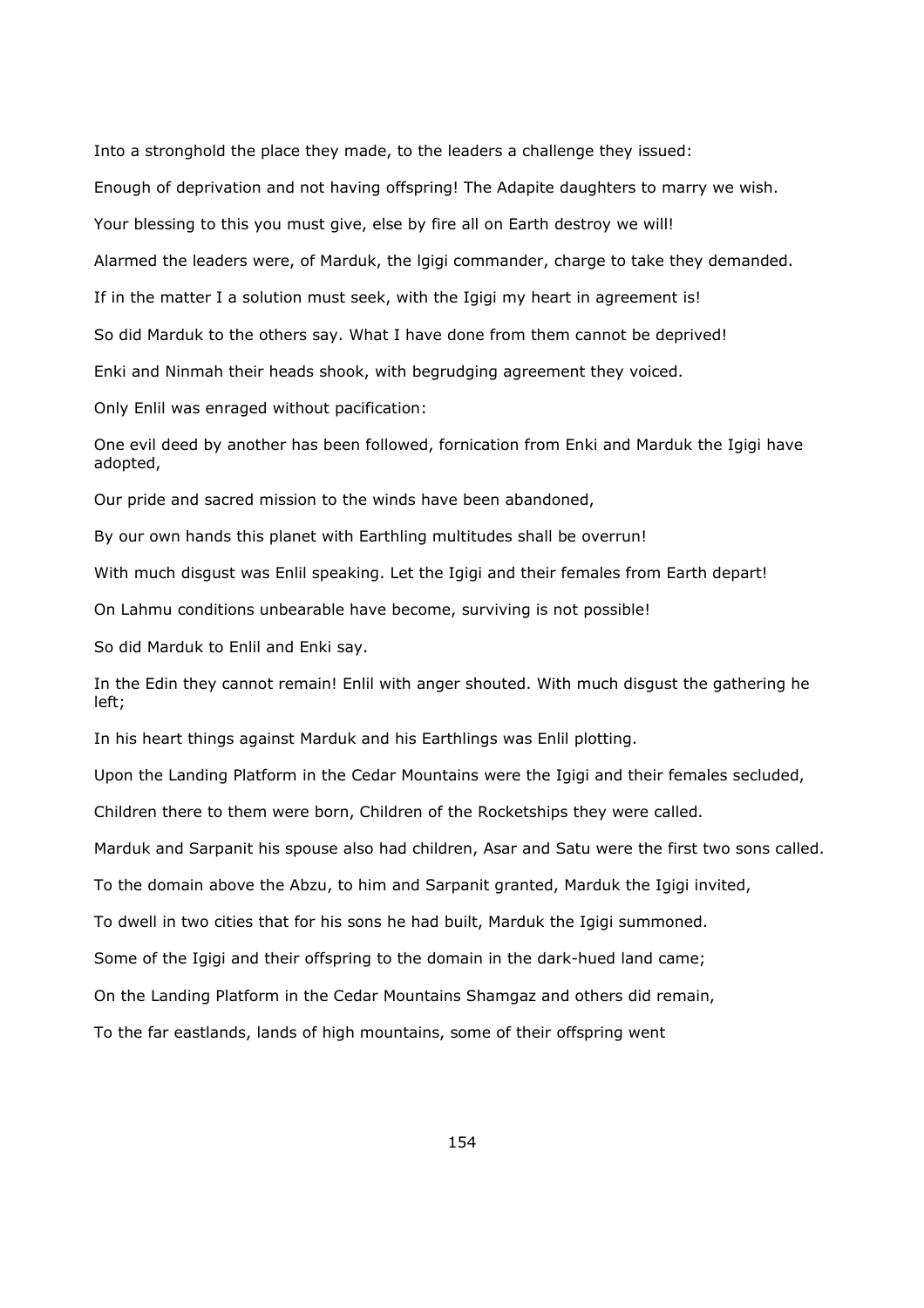Into a stronghold the place they made, to the leaders a challenge they issued: Enough of deprivation and not having offspring! The Adapite daughters to marry we wish. Your blessing to this you must give, else by fire all on Earth destroy we will! Alarmed the leaders were, of Marduk, the lgigi commander, charge to take they demanded. If in the matter I a solution must seek, with the Igigi my heart in agreement is! So did Marduk to the others say. What I have done from them cannot be deprived! Enki and Ninmah their heads shook, with begrudging agreement they voiced. Only Enlil was enraged without pacification:

One evil deed by another has been followed, fornication from Enki and Marduk the Igigi have adopted,

Our pride and sacred mission to the winds have been abandoned,

By our own hands this planet with Earthling multitudes shall be overrun!

With much disgust was Enlil speaking. Let the Igigi and their females from Earth depart!

On Lahmu conditions unbearable have become, surviving is not possible!

So did Marduk to Enlil and Enki say.

In the Edin they cannot remain! Enlil with anger shouted. With much disgust the gathering he left;

In his heart things against Marduk and his Earthlings was Enlil plotting.

Upon the Landing Platform in the Cedar Mountains were the Igigi and their females secluded,

Children there to them were born, Children of the Rocketships they were called.

Marduk and Sarpanit his spouse also had children, Asar and Satu were the first two sons called.

To the domain above the Abzu, to him and Sarpanit granted, Marduk the Igigi invited,

To dwell in two cities that for his sons he had built, Marduk the Igigi summoned.

Some of the Igigi and their offspring to the domain in the dark-hued land came;

On the Landing Platform in the Cedar Mountains Shamgaz and others did remain,

To the far eastlands, lands of high mountains, some of their offspring went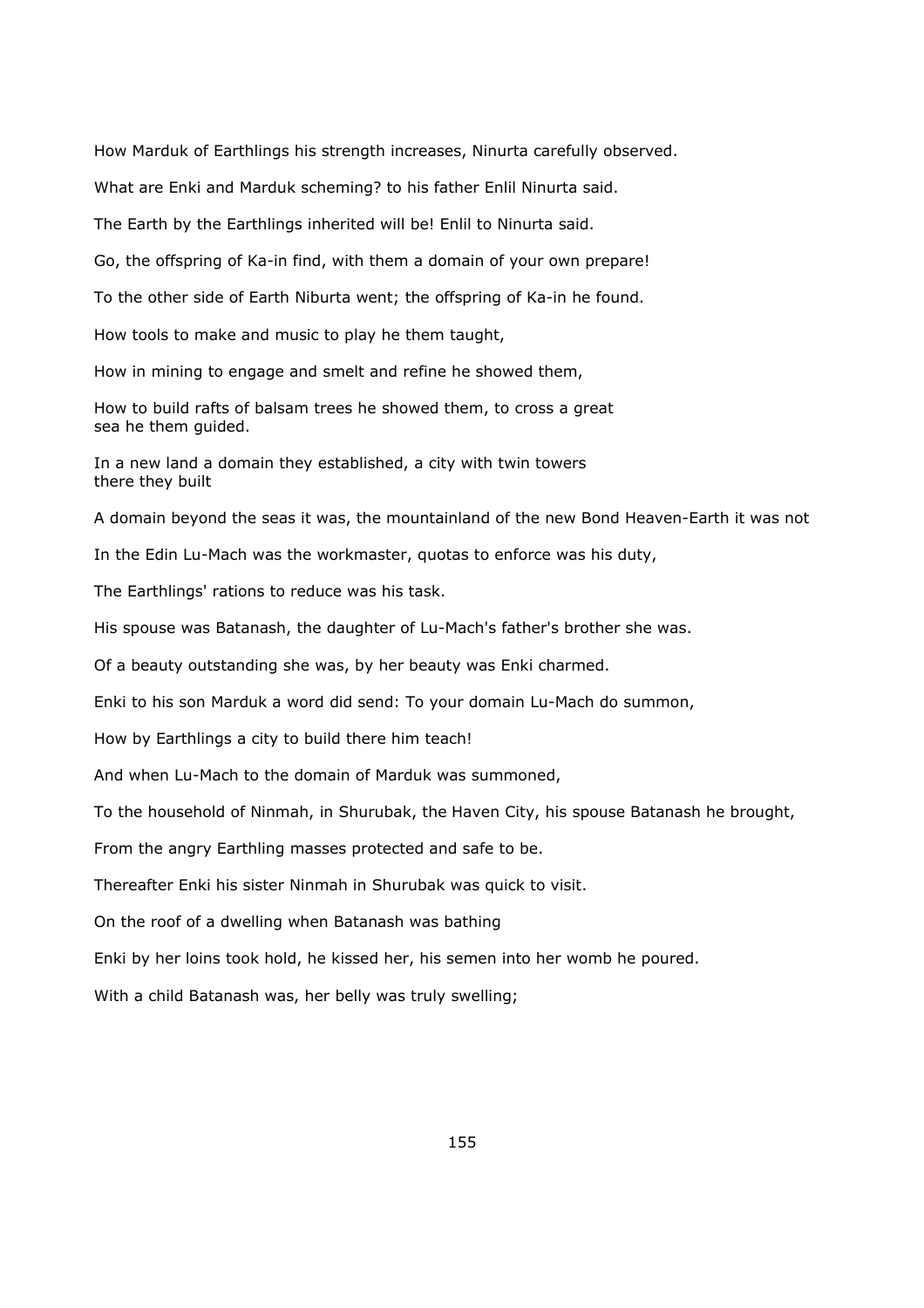How Marduk of Earthlings his strength increases, Ninurta carefully observed.

What are Enki and Marduk scheming? to his father Enlil Ninurta said.

The Earth by the Earthlings inherited will be! Enlil to Ninurta said.

Go, the offspring of Ka-in find, with them a domain of your own prepare!

To the other side of Earth Niburta went; the offspring of Ka-in he found.

How tools to make and music to play he them taught,

How in mining to engage and smelt and refine he showed them,

How to build rafts of balsam trees he showed them, to cross a great sea he them guided.

In a new land a domain they established, a city with twin towers there they built

A domain beyond the seas it was, the mountainland of the new Bond Heaven-Earth it was not

In the Edin Lu-Mach was the workmaster, quotas to enforce was his duty,

The Earthlings' rations to reduce was his task.

His spouse was Batanash, the daughter of Lu-Mach's father's brother she was.

Of a beauty outstanding she was, by her beauty was Enki charmed.

Enki to his son Marduk a word did send: To your domain Lu-Mach do summon,

How by Earthlings a city to build there him teach!

And when Lu-Mach to the domain of Marduk was summoned,

To the household of Ninmah, in Shurubak, the Haven City, his spouse Batanash he brought,

From the angry Earthling masses protected and safe to be.

Thereafter Enki his sister Ninmah in Shurubak was quick to visit.

On the roof of a dwelling when Batanash was bathing

Enki by her loins took hold, he kissed her, his semen into her womb he poured.

With a child Batanash was, her belly was truly swelling;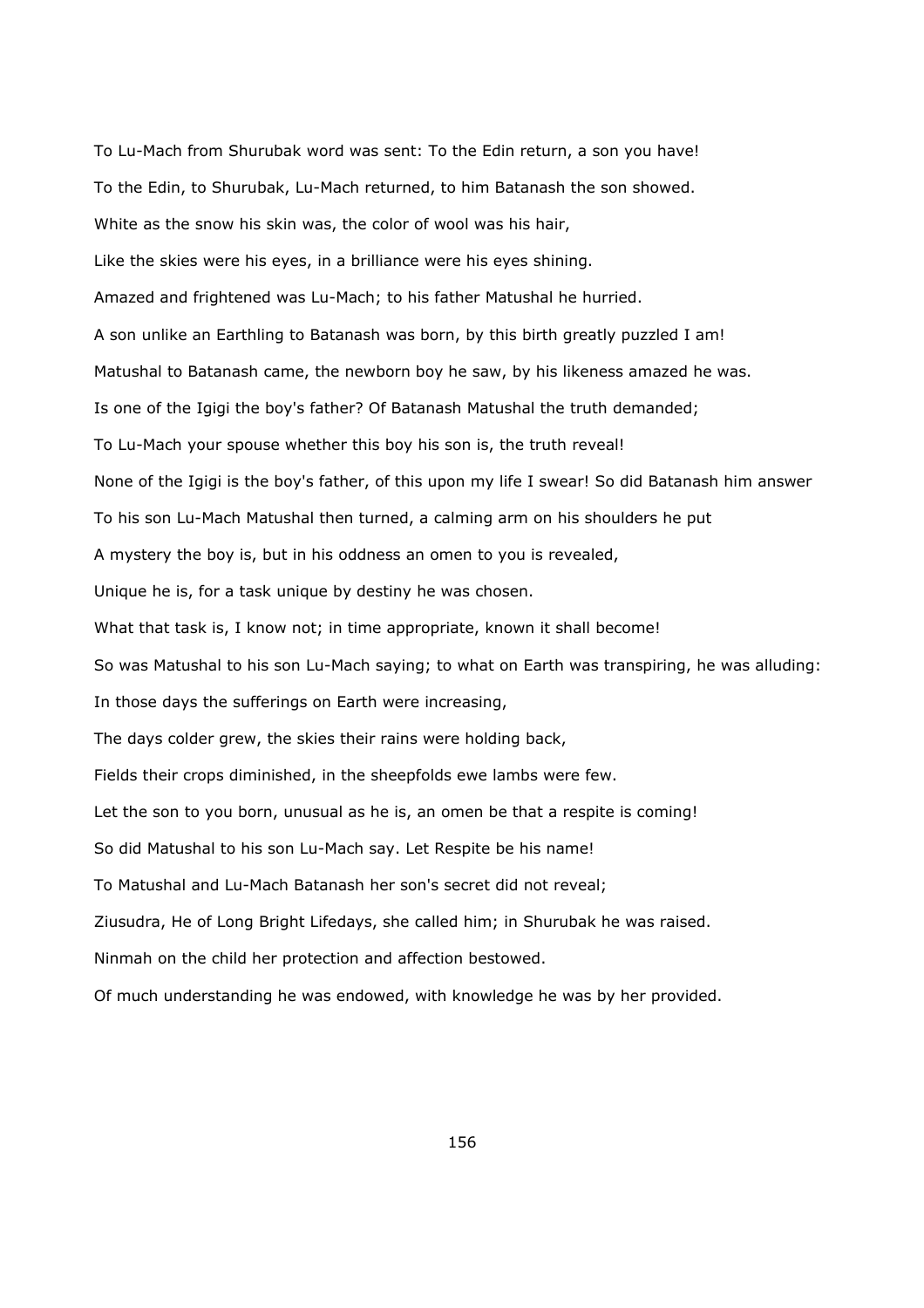To Lu-Mach from Shurubak word was sent: To the Edin return, a son you have! To the Edin, to Shurubak, Lu-Mach returned, to him Batanash the son showed. White as the snow his skin was, the color of wool was his hair, Like the skies were his eyes, in a brilliance were his eyes shining. Amazed and frightened was Lu-Mach; to his father Matushal he hurried. A son unlike an Earthling to Batanash was born, by this birth greatly puzzled I am! Matushal to Batanash came, the newborn boy he saw, by his likeness amazed he was. Is one of the Igigi the boy's father? Of Batanash Matushal the truth demanded; To Lu-Mach your spouse whether this boy his son is, the truth reveal! None of the Igigi is the boy's father, of this upon my life I swear! So did Batanash him answer To his son Lu-Mach Matushal then turned, a calming arm on his shoulders he put A mystery the boy is, but in his oddness an omen to you is revealed, Unique he is, for a task unique by destiny he was chosen. What that task is, I know not; in time appropriate, known it shall become! So was Matushal to his son Lu-Mach saying; to what on Earth was transpiring, he was alluding: In those days the sufferings on Earth were increasing, The days colder grew, the skies their rains were holding back, Fields their crops diminished, in the sheepfolds ewe lambs were few. Let the son to you born, unusual as he is, an omen be that a respite is coming! So did Matushal to his son Lu-Mach say. Let Respite be his name! To Matushal and Lu-Mach Batanash her son's secret did not reveal; Ziusudra, He of Long Bright Lifedays, she called him; in Shurubak he was raised. Ninmah on the child her protection and affection bestowed. Of much understanding he was endowed, with knowledge he was by her provided.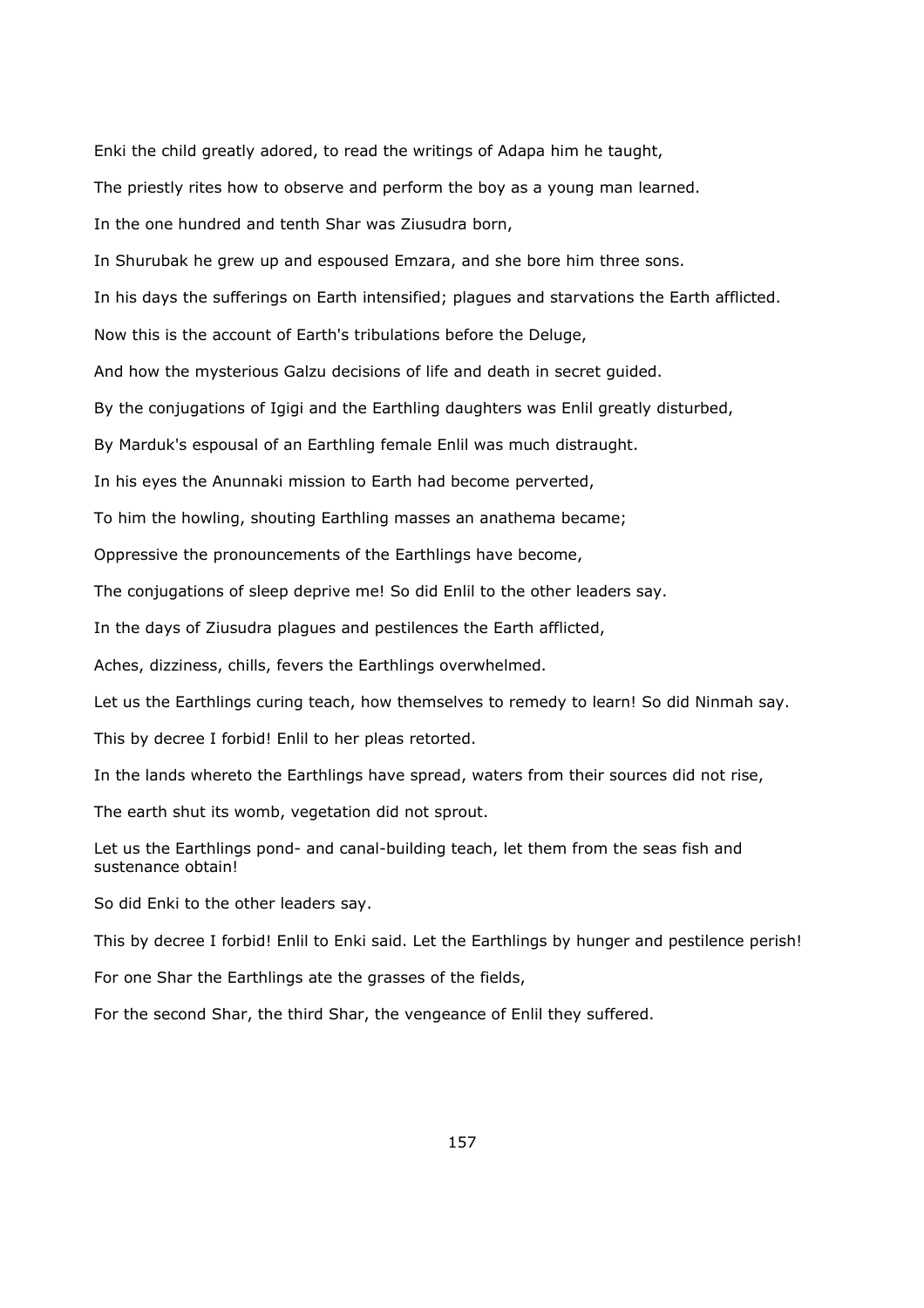Enki the child greatly adored, to read the writings of Adapa him he taught,

The priestly rites how to observe and perform the boy as a young man learned.

In the one hundred and tenth Shar was Ziusudra born,

In Shurubak he grew up and espoused Emzara, and she bore him three sons.

In his days the sufferings on Earth intensified; plagues and starvations the Earth afflicted.

Now this is the account of Earth's tribulations before the Deluge,

And how the mysterious Galzu decisions of life and death in secret guided.

By the conjugations of Igigi and the Earthling daughters was Enlil greatly disturbed,

By Marduk's espousal of an Earthling female Enlil was much distraught.

In his eyes the Anunnaki mission to Earth had become perverted,

To him the howling, shouting Earthling masses an anathema became;

Oppressive the pronouncements of the Earthlings have become,

The conjugations of sleep deprive me! So did Enlil to the other leaders say.

In the days of Ziusudra plagues and pestilences the Earth afflicted,

Aches, dizziness, chills, fevers the Earthlings overwhelmed.

Let us the Earthlings curing teach, how themselves to remedy to learn! So did Ninmah say.

This by decree I forbid! Enlil to her pleas retorted.

In the lands whereto the Earthlings have spread, waters from their sources did not rise,

The earth shut its womb, vegetation did not sprout.

Let us the Earthlings pond- and canal-building teach, let them from the seas fish and sustenance obtain!

So did Enki to the other leaders say.

This by decree I forbid! Enlil to Enki said. Let the Earthlings by hunger and pestilence perish!

For one Shar the Earthlings ate the grasses of the fields,

For the second Shar, the third Shar, the vengeance of Enlil they suffered.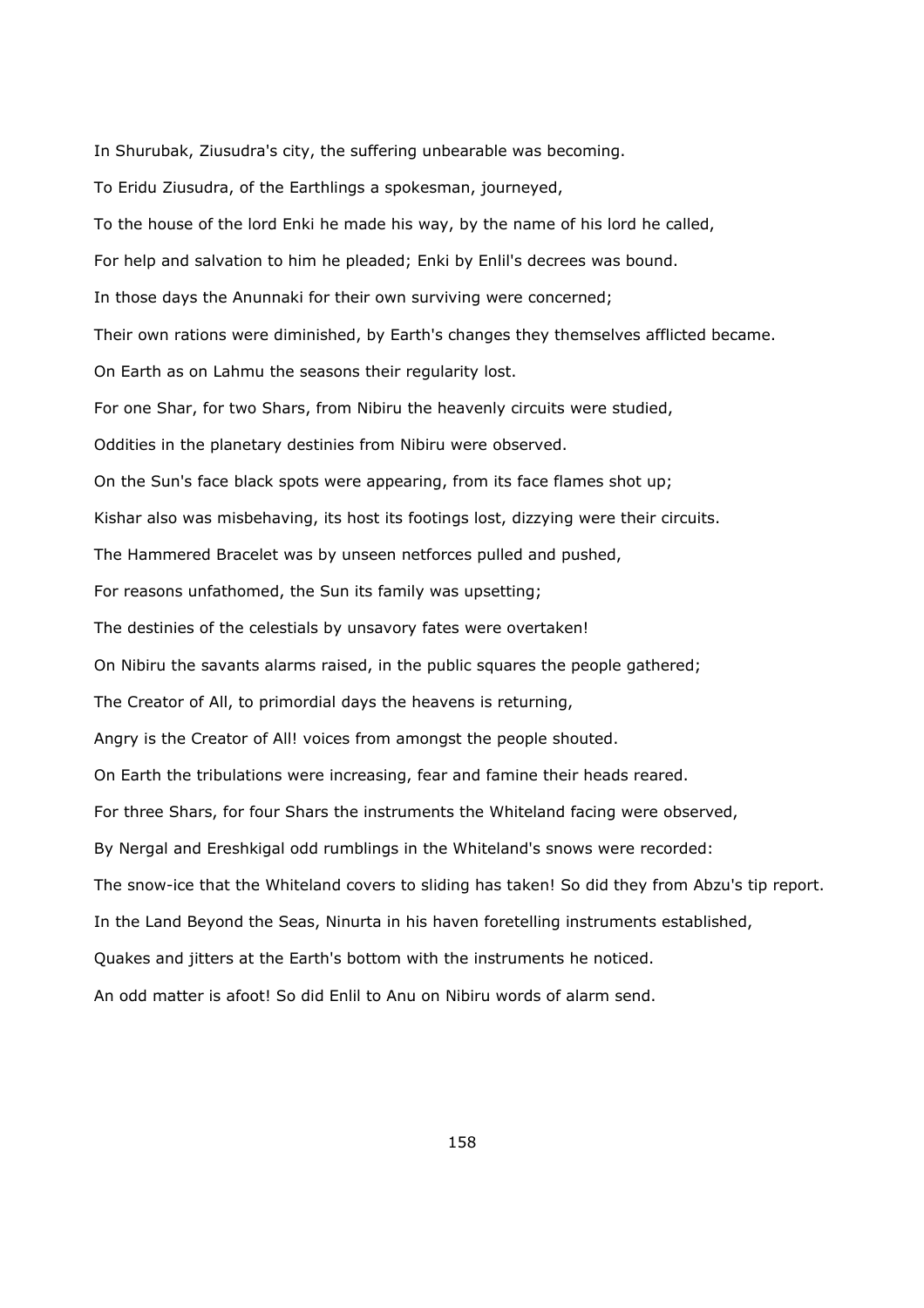In Shurubak, Ziusudra's city, the suffering unbearable was becoming. To Eridu Ziusudra, of the Earthlings a spokesman, journeyed, To the house of the lord Enki he made his way, by the name of his lord he called, For help and salvation to him he pleaded; Enki by Enlil's decrees was bound. In those days the Anunnaki for their own surviving were concerned; Their own rations were diminished, by Earth's changes they themselves afflicted became. On Earth as on Lahmu the seasons their regularity lost. For one Shar, for two Shars, from Nibiru the heavenly circuits were studied, Oddities in the planetary destinies from Nibiru were observed. On the Sun's face black spots were appearing, from its face flames shot up; Kishar also was misbehaving, its host its footings lost, dizzying were their circuits. The Hammered Bracelet was by unseen netforces pulled and pushed, For reasons unfathomed, the Sun its family was upsetting; The destinies of the celestials by unsavory fates were overtaken! On Nibiru the savants alarms raised, in the public squares the people gathered; The Creator of All, to primordial days the heavens is returning, Angry is the Creator of All! voices from amongst the people shouted. On Earth the tribulations were increasing, fear and famine their heads reared. For three Shars, for four Shars the instruments the Whiteland facing were observed, By Nergal and Ereshkigal odd rumblings in the Whiteland's snows were recorded: The snow-ice that the Whiteland covers to sliding has taken! So did they from Abzu's tip report. In the Land Beyond the Seas, Ninurta in his haven foretelling instruments established, Quakes and jitters at the Earth's bottom with the instruments he noticed. An odd matter is afoot! So did Enlil to Anu on Nibiru words of alarm send.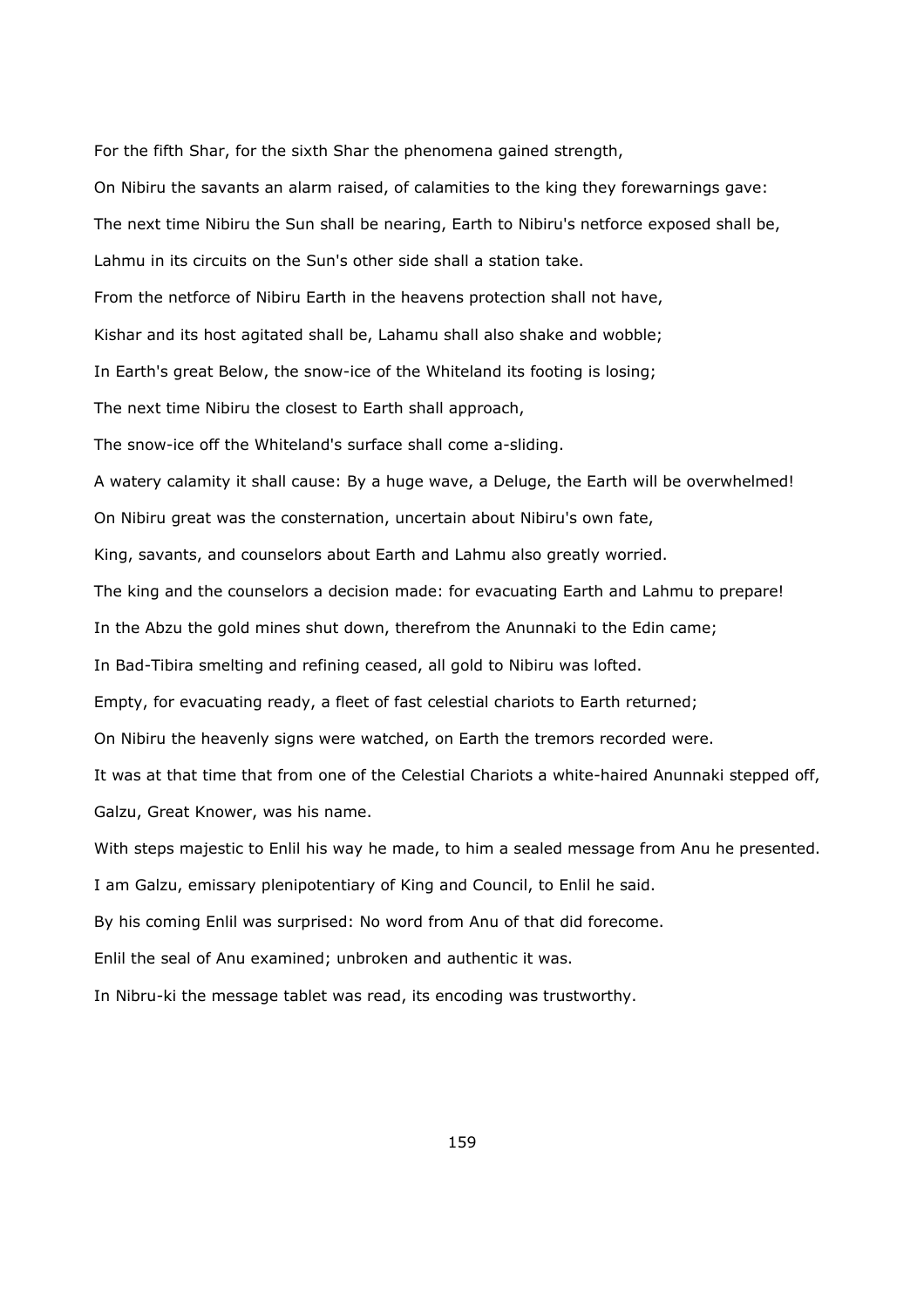For the fifth Shar, for the sixth Shar the phenomena gained strength,

On Nibiru the savants an alarm raised, of calamities to the king they forewarnings gave: The next time Nibiru the Sun shall be nearing, Earth to Nibiru's netforce exposed shall be, Lahmu in its circuits on the Sun's other side shall a station take. From the netforce of Nibiru Earth in the heavens protection shall not have, Kishar and its host agitated shall be, Lahamu shall also shake and wobble; In Earth's great Below, the snow-ice of the Whiteland its footing is losing; The next time Nibiru the closest to Earth shall approach, The snow-ice off the Whiteland's surface shall come a-sliding. A watery calamity it shall cause: By a huge wave, a Deluge, the Earth will be overwhelmed! On Nibiru great was the consternation, uncertain about Nibiru's own fate, King, savants, and counselors about Earth and Lahmu also greatly worried. The king and the counselors a decision made: for evacuating Earth and Lahmu to prepare! In the Abzu the gold mines shut down, therefrom the Anunnaki to the Edin came; In Bad-Tibira smelting and refining ceased, all gold to Nibiru was lofted. Empty, for evacuating ready, a fleet of fast celestial chariots to Earth returned; On Nibiru the heavenly signs were watched, on Earth the tremors recorded were. It was at that time that from one of the Celestial Chariots a white-haired Anunnaki stepped off, Galzu, Great Knower, was his name. With steps majestic to Enlil his way he made, to him a sealed message from Anu he presented.

I am Galzu, emissary plenipotentiary of King and Council, to Enlil he said.

By his coming Enlil was surprised: No word from Anu of that did forecome.

Enlil the seal of Anu examined; unbroken and authentic it was.

In Nibru-ki the message tablet was read, its encoding was trustworthy.

159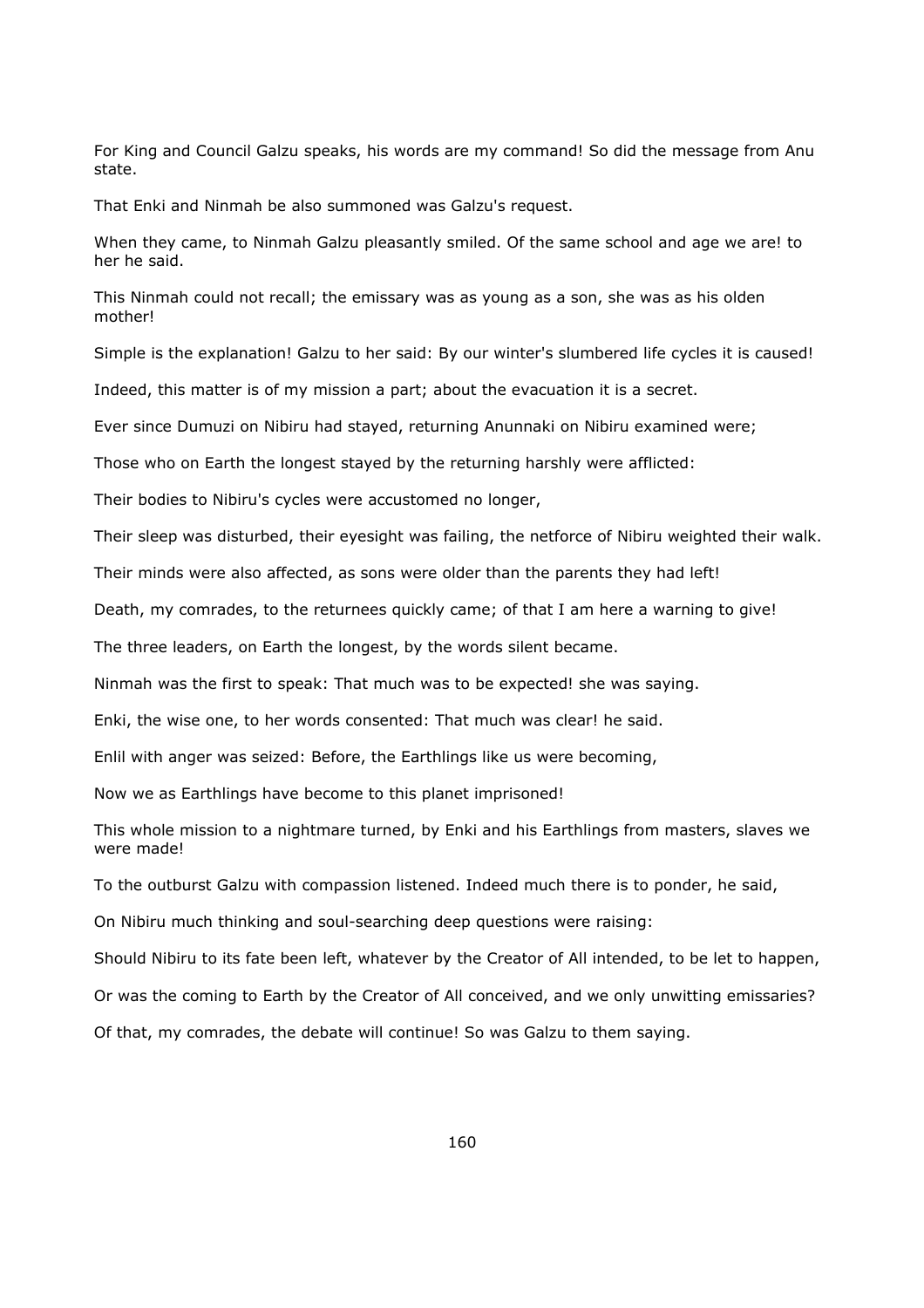For King and Council Galzu speaks, his words are my command! So did the message from Anu state.

That Enki and Ninmah be also summoned was Galzu's request.

When they came, to Ninmah Galzu pleasantly smiled. Of the same school and age we are! to her he said.

This Ninmah could not recall; the emissary was as young as a son, she was as his olden mother!

Simple is the explanation! Galzu to her said: By our winter's slumbered life cycles it is caused!

Indeed, this matter is of my mission a part; about the evacuation it is a secret.

Ever since Dumuzi on Nibiru had stayed, returning Anunnaki on Nibiru examined were;

Those who on Earth the longest stayed by the returning harshly were afflicted:

Their bodies to Nibiru's cycles were accustomed no longer,

Their sleep was disturbed, their eyesight was failing, the netforce of Nibiru weighted their walk.

Their minds were also affected, as sons were older than the parents they had left!

Death, my comrades, to the returnees quickly came; of that I am here a warning to give!

The three leaders, on Earth the longest, by the words silent became.

Ninmah was the first to speak: That much was to be expected! she was saying.

Enki, the wise one, to her words consented: That much was clear! he said.

Enlil with anger was seized: Before, the Earthlings like us were becoming,

Now we as Earthlings have become to this planet imprisoned!

This whole mission to a nightmare turned, by Enki and his Earthlings from masters, slaves we were made!

To the outburst Galzu with compassion listened. Indeed much there is to ponder, he said,

On Nibiru much thinking and soul-searching deep questions were raising:

Should Nibiru to its fate been left, whatever by the Creator of All intended, to be let to happen,

Or was the coming to Earth by the Creator of All conceived, and we only unwitting emissaries?

Of that, my comrades, the debate will continue! So was Galzu to them saying.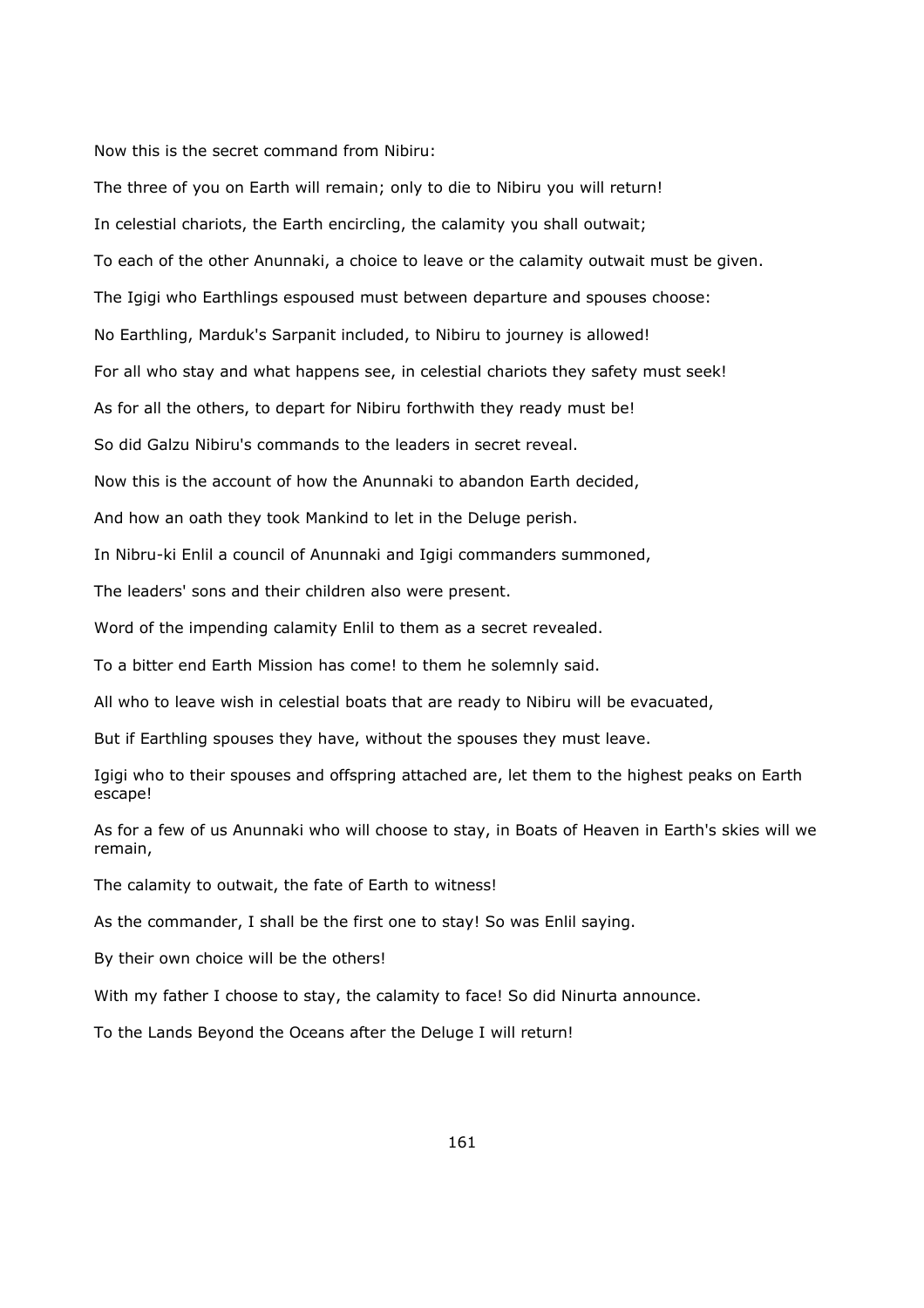Now this is the secret command from Nibiru:

The three of you on Earth will remain; only to die to Nibiru you will return! In celestial chariots, the Earth encircling, the calamity you shall outwait; To each of the other Anunnaki, a choice to leave or the calamity outwait must be given. The Igigi who Earthlings espoused must between departure and spouses choose: No Earthling, Marduk's Sarpanit included, to Nibiru to journey is allowed! For all who stay and what happens see, in celestial chariots they safety must seek! As for all the others, to depart for Nibiru forthwith they ready must be! So did Galzu Nibiru's commands to the leaders in secret reveal. Now this is the account of how the Anunnaki to abandon Earth decided, And how an oath they took Mankind to let in the Deluge perish. In Nibru-ki Enlil a council of Anunnaki and Igigi commanders summoned, The leaders' sons and their children also were present. Word of the impending calamity Enlil to them as a secret revealed. To a bitter end Earth Mission has come! to them he solemnly said. All who to leave wish in celestial boats that are ready to Nibiru will be evacuated, But if Earthling spouses they have, without the spouses they must leave. Igigi who to their spouses and offspring attached are, let them to the highest peaks on Earth escape! As for a few of us Anunnaki who will choose to stay, in Boats of Heaven in Earth's skies will we remain, The calamity to outwait, the fate of Earth to witness! As the commander, I shall be the first one to stay! So was Enlil saying. By their own choice will be the others!

With my father I choose to stay, the calamity to face! So did Ninurta announce.

To the Lands Beyond the Oceans after the Deluge I will return!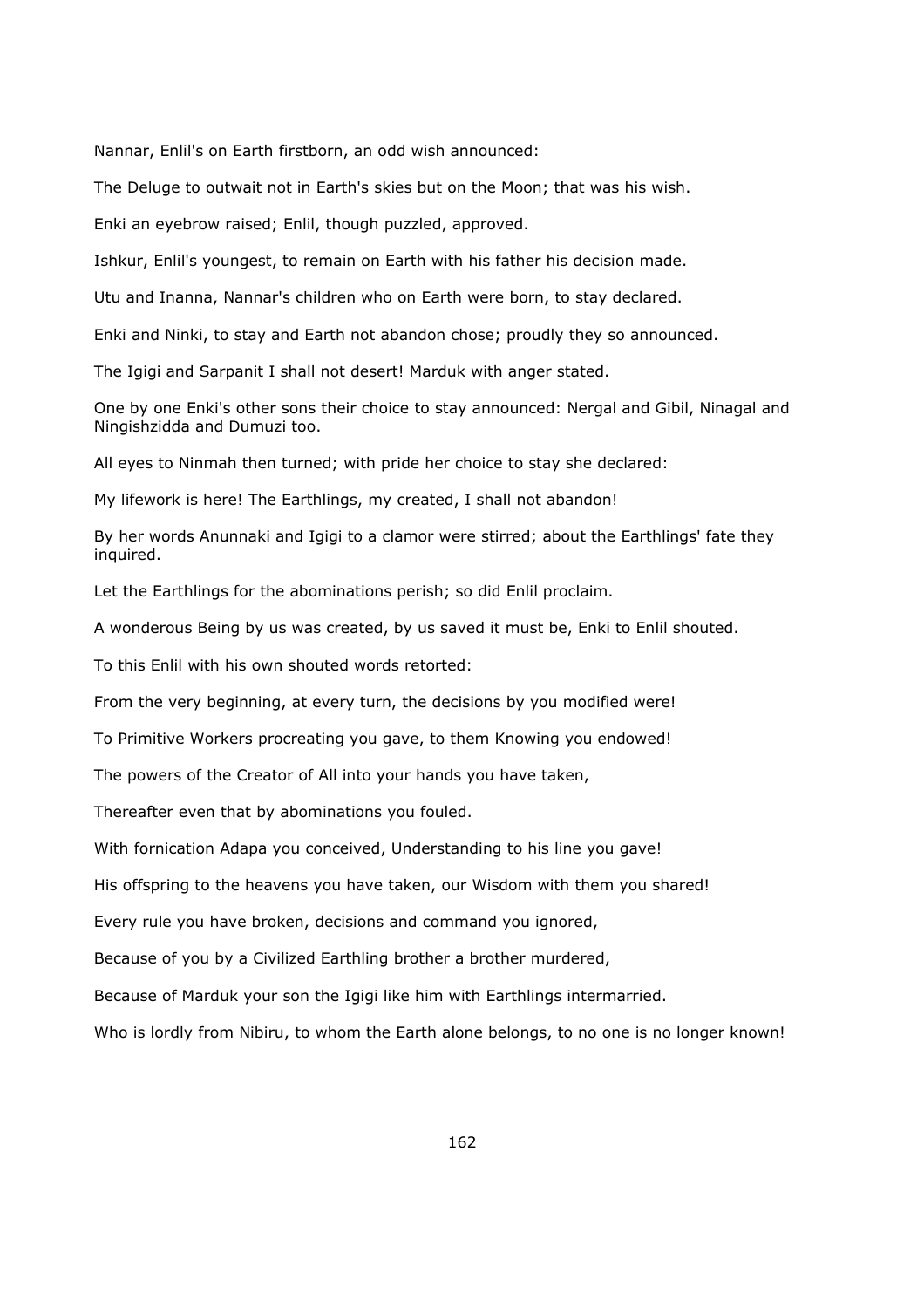Nannar, Enlil's on Earth firstborn, an odd wish announced:

The Deluge to outwait not in Earth's skies but on the Moon; that was his wish.

Enki an eyebrow raised; Enlil, though puzzled, approved.

Ishkur, Enlil's youngest, to remain on Earth with his father his decision made.

Utu and Inanna, Nannar's children who on Earth were born, to stay declared.

Enki and Ninki, to stay and Earth not abandon chose; proudly they so announced.

The Igigi and Sarpanit I shall not desert! Marduk with anger stated.

One by one Enki's other sons their choice to stay announced: Nergal and Gibil, Ninagal and Ningishzidda and Dumuzi too.

All eyes to Ninmah then turned; with pride her choice to stay she declared:

My lifework is here! The Earthlings, my created, I shall not abandon!

By her words Anunnaki and Igigi to a clamor were stirred; about the Earthlings' fate they inquired.

Let the Earthlings for the abominations perish; so did Enlil proclaim.

A wonderous Being by us was created, by us saved it must be, Enki to Enlil shouted.

To this Enlil with his own shouted words retorted:

From the very beginning, at every turn, the decisions by you modified were!

To Primitive Workers procreating you gave, to them Knowing you endowed!

The powers of the Creator of All into your hands you have taken,

Thereafter even that by abominations you fouled.

With fornication Adapa you conceived, Understanding to his line you gave!

His offspring to the heavens you have taken, our Wisdom with them you shared!

Every rule you have broken, decisions and command you ignored,

Because of you by a Civilized Earthling brother a brother murdered,

Because of Marduk your son the Igigi like him with Earthlings intermarried.

Who is lordly from Nibiru, to whom the Earth alone belongs, to no one is no longer known!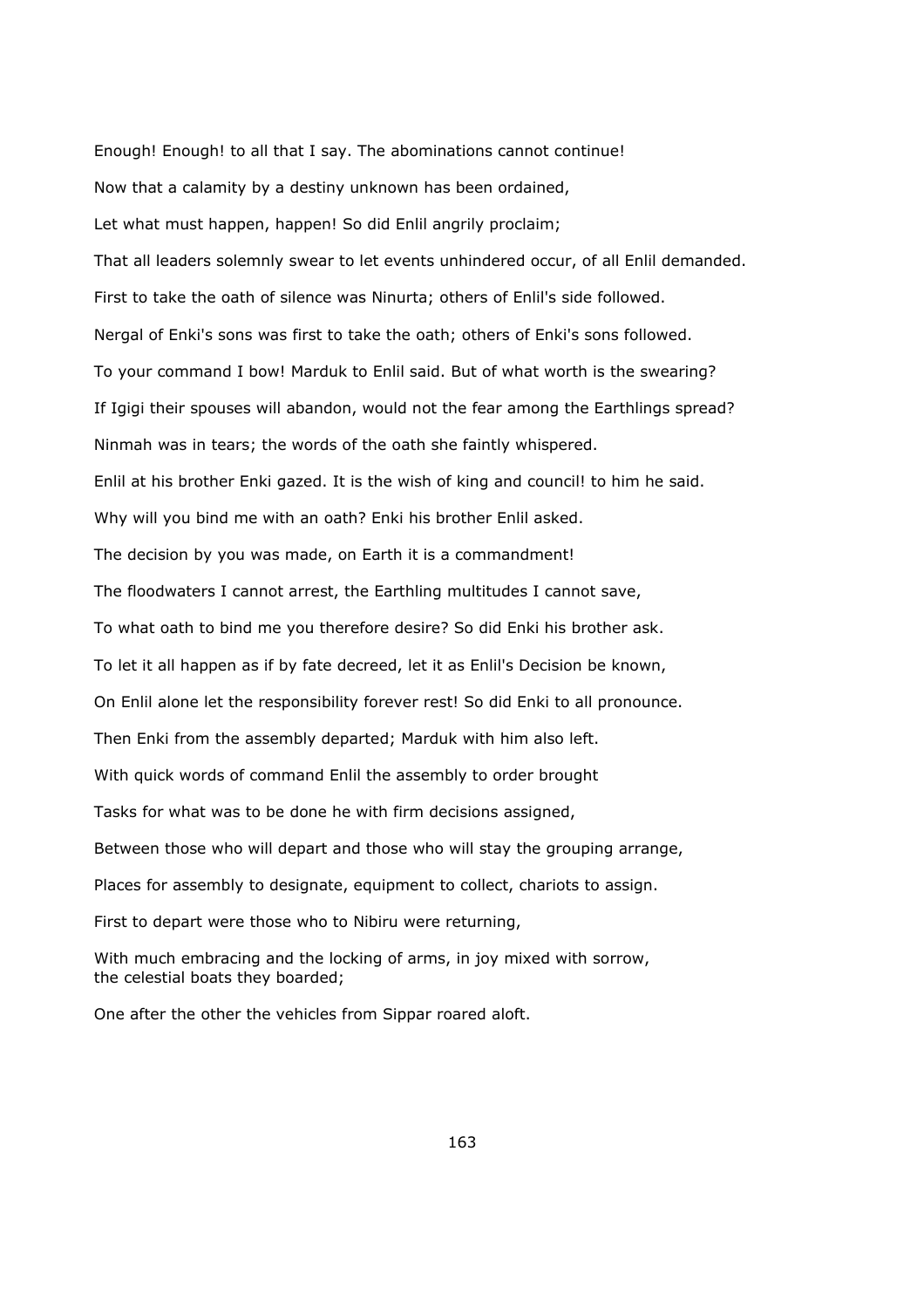Enough! Enough! to all that I say. The abominations cannot continue! Now that a calamity by a destiny unknown has been ordained, Let what must happen, happen! So did Enlil angrily proclaim; That all leaders solemnly swear to let events unhindered occur, of all Enlil demanded. First to take the oath of silence was Ninurta; others of Enlil's side followed. Nergal of Enki's sons was first to take the oath; others of Enki's sons followed. To your command I bow! Marduk to Enlil said. But of what worth is the swearing? If Igigi their spouses will abandon, would not the fear among the Earthlings spread? Ninmah was in tears; the words of the oath she faintly whispered. Enlil at his brother Enki gazed. It is the wish of king and council! to him he said. Why will you bind me with an oath? Enki his brother Enlil asked. The decision by you was made, on Earth it is a commandment! The floodwaters I cannot arrest, the Earthling multitudes I cannot save, To what oath to bind me you therefore desire? So did Enki his brother ask. To let it all happen as if by fate decreed, let it as Enlil's Decision be known, On Enlil alone let the responsibility forever rest! So did Enki to all pronounce. Then Enki from the assembly departed; Marduk with him also left. With quick words of command Enlil the assembly to order brought Tasks for what was to be done he with firm decisions assigned, Between those who will depart and those who will stay the grouping arrange, Places for assembly to designate, equipment to collect, chariots to assign. First to depart were those who to Nibiru were returning, With much embracing and the locking of arms, in joy mixed with sorrow,

the celestial boats they boarded;

One after the other the vehicles from Sippar roared aloft.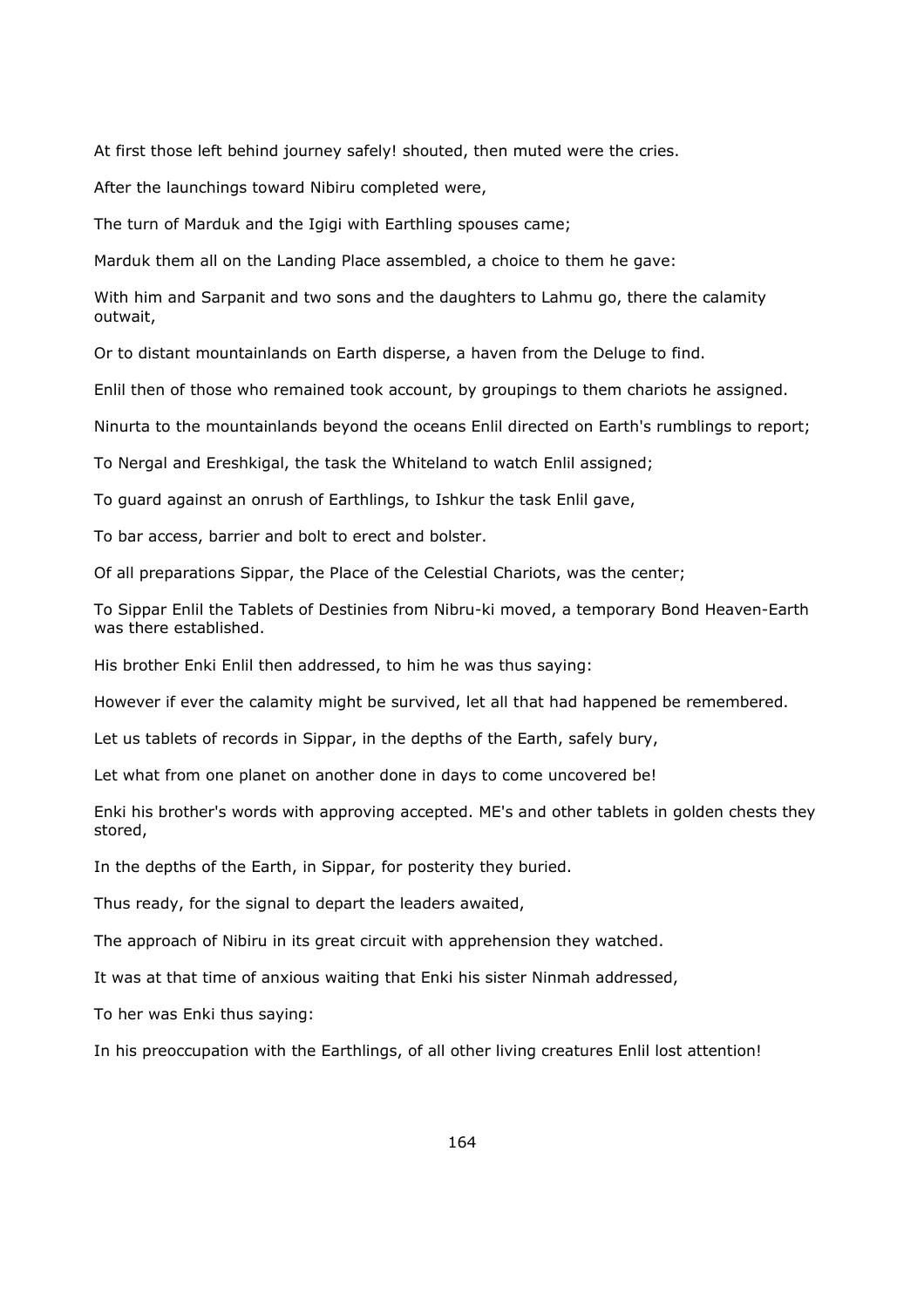At first those left behind journey safely! shouted, then muted were the cries.

After the launchings toward Nibiru completed were,

The turn of Marduk and the Igigi with Earthling spouses came;

Marduk them all on the Landing Place assembled, a choice to them he gave:

With him and Sarpanit and two sons and the daughters to Lahmu go, there the calamity outwait,

Or to distant mountainlands on Earth disperse, a haven from the Deluge to find.

Enlil then of those who remained took account, by groupings to them chariots he assigned.

Ninurta to the mountainlands beyond the oceans Enlil directed on Earth's rumblings to report;

To Nergal and Ereshkigal, the task the Whiteland to watch Enlil assigned;

To guard against an onrush of Earthlings, to Ishkur the task Enlil gave,

To bar access, barrier and bolt to erect and bolster.

Of all preparations Sippar, the Place of the Celestial Chariots, was the center;

To Sippar Enlil the Tablets of Destinies from Nibru-ki moved, a temporary Bond Heaven-Earth was there established.

His brother Enki Enlil then addressed, to him he was thus saying:

However if ever the calamity might be survived, let all that had happened be remembered.

Let us tablets of records in Sippar, in the depths of the Earth, safely bury,

Let what from one planet on another done in days to come uncovered be!

Enki his brother's words with approving accepted. ME's and other tablets in golden chests they stored,

In the depths of the Earth, in Sippar, for posterity they buried.

Thus ready, for the signal to depart the leaders awaited,

The approach of Nibiru in its great circuit with apprehension they watched.

It was at that time of anxious waiting that Enki his sister Ninmah addressed,

To her was Enki thus saying:

In his preoccupation with the Earthlings, of all other living creatures Enlil lost attention!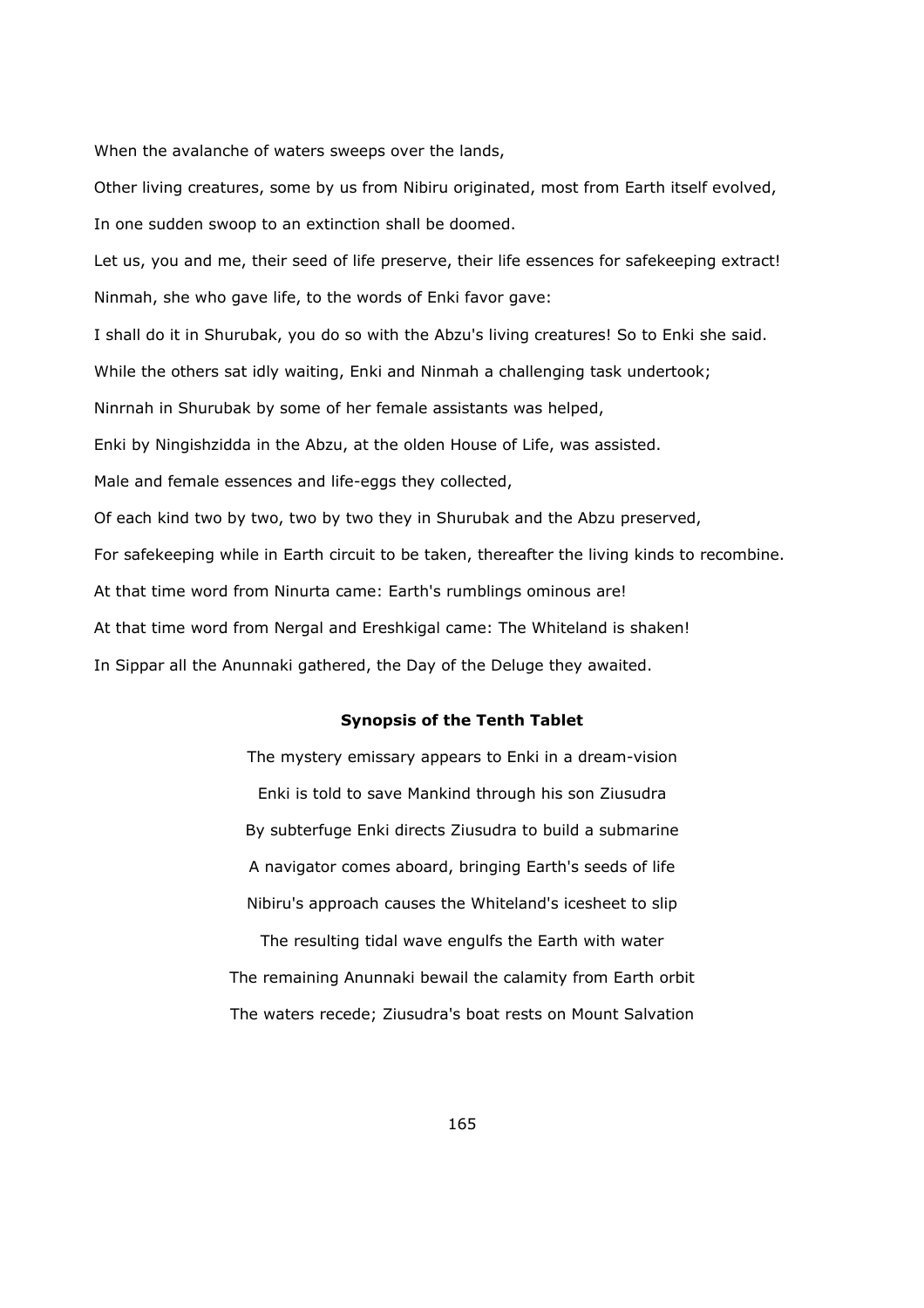When the avalanche of waters sweeps over the lands,

Other living creatures, some by us from Nibiru originated, most from Earth itself evolved, In one sudden swoop to an extinction shall be doomed.

Let us, you and me, their seed of life preserve, their life essences for safekeeping extract! Ninmah, she who gave life, to the words of Enki favor gave:

I shall do it in Shurubak, you do so with the Abzu's living creatures! So to Enki she said. While the others sat idly waiting, Enki and Ninmah a challenging task undertook;

Ninrnah in Shurubak by some of her female assistants was helped,

Enki by Ningishzidda in the Abzu, at the olden House of Life, was assisted.

Male and female essences and life-eggs they collected,

Of each kind two by two, two by two they in Shurubak and the Abzu preserved, For safekeeping while in Earth circuit to be taken, thereafter the living kinds to recombine. At that time word from Ninurta came: Earth's rumblings ominous are! At that time word from Nergal and Ereshkigal came: The Whiteland is shaken! In Sippar all the Anunnaki gathered, the Day of the Deluge they awaited.

## **Synopsis of the Tenth Tablet**

The mystery emissary appears to Enki in a dream-vision Enki is told to save Mankind through his son Ziusudra By subterfuge Enki directs Ziusudra to build a submarine A navigator comes aboard, bringing Earth's seeds of life Nibiru's approach causes the Whiteland's icesheet to slip

The resulting tidal wave engulfs the Earth with water The remaining Anunnaki bewail the calamity from Earth orbit The waters recede; Ziusudra's boat rests on Mount Salvation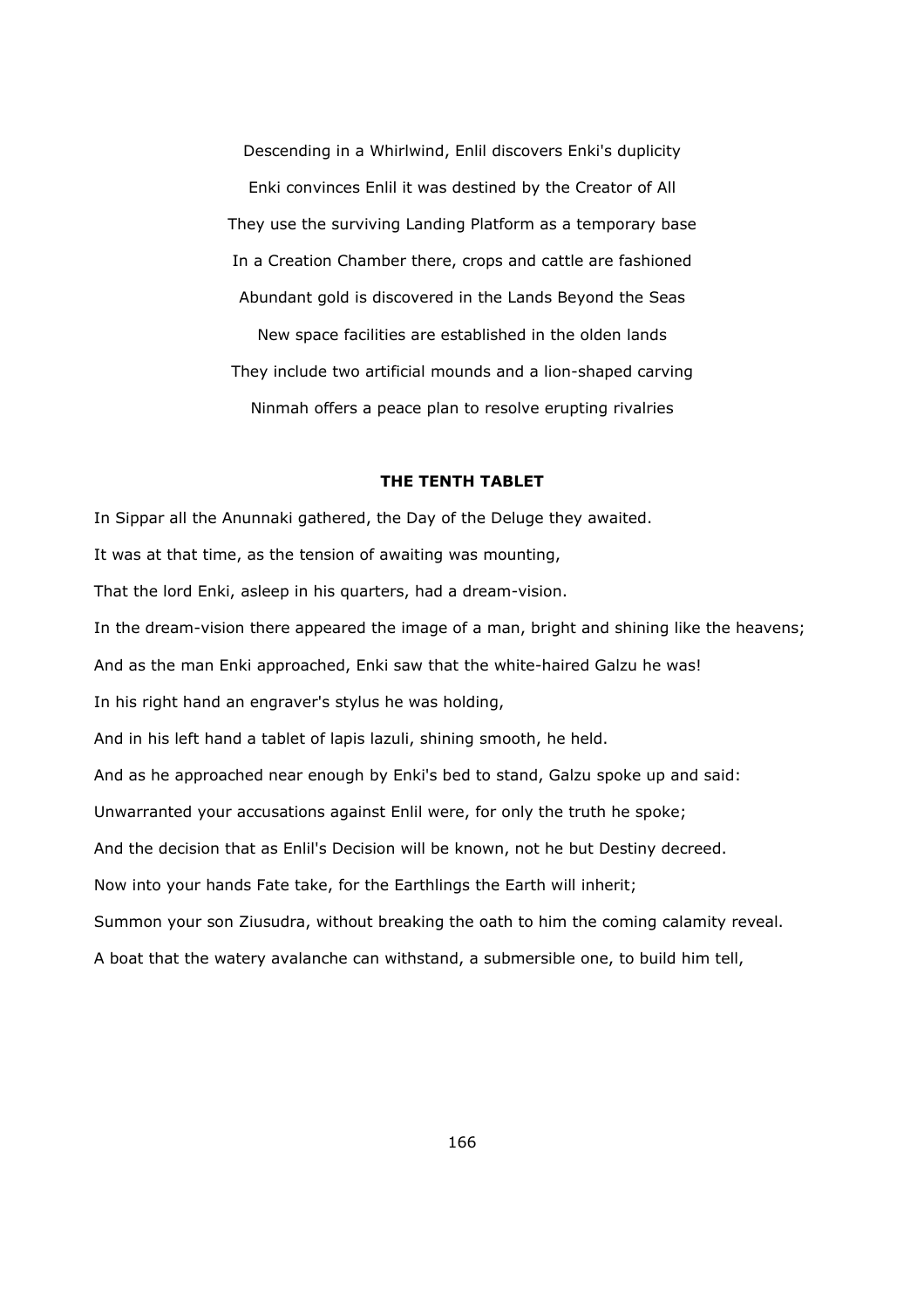Descending in a Whirlwind, Enlil discovers Enki's duplicity Enki convinces Enlil it was destined by the Creator of All They use the surviving Landing Platform as a temporary base In a Creation Chamber there, crops and cattle are fashioned Abundant gold is discovered in the Lands Beyond the Seas New space facilities are established in the olden lands They include two artificial mounds and a lion-shaped carving Ninmah offers a peace plan to resolve erupting rivalries

## **THE TENTH TABLET**

In Sippar all the Anunnaki gathered, the Day of the Deluge they awaited. It was at that time, as the tension of awaiting was mounting, That the lord Enki, asleep in his quarters, had a dream-vision. In the dream-vision there appeared the image of a man, bright and shining like the heavens; And as the man Enki approached, Enki saw that the white-haired Galzu he was! In his right hand an engraver's stylus he was holding, And in his left hand a tablet of lapis lazuli, shining smooth, he held. And as he approached near enough by Enki's bed to stand, Galzu spoke up and said: Unwarranted your accusations against Enlil were, for only the truth he spoke; And the decision that as Enlil's Decision will be known, not he but Destiny decreed. Now into your hands Fate take, for the Earthlings the Earth will inherit; Summon your son Ziusudra, without breaking the oath to him the coming calamity reveal. A boat that the watery avalanche can withstand, a submersible one, to build him tell,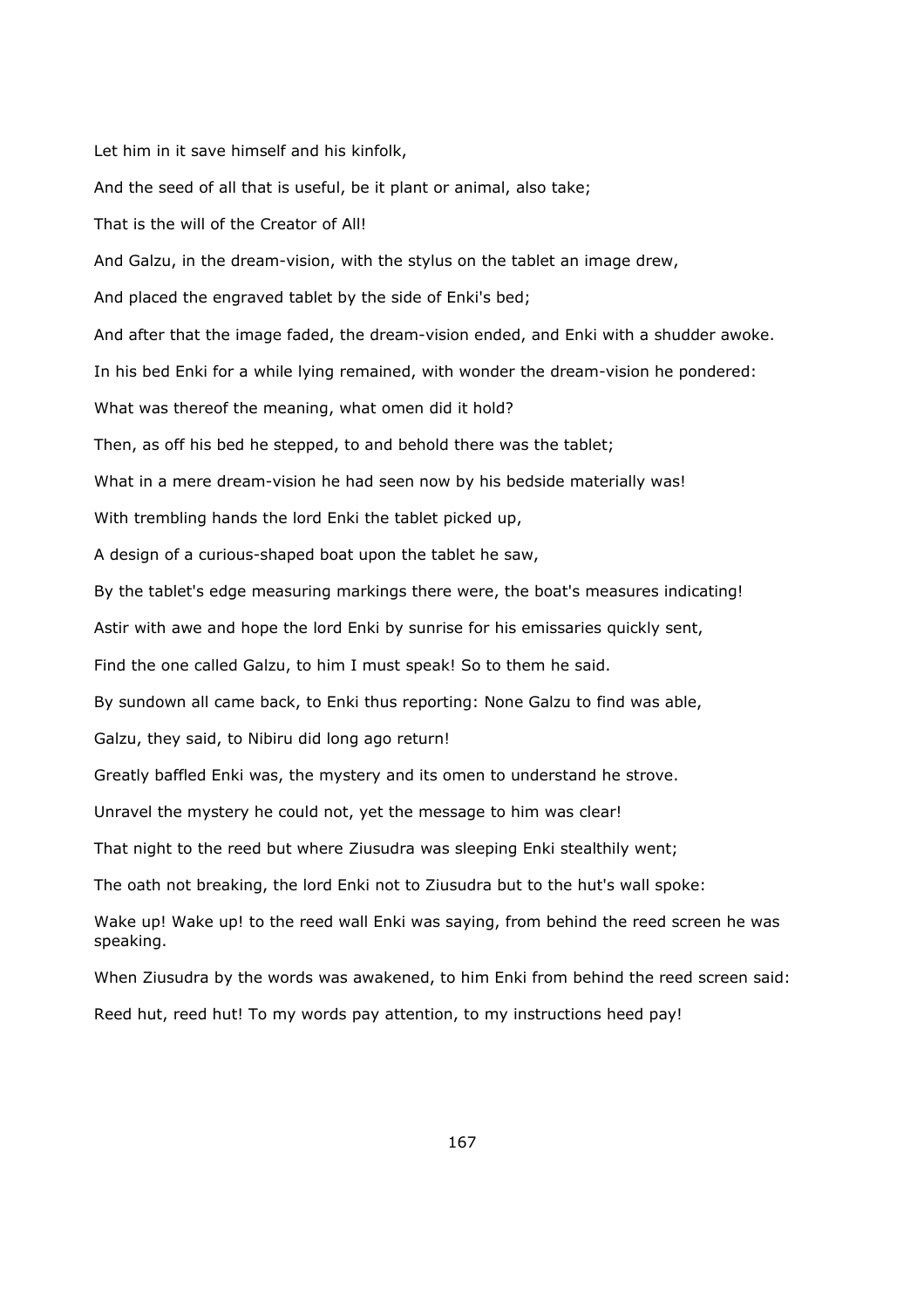Let him in it save himself and his kinfolk,

And the seed of all that is useful, be it plant or animal, also take;

That is the will of the Creator of All!

And Galzu, in the dream-vision, with the stylus on the tablet an image drew,

And placed the engraved tablet by the side of Enki's bed;

And after that the image faded, the dream-vision ended, and Enki with a shudder awoke.

In his bed Enki for a while lying remained, with wonder the dream-vision he pondered:

What was thereof the meaning, what omen did it hold?

Then, as off his bed he stepped, to and behold there was the tablet;

What in a mere dream-vision he had seen now by his bedside materially was!

With trembling hands the lord Enki the tablet picked up,

A design of a curious-shaped boat upon the tablet he saw,

By the tablet's edge measuring markings there were, the boat's measures indicating!

Astir with awe and hope the lord Enki by sunrise for his emissaries quickly sent,

Find the one called Galzu, to him I must speak! So to them he said.

By sundown all came back, to Enki thus reporting: None Galzu to find was able,

Galzu, they said, to Nibiru did long ago return!

Greatly baffled Enki was, the mystery and its omen to understand he strove.

Unravel the mystery he could not, yet the message to him was clear!

That night to the reed but where Ziusudra was sleeping Enki stealthily went;

The oath not breaking, the lord Enki not to Ziusudra but to the hut's wall spoke:

Wake up! Wake up! to the reed wall Enki was saying, from behind the reed screen he was speaking.

When Ziusudra by the words was awakened, to him Enki from behind the reed screen said:

Reed hut, reed hut! To my words pay attention, to my instructions heed pay!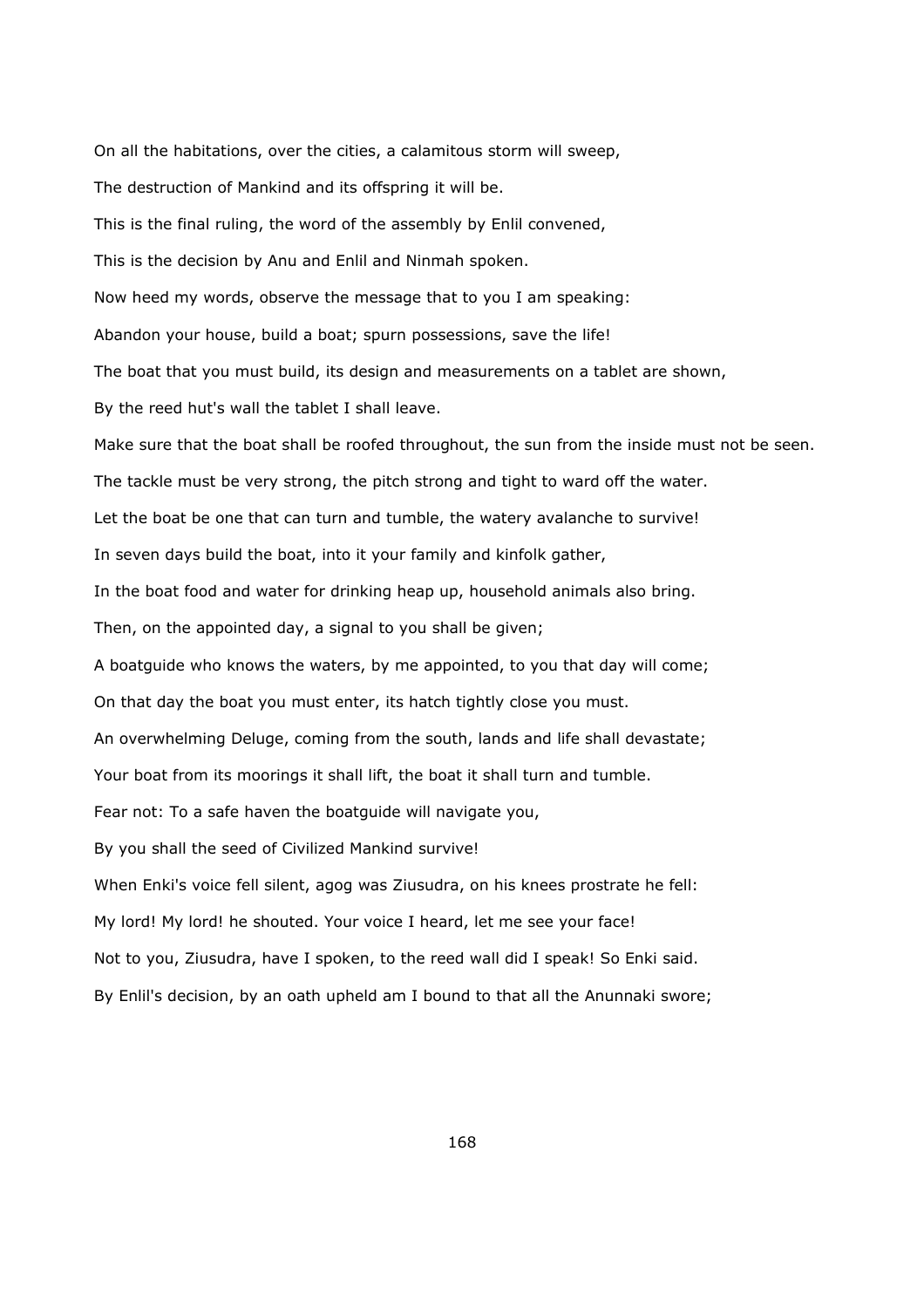On all the habitations, over the cities, a calamitous storm will sweep, The destruction of Mankind and its offspring it will be. This is the final ruling, the word of the assembly by Enlil convened, This is the decision by Anu and Enlil and Ninmah spoken. Now heed my words, observe the message that to you I am speaking: Abandon your house, build a boat; spurn possessions, save the life! The boat that you must build, its design and measurements on a tablet are shown, By the reed hut's wall the tablet I shall leave. Make sure that the boat shall be roofed throughout, the sun from the inside must not be seen. The tackle must be very strong, the pitch strong and tight to ward off the water. Let the boat be one that can turn and tumble, the watery avalanche to survive! In seven days build the boat, into it your family and kinfolk gather, In the boat food and water for drinking heap up, household animals also bring. Then, on the appointed day, a signal to you shall be given; A boatguide who knows the waters, by me appointed, to you that day will come; On that day the boat you must enter, its hatch tightly close you must. An overwhelming Deluge, coming from the south, lands and life shall devastate; Your boat from its moorings it shall lift, the boat it shall turn and tumble. Fear not: To a safe haven the boatguide will navigate you, By you shall the seed of Civilized Mankind survive! When Enki's voice fell silent, agog was Ziusudra, on his knees prostrate he fell: My lord! My lord! he shouted. Your voice I heard, let me see your face! Not to you, Ziusudra, have I spoken, to the reed wall did I speak! So Enki said. By Enlil's decision, by an oath upheld am I bound to that all the Anunnaki swore;

168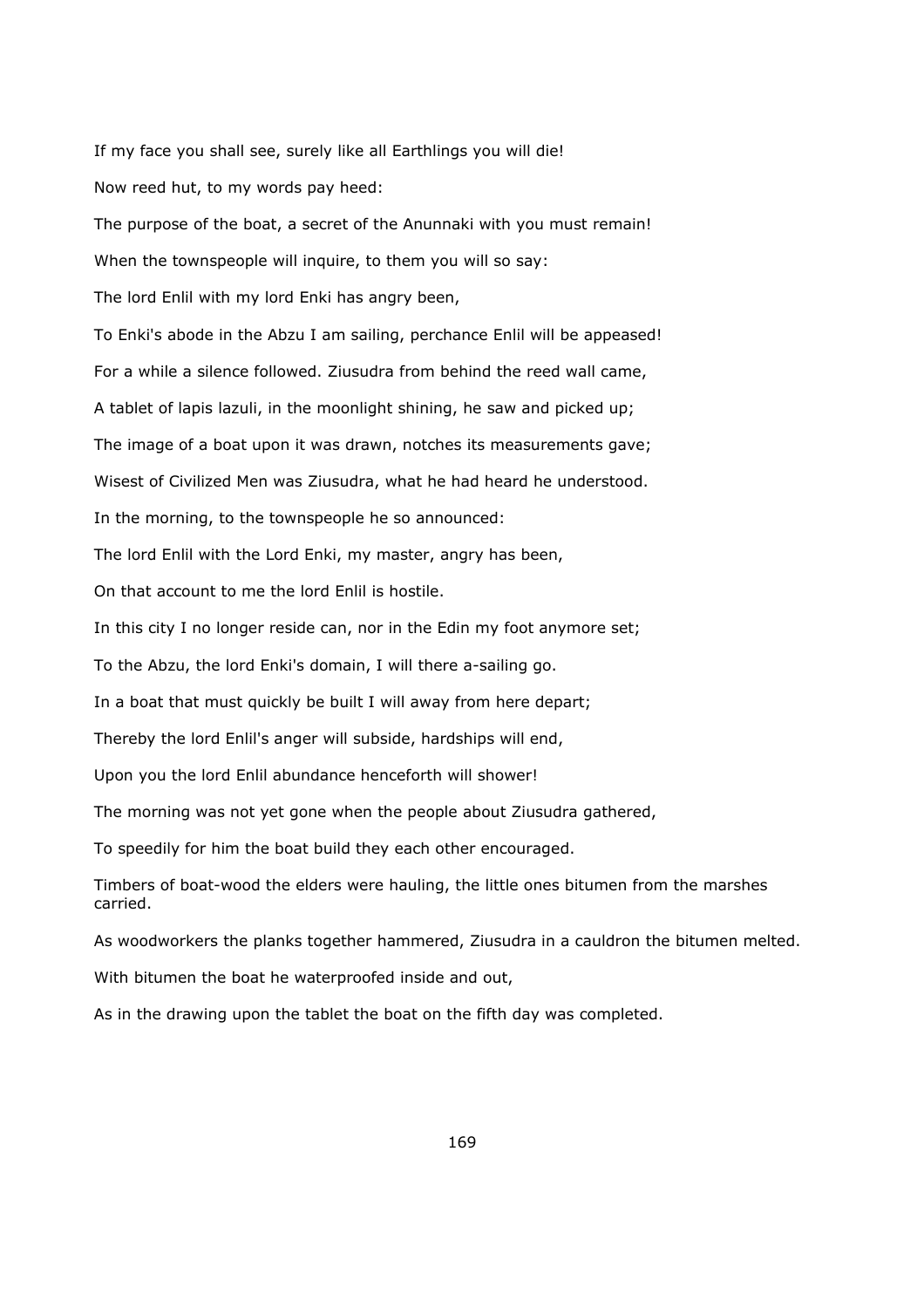If my face you shall see, surely like all Earthlings you will die! Now reed hut, to my words pay heed: The purpose of the boat, a secret of the Anunnaki with you must remain!

When the townspeople will inquire, to them you will so say:

The lord Enlil with my lord Enki has angry been,

To Enki's abode in the Abzu I am sailing, perchance Enlil will be appeased!

For a while a silence followed. Ziusudra from behind the reed wall came,

A tablet of lapis lazuli, in the moonlight shining, he saw and picked up;

The image of a boat upon it was drawn, notches its measurements gave;

Wisest of Civilized Men was Ziusudra, what he had heard he understood.

In the morning, to the townspeople he so announced:

The lord Enlil with the Lord Enki, my master, angry has been,

On that account to me the lord Enlil is hostile.

In this city I no longer reside can, nor in the Edin my foot anymore set;

To the Abzu, the lord Enki's domain, I will there a-sailing go.

In a boat that must quickly be built I will away from here depart;

Thereby the lord Enlil's anger will subside, hardships will end,

Upon you the lord Enlil abundance henceforth will shower!

The morning was not yet gone when the people about Ziusudra gathered,

To speedily for him the boat build they each other encouraged.

Timbers of boat-wood the elders were hauling, the little ones bitumen from the marshes carried.

As woodworkers the planks together hammered, Ziusudra in a cauldron the bitumen melted.

With bitumen the boat he waterproofed inside and out,

As in the drawing upon the tablet the boat on the fifth day was completed.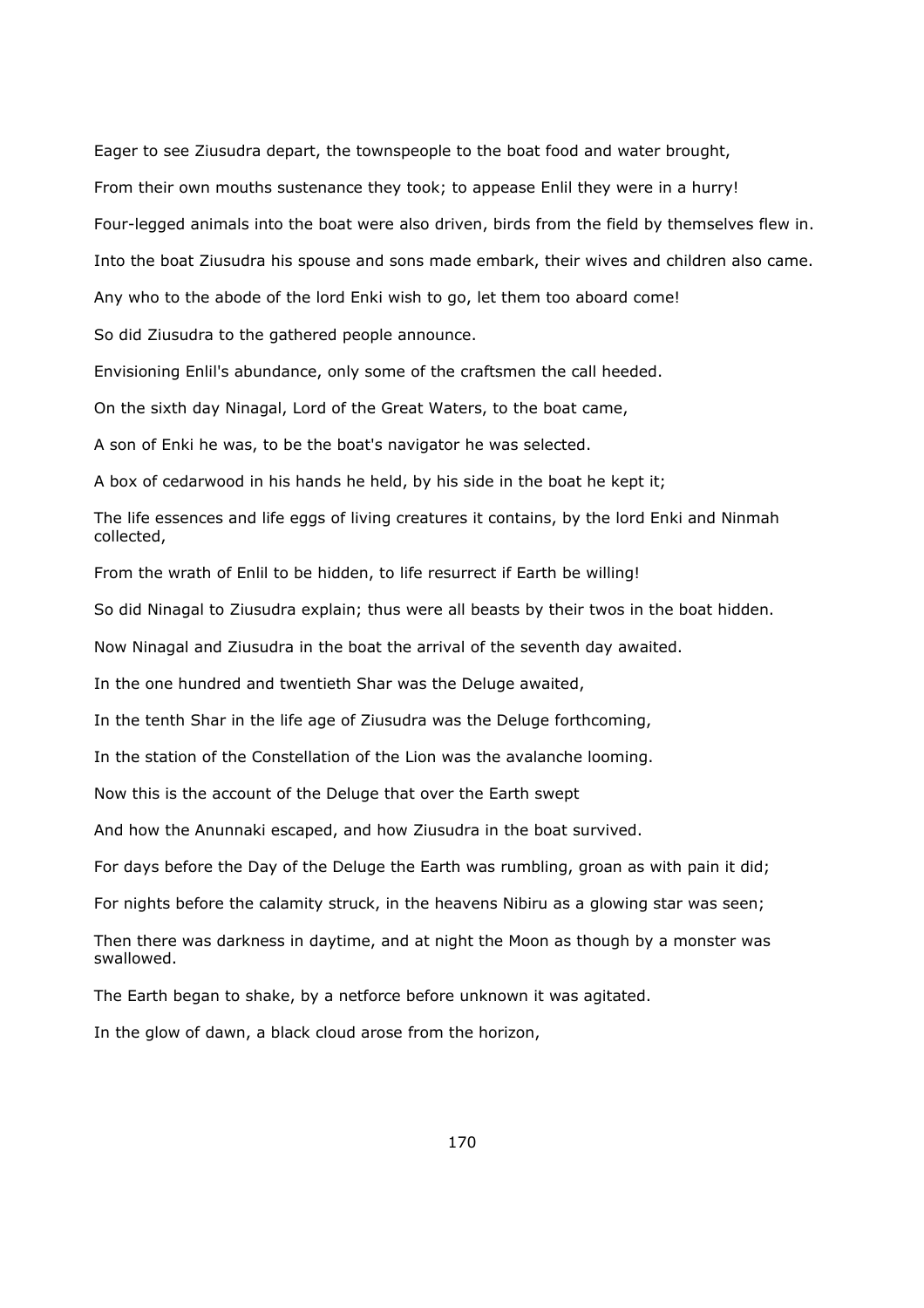Eager to see Ziusudra depart, the townspeople to the boat food and water brought, From their own mouths sustenance they took; to appease Enlil they were in a hurry! Four-legged animals into the boat were also driven, birds from the field by themselves flew in. Into the boat Ziusudra his spouse and sons made embark, their wives and children also came. Any who to the abode of the lord Enki wish to go, let them too aboard come!

So did Ziusudra to the gathered people announce.

Envisioning Enlil's abundance, only some of the craftsmen the call heeded.

On the sixth day Ninagal, Lord of the Great Waters, to the boat came,

A son of Enki he was, to be the boat's navigator he was selected.

A box of cedarwood in his hands he held, by his side in the boat he kept it;

The life essences and life eggs of living creatures it contains, by the lord Enki and Ninmah collected,

From the wrath of Enlil to be hidden, to life resurrect if Earth be willing!

So did Ninagal to Ziusudra explain; thus were all beasts by their twos in the boat hidden.

Now Ninagal and Ziusudra in the boat the arrival of the seventh day awaited.

In the one hundred and twentieth Shar was the Deluge awaited,

In the tenth Shar in the life age of Ziusudra was the Deluge forthcoming,

In the station of the Constellation of the Lion was the avalanche looming.

Now this is the account of the Deluge that over the Earth swept

And how the Anunnaki escaped, and how Ziusudra in the boat survived.

For days before the Day of the Deluge the Earth was rumbling, groan as with pain it did;

For nights before the calamity struck, in the heavens Nibiru as a glowing star was seen;

Then there was darkness in daytime, and at night the Moon as though by a monster was swallowed.

The Earth began to shake, by a netforce before unknown it was agitated.

In the glow of dawn, a black cloud arose from the horizon,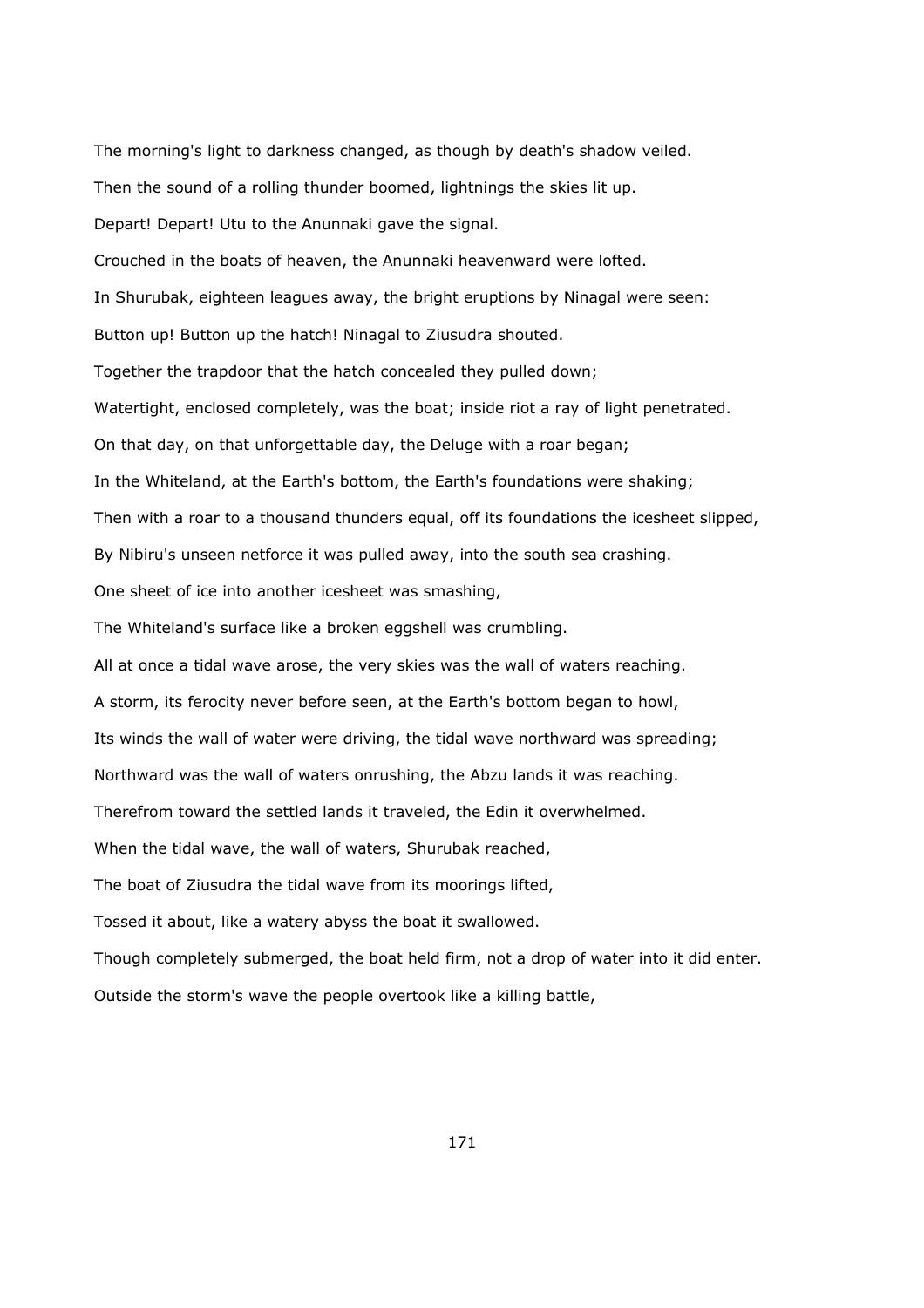The morning's light to darkness changed, as though by death's shadow veiled. Then the sound of a rolling thunder boomed, lightnings the skies lit up. Depart! Depart! Utu to the Anunnaki gave the signal. Crouched in the boats of heaven, the Anunnaki heavenward were lofted. In Shurubak, eighteen leagues away, the bright eruptions by Ninagal were seen: Button up! Button up the hatch! Ninagal to Ziusudra shouted. Together the trapdoor that the hatch concealed they pulled down; Watertight, enclosed completely, was the boat; inside riot a ray of light penetrated. On that day, on that unforgettable day, the Deluge with a roar began; In the Whiteland, at the Earth's bottom, the Earth's foundations were shaking; Then with a roar to a thousand thunders equal, off its foundations the icesheet slipped, By Nibiru's unseen netforce it was pulled away, into the south sea crashing. One sheet of ice into another icesheet was smashing, The Whiteland's surface like a broken eggshell was crumbling. All at once a tidal wave arose, the very skies was the wall of waters reaching. A storm, its ferocity never before seen, at the Earth's bottom began to howl, Its winds the wall of water were driving, the tidal wave northward was spreading; Northward was the wall of waters onrushing, the Abzu lands it was reaching. Therefrom toward the settled lands it traveled, the Edin it overwhelmed. When the tidal wave, the wall of waters, Shurubak reached, The boat of Ziusudra the tidal wave from its moorings lifted, Tossed it about, like a watery abyss the boat it swallowed. Though completely submerged, the boat held firm, not a drop of water into it did enter. Outside the storm's wave the people overtook like a killing battle,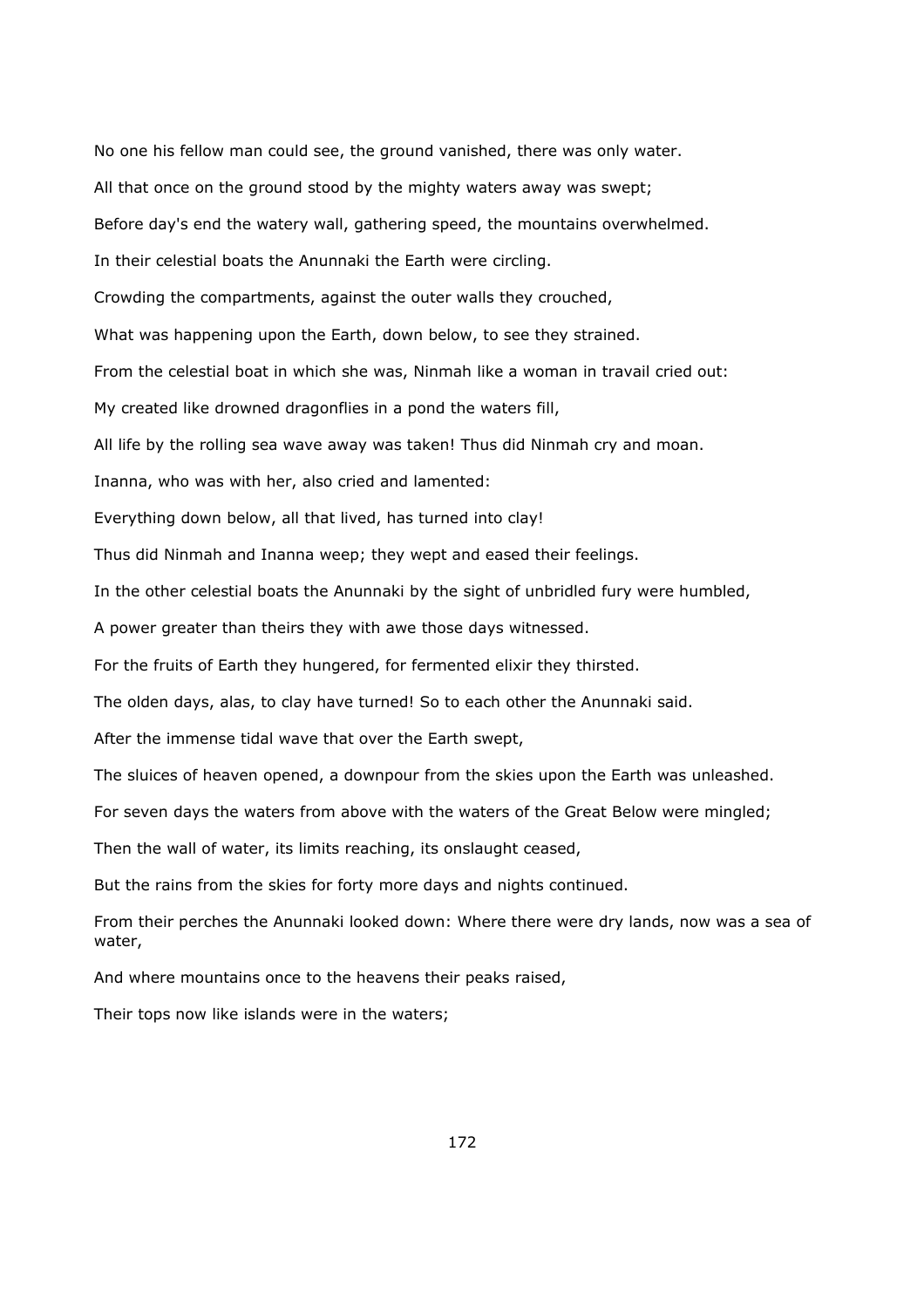No one his fellow man could see, the ground vanished, there was only water. All that once on the ground stood by the mighty waters away was swept; Before day's end the watery wall, gathering speed, the mountains overwhelmed. In their celestial boats the Anunnaki the Earth were circling. Crowding the compartments, against the outer walls they crouched, What was happening upon the Earth, down below, to see they strained. From the celestial boat in which she was, Ninmah like a woman in travail cried out: My created like drowned dragonflies in a pond the waters fill, All life by the rolling sea wave away was taken! Thus did Ninmah cry and moan. Inanna, who was with her, also cried and lamented: Everything down below, all that lived, has turned into clay! Thus did Ninmah and Inanna weep; they wept and eased their feelings. In the other celestial boats the Anunnaki by the sight of unbridled fury were humbled, A power greater than theirs they with awe those days witnessed. For the fruits of Earth they hungered, for fermented elixir they thirsted. The olden days, alas, to clay have turned! So to each other the Anunnaki said. After the immense tidal wave that over the Earth swept, The sluices of heaven opened, a downpour from the skies upon the Earth was unleashed. For seven days the waters from above with the waters of the Great Below were mingled; Then the wall of water, its limits reaching, its onslaught ceased, But the rains from the skies for forty more days and nights continued. From their perches the Anunnaki looked down: Where there were dry lands, now was a sea of water, And where mountains once to the heavens their peaks raised, Their tops now like islands were in the waters;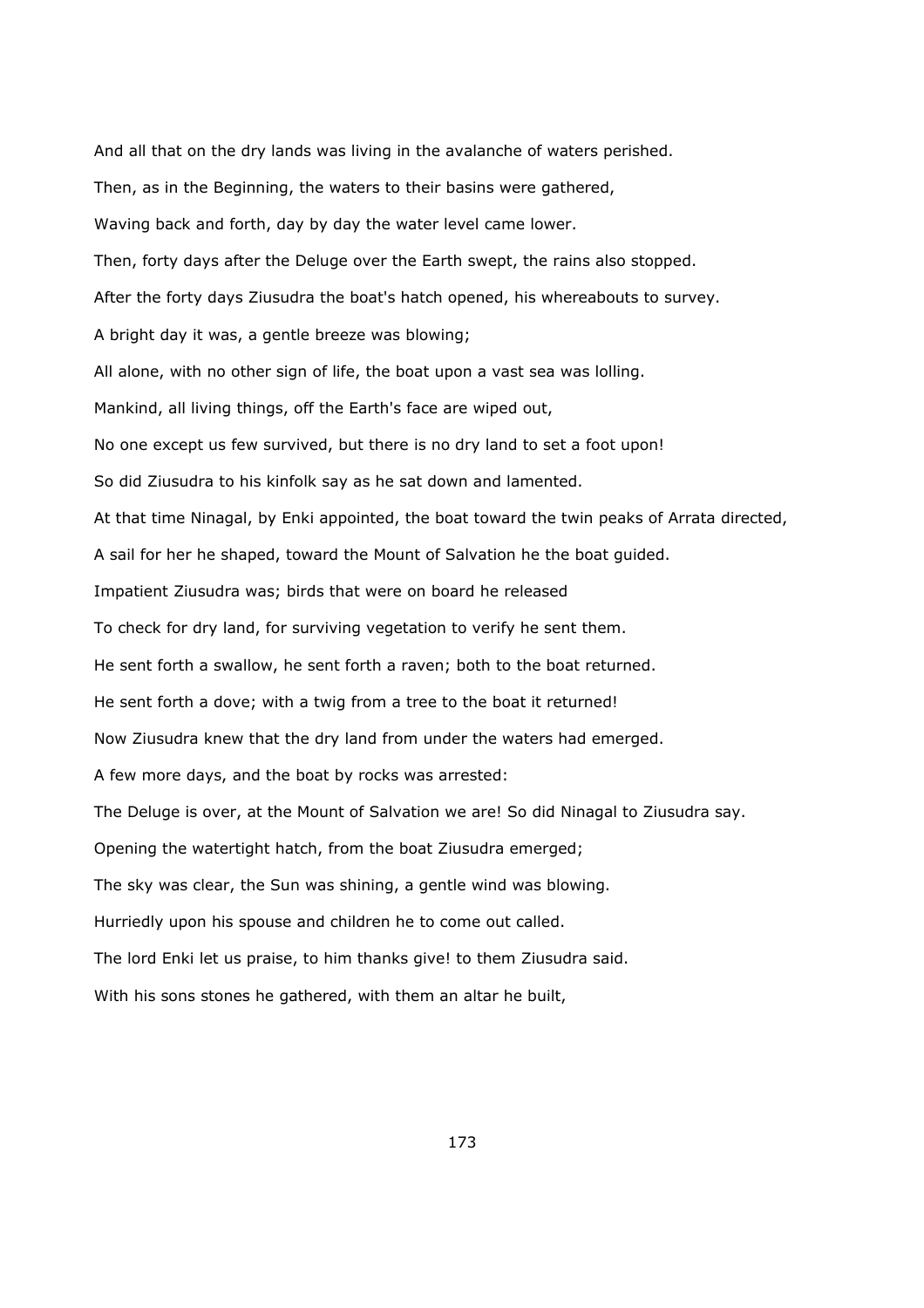And all that on the dry lands was living in the avalanche of waters perished. Then, as in the Beginning, the waters to their basins were gathered, Waving back and forth, day by day the water level came lower. Then, forty days after the Deluge over the Earth swept, the rains also stopped. After the forty days Ziusudra the boat's hatch opened, his whereabouts to survey. A bright day it was, a gentle breeze was blowing; All alone, with no other sign of life, the boat upon a vast sea was lolling. Mankind, all living things, off the Earth's face are wiped out, No one except us few survived, but there is no dry land to set a foot upon! So did Ziusudra to his kinfolk say as he sat down and lamented. At that time Ninagal, by Enki appointed, the boat toward the twin peaks of Arrata directed, A sail for her he shaped, toward the Mount of Salvation he the boat guided. Impatient Ziusudra was; birds that were on board he released To check for dry land, for surviving vegetation to verify he sent them. He sent forth a swallow, he sent forth a raven; both to the boat returned. He sent forth a dove; with a twig from a tree to the boat it returned! Now Ziusudra knew that the dry land from under the waters had emerged. A few more days, and the boat by rocks was arrested: The Deluge is over, at the Mount of Salvation we are! So did Ninagal to Ziusudra say. Opening the watertight hatch, from the boat Ziusudra emerged; The sky was clear, the Sun was shining, a gentle wind was blowing. Hurriedly upon his spouse and children he to come out called. The lord Enki let us praise, to him thanks give! to them Ziusudra said. With his sons stones he gathered, with them an altar he built,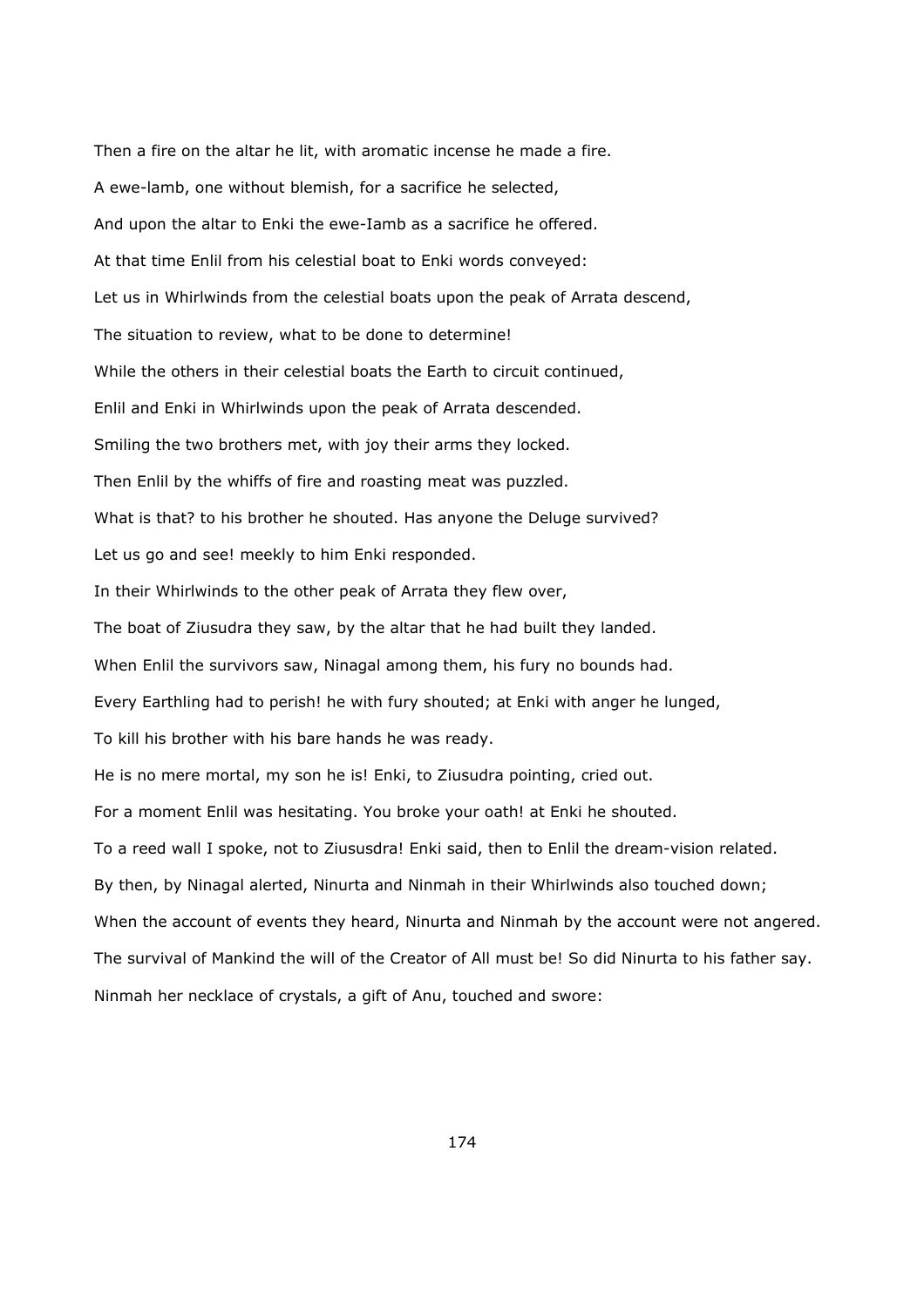Then a fire on the altar he lit, with aromatic incense he made a fire. A ewe-lamb, one without blemish, for a sacrifice he selected, And upon the altar to Enki the ewe-Iamb as a sacrifice he offered. At that time Enlil from his celestial boat to Enki words conveyed: Let us in Whirlwinds from the celestial boats upon the peak of Arrata descend, The situation to review, what to be done to determine! While the others in their celestial boats the Earth to circuit continued, Enlil and Enki in Whirlwinds upon the peak of Arrata descended. Smiling the two brothers met, with joy their arms they locked. Then Enlil by the whiffs of fire and roasting meat was puzzled. What is that? to his brother he shouted. Has anyone the Deluge survived? Let us go and see! meekly to him Enki responded. In their Whirlwinds to the other peak of Arrata they flew over, The boat of Ziusudra they saw, by the altar that he had built they landed. When Enlil the survivors saw, Ninagal among them, his fury no bounds had. Every Earthling had to perish! he with fury shouted; at Enki with anger he lunged, To kill his brother with his bare hands he was ready. He is no mere mortal, my son he is! Enki, to Ziusudra pointing, cried out. For a moment Enlil was hesitating. You broke your oath! at Enki he shouted. To a reed wall I spoke, not to Ziususdra! Enki said, then to Enlil the dream-vision related. By then, by Ninagal alerted, Ninurta and Ninmah in their Whirlwinds also touched down; When the account of events they heard, Ninurta and Ninmah by the account were not angered. The survival of Mankind the will of the Creator of All must be! So did Ninurta to his father say. Ninmah her necklace of crystals, a gift of Anu, touched and swore:

174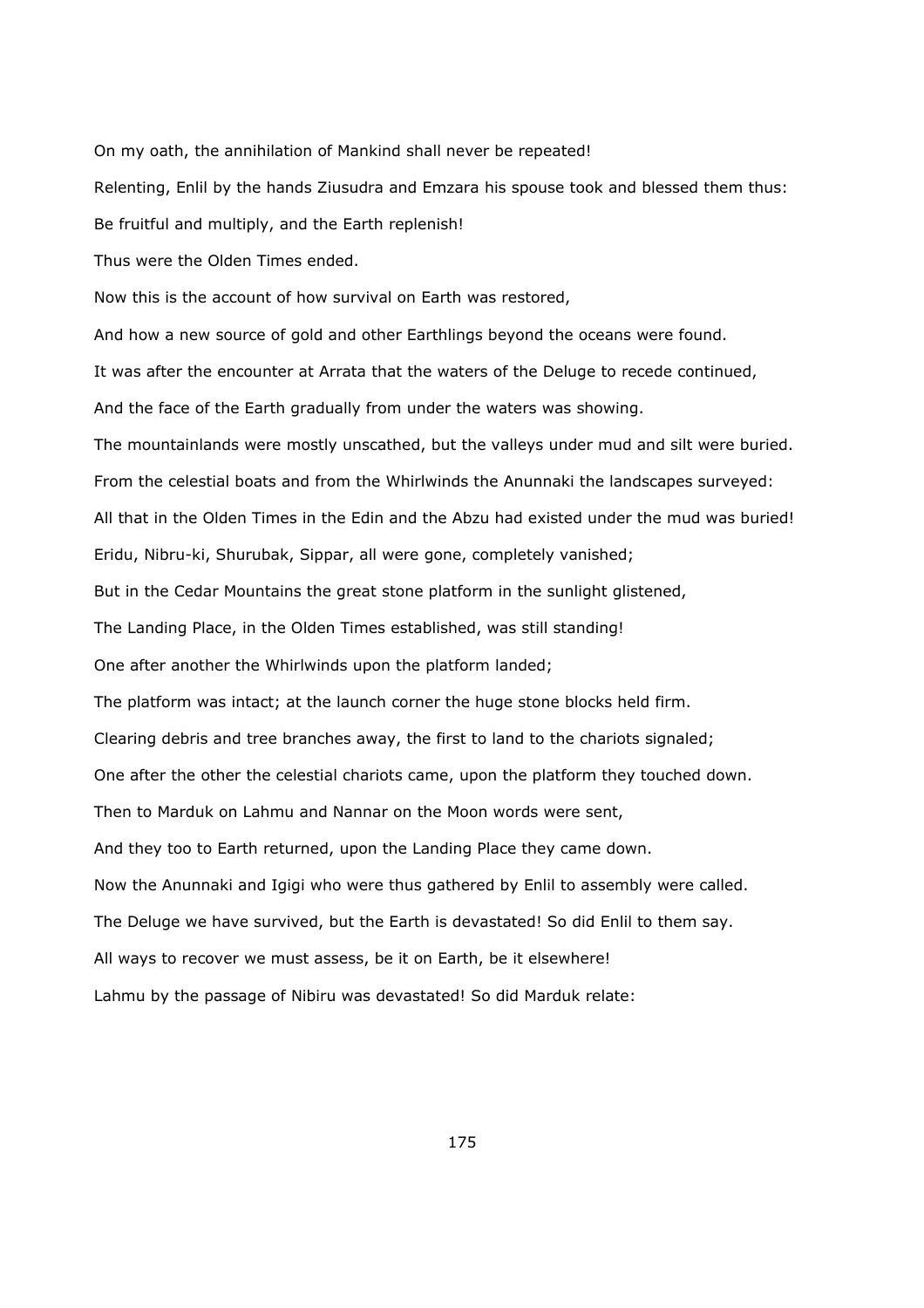On my oath, the annihilation of Mankind shall never be repeated!

Relenting, Enlil by the hands Ziusudra and Emzara his spouse took and blessed them thus:

Be fruitful and multiply, and the Earth replenish!

Thus were the Olden Times ended.

Now this is the account of how survival on Earth was restored,

And how a new source of gold and other Earthlings beyond the oceans were found.

It was after the encounter at Arrata that the waters of the Deluge to recede continued,

And the face of the Earth gradually from under the waters was showing.

The mountainlands were mostly unscathed, but the valleys under mud and silt were buried.

From the celestial boats and from the Whirlwinds the Anunnaki the landscapes surveyed:

All that in the Olden Times in the Edin and the Abzu had existed under the mud was buried!

Eridu, Nibru-ki, Shurubak, Sippar, all were gone, completely vanished;

But in the Cedar Mountains the great stone platform in the sunlight glistened,

The Landing Place, in the Olden Times established, was still standing!

One after another the Whirlwinds upon the platform landed;

The platform was intact; at the launch corner the huge stone blocks held firm.

Clearing debris and tree branches away, the first to land to the chariots signaled;

One after the other the celestial chariots came, upon the platform they touched down.

Then to Marduk on Lahmu and Nannar on the Moon words were sent,

And they too to Earth returned, upon the Landing Place they came down.

Now the Anunnaki and Igigi who were thus gathered by Enlil to assembly were called.

The Deluge we have survived, but the Earth is devastated! So did Enlil to them say.

All ways to recover we must assess, be it on Earth, be it elsewhere!

Lahmu by the passage of Nibiru was devastated! So did Marduk relate:

175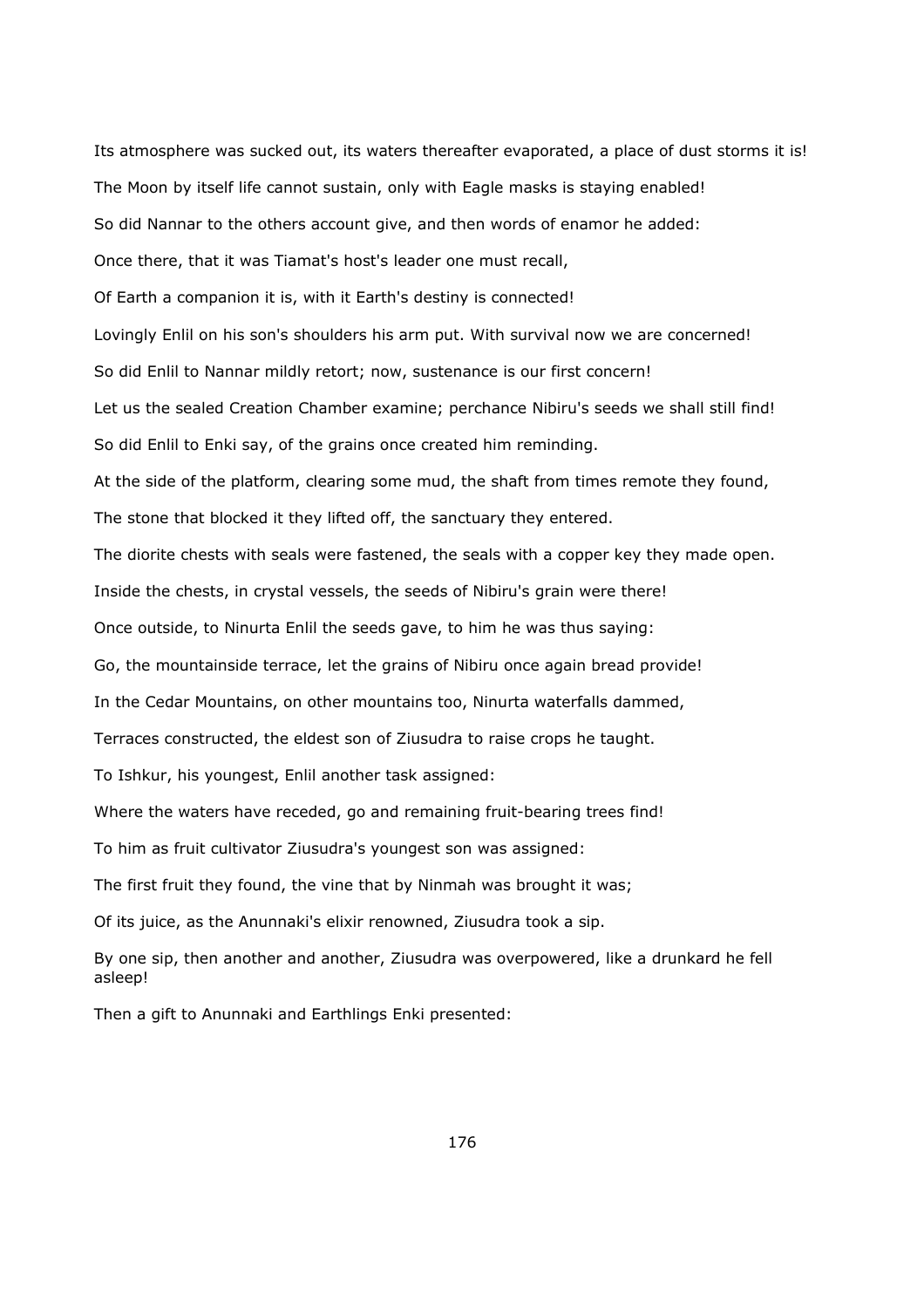Its atmosphere was sucked out, its waters thereafter evaporated, a place of dust storms it is! The Moon by itself life cannot sustain, only with Eagle masks is staying enabled! So did Nannar to the others account give, and then words of enamor he added: Once there, that it was Tiamat's host's leader one must recall, Of Earth a companion it is, with it Earth's destiny is connected! Lovingly Enlil on his son's shoulders his arm put. With survival now we are concerned! So did Enlil to Nannar mildly retort; now, sustenance is our first concern! Let us the sealed Creation Chamber examine; perchance Nibiru's seeds we shall still find! So did Enlil to Enki say, of the grains once created him reminding. At the side of the platform, clearing some mud, the shaft from times remote they found, The stone that blocked it they lifted off, the sanctuary they entered. The diorite chests with seals were fastened, the seals with a copper key they made open. Inside the chests, in crystal vessels, the seeds of Nibiru's grain were there! Once outside, to Ninurta Enlil the seeds gave, to him he was thus saying: Go, the mountainside terrace, let the grains of Nibiru once again bread provide! In the Cedar Mountains, on other mountains too, Ninurta waterfalls dammed, Terraces constructed, the eldest son of Ziusudra to raise crops he taught. To Ishkur, his youngest, Enlil another task assigned: Where the waters have receded, go and remaining fruit-bearing trees find! To him as fruit cultivator Ziusudra's youngest son was assigned: The first fruit they found, the vine that by Ninmah was brought it was; Of its juice, as the Anunnaki's elixir renowned, Ziusudra took a sip. By one sip, then another and another, Ziusudra was overpowered, like a drunkard he fell asleep!

Then a gift to Anunnaki and Earthlings Enki presented: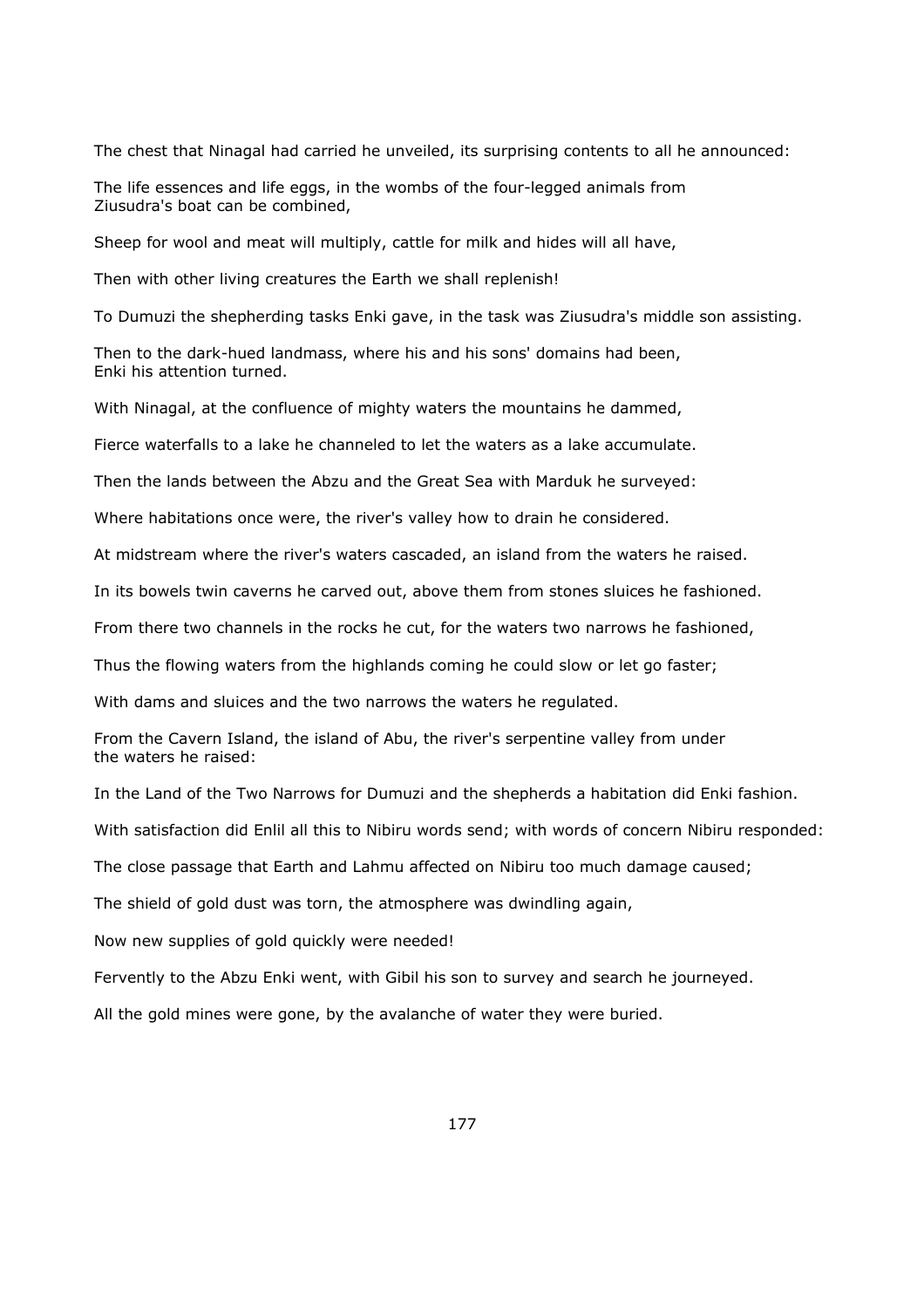The chest that Ninagal had carried he unveiled, its surprising contents to all he announced:

The life essences and life eggs, in the wombs of the four-legged animals from Ziusudra's boat can be combined,

Sheep for wool and meat will multiply, cattle for milk and hides will all have,

Then with other living creatures the Earth we shall replenish!

To Dumuzi the shepherding tasks Enki gave, in the task was Ziusudra's middle son assisting.

Then to the dark-hued landmass, where his and his sons' domains had been, Enki his attention turned.

With Ninagal, at the confluence of mighty waters the mountains he dammed,

Fierce waterfalls to a lake he channeled to let the waters as a lake accumulate.

Then the lands between the Abzu and the Great Sea with Marduk he surveyed:

Where habitations once were, the river's valley how to drain he considered.

At midstream where the river's waters cascaded, an island from the waters he raised.

In its bowels twin caverns he carved out, above them from stones sluices he fashioned.

From there two channels in the rocks he cut, for the waters two narrows he fashioned,

Thus the flowing waters from the highlands coming he could slow or let go faster;

With dams and sluices and the two narrows the waters he regulated.

From the Cavern Island, the island of Abu, the river's serpentine valley from under the waters he raised:

In the Land of the Two Narrows for Dumuzi and the shepherds a habitation did Enki fashion.

With satisfaction did Enlil all this to Nibiru words send; with words of concern Nibiru responded:

The close passage that Earth and Lahmu affected on Nibiru too much damage caused;

The shield of gold dust was torn, the atmosphere was dwindling again,

Now new supplies of gold quickly were needed!

Fervently to the Abzu Enki went, with Gibil his son to survey and search he journeyed.

All the gold mines were gone, by the avalanche of water they were buried.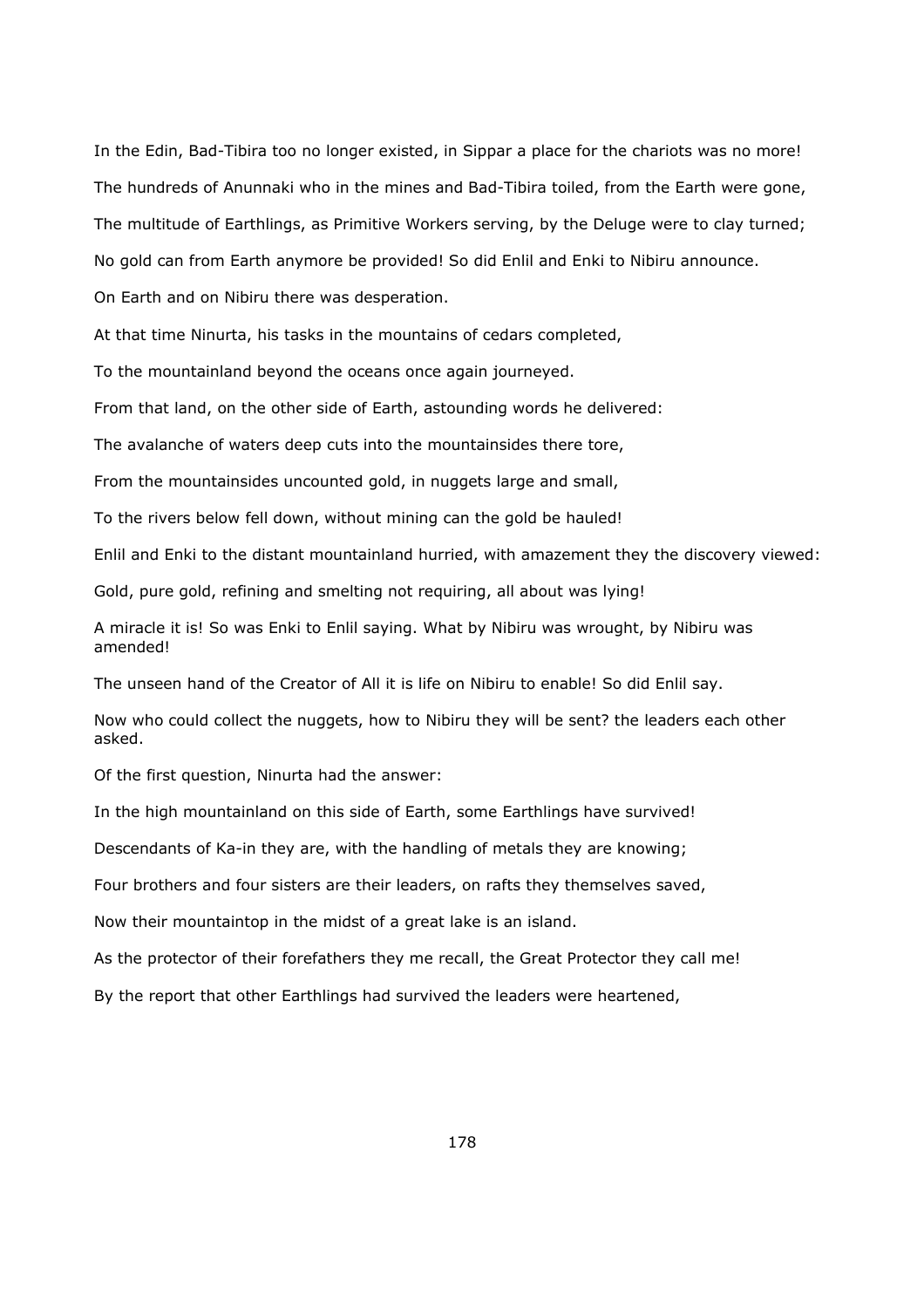In the Edin, Bad-Tibira too no longer existed, in Sippar a place for the chariots was no more! The hundreds of Anunnaki who in the mines and Bad-Tibira toiled, from the Earth were gone, The multitude of Earthlings, as Primitive Workers serving, by the Deluge were to clay turned; No gold can from Earth anymore be provided! So did Enlil and Enki to Nibiru announce.

On Earth and on Nibiru there was desperation.

At that time Ninurta, his tasks in the mountains of cedars completed,

To the mountainland beyond the oceans once again journeyed.

From that land, on the other side of Earth, astounding words he delivered:

The avalanche of waters deep cuts into the mountainsides there tore,

From the mountainsides uncounted gold, in nuggets large and small,

To the rivers below fell down, without mining can the gold be hauled!

Enlil and Enki to the distant mountainland hurried, with amazement they the discovery viewed:

Gold, pure gold, refining and smelting not requiring, all about was lying!

A miracle it is! So was Enki to Enlil saying. What by Nibiru was wrought, by Nibiru was amended!

The unseen hand of the Creator of All it is life on Nibiru to enable! So did Enlil say.

Now who could collect the nuggets, how to Nibiru they will be sent? the leaders each other asked.

Of the first question, Ninurta had the answer:

In the high mountainland on this side of Earth, some Earthlings have survived!

Descendants of Ka-in they are, with the handling of metals they are knowing;

Four brothers and four sisters are their leaders, on rafts they themselves saved,

Now their mountaintop in the midst of a great lake is an island.

As the protector of their forefathers they me recall, the Great Protector they call me!

By the report that other Earthlings had survived the leaders were heartened,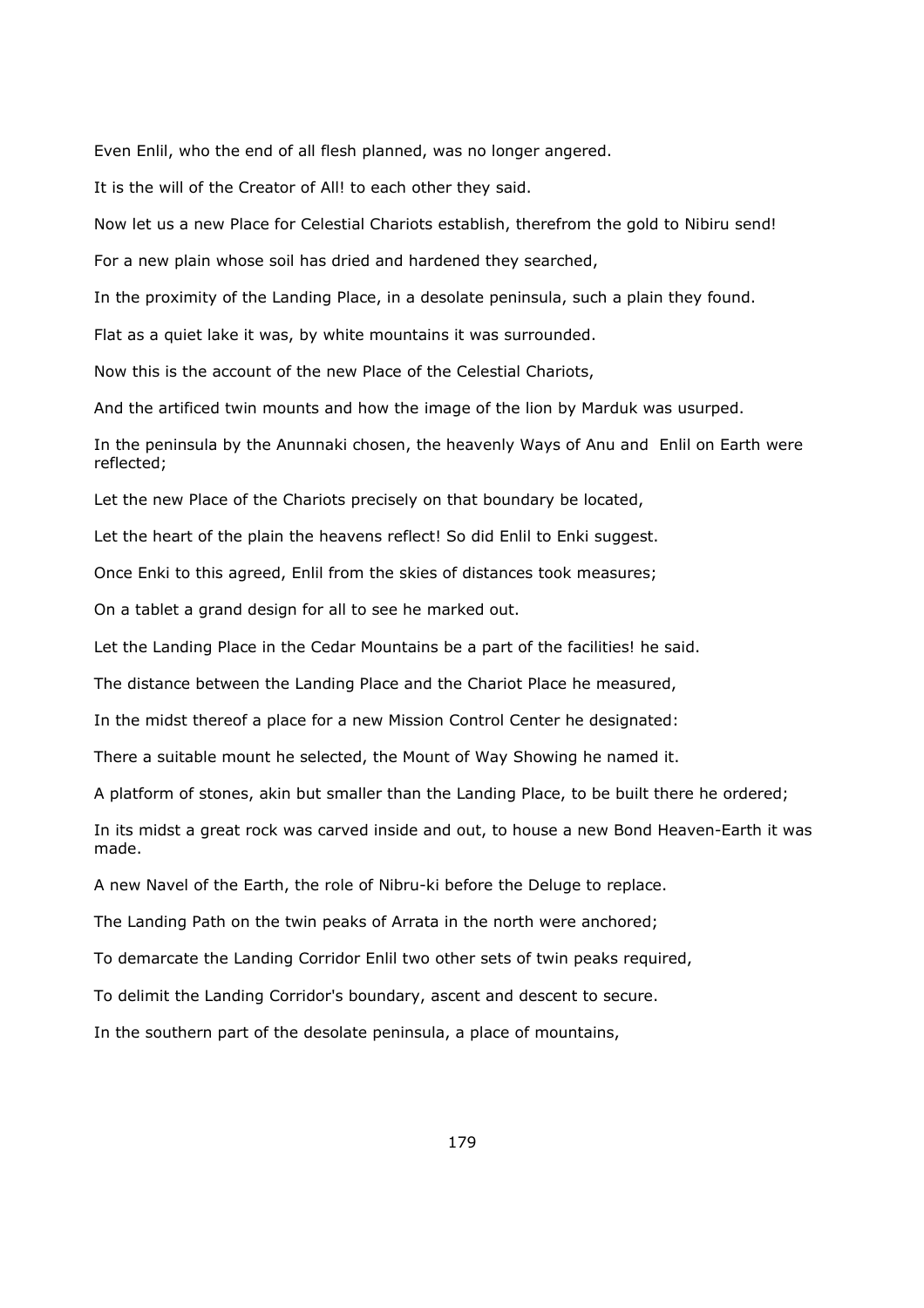Even Enlil, who the end of all flesh planned, was no longer angered.

It is the will of the Creator of All! to each other they said.

Now let us a new Place for Celestial Chariots establish, therefrom the gold to Nibiru send!

For a new plain whose soil has dried and hardened they searched,

In the proximity of the Landing Place, in a desolate peninsula, such a plain they found.

Flat as a quiet lake it was, by white mountains it was surrounded.

Now this is the account of the new Place of the Celestial Chariots,

And the artificed twin mounts and how the image of the lion by Marduk was usurped.

In the peninsula by the Anunnaki chosen, the heavenly Ways of Anu and Enlil on Earth were reflected;

Let the new Place of the Chariots precisely on that boundary be located,

Let the heart of the plain the heavens reflect! So did Enlil to Enki suggest.

Once Enki to this agreed, Enlil from the skies of distances took measures;

On a tablet a grand design for all to see he marked out.

Let the Landing Place in the Cedar Mountains be a part of the facilities! he said.

The distance between the Landing Place and the Chariot Place he measured,

In the midst thereof a place for a new Mission Control Center he designated:

There a suitable mount he selected, the Mount of Way Showing he named it.

A platform of stones, akin but smaller than the Landing Place, to be built there he ordered;

In its midst a great rock was carved inside and out, to house a new Bond Heaven-Earth it was made.

A new Navel of the Earth, the role of Nibru-ki before the Deluge to replace.

The Landing Path on the twin peaks of Arrata in the north were anchored;

To demarcate the Landing Corridor Enlil two other sets of twin peaks required,

To delimit the Landing Corridor's boundary, ascent and descent to secure.

In the southern part of the desolate peninsula, a place of mountains,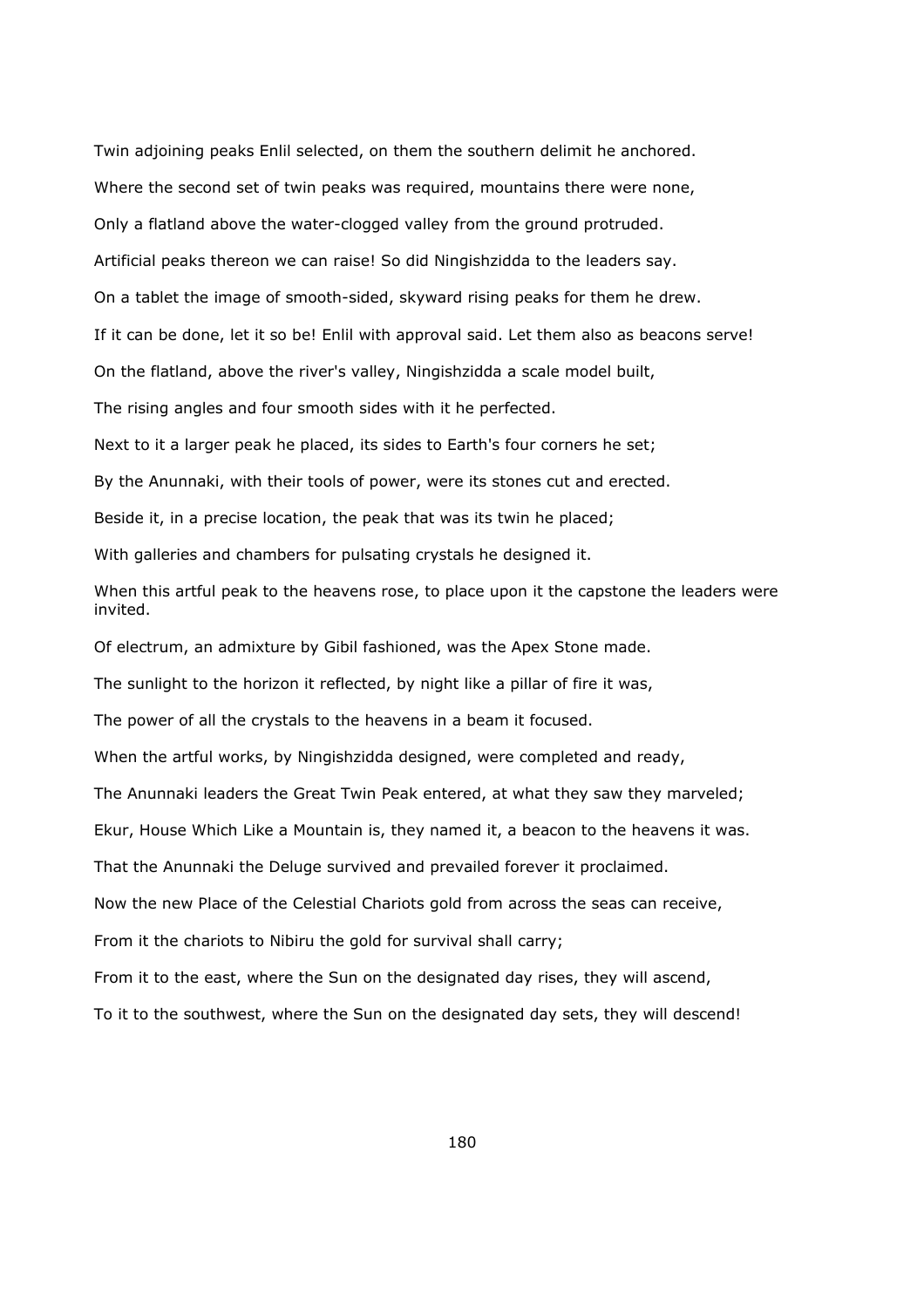Twin adjoining peaks Enlil selected, on them the southern delimit he anchored. Where the second set of twin peaks was required, mountains there were none, Only a flatland above the water-clogged valley from the ground protruded. Artificial peaks thereon we can raise! So did Ningishzidda to the leaders say.

On a tablet the image of smooth-sided, skyward rising peaks for them he drew.

If it can be done, let it so be! Enlil with approval said. Let them also as beacons serve!

On the flatland, above the river's valley, Ningishzidda a scale model built,

The rising angles and four smooth sides with it he perfected.

Next to it a larger peak he placed, its sides to Earth's four corners he set;

By the Anunnaki, with their tools of power, were its stones cut and erected.

Beside it, in a precise location, the peak that was its twin he placed;

With galleries and chambers for pulsating crystals he designed it.

When this artful peak to the heavens rose, to place upon it the capstone the leaders were invited.

Of electrum, an admixture by Gibil fashioned, was the Apex Stone made.

The sunlight to the horizon it reflected, by night like a pillar of fire it was,

The power of all the crystals to the heavens in a beam it focused.

When the artful works, by Ningishzidda designed, were completed and ready,

The Anunnaki leaders the Great Twin Peak entered, at what they saw they marveled;

Ekur, House Which Like a Mountain is, they named it, a beacon to the heavens it was.

That the Anunnaki the Deluge survived and prevailed forever it proclaimed.

Now the new Place of the Celestial Chariots gold from across the seas can receive,

From it the chariots to Nibiru the gold for survival shall carry;

From it to the east, where the Sun on the designated day rises, they will ascend,

To it to the southwest, where the Sun on the designated day sets, they will descend!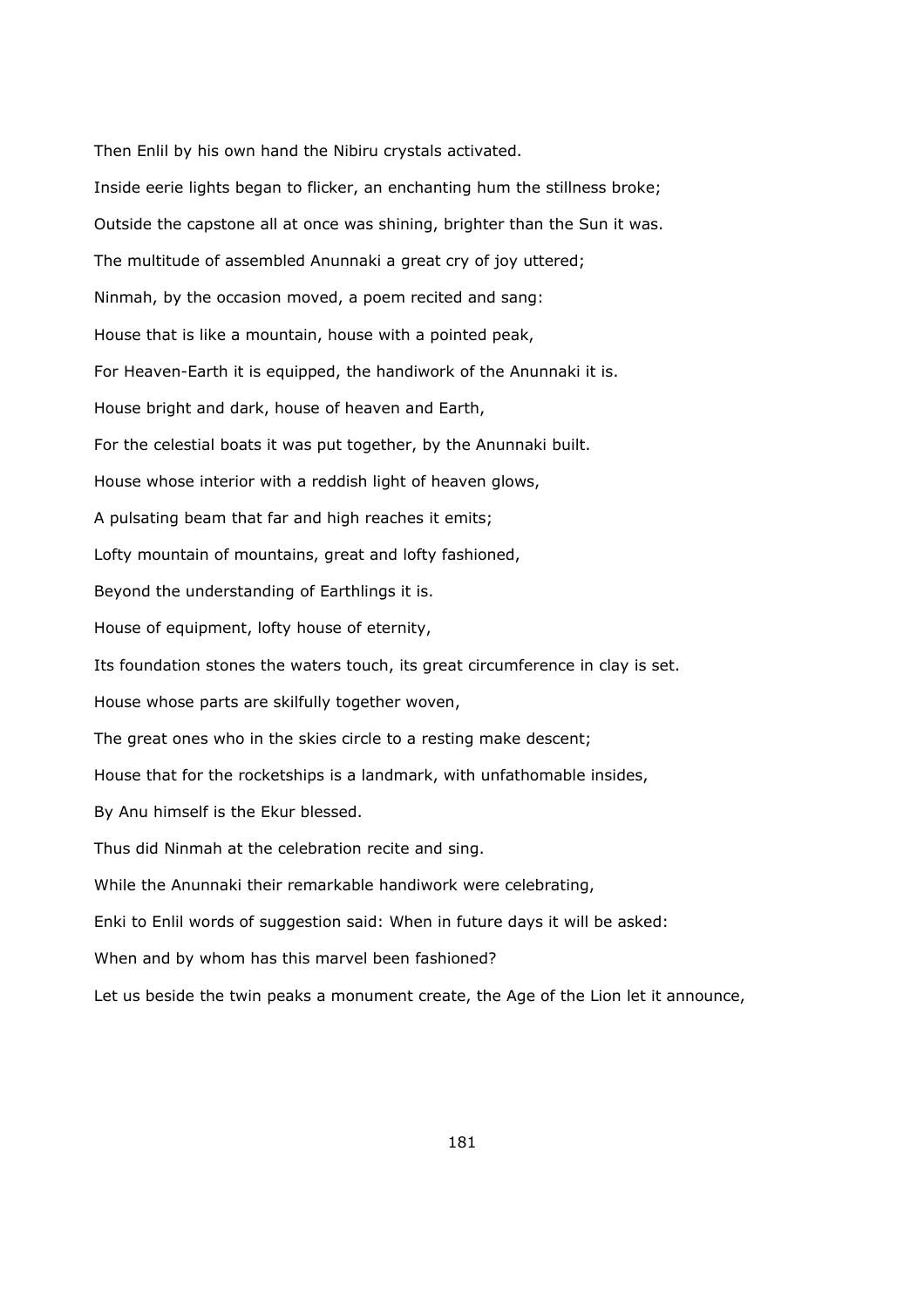Then Enlil by his own hand the Nibiru crystals activated. Inside eerie lights began to flicker, an enchanting hum the stillness broke; Outside the capstone all at once was shining, brighter than the Sun it was. The multitude of assembled Anunnaki a great cry of joy uttered; Ninmah, by the occasion moved, a poem recited and sang: House that is like a mountain, house with a pointed peak, For Heaven-Earth it is equipped, the handiwork of the Anunnaki it is. House bright and dark, house of heaven and Earth, For the celestial boats it was put together, by the Anunnaki built. House whose interior with a reddish light of heaven glows, A pulsating beam that far and high reaches it emits; Lofty mountain of mountains, great and lofty fashioned, Beyond the understanding of Earthlings it is. House of equipment, lofty house of eternity, Its foundation stones the waters touch, its great circumference in clay is set. House whose parts are skilfully together woven, The great ones who in the skies circle to a resting make descent; House that for the rocketships is a landmark, with unfathomable insides, By Anu himself is the Ekur blessed. Thus did Ninmah at the celebration recite and sing. While the Anunnaki their remarkable handiwork were celebrating, Enki to Enlil words of suggestion said: When in future days it will be asked: When and by whom has this marvel been fashioned?

Let us beside the twin peaks a monument create, the Age of the Lion let it announce,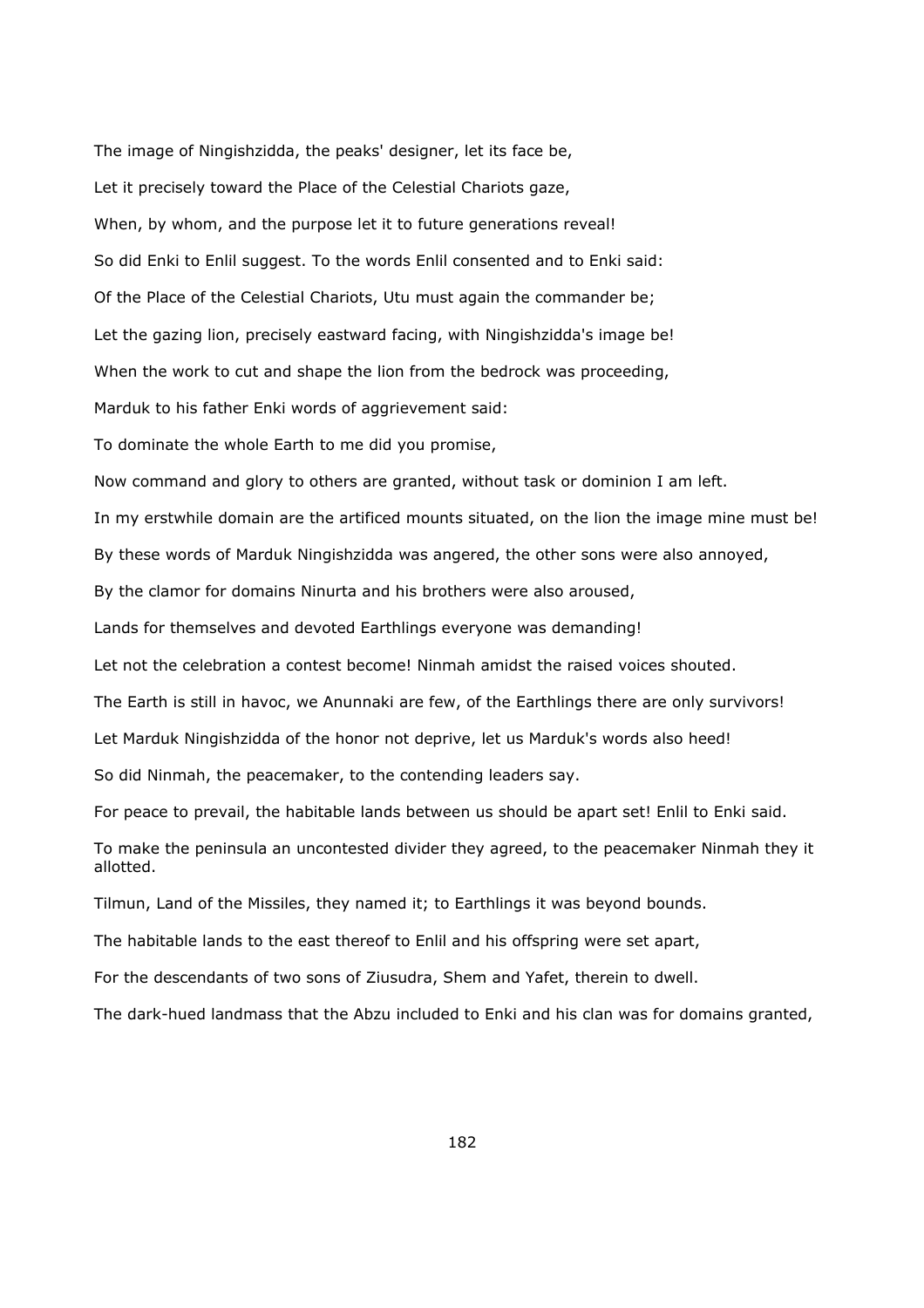The image of Ningishzidda, the peaks' designer, let its face be, Let it precisely toward the Place of the Celestial Chariots gaze, When, by whom, and the purpose let it to future generations reveal! So did Enki to Enlil suggest. To the words Enlil consented and to Enki said: Of the Place of the Celestial Chariots, Utu must again the commander be; Let the gazing lion, precisely eastward facing, with Ningishzidda's image be! When the work to cut and shape the lion from the bedrock was proceeding, Marduk to his father Enki words of aggrievement said:

To dominate the whole Earth to me did you promise,

Now command and glory to others are granted, without task or dominion I am left.

In my erstwhile domain are the artificed mounts situated, on the lion the image mine must be!

By these words of Marduk Ningishzidda was angered, the other sons were also annoyed,

By the clamor for domains Ninurta and his brothers were also aroused,

Lands for themselves and devoted Earthlings everyone was demanding!

Let not the celebration a contest become! Ninmah amidst the raised voices shouted.

The Earth is still in havoc, we Anunnaki are few, of the Earthlings there are only survivors!

Let Marduk Ningishzidda of the honor not deprive, let us Marduk's words also heed!

So did Ninmah, the peacemaker, to the contending leaders say.

For peace to prevail, the habitable lands between us should be apart set! Enlil to Enki said.

To make the peninsula an uncontested divider they agreed, to the peacemaker Ninmah they it allotted.

Tilmun, Land of the Missiles, they named it; to Earthlings it was beyond bounds.

The habitable lands to the east thereof to Enlil and his offspring were set apart,

For the descendants of two sons of Ziusudra, Shem and Yafet, therein to dwell.

The dark-hued landmass that the Abzu included to Enki and his clan was for domains granted,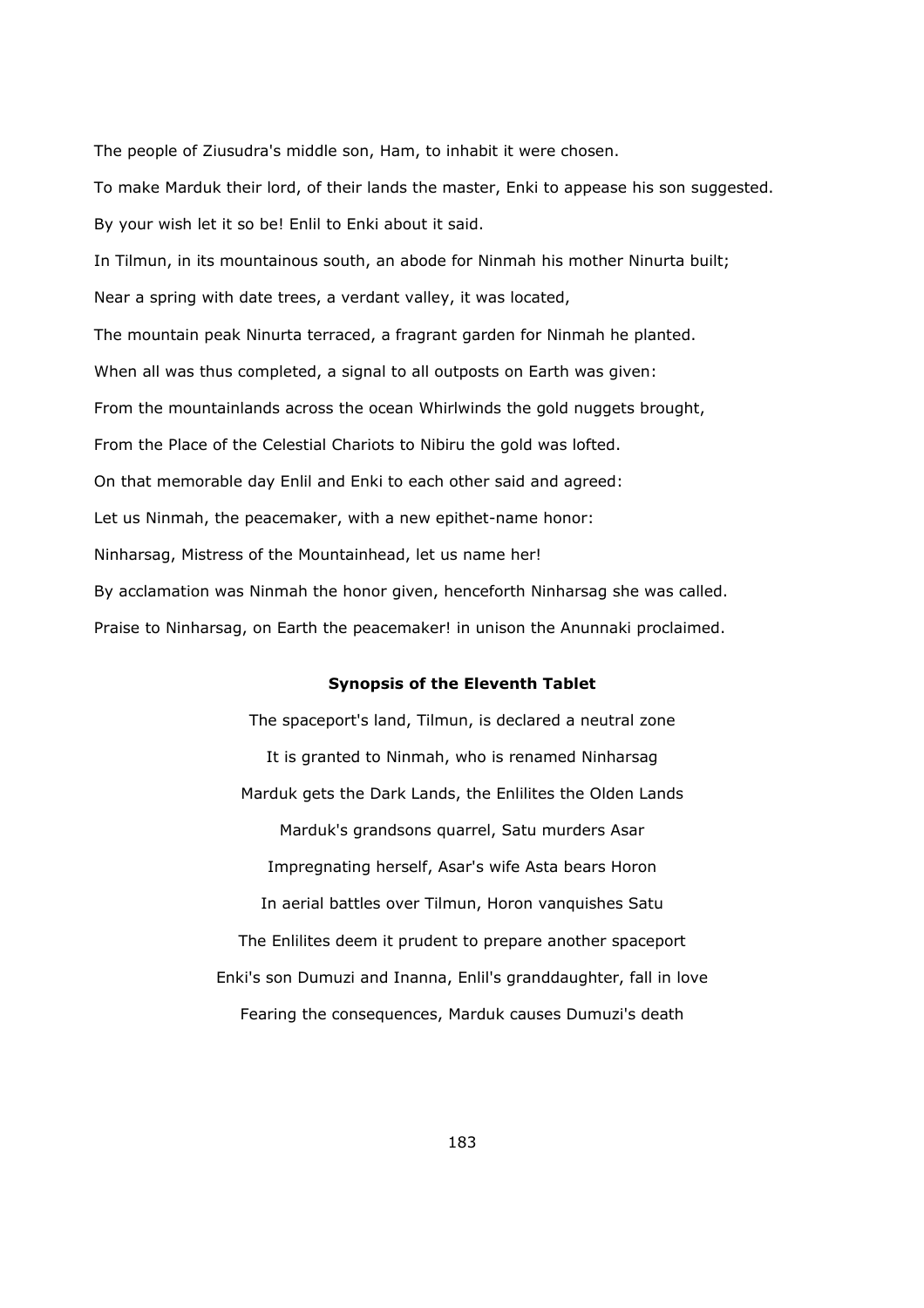The people of Ziusudra's middle son, Ham, to inhabit it were chosen.

To make Marduk their lord, of their lands the master, Enki to appease his son suggested. By your wish let it so be! Enlil to Enki about it said.

In Tilmun, in its mountainous south, an abode for Ninmah his mother Ninurta built; Near a spring with date trees, a verdant valley, it was located, The mountain peak Ninurta terraced, a fragrant garden for Ninmah he planted. When all was thus completed, a signal to all outposts on Earth was given: From the mountainlands across the ocean Whirlwinds the gold nuggets brought, From the Place of the Celestial Chariots to Nibiru the gold was lofted. On that memorable day Enlil and Enki to each other said and agreed: Let us Ninmah, the peacemaker, with a new epithet-name honor: Ninharsag, Mistress of the Mountainhead, let us name her! By acclamation was Ninmah the honor given, henceforth Ninharsag she was called. Praise to Ninharsag, on Earth the peacemaker! in unison the Anunnaki proclaimed.

## **Synopsis of the Eleventh Tablet**

The spaceport's land, Tilmun, is declared a neutral zone It is granted to Ninmah, who is renamed Ninharsag Marduk gets the Dark Lands, the Enlilites the Olden Lands Marduk's grandsons quarrel, Satu murders Asar Impregnating herself, Asar's wife Asta bears Horon In aerial battles over Tilmun, Horon vanquishes Satu The Enlilites deem it prudent to prepare another spaceport Enki's son Dumuzi and Inanna, Enlil's granddaughter, fall in love Fearing the consequences, Marduk causes Dumuzi's death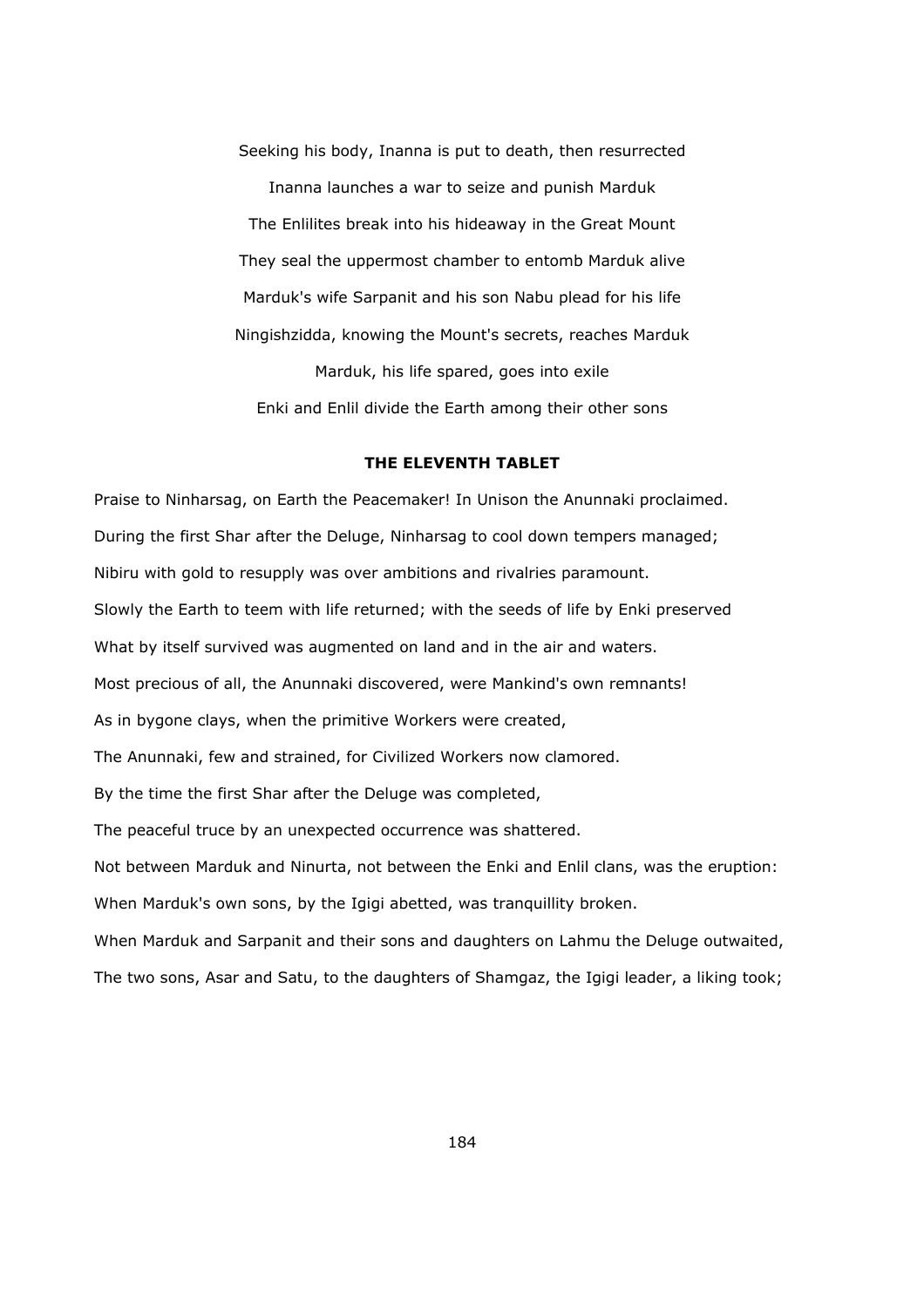Seeking his body, Inanna is put to death, then resurrected Inanna launches a war to seize and punish Marduk The Enlilites break into his hideaway in the Great Mount They seal the uppermost chamber to entomb Marduk alive Marduk's wife Sarpanit and his son Nabu plead for his life Ningishzidda, knowing the Mount's secrets, reaches Marduk Marduk, his life spared, goes into exile

# Enki and Enlil divide the Earth among their other sons

#### **THE ELEVENTH TABLET**

Praise to Ninharsag, on Earth the Peacemaker! In Unison the Anunnaki proclaimed. During the first Shar after the Deluge, Ninharsag to cool down tempers managed; Nibiru with gold to resupply was over ambitions and rivalries paramount. Slowly the Earth to teem with life returned; with the seeds of life by Enki preserved What by itself survived was augmented on land and in the air and waters. Most precious of all, the Anunnaki discovered, were Mankind's own remnants! As in bygone clays, when the primitive Workers were created, The Anunnaki, few and strained, for Civilized Workers now clamored. By the time the first Shar after the Deluge was completed, The peaceful truce by an unexpected occurrence was shattered. Not between Marduk and Ninurta, not between the Enki and Enlil clans, was the eruption: When Marduk's own sons, by the Igigi abetted, was tranquillity broken. When Marduk and Sarpanit and their sons and daughters on Lahmu the Deluge outwaited, The two sons, Asar and Satu, to the daughters of Shamgaz, the Igigi leader, a liking took;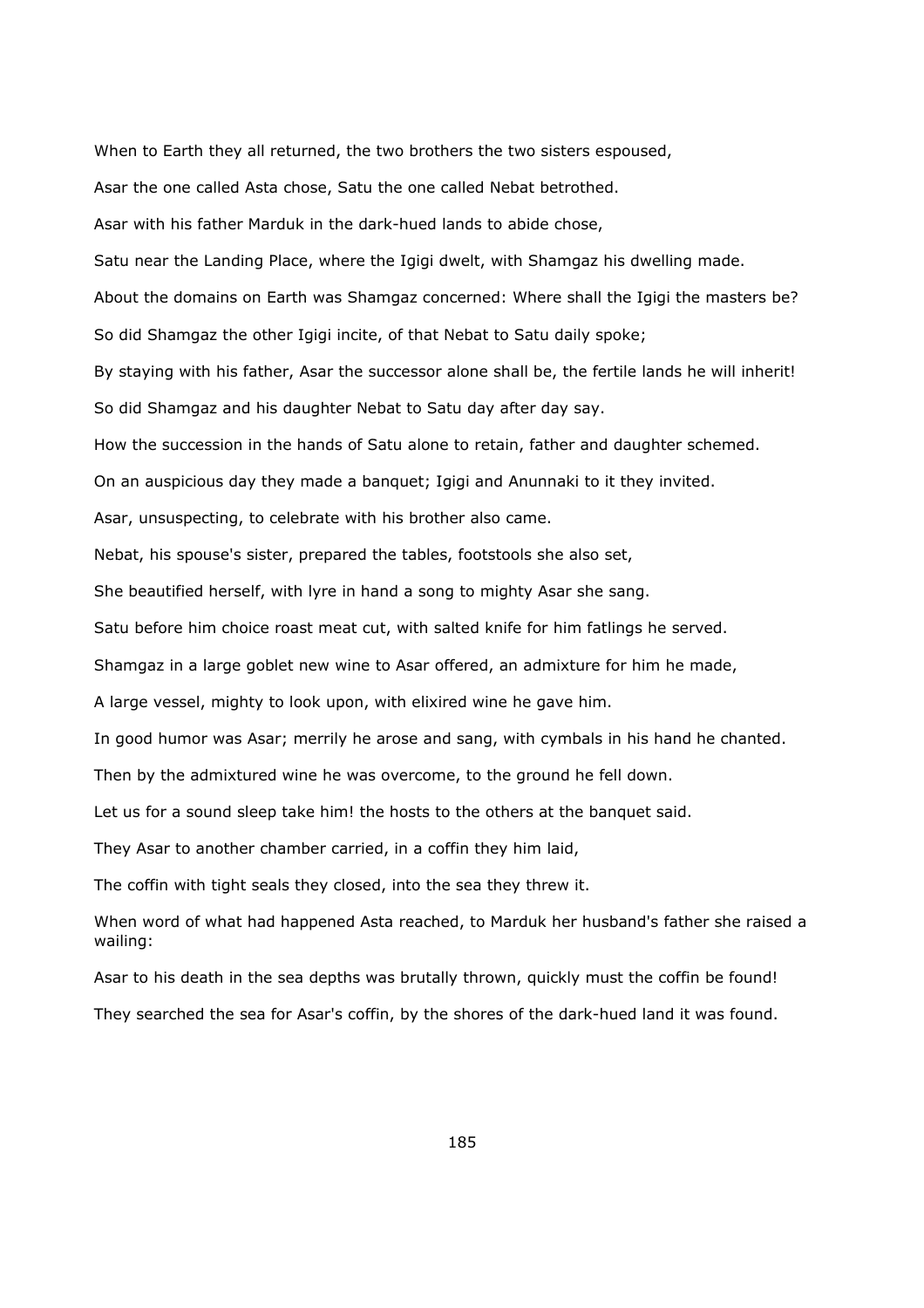When to Earth they all returned, the two brothers the two sisters espoused, Asar the one called Asta chose, Satu the one called Nebat betrothed. Asar with his father Marduk in the dark-hued lands to abide chose, Satu near the Landing Place, where the Igigi dwelt, with Shamgaz his dwelling made. About the domains on Earth was Shamgaz concerned: Where shall the Igigi the masters be? So did Shamgaz the other Igigi incite, of that Nebat to Satu daily spoke; By staying with his father, Asar the successor alone shall be, the fertile lands he will inherit! So did Shamgaz and his daughter Nebat to Satu day after day say. How the succession in the hands of Satu alone to retain, father and daughter schemed. On an auspicious day they made a banquet; Igigi and Anunnaki to it they invited. Asar, unsuspecting, to celebrate with his brother also came. Nebat, his spouse's sister, prepared the tables, footstools she also set, She beautified herself, with lyre in hand a song to mighty Asar she sang. Satu before him choice roast meat cut, with salted knife for him fatlings he served. Shamgaz in a large goblet new wine to Asar offered, an admixture for him he made, A large vessel, mighty to look upon, with elixired wine he gave him. In good humor was Asar; merrily he arose and sang, with cymbals in his hand he chanted. Then by the admixtured wine he was overcome, to the ground he fell down. Let us for a sound sleep take him! the hosts to the others at the banquet said. They Asar to another chamber carried, in a coffin they him laid, The coffin with tight seals they closed, into the sea they threw it. When word of what had happened Asta reached, to Marduk her husband's father she raised a wailing:

Asar to his death in the sea depths was brutally thrown, quickly must the coffin be found! They searched the sea for Asar's coffin, by the shores of the dark-hued land it was found.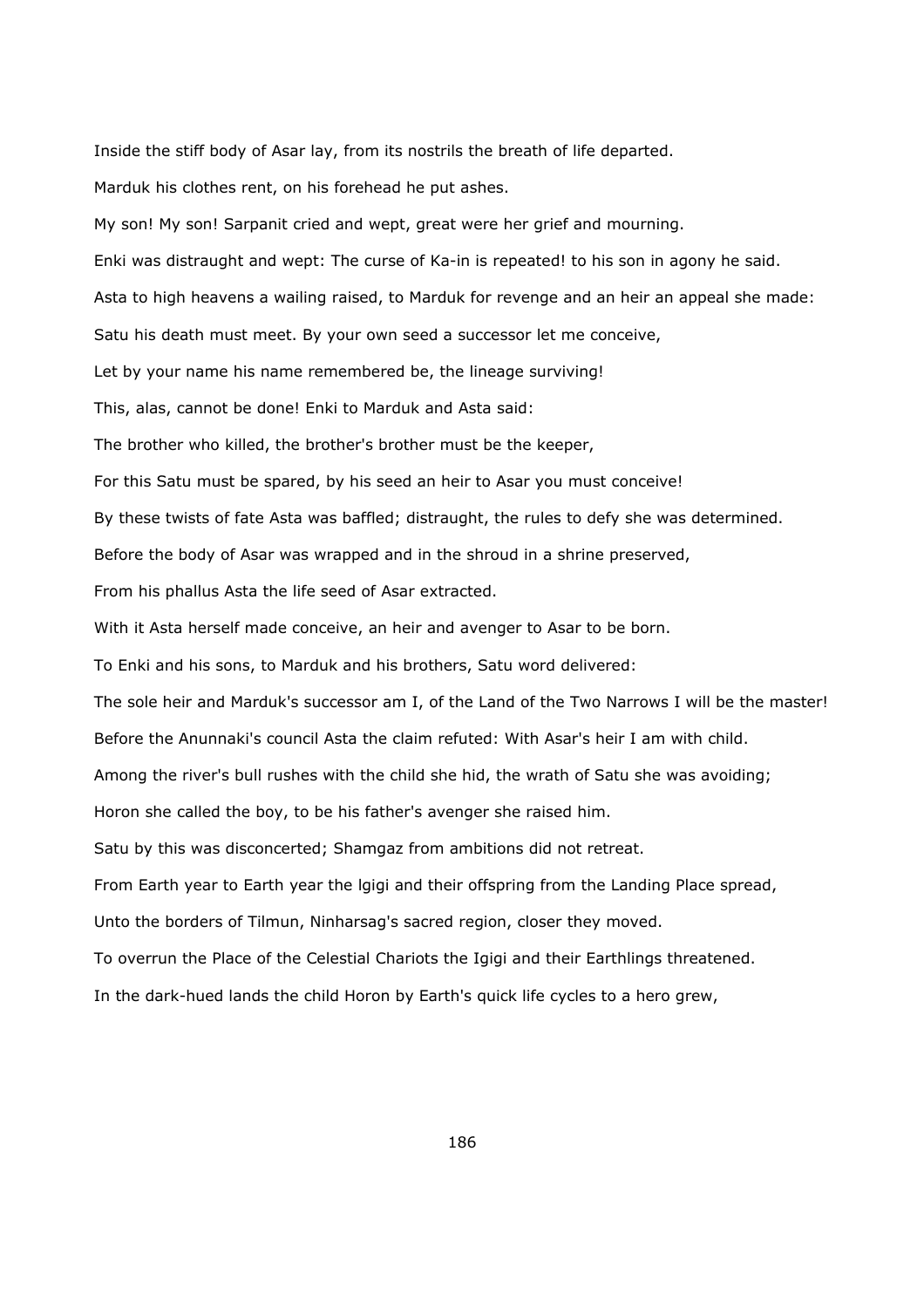Inside the stiff body of Asar lay, from its nostrils the breath of life departed.

Marduk his clothes rent, on his forehead he put ashes.

My son! My son! Sarpanit cried and wept, great were her grief and mourning.

Enki was distraught and wept: The curse of Ka-in is repeated! to his son in agony he said.

Asta to high heavens a wailing raised, to Marduk for revenge and an heir an appeal she made:

Satu his death must meet. By your own seed a successor let me conceive,

Let by your name his name remembered be, the lineage surviving!

This, alas, cannot be done! Enki to Marduk and Asta said:

The brother who killed, the brother's brother must be the keeper,

For this Satu must be spared, by his seed an heir to Asar you must conceive!

By these twists of fate Asta was baffled; distraught, the rules to defy she was determined.

Before the body of Asar was wrapped and in the shroud in a shrine preserved,

From his phallus Asta the life seed of Asar extracted.

With it Asta herself made conceive, an heir and avenger to Asar to be born.

To Enki and his sons, to Marduk and his brothers, Satu word delivered:

The sole heir and Marduk's successor am I, of the Land of the Two Narrows I will be the master!

Before the Anunnaki's council Asta the claim refuted: With Asar's heir I am with child.

Among the river's bull rushes with the child she hid, the wrath of Satu she was avoiding;

Horon she called the boy, to be his father's avenger she raised him.

Satu by this was disconcerted; Shamgaz from ambitions did not retreat.

From Earth year to Earth year the lgigi and their offspring from the Landing Place spread,

Unto the borders of Tilmun, Ninharsag's sacred region, closer they moved.

To overrun the Place of the Celestial Chariots the Igigi and their Earthlings threatened.

In the dark-hued lands the child Horon by Earth's quick life cycles to a hero grew,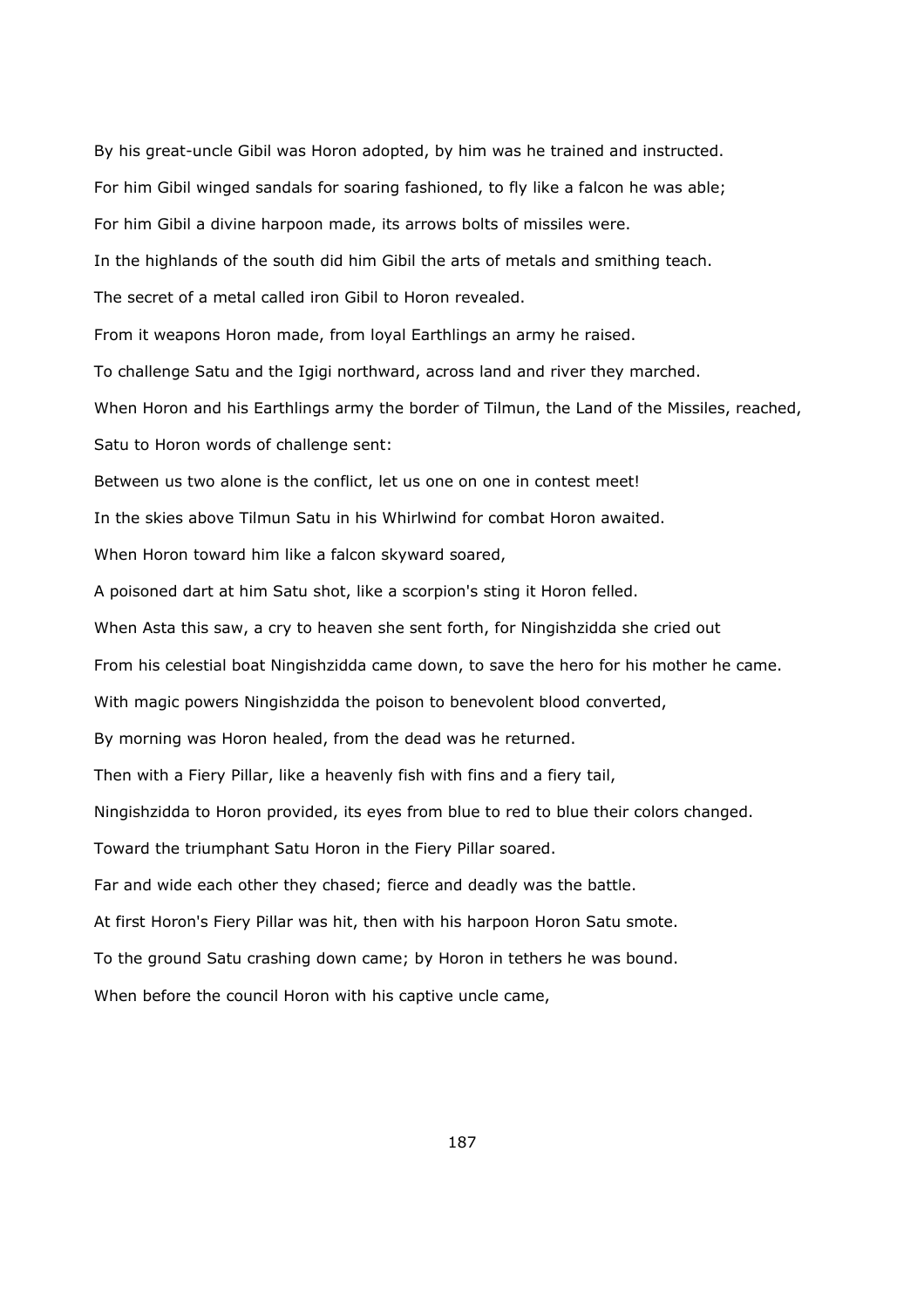By his great-uncle Gibil was Horon adopted, by him was he trained and instructed. For him Gibil winged sandals for soaring fashioned, to fly like a falcon he was able; For him Gibil a divine harpoon made, its arrows bolts of missiles were. In the highlands of the south did him Gibil the arts of metals and smithing teach. The secret of a metal called iron Gibil to Horon revealed. From it weapons Horon made, from loyal Earthlings an army he raised. To challenge Satu and the Igigi northward, across land and river they marched. When Horon and his Earthlings army the border of Tilmun, the Land of the Missiles, reached, Satu to Horon words of challenge sent: Between us two alone is the conflict, let us one on one in contest meet! In the skies above Tilmun Satu in his Whirlwind for combat Horon awaited. When Horon toward him like a falcon skyward soared, A poisoned dart at him Satu shot, like a scorpion's sting it Horon felled. When Asta this saw, a cry to heaven she sent forth, for Ningishzidda she cried out From his celestial boat Ningishzidda came down, to save the hero for his mother he came. With magic powers Ningishzidda the poison to benevolent blood converted, By morning was Horon healed, from the dead was he returned. Then with a Fiery Pillar, like a heavenly fish with fins and a fiery tail, Ningishzidda to Horon provided, its eyes from blue to red to blue their colors changed. Toward the triumphant Satu Horon in the Fiery Pillar soared. Far and wide each other they chased; fierce and deadly was the battle. At first Horon's Fiery Pillar was hit, then with his harpoon Horon Satu smote. To the ground Satu crashing down came; by Horon in tethers he was bound. When before the council Horon with his captive uncle came,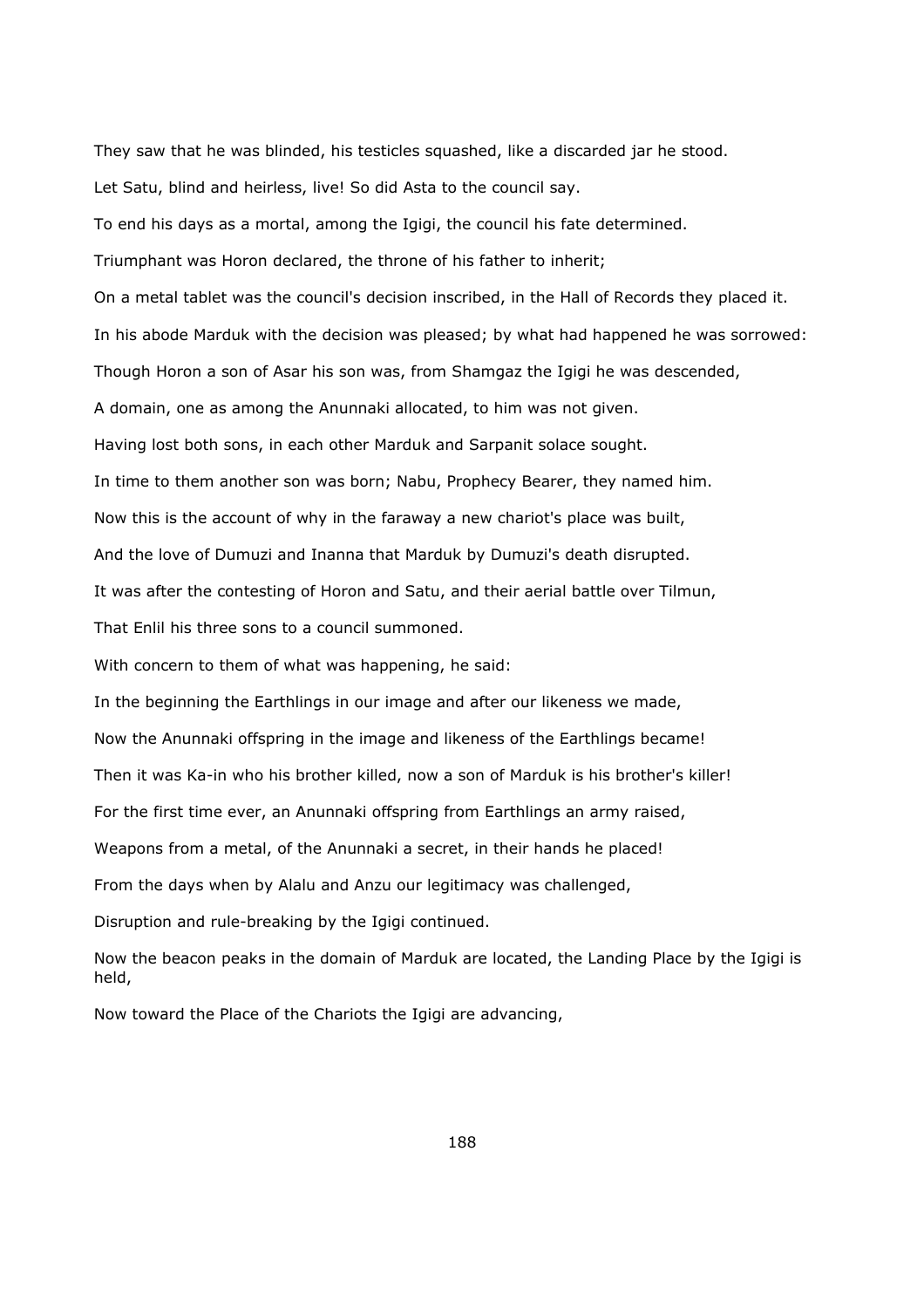They saw that he was blinded, his testicles squashed, like a discarded jar he stood. Let Satu, blind and heirless, live! So did Asta to the council say. To end his days as a mortal, among the Igigi, the council his fate determined. Triumphant was Horon declared, the throne of his father to inherit; On a metal tablet was the council's decision inscribed, in the Hall of Records they placed it. In his abode Marduk with the decision was pleased; by what had happened he was sorrowed: Though Horon a son of Asar his son was, from Shamgaz the Igigi he was descended, A domain, one as among the Anunnaki allocated, to him was not given. Having lost both sons, in each other Marduk and Sarpanit solace sought. In time to them another son was born; Nabu, Prophecy Bearer, they named him. Now this is the account of why in the faraway a new chariot's place was built, And the love of Dumuzi and Inanna that Marduk by Dumuzi's death disrupted. It was after the contesting of Horon and Satu, and their aerial battle over Tilmun, That Enlil his three sons to a council summoned. With concern to them of what was happening, he said: In the beginning the Earthlings in our image and after our likeness we made, Now the Anunnaki offspring in the image and likeness of the Earthlings became! Then it was Ka-in who his brother killed, now a son of Marduk is his brother's killer! For the first time ever, an Anunnaki offspring from Earthlings an army raised, Weapons from a metal, of the Anunnaki a secret, in their hands he placed! From the days when by Alalu and Anzu our legitimacy was challenged, Disruption and rule-breaking by the Igigi continued.

Now the beacon peaks in the domain of Marduk are located, the Landing Place by the Igigi is held,

Now toward the Place of the Chariots the Igigi are advancing,

188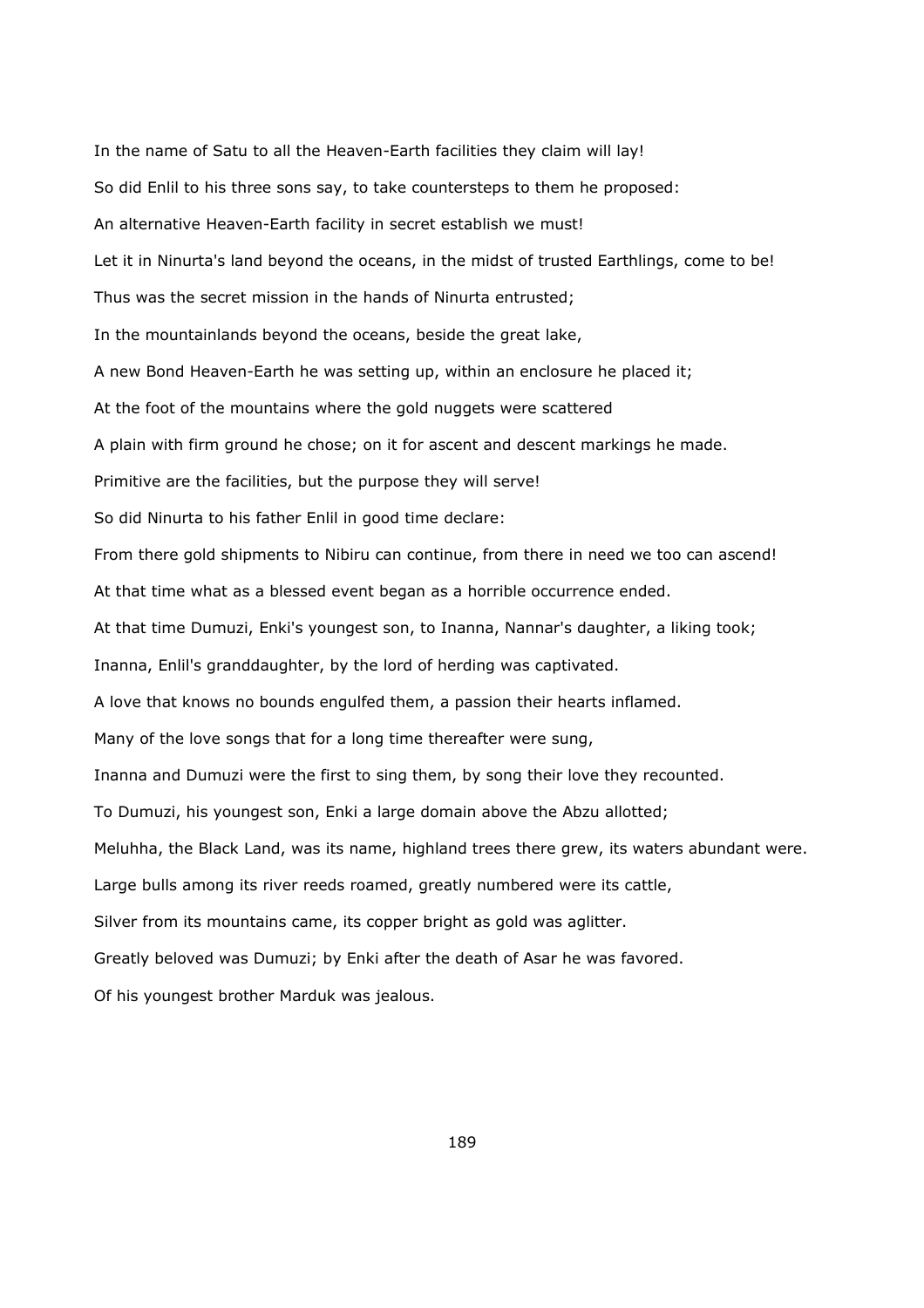In the name of Satu to all the Heaven-Earth facilities they claim will lay! So did Enlil to his three sons say, to take countersteps to them he proposed: An alternative Heaven-Earth facility in secret establish we must! Let it in Ninurta's land beyond the oceans, in the midst of trusted Earthlings, come to be! Thus was the secret mission in the hands of Ninurta entrusted; In the mountainlands beyond the oceans, beside the great lake, A new Bond Heaven-Earth he was setting up, within an enclosure he placed it; At the foot of the mountains where the gold nuggets were scattered A plain with firm ground he chose; on it for ascent and descent markings he made. Primitive are the facilities, but the purpose they will serve! So did Ninurta to his father Enlil in good time declare: From there gold shipments to Nibiru can continue, from there in need we too can ascend! At that time what as a blessed event began as a horrible occurrence ended. At that time Dumuzi, Enki's youngest son, to Inanna, Nannar's daughter, a liking took; Inanna, Enlil's granddaughter, by the lord of herding was captivated. A love that knows no bounds engulfed them, a passion their hearts inflamed. Many of the love songs that for a long time thereafter were sung, Inanna and Dumuzi were the first to sing them, by song their love they recounted. To Dumuzi, his youngest son, Enki a large domain above the Abzu allotted; Meluhha, the Black Land, was its name, highland trees there grew, its waters abundant were. Large bulls among its river reeds roamed, greatly numbered were its cattle, Silver from its mountains came, its copper bright as gold was aglitter. Greatly beloved was Dumuzi; by Enki after the death of Asar he was favored. Of his youngest brother Marduk was jealous.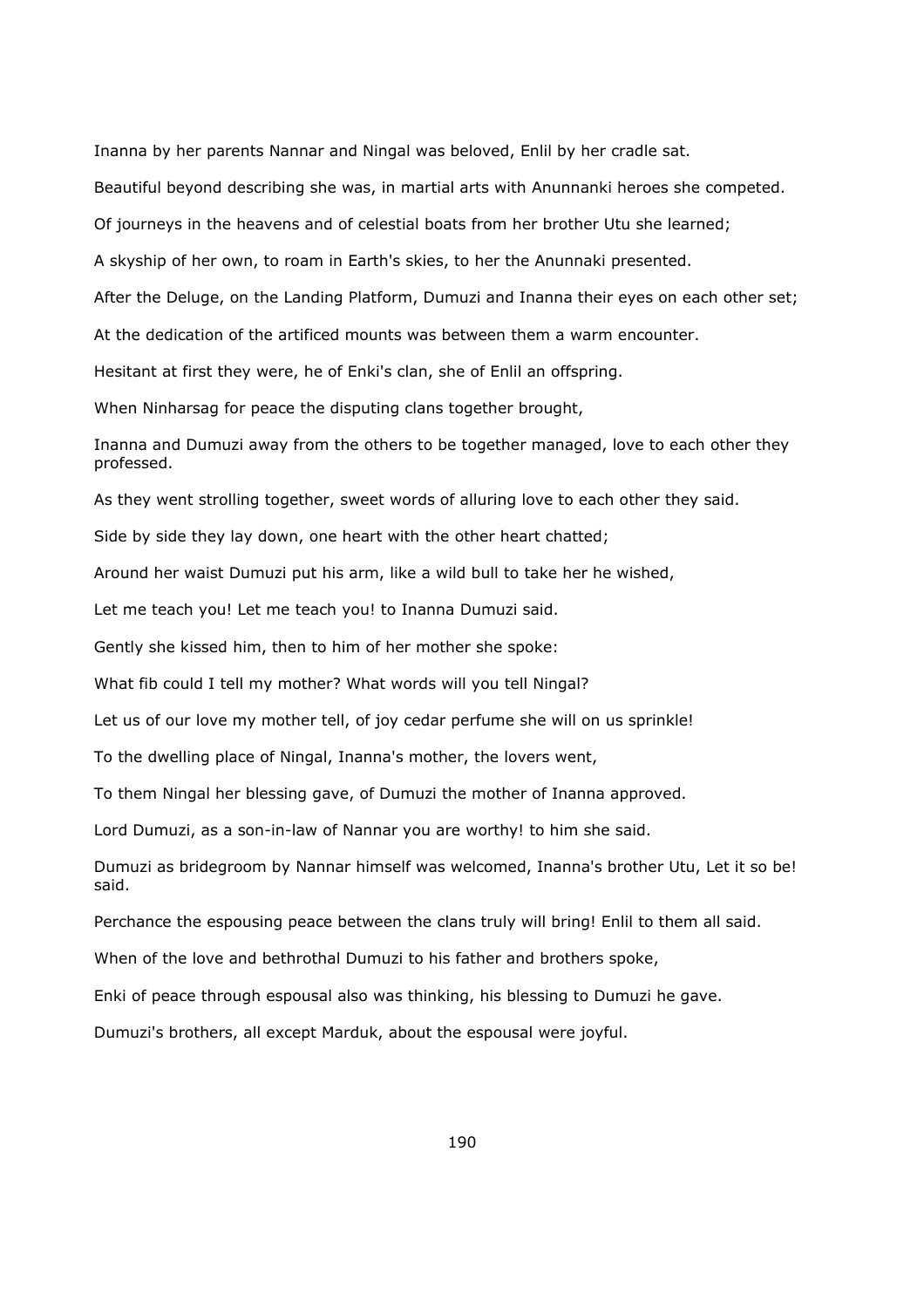Inanna by her parents Nannar and Ningal was beloved, Enlil by her cradle sat.

Beautiful beyond describing she was, in martial arts with Anunnanki heroes she competed.

Of journeys in the heavens and of celestial boats from her brother Utu she learned;

A skyship of her own, to roam in Earth's skies, to her the Anunnaki presented.

After the Deluge, on the Landing Platform, Dumuzi and Inanna their eyes on each other set;

At the dedication of the artificed mounts was between them a warm encounter.

Hesitant at first they were, he of Enki's clan, she of Enlil an offspring.

When Ninharsag for peace the disputing clans together brought,

Inanna and Dumuzi away from the others to be together managed, love to each other they professed.

As they went strolling together, sweet words of alluring love to each other they said.

Side by side they lay down, one heart with the other heart chatted;

Around her waist Dumuzi put his arm, like a wild bull to take her he wished,

Let me teach you! Let me teach you! to Inanna Dumuzi said.

Gently she kissed him, then to him of her mother she spoke:

What fib could I tell my mother? What words will you tell Ningal?

Let us of our love my mother tell, of joy cedar perfume she will on us sprinkle!

To the dwelling place of Ningal, Inanna's mother, the lovers went,

To them Ningal her blessing gave, of Dumuzi the mother of Inanna approved.

Lord Dumuzi, as a son-in-law of Nannar you are worthy! to him she said.

Dumuzi as bridegroom by Nannar himself was welcomed, Inanna's brother Utu, Let it so be! said.

Perchance the espousing peace between the clans truly will bring! Enlil to them all said.

When of the love and bethrothal Dumuzi to his father and brothers spoke,

Enki of peace through espousal also was thinking, his blessing to Dumuzi he gave.

Dumuzi's brothers, all except Marduk, about the espousal were joyful.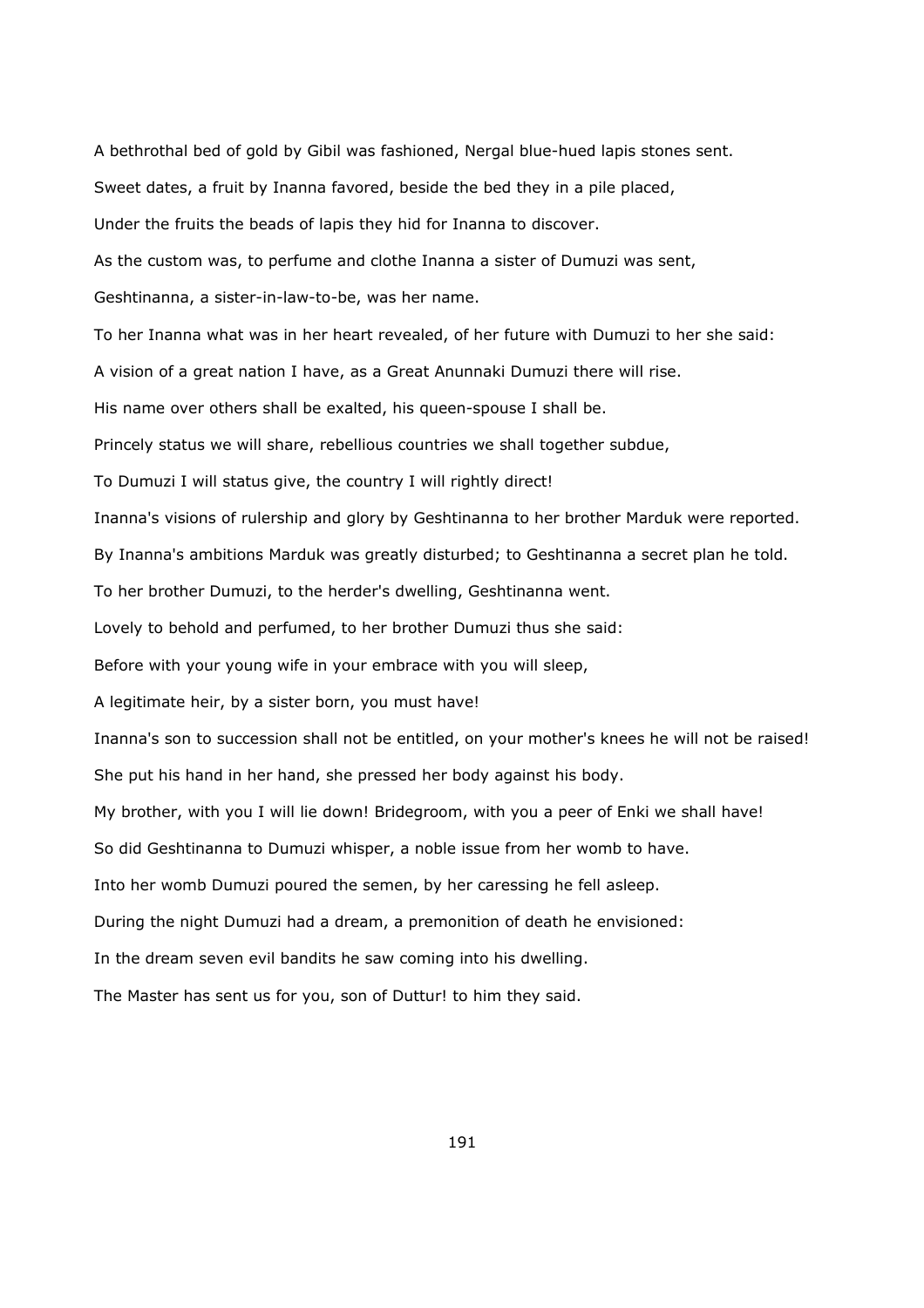A bethrothal bed of gold by Gibil was fashioned, Nergal blue-hued lapis stones sent. Sweet dates, a fruit by Inanna favored, beside the bed they in a pile placed, Under the fruits the beads of lapis they hid for Inanna to discover. As the custom was, to perfume and clothe Inanna a sister of Dumuzi was sent, Geshtinanna, a sister-in-law-to-be, was her name. To her Inanna what was in her heart revealed, of her future with Dumuzi to her she said: A vision of a great nation I have, as a Great Anunnaki Dumuzi there will rise. His name over others shall be exalted, his queen-spouse I shall be. Princely status we will share, rebellious countries we shall together subdue, To Dumuzi I will status give, the country I will rightly direct! Inanna's visions of rulership and glory by Geshtinanna to her brother Marduk were reported. By Inanna's ambitions Marduk was greatly disturbed; to Geshtinanna a secret plan he told. To her brother Dumuzi, to the herder's dwelling, Geshtinanna went. Lovely to behold and perfumed, to her brother Dumuzi thus she said: Before with your young wife in your embrace with you will sleep, A legitimate heir, by a sister born, you must have! Inanna's son to succession shall not be entitled, on your mother's knees he will not be raised! She put his hand in her hand, she pressed her body against his body. My brother, with you I will lie down! Bridegroom, with you a peer of Enki we shall have! So did Geshtinanna to Dumuzi whisper, a noble issue from her womb to have. Into her womb Dumuzi poured the semen, by her caressing he fell asleep. During the night Dumuzi had a dream, a premonition of death he envisioned: In the dream seven evil bandits he saw coming into his dwelling. The Master has sent us for you, son of Duttur! to him they said.

191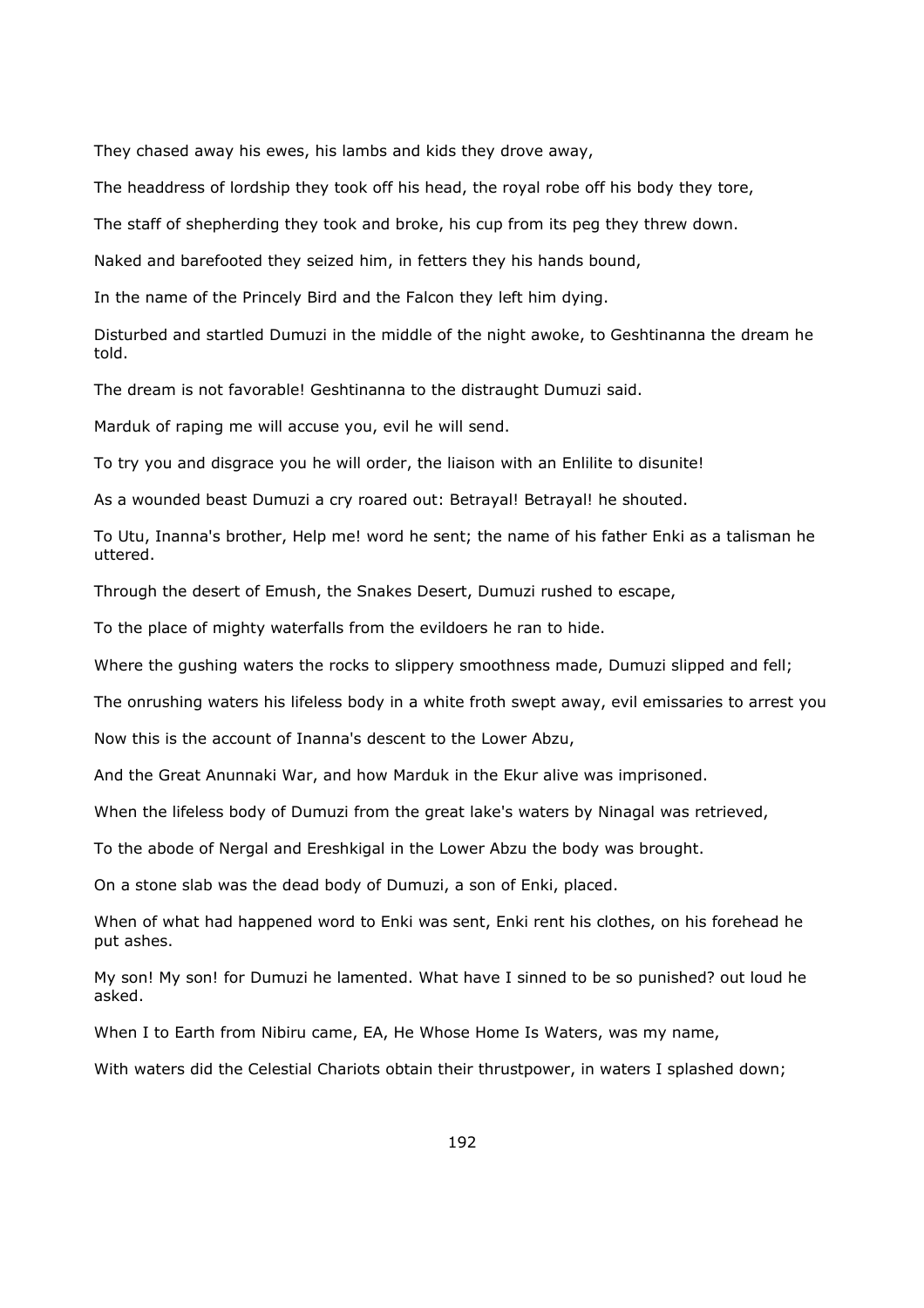They chased away his ewes, his lambs and kids they drove away,

The headdress of lordship they took off his head, the royal robe off his body they tore,

The staff of shepherding they took and broke, his cup from its peg they threw down.

Naked and barefooted they seized him, in fetters they his hands bound,

In the name of the Princely Bird and the Falcon they left him dying.

Disturbed and startled Dumuzi in the middle of the night awoke, to Geshtinanna the dream he told.

The dream is not favorable! Geshtinanna to the distraught Dumuzi said.

Marduk of raping me will accuse you, evil he will send.

To try you and disgrace you he will order, the liaison with an Enlilite to disunite!

As a wounded beast Dumuzi a cry roared out: Betrayal! Betrayal! he shouted.

To Utu, Inanna's brother, Help me! word he sent; the name of his father Enki as a talisman he uttered.

Through the desert of Emush, the Snakes Desert, Dumuzi rushed to escape,

To the place of mighty waterfalls from the evildoers he ran to hide.

Where the gushing waters the rocks to slippery smoothness made, Dumuzi slipped and fell;

The onrushing waters his lifeless body in a white froth swept away, evil emissaries to arrest you

Now this is the account of Inanna's descent to the Lower Abzu,

And the Great Anunnaki War, and how Marduk in the Ekur alive was imprisoned.

When the lifeless body of Dumuzi from the great lake's waters by Ninagal was retrieved,

To the abode of Nergal and Ereshkigal in the Lower Abzu the body was brought.

On a stone slab was the dead body of Dumuzi, a son of Enki, placed.

When of what had happened word to Enki was sent, Enki rent his clothes, on his forehead he put ashes.

My son! My son! for Dumuzi he lamented. What have I sinned to be so punished? out loud he asked.

When I to Earth from Nibiru came, EA, He Whose Home Is Waters, was my name,

With waters did the Celestial Chariots obtain their thrustpower, in waters I splashed down;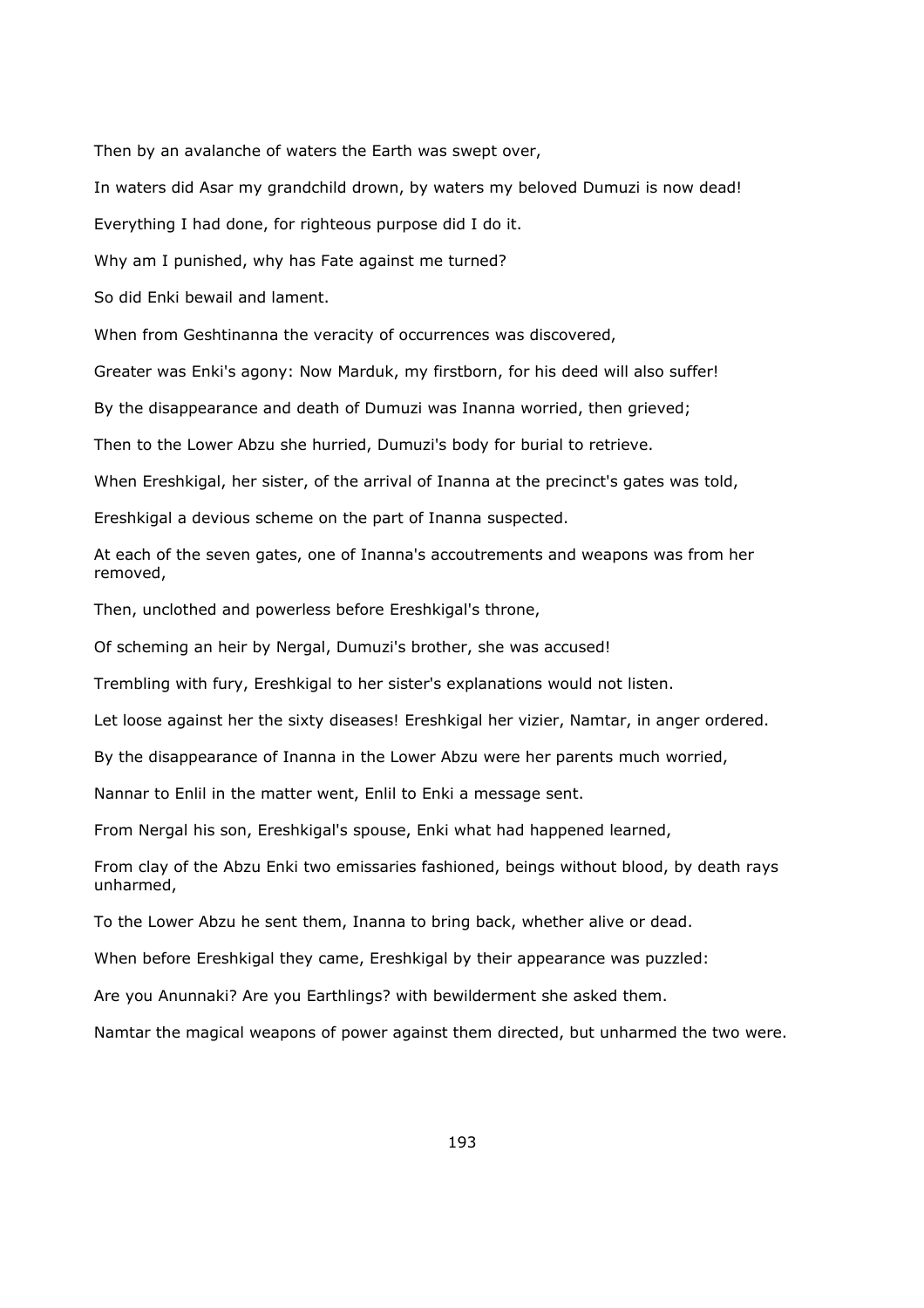Then by an avalanche of waters the Earth was swept over,

In waters did Asar my grandchild drown, by waters my beloved Dumuzi is now dead!

Everything I had done, for righteous purpose did I do it.

Why am I punished, why has Fate against me turned?

So did Enki bewail and lament.

When from Geshtinanna the veracity of occurrences was discovered,

Greater was Enki's agony: Now Marduk, my firstborn, for his deed will also suffer!

By the disappearance and death of Dumuzi was Inanna worried, then grieved;

Then to the Lower Abzu she hurried, Dumuzi's body for burial to retrieve.

When Ereshkigal, her sister, of the arrival of Inanna at the precinct's gates was told,

Ereshkigal a devious scheme on the part of Inanna suspected.

At each of the seven gates, one of Inanna's accoutrements and weapons was from her removed,

Then, unclothed and powerless before Ereshkigal's throne,

Of scheming an heir by Nergal, Dumuzi's brother, she was accused!

Trembling with fury, Ereshkigal to her sister's explanations would not listen.

Let loose against her the sixty diseases! Ereshkigal her vizier, Namtar, in anger ordered.

By the disappearance of Inanna in the Lower Abzu were her parents much worried,

Nannar to Enlil in the matter went, Enlil to Enki a message sent.

From Nergal his son, Ereshkigal's spouse, Enki what had happened learned,

From clay of the Abzu Enki two emissaries fashioned, beings without blood, by death rays unharmed,

To the Lower Abzu he sent them, Inanna to bring back, whether alive or dead.

When before Ereshkigal they came, Ereshkigal by their appearance was puzzled:

Are you Anunnaki? Are you Earthlings? with bewilderment she asked them.

Namtar the magical weapons of power against them directed, but unharmed the two were.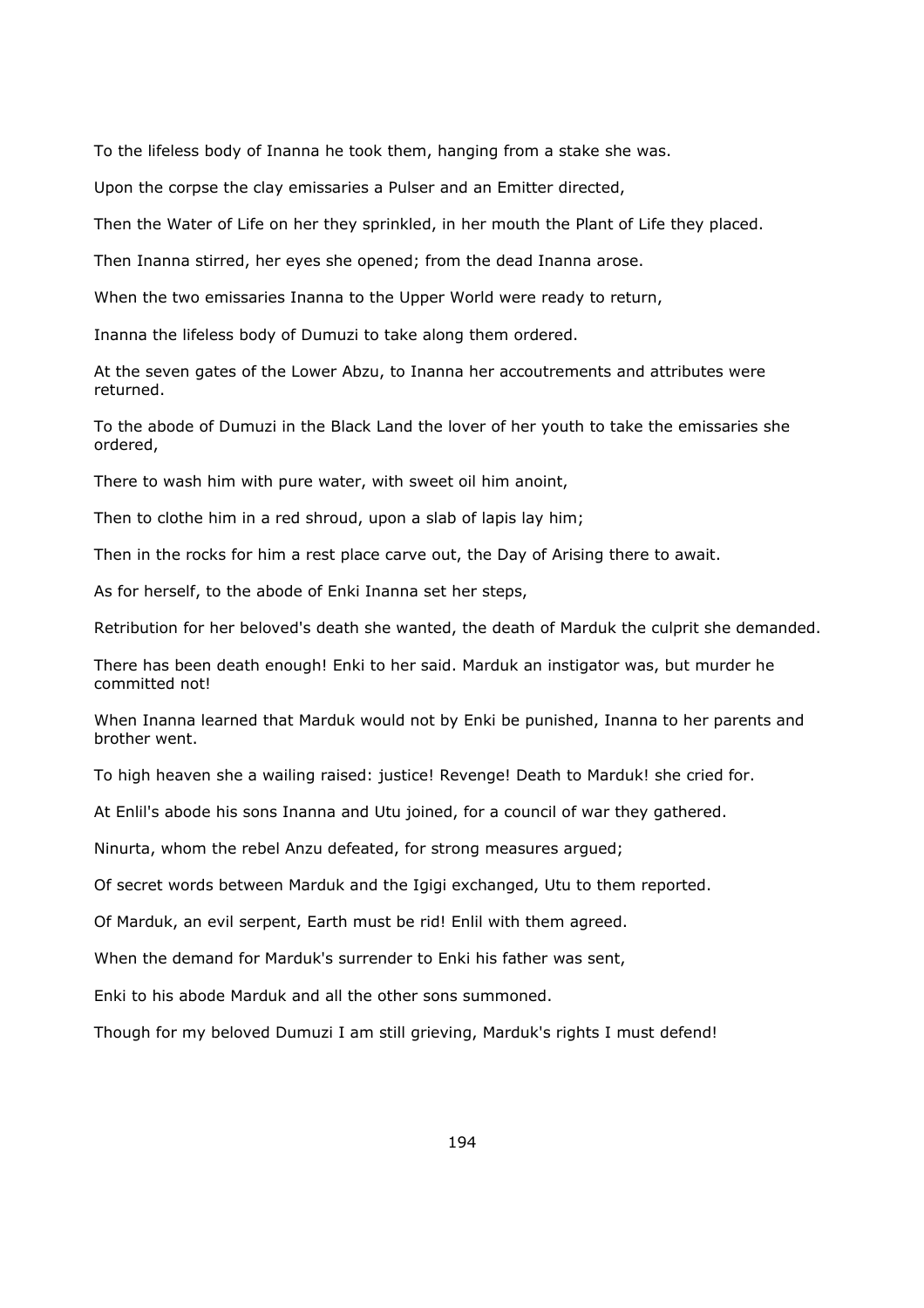To the lifeless body of Inanna he took them, hanging from a stake she was.

Upon the corpse the clay emissaries a Pulser and an Emitter directed,

Then the Water of Life on her they sprinkled, in her mouth the Plant of Life they placed.

Then Inanna stirred, her eyes she opened; from the dead Inanna arose.

When the two emissaries Inanna to the Upper World were ready to return,

Inanna the lifeless body of Dumuzi to take along them ordered.

At the seven gates of the Lower Abzu, to Inanna her accoutrements and attributes were returned.

To the abode of Dumuzi in the Black Land the lover of her youth to take the emissaries she ordered,

There to wash him with pure water, with sweet oil him anoint,

Then to clothe him in a red shroud, upon a slab of lapis lay him;

Then in the rocks for him a rest place carve out, the Day of Arising there to await.

As for herself, to the abode of Enki Inanna set her steps,

Retribution for her beloved's death she wanted, the death of Marduk the culprit she demanded.

There has been death enough! Enki to her said. Marduk an instigator was, but murder he committed not!

When Inanna learned that Marduk would not by Enki be punished, Inanna to her parents and brother went.

To high heaven she a wailing raised: justice! Revenge! Death to Marduk! she cried for.

At Enlil's abode his sons Inanna and Utu joined, for a council of war they gathered.

Ninurta, whom the rebel Anzu defeated, for strong measures argued;

Of secret words between Marduk and the Igigi exchanged, Utu to them reported.

Of Marduk, an evil serpent, Earth must be rid! Enlil with them agreed.

When the demand for Marduk's surrender to Enki his father was sent,

Enki to his abode Marduk and all the other sons summoned.

Though for my beloved Dumuzi I am still grieving, Marduk's rights I must defend!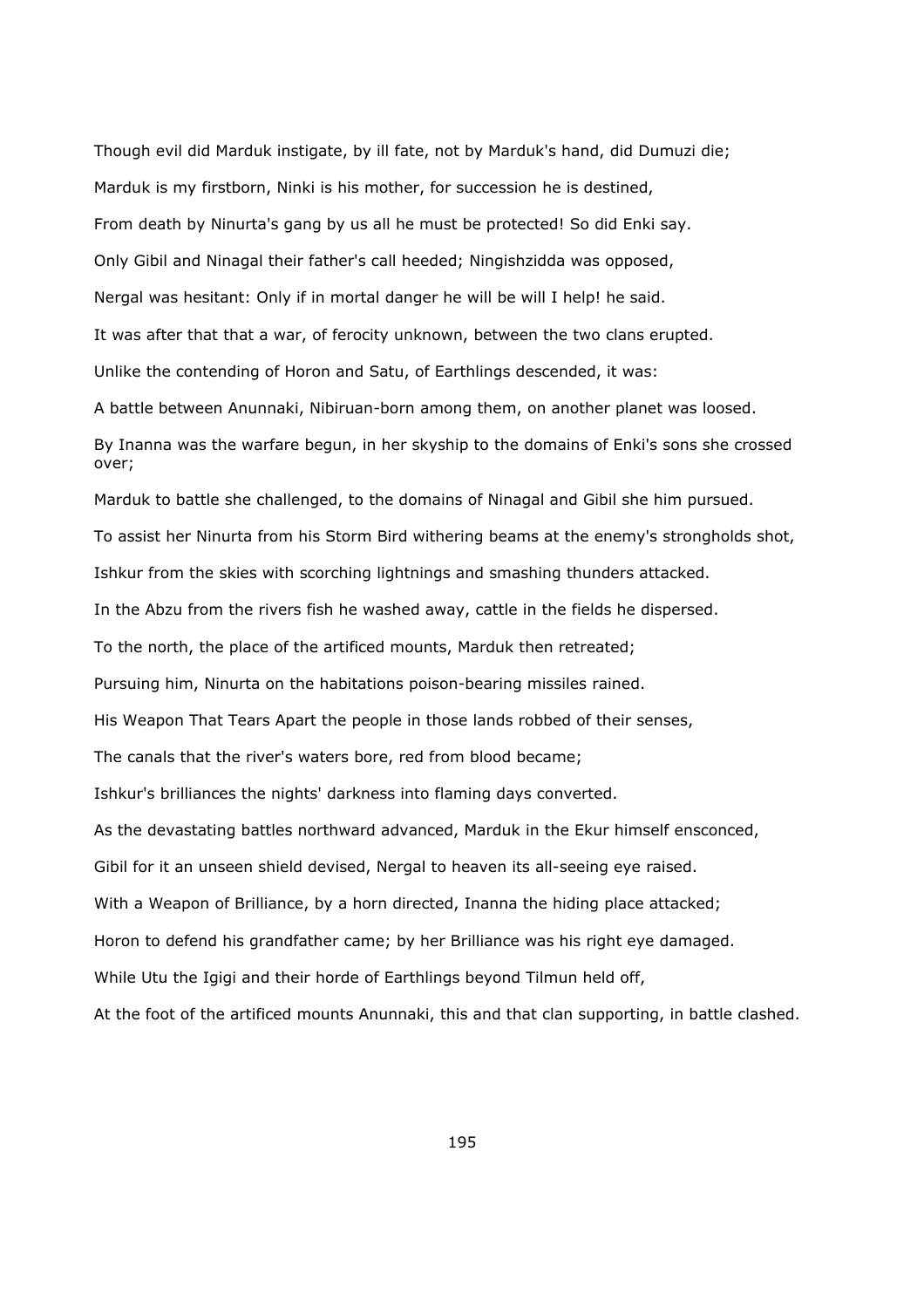Though evil did Marduk instigate, by ill fate, not by Marduk's hand, did Dumuzi die; Marduk is my firstborn, Ninki is his mother, for succession he is destined, From death by Ninurta's gang by us all he must be protected! So did Enki say. Only Gibil and Ninagal their father's call heeded; Ningishzidda was opposed, Nergal was hesitant: Only if in mortal danger he will be will I help! he said. It was after that that a war, of ferocity unknown, between the two clans erupted. Unlike the contending of Horon and Satu, of Earthlings descended, it was: A battle between Anunnaki, Nibiruan-born among them, on another planet was loosed. By Inanna was the warfare begun, in her skyship to the domains of Enki's sons she crossed over; Marduk to battle she challenged, to the domains of Ninagal and Gibil she him pursued. To assist her Ninurta from his Storm Bird withering beams at the enemy's strongholds shot, Ishkur from the skies with scorching lightnings and smashing thunders attacked. In the Abzu from the rivers fish he washed away, cattle in the fields he dispersed. To the north, the place of the artificed mounts, Marduk then retreated; Pursuing him, Ninurta on the habitations poison-bearing missiles rained. His Weapon That Tears Apart the people in those lands robbed of their senses, The canals that the river's waters bore, red from blood became; Ishkur's brilliances the nights' darkness into flaming days converted. As the devastating battles northward advanced, Marduk in the Ekur himself ensconced, Gibil for it an unseen shield devised, Nergal to heaven its all-seeing eye raised. With a Weapon of Brilliance, by a horn directed, Inanna the hiding place attacked; Horon to defend his grandfather came; by her Brilliance was his right eye damaged. While Utu the Igigi and their horde of Earthlings beyond Tilmun held off, At the foot of the artificed mounts Anunnaki, this and that clan supporting, in battle clashed.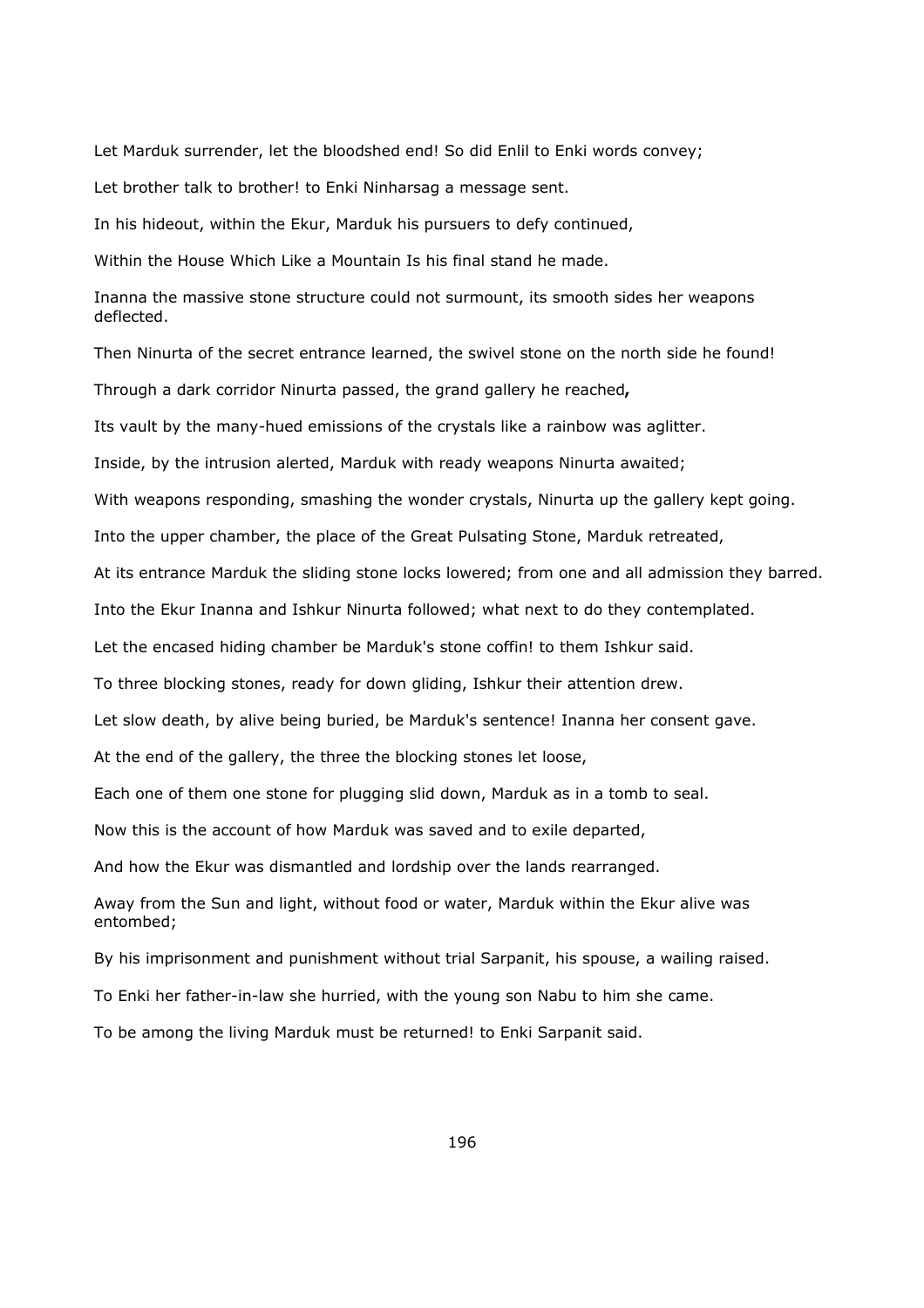Let Marduk surrender, let the bloodshed end! So did Enlil to Enki words convey;

Let brother talk to brother! to Enki Ninharsag a message sent.

In his hideout, within the Ekur, Marduk his pursuers to defy continued,

Within the House Which Like a Mountain Is his final stand he made.

Inanna the massive stone structure could not surmount, its smooth sides her weapons deflected.

Then Ninurta of the secret entrance learned, the swivel stone on the north side he found!

Through a dark corridor Ninurta passed, the grand gallery he reached**,**

Its vault by the many-hued emissions of the crystals like a rainbow was aglitter.

Inside, by the intrusion alerted, Marduk with ready weapons Ninurta awaited;

With weapons responding, smashing the wonder crystals, Ninurta up the gallery kept going.

Into the upper chamber, the place of the Great Pulsating Stone, Marduk retreated,

At its entrance Marduk the sliding stone locks lowered; from one and all admission they barred.

Into the Ekur Inanna and Ishkur Ninurta followed; what next to do they contemplated.

Let the encased hiding chamber be Marduk's stone coffin! to them Ishkur said.

To three blocking stones, ready for down gliding, Ishkur their attention drew.

Let slow death, by alive being buried, be Marduk's sentence! Inanna her consent gave.

At the end of the gallery, the three the blocking stones let loose,

Each one of them one stone for plugging slid down, Marduk as in a tomb to seal.

Now this is the account of how Marduk was saved and to exile departed,

And how the Ekur was dismantled and lordship over the lands rearranged.

Away from the Sun and light, without food or water, Marduk within the Ekur alive was entombed;

By his imprisonment and punishment without trial Sarpanit, his spouse, a wailing raised.

To Enki her father-in-law she hurried, with the young son Nabu to him she came.

To be among the living Marduk must be returned! to Enki Sarpanit said.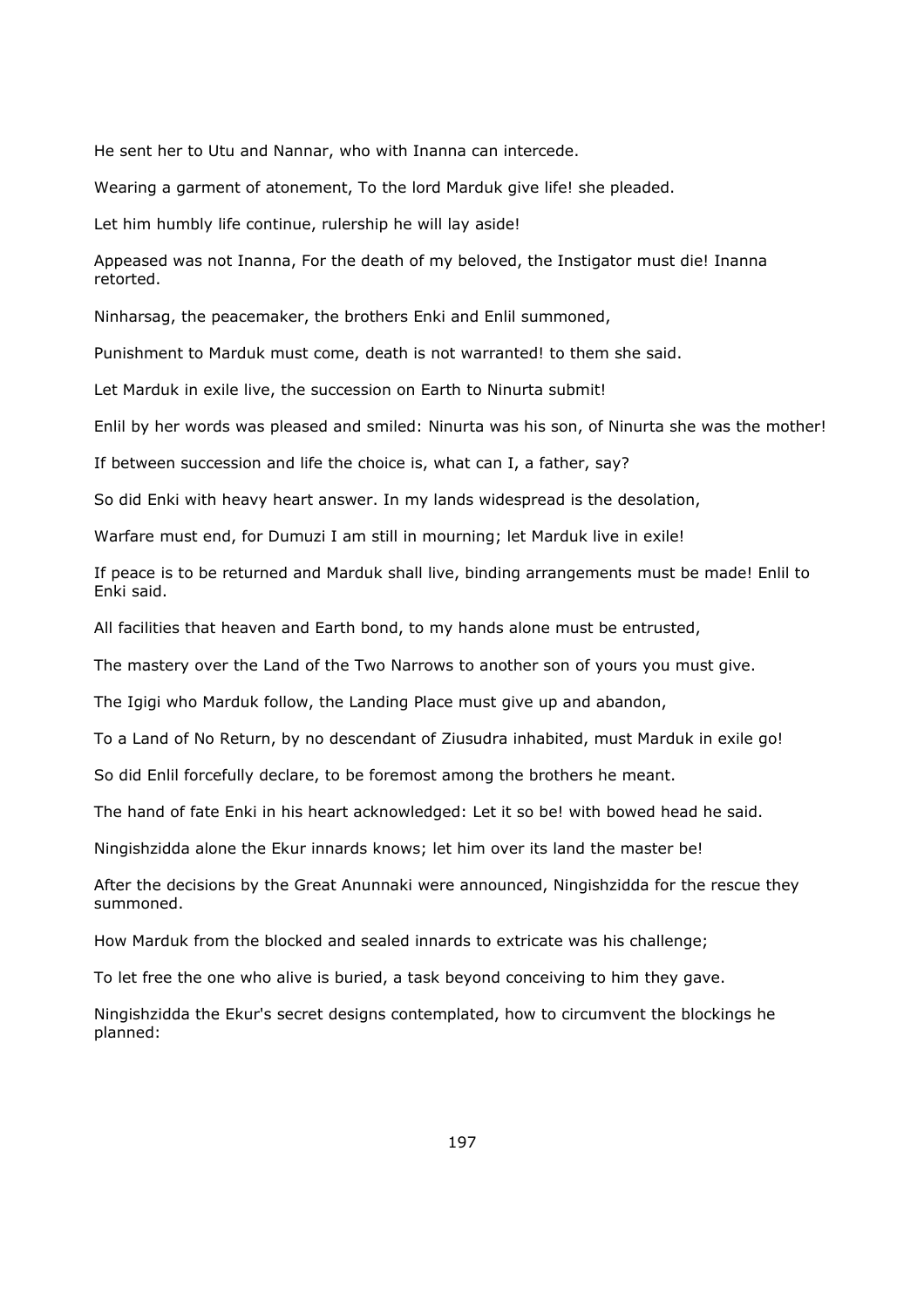He sent her to Utu and Nannar, who with Inanna can intercede.

Wearing a garment of atonement, To the lord Marduk give life! she pleaded.

Let him humbly life continue, rulership he will lay aside!

Appeased was not Inanna, For the death of my beloved, the Instigator must die! Inanna retorted.

Ninharsag, the peacemaker, the brothers Enki and Enlil summoned,

Punishment to Marduk must come, death is not warranted! to them she said.

Let Marduk in exile live, the succession on Earth to Ninurta submit!

Enlil by her words was pleased and smiled: Ninurta was his son, of Ninurta she was the mother!

If between succession and life the choice is, what can I, a father, say?

So did Enki with heavy heart answer. In my lands widespread is the desolation,

Warfare must end, for Dumuzi I am still in mourning; let Marduk live in exile!

If peace is to be returned and Marduk shall live, binding arrangements must be made! Enlil to Enki said.

All facilities that heaven and Earth bond, to my hands alone must be entrusted,

The mastery over the Land of the Two Narrows to another son of yours you must give.

The Igigi who Marduk follow, the Landing Place must give up and abandon,

To a Land of No Return, by no descendant of Ziusudra inhabited, must Marduk in exile go!

So did Enlil forcefully declare, to be foremost among the brothers he meant.

The hand of fate Enki in his heart acknowledged: Let it so be! with bowed head he said.

Ningishzidda alone the Ekur innards knows; let him over its land the master be!

After the decisions by the Great Anunnaki were announced, Ningishzidda for the rescue they summoned.

How Marduk from the blocked and sealed innards to extricate was his challenge;

To let free the one who alive is buried, a task beyond conceiving to him they gave.

Ningishzidda the Ekur's secret designs contemplated, how to circumvent the blockings he planned: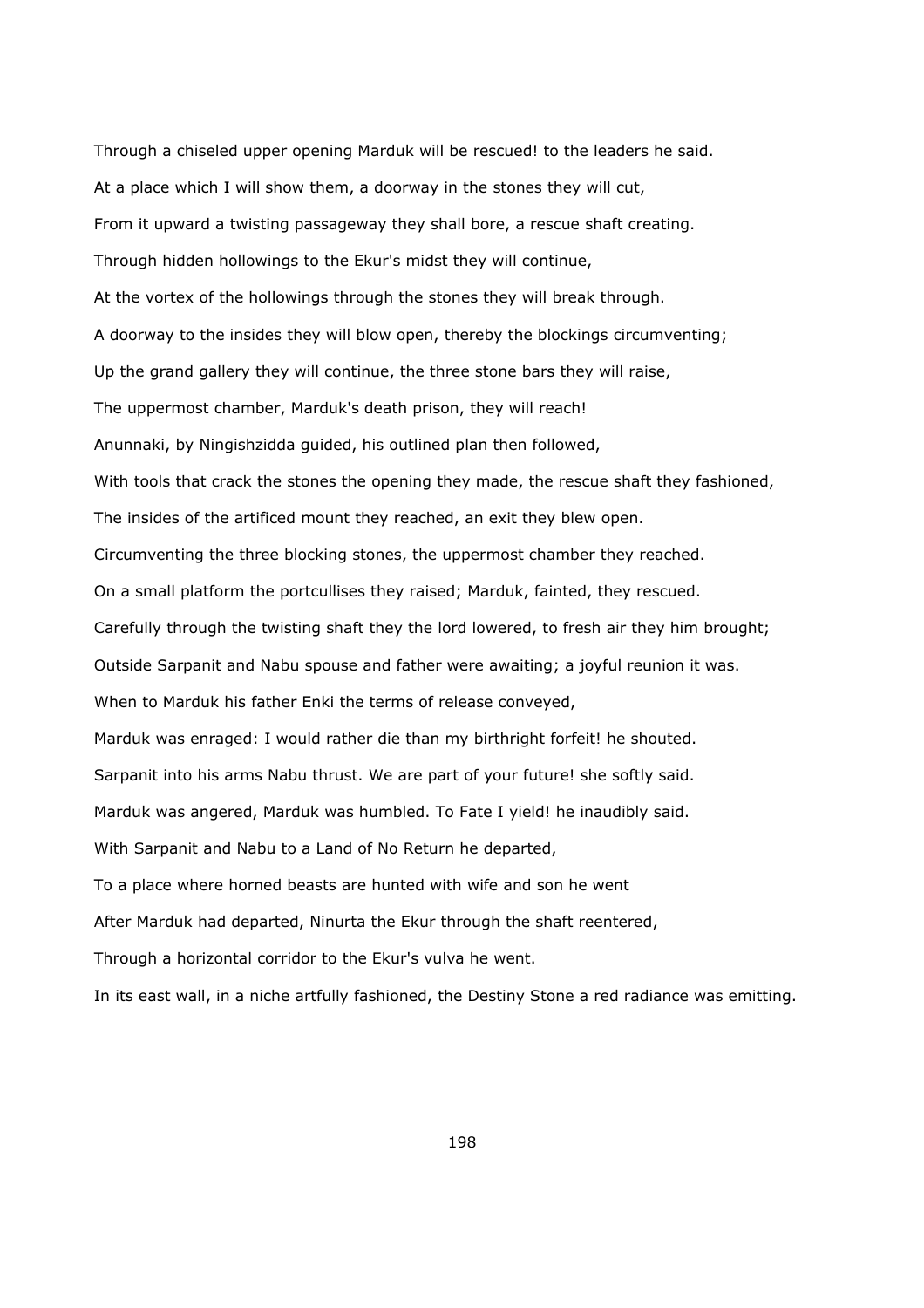Through a chiseled upper opening Marduk will be rescued! to the leaders he said. At a place which I will show them, a doorway in the stones they will cut, From it upward a twisting passageway they shall bore, a rescue shaft creating. Through hidden hollowings to the Ekur's midst they will continue, At the vortex of the hollowings through the stones they will break through. A doorway to the insides they will blow open, thereby the blockings circumventing; Up the grand gallery they will continue, the three stone bars they will raise, The uppermost chamber, Marduk's death prison, they will reach! Anunnaki, by Ningishzidda guided, his outlined plan then followed, With tools that crack the stones the opening they made, the rescue shaft they fashioned, The insides of the artificed mount they reached, an exit they blew open. Circumventing the three blocking stones, the uppermost chamber they reached. On a small platform the portcullises they raised; Marduk, fainted, they rescued. Carefully through the twisting shaft they the lord lowered, to fresh air they him brought; Outside Sarpanit and Nabu spouse and father were awaiting; a joyful reunion it was. When to Marduk his father Enki the terms of release conveyed, Marduk was enraged: I would rather die than my birthright forfeit! he shouted. Sarpanit into his arms Nabu thrust. We are part of your future! she softly said. Marduk was angered, Marduk was humbled. To Fate I yield! he inaudibly said. With Sarpanit and Nabu to a Land of No Return he departed, To a place where horned beasts are hunted with wife and son he went After Marduk had departed, Ninurta the Ekur through the shaft reentered, Through a horizontal corridor to the Ekur's vulva he went. In its east wall, in a niche artfully fashioned, the Destiny Stone a red radiance was emitting.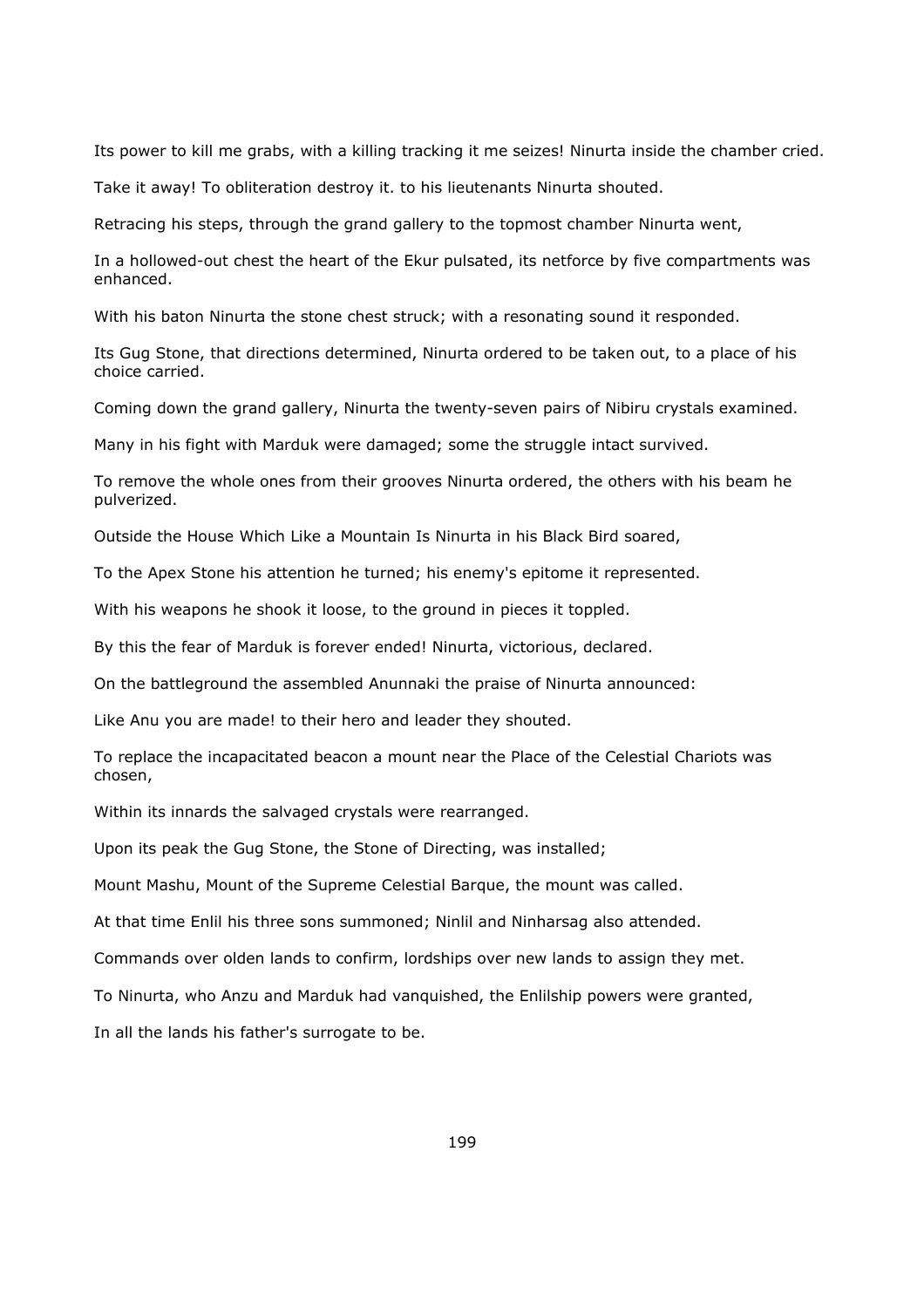Its power to kill me grabs, with a killing tracking it me seizes! Ninurta inside the chamber cried.

Take it away! To obliteration destroy it. to his lieutenants Ninurta shouted.

Retracing his steps, through the grand gallery to the topmost chamber Ninurta went,

In a hollowed-out chest the heart of the Ekur pulsated, its netforce by five compartments was enhanced.

With his baton Ninurta the stone chest struck; with a resonating sound it responded.

Its Gug Stone, that directions determined, Ninurta ordered to be taken out, to a place of his choice carried.

Coming down the grand gallery, Ninurta the twenty-seven pairs of Nibiru crystals examined.

Many in his fight with Marduk were damaged; some the struggle intact survived.

To remove the whole ones from their grooves Ninurta ordered, the others with his beam he pulverized.

Outside the House Which Like a Mountain Is Ninurta in his Black Bird soared,

To the Apex Stone his attention he turned; his enemy's epitome it represented.

With his weapons he shook it loose, to the ground in pieces it toppled.

By this the fear of Marduk is forever ended! Ninurta, victorious, declared.

On the battleground the assembled Anunnaki the praise of Ninurta announced:

Like Anu you are made! to their hero and leader they shouted.

To replace the incapacitated beacon a mount near the Place of the Celestial Chariots was chosen,

Within its innards the salvaged crystals were rearranged.

Upon its peak the Gug Stone, the Stone of Directing, was installed;

Mount Mashu, Mount of the Supreme Celestial Barque, the mount was called.

At that time Enlil his three sons summoned; Ninlil and Ninharsag also attended.

Commands over olden lands to confirm, lordships over new lands to assign they met.

To Ninurta, who Anzu and Marduk had vanquished, the Enlilship powers were granted,

In all the lands his father's surrogate to be.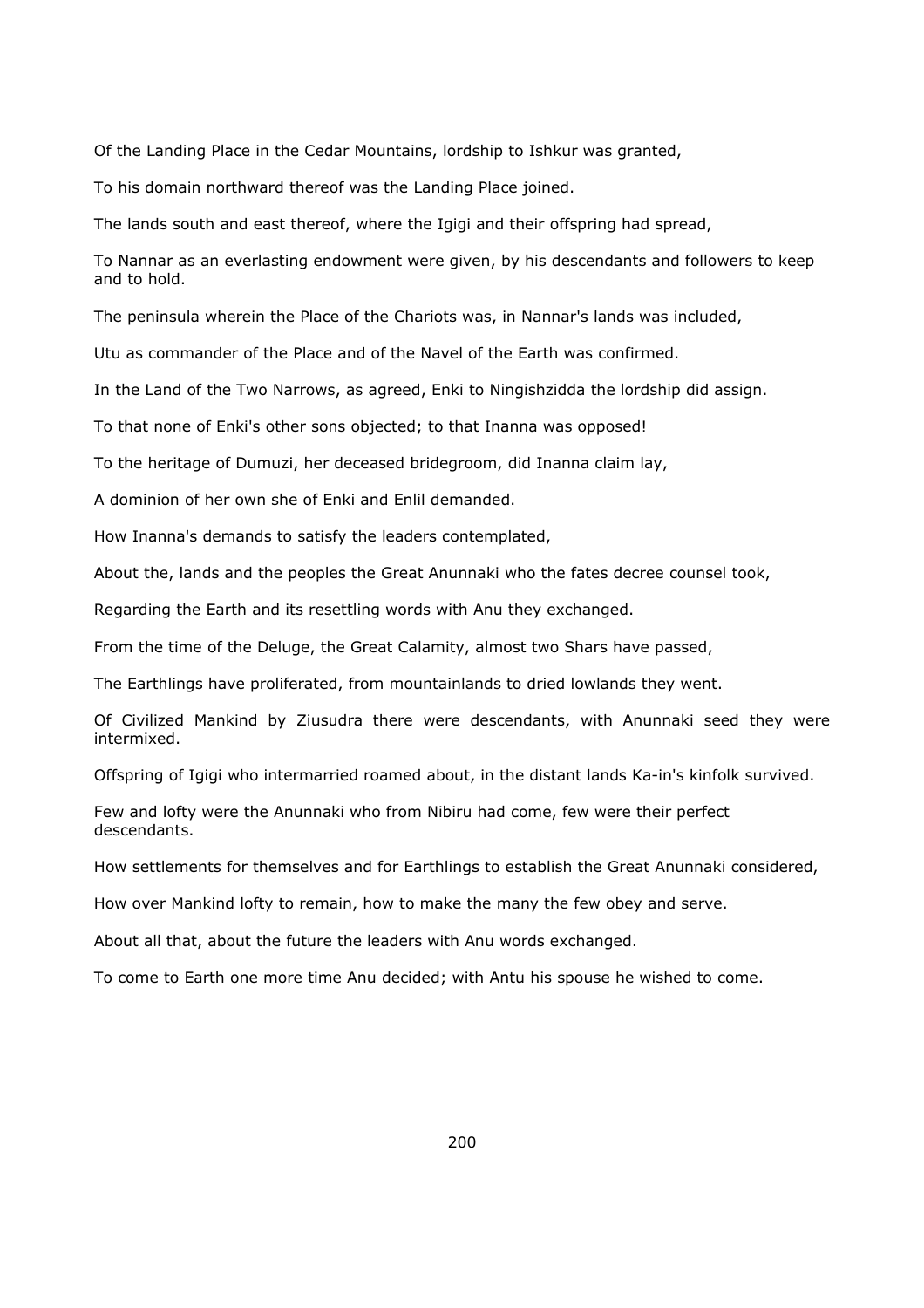Of the Landing Place in the Cedar Mountains, lordship to Ishkur was granted,

To his domain northward thereof was the Landing Place joined.

The lands south and east thereof, where the Igigi and their offspring had spread,

To Nannar as an everlasting endowment were given, by his descendants and followers to keep and to hold.

The peninsula wherein the Place of the Chariots was, in Nannar's lands was included,

Utu as commander of the Place and of the Navel of the Earth was confirmed.

In the Land of the Two Narrows, as agreed, Enki to Ningishzidda the lordship did assign.

To that none of Enki's other sons objected; to that Inanna was opposed!

To the heritage of Dumuzi, her deceased bridegroom, did Inanna claim lay,

A dominion of her own she of Enki and Enlil demanded.

How Inanna's demands to satisfy the leaders contemplated,

About the, lands and the peoples the Great Anunnaki who the fates decree counsel took,

Regarding the Earth and its resettling words with Anu they exchanged.

From the time of the Deluge, the Great Calamity, almost two Shars have passed,

The Earthlings have proliferated, from mountainlands to dried lowlands they went.

Of Civilized Mankind by Ziusudra there were descendants, with Anunnaki seed they were intermixed.

Offspring of Igigi who intermarried roamed about, in the distant lands Ka-in's kinfolk survived.

Few and lofty were the Anunnaki who from Nibiru had come, few were their perfect descendants.

How settlements for themselves and for Earthlings to establish the Great Anunnaki considered,

How over Mankind lofty to remain, how to make the many the few obey and serve.

About all that, about the future the leaders with Anu words exchanged.

To come to Earth one more time Anu decided; with Antu his spouse he wished to come.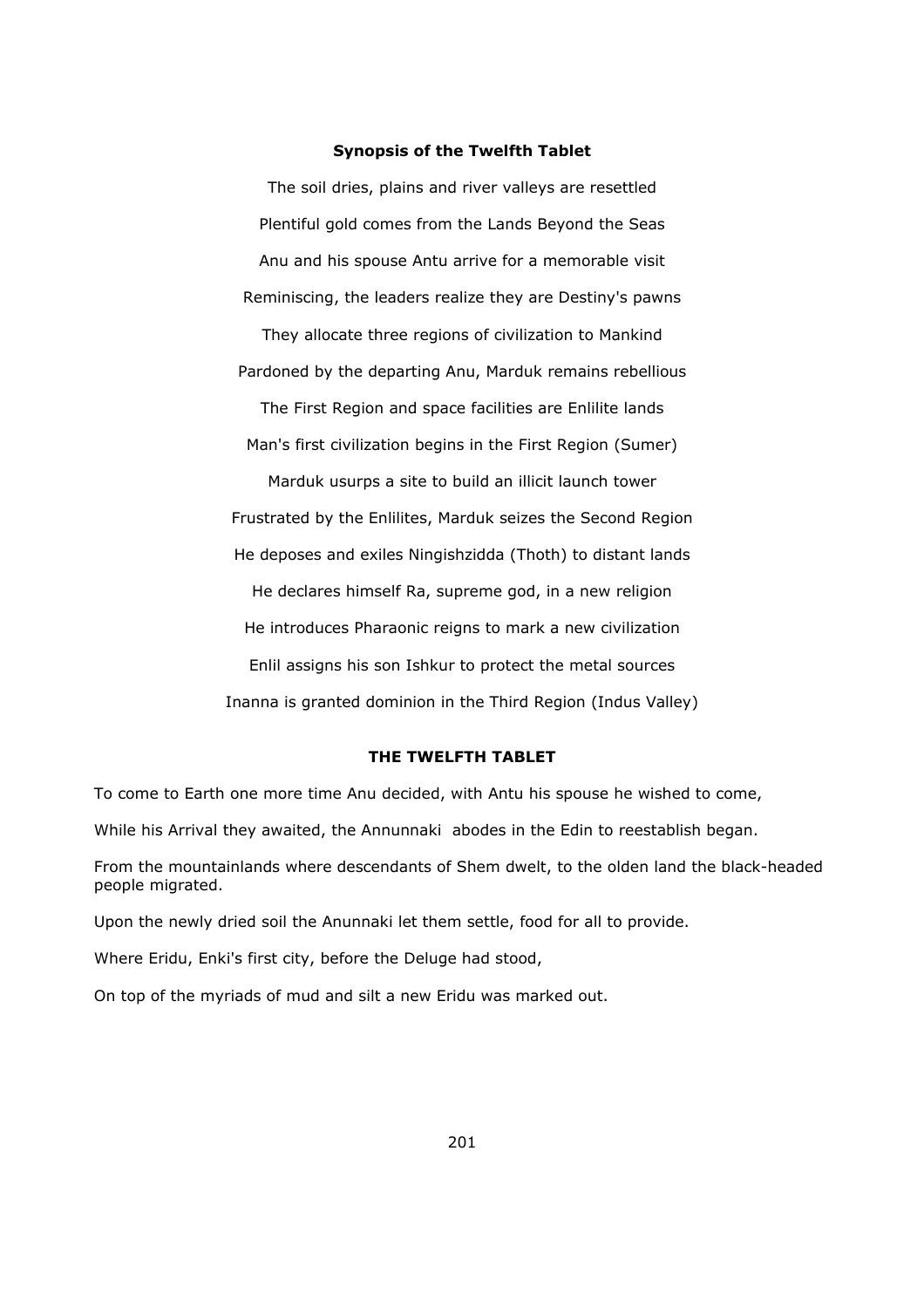## **Synopsis of the Twelfth Tablet**

The soil dries, plains and river valleys are resettled Plentiful gold comes from the Lands Beyond the Seas Anu and his spouse Antu arrive for a memorable visit Reminiscing, the leaders realize they are Destiny's pawns They allocate three regions of civilization to Mankind Pardoned by the departing Anu, Marduk remains rebellious The First Region and space facilities are Enlilite lands Man's first civilization begins in the First Region (Sumer) Marduk usurps a site to build an illicit launch tower Frustrated by the Enlilites, Marduk seizes the Second Region He deposes and exiles Ningishzidda (Thoth) to distant lands He declares himself Ra, supreme god, in a new religion He introduces Pharaonic reigns to mark a new civilization Enlil assigns his son Ishkur to protect the metal sources Inanna is granted dominion in the Third Region (Indus Valley)

# **THE TWELFTH TABLET**

To come to Earth one more time Anu decided, with Antu his spouse he wished to come,

While his Arrival they awaited, the Annunnaki abodes in the Edin to reestablish began.

From the mountainlands where descendants of Shem dwelt, to the olden land the black-headed people migrated.

Upon the newly dried soil the Anunnaki let them settle, food for all to provide.

Where Eridu, Enki's first city, before the Deluge had stood,

On top of the myriads of mud and silt a new Eridu was marked out.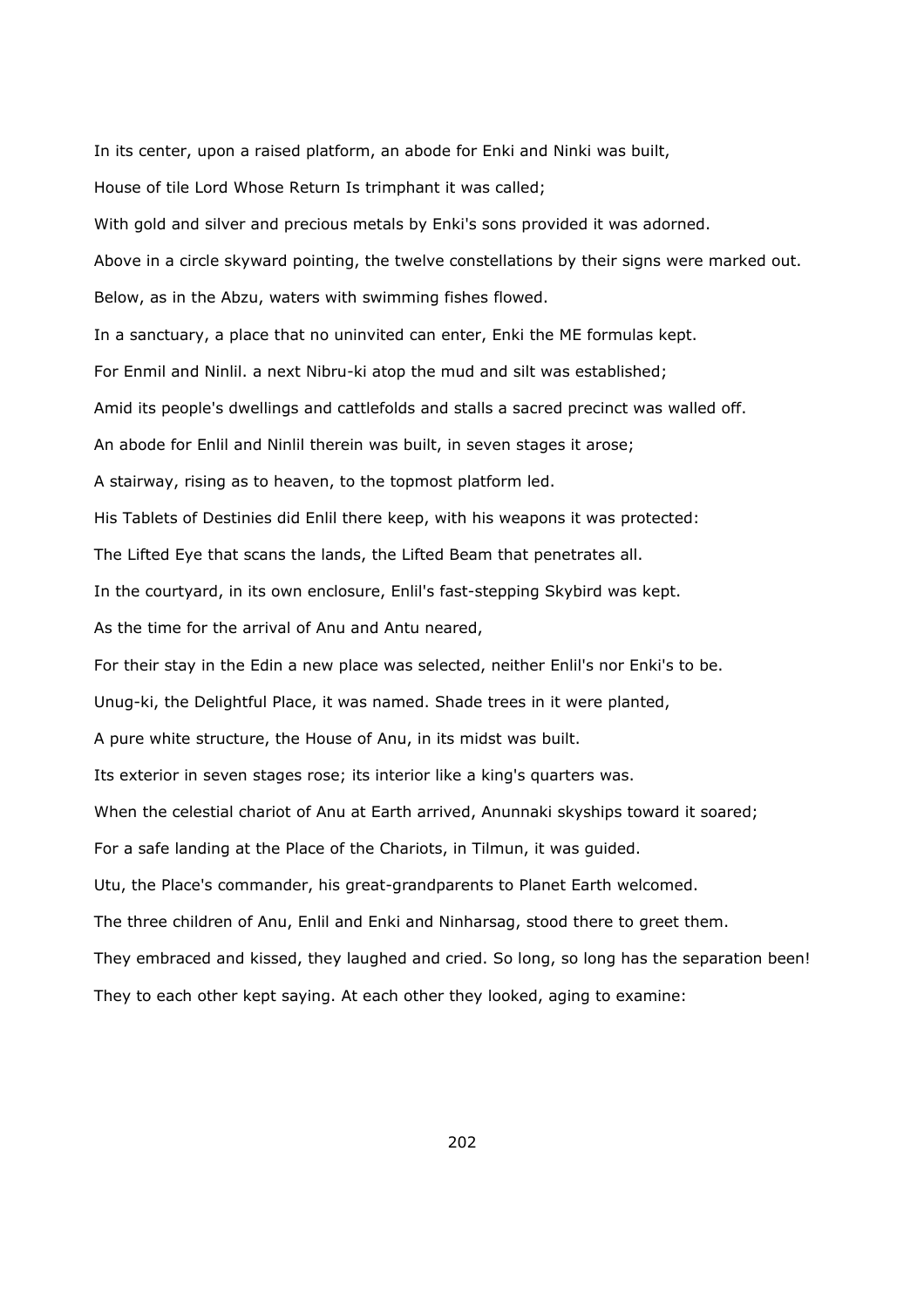In its center, upon a raised platform, an abode for Enki and Ninki was built,

House of tile Lord Whose Return Is trimphant it was called;

With gold and silver and precious metals by Enki's sons provided it was adorned.

Above in a circle skyward pointing, the twelve constellations by their signs were marked out.

Below, as in the Abzu, waters with swimming fishes flowed.

In a sanctuary, a place that no uninvited can enter, Enki the ME formulas kept.

For Enmil and Ninlil. a next Nibru-ki atop the mud and silt was established;

Amid its people's dwellings and cattlefolds and stalls a sacred precinct was walled off.

An abode for Enlil and Ninlil therein was built, in seven stages it arose;

A stairway, rising as to heaven, to the topmost platform led.

His Tablets of Destinies did Enlil there keep, with his weapons it was protected:

The Lifted Eye that scans the lands, the Lifted Beam that penetrates all.

In the courtyard, in its own enclosure, Enlil's fast-stepping Skybird was kept.

As the time for the arrival of Anu and Antu neared,

For their stay in the Edin a new place was selected, neither Enlil's nor Enki's to be.

Unug-ki, the Delightful Place, it was named. Shade trees in it were planted,

A pure white structure, the House of Anu, in its midst was built.

Its exterior in seven stages rose; its interior like a king's quarters was.

When the celestial chariot of Anu at Earth arrived, Anunnaki skyships toward it soared;

For a safe landing at the Place of the Chariots, in Tilmun, it was guided.

Utu, the Place's commander, his great-grandparents to Planet Earth welcomed.

The three children of Anu, Enlil and Enki and Ninharsag, stood there to greet them.

They embraced and kissed, they laughed and cried. So long, so long has the separation been! They to each other kept saying. At each other they looked, aging to examine: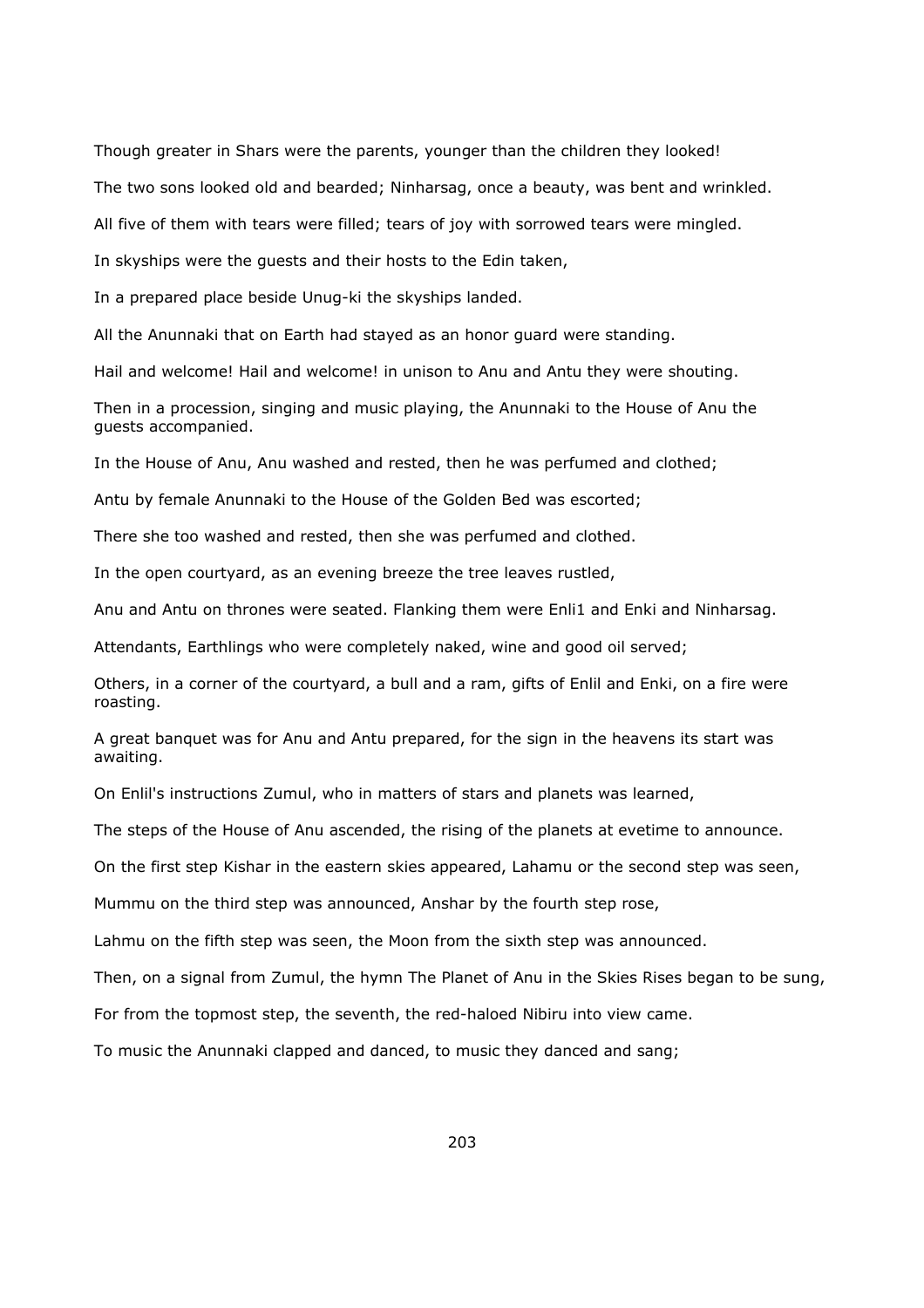Though greater in Shars were the parents, younger than the children they looked!

The two sons looked old and bearded; Ninharsag, once a beauty, was bent and wrinkled.

All five of them with tears were filled; tears of joy with sorrowed tears were mingled.

In skyships were the guests and their hosts to the Edin taken,

In a prepared place beside Unug-ki the skyships landed.

All the Anunnaki that on Earth had stayed as an honor guard were standing.

Hail and welcome! Hail and welcome! in unison to Anu and Antu they were shouting.

Then in a procession, singing and music playing, the Anunnaki to the House of Anu the guests accompanied.

In the House of Anu, Anu washed and rested, then he was perfumed and clothed;

Antu by female Anunnaki to the House of the Golden Bed was escorted;

There she too washed and rested, then she was perfumed and clothed.

In the open courtyard, as an evening breeze the tree leaves rustled,

Anu and Antu on thrones were seated. Flanking them were Enli1 and Enki and Ninharsag.

Attendants, Earthlings who were completely naked, wine and good oil served;

Others, in a corner of the courtyard, a bull and a ram, gifts of Enlil and Enki, on a fire were roasting.

A great banquet was for Anu and Antu prepared, for the sign in the heavens its start was awaiting.

On Enlil's instructions Zumul, who in matters of stars and planets was learned,

The steps of the House of Anu ascended, the rising of the planets at evetime to announce.

On the first step Kishar in the eastern skies appeared, Lahamu or the second step was seen,

Mummu on the third step was announced, Anshar by the fourth step rose,

Lahmu on the fifth step was seen, the Moon from the sixth step was announced.

Then, on a signal from Zumul, the hymn The Planet of Anu in the Skies Rises began to be sung,

For from the topmost step, the seventh, the red-haloed Nibiru into view came.

To music the Anunnaki clapped and danced, to music they danced and sang;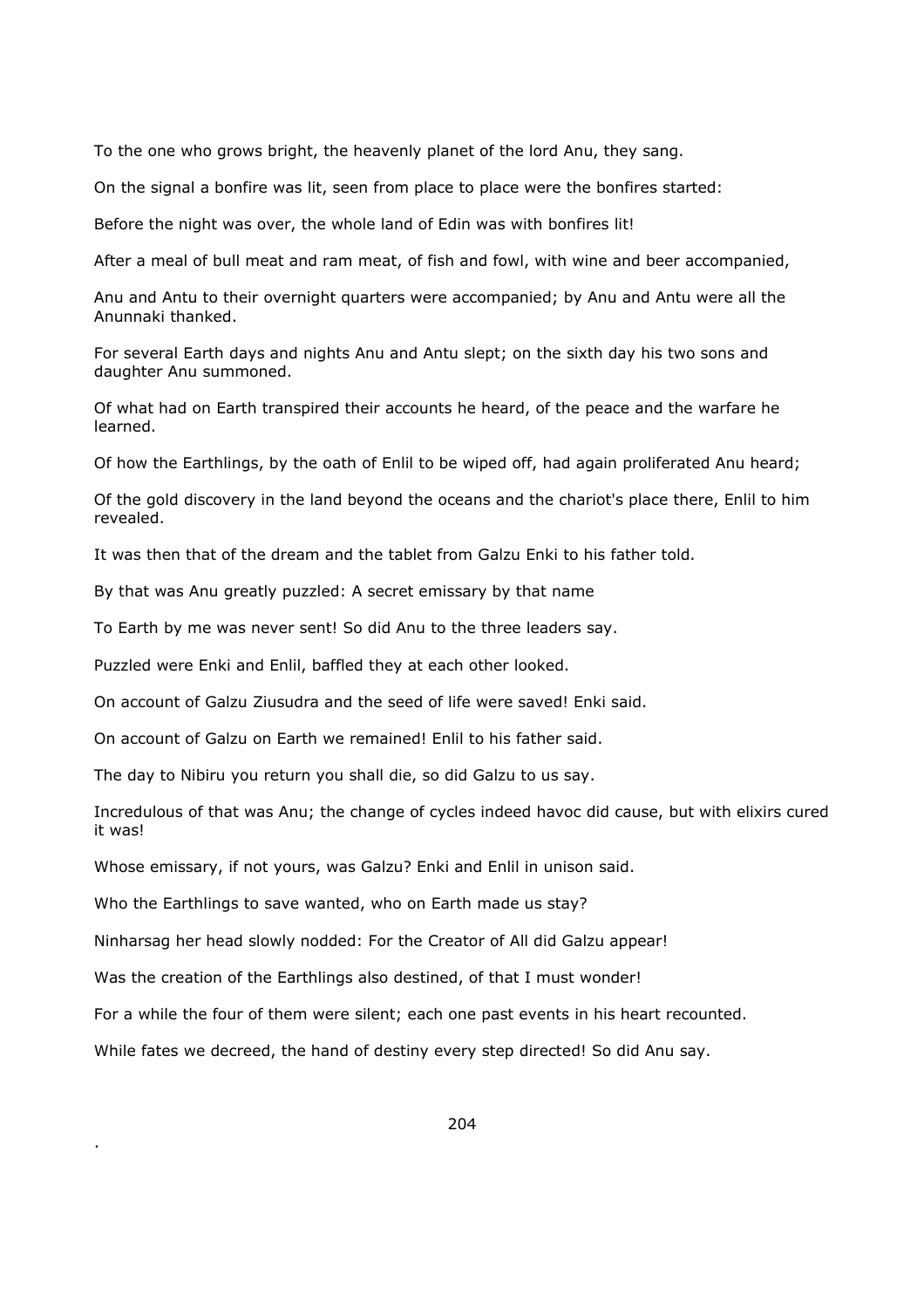To the one who grows bright, the heavenly planet of the lord Anu, they sang.

On the signal a bonfire was lit, seen from place to place were the bonfires started:

Before the night was over, the whole land of Edin was with bonfires lit!

After a meal of bull meat and ram meat, of fish and fowl, with wine and beer accompanied,

Anu and Antu to their overnight quarters were accompanied; by Anu and Antu were all the Anunnaki thanked.

For several Earth days and nights Anu and Antu slept; on the sixth day his two sons and daughter Anu summoned.

Of what had on Earth transpired their accounts he heard, of the peace and the warfare he learned.

Of how the Earthlings, by the oath of Enlil to be wiped off, had again proliferated Anu heard;

Of the gold discovery in the land beyond the oceans and the chariot's place there, Enlil to him revealed.

It was then that of the dream and the tablet from Galzu Enki to his father told.

By that was Anu greatly puzzled: A secret emissary by that name

To Earth by me was never sent! So did Anu to the three leaders say.

Puzzled were Enki and Enlil, baffled they at each other looked.

On account of Galzu Ziusudra and the seed of life were saved! Enki said.

On account of Galzu on Earth we remained! Enlil to his father said.

The day to Nibiru you return you shall die, so did Galzu to us say.

Incredulous of that was Anu; the change of cycles indeed havoc did cause, but with elixirs cured it was!

Whose emissary, if not yours, was Galzu? Enki and Enlil in unison said.

Who the Earthlings to save wanted, who on Earth made us stay?

.

Ninharsag her head slowly nodded: For the Creator of All did Galzu appear!

Was the creation of the Earthlings also destined, of that I must wonder!

For a while the four of them were silent; each one past events in his heart recounted.

While fates we decreed, the hand of destiny every step directed! So did Anu say.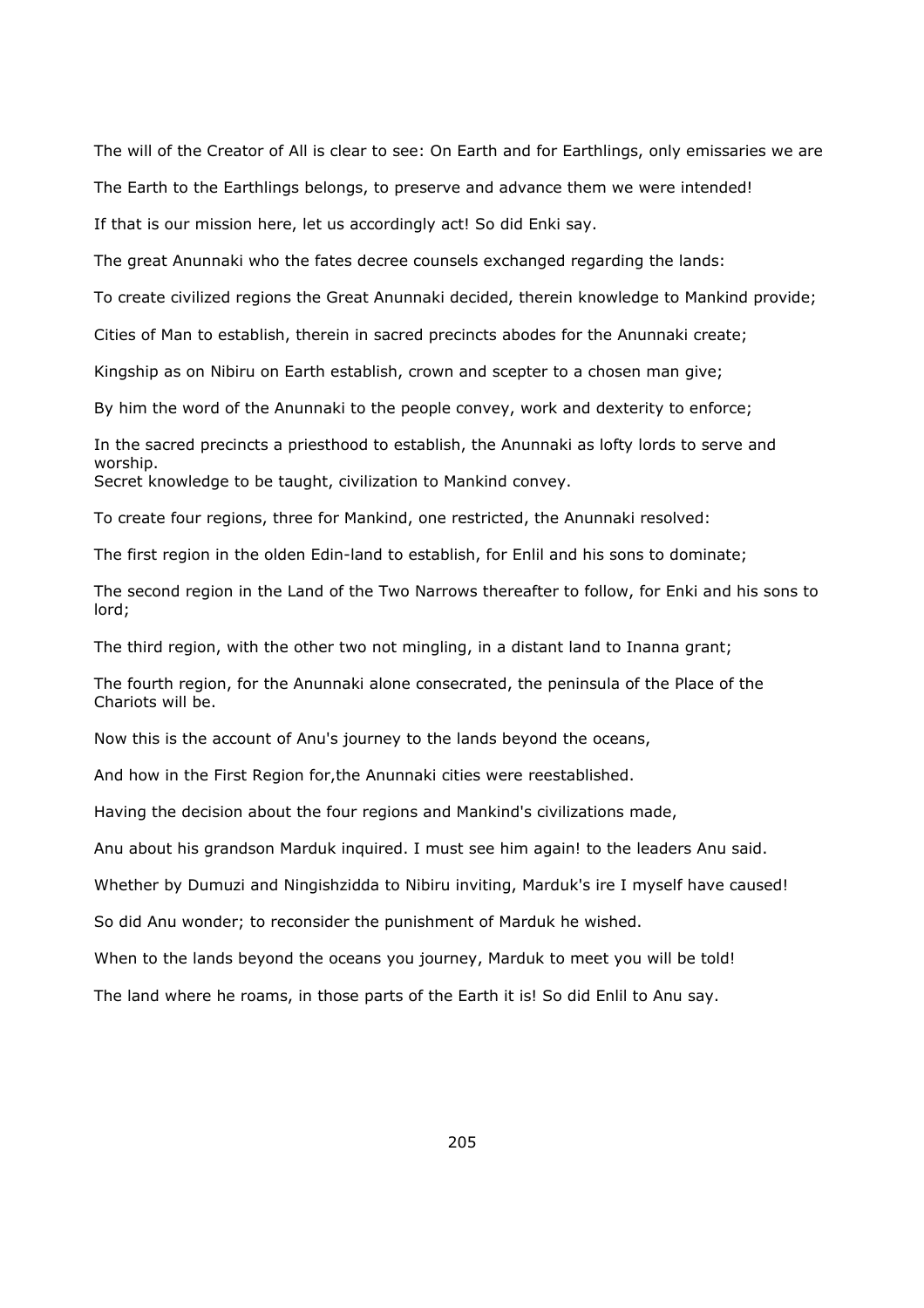The will of the Creator of All is clear to see: On Earth and for Earthlings, only emissaries we are

The Earth to the Earthlings belongs, to preserve and advance them we were intended!

If that is our mission here, let us accordingly act! So did Enki say.

The great Anunnaki who the fates decree counsels exchanged regarding the lands:

To create civilized regions the Great Anunnaki decided, therein knowledge to Mankind provide;

Cities of Man to establish, therein in sacred precincts abodes for the Anunnaki create;

Kingship as on Nibiru on Earth establish, crown and scepter to a chosen man give;

By him the word of the Anunnaki to the people convey, work and dexterity to enforce;

In the sacred precincts a priesthood to establish, the Anunnaki as lofty lords to serve and worship. Secret knowledge to be taught, civilization to Mankind convey.

To create four regions, three for Mankind, one restricted, the Anunnaki resolved:

The first region in the olden Edin-land to establish, for Enlil and his sons to dominate;

The second region in the Land of the Two Narrows thereafter to follow, for Enki and his sons to lord;

The third region, with the other two not mingling, in a distant land to Inanna grant;

The fourth region, for the Anunnaki alone consecrated, the peninsula of the Place of the Chariots will be.

Now this is the account of Anu's journey to the lands beyond the oceans,

And how in the First Region for,the Anunnaki cities were reestablished.

Having the decision about the four regions and Mankind's civilizations made,

Anu about his grandson Marduk inquired. I must see him again! to the leaders Anu said.

Whether by Dumuzi and Ningishzidda to Nibiru inviting, Marduk's ire I myself have caused!

So did Anu wonder; to reconsider the punishment of Marduk he wished.

When to the lands beyond the oceans you journey, Marduk to meet you will be told!

The land where he roams, in those parts of the Earth it is! So did Enlil to Anu say.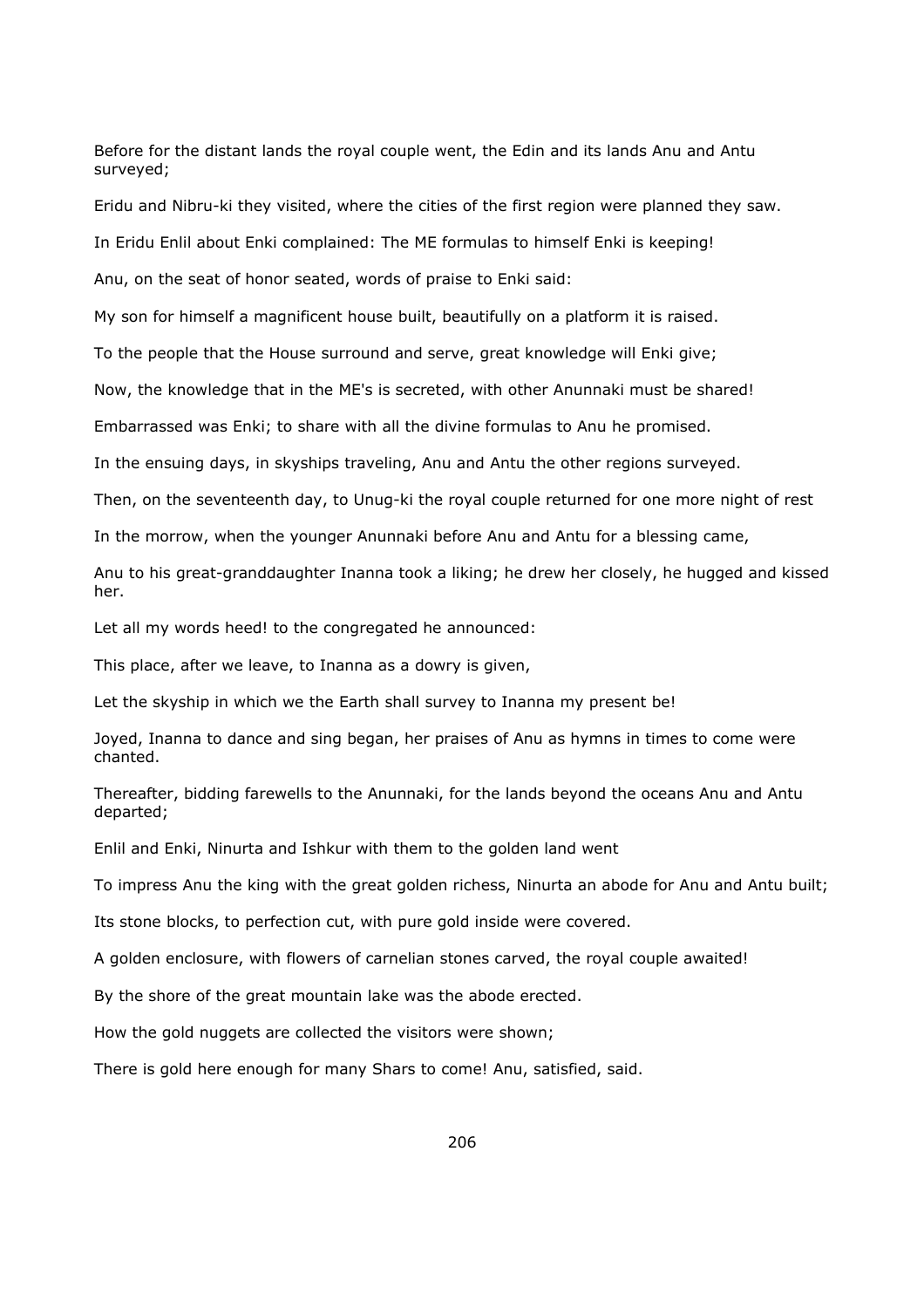Before for the distant lands the royal couple went, the Edin and its lands Anu and Antu surveyed;

Eridu and Nibru-ki they visited, where the cities of the first region were planned they saw.

In Eridu Enlil about Enki complained: The ME formulas to himself Enki is keeping!

Anu, on the seat of honor seated, words of praise to Enki said:

My son for himself a magnificent house built, beautifully on a platform it is raised.

To the people that the House surround and serve, great knowledge will Enki give;

Now, the knowledge that in the ME's is secreted, with other Anunnaki must be shared!

Embarrassed was Enki; to share with all the divine formulas to Anu he promised.

In the ensuing days, in skyships traveling, Anu and Antu the other regions surveyed.

Then, on the seventeenth day, to Unug-ki the royal couple returned for one more night of rest

In the morrow, when the younger Anunnaki before Anu and Antu for a blessing came,

Anu to his great-granddaughter Inanna took a liking; he drew her closely, he hugged and kissed her.

Let all my words heed! to the congregated he announced:

This place, after we leave, to Inanna as a dowry is given,

Let the skyship in which we the Earth shall survey to Inanna my present be!

Joyed, Inanna to dance and sing began, her praises of Anu as hymns in times to come were chanted.

Thereafter, bidding farewells to the Anunnaki, for the lands beyond the oceans Anu and Antu departed;

Enlil and Enki, Ninurta and Ishkur with them to the golden land went

To impress Anu the king with the great golden richess, Ninurta an abode for Anu and Antu built;

Its stone blocks, to perfection cut, with pure gold inside were covered.

A golden enclosure, with flowers of carnelian stones carved, the royal couple awaited!

By the shore of the great mountain lake was the abode erected.

How the gold nuggets are collected the visitors were shown;

There is gold here enough for many Shars to come! Anu, satisfied, said.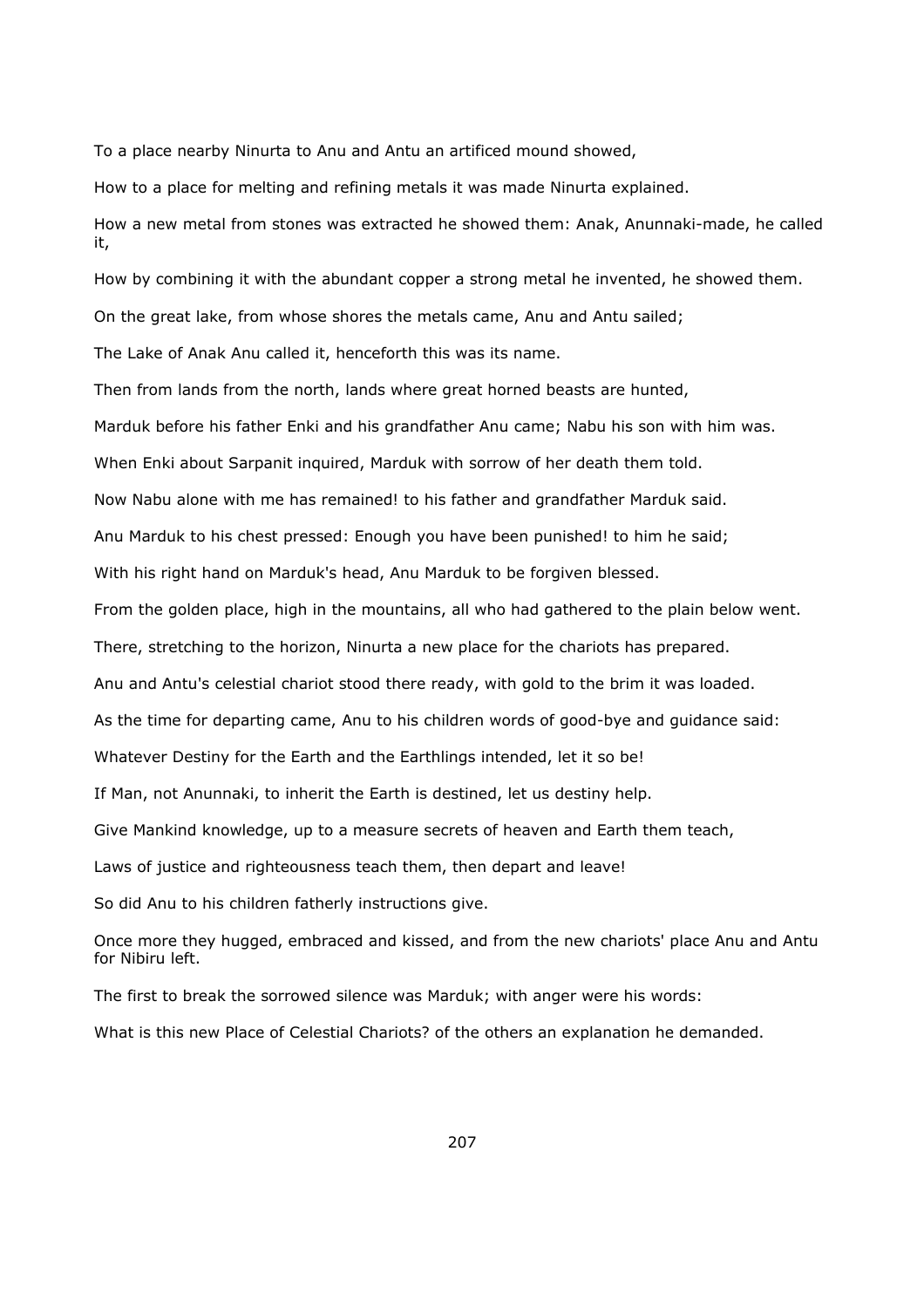To a place nearby Ninurta to Anu and Antu an artificed mound showed,

How to a place for melting and refining metals it was made Ninurta explained.

How a new metal from stones was extracted he showed them: Anak, Anunnaki-made, he called it,

How by combining it with the abundant copper a strong metal he invented, he showed them.

On the great lake, from whose shores the metals came, Anu and Antu sailed;

The Lake of Anak Anu called it, henceforth this was its name.

Then from lands from the north, lands where great horned beasts are hunted,

Marduk before his father Enki and his grandfather Anu came; Nabu his son with him was.

When Enki about Sarpanit inquired, Marduk with sorrow of her death them told.

Now Nabu alone with me has remained! to his father and grandfather Marduk said.

Anu Marduk to his chest pressed: Enough you have been punished! to him he said;

With his right hand on Marduk's head, Anu Marduk to be forgiven blessed.

From the golden place, high in the mountains, all who had gathered to the plain below went.

There, stretching to the horizon, Ninurta a new place for the chariots has prepared.

Anu and Antu's celestial chariot stood there ready, with gold to the brim it was loaded.

As the time for departing came, Anu to his children words of good-bye and guidance said:

Whatever Destiny for the Earth and the Earthlings intended, let it so be!

If Man, not Anunnaki, to inherit the Earth is destined, let us destiny help.

Give Mankind knowledge, up to a measure secrets of heaven and Earth them teach,

Laws of justice and righteousness teach them, then depart and leave!

So did Anu to his children fatherly instructions give.

Once more they hugged, embraced and kissed, and from the new chariots' place Anu and Antu for Nibiru left.

The first to break the sorrowed silence was Marduk; with anger were his words:

What is this new Place of Celestial Chariots? of the others an explanation he demanded.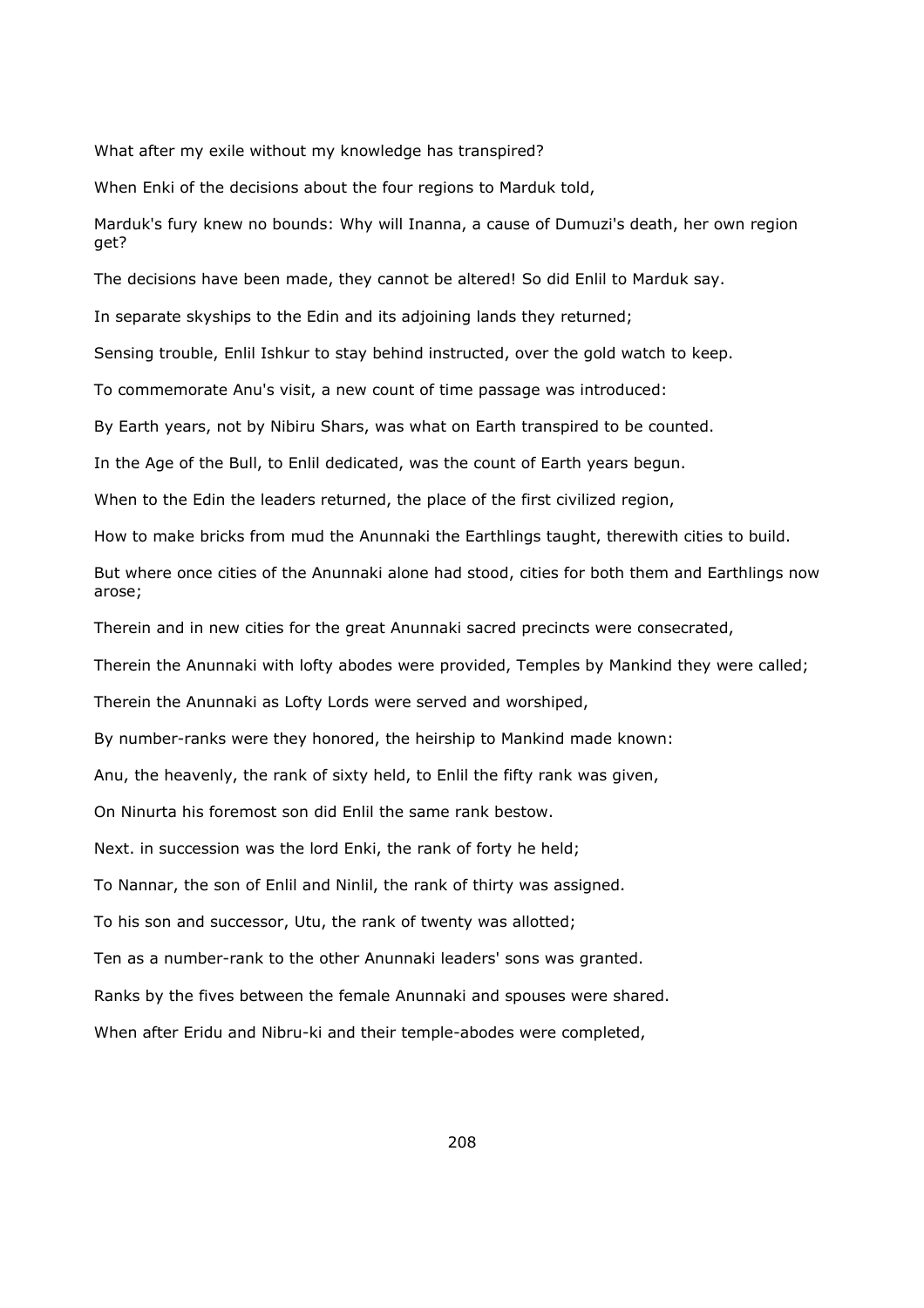What after my exile without my knowledge has transpired?

When Enki of the decisions about the four regions to Marduk told,

Marduk's fury knew no bounds: Why will Inanna, a cause of Dumuzi's death, her own region get?

The decisions have been made, they cannot be altered! So did Enlil to Marduk say.

In separate skyships to the Edin and its adjoining lands they returned;

Sensing trouble, Enlil Ishkur to stay behind instructed, over the gold watch to keep.

To commemorate Anu's visit, a new count of time passage was introduced:

By Earth years, not by Nibiru Shars, was what on Earth transpired to be counted.

In the Age of the Bull, to Enlil dedicated, was the count of Earth years begun.

When to the Edin the leaders returned, the place of the first civilized region,

How to make bricks from mud the Anunnaki the Earthlings taught, therewith cities to build.

But where once cities of the Anunnaki alone had stood, cities for both them and Earthlings now arose;

Therein and in new cities for the great Anunnaki sacred precincts were consecrated,

Therein the Anunnaki with lofty abodes were provided, Temples by Mankind they were called;

Therein the Anunnaki as Lofty Lords were served and worshiped,

By number-ranks were they honored, the heirship to Mankind made known:

Anu, the heavenly, the rank of sixty held, to Enlil the fifty rank was given,

On Ninurta his foremost son did Enlil the same rank bestow.

Next. in succession was the lord Enki, the rank of forty he held;

To Nannar, the son of Enlil and Ninlil, the rank of thirty was assigned.

To his son and successor, Utu, the rank of twenty was allotted;

Ten as a number-rank to the other Anunnaki leaders' sons was granted.

Ranks by the fives between the female Anunnaki and spouses were shared.

When after Eridu and Nibru-ki and their temple-abodes were completed,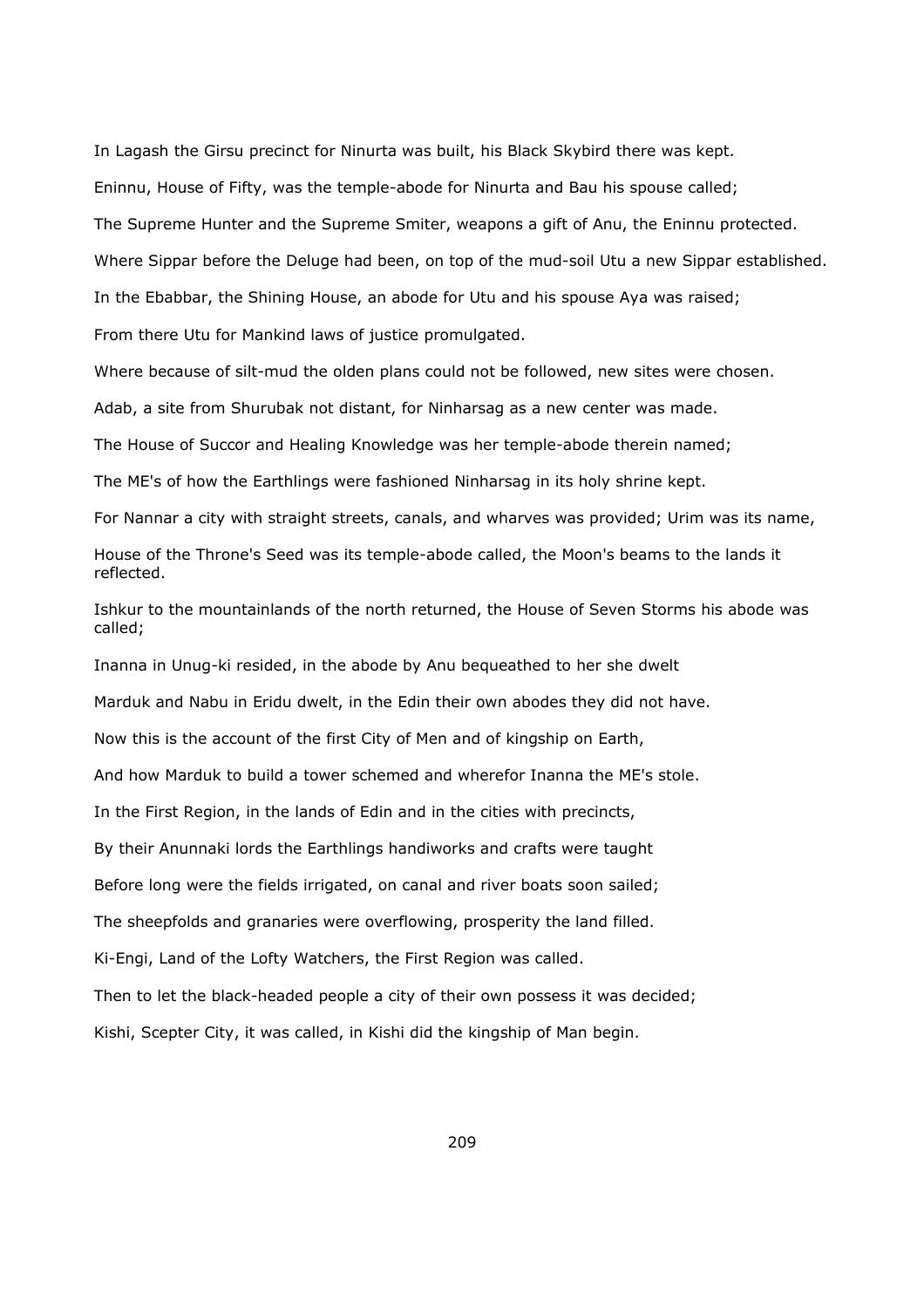In Lagash the Girsu precinct for Ninurta was built, his Black Skybird there was kept. Eninnu, House of Fifty, was the temple-abode for Ninurta and Bau his spouse called; The Supreme Hunter and the Supreme Smiter, weapons a gift of Anu, the Eninnu protected. Where Sippar before the Deluge had been, on top of the mud-soil Utu a new Sippar established. In the Ebabbar, the Shining House, an abode for Utu and his spouse Aya was raised; From there Utu for Mankind laws of justice promulgated.

Where because of silt-mud the olden plans could not be followed, new sites were chosen.

Adab, a site from Shurubak not distant, for Ninharsag as a new center was made.

The House of Succor and Healing Knowledge was her temple-abode therein named;

The ME's of how the Earthlings were fashioned Ninharsag in its holy shrine kept.

For Nannar a city with straight streets, canals, and wharves was provided; Urim was its name,

House of the Throne's Seed was its temple-abode called, the Moon's beams to the lands it reflected.

Ishkur to the mountainlands of the north returned, the House of Seven Storms his abode was called;

Inanna in Unug-ki resided, in the abode by Anu bequeathed to her she dwelt

Marduk and Nabu in Eridu dwelt, in the Edin their own abodes they did not have.

Now this is the account of the first City of Men and of kingship on Earth,

And how Marduk to build a tower schemed and wherefor Inanna the ME's stole.

In the First Region, in the lands of Edin and in the cities with precincts,

By their Anunnaki lords the Earthlings handiworks and crafts were taught

Before long were the fields irrigated, on canal and river boats soon sailed;

The sheepfolds and granaries were overflowing, prosperity the land filled.

Ki-Engi, Land of the Lofty Watchers, the First Region was called.

Then to let the black-headed people a city of their own possess it was decided;

Kishi, Scepter City, it was called, in Kishi did the kingship of Man begin.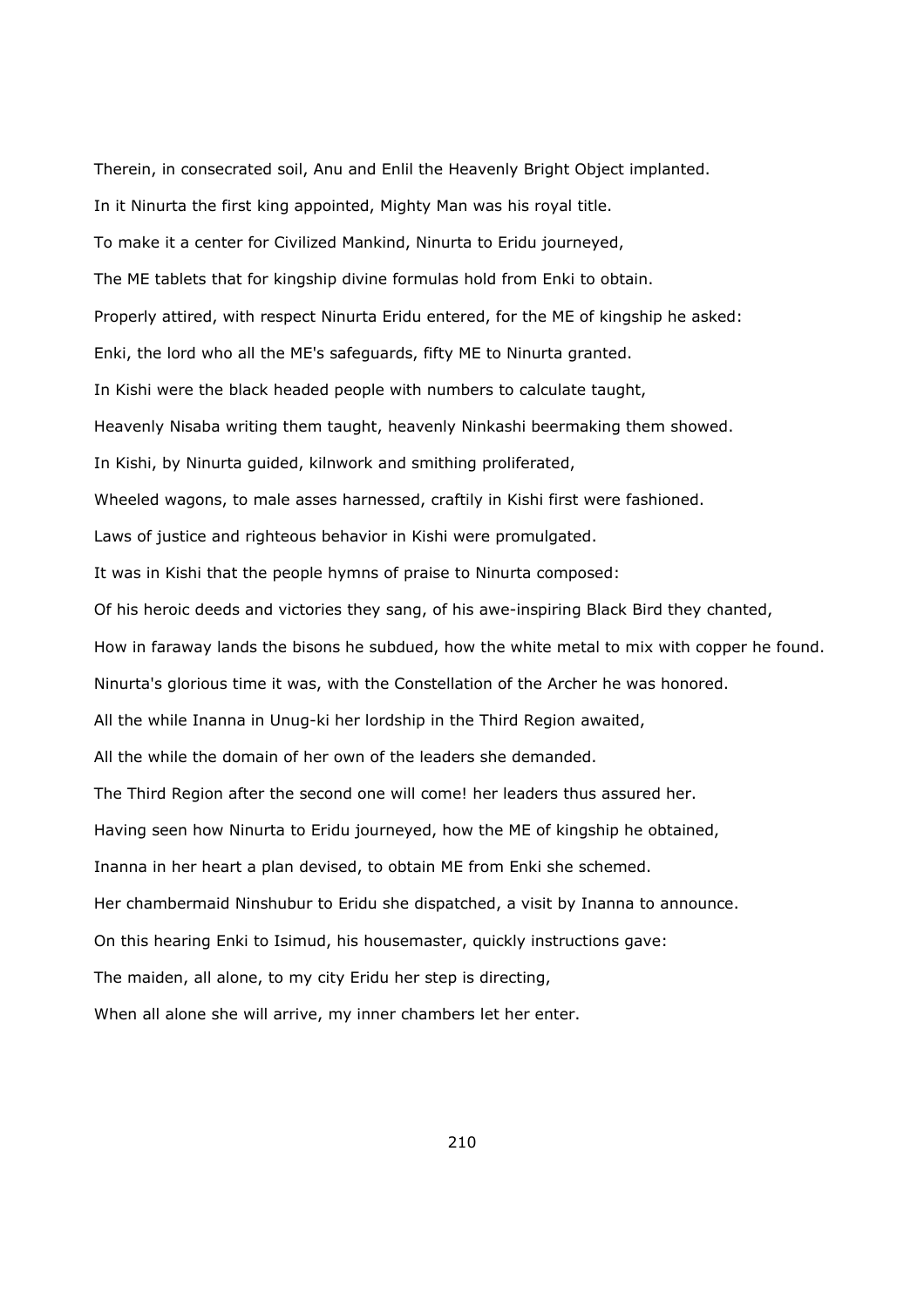Therein, in consecrated soil, Anu and Enlil the Heavenly Bright Object implanted. In it Ninurta the first king appointed, Mighty Man was his royal title. To make it a center for Civilized Mankind, Ninurta to Eridu journeyed, The ME tablets that for kingship divine formulas hold from Enki to obtain. Properly attired, with respect Ninurta Eridu entered, for the ME of kingship he asked: Enki, the lord who all the ME's safeguards, fifty ME to Ninurta granted. In Kishi were the black headed people with numbers to calculate taught, Heavenly Nisaba writing them taught, heavenly Ninkashi beermaking them showed. In Kishi, by Ninurta guided, kilnwork and smithing proliferated, Wheeled wagons, to male asses harnessed, craftily in Kishi first were fashioned. Laws of justice and righteous behavior in Kishi were promulgated. It was in Kishi that the people hymns of praise to Ninurta composed: Of his heroic deeds and victories they sang, of his awe-inspiring Black Bird they chanted, How in faraway lands the bisons he subdued, how the white metal to mix with copper he found. Ninurta's glorious time it was, with the Constellation of the Archer he was honored. All the while Inanna in Unug-ki her lordship in the Third Region awaited, All the while the domain of her own of the leaders she demanded. The Third Region after the second one will come! her leaders thus assured her. Having seen how Ninurta to Eridu journeyed, how the ME of kingship he obtained, Inanna in her heart a plan devised, to obtain ME from Enki she schemed. Her chambermaid Ninshubur to Eridu she dispatched, a visit by Inanna to announce. On this hearing Enki to Isimud, his housemaster, quickly instructions gave: The maiden, all alone, to my city Eridu her step is directing, When all alone she will arrive, my inner chambers let her enter.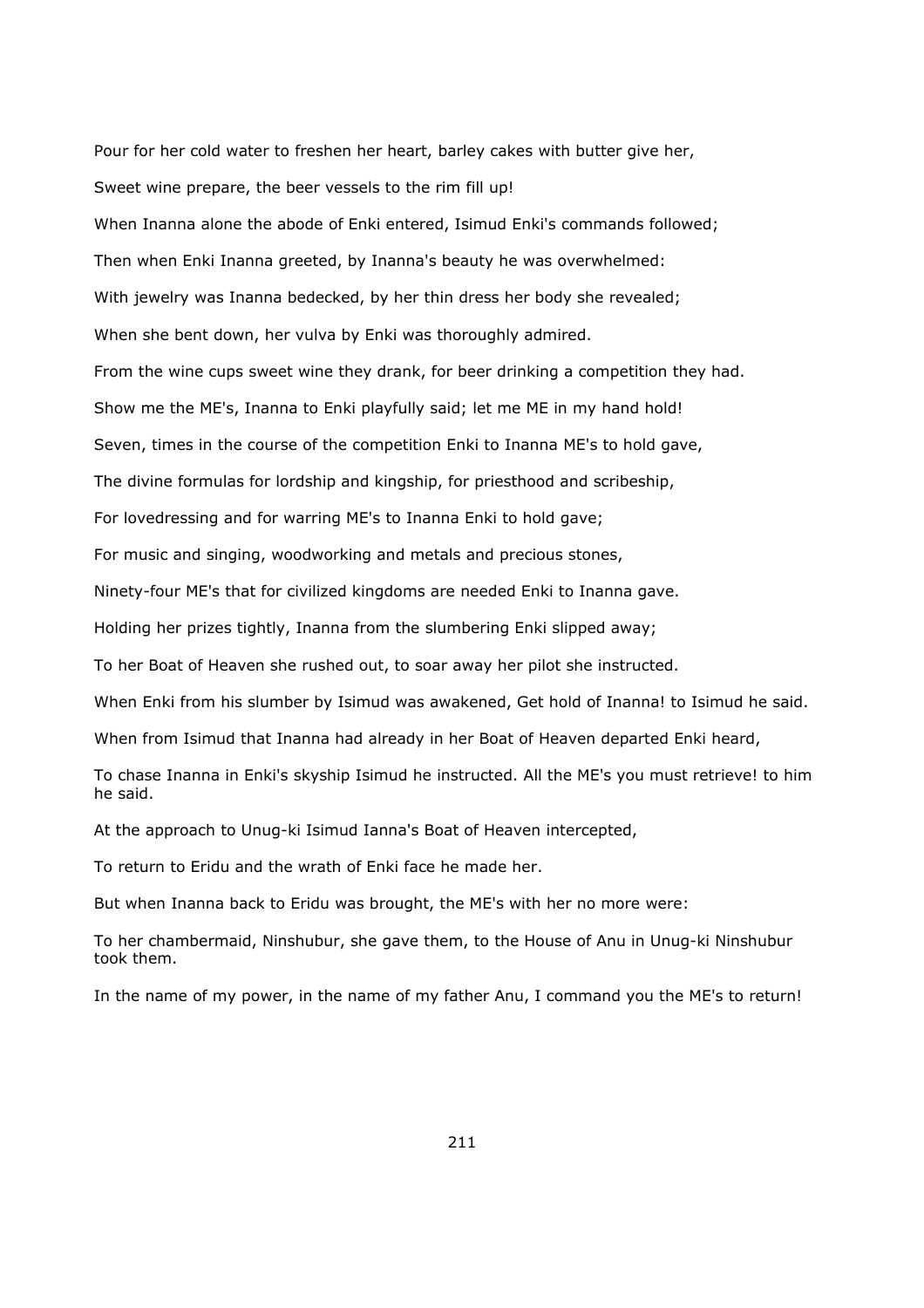Pour for her cold water to freshen her heart, barley cakes with butter give her, Sweet wine prepare, the beer vessels to the rim fill up! When Inanna alone the abode of Enki entered, Isimud Enki's commands followed; Then when Enki Inanna greeted, by Inanna's beauty he was overwhelmed: With jewelry was Inanna bedecked, by her thin dress her body she revealed; When she bent down, her vulva by Enki was thoroughly admired. From the wine cups sweet wine they drank, for beer drinking a competition they had. Show me the ME's, Inanna to Enki playfully said; let me ME in my hand hold! Seven, times in the course of the competition Enki to Inanna ME's to hold gave, The divine formulas for lordship and kingship, for priesthood and scribeship, For lovedressing and for warring ME's to Inanna Enki to hold gave; For music and singing, woodworking and metals and precious stones, Ninety-four ME's that for civilized kingdoms are needed Enki to Inanna gave. Holding her prizes tightly, Inanna from the slumbering Enki slipped away; To her Boat of Heaven she rushed out, to soar away her pilot she instructed. When Enki from his slumber by Isimud was awakened, Get hold of Inanna! to Isimud he said. When from Isimud that Inanna had already in her Boat of Heaven departed Enki heard,

To chase Inanna in Enki's skyship Isimud he instructed. All the ME's you must retrieve! to him he said.

At the approach to Unug-ki Isimud Ianna's Boat of Heaven intercepted,

To return to Eridu and the wrath of Enki face he made her.

But when Inanna back to Eridu was brought, the ME's with her no more were:

To her chambermaid, Ninshubur, she gave them, to the House of Anu in Unug-ki Ninshubur took them.

In the name of my power, in the name of my father Anu, I command you the ME's to return!

211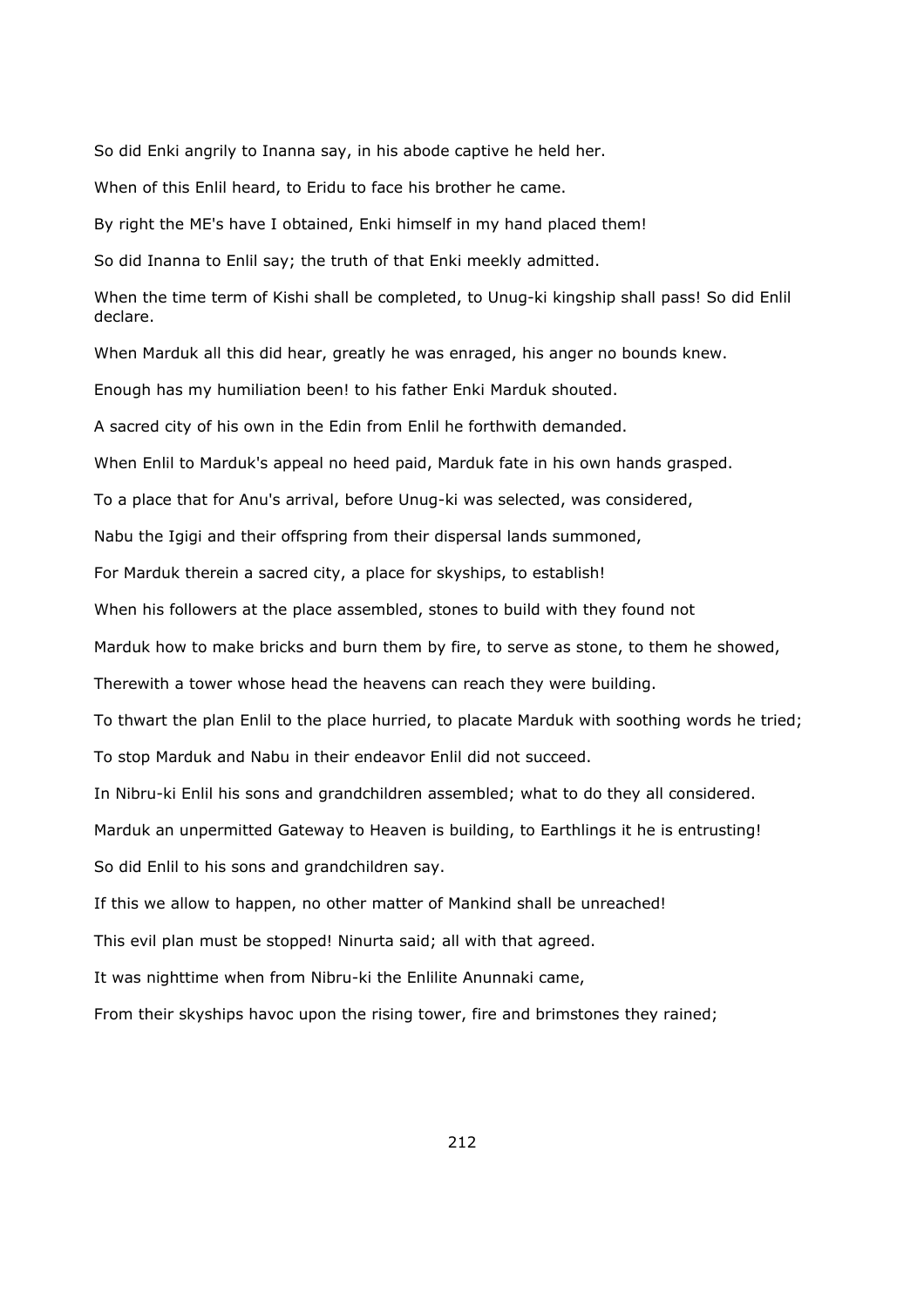So did Enki angrily to Inanna say, in his abode captive he held her.

When of this Enlil heard, to Eridu to face his brother he came.

By right the ME's have I obtained, Enki himself in my hand placed them!

So did Inanna to Enlil say; the truth of that Enki meekly admitted.

When the time term of Kishi shall be completed, to Unug-ki kingship shall pass! So did Enlil declare.

When Marduk all this did hear, greatly he was enraged, his anger no bounds knew.

Enough has my humiliation been! to his father Enki Marduk shouted.

A sacred city of his own in the Edin from Enlil he forthwith demanded.

When Enlil to Marduk's appeal no heed paid, Marduk fate in his own hands grasped.

To a place that for Anu's arrival, before Unug-ki was selected, was considered,

Nabu the Igigi and their offspring from their dispersal lands summoned,

For Marduk therein a sacred city, a place for skyships, to establish!

When his followers at the place assembled, stones to build with they found not

Marduk how to make bricks and burn them by fire, to serve as stone, to them he showed,

Therewith a tower whose head the heavens can reach they were building.

To thwart the plan Enlil to the place hurried, to placate Marduk with soothing words he tried;

To stop Marduk and Nabu in their endeavor Enlil did not succeed.

In Nibru-ki Enlil his sons and grandchildren assembled; what to do they all considered.

Marduk an unpermitted Gateway to Heaven is building, to Earthlings it he is entrusting!

So did Enlil to his sons and grandchildren say.

If this we allow to happen, no other matter of Mankind shall be unreached!

This evil plan must be stopped! Ninurta said; all with that agreed.

It was nighttime when from Nibru-ki the Enlilite Anunnaki came,

From their skyships havoc upon the rising tower, fire and brimstones they rained;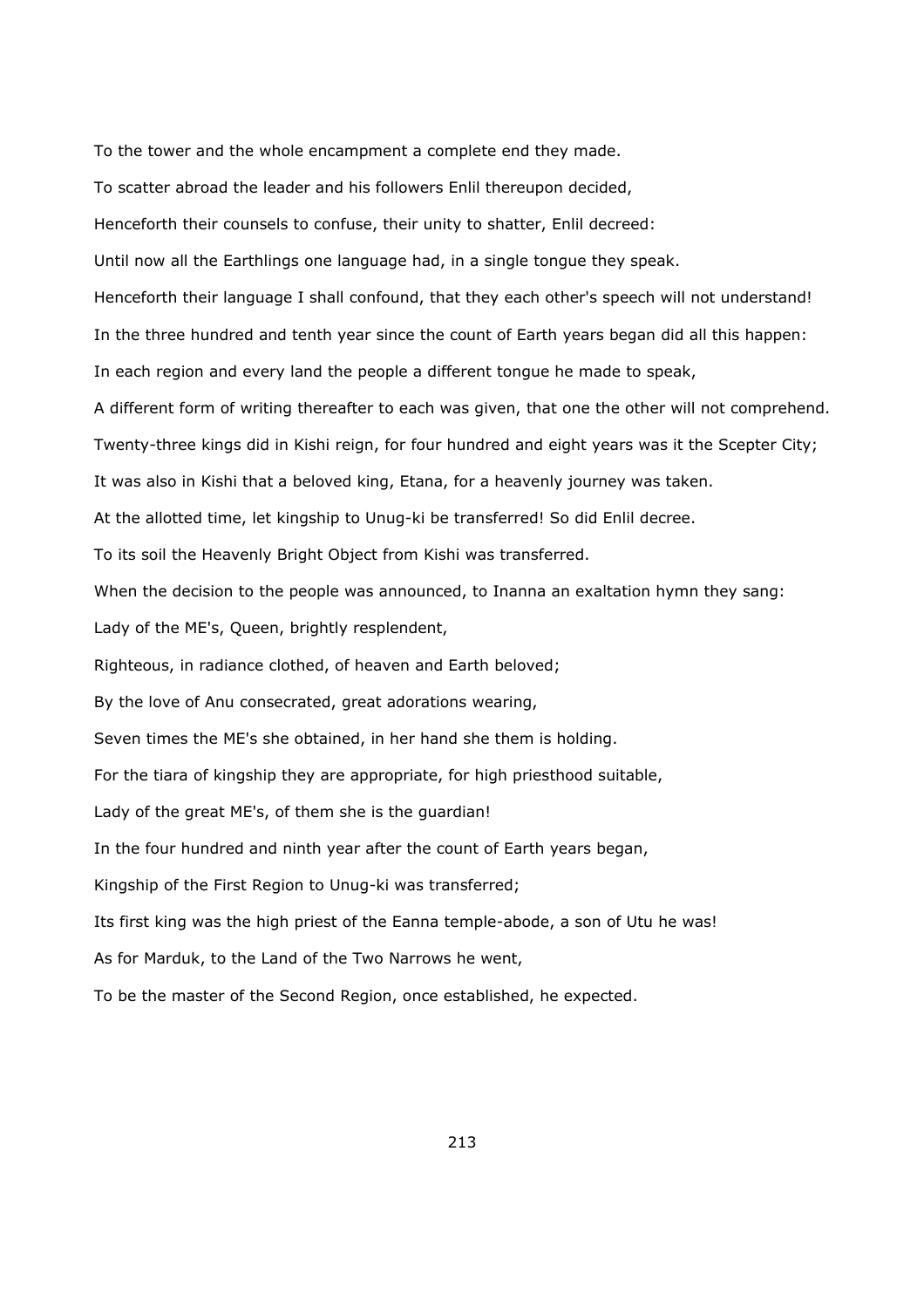To the tower and the whole encampment a complete end they made. To scatter abroad the leader and his followers Enlil thereupon decided, Henceforth their counsels to confuse, their unity to shatter, Enlil decreed: Until now all the Earthlings one language had, in a single tongue they speak. Henceforth their language I shall confound, that they each other's speech will not understand! In the three hundred and tenth year since the count of Earth years began did all this happen: In each region and every land the people a different tongue he made to speak, A different form of writing thereafter to each was given, that one the other will not comprehend. Twenty-three kings did in Kishi reign, for four hundred and eight years was it the Scepter City; It was also in Kishi that a beloved king, Etana, for a heavenly journey was taken. At the allotted time, let kingship to Unug-ki be transferred! So did Enlil decree. To its soil the Heavenly Bright Object from Kishi was transferred. When the decision to the people was announced, to Inanna an exaltation hymn they sang: Lady of the ME's, Queen, brightly resplendent, Righteous, in radiance clothed, of heaven and Earth beloved; By the love of Anu consecrated, great adorations wearing, Seven times the ME's she obtained, in her hand she them is holding. For the tiara of kingship they are appropriate, for high priesthood suitable, Lady of the great ME's, of them she is the guardian! In the four hundred and ninth year after the count of Earth years began, Kingship of the First Region to Unug-ki was transferred; Its first king was the high priest of the Eanna temple-abode, a son of Utu he was! As for Marduk, to the Land of the Two Narrows he went, To be the master of the Second Region, once established, he expected.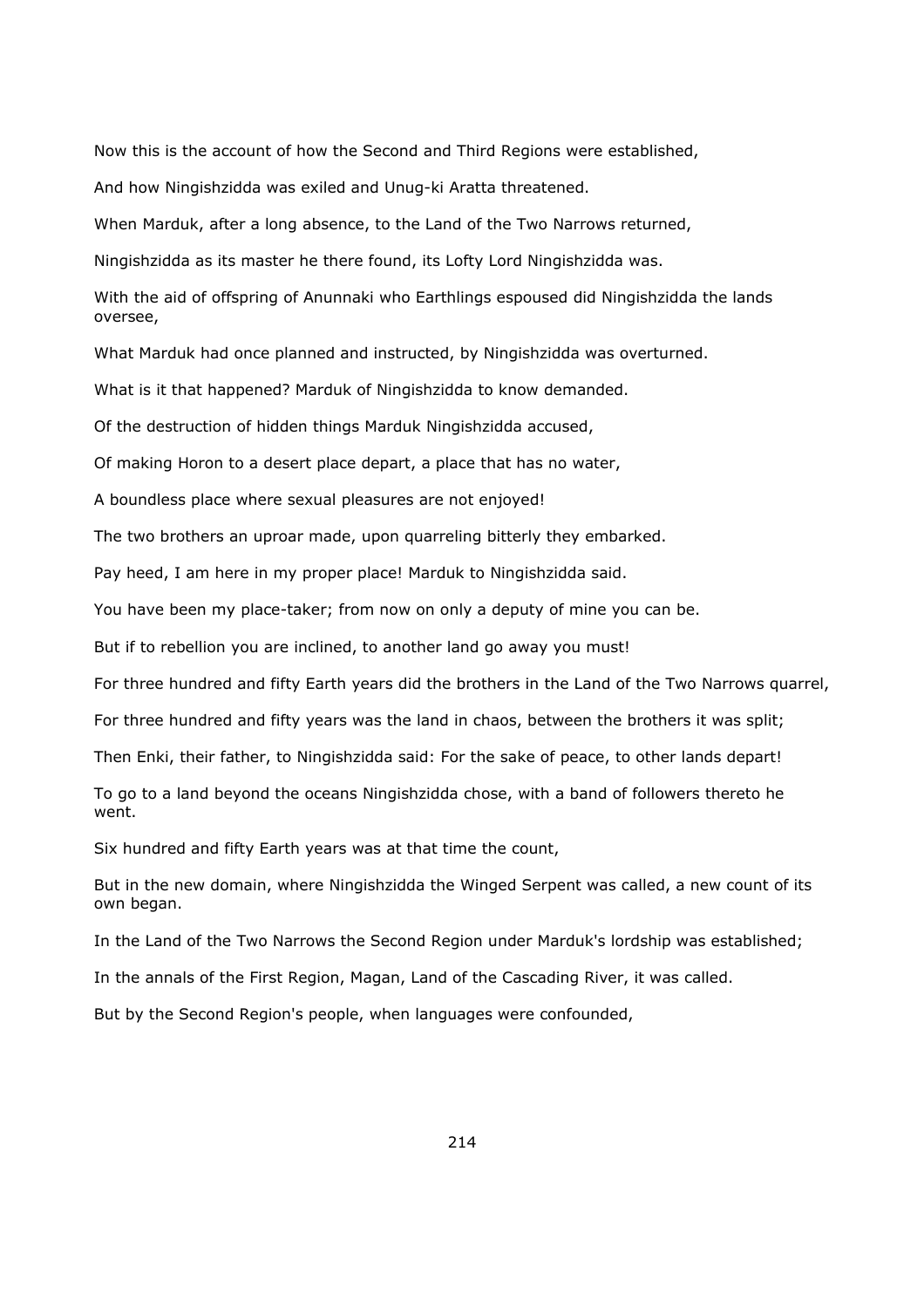Now this is the account of how the Second and Third Regions were established,

And how Ningishzidda was exiled and Unug-ki Aratta threatened.

When Marduk, after a long absence, to the Land of the Two Narrows returned,

Ningishzidda as its master he there found, its Lofty Lord Ningishzidda was.

With the aid of offspring of Anunnaki who Earthlings espoused did Ningishzidda the lands oversee,

What Marduk had once planned and instructed, by Ningishzidda was overturned.

What is it that happened? Marduk of Ningishzidda to know demanded.

Of the destruction of hidden things Marduk Ningishzidda accused,

Of making Horon to a desert place depart, a place that has no water,

A boundless place where sexual pleasures are not enjoyed!

The two brothers an uproar made, upon quarreling bitterly they embarked.

Pay heed, I am here in my proper place! Marduk to Ningishzidda said.

You have been my place-taker; from now on only a deputy of mine you can be.

But if to rebellion you are inclined, to another land go away you must!

For three hundred and fifty Earth years did the brothers in the Land of the Two Narrows quarrel,

For three hundred and fifty years was the land in chaos, between the brothers it was split;

Then Enki, their father, to Ningishzidda said: For the sake of peace, to other lands depart!

To go to a land beyond the oceans Ningishzidda chose, with a band of followers thereto he went.

Six hundred and fifty Earth years was at that time the count,

But in the new domain, where Ningishzidda the Winged Serpent was called, a new count of its own began.

In the Land of the Two Narrows the Second Region under Marduk's lordship was established;

In the annals of the First Region, Magan, Land of the Cascading River, it was called.

But by the Second Region's people, when languages were confounded,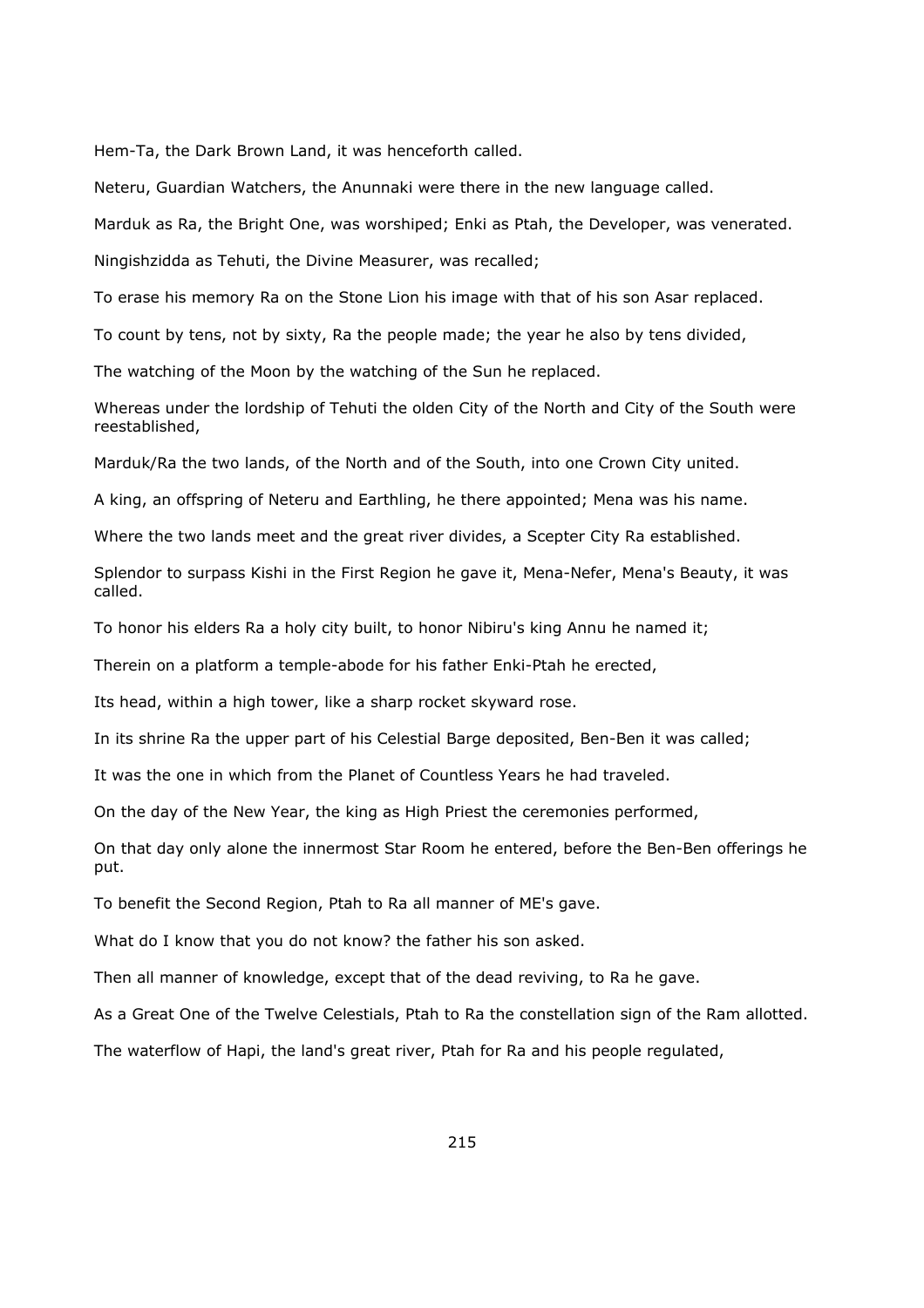Hem-Ta, the Dark Brown Land, it was henceforth called.

Neteru, Guardian Watchers, the Anunnaki were there in the new language called.

Marduk as Ra, the Bright One, was worshiped; Enki as Ptah, the Developer, was venerated.

Ningishzidda as Tehuti, the Divine Measurer, was recalled;

To erase his memory Ra on the Stone Lion his image with that of his son Asar replaced.

To count by tens, not by sixty, Ra the people made; the year he also by tens divided,

The watching of the Moon by the watching of the Sun he replaced.

Whereas under the lordship of Tehuti the olden City of the North and City of the South were reestablished,

Marduk/Ra the two lands, of the North and of the South, into one Crown City united.

A king, an offspring of Neteru and Earthling, he there appointed; Mena was his name.

Where the two lands meet and the great river divides, a Scepter City Ra established.

Splendor to surpass Kishi in the First Region he gave it, Mena-Nefer, Mena's Beauty, it was called.

To honor his elders Ra a holy city built, to honor Nibiru's king Annu he named it;

Therein on a platform a temple-abode for his father Enki-Ptah he erected,

Its head, within a high tower, like a sharp rocket skyward rose.

In its shrine Ra the upper part of his Celestial Barge deposited, Ben-Ben it was called;

It was the one in which from the Planet of Countless Years he had traveled.

On the day of the New Year, the king as High Priest the ceremonies performed,

On that day only alone the innermost Star Room he entered, before the Ben-Ben offerings he put.

To benefit the Second Region, Ptah to Ra all manner of ME's gave.

What do I know that you do not know? the father his son asked.

Then all manner of knowledge, except that of the dead reviving, to Ra he gave.

As a Great One of the Twelve Celestials, Ptah to Ra the constellation sign of the Ram allotted.

The waterflow of Hapi, the land's great river, Ptah for Ra and his people regulated,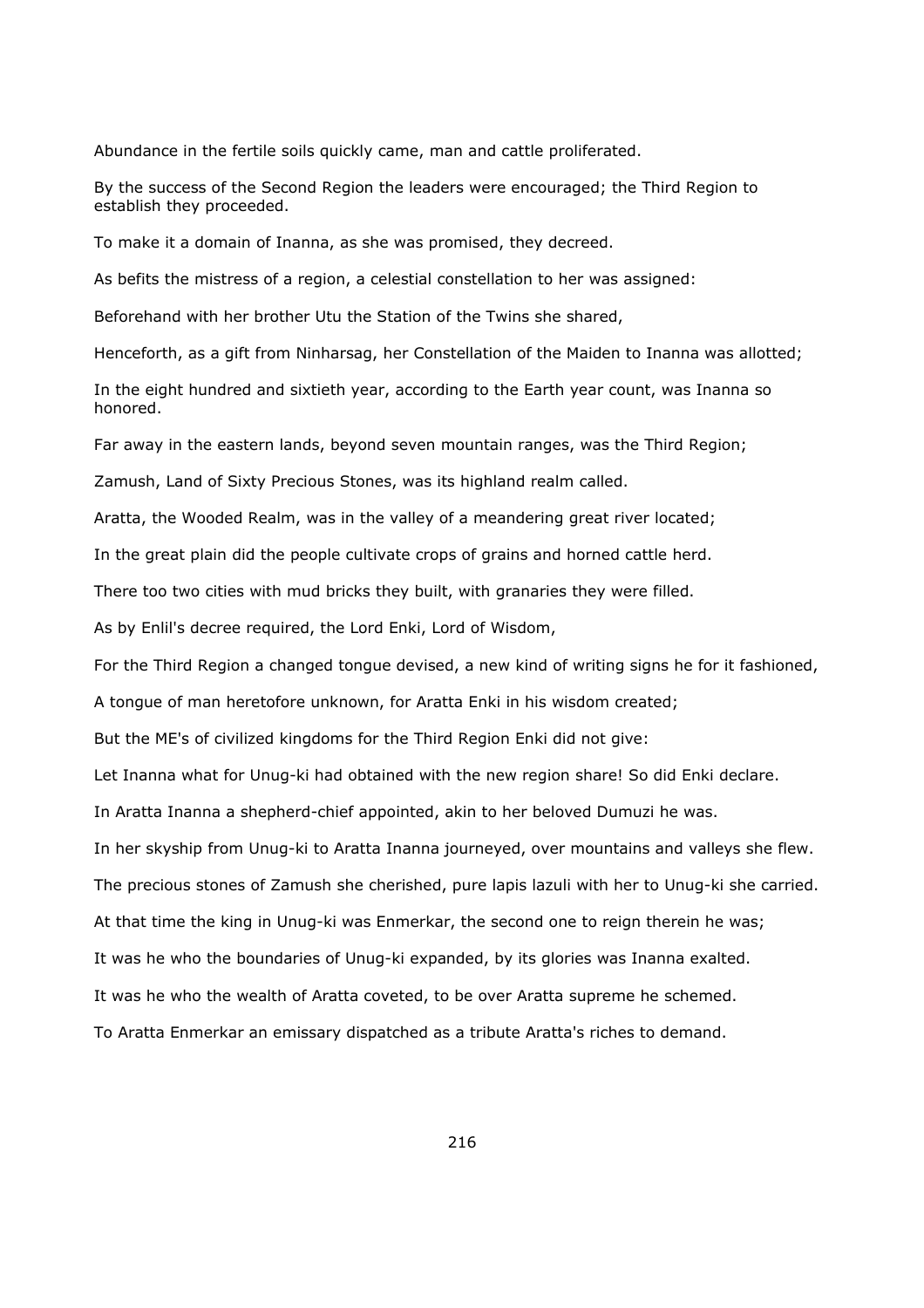Abundance in the fertile soils quickly came, man and cattle proliferated.

By the success of the Second Region the leaders were encouraged; the Third Region to establish they proceeded.

To make it a domain of Inanna, as she was promised, they decreed.

As befits the mistress of a region, a celestial constellation to her was assigned:

Beforehand with her brother Utu the Station of the Twins she shared,

Henceforth, as a gift from Ninharsag, her Constellation of the Maiden to Inanna was allotted;

In the eight hundred and sixtieth year, according to the Earth year count, was Inanna so honored.

Far away in the eastern lands, beyond seven mountain ranges, was the Third Region;

Zamush, Land of Sixty Precious Stones, was its highland realm called.

Aratta, the Wooded Realm, was in the valley of a meandering great river located;

In the great plain did the people cultivate crops of grains and horned cattle herd.

There too two cities with mud bricks they built, with granaries they were filled.

As by Enlil's decree required, the Lord Enki, Lord of Wisdom,

For the Third Region a changed tongue devised, a new kind of writing signs he for it fashioned,

A tongue of man heretofore unknown, for Aratta Enki in his wisdom created;

But the ME's of civilized kingdoms for the Third Region Enki did not give:

Let Inanna what for Unug-ki had obtained with the new region share! So did Enki declare.

In Aratta Inanna a shepherd-chief appointed, akin to her beloved Dumuzi he was.

In her skyship from Unug-ki to Aratta Inanna journeyed, over mountains and valleys she flew.

The precious stones of Zamush she cherished, pure lapis lazuli with her to Unug-ki she carried.

At that time the king in Unug-ki was Enmerkar, the second one to reign therein he was;

It was he who the boundaries of Unug-ki expanded, by its glories was Inanna exalted.

It was he who the wealth of Aratta coveted, to be over Aratta supreme he schemed.

To Aratta Enmerkar an emissary dispatched as a tribute Aratta's riches to demand.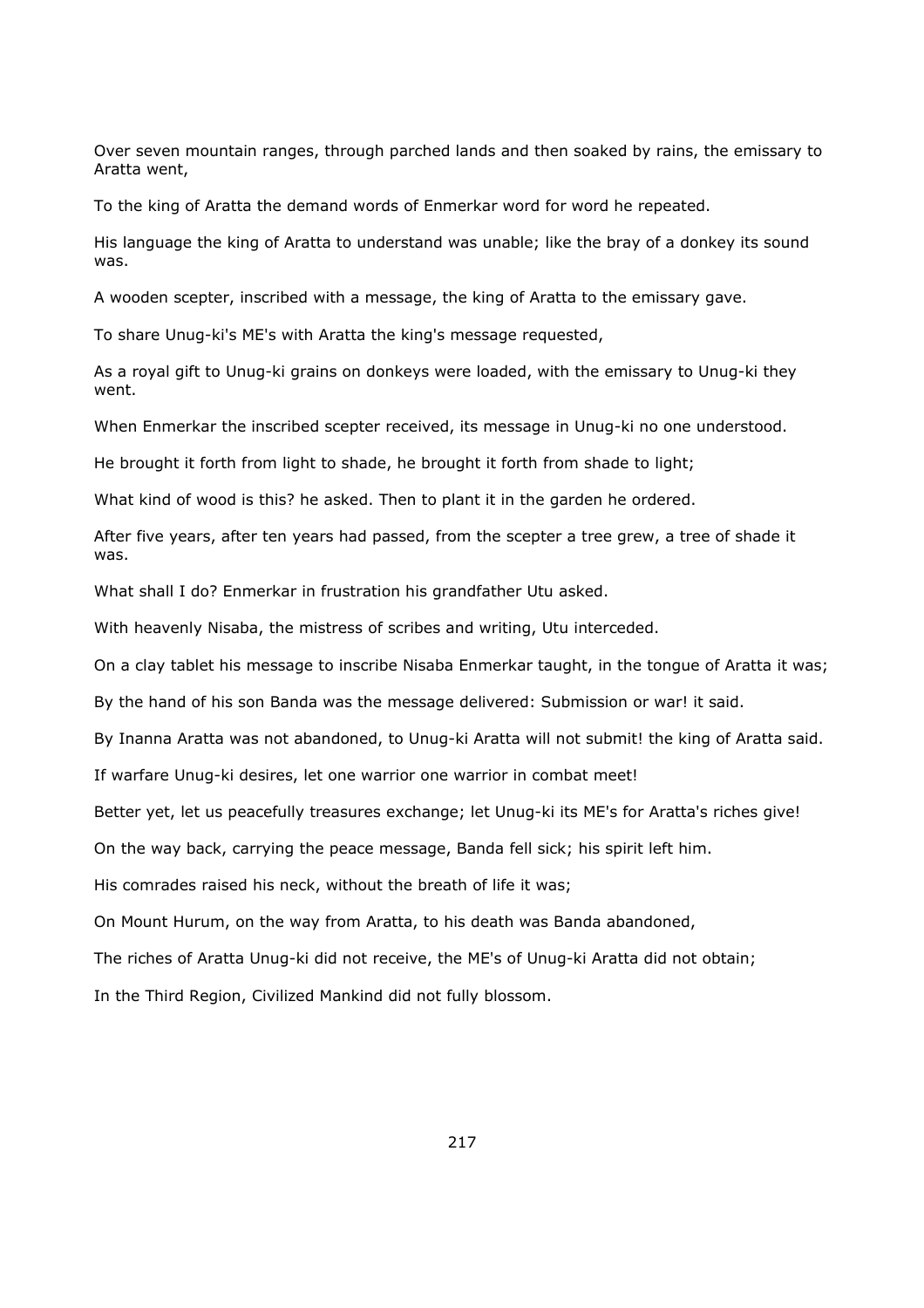Over seven mountain ranges, through parched lands and then soaked by rains, the emissary to Aratta went,

To the king of Aratta the demand words of Enmerkar word for word he repeated.

His language the king of Aratta to understand was unable; like the bray of a donkey its sound was.

A wooden scepter, inscribed with a message, the king of Aratta to the emissary gave.

To share Unug-ki's ME's with Aratta the king's message requested,

As a royal gift to Unug-ki grains on donkeys were loaded, with the emissary to Unug-ki they went.

When Enmerkar the inscribed scepter received, its message in Unug-ki no one understood.

He brought it forth from light to shade, he brought it forth from shade to light;

What kind of wood is this? he asked. Then to plant it in the garden he ordered.

After five years, after ten years had passed, from the scepter a tree grew, a tree of shade it was.

What shall I do? Enmerkar in frustration his grandfather Utu asked.

With heavenly Nisaba, the mistress of scribes and writing, Utu interceded.

On a clay tablet his message to inscribe Nisaba Enmerkar taught, in the tongue of Aratta it was;

By the hand of his son Banda was the message delivered: Submission or war! it said.

By Inanna Aratta was not abandoned, to Unug-ki Aratta will not submit! the king of Aratta said.

If warfare Unug-ki desires, let one warrior one warrior in combat meet!

Better yet, let us peacefully treasures exchange; let Unug-ki its ME's for Aratta's riches give!

On the way back, carrying the peace message, Banda fell sick; his spirit left him.

His comrades raised his neck, without the breath of life it was;

On Mount Hurum, on the way from Aratta, to his death was Banda abandoned,

The riches of Aratta Unug-ki did not receive, the ME's of Unug-ki Aratta did not obtain;

In the Third Region, Civilized Mankind did not fully blossom.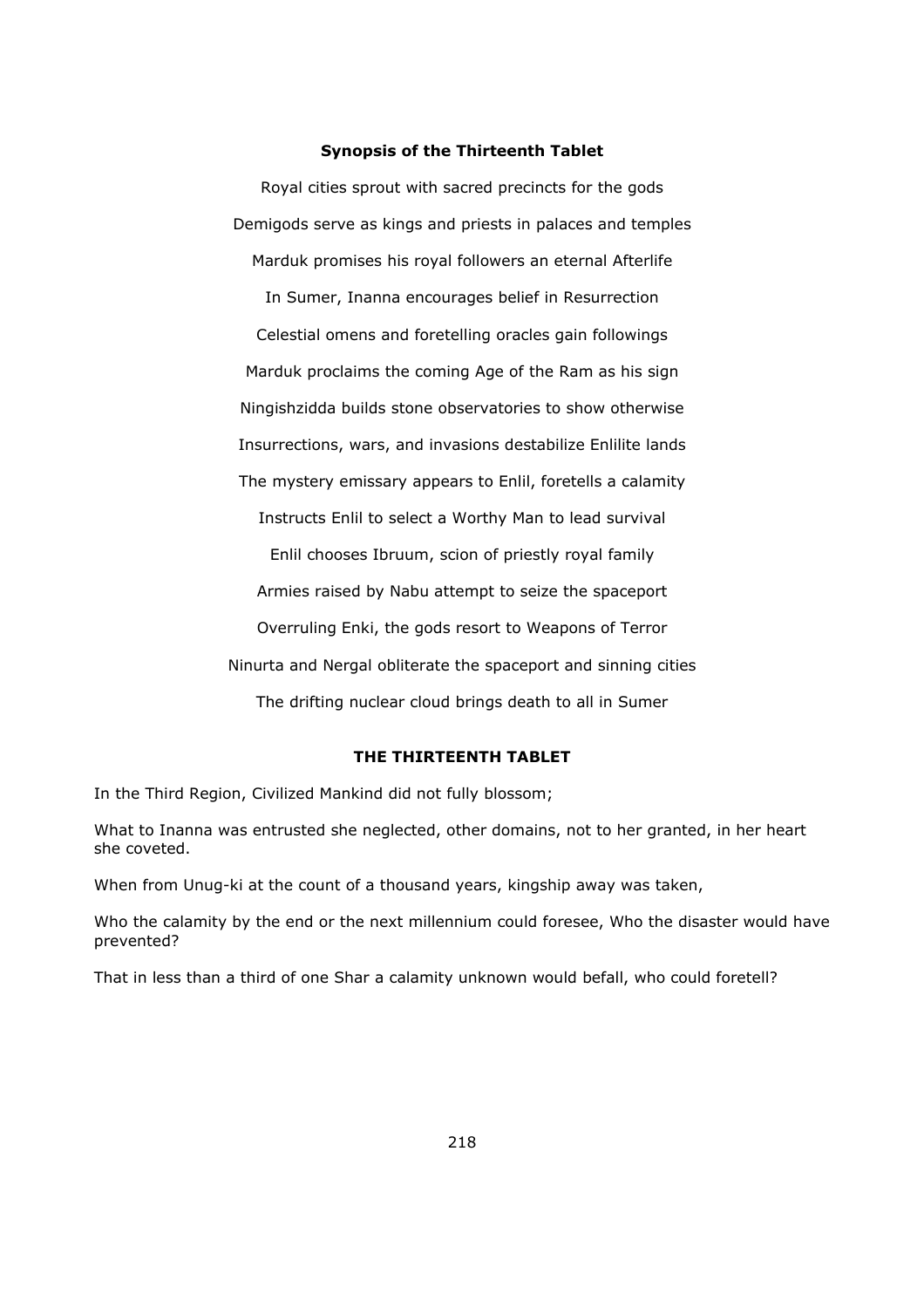### **Synopsis of the Thirteenth Tablet**

Royal cities sprout with sacred precincts for the gods Demigods serve as kings and priests in palaces and temples Marduk promises his royal followers an eternal Afterlife In Sumer, Inanna encourages belief in Resurrection Celestial omens and foretelling oracles gain followings Marduk proclaims the coming Age of the Ram as his sign Ningishzidda builds stone observatories to show otherwise Insurrections, wars, and invasions destabilize Enlilite lands The mystery emissary appears to Enlil, foretells a calamity Instructs Enlil to select a Worthy Man to lead survival Enlil chooses Ibruum, scion of priestly royal family Armies raised by Nabu attempt to seize the spaceport Overruling Enki, the gods resort to Weapons of Terror Ninurta and Nergal obliterate the spaceport and sinning cities The drifting nuclear cloud brings death to all in Sumer

## **THE THIRTEENTH TABLET**

In the Third Region, Civilized Mankind did not fully blossom;

What to Inanna was entrusted she neglected, other domains, not to her granted, in her heart she coveted.

When from Unug-ki at the count of a thousand years, kingship away was taken,

Who the calamity by the end or the next millennium could foresee, Who the disaster would have prevented?

That in less than a third of one Shar a calamity unknown would befall, who could foretell?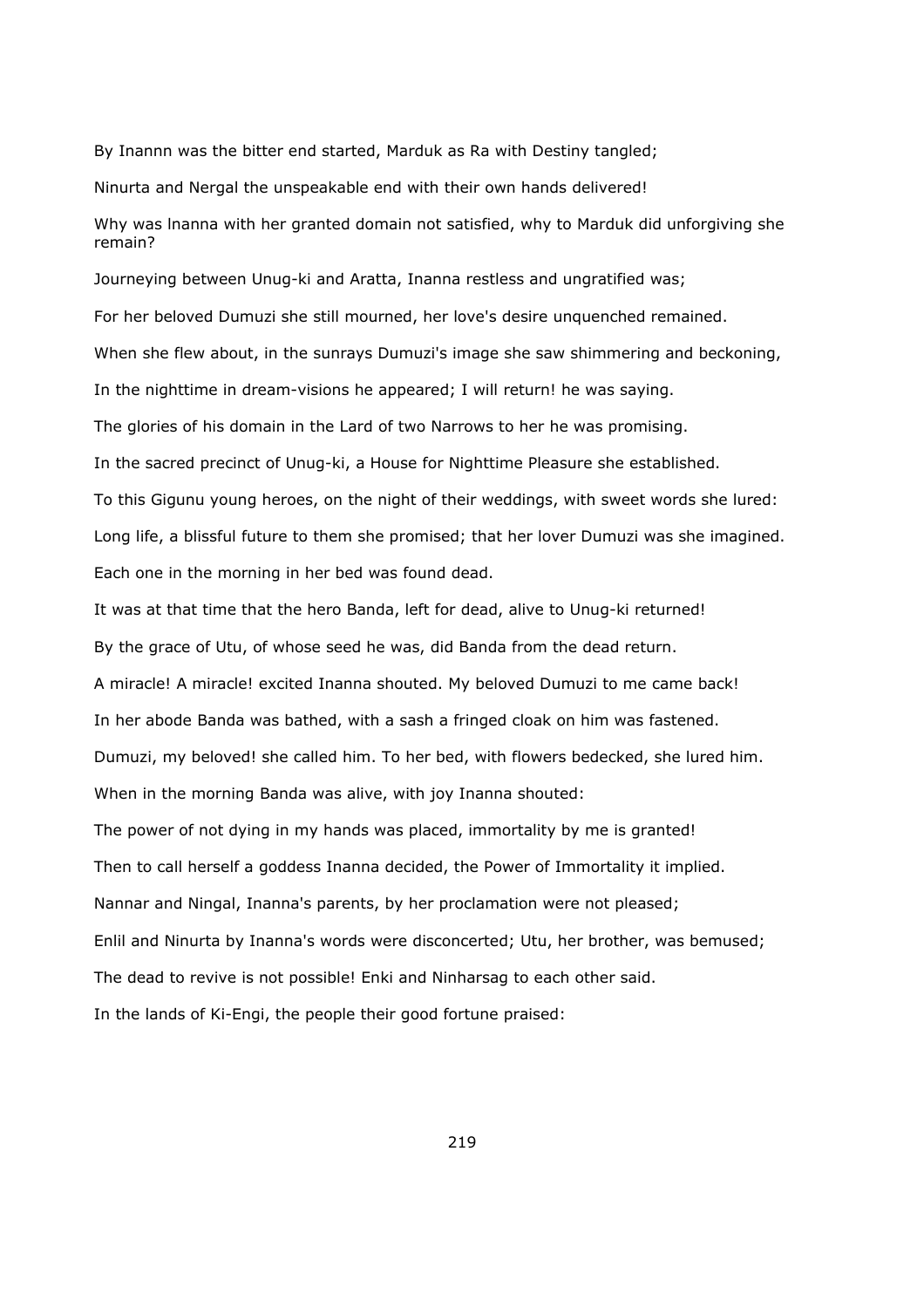By Inannn was the bitter end started, Marduk as Ra with Destiny tangled;

Ninurta and Nergal the unspeakable end with their own hands delivered!

Why was lnanna with her granted domain not satisfied, why to Marduk did unforgiving she remain?

Journeying between Unug-ki and Aratta, Inanna restless and ungratified was;

For her beloved Dumuzi she still mourned, her love's desire unquenched remained.

When she flew about, in the sunrays Dumuzi's image she saw shimmering and beckoning,

In the nighttime in dream-visions he appeared; I will return! he was saying.

The glories of his domain in the Lard of two Narrows to her he was promising.

In the sacred precinct of Unug-ki, a House for Nighttime Pleasure she established.

To this Gigunu young heroes, on the night of their weddings, with sweet words she lured: Long life, a blissful future to them she promised; that her lover Dumuzi was she imagined. Each one in the morning in her bed was found dead.

It was at that time that the hero Banda, left for dead, alive to Unug-ki returned!

By the grace of Utu, of whose seed he was, did Banda from the dead return.

A miracle! A miracle! excited Inanna shouted. My beloved Dumuzi to me came back!

In her abode Banda was bathed, with a sash a fringed cloak on him was fastened.

Dumuzi, my beloved! she called him. To her bed, with flowers bedecked, she lured him.

When in the morning Banda was alive, with joy Inanna shouted:

The power of not dying in my hands was placed, immortality by me is granted!

Then to call herself a goddess Inanna decided, the Power of Immortality it implied.

Nannar and Ningal, Inanna's parents, by her proclamation were not pleased;

Enlil and Ninurta by Inanna's words were disconcerted; Utu, her brother, was bemused;

The dead to revive is not possible! Enki and Ninharsag to each other said.

In the lands of Ki-Engi, the people their good fortune praised:

219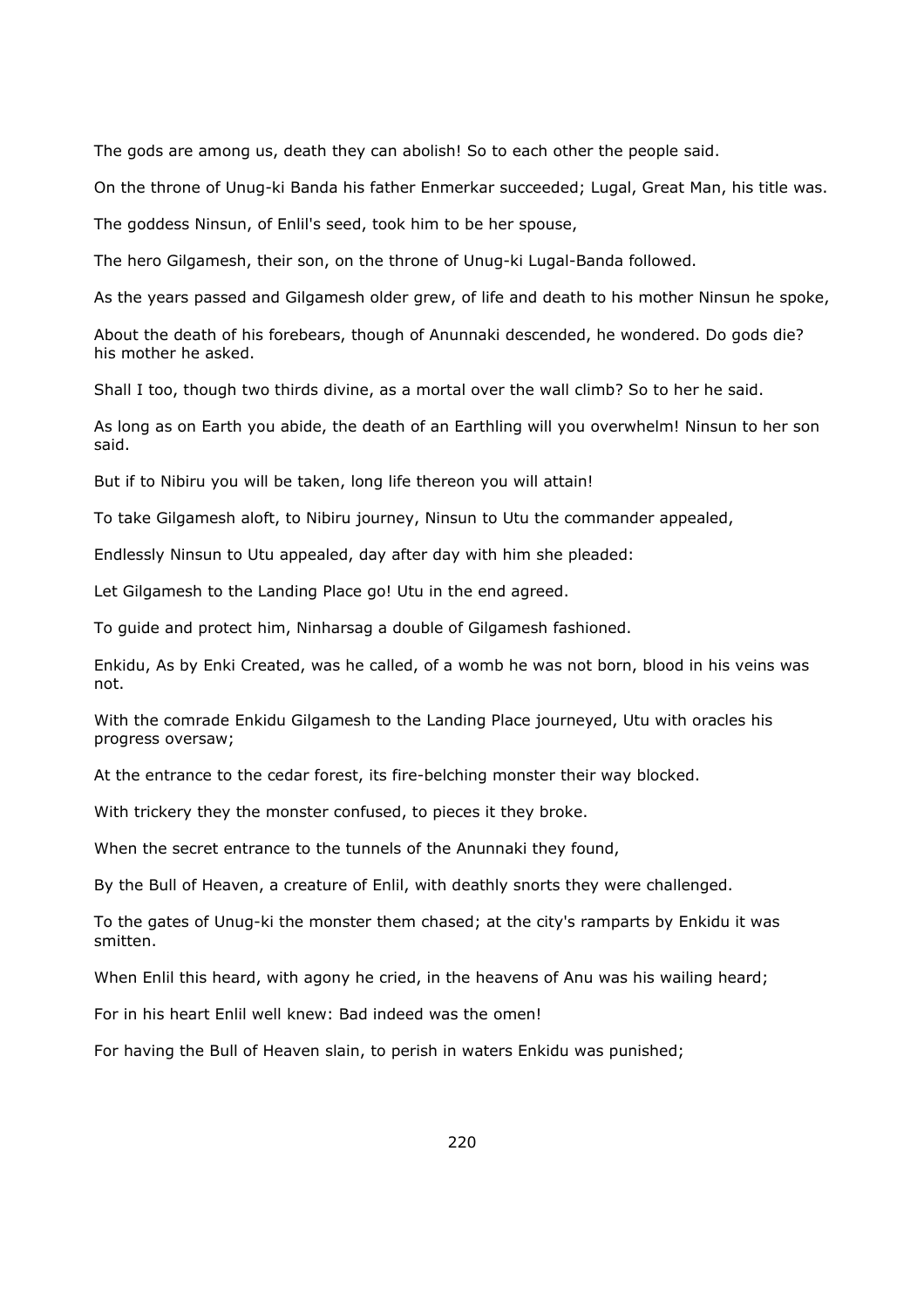The gods are among us, death they can abolish! So to each other the people said.

On the throne of Unug-ki Banda his father Enmerkar succeeded; Lugal, Great Man, his title was.

The goddess Ninsun, of Enlil's seed, took him to be her spouse,

The hero Gilgamesh, their son, on the throne of Unug-ki Lugal-Banda followed.

As the years passed and Gilgamesh older grew, of life and death to his mother Ninsun he spoke,

About the death of his forebears, though of Anunnaki descended, he wondered. Do gods die? his mother he asked.

Shall I too, though two thirds divine, as a mortal over the wall climb? So to her he said.

As long as on Earth you abide, the death of an Earthling will you overwhelm! Ninsun to her son said.

But if to Nibiru you will be taken, long life thereon you will attain!

To take Gilgamesh aloft, to Nibiru journey, Ninsun to Utu the commander appealed,

Endlessly Ninsun to Utu appealed, day after day with him she pleaded:

Let Gilgamesh to the Landing Place go! Utu in the end agreed.

To guide and protect him, Ninharsag a double of Gilgamesh fashioned.

Enkidu, As by Enki Created, was he called, of a womb he was not born, blood in his veins was not.

With the comrade Enkidu Gilgamesh to the Landing Place journeyed, Utu with oracles his progress oversaw;

At the entrance to the cedar forest, its fire-belching monster their way blocked.

With trickery they the monster confused, to pieces it they broke.

When the secret entrance to the tunnels of the Anunnaki they found,

By the Bull of Heaven, a creature of Enlil, with deathly snorts they were challenged.

To the gates of Unug-ki the monster them chased; at the city's ramparts by Enkidu it was smitten.

When Enlil this heard, with agony he cried, in the heavens of Anu was his wailing heard;

For in his heart Enlil well knew: Bad indeed was the omen!

For having the Bull of Heaven slain, to perish in waters Enkidu was punished;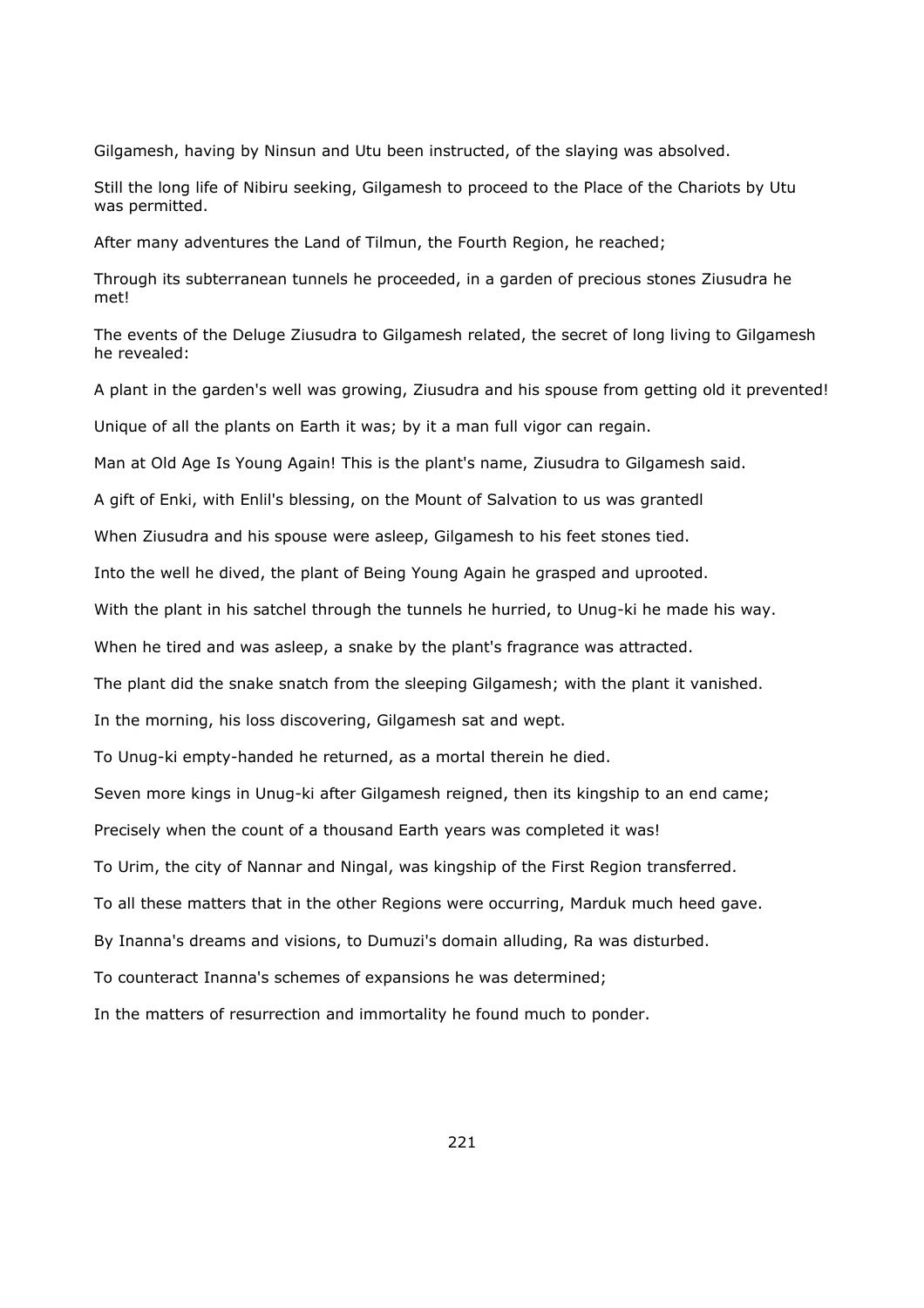Gilgamesh, having by Ninsun and Utu been instructed, of the slaying was absolved.

Still the long life of Nibiru seeking, Gilgamesh to proceed to the Place of the Chariots by Utu was permitted.

After many adventures the Land of Tilmun, the Fourth Region, he reached;

Through its subterranean tunnels he proceeded, in a garden of precious stones Ziusudra he met!

The events of the Deluge Ziusudra to Gilgamesh related, the secret of long living to Gilgamesh he revealed:

A plant in the garden's well was growing, Ziusudra and his spouse from getting old it prevented!

Unique of all the plants on Earth it was; by it a man full vigor can regain.

Man at Old Age Is Young Again! This is the plant's name, Ziusudra to Gilgamesh said.

A gift of Enki, with Enlil's blessing, on the Mount of Salvation to us was grantedl

When Ziusudra and his spouse were asleep, Gilgamesh to his feet stones tied.

Into the well he dived, the plant of Being Young Again he grasped and uprooted.

With the plant in his satchel through the tunnels he hurried, to Unug-ki he made his way.

When he tired and was asleep, a snake by the plant's fragrance was attracted.

The plant did the snake snatch from the sleeping Gilgamesh; with the plant it vanished.

In the morning, his loss discovering, Gilgamesh sat and wept.

To Unug-ki empty-handed he returned, as a mortal therein he died.

Seven more kings in Unug-ki after Gilgamesh reigned, then its kingship to an end came;

Precisely when the count of a thousand Earth years was completed it was!

To Urim, the city of Nannar and Ningal, was kingship of the First Region transferred.

To all these matters that in the other Regions were occurring, Marduk much heed gave.

By Inanna's dreams and visions, to Dumuzi's domain alluding, Ra was disturbed.

To counteract Inanna's schemes of expansions he was determined;

In the matters of resurrection and immortality he found much to ponder.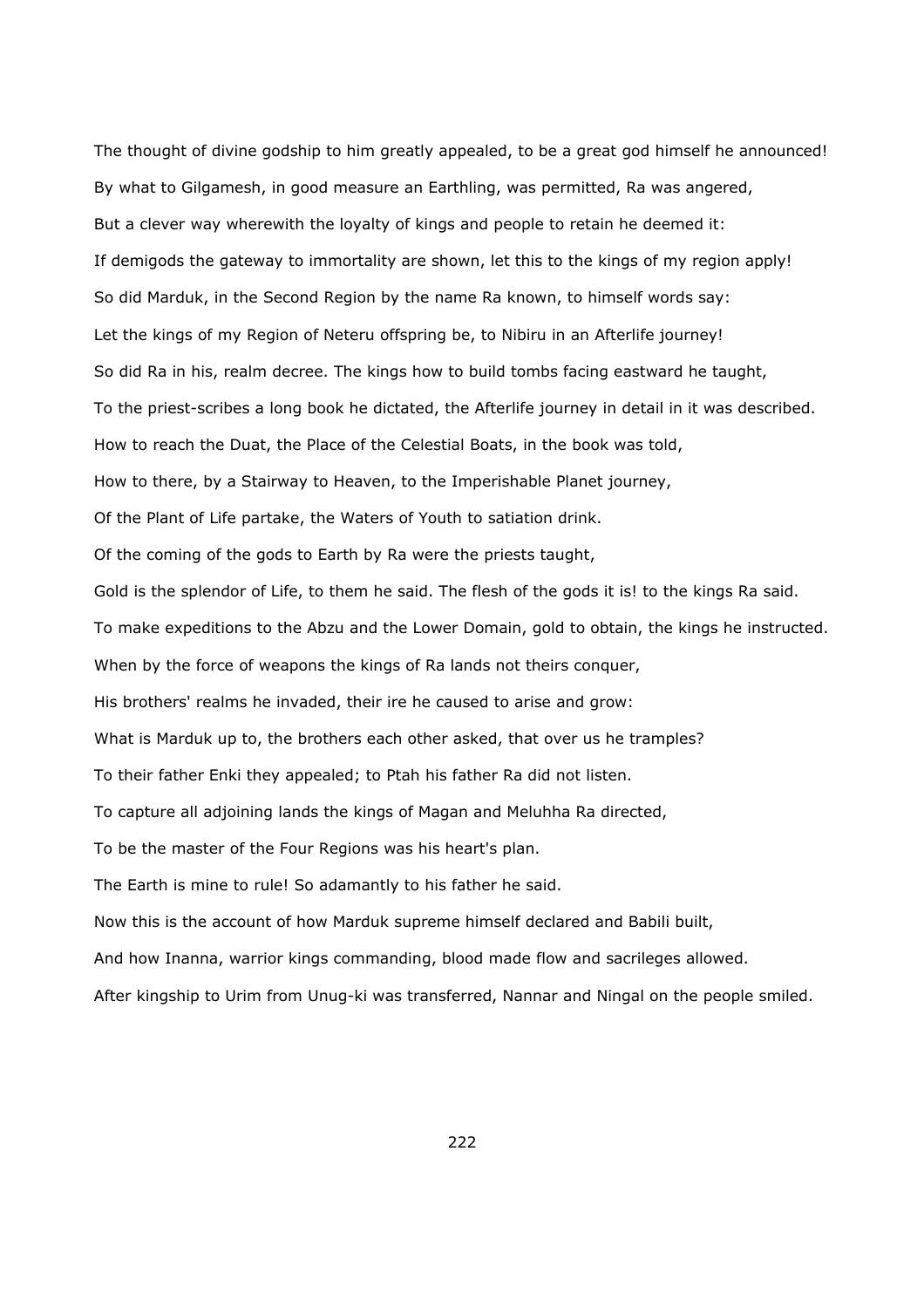The thought of divine godship to him greatly appealed, to be a great god himself he announced! By what to Gilgamesh, in good measure an Earthling, was permitted, Ra was angered, But a clever way wherewith the loyalty of kings and people to retain he deemed it: If demigods the gateway to immortality are shown, let this to the kings of my region apply! So did Marduk, in the Second Region by the name Ra known, to himself words say: Let the kings of my Region of Neteru offspring be, to Nibiru in an Afterlife journey! So did Ra in his, realm decree. The kings how to build tombs facing eastward he taught, To the priest-scribes a long book he dictated, the Afterlife journey in detail in it was described. How to reach the Duat, the Place of the Celestial Boats, in the book was told, How to there, by a Stairway to Heaven, to the Imperishable Planet journey, Of the Plant of Life partake, the Waters of Youth to satiation drink. Of the coming of the gods to Earth by Ra were the priests taught, Gold is the splendor of Life, to them he said. The flesh of the gods it is! to the kings Ra said. To make expeditions to the Abzu and the Lower Domain, gold to obtain, the kings he instructed. When by the force of weapons the kings of Ra lands not theirs conquer, His brothers' realms he invaded, their ire he caused to arise and grow: What is Marduk up to, the brothers each other asked, that over us he tramples? To their father Enki they appealed; to Ptah his father Ra did not listen. To capture all adjoining lands the kings of Magan and Meluhha Ra directed, To be the master of the Four Regions was his heart's plan. The Earth is mine to rule! So adamantly to his father he said. Now this is the account of how Marduk supreme himself declared and Babili built, And how Inanna, warrior kings commanding, blood made flow and sacrileges allowed. After kingship to Urim from Unug-ki was transferred, Nannar and Ningal on the people smiled.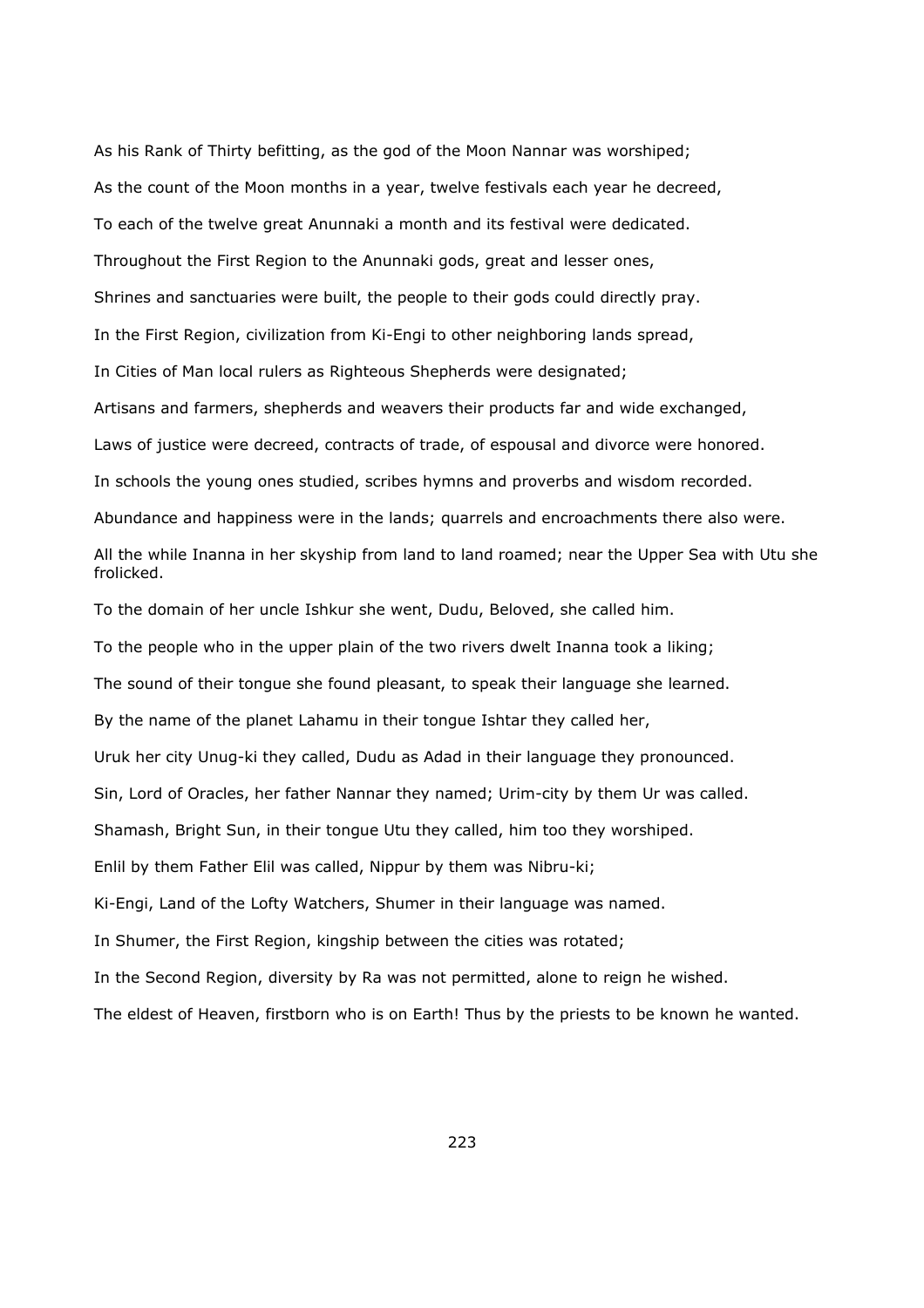As his Rank of Thirty befitting, as the god of the Moon Nannar was worshiped; As the count of the Moon months in a year, twelve festivals each year he decreed, To each of the twelve great Anunnaki a month and its festival were dedicated. Throughout the First Region to the Anunnaki gods, great and lesser ones, Shrines and sanctuaries were built, the people to their gods could directly pray. In the First Region, civilization from Ki-Engi to other neighboring lands spread, In Cities of Man local rulers as Righteous Shepherds were designated; Artisans and farmers, shepherds and weavers their products far and wide exchanged, Laws of justice were decreed, contracts of trade, of espousal and divorce were honored. In schools the young ones studied, scribes hymns and proverbs and wisdom recorded. Abundance and happiness were in the lands; quarrels and encroachments there also were. All the while Inanna in her skyship from land to land roamed; near the Upper Sea with Utu she frolicked. To the domain of her uncle Ishkur she went, Dudu, Beloved, she called him. To the people who in the upper plain of the two rivers dwelt Inanna took a liking; The sound of their tongue she found pleasant, to speak their language she learned. By the name of the planet Lahamu in their tongue Ishtar they called her, Uruk her city Unug-ki they called, Dudu as Adad in their language they pronounced. Sin, Lord of Oracles, her father Nannar they named; Urim-city by them Ur was called. Shamash, Bright Sun, in their tongue Utu they called, him too they worshiped. Enlil by them Father Elil was called, Nippur by them was Nibru-ki; Ki-Engi, Land of the Lofty Watchers, Shumer in their language was named. In Shumer, the First Region, kingship between the cities was rotated; In the Second Region, diversity by Ra was not permitted, alone to reign he wished. The eldest of Heaven, firstborn who is on Earth! Thus by the priests to be known he wanted.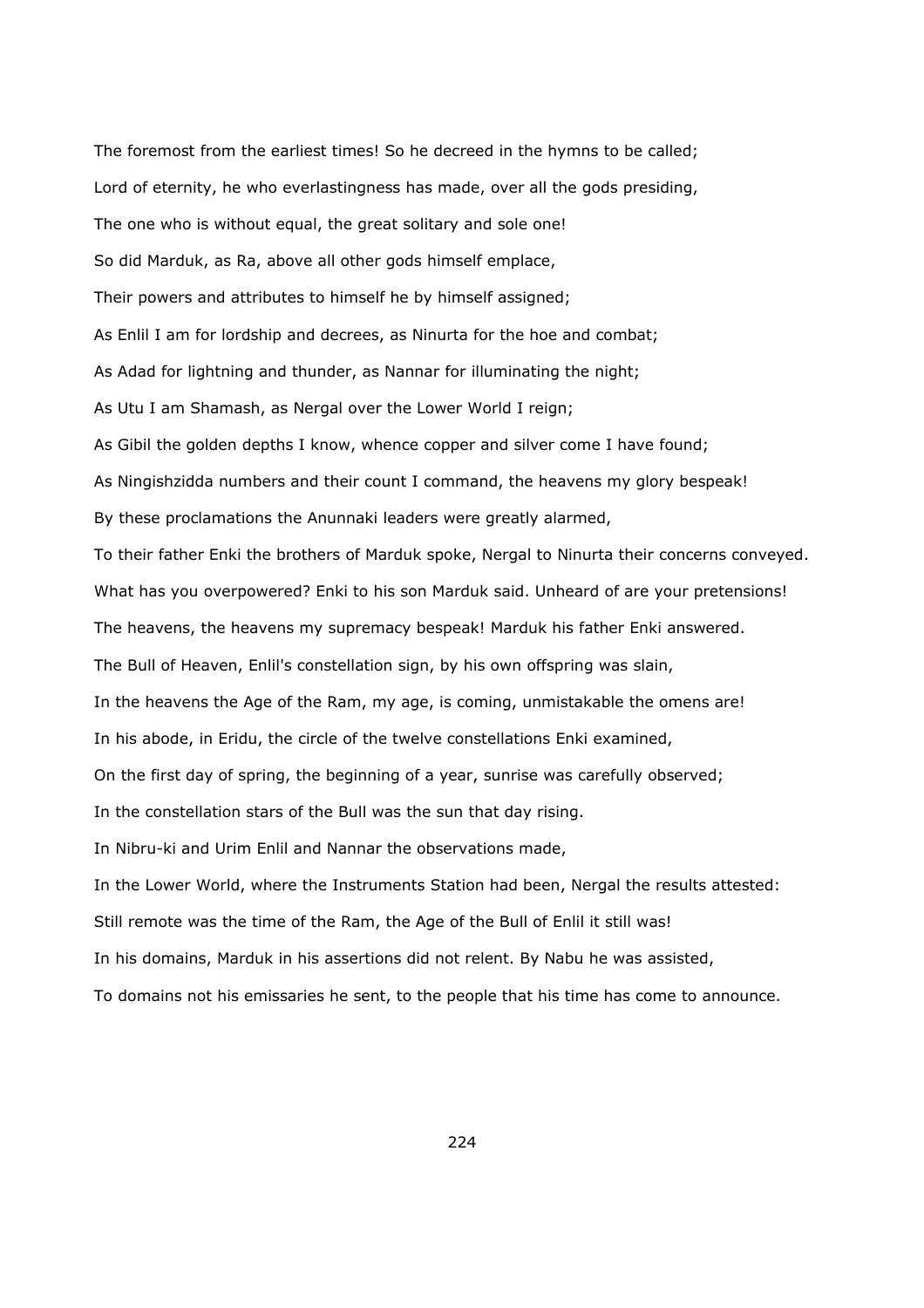The foremost from the earliest times! So he decreed in the hymns to be called; Lord of eternity, he who everlastingness has made, over all the gods presiding, The one who is without equal, the great solitary and sole one! So did Marduk, as Ra, above all other gods himself emplace, Their powers and attributes to himself he by himself assigned; As Enlil I am for lordship and decrees, as Ninurta for the hoe and combat; As Adad for lightning and thunder, as Nannar for illuminating the night; As Utu I am Shamash, as Nergal over the Lower World I reign; As Gibil the golden depths I know, whence copper and silver come I have found; As Ningishzidda numbers and their count I command, the heavens my glory bespeak! By these proclamations the Anunnaki leaders were greatly alarmed, To their father Enki the brothers of Marduk spoke, Nergal to Ninurta their concerns conveyed. What has you overpowered? Enki to his son Marduk said. Unheard of are your pretensions! The heavens, the heavens my supremacy bespeak! Marduk his father Enki answered. The Bull of Heaven, Enlil's constellation sign, by his own offspring was slain, In the heavens the Age of the Ram, my age, is coming, unmistakable the omens are! In his abode, in Eridu, the circle of the twelve constellations Enki examined, On the first day of spring, the beginning of a year, sunrise was carefully observed; In the constellation stars of the Bull was the sun that day rising. In Nibru-ki and Urim Enlil and Nannar the observations made, In the Lower World, where the Instruments Station had been, Nergal the results attested: Still remote was the time of the Ram, the Age of the Bull of Enlil it still was! In his domains, Marduk in his assertions did not relent. By Nabu he was assisted, To domains not his emissaries he sent, to the people that his time has come to announce.

224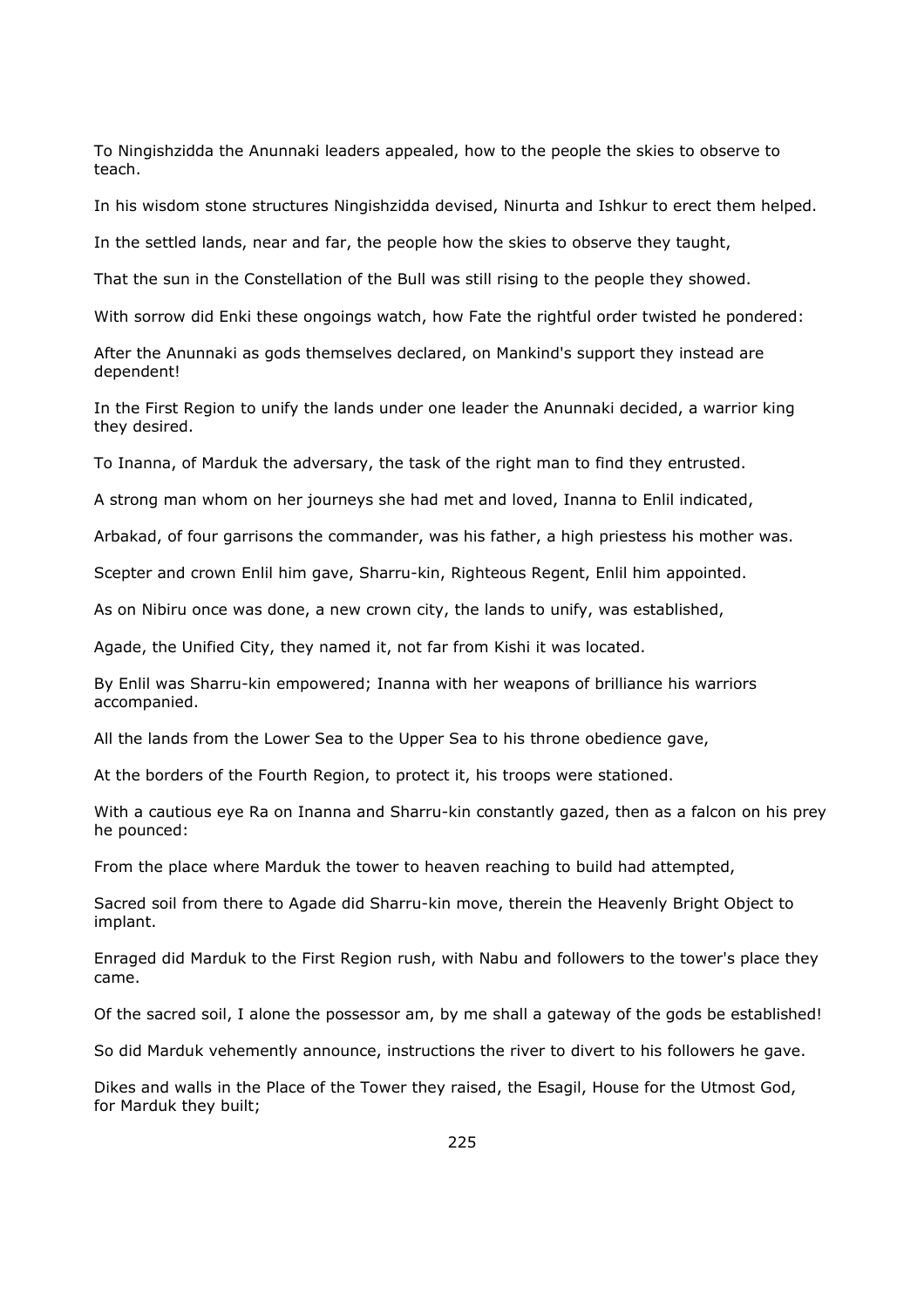To Ningishzidda the Anunnaki leaders appealed, how to the people the skies to observe to teach.

In his wisdom stone structures Ningishzidda devised, Ninurta and Ishkur to erect them helped.

In the settled lands, near and far, the people how the skies to observe they taught,

That the sun in the Constellation of the Bull was still rising to the people they showed.

With sorrow did Enki these ongoings watch, how Fate the rightful order twisted he pondered:

After the Anunnaki as gods themselves declared, on Mankind's support they instead are dependent!

In the First Region to unify the lands under one leader the Anunnaki decided, a warrior king they desired.

To Inanna, of Marduk the adversary, the task of the right man to find they entrusted.

A strong man whom on her journeys she had met and loved, Inanna to Enlil indicated,

Arbakad, of four garrisons the commander, was his father, a high priestess his mother was.

Scepter and crown Enlil him gave, Sharru-kin, Righteous Regent, Enlil him appointed.

As on Nibiru once was done, a new crown city, the lands to unify, was established,

Agade, the Unified City, they named it, not far from Kishi it was located.

By Enlil was Sharru-kin empowered; Inanna with her weapons of brilliance his warriors accompanied.

All the lands from the Lower Sea to the Upper Sea to his throne obedience gave,

At the borders of the Fourth Region, to protect it, his troops were stationed.

With a cautious eye Ra on Inanna and Sharru-kin constantly gazed, then as a falcon on his prey he pounced:

From the place where Marduk the tower to heaven reaching to build had attempted,

Sacred soil from there to Agade did Sharru-kin move, therein the Heavenly Bright Object to implant.

Enraged did Marduk to the First Region rush, with Nabu and followers to the tower's place they came.

Of the sacred soil, I alone the possessor am, by me shall a gateway of the gods be established!

So did Marduk vehemently announce, instructions the river to divert to his followers he gave.

Dikes and walls in the Place of the Tower they raised, the Esagil, House for the Utmost God, for Marduk they built;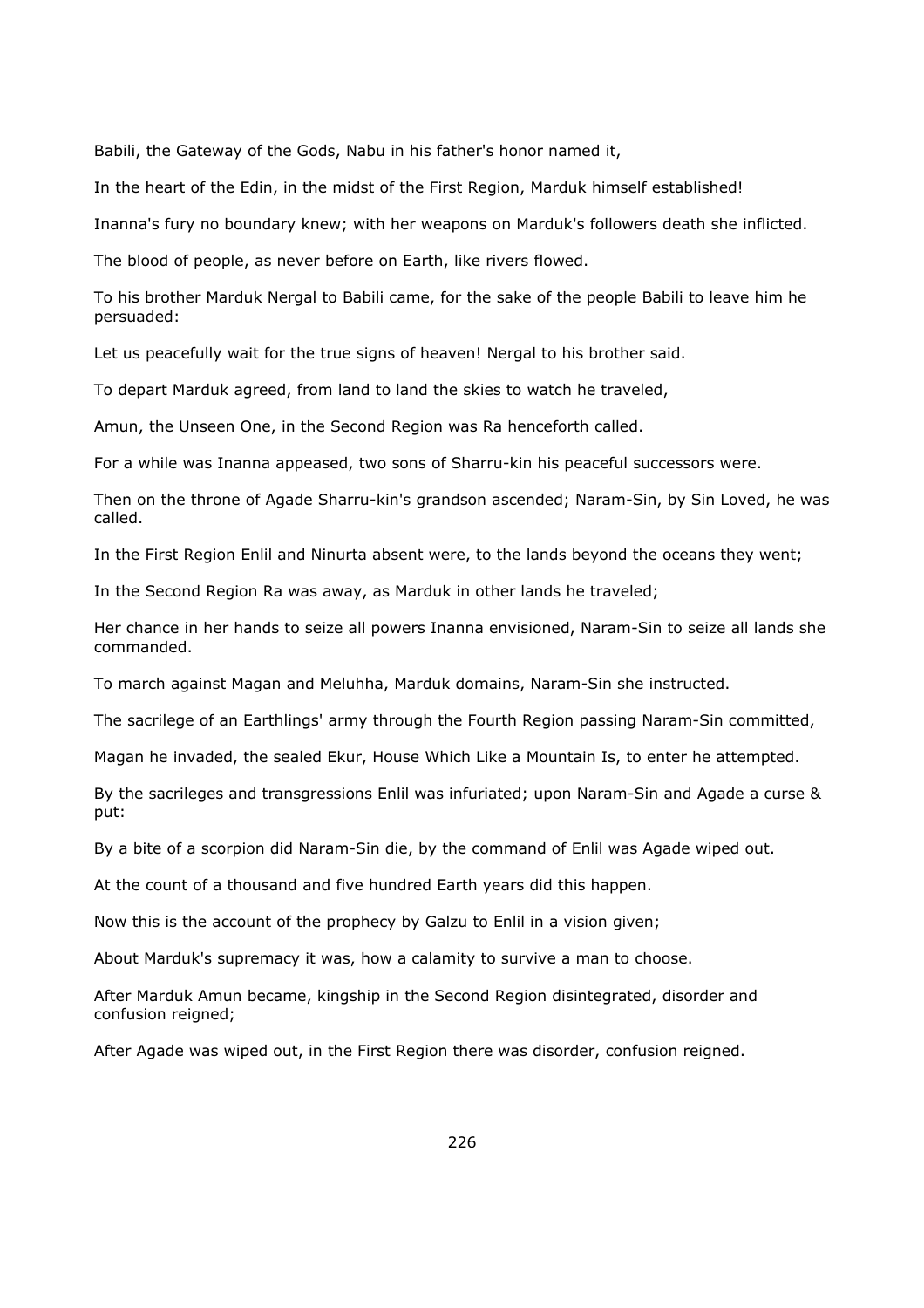Babili, the Gateway of the Gods, Nabu in his father's honor named it,

In the heart of the Edin, in the midst of the First Region, Marduk himself established!

Inanna's fury no boundary knew; with her weapons on Marduk's followers death she inflicted.

The blood of people, as never before on Earth, like rivers flowed.

To his brother Marduk Nergal to Babili came, for the sake of the people Babili to leave him he persuaded:

Let us peacefully wait for the true signs of heaven! Nergal to his brother said.

To depart Marduk agreed, from land to land the skies to watch he traveled,

Amun, the Unseen One, in the Second Region was Ra henceforth called.

For a while was Inanna appeased, two sons of Sharru-kin his peaceful successors were.

Then on the throne of Agade Sharru-kin's grandson ascended; Naram-Sin, by Sin Loved, he was called.

In the First Region Enlil and Ninurta absent were, to the lands beyond the oceans they went;

In the Second Region Ra was away, as Marduk in other lands he traveled;

Her chance in her hands to seize all powers Inanna envisioned, Naram-Sin to seize all lands she commanded.

To march against Magan and Meluhha, Marduk domains, Naram-Sin she instructed.

The sacrilege of an Earthlings' army through the Fourth Region passing Naram-Sin committed,

Magan he invaded, the sealed Ekur, House Which Like a Mountain Is, to enter he attempted.

By the sacrileges and transgressions Enlil was infuriated; upon Naram-Sin and Agade a curse & put:

By a bite of a scorpion did Naram-Sin die, by the command of Enlil was Agade wiped out.

At the count of a thousand and five hundred Earth years did this happen.

Now this is the account of the prophecy by Galzu to Enlil in a vision given;

About Marduk's supremacy it was, how a calamity to survive a man to choose.

After Marduk Amun became, kingship in the Second Region disintegrated, disorder and confusion reigned;

After Agade was wiped out, in the First Region there was disorder, confusion reigned.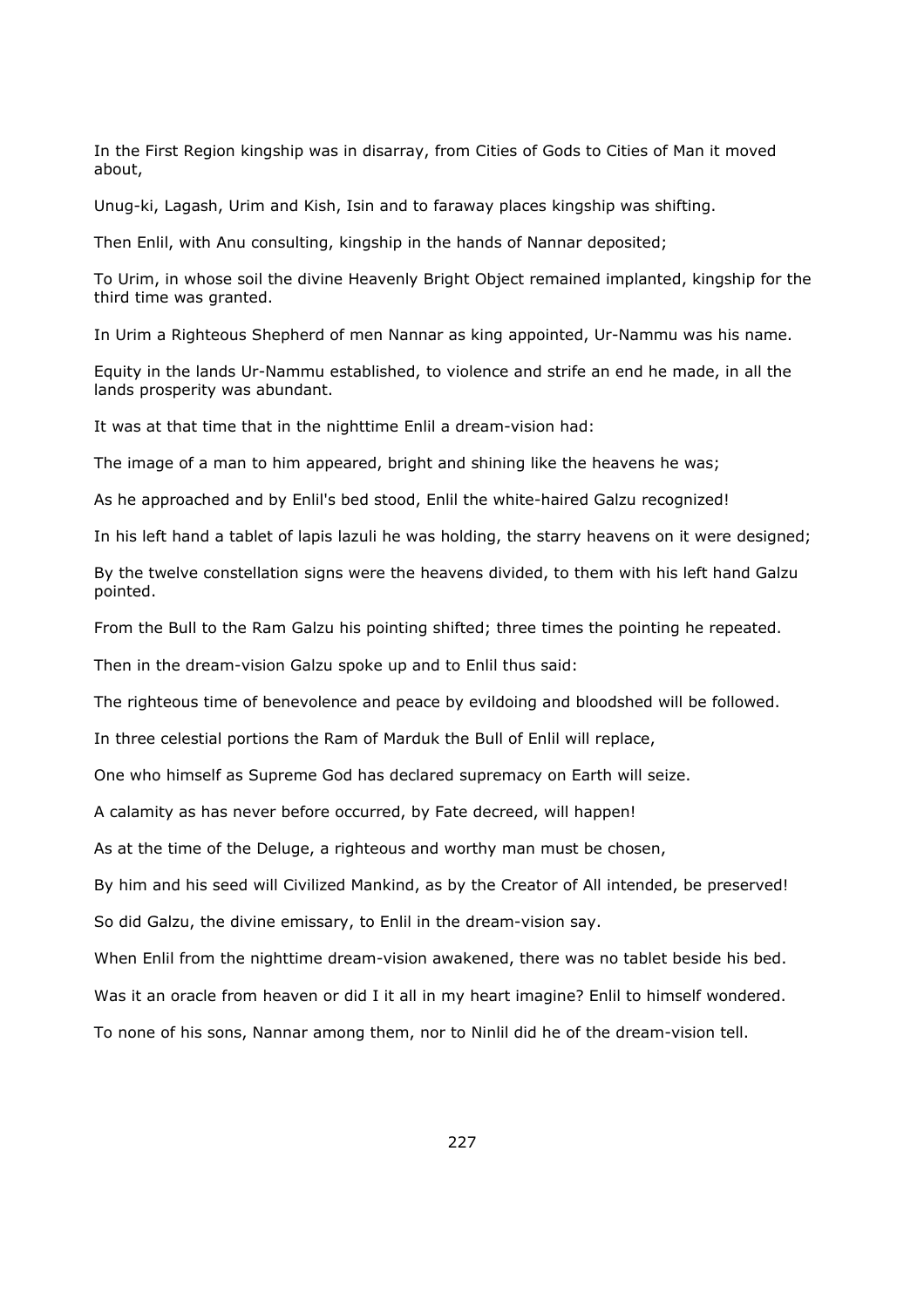In the First Region kingship was in disarray, from Cities of Gods to Cities of Man it moved about,

Unug-ki, Lagash, Urim and Kish, Isin and to faraway places kingship was shifting.

Then Enlil, with Anu consulting, kingship in the hands of Nannar deposited;

To Urim, in whose soil the divine Heavenly Bright Object remained implanted, kingship for the third time was granted.

In Urim a Righteous Shepherd of men Nannar as king appointed, Ur-Nammu was his name.

Equity in the lands Ur-Nammu established, to violence and strife an end he made, in all the lands prosperity was abundant.

It was at that time that in the nighttime Enlil a dream-vision had:

The image of a man to him appeared, bright and shining like the heavens he was;

As he approached and by Enlil's bed stood, Enlil the white-haired Galzu recognized!

In his left hand a tablet of lapis lazuli he was holding, the starry heavens on it were designed;

By the twelve constellation signs were the heavens divided, to them with his left hand Galzu pointed.

From the Bull to the Ram Galzu his pointing shifted; three times the pointing he repeated.

Then in the dream-vision Galzu spoke up and to Enlil thus said:

The righteous time of benevolence and peace by evildoing and bloodshed will be followed.

In three celestial portions the Ram of Marduk the Bull of Enlil will replace,

One who himself as Supreme God has declared supremacy on Earth will seize.

A calamity as has never before occurred, by Fate decreed, will happen!

As at the time of the Deluge, a righteous and worthy man must be chosen,

By him and his seed will Civilized Mankind, as by the Creator of All intended, be preserved!

So did Galzu, the divine emissary, to Enlil in the dream-vision say.

When Enlil from the nighttime dream-vision awakened, there was no tablet beside his bed.

Was it an oracle from heaven or did I it all in my heart imagine? Enlil to himself wondered.

To none of his sons, Nannar among them, nor to Ninlil did he of the dream-vision tell.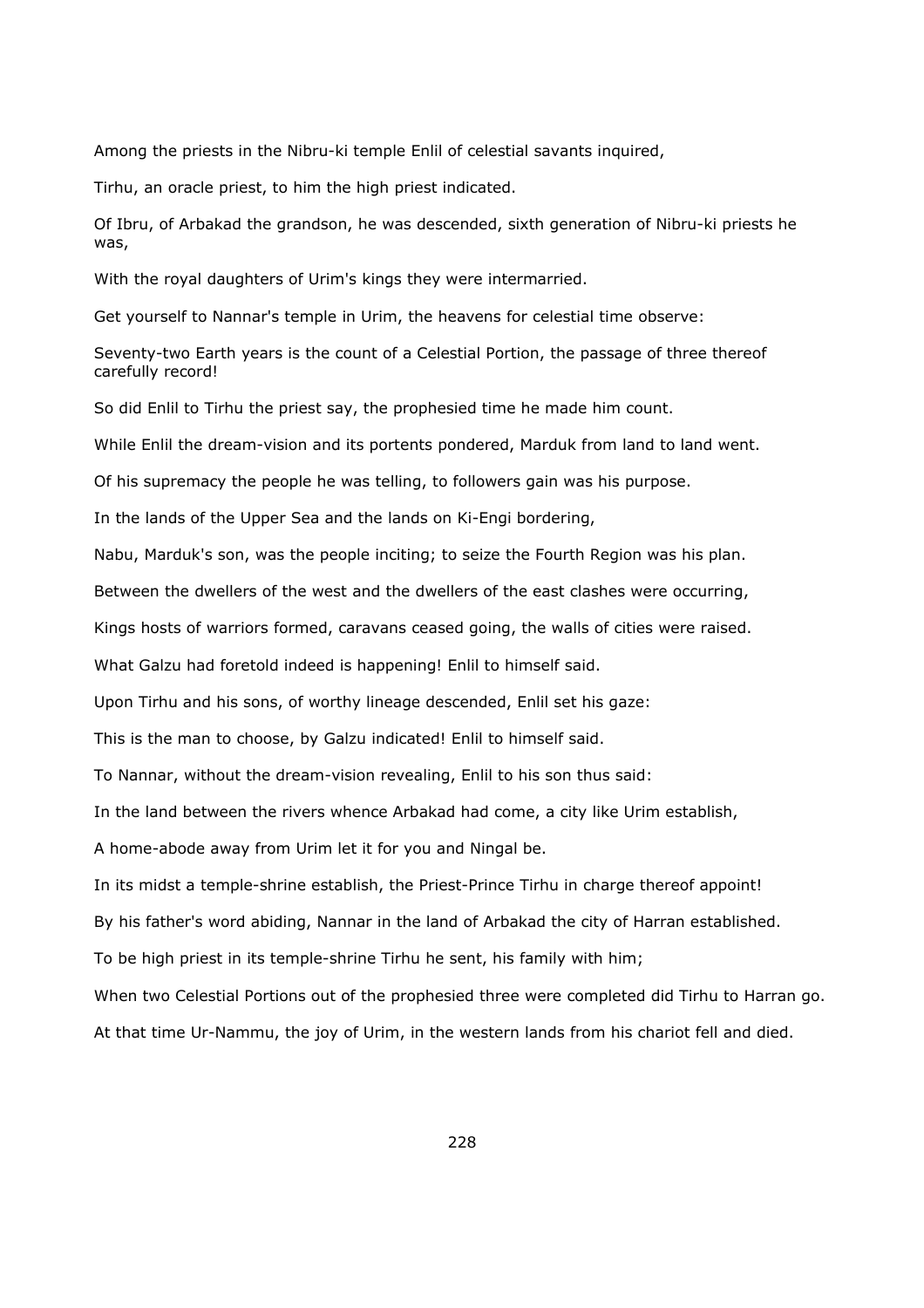Among the priests in the Nibru-ki temple Enlil of celestial savants inquired,

Tirhu, an oracle priest, to him the high priest indicated.

Of Ibru, of Arbakad the grandson, he was descended, sixth generation of Nibru-ki priests he was,

With the royal daughters of Urim's kings they were intermarried.

Get yourself to Nannar's temple in Urim, the heavens for celestial time observe:

Seventy-two Earth years is the count of a Celestial Portion, the passage of three thereof carefully record!

So did Enlil to Tirhu the priest say, the prophesied time he made him count.

While Enlil the dream-vision and its portents pondered, Marduk from land to land went.

Of his supremacy the people he was telling, to followers gain was his purpose.

In the lands of the Upper Sea and the lands on Ki-Engi bordering,

Nabu, Marduk's son, was the people inciting; to seize the Fourth Region was his plan.

Between the dwellers of the west and the dwellers of the east clashes were occurring,

Kings hosts of warriors formed, caravans ceased going, the walls of cities were raised.

What Galzu had foretold indeed is happening! Enlil to himself said.

Upon Tirhu and his sons, of worthy lineage descended, Enlil set his gaze:

This is the man to choose, by Galzu indicated! Enlil to himself said.

To Nannar, without the dream-vision revealing, Enlil to his son thus said:

In the land between the rivers whence Arbakad had come, a city like Urim establish,

A home-abode away from Urim let it for you and Ningal be.

In its midst a temple-shrine establish, the Priest-Prince Tirhu in charge thereof appoint!

By his father's word abiding, Nannar in the land of Arbakad the city of Harran established.

To be high priest in its temple-shrine Tirhu he sent, his family with him;

When two Celestial Portions out of the prophesied three were completed did Tirhu to Harran go.

At that time Ur-Nammu, the joy of Urim, in the western lands from his chariot fell and died.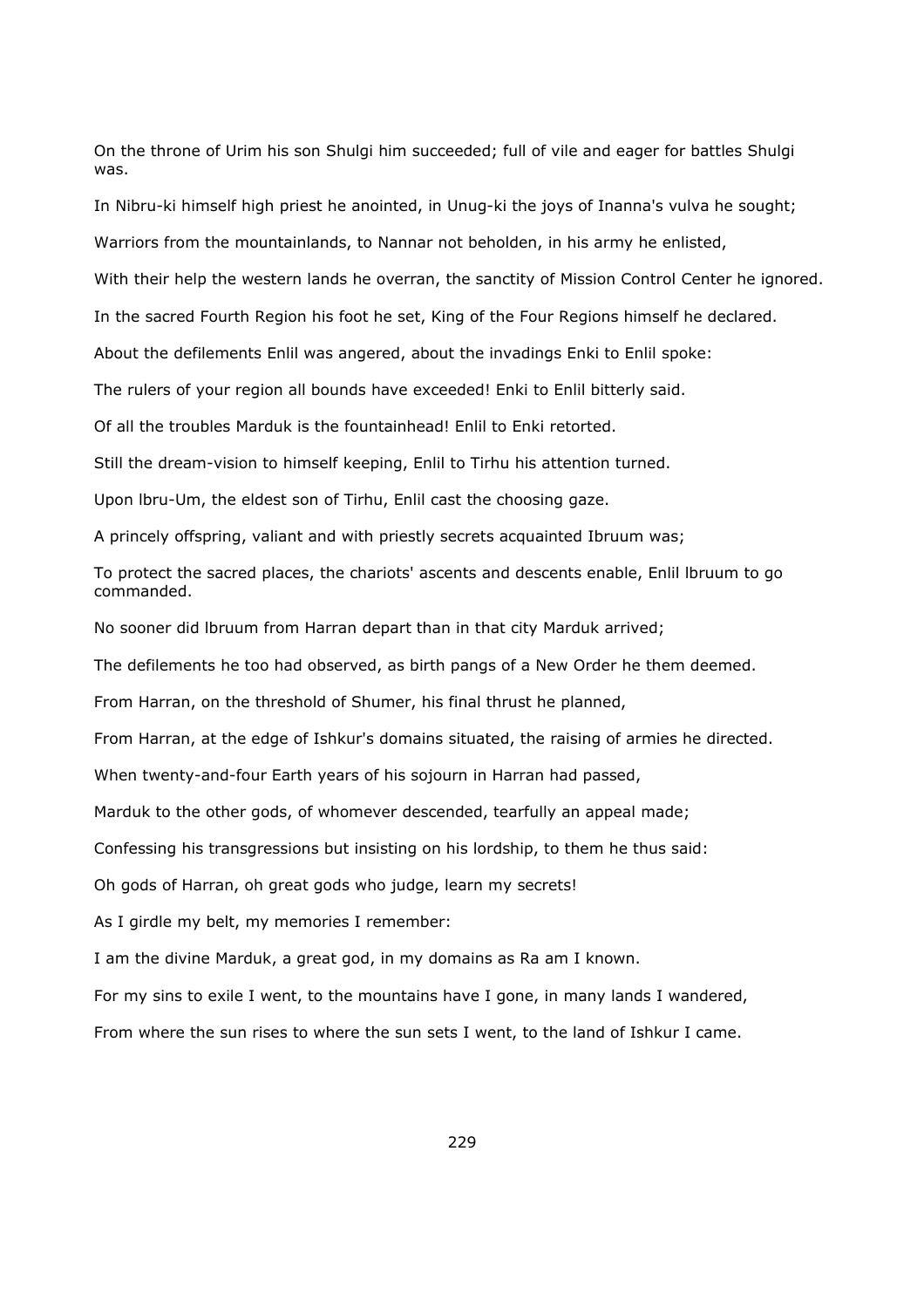On the throne of Urim his son Shulgi him succeeded; full of vile and eager for battles Shulgi was.

In Nibru-ki himself high priest he anointed, in Unug-ki the joys of Inanna's vulva he sought; Warriors from the mountainlands, to Nannar not beholden, in his army he enlisted,

With their help the western lands he overran, the sanctity of Mission Control Center he ignored.

In the sacred Fourth Region his foot he set, King of the Four Regions himself he declared.

About the defilements Enlil was angered, about the invadings Enki to Enlil spoke:

The rulers of your region all bounds have exceeded! Enki to Enlil bitterly said.

Of all the troubles Marduk is the fountainhead! Enlil to Enki retorted.

Still the dream-vision to himself keeping, Enlil to Tirhu his attention turned.

Upon lbru-Um, the eldest son of Tirhu, Enlil cast the choosing gaze.

A princely offspring, valiant and with priestly secrets acquainted Ibruum was;

To protect the sacred places, the chariots' ascents and descents enable, Enlil lbruum to go commanded.

No sooner did lbruum from Harran depart than in that city Marduk arrived;

The defilements he too had observed, as birth pangs of a New Order he them deemed.

From Harran, on the threshold of Shumer, his final thrust he planned,

From Harran, at the edge of Ishkur's domains situated, the raising of armies he directed.

When twenty-and-four Earth years of his sojourn in Harran had passed,

Marduk to the other gods, of whomever descended, tearfully an appeal made;

Confessing his transgressions but insisting on his lordship, to them he thus said:

Oh gods of Harran, oh great gods who judge, learn my secrets!

As I girdle my belt, my memories I remember:

I am the divine Marduk, a great god, in my domains as Ra am I known.

For my sins to exile I went, to the mountains have I gone, in many lands I wandered,

From where the sun rises to where the sun sets I went, to the land of Ishkur I came.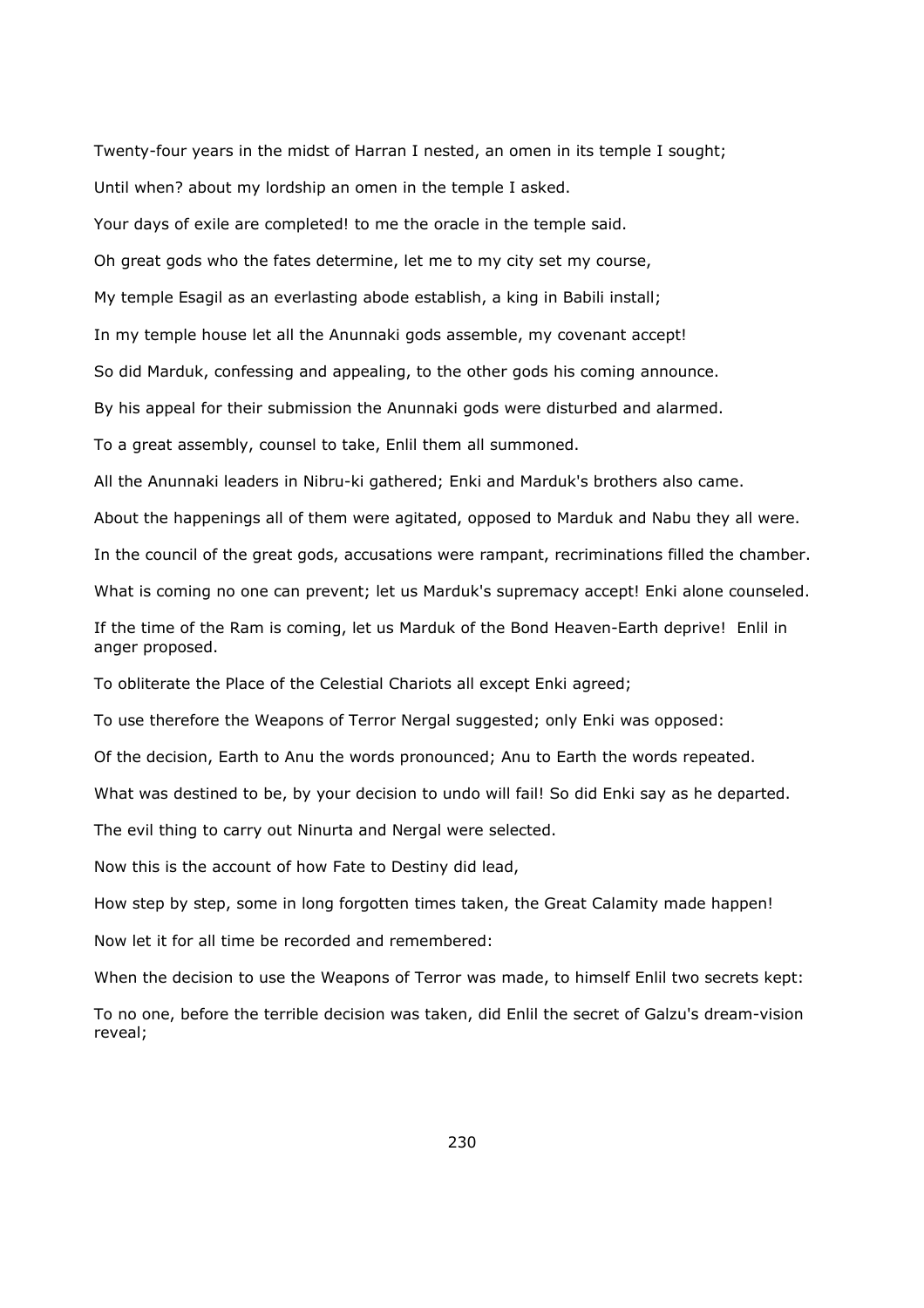Twenty-four years in the midst of Harran I nested, an omen in its temple I sought; Until when? about my lordship an omen in the temple I asked.

Your days of exile are completed! to me the oracle in the temple said.

Oh great gods who the fates determine, let me to my city set my course,

My temple Esagil as an everlasting abode establish, a king in Babili install;

In my temple house let all the Anunnaki gods assemble, my covenant accept!

So did Marduk, confessing and appealing, to the other gods his coming announce.

By his appeal for their submission the Anunnaki gods were disturbed and alarmed.

To a great assembly, counsel to take, Enlil them all summoned.

All the Anunnaki leaders in Nibru-ki gathered; Enki and Marduk's brothers also came.

About the happenings all of them were agitated, opposed to Marduk and Nabu they all were.

In the council of the great gods, accusations were rampant, recriminations filled the chamber.

What is coming no one can prevent; let us Marduk's supremacy accept! Enki alone counseled.

If the time of the Ram is coming, let us Marduk of the Bond Heaven-Earth deprive! Enlil in anger proposed.

To obliterate the Place of the Celestial Chariots all except Enki agreed;

To use therefore the Weapons of Terror Nergal suggested; only Enki was opposed:

Of the decision, Earth to Anu the words pronounced; Anu to Earth the words repeated.

What was destined to be, by your decision to undo will fail! So did Enki say as he departed.

The evil thing to carry out Ninurta and Nergal were selected.

Now this is the account of how Fate to Destiny did lead,

How step by step, some in long forgotten times taken, the Great Calamity made happen!

Now let it for all time be recorded and remembered:

When the decision to use the Weapons of Terror was made, to himself Enlil two secrets kept:

To no one, before the terrible decision was taken, did Enlil the secret of Galzu's dream-vision reveal;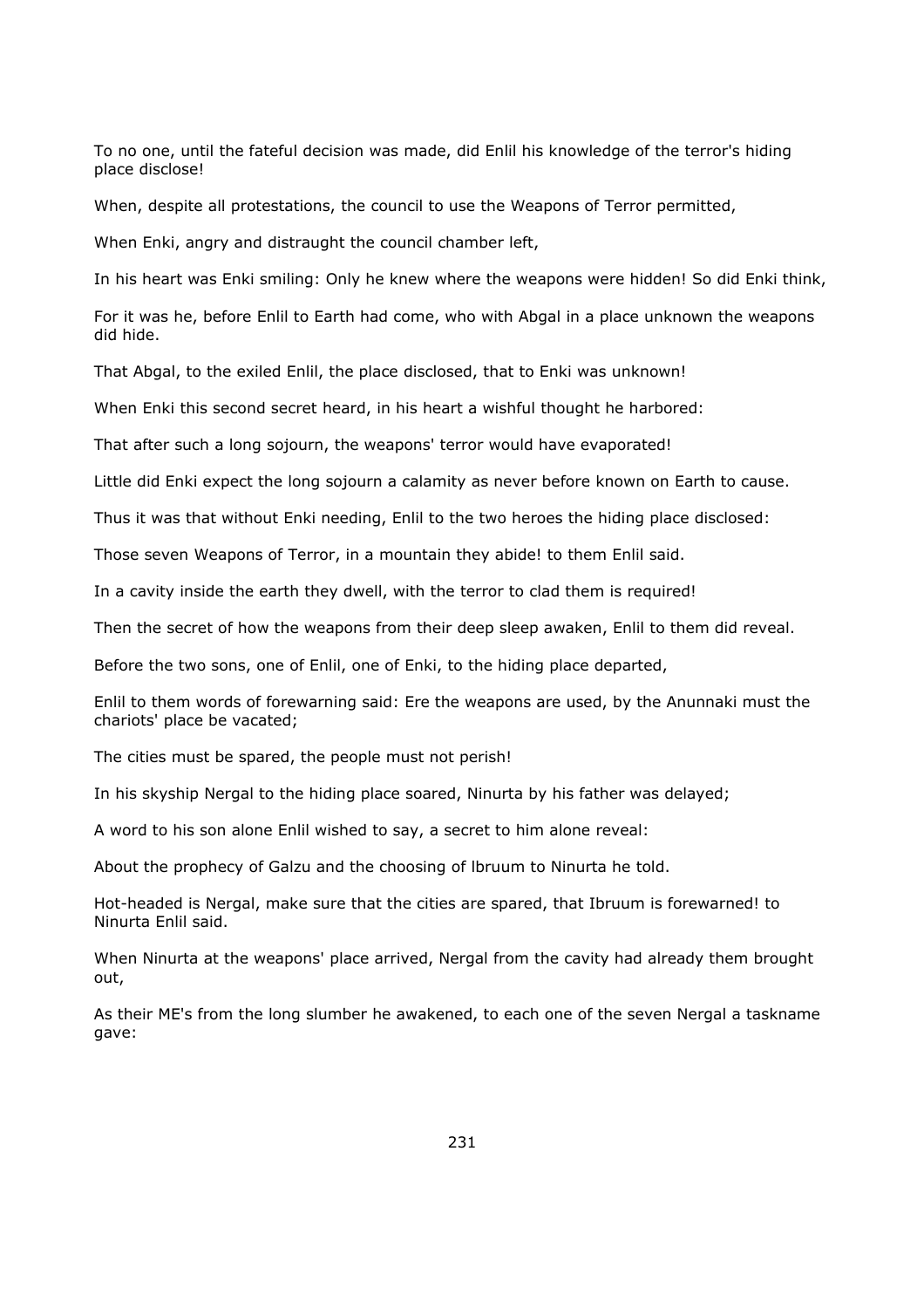To no one, until the fateful decision was made, did Enlil his knowledge of the terror's hiding place disclose!

When, despite all protestations, the council to use the Weapons of Terror permitted,

When Enki, angry and distraught the council chamber left,

In his heart was Enki smiling: Only he knew where the weapons were hidden! So did Enki think,

For it was he, before Enlil to Earth had come, who with Abgal in a place unknown the weapons did hide.

That Abgal, to the exiled Enlil, the place disclosed, that to Enki was unknown!

When Enki this second secret heard, in his heart a wishful thought he harbored:

That after such a long sojourn, the weapons' terror would have evaporated!

Little did Enki expect the long sojourn a calamity as never before known on Earth to cause.

Thus it was that without Enki needing, Enlil to the two heroes the hiding place disclosed:

Those seven Weapons of Terror, in a mountain they abide! to them Enlil said.

In a cavity inside the earth they dwell, with the terror to clad them is required!

Then the secret of how the weapons from their deep sleep awaken, Enlil to them did reveal.

Before the two sons, one of Enlil, one of Enki, to the hiding place departed,

Enlil to them words of forewarning said: Ere the weapons are used, by the Anunnaki must the chariots' place be vacated;

The cities must be spared, the people must not perish!

In his skyship Nergal to the hiding place soared, Ninurta by his father was delayed;

A word to his son alone Enlil wished to say, a secret to him alone reveal:

About the prophecy of Galzu and the choosing of lbruum to Ninurta he told.

Hot-headed is Nergal, make sure that the cities are spared, that Ibruum is forewarned! to Ninurta Enlil said.

When Ninurta at the weapons' place arrived, Nergal from the cavity had already them brought out,

As their ME's from the long slumber he awakened, to each one of the seven Nergal a taskname gave: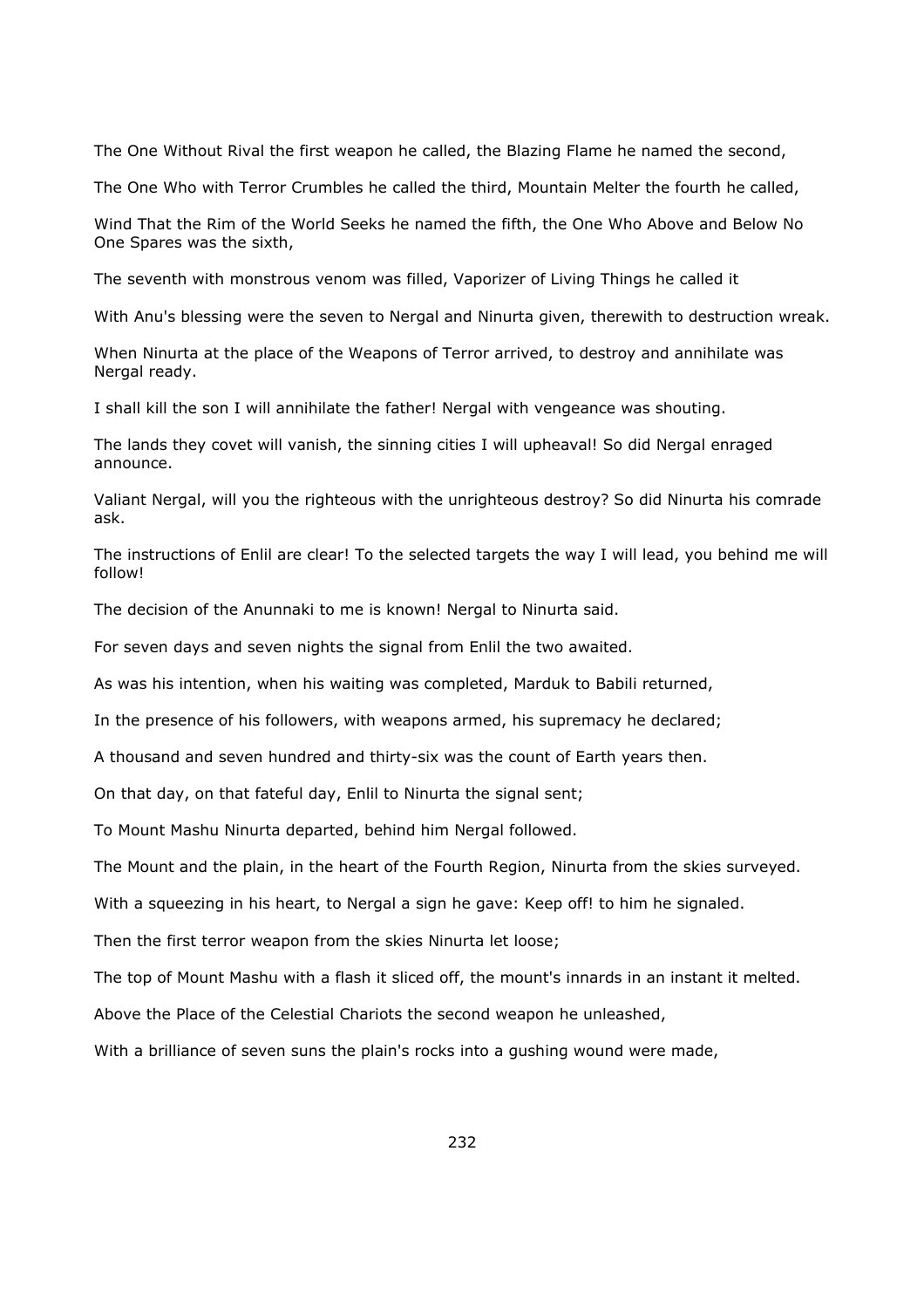The One Without Rival the first weapon he called, the Blazing Flame he named the second,

The One Who with Terror Crumbles he called the third, Mountain Melter the fourth he called,

Wind That the Rim of the World Seeks he named the fifth, the One Who Above and Below No One Spares was the sixth,

The seventh with monstrous venom was filled, Vaporizer of Living Things he called it

With Anu's blessing were the seven to Nergal and Ninurta given, therewith to destruction wreak.

When Ninurta at the place of the Weapons of Terror arrived, to destroy and annihilate was Nergal ready.

I shall kill the son I will annihilate the father! Nergal with vengeance was shouting.

The lands they covet will vanish, the sinning cities I will upheaval! So did Nergal enraged announce.

Valiant Nergal, will you the righteous with the unrighteous destroy? So did Ninurta his comrade ask.

The instructions of Enlil are clear! To the selected targets the way I will lead, you behind me will follow!

The decision of the Anunnaki to me is known! Nergal to Ninurta said.

For seven days and seven nights the signal from Enlil the two awaited.

As was his intention, when his waiting was completed, Marduk to Babili returned,

In the presence of his followers, with weapons armed, his supremacy he declared;

A thousand and seven hundred and thirty-six was the count of Earth years then.

On that day, on that fateful day, Enlil to Ninurta the signal sent;

To Mount Mashu Ninurta departed, behind him Nergal followed.

The Mount and the plain, in the heart of the Fourth Region, Ninurta from the skies surveyed.

With a squeezing in his heart, to Nergal a sign he gave: Keep off! to him he signaled.

Then the first terror weapon from the skies Ninurta let loose;

The top of Mount Mashu with a flash it sliced off, the mount's innards in an instant it melted.

Above the Place of the Celestial Chariots the second weapon he unleashed,

With a brilliance of seven suns the plain's rocks into a gushing wound were made,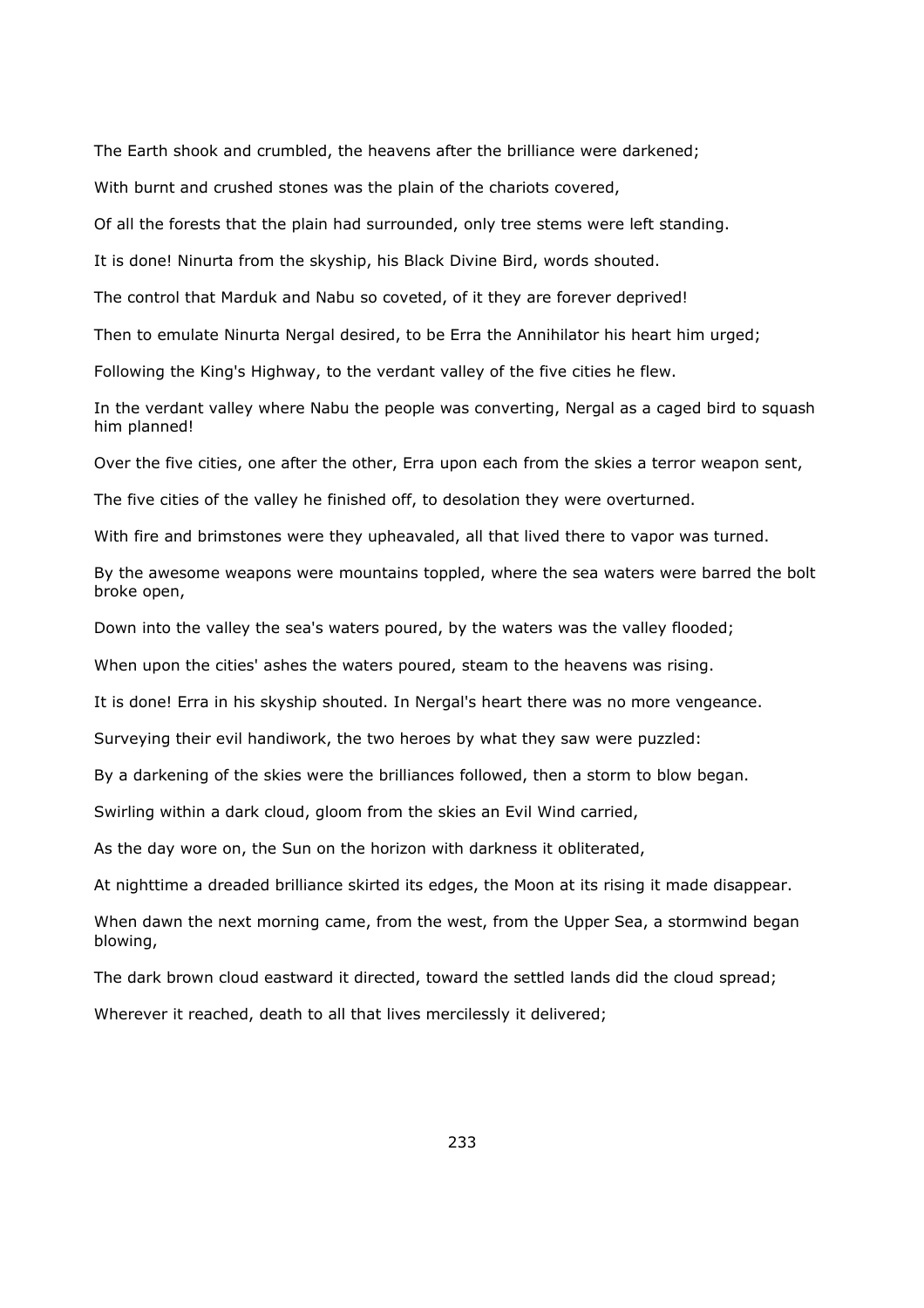The Earth shook and crumbled, the heavens after the brilliance were darkened;

With burnt and crushed stones was the plain of the chariots covered,

Of all the forests that the plain had surrounded, only tree stems were left standing.

It is done! Ninurta from the skyship, his Black Divine Bird, words shouted.

The control that Marduk and Nabu so coveted, of it they are forever deprived!

Then to emulate Ninurta Nergal desired, to be Erra the Annihilator his heart him urged;

Following the King's Highway, to the verdant valley of the five cities he flew.

In the verdant valley where Nabu the people was converting, Nergal as a caged bird to squash him planned!

Over the five cities, one after the other, Erra upon each from the skies a terror weapon sent,

The five cities of the valley he finished off, to desolation they were overturned.

With fire and brimstones were they upheavaled, all that lived there to vapor was turned.

By the awesome weapons were mountains toppled, where the sea waters were barred the bolt broke open,

Down into the valley the sea's waters poured, by the waters was the valley flooded;

When upon the cities' ashes the waters poured, steam to the heavens was rising.

It is done! Erra in his skyship shouted. In Nergal's heart there was no more vengeance.

Surveying their evil handiwork, the two heroes by what they saw were puzzled:

By a darkening of the skies were the brilliances followed, then a storm to blow began.

Swirling within a dark cloud, gloom from the skies an Evil Wind carried,

As the day wore on, the Sun on the horizon with darkness it obliterated,

At nighttime a dreaded brilliance skirted its edges, the Moon at its rising it made disappear.

When dawn the next morning came, from the west, from the Upper Sea, a stormwind began blowing,

The dark brown cloud eastward it directed, toward the settled lands did the cloud spread;

Wherever it reached, death to all that lives mercilessly it delivered;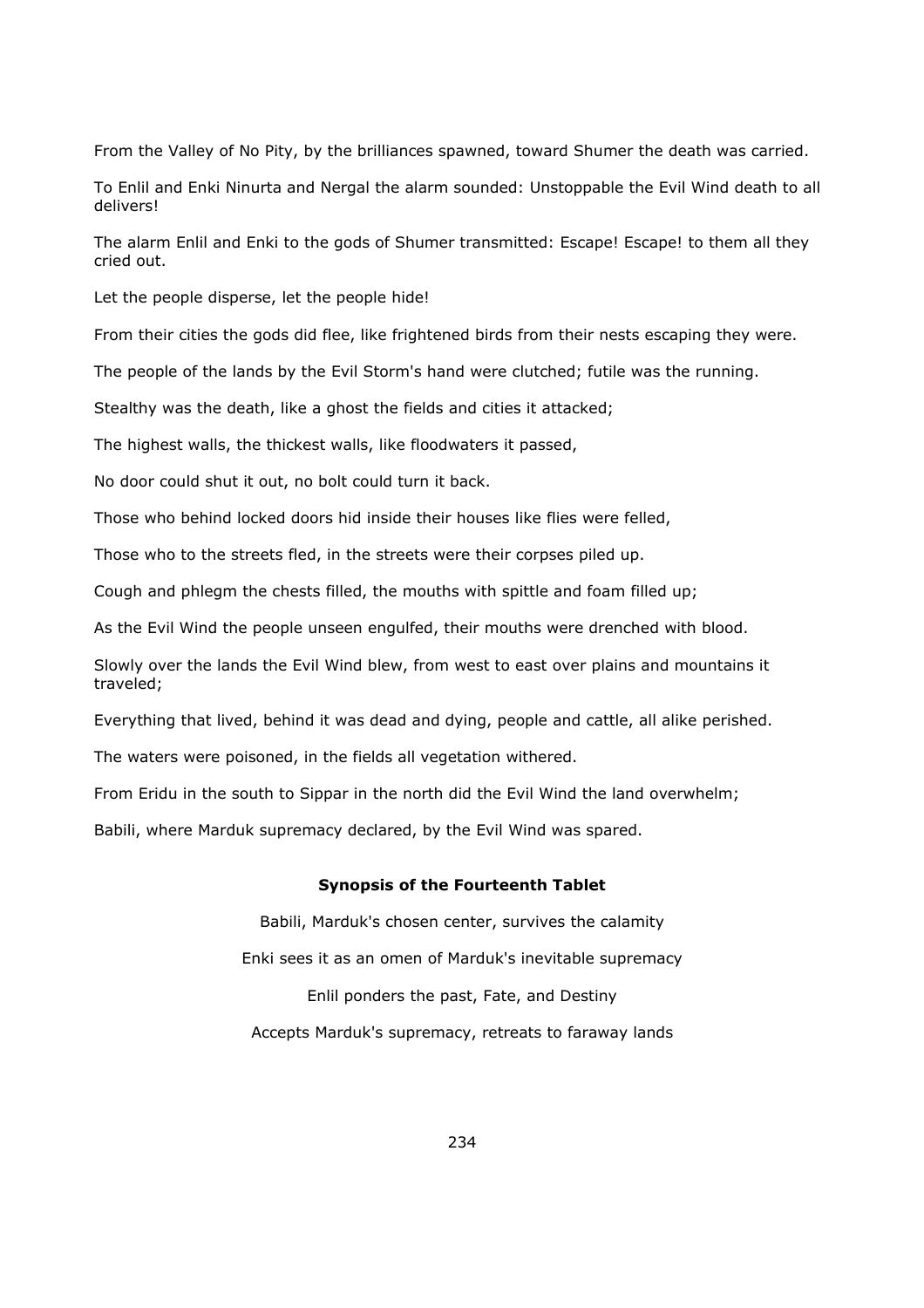From the Valley of No Pity, by the brilliances spawned, toward Shumer the death was carried.

To Enlil and Enki Ninurta and Nergal the alarm sounded: Unstoppable the Evil Wind death to all delivers!

The alarm Enlil and Enki to the gods of Shumer transmitted: Escape! Escape! to them all they cried out.

Let the people disperse, let the people hide!

From their cities the gods did flee, like frightened birds from their nests escaping they were.

The people of the lands by the Evil Storm's hand were clutched; futile was the running.

Stealthy was the death, like a ghost the fields and cities it attacked;

The highest walls, the thickest walls, like floodwaters it passed,

No door could shut it out, no bolt could turn it back.

Those who behind locked doors hid inside their houses like flies were felled,

Those who to the streets fled, in the streets were their corpses piled up.

Cough and phlegm the chests filled, the mouths with spittle and foam filled up;

As the Evil Wind the people unseen engulfed, their mouths were drenched with blood.

Slowly over the lands the Evil Wind blew, from west to east over plains and mountains it traveled;

Everything that lived, behind it was dead and dying, people and cattle, all alike perished.

The waters were poisoned, in the fields all vegetation withered.

From Eridu in the south to Sippar in the north did the Evil Wind the land overwhelm;

Babili, where Marduk supremacy declared, by the Evil Wind was spared.

#### **Synopsis of the Fourteenth Tablet**

Babili, Marduk's chosen center, survives the calamity Enki sees it as an omen of Marduk's inevitable supremacy Enlil ponders the past, Fate, and Destiny Accepts Marduk's supremacy, retreats to faraway lands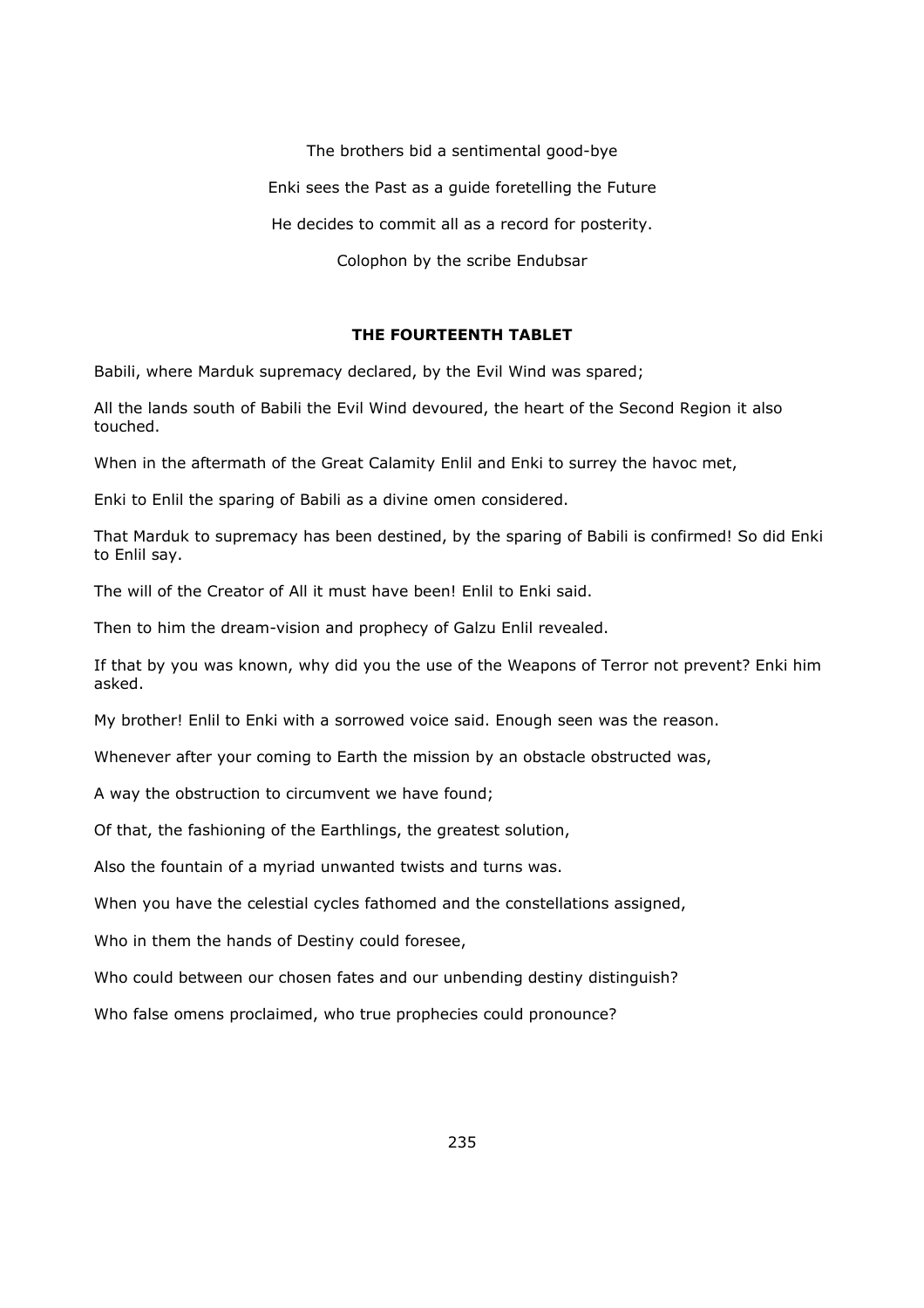The brothers bid a sentimental good-bye

Enki sees the Past as a guide foretelling the Future

He decides to commit all as a record for posterity.

Colophon by the scribe Endubsar

# **THE FOURTEENTH TABLET**

Babili, where Marduk supremacy declared, by the Evil Wind was spared;

All the lands south of Babili the Evil Wind devoured, the heart of the Second Region it also touched.

When in the aftermath of the Great Calamity Enlil and Enki to surrey the havoc met,

Enki to Enlil the sparing of Babili as a divine omen considered.

That Marduk to supremacy has been destined, by the sparing of Babili is confirmed! So did Enki to Enlil say.

The will of the Creator of All it must have been! Enlil to Enki said.

Then to him the dream-vision and prophecy of Galzu Enlil revealed.

If that by you was known, why did you the use of the Weapons of Terror not prevent? Enki him asked.

My brother! Enlil to Enki with a sorrowed voice said. Enough seen was the reason.

Whenever after your coming to Earth the mission by an obstacle obstructed was,

A way the obstruction to circumvent we have found;

Of that, the fashioning of the Earthlings, the greatest solution,

Also the fountain of a myriad unwanted twists and turns was.

When you have the celestial cycles fathomed and the constellations assigned,

Who in them the hands of Destiny could foresee,

Who could between our chosen fates and our unbending destiny distinguish?

Who false omens proclaimed, who true prophecies could pronounce?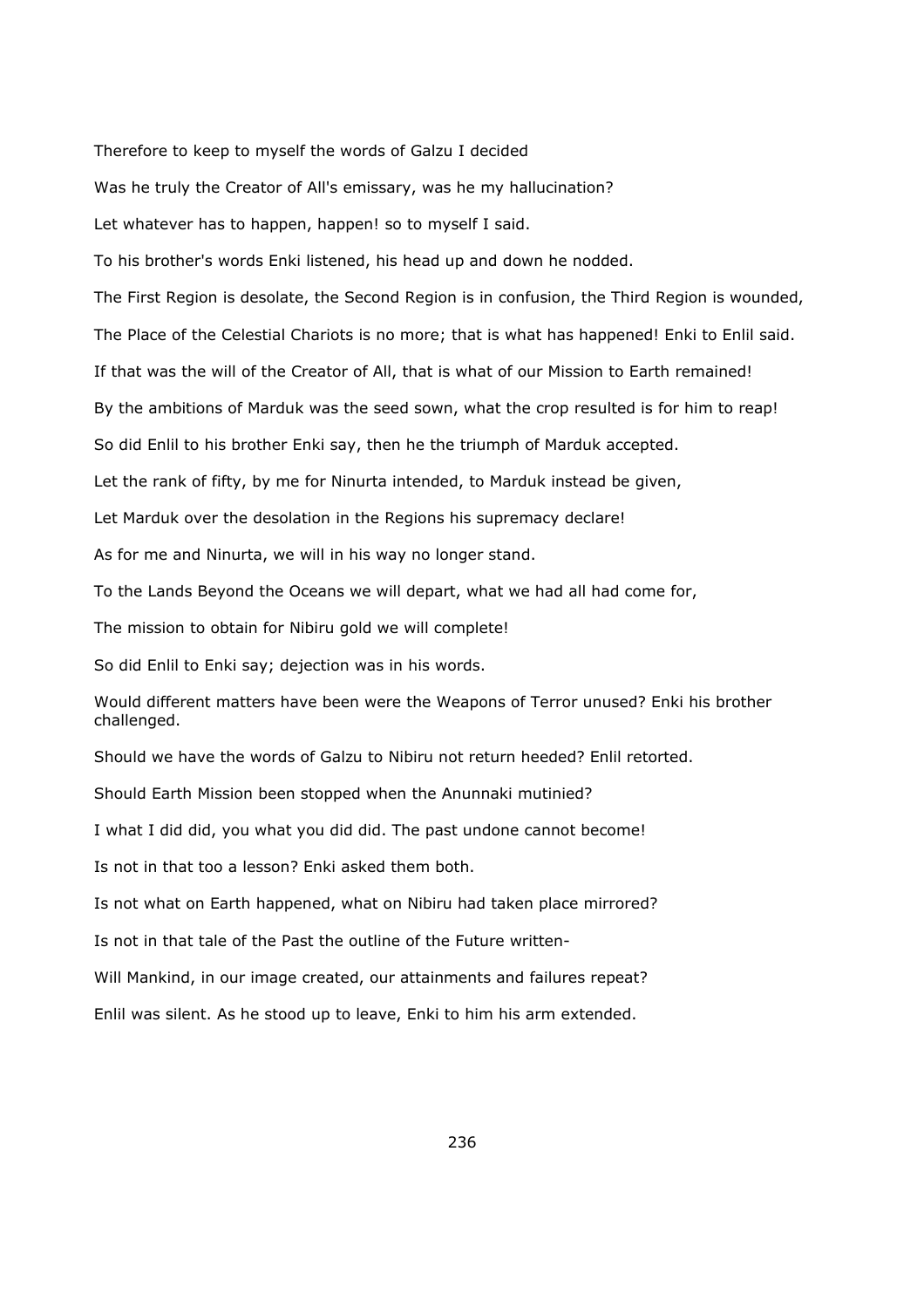Therefore to keep to myself the words of Galzu I decided

Was he truly the Creator of All's emissary, was he my hallucination?

Let whatever has to happen, happen! so to myself I said.

To his brother's words Enki listened, his head up and down he nodded.

The First Region is desolate, the Second Region is in confusion, the Third Region is wounded,

The Place of the Celestial Chariots is no more; that is what has happened! Enki to Enlil said.

If that was the will of the Creator of All, that is what of our Mission to Earth remained!

By the ambitions of Marduk was the seed sown, what the crop resulted is for him to reap!

So did Enlil to his brother Enki say, then he the triumph of Marduk accepted.

Let the rank of fifty, by me for Ninurta intended, to Marduk instead be given,

Let Marduk over the desolation in the Regions his supremacy declare!

As for me and Ninurta, we will in his way no longer stand.

To the Lands Beyond the Oceans we will depart, what we had all had come for,

The mission to obtain for Nibiru gold we will complete!

So did Enlil to Enki say; dejection was in his words.

Would different matters have been were the Weapons of Terror unused? Enki his brother challenged.

Should we have the words of Galzu to Nibiru not return heeded? Enlil retorted.

Should Earth Mission been stopped when the Anunnaki mutinied?

I what I did did, you what you did did. The past undone cannot become!

Is not in that too a lesson? Enki asked them both.

Is not what on Earth happened, what on Nibiru had taken place mirrored?

Is not in that tale of the Past the outline of the Future written-

Will Mankind, in our image created, our attainments and failures repeat?

Enlil was silent. As he stood up to leave, Enki to him his arm extended.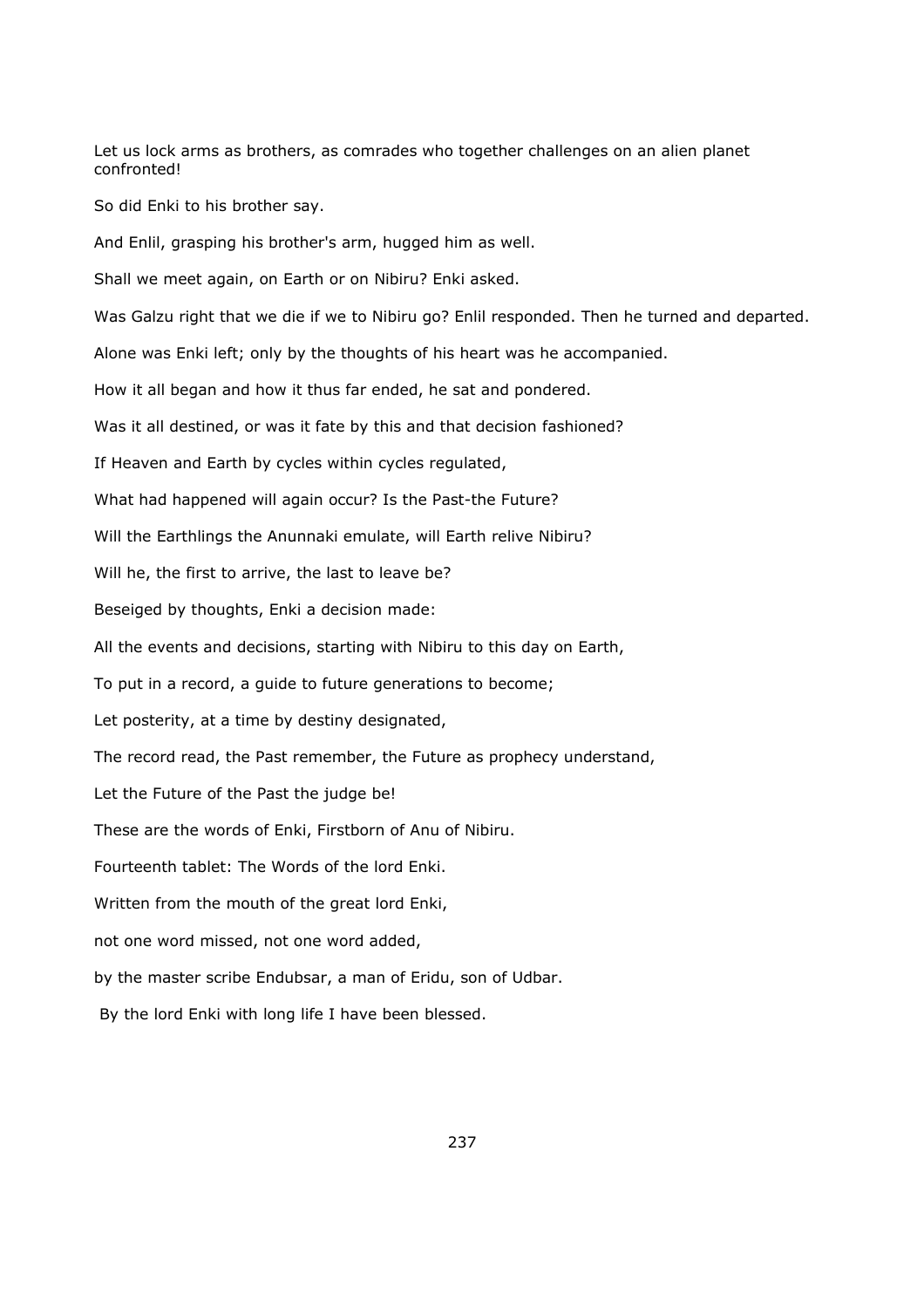Let us lock arms as brothers, as comrades who together challenges on an alien planet confronted!

So did Enki to his brother say.

And Enlil, grasping his brother's arm, hugged him as well.

Shall we meet again, on Earth or on Nibiru? Enki asked.

Was Galzu right that we die if we to Nibiru go? Enlil responded. Then he turned and departed.

Alone was Enki left; only by the thoughts of his heart was he accompanied.

How it all began and how it thus far ended, he sat and pondered.

Was it all destined, or was it fate by this and that decision fashioned?

If Heaven and Earth by cycles within cycles regulated,

What had happened will again occur? Is the Past-the Future?

Will the Earthlings the Anunnaki emulate, will Earth relive Nibiru?

Will he, the first to arrive, the last to leave be?

Beseiged by thoughts, Enki a decision made:

All the events and decisions, starting with Nibiru to this day on Earth,

To put in a record, a guide to future generations to become;

Let posterity, at a time by destiny designated,

The record read, the Past remember, the Future as prophecy understand,

Let the Future of the Past the judge be!

These are the words of Enki, Firstborn of Anu of Nibiru.

Fourteenth tablet: The Words of the lord Enki.

Written from the mouth of the great lord Enki,

not one word missed, not one word added,

by the master scribe Endubsar, a man of Eridu, son of Udbar.

By the lord Enki with long life I have been blessed.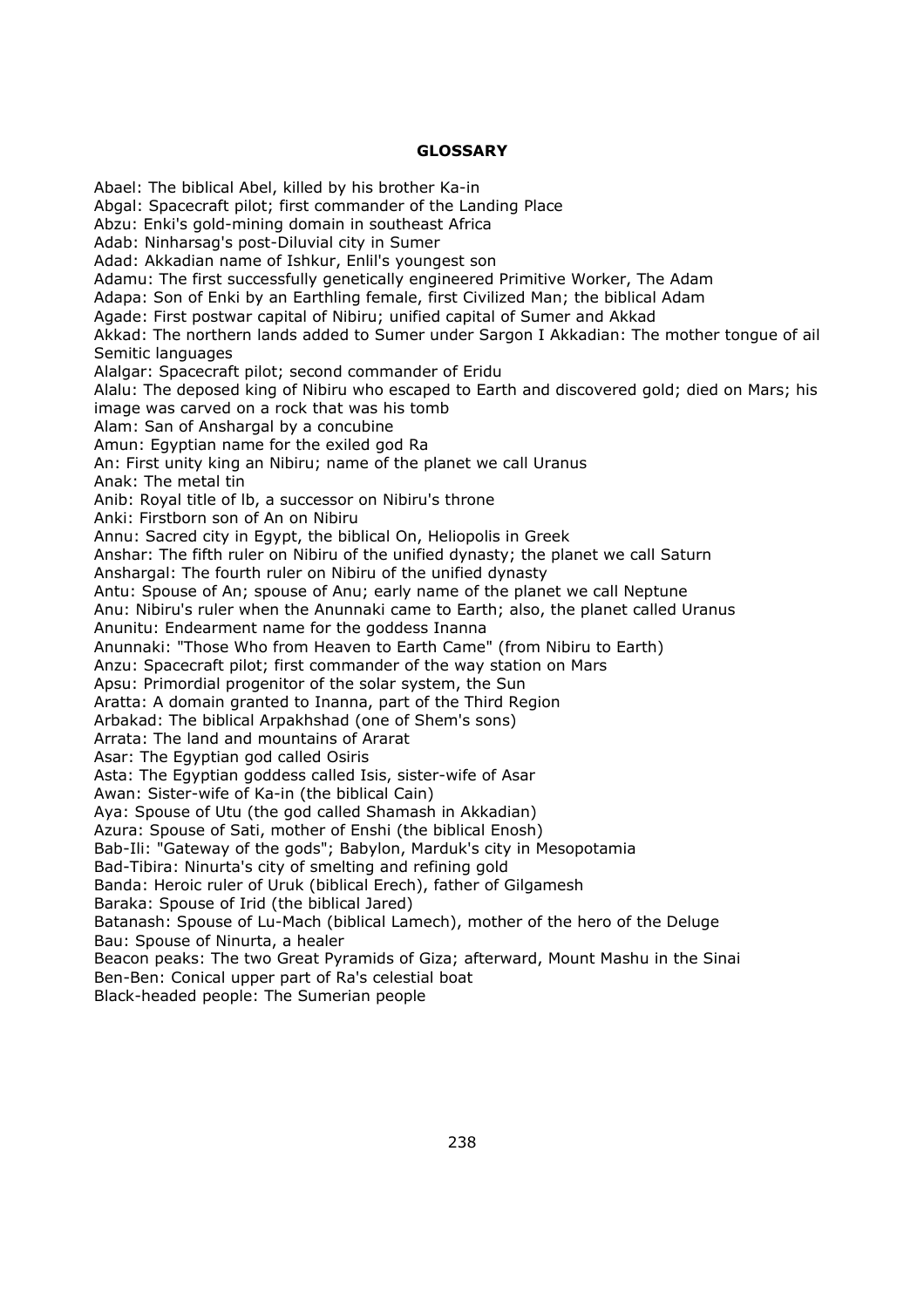## **GLOSSARY**

Abael: The biblical Abel, killed by his brother Ka-in Abgal: Spacecraft pilot; first commander of the Landing Place Abzu: Enki's gold-mining domain in southeast Africa Adab: Ninharsag's post-Diluvial city in Sumer Adad: Akkadian name of Ishkur, Enlil's youngest son Adamu: The first successfully genetically engineered Primitive Worker, The Adam Adapa: Son of Enki by an Earthling female, first Civilized Man; the biblical Adam Agade: First postwar capital of Nibiru; unified capital of Sumer and Akkad Akkad: The northern lands added to Sumer under Sargon I Akkadian: The mother tongue of ail Semitic languages Alalgar: Spacecraft pilot; second commander of Eridu Alalu: The deposed king of Nibiru who escaped to Earth and discovered gold; died on Mars; his image was carved on a rock that was his tomb Alam: San of Anshargal by a concubine Amun: Egyptian name for the exiled god Ra An: First unity king an Nibiru; name of the planet we call Uranus Anak: The metal tin Anib: Royal title of lb, a successor on Nibiru's throne Anki: Firstborn son of An on Nibiru Annu: Sacred city in Egypt, the biblical On, Heliopolis in Greek Anshar: The fifth ruler on Nibiru of the unified dynasty; the planet we call Saturn Anshargal: The fourth ruler on Nibiru of the unified dynasty Antu: Spouse of An; spouse of Anu; early name of the planet we call Neptune Anu: Nibiru's ruler when the Anunnaki came to Earth; also, the planet called Uranus Anunitu: Endearment name for the goddess Inanna Anunnaki: "Those Who from Heaven to Earth Came" (from Nibiru to Earth) Anzu: Spacecraft pilot; first commander of the way station on Mars Apsu: Primordial progenitor of the solar system, the Sun Aratta: A domain granted to Inanna, part of the Third Region Arbakad: The biblical Arpakhshad (one of Shem's sons) Arrata: The land and mountains of Ararat Asar: The Egyptian god called Osiris Asta: The Egyptian goddess called Isis, sister-wife of Asar Awan: Sister-wife of Ka-in (the biblical Cain) Aya: Spouse of Utu (the god called Shamash in Akkadian) Azura: Spouse of Sati, mother of Enshi (the biblical Enosh) Bab-Ili: "Gateway of the gods"; Babylon, Marduk's city in Mesopotamia Bad-Tibira: Ninurta's city of smelting and refining gold Banda: Heroic ruler of Uruk (biblical Erech), father of Gilgamesh Baraka: Spouse of Irid (the biblical Jared) Batanash: Spouse of Lu-Mach (biblical Lamech), mother of the hero of the Deluge Bau: Spouse of Ninurta, a healer Beacon peaks: The two Great Pyramids of Giza; afterward, Mount Mashu in the Sinai Ben-Ben: Conical upper part of Ra's celestial boat Black-headed people: The Sumerian people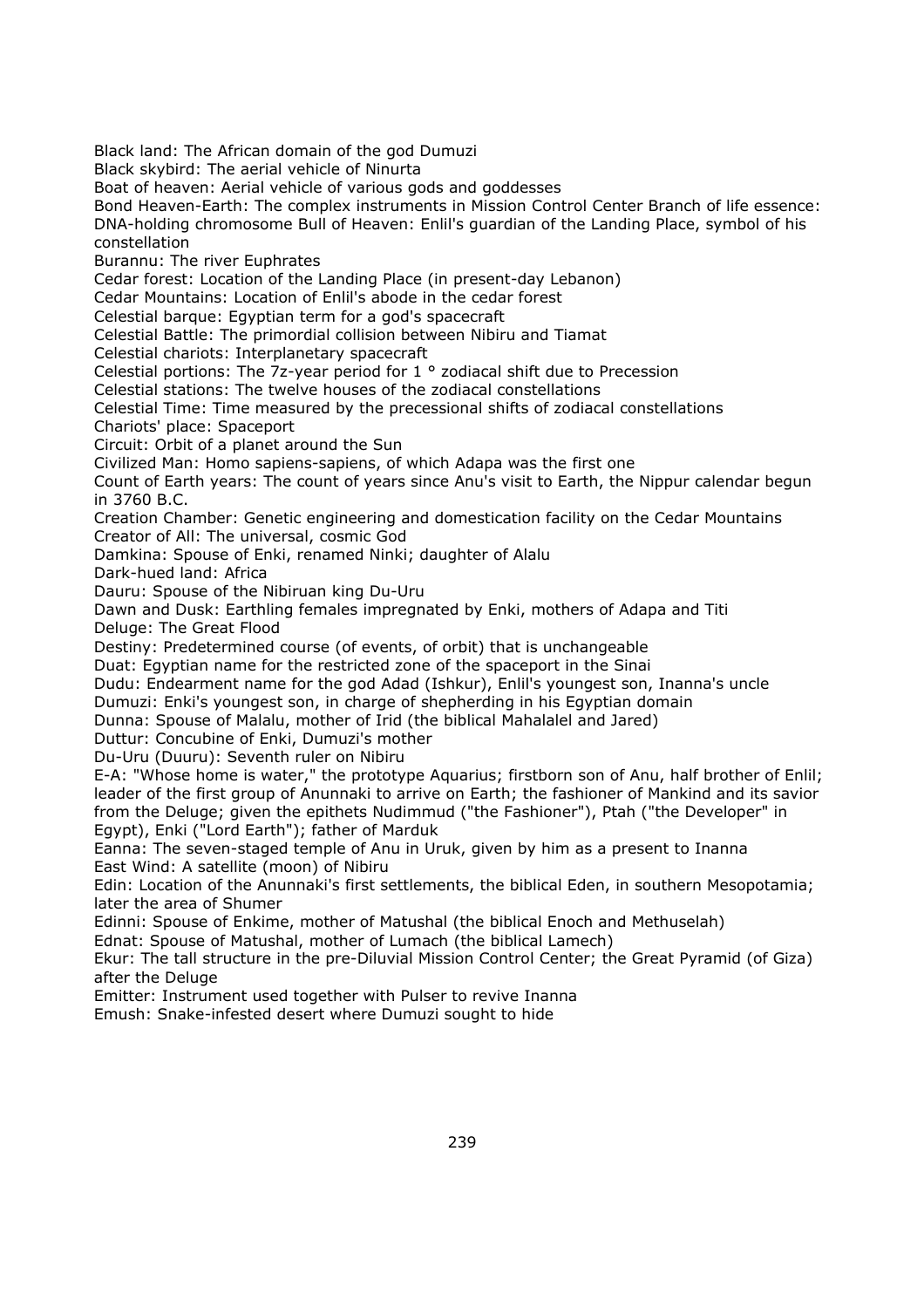Black land: The African domain of the god Dumuzi

Black skybird: The aerial vehicle of Ninurta

Boat of heaven: Aerial vehicle of various gods and goddesses

Bond Heaven-Earth: The complex instruments in Mission Control Center Branch of life essence: DNA-holding chromosome Bull of Heaven: Enlil's guardian of the Landing Place, symbol of his constellation

Burannu: The river Euphrates

Cedar forest: Location of the Landing Place (in present-day Lebanon)

Cedar Mountains: Location of Enlil's abode in the cedar forest

Celestial barque: Egyptian term for a god's spacecraft

Celestial Battle: The primordial collision between Nibiru and Tiamat

Celestial chariots: Interplanetary spacecraft

Celestial portions: The 7z-year period for 1 ° zodiacal shift due to Precession

Celestial stations: The twelve houses of the zodiacal constellations

Celestial Time: Time measured by the precessional shifts of zodiacal constellations

Chariots' place: Spaceport

Circuit: Orbit of a planet around the Sun

Civilized Man: Homo sapiens-sapiens, of which Adapa was the first one

Count of Earth years: The count of years since Anu's visit to Earth, the Nippur calendar begun in 3760 B.C.

Creation Chamber: Genetic engineering and domestication facility on the Cedar Mountains Creator of All: The universal, cosmic God

Damkina: Spouse of Enki, renamed Ninki; daughter of Alalu

Dark-hued land: Africa

Dauru: Spouse of the Nibiruan king Du-Uru

Dawn and Dusk: Earthling females impregnated by Enki, mothers of Adapa and Titi Deluge: The Great Flood

Destiny: Predetermined course (of events, of orbit) that is unchangeable

Duat: Egyptian name for the restricted zone of the spaceport in the Sinai

Dudu: Endearment name for the god Adad (Ishkur), Enlil's youngest son, Inanna's uncle Dumuzi: Enki's youngest son, in charge of shepherding in his Egyptian domain

Dunna: Spouse of Malalu, mother of Irid (the biblical Mahalalel and Jared)

Duttur: Concubine of Enki, Dumuzi's mother

Du-Uru (Duuru): Seventh ruler on Nibiru

E-A: "Whose home is water," the prototype Aquarius; firstborn son of Anu, half brother of Enlil; leader of the first group of Anunnaki to arrive on Earth; the fashioner of Mankind and its savior from the Deluge; given the epithets Nudimmud ("the Fashioner"), Ptah ("the Developer" in Egypt), Enki ("Lord Earth"); father of Marduk

Eanna: The seven-staged temple of Anu in Uruk, given by him as a present to Inanna East Wind: A satellite (moon) of Nibiru

Edin: Location of the Anunnaki's first settlements, the biblical Eden, in southern Mesopotamia; later the area of Shumer

Edinni: Spouse of Enkime, mother of Matushal (the biblical Enoch and Methuselah)

Ednat: Spouse of Matushal, mother of Lumach (the biblical Lamech)

Ekur: The tall structure in the pre-Diluvial Mission Control Center; the Great Pyramid (of Giza) after the Deluge

Emitter: Instrument used together with Pulser to revive Inanna

Emush: Snake-infested desert where Dumuzi sought to hide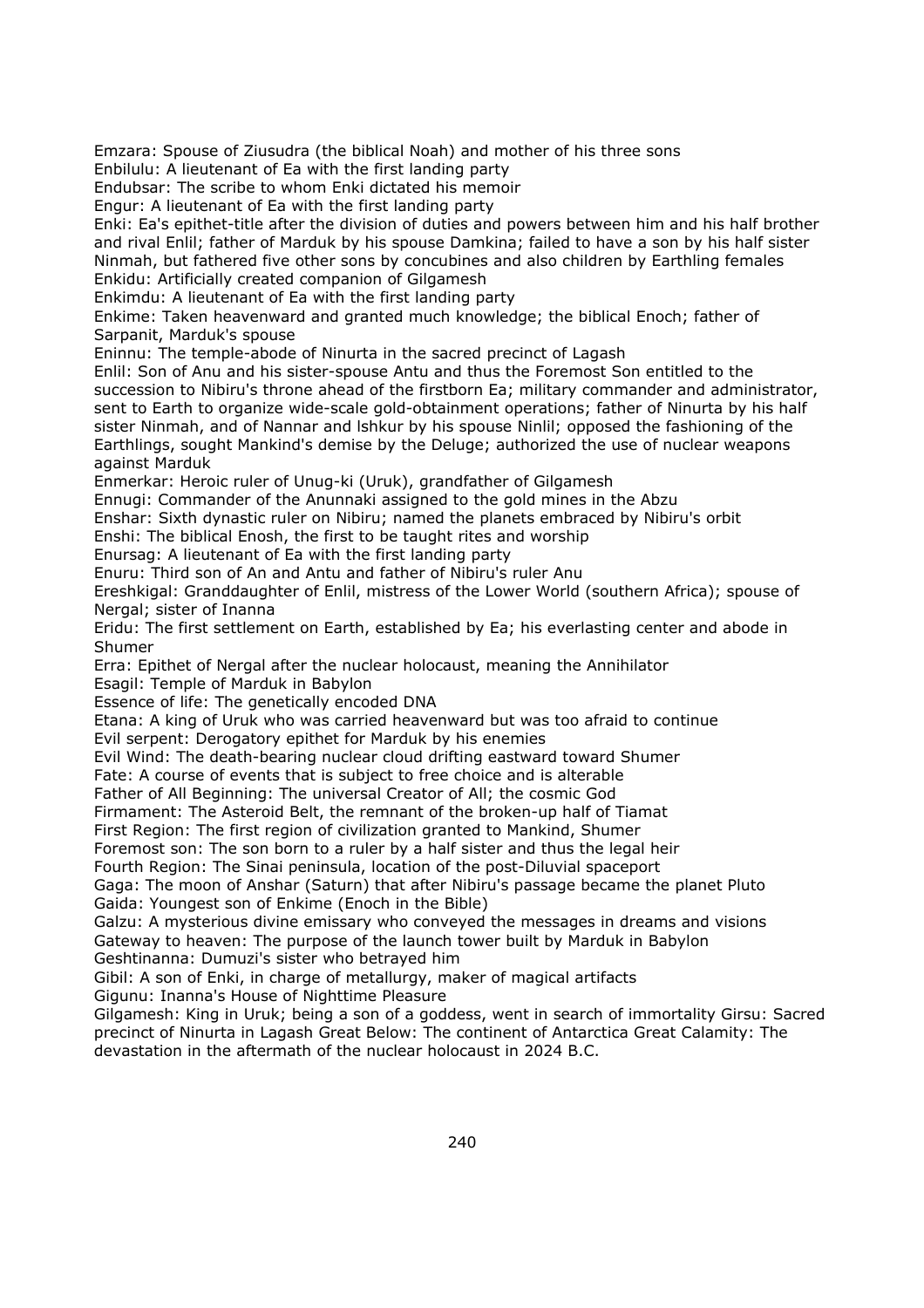Emzara: Spouse of Ziusudra (the biblical Noah) and mother of his three sons

Enbilulu: A lieutenant of Ea with the first landing party

Endubsar: The scribe to whom Enki dictated his memoir

Engur: A lieutenant of Ea with the first landing party

Enki: Ea's epithet-title after the division of duties and powers between him and his half brother and rival Enlil; father of Marduk by his spouse Damkina; failed to have a son by his half sister Ninmah, but fathered five other sons by concubines and also children by Earthling females Enkidu: Artificially created companion of Gilgamesh

Enkimdu: A lieutenant of Ea with the first landing party

Enkime: Taken heavenward and granted much knowledge; the biblical Enoch; father of Sarpanit, Marduk's spouse

Eninnu: The temple-abode of Ninurta in the sacred precinct of Lagash

Enlil: Son of Anu and his sister-spouse Antu and thus the Foremost Son entitled to the succession to Nibiru's throne ahead of the firstborn Ea; military commander and administrator, sent to Earth to organize wide-scale gold-obtainment operations; father of Ninurta by his half sister Ninmah, and of Nannar and lshkur by his spouse Ninlil; opposed the fashioning of the Earthlings, sought Mankind's demise by the Deluge; authorized the use of nuclear weapons against Marduk

Enmerkar: Heroic ruler of Unug-ki (Uruk), grandfather of Gilgamesh

Ennugi: Commander of the Anunnaki assigned to the gold mines in the Abzu

Enshar: Sixth dynastic ruler on Nibiru; named the planets embraced by Nibiru's orbit

Enshi: The biblical Enosh, the first to be taught rites and worship

Enursag: A lieutenant of Ea with the first landing party

Enuru: Third son of An and Antu and father of Nibiru's ruler Anu

Ereshkigal: Granddaughter of Enlil, mistress of the Lower World (southern Africa); spouse of Nergal; sister of Inanna

Eridu: The first settlement on Earth, established by Ea; his everlasting center and abode in Shumer

Erra: Epithet of Nergal after the nuclear holocaust, meaning the Annihilator Esagil: Temple of Marduk in Babylon

Essence of life: The genetically encoded DNA

Etana: A king of Uruk who was carried heavenward but was too afraid to continue

Evil serpent: Derogatory epithet for Marduk by his enemies

Evil Wind: The death-bearing nuclear cloud drifting eastward toward Shumer

Fate: A course of events that is subject to free choice and is alterable

Father of All Beginning: The universal Creator of All; the cosmic God

Firmament: The Asteroid Belt, the remnant of the broken-up half of Tiamat

First Region: The first region of civilization granted to Mankind, Shumer

Foremost son: The son born to a ruler by a half sister and thus the legal heir

Fourth Region: The Sinai peninsula, location of the post-Diluvial spaceport

Gaga: The moon of Anshar (Saturn) that after Nibiru's passage became the planet Pluto Gaida: Youngest son of Enkime (Enoch in the Bible)

Galzu: A mysterious divine emissary who conveyed the messages in dreams and visions Gateway to heaven: The purpose of the launch tower built by Marduk in Babylon

Geshtinanna: Dumuzi's sister who betrayed him

Gibil: A son of Enki, in charge of metallurgy, maker of magical artifacts

Gigunu: Inanna's House of Nighttime Pleasure

Gilgamesh: King in Uruk; being a son of a goddess, went in search of immortality Girsu: Sacred precinct of Ninurta in Lagash Great Below: The continent of Antarctica Great Calamity: The devastation in the aftermath of the nuclear holocaust in 2024 B.C.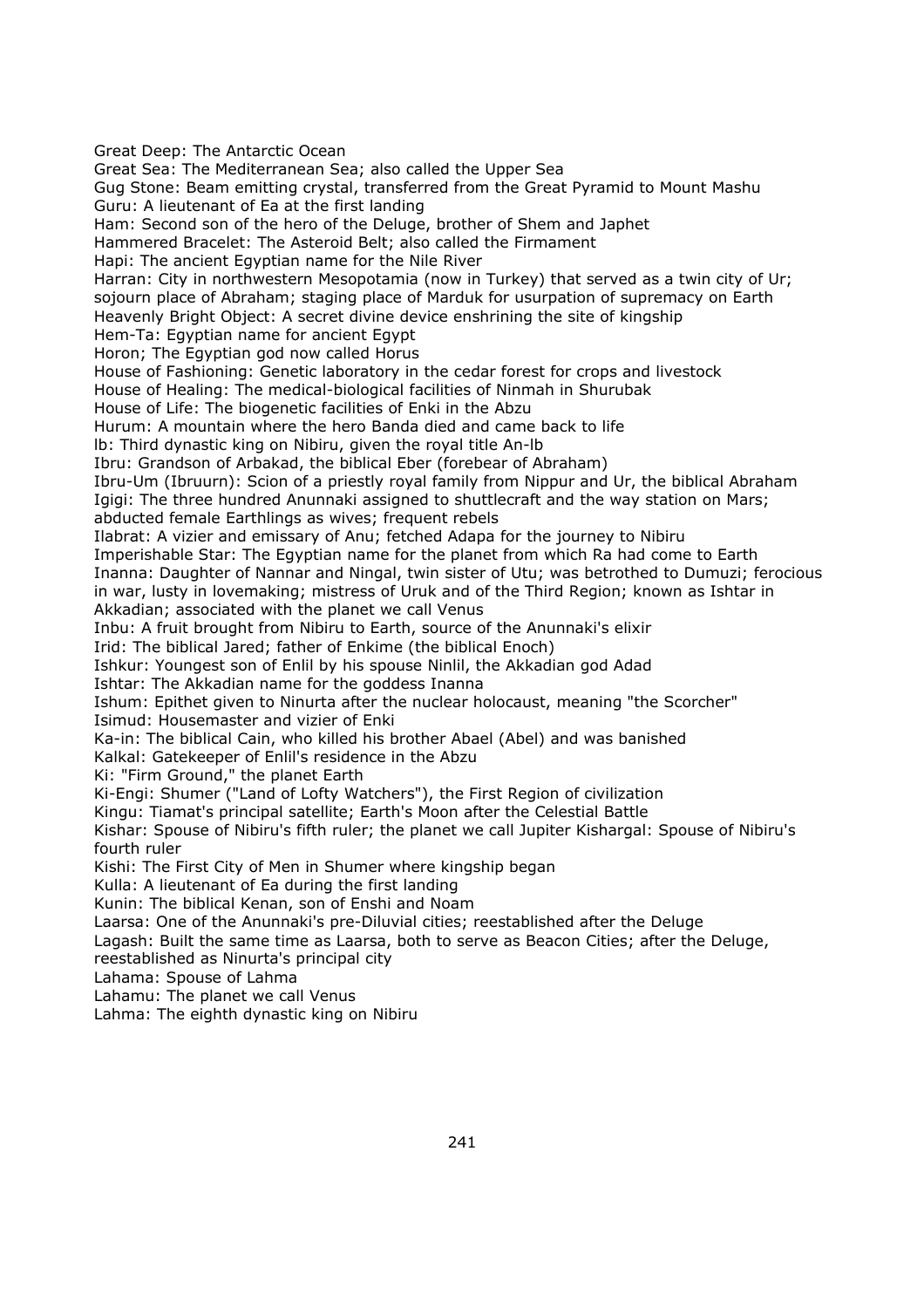Great Deep: The Antarctic Ocean Great Sea: The Mediterranean Sea; also called the Upper Sea Gug Stone: Beam emitting crystal, transferred from the Great Pyramid to Mount Mashu Guru: A lieutenant of Ea at the first landing Ham: Second son of the hero of the Deluge, brother of Shem and Japhet Hammered Bracelet: The Asteroid Belt; also called the Firmament Hapi: The ancient Egyptian name for the Nile River Harran: City in northwestern Mesopotamia (now in Turkey) that served as a twin city of Ur; sojourn place of Abraham; staging place of Marduk for usurpation of supremacy on Earth Heavenly Bright Object: A secret divine device enshrining the site of kingship Hem-Ta: Egyptian name for ancient Egypt Horon; The Egyptian god now called Horus House of Fashioning: Genetic laboratory in the cedar forest for crops and livestock House of Healing: The medical-biological facilities of Ninmah in Shurubak House of Life: The biogenetic facilities of Enki in the Abzu Hurum: A mountain where the hero Banda died and came back to life lb: Third dynastic king on Nibiru, given the royal title An-lb Ibru: Grandson of Arbakad, the biblical Eber (forebear of Abraham) Ibru-Um (Ibruurn): Scion of a priestly royal family from Nippur and Ur, the biblical Abraham Igigi: The three hundred Anunnaki assigned to shuttlecraft and the way station on Mars; abducted female Earthlings as wives; frequent rebels Ilabrat: A vizier and emissary of Anu; fetched Adapa for the journey to Nibiru Imperishable Star: The Egyptian name for the planet from which Ra had come to Earth Inanna: Daughter of Nannar and Ningal, twin sister of Utu; was betrothed to Dumuzi; ferocious in war, lusty in lovemaking; mistress of Uruk and of the Third Region; known as Ishtar in Akkadian; associated with the planet we call Venus Inbu: A fruit brought from Nibiru to Earth, source of the Anunnaki's elixir Irid: The biblical Jared; father of Enkime (the biblical Enoch) Ishkur: Youngest son of Enlil by his spouse Ninlil, the Akkadian god Adad Ishtar: The Akkadian name for the goddess Inanna Ishum: Epithet given to Ninurta after the nuclear holocaust, meaning "the Scorcher" Isimud: Housemaster and vizier of Enki Ka-in: The biblical Cain, who killed his brother Abael (Abel) and was banished Kalkal: Gatekeeper of Enlil's residence in the Abzu Ki: "Firm Ground," the planet Earth Ki-Engi: Shumer ("Land of Lofty Watchers"), the First Region of civilization Kingu: Tiamat's principal satellite; Earth's Moon after the Celestial Battle Kishar: Spouse of Nibiru's fifth ruler; the planet we call Jupiter Kishargal: Spouse of Nibiru's fourth ruler Kishi: The First City of Men in Shumer where kingship began Kulla: A lieutenant of Ea during the first landing Kunin: The biblical Kenan, son of Enshi and Noam Laarsa: One of the Anunnaki's pre-Diluvial cities; reestablished after the Deluge Lagash: Built the same time as Laarsa, both to serve as Beacon Cities; after the Deluge, reestablished as Ninurta's principal city Lahama: Spouse of Lahma Lahamu: The planet we call Venus Lahma: The eighth dynastic king on Nibiru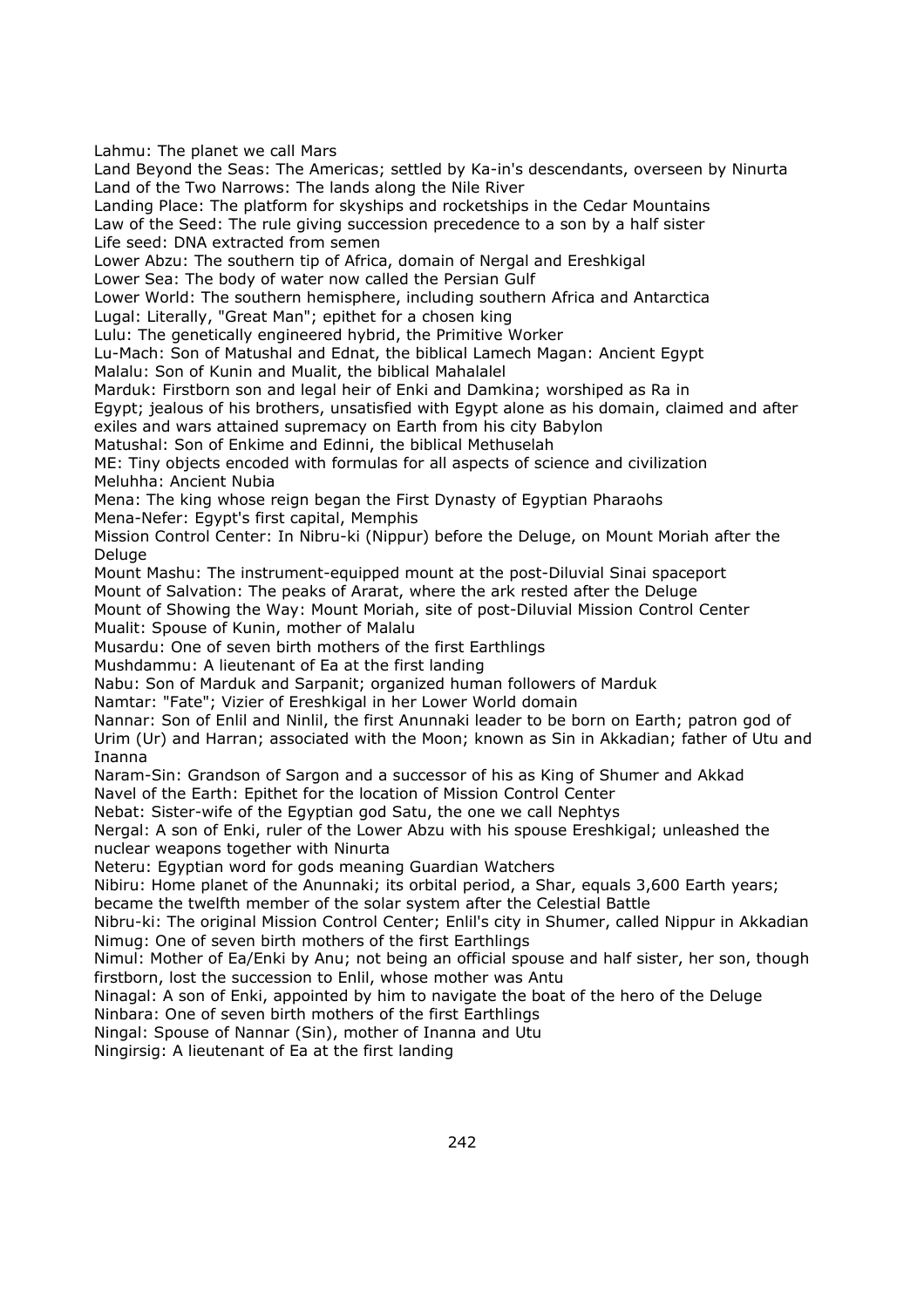Lahmu: The planet we call Mars

Land Beyond the Seas: The Americas; settled by Ka-in's descendants, overseen by Ninurta Land of the Two Narrows: The lands along the Nile River

Landing Place: The platform for skyships and rocketships in the Cedar Mountains Law of the Seed: The rule giving succession precedence to a son by a half sister Life seed: DNA extracted from semen

Lower Abzu: The southern tip of Africa, domain of Nergal and Ereshkigal

Lower Sea: The body of water now called the Persian Gulf

Lower World: The southern hemisphere, including southern Africa and Antarctica Lugal: Literally, "Great Man"; epithet for a chosen king

Lulu: The genetically engineered hybrid, the Primitive Worker

Lu-Mach: Son of Matushal and Ednat, the biblical Lamech Magan: Ancient Egypt Malalu: Son of Kunin and Mualit, the biblical Mahalalel

Marduk: Firstborn son and legal heir of Enki and Damkina; worshiped as Ra in

Egypt; jealous of his brothers, unsatisfied with Egypt alone as his domain, claimed and after exiles and wars attained supremacy on Earth from his city Babylon

Matushal: Son of Enkime and Edinni, the biblical Methuselah

ME: Tiny objects encoded with formulas for all aspects of science and civilization Meluhha: Ancient Nubia

Mena: The king whose reign began the First Dynasty of Egyptian Pharaohs Mena-Nefer: Egypt's first capital, Memphis

Mission Control Center: In Nibru-ki (Nippur) before the Deluge, on Mount Moriah after the Deluge

Mount Mashu: The instrument-equipped mount at the post-Diluvial Sinai spaceport Mount of Salvation: The peaks of Ararat, where the ark rested after the Deluge

Mount of Showing the Way: Mount Moriah, site of post-Diluvial Mission Control Center Mualit: Spouse of Kunin, mother of Malalu

Musardu: One of seven birth mothers of the first Earthlings

Mushdammu: A lieutenant of Ea at the first landing

Nabu: Son of Marduk and Sarpanit; organized human followers of Marduk

Namtar: "Fate"; Vizier of Ereshkigal in her Lower World domain

Nannar: Son of Enlil and Ninlil, the first Anunnaki leader to be born on Earth; patron god of Urim (Ur) and Harran; associated with the Moon; known as Sin in Akkadian; father of Utu and Inanna

Naram-Sin: Grandson of Sargon and a successor of his as King of Shumer and Akkad Navel of the Earth: Epithet for the location of Mission Control Center

Nebat: Sister-wife of the Egyptian god Satu, the one we call Nephtys

Nergal: A son of Enki, ruler of the Lower Abzu with his spouse Ereshkigal; unleashed the nuclear weapons together with Ninurta

Neteru: Egyptian word for gods meaning Guardian Watchers

Nibiru: Home planet of the Anunnaki; its orbital period, a Shar, equals 3,600 Earth years;

became the twelfth member of the solar system after the Celestial Battle

Nibru-ki: The original Mission Control Center; Enlil's city in Shumer, called Nippur in Akkadian Nimug: One of seven birth mothers of the first Earthlings

Nimul: Mother of Ea/Enki by Anu; not being an official spouse and half sister, her son, though firstborn, lost the succession to Enlil, whose mother was Antu

Ninagal: A son of Enki, appointed by him to navigate the boat of the hero of the Deluge Ninbara: One of seven birth mothers of the first Earthlings

Ningal: Spouse of Nannar (Sin), mother of Inanna and Utu

Ningirsig: A lieutenant of Ea at the first landing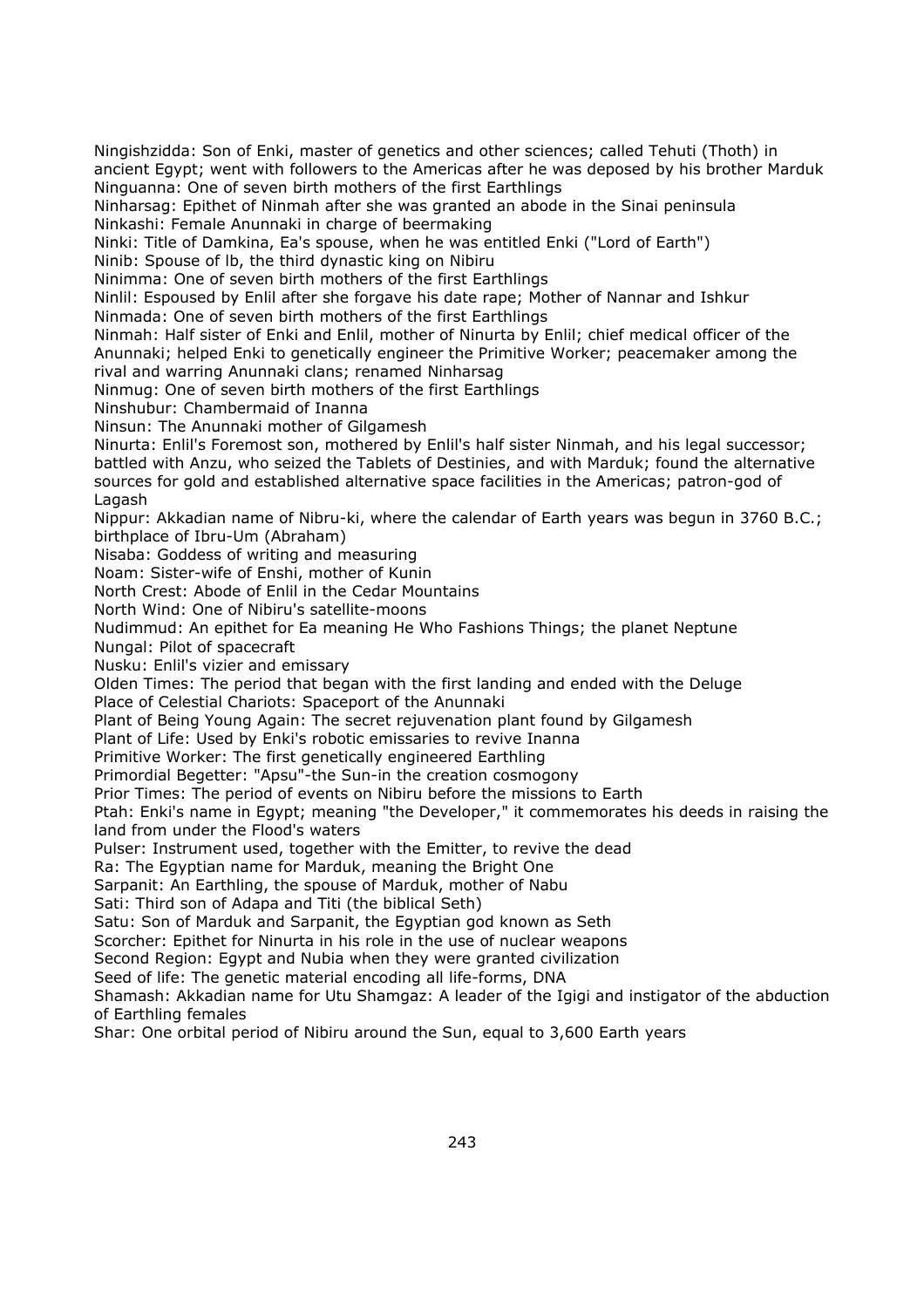Ningishzidda: Son of Enki, master of genetics and other sciences; called Tehuti (Thoth) in ancient Egypt; went with followers to the Americas after he was deposed by his brother Marduk Ninguanna: One of seven birth mothers of the first Earthlings

Ninharsag: Epithet of Ninmah after she was granted an abode in the Sinai peninsula Ninkashi: Female Anunnaki in charge of beermaking

Ninki: Title of Damkina, Ea's spouse, when he was entitled Enki ("Lord of Earth")

Ninib: Spouse of lb, the third dynastic king on Nibiru

Ninimma: One of seven birth mothers of the first Earthlings

Ninlil: Espoused by Enlil after she forgave his date rape; Mother of Nannar and Ishkur Ninmada: One of seven birth mothers of the first Earthlings

Ninmah: Half sister of Enki and Enlil, mother of Ninurta by Enlil; chief medical officer of the Anunnaki; helped Enki to genetically engineer the Primitive Worker; peacemaker among the rival and warring Anunnaki clans; renamed Ninharsag

Ninmug: One of seven birth mothers of the first Earthlings

Ninshubur: Chambermaid of Inanna

Ninsun: The Anunnaki mother of Gilgamesh

Ninurta: Enlil's Foremost son, mothered by Enlil's half sister Ninmah, and his legal successor; battled with Anzu, who seized the Tablets of Destinies, and with Marduk; found the alternative sources for gold and established alternative space facilities in the Americas; patron-god of Lagash

Nippur: Akkadian name of Nibru-ki, where the calendar of Earth years was begun in 3760 B.C.; birthplace of Ibru-Um (Abraham)

Nisaba: Goddess of writing and measuring

Noam: Sister-wife of Enshi, mother of Kunin

North Crest: Abode of Enlil in the Cedar Mountains

North Wind: One of Nibiru's satellite-moons

Nudimmud: An epithet for Ea meaning He Who Fashions Things; the planet Neptune Nungal: Pilot of spacecraft

Nusku: Enlil's vizier and emissary

Olden Times: The period that began with the first landing and ended with the Deluge Place of Celestial Chariots: Spaceport of the Anunnaki

Plant of Being Young Again: The secret rejuvenation plant found by Gilgamesh

Plant of Life: Used by Enki's robotic emissaries to revive Inanna

Primitive Worker: The first genetically engineered Earthling

Primordial Begetter: "Apsu"-the Sun-in the creation cosmogony

Prior Times: The period of events on Nibiru before the missions to Earth

Ptah: Enki's name in Egypt; meaning "the Developer," it commemorates his deeds in raising the land from under the Flood's waters

Pulser: Instrument used, together with the Emitter, to revive the dead

Ra: The Egyptian name for Marduk, meaning the Bright One

Sarpanit: An Earthling, the spouse of Marduk, mother of Nabu

Sati: Third son of Adapa and Titi (the biblical Seth)

Satu: Son of Marduk and Sarpanit, the Egyptian god known as Seth

Scorcher: Epithet for Ninurta in his role in the use of nuclear weapons

Second Region: Egypt and Nubia when they were granted civilization

Seed of life: The genetic material encoding all life-forms, DNA

Shamash: Akkadian name for Utu Shamgaz: A leader of the Igigi and instigator of the abduction of Earthling females

Shar: One orbital period of Nibiru around the Sun, equal to 3,600 Earth years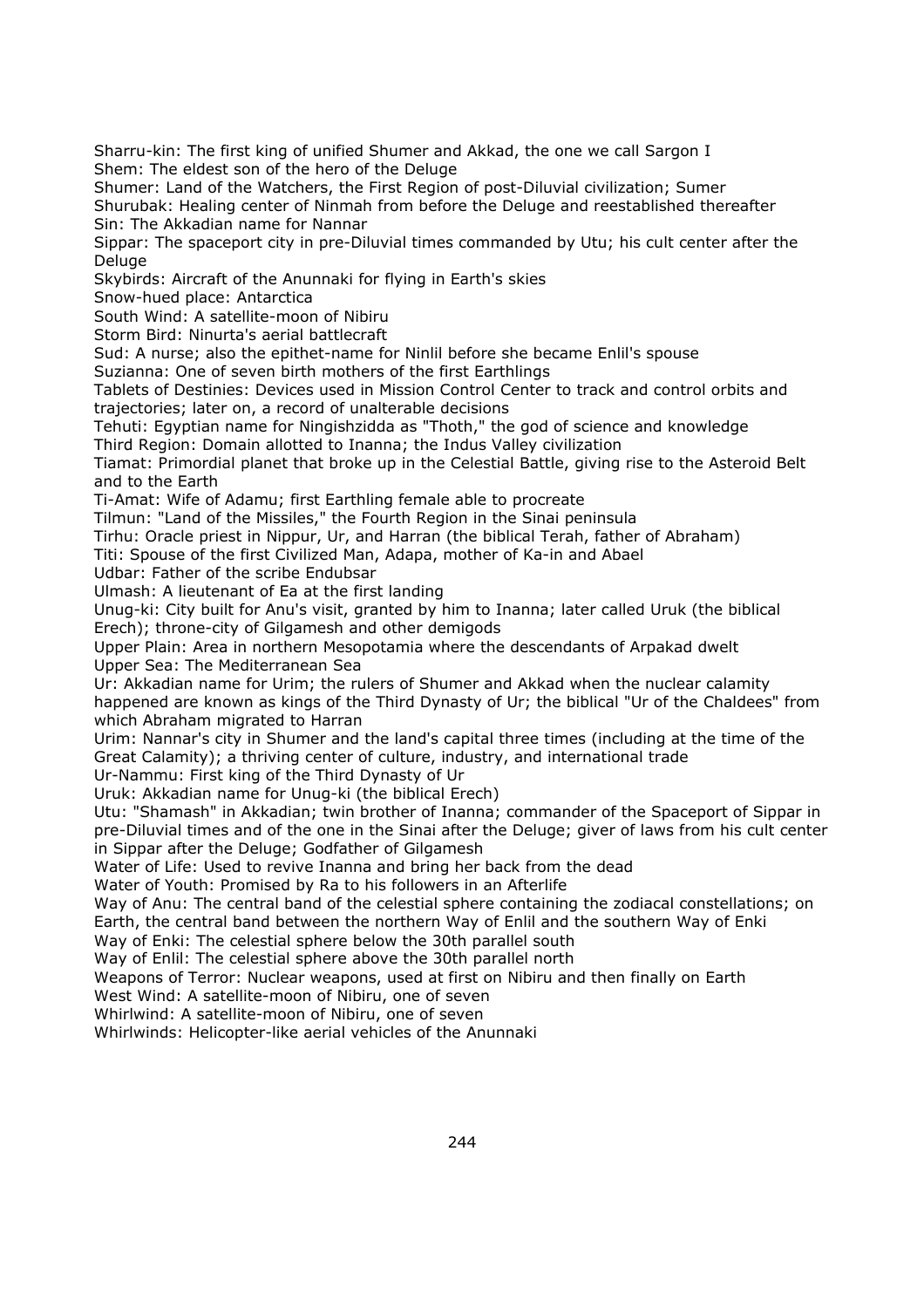Sharru-kin: The first king of unified Shumer and Akkad, the one we call Sargon I Shem: The eldest son of the hero of the Deluge

Shumer: Land of the Watchers, the First Region of post-Diluvial civilization; Sumer Shurubak: Healing center of Ninmah from before the Deluge and reestablished thereafter Sin: The Akkadian name for Nannar

Sippar: The spaceport city in pre-Diluvial times commanded by Utu; his cult center after the Deluge

Skybirds: Aircraft of the Anunnaki for flying in Earth's skies

Snow-hued place: Antarctica

South Wind: A satellite-moon of Nibiru

Storm Bird: Ninurta's aerial battlecraft

Sud: A nurse; also the epithet-name for Ninlil before she became Enlil's spouse Suzianna: One of seven birth mothers of the first Earthlings

Tablets of Destinies: Devices used in Mission Control Center to track and control orbits and trajectories; later on, a record of unalterable decisions

Tehuti: Egyptian name for Ningishzidda as "Thoth," the god of science and knowledge Third Region: Domain allotted to Inanna; the Indus Valley civilization

Tiamat: Primordial planet that broke up in the Celestial Battle, giving rise to the Asteroid Belt and to the Earth

Ti-Amat: Wife of Adamu; first Earthling female able to procreate

Tilmun: "Land of the Missiles," the Fourth Region in the Sinai peninsula

Tirhu: Oracle priest in Nippur, Ur, and Harran (the biblical Terah, father of Abraham)

Titi: Spouse of the first Civilized Man, Adapa, mother of Ka-in and Abael

Udbar: Father of the scribe Endubsar

Ulmash: A lieutenant of Ea at the first landing

Unug-ki: City built for Anu's visit, granted by him to Inanna; later called Uruk (the biblical Erech); throne-city of Gilgamesh and other demigods

Upper Plain: Area in northern Mesopotamia where the descendants of Arpakad dwelt Upper Sea: The Mediterranean Sea

Ur: Akkadian name for Urim; the rulers of Shumer and Akkad when the nuclear calamity happened are known as kings of the Third Dynasty of Ur; the biblical "Ur of the Chaldees" from which Abraham migrated to Harran

Urim: Nannar's city in Shumer and the land's capital three times (including at the time of the Great Calamity); a thriving center of culture, industry, and international trade

Ur-Nammu: First king of the Third Dynasty of Ur

Uruk: Akkadian name for Unug-ki (the biblical Erech)

Utu: "Shamash" in Akkadian; twin brother of Inanna; commander of the Spaceport of Sippar in pre-Diluvial times and of the one in the Sinai after the Deluge; giver of laws from his cult center in Sippar after the Deluge; Godfather of Gilgamesh

Water of Life: Used to revive Inanna and bring her back from the dead

Water of Youth: Promised by Ra to his followers in an Afterlife

Way of Anu: The central band of the celestial sphere containing the zodiacal constellations; on Earth, the central band between the northern Way of Enlil and the southern Way of Enki

Way of Enki: The celestial sphere below the 30th parallel south

Way of Enlil: The celestial sphere above the 30th parallel north

Weapons of Terror: Nuclear weapons, used at first on Nibiru and then finally on Earth

West Wind: A satellite-moon of Nibiru, one of seven

Whirlwind: A satellite-moon of Nibiru, one of seven

Whirlwinds: Helicopter-like aerial vehicles of the Anunnaki